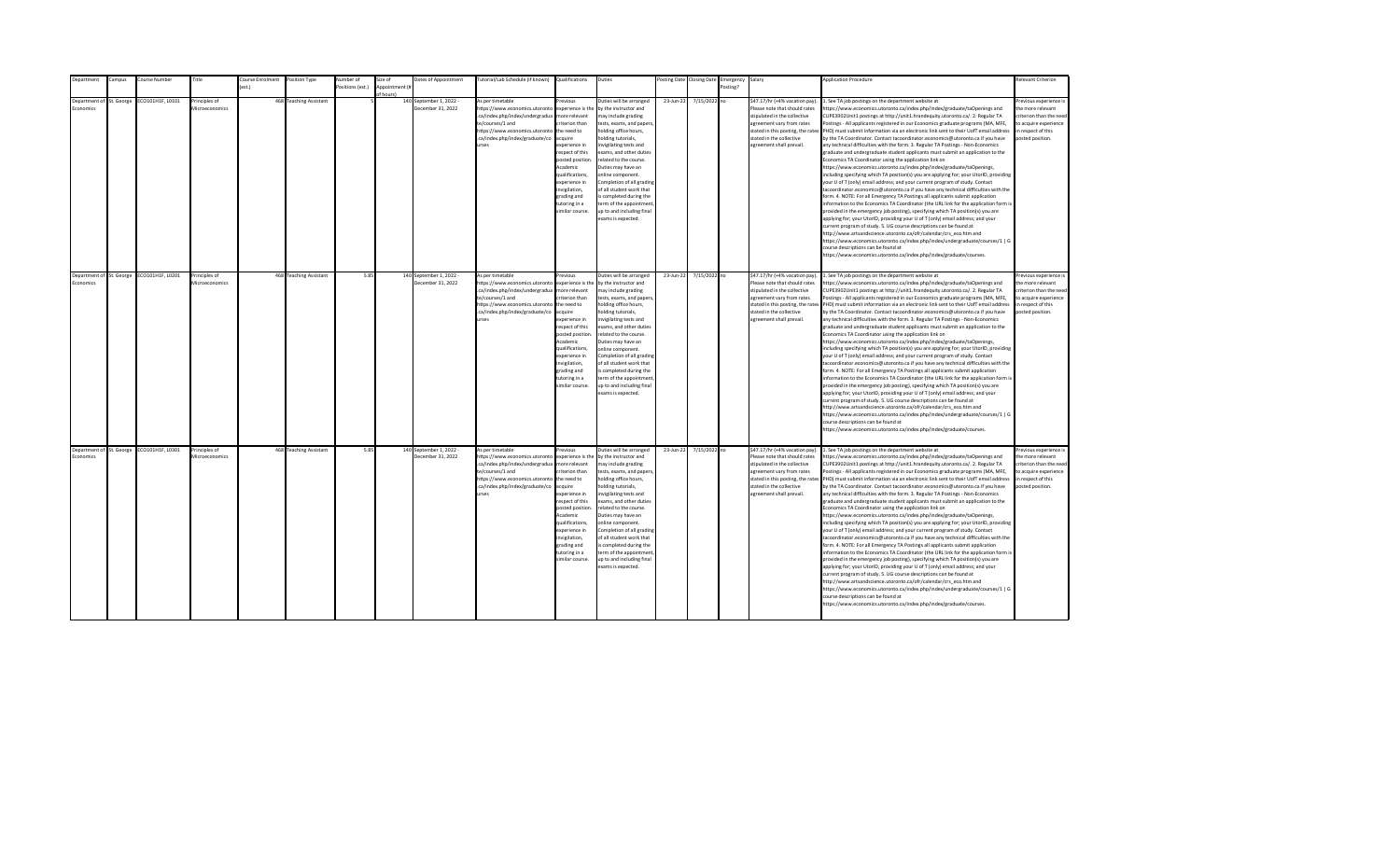| epartment                                   | Campus | Course Number                             | Title                           | Course Enrolment<br>est.) | Position Type          | Number of        | Size of<br>Appointment (i | Dates of Appointment                         | Tutorial/Lab Schedule (if known) Qualifications                                                                                                                                                |                                                                                                                                                                                                                                                                    | Duties                                                                                                                                                                                                                                                                                                                                                                                                                                         |           | Posting Date Closing Date | Emergency Salary<br>Posting? |                                                                                                                                                                                                                           | <b>Application Procedure</b>                                                                                                                                                                                                                                                                                                                                                                                                                                                                                                                                                                                                                                                                                                                                                                                                                                                                                                                                                                                                                                                                                                                                                                                                                                                                                                                                                                                                                                                                                                                                                                                                                                                                                                                                                                 | <b>Relevant Criterion</b>                                                                                                                |
|---------------------------------------------|--------|-------------------------------------------|---------------------------------|---------------------------|------------------------|------------------|---------------------------|----------------------------------------------|------------------------------------------------------------------------------------------------------------------------------------------------------------------------------------------------|--------------------------------------------------------------------------------------------------------------------------------------------------------------------------------------------------------------------------------------------------------------------|------------------------------------------------------------------------------------------------------------------------------------------------------------------------------------------------------------------------------------------------------------------------------------------------------------------------------------------------------------------------------------------------------------------------------------------------|-----------|---------------------------|------------------------------|---------------------------------------------------------------------------------------------------------------------------------------------------------------------------------------------------------------------------|----------------------------------------------------------------------------------------------------------------------------------------------------------------------------------------------------------------------------------------------------------------------------------------------------------------------------------------------------------------------------------------------------------------------------------------------------------------------------------------------------------------------------------------------------------------------------------------------------------------------------------------------------------------------------------------------------------------------------------------------------------------------------------------------------------------------------------------------------------------------------------------------------------------------------------------------------------------------------------------------------------------------------------------------------------------------------------------------------------------------------------------------------------------------------------------------------------------------------------------------------------------------------------------------------------------------------------------------------------------------------------------------------------------------------------------------------------------------------------------------------------------------------------------------------------------------------------------------------------------------------------------------------------------------------------------------------------------------------------------------------------------------------------------------|------------------------------------------------------------------------------------------------------------------------------------------|
|                                             |        |                                           |                                 |                           |                        | Positions (est.) | f hours)                  |                                              |                                                                                                                                                                                                |                                                                                                                                                                                                                                                                    |                                                                                                                                                                                                                                                                                                                                                                                                                                                |           |                           |                              |                                                                                                                                                                                                                           |                                                                                                                                                                                                                                                                                                                                                                                                                                                                                                                                                                                                                                                                                                                                                                                                                                                                                                                                                                                                                                                                                                                                                                                                                                                                                                                                                                                                                                                                                                                                                                                                                                                                                                                                                                                              |                                                                                                                                          |
| Department of St. George<br>conomics        |        | ECO101H1F, L0101                          | Principles of<br>Microeconomics |                           | 468 Teaching Assistant |                  |                           | 140 September 1, 2022 -<br>December 31, 2022 | As per timetable<br>https://www.economics.utoronto<br>.ca/index.php/index/undergradua<br>te/courses/1 and<br>https://www.economics.utoronto<br>.ca/index.php/index/graduate/co<br><b>urses</b> | revious<br>experience is the<br>nore relevant<br>riterion than<br>the need to<br>cauire<br>xperience in<br>espect of this<br>posted position<br>Academic<br>qualifications,<br>xperience in<br>nvigilation,<br>trading and<br>utoring in a<br>imilar course.       | Duties will be arranged<br>by the instructor and<br>nay include grading<br>tests, exams, and papers<br>nolding office hours,<br>olding tutorials,<br>nvigilating tests and<br>exams, and other duties<br>related to the course.<br>Duties may have an<br>online component.<br>Completion of all grading<br>of all student work that<br>s completed during the<br>erm of the appointment<br>up to and including final<br>exams is expected.     | 23-Jun-22 | 7/15/2022 no              |                              | \$47.17/hr (+4% vacation pay).<br>Please note that should rates<br>stipulated in the collective<br>agreement vary from rates<br>stated in this posting, the rates<br>stated in the collective<br>agreement shall prevail. | 1. See TA job postings on the department website at<br>https://www.economics.utoronto.ca/index.php/index/graduate/taOpenings and<br>CUPE3902Unit1 postings at http://unit1.hrandequity.utoronto.ca/. 2. Regular TA<br>Postings - All applicants registered in our Economics graduate programs (MA, MFE,<br>PHD) must submit information via an electronic link sent to their UofT email address<br>by the TA Coordinator. Contact tacoordinator.economics@utoronto.ca if you have<br>any technical difficulties with the form. 3. Regular TA Postings - Non-Economics<br>graduate and undergraduate student applicants must submit an application to the<br>Economics TA Coordinator using the application link on<br>https://www.economics.utoronto.ca/index.php/index/graduate/taOpenings,<br>including specifying which TA position(s) you are applying for; your UtorID, providing<br>your U of T (only) email address; and your current program of study. Contact<br>tacoordinator.economics@utoronto.ca if you have any technical difficulties with the<br>form. 4. NOTE: For all Emergency TA Postings all applicants submit application<br>information to the Economics TA Coordinator (the URL link for the application form is<br>provided in the emergency job posting), specifying which TA position(s) you are<br>applying for; your UtorID, providing your U of T (only) email address; and your<br>current program of study. 5. UG course descriptions can be found at<br>http://www.artsandscience.utoronto.ca/ofr/calendar/crs eco.htm and<br>https://www.economics.utoronto.ca/index.php/index/undergraduate/courses/1   G<br>course descriptions can be found at<br>https://www.economics.utoronto.ca/index.php/index/graduate/courses.                                   | revious experience i<br>the more relevant<br>riterion than the need<br>to acquire experience<br>in respect of this<br>posted position.   |
| Department of St. George<br><b>conomics</b> |        | ECO101H1F, L0201                          | Principles of<br>Microeconomics |                           | 468 Teaching Assistant | 5.85             |                           | 140 September 1, 2022 -<br>December 31, 2022 | As per timetable<br>https://www.economics.utoronto<br>.ca/index.php/index/undergradua<br>te/courses/1 and<br>https://www.economics.utoronto<br>.ca/index.php/index/graduate/co<br><b>urses</b> | revious<br>experience is the<br>more relevant<br>riterion than<br>the need to<br>acquire<br>xperience in<br>respect of this<br>posted position<br>Academic<br>qualifications,<br>experience in<br>nvigilation,<br>grading and<br>tutoring in a<br>imilar course.   | Duties will be arranged<br>by the instructor and<br>may include grading<br>tests, exams, and papers,<br>holding office hours,<br>nolding tutorials,<br>nvigilating tests and<br>exams, and other duties<br>related to the course.<br>Duties may have an<br>online component.<br>Completion of all grading<br>of all student work that<br>is completed during the<br>term of the appointment<br>up to and including final<br>exams is expected. | 23-Jun-22 | 7/15/2022 no              |                              | \$47.17/hr (+4% vacation pay).<br>Please note that should rates<br>stipulated in the collective<br>agreement vary from rates<br>stated in the collective<br>agreement shall prevail.                                      | 1. See TA job postings on the department website at<br>https://www.economics.utoronto.ca/index.php/index/graduate/taOpenings and<br>CUPE3902Unit1 postings at http://unit1.hrandequity.utoronto.ca/. 2. Regular TA<br>Postings - All applicants registered in our Economics graduate programs (MA, MFE,<br>stated in this posting, the rates PHD) must submit information via an electronic link sent to their UofT email address<br>by the TA Coordinator. Contact tacoordinator.economics@utoronto.ca if you have<br>any technical difficulties with the form. 3. Regular TA Postings - Non-Economics<br>graduate and undergraduate student applicants must submit an application to the<br>Economics TA Coordinator using the application link on<br>https://www.economics.utoronto.ca/index.php/index/graduate/taOpenings,<br>including specifying which TA position(s) you are applying for; your UtorID, providing<br>your U of T (only) email address; and your current program of study. Contact<br>tacoordinator.economics@utoronto.ca if you have any technical difficulties with the<br>form. 4. NOTE: For all Emergency TA Postings all applicants submit application<br>information to the Economics TA Coordinator (the URL link for the application form is<br>provided in the emergency job posting), specifying which TA position(s) you are<br>applying for; your UtorID, providing your U of T (only) email address; and your<br>current program of study. 5. UG course descriptions can be found at<br>http://www.artsandscience.utoronto.ca/ofr/calendar/crs_eco.htm and<br>https://www.economics.utoronto.ca/index.php/index/undergraduate/courses/1   G<br>course descriptions can be found at<br>https://www.economics.utoronto.ca/index.php/index/graduate/courses. | Previous experience i<br>the more relevant<br>criterion than the need<br>to acquire experience<br>in respect of this<br>posted position. |
| Economics                                   |        | Department of St. George ECO101H1F, L0301 | Principles of<br>Microeconomics |                           | 468 Teaching Assistant | 5.85             |                           | 140 September 1, 2022 -<br>December 31, 2022 | As per timetable<br>https://www.economics.utoronto<br>.ca/index.php/index/undergradua<br>te/courses/1 and<br>https://www.economics.utoronto<br>.ca/index.php/index/graduate/co<br><b>urses</b> | revious<br>experience is the<br>more relevant<br>riterion than<br>the need to<br>acquire<br>experience in<br>respect of this<br>posted position<br>Academic<br>qualifications,<br>experience in<br>invigilation,<br>grading and<br>tutoring in a<br>imilar course. | Duties will be arranged<br>by the instructor and<br>may include grading<br>tests, exams, and papers,<br>holding office hours,<br>nolding tutorials,<br>nvigilating tests and<br>exams, and other duties<br>related to the course.<br>Duties may have an<br>online component.<br>Completion of all grading<br>of all student work that<br>is completed during the<br>term of the appointment<br>up to and including final<br>exams is expected. | 23-Jun-22 | 7/15/2022 no              |                              | \$47.17/hr (+4% vacation pay).<br>Please note that should rates<br>stipulated in the collective<br>agreement vary from rates<br>stated in the collective<br>agreement shall prevail.                                      | 1. See TA job postings on the department website at<br>https://www.economics.utoronto.ca/index.php/index/graduate/taOpenings and<br>CUPE3902Unit1 postings at http://unit1.hrandequity.utoronto.ca/. 2. Regular TA<br>Postings - All applicants registered in our Economics graduate programs (MA, MFE,<br>stated in this posting, the rates PHD) must submit information via an electronic link sent to their UofT email address<br>by the TA Coordinator. Contact tacoordinator.economics@utoronto.ca if you have<br>any technical difficulties with the form. 3. Regular TA Postings - Non-Economics<br>graduate and undergraduate student applicants must submit an application to the<br>Economics TA Coordinator using the application link on<br>https://www.economics.utoronto.ca/index.php/index/graduate/taOpenings,<br>including specifying which TA position(s) you are applying for; your UtorID, providing<br>your U of T (only) email address; and your current program of study. Contact<br>tacoordinator.economics@utoronto.ca if you have any technical difficulties with the<br>form. 4. NOTE: For all Emergency TA Postings all applicants submit application<br>information to the Economics TA Coordinator (the URL link for the application form is<br>provided in the emergency job posting), specifying which TA position(s) you are<br>applying for; your UtorID, providing your U of T (only) email address; and your<br>current program of study. 5. UG course descriptions can be found at<br>http://www.artsandscience.utoronto.ca/ofr/calendar/crs eco.htm and<br>https://www.economics.utoronto.ca/index.php/index/undergraduate/courses/1   G<br>course descriptions can be found at<br>https://www.economics.utoronto.ca/index.php/index/graduate/courses. | Previous experience i<br>the more relevant<br>criterion than the need<br>to acquire experience<br>in respect of this<br>posted position. |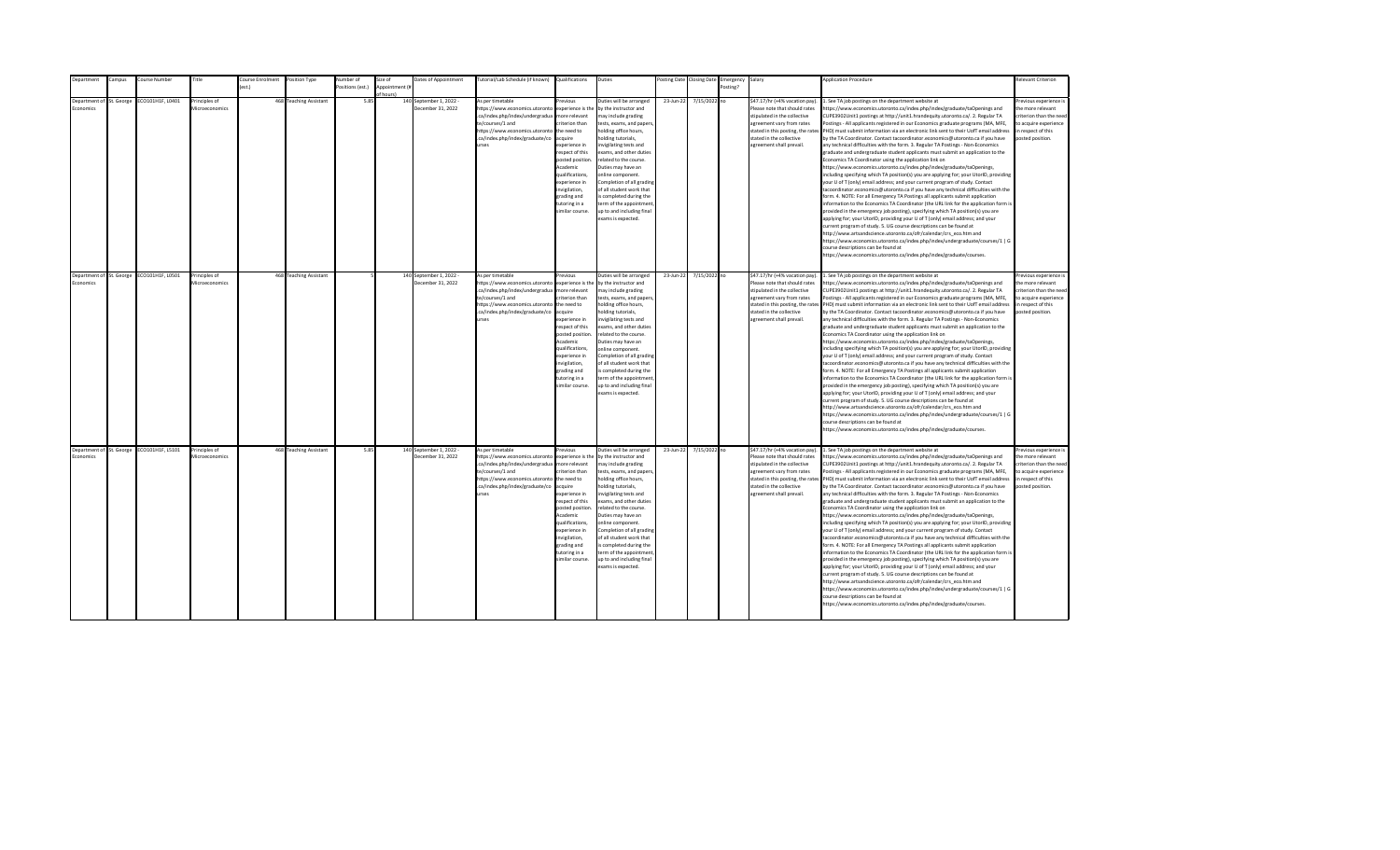| <b>Department</b>                     | Campus | Course Number                             | Title                           | Course Enrolment | Position Type          | Number of        | Size of                    | Dates of Appointment                         | Tutorial/Lab Schedule (if known) Qualifications                                                                                                                                                |                                                                                                                                                                                                                                                                    | Duties                                                                                                                                                                                                                                                                                                                                                                                                                                         |           | Posting Date Closing Date | Emergency Salary |                                                                                                                                                                                                                           | <b>Application Procedure</b>                                                                                                                                                                                                                                                                                                                                                                                                                                                                                                                                                                                                                                                                                                                                                                                                                                                                                                                                                                                                                                                                                                                                                                                                                                                                                                                                                                                                                                                                                                                                                                                                                                                                                                                                                                 | <b>Relevant Criterion</b>                                                                                                                |
|---------------------------------------|--------|-------------------------------------------|---------------------------------|------------------|------------------------|------------------|----------------------------|----------------------------------------------|------------------------------------------------------------------------------------------------------------------------------------------------------------------------------------------------|--------------------------------------------------------------------------------------------------------------------------------------------------------------------------------------------------------------------------------------------------------------------|------------------------------------------------------------------------------------------------------------------------------------------------------------------------------------------------------------------------------------------------------------------------------------------------------------------------------------------------------------------------------------------------------------------------------------------------|-----------|---------------------------|------------------|---------------------------------------------------------------------------------------------------------------------------------------------------------------------------------------------------------------------------|----------------------------------------------------------------------------------------------------------------------------------------------------------------------------------------------------------------------------------------------------------------------------------------------------------------------------------------------------------------------------------------------------------------------------------------------------------------------------------------------------------------------------------------------------------------------------------------------------------------------------------------------------------------------------------------------------------------------------------------------------------------------------------------------------------------------------------------------------------------------------------------------------------------------------------------------------------------------------------------------------------------------------------------------------------------------------------------------------------------------------------------------------------------------------------------------------------------------------------------------------------------------------------------------------------------------------------------------------------------------------------------------------------------------------------------------------------------------------------------------------------------------------------------------------------------------------------------------------------------------------------------------------------------------------------------------------------------------------------------------------------------------------------------------|------------------------------------------------------------------------------------------------------------------------------------------|
|                                       |        |                                           |                                 | est.)            |                        | Positions (est.) | Appointment (i<br>f hours) |                                              |                                                                                                                                                                                                |                                                                                                                                                                                                                                                                    |                                                                                                                                                                                                                                                                                                                                                                                                                                                |           |                           | Posting?         |                                                                                                                                                                                                                           |                                                                                                                                                                                                                                                                                                                                                                                                                                                                                                                                                                                                                                                                                                                                                                                                                                                                                                                                                                                                                                                                                                                                                                                                                                                                                                                                                                                                                                                                                                                                                                                                                                                                                                                                                                                              |                                                                                                                                          |
| Department of St. George<br>conomics  |        | ECO101H1F, L0401                          | Principles of<br>Microeconomics |                  | 468 Teaching Assistant | 5.85             |                            | 140 September 1, 2022 -<br>December 31, 2022 | As per timetable<br>https://www.economics.utoronto<br>.ca/index.php/index/undergradua<br>te/courses/1 and<br>https://www.economics.utoronto<br>.ca/index.php/index/graduate/co<br><b>urses</b> | revious<br>experience is the<br>nore relevant<br>riterion than<br>the need to<br>cauire<br>xperience in<br>espect of this<br>posted position<br>Academic<br>qualifications,<br>xperience in<br>wigilation,<br>grading and<br>utoring in a<br>imilar course.        | Duties will be arranged<br>by the instructor and<br>nay include grading<br>tests, exams, and papers<br>nolding office hours,<br>olding tutorials.<br>nvigilating tests and<br>exams, and other duties<br>related to the course.<br>Duties may have an<br>online component.<br>Completion of all grading<br>of all student work that<br>s completed during the<br>erm of the appointment<br>up to and including final<br>exams is expected.     | 23-Jun-22 | 7/15/2022 no              |                  | \$47.17/hr (+4% vacation pay).<br>Please note that should rates<br>stipulated in the collective<br>agreement vary from rates<br>stated in this posting, the rates<br>stated in the collective<br>agreement shall prevail. | . See TA job postings on the department website at<br>https://www.economics.utoronto.ca/index.php/index/graduate/taOpenings and<br>CUPE3902Unit1 postings at http://unit1.hrandequity.utoronto.ca/. 2. Regular TA<br>Postings - All applicants registered in our Economics graduate programs (MA, MFE,<br>PHD) must submit information via an electronic link sent to their UofT email address<br>by the TA Coordinator. Contact tacoordinator.economics@utoronto.ca if you have<br>any technical difficulties with the form. 3. Regular TA Postings - Non-Economics<br>graduate and undergraduate student applicants must submit an application to the<br>Economics TA Coordinator using the application link on<br>https://www.economics.utoronto.ca/index.php/index/graduate/taOpenings,<br>including specifying which TA position(s) you are applying for; your UtorID, providing<br>your U of T (only) email address; and your current program of study. Contact<br>tacoordinator.economics@utoronto.ca if you have any technical difficulties with the<br>form. 4. NOTE: For all Emergency TA Postings all applicants submit application<br>information to the Economics TA Coordinator (the URL link for the application form is<br>provided in the emergency job posting), specifying which TA position(s) you are<br>applying for; your UtorID, providing your U of T (only) email address; and your<br>current program of study. 5. UG course descriptions can be found at<br>http://www.artsandscience.utoronto.ca/ofr/calendar/crs_eco.htm and<br>https://www.economics.utoronto.ca/index.php/index/undergraduate/courses/1   G<br>course descriptions can be found at<br>https://www.economics.utoronto.ca/index.php/index/graduate/courses.                                    | revious experience i<br>the more relevant<br>criterion than the nee-<br>to acquire experience<br>in respect of this<br>posted position.  |
| Department of St. George<br>Economics |        | ECO101H1F, L0501                          | Principles of<br>Microeconomics |                  | 468 Teaching Assistant |                  |                            | 140 September 1, 2022 -<br>December 31, 2022 | As per timetable<br>https://www.economics.utoronto<br>.ca/index.php/index/undergradua<br>te/courses/1 and<br>https://www.economics.utoronto<br>.ca/index.php/index/graduate/co<br><b>urses</b> | revious<br>experience is the<br>more relevant<br>riterion than<br>the need to<br>acquire<br>experience in<br>resnect of this<br>posted position<br>Academic<br>qualifications.<br>experience in<br>invigilation,<br>grading and<br>tutoring in a<br>imilar course. | Duties will be arranged<br>by the instructor and<br>may include grading<br>tests, exams, and papers,<br>holding office hours,<br>nolding tutorials,<br>nvigilating tests and<br>exams, and other duties<br>related to the course.<br>Duties may have an<br>online component.<br>Completion of all grading<br>of all student work that<br>is completed during the<br>term of the appointment<br>up to and including final<br>exams is expected. | 23-Jun-22 | 7/15/2022 no              |                  | \$47.17/hr (+4% vacation pay).<br>Please note that should rates<br>stipulated in the collective<br>agreement vary from rates<br>stated in the collective<br>agreement shall prevail.                                      | 1. See TA job postings on the department website at<br>https://www.economics.utoronto.ca/index.php/index/graduate/taOpenings and<br>CUPE3902Unit1 postings at http://unit1.hrandequity.utoronto.ca/. 2. Regular TA<br>Postings - All applicants registered in our Economics graduate programs (MA, MFE,<br>stated in this posting, the rates PHD) must submit information via an electronic link sent to their UofT email address<br>by the TA Coordinator. Contact tacoordinator.economics@utoronto.ca if you have<br>any technical difficulties with the form. 3. Regular TA Postings - Non-Economics<br>eraduate and undergraduate student applicants must submit an application to the<br>Economics TA Coordinator using the application link on<br>https://www.economics.utoronto.ca/index.php/index/graduate/taOpenings,<br>including specifying which TA position(s) you are applying for; your UtorID, providing<br>your U of T (only) email address; and your current program of study. Contact<br>tacoordinator.economics@utoronto.ca if you have any technical difficulties with the<br>form. 4. NOTE: For all Emergency TA Postings all applicants submit application<br>information to the Economics TA Coordinator (the URL link for the application form is<br>provided in the emergency job posting), specifying which TA position(s) you are<br>applying for; your UtorID, providing your U of T (only) email address; and your<br>current program of study. 5. UG course descriptions can be found at<br>http://www.artsandscience.utoronto.ca/ofr/calendar/crs eco.htm and<br>https://www.economics.utoronto.ca/index.php/index/undergraduate/courses/1   G<br>course descriptions can be found at<br>https://www.economics.utoronto.ca/index.php/index/graduate/courses. | Previous experience i<br>the more relevant<br>criterion than the need<br>to acquire experience<br>in respect of this<br>posted position. |
| Economics                             |        | Department of St. George ECO101H1F, L5101 | Principles of<br>Microeconomics |                  | 468 Teaching Assistant | 5.85             |                            | 140 September 1, 2022 -<br>December 31, 2022 | As per timetable<br>https://www.economics.utoronto<br>.ca/index.php/index/undergradua<br>te/courses/1 and<br>https://www.economics.utoronto<br>.ca/index.php/index/graduate/co<br><b>urses</b> | revious<br>experience is the<br>more relevant<br>riterion than<br>the need to<br>acquire<br>experience in<br>respect of this<br>posted position<br>Academic<br>qualifications,<br>experience in<br>invigilation,<br>grading and<br>tutoring in a<br>imilar course. | Duties will be arranged<br>by the instructor and<br>may include grading<br>tests, exams, and papers,<br>holding office hours,<br>nolding tutorials,<br>nvigilating tests and<br>exams, and other duties<br>related to the course.<br>Duties may have an<br>online component.<br>Completion of all grading<br>of all student work that<br>is completed during the<br>term of the appointment<br>up to and including final<br>exams is expected. | 23-Jun-22 | 7/15/2022 no              |                  | \$47.17/hr (+4% vacation pay).<br>Please note that should rates<br>stipulated in the collective<br>agreement vary from rates<br>stated in the collective<br>agreement shall prevail.                                      | 1. See TA job postings on the department website at<br>https://www.economics.utoronto.ca/index.php/index/graduate/taOpenings and<br>CUPE3902Unit1 postings at http://unit1.hrandequity.utoronto.ca/. 2. Regular TA<br>Postings - All applicants registered in our Economics graduate programs (MA, MFE,<br>stated in this posting, the rates PHD) must submit information via an electronic link sent to their UofT email address<br>by the TA Coordinator. Contact tacoordinator.economics@utoronto.ca if you have<br>any technical difficulties with the form. 3. Regular TA Postings - Non-Economics<br>graduate and undergraduate student applicants must submit an application to the<br>Economics TA Coordinator using the application link on<br>https://www.economics.utoronto.ca/index.php/index/graduate/taOpenings,<br>including specifying which TA position(s) you are applying for; your UtorID, providing<br>your U of T (only) email address; and your current program of study. Contact<br>tacoordinator.economics@utoronto.ca if you have any technical difficulties with the<br>form. 4. NOTE: For all Emergency TA Postings all applicants submit application<br>information to the Economics TA Coordinator (the URL link for the application form is<br>provided in the emergency job posting), specifying which TA position(s) you are<br>applying for; your UtorID, providing your U of T (only) email address; and your<br>current program of study. 5. UG course descriptions can be found at<br>http://www.artsandscience.utoronto.ca/ofr/calendar/crs eco.htm and<br>https://www.economics.utoronto.ca/index.php/index/undergraduate/courses/1   G<br>course descriptions can be found at<br>https://www.economics.utoronto.ca/index.php/index/graduate/courses. | revious experience i<br>the more relevant<br>criterion than the need<br>to acquire experience<br>in respect of this<br>posted position.  |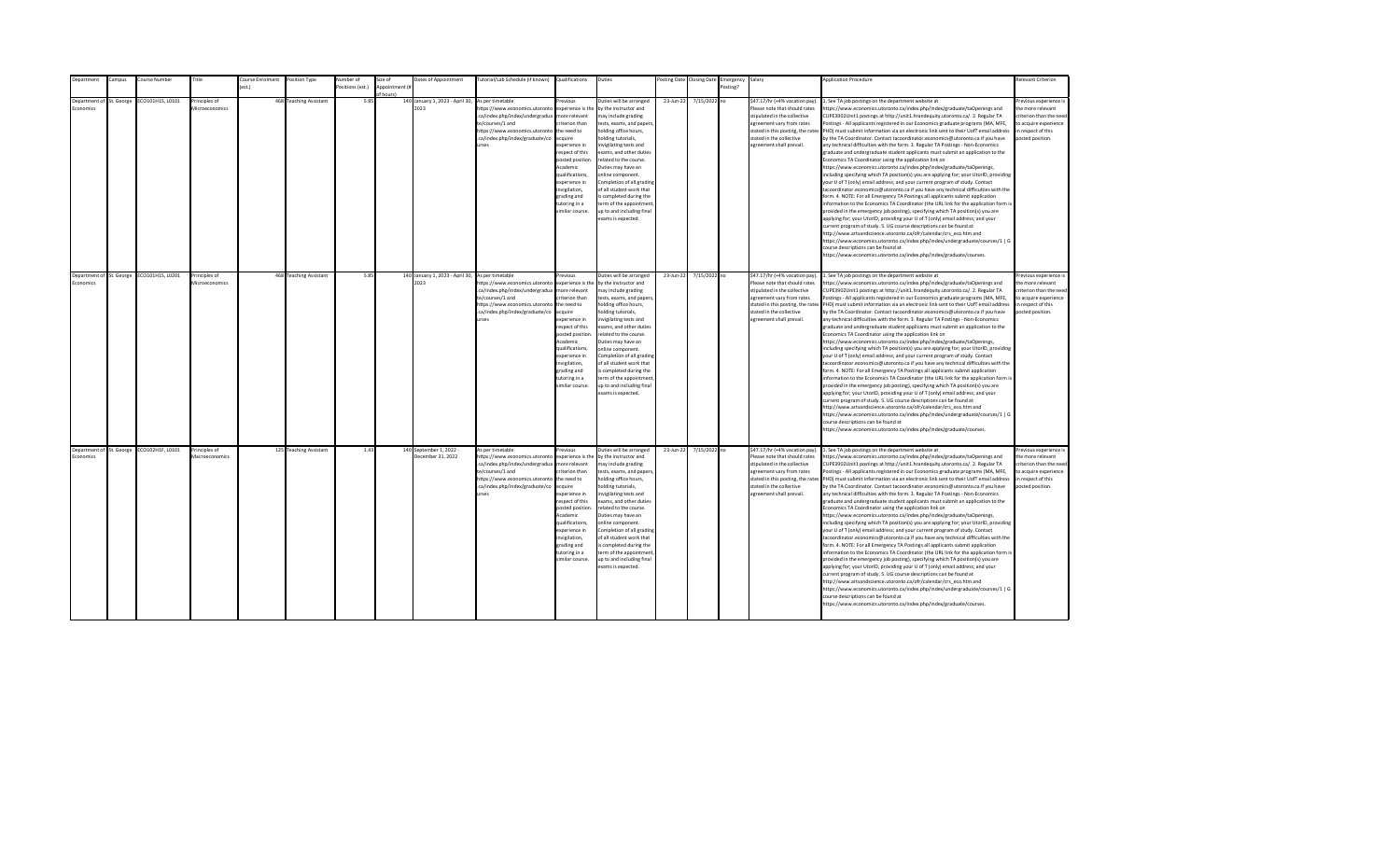| epartment       |                          | ampus:                   | Course Number                             | Title                           | ourse Enrolment  | Position Type          | Number of        | Size of        | Dates of Appointment                                     | [utorial/Lab Schedule (if known)                                                                                                                                                               | Qualifications                                                                                                                                                                                                                                                     | Duties                                                                                                                                                                                                                                                                                                                                                                                                                                         |           | osting Date Closing Date | Emergency | Salary                                                                                                                                                                                                                    | <b>Application Procedure</b>                                                                                                                                                                                                                                                                                                                                                                                                                                                                                                                                                                                                                                                                                                                                                                                                                                                                                                                                                                                                                                                                                                                                                                                                                                                                                                                                                                                                                                                                                                                                                                                                                                                                                                                                                                 | <b>Relevant Criterion</b>                                                                                                                |
|-----------------|--------------------------|--------------------------|-------------------------------------------|---------------------------------|------------------|------------------------|------------------|----------------|----------------------------------------------------------|------------------------------------------------------------------------------------------------------------------------------------------------------------------------------------------------|--------------------------------------------------------------------------------------------------------------------------------------------------------------------------------------------------------------------------------------------------------------------|------------------------------------------------------------------------------------------------------------------------------------------------------------------------------------------------------------------------------------------------------------------------------------------------------------------------------------------------------------------------------------------------------------------------------------------------|-----------|--------------------------|-----------|---------------------------------------------------------------------------------------------------------------------------------------------------------------------------------------------------------------------------|----------------------------------------------------------------------------------------------------------------------------------------------------------------------------------------------------------------------------------------------------------------------------------------------------------------------------------------------------------------------------------------------------------------------------------------------------------------------------------------------------------------------------------------------------------------------------------------------------------------------------------------------------------------------------------------------------------------------------------------------------------------------------------------------------------------------------------------------------------------------------------------------------------------------------------------------------------------------------------------------------------------------------------------------------------------------------------------------------------------------------------------------------------------------------------------------------------------------------------------------------------------------------------------------------------------------------------------------------------------------------------------------------------------------------------------------------------------------------------------------------------------------------------------------------------------------------------------------------------------------------------------------------------------------------------------------------------------------------------------------------------------------------------------------|------------------------------------------------------------------------------------------------------------------------------------------|
|                 |                          |                          |                                           |                                 | $o$ ct $\lambda$ |                        | Positions (est.) | Appointment (i |                                                          |                                                                                                                                                                                                |                                                                                                                                                                                                                                                                    |                                                                                                                                                                                                                                                                                                                                                                                                                                                |           |                          | Posting?  |                                                                                                                                                                                                                           |                                                                                                                                                                                                                                                                                                                                                                                                                                                                                                                                                                                                                                                                                                                                                                                                                                                                                                                                                                                                                                                                                                                                                                                                                                                                                                                                                                                                                                                                                                                                                                                                                                                                                                                                                                                              |                                                                                                                                          |
|                 |                          |                          |                                           |                                 |                  |                        |                  |                |                                                          |                                                                                                                                                                                                |                                                                                                                                                                                                                                                                    |                                                                                                                                                                                                                                                                                                                                                                                                                                                |           |                          |           |                                                                                                                                                                                                                           |                                                                                                                                                                                                                                                                                                                                                                                                                                                                                                                                                                                                                                                                                                                                                                                                                                                                                                                                                                                                                                                                                                                                                                                                                                                                                                                                                                                                                                                                                                                                                                                                                                                                                                                                                                                              |                                                                                                                                          |
| <b>conomics</b> |                          | Department of St. George | CO101H1S, L0101                           | Principles of<br>Microeconomics |                  | 468 Teaching Assistant | 5.85             | f hours)       | 140 January 1, 2023 - April 30,<br>2023                  | As per timetable<br>https://www.economics.utoronto<br>.ca/index.php/index/undergradua<br>te/courses/1 and<br>https://www.economics.utoronto<br>.ca/index.php/index/graduate/co<br><b>Print</b> | revinus<br>experience is the<br>more relevant<br>riterion than<br>the need to<br>acquire<br>experience in<br>respect of this<br>posted position.<br>Academic<br>qualifications,<br>experience in<br>nvigilation,<br>grading and<br>tutoring in a<br>imilar course. | Duties will be arranged<br>by the instructor and<br>may include grading<br>tests, exams, and papers,<br>holding office hours,<br>nolding tutorials,<br>nvigilating tests and<br>exams, and other duties<br>related to the course.<br>Duties may have an<br>online component.<br>Completion of all grading<br>of all student work that<br>s completed during the<br>term of the appointment<br>up to and including final<br>exams is expected.  | 23-Jun-22 | 7/15/2022 no             |           | \$47.17/hr (+4% vacation pay).<br>Please note that should rates<br>stipulated in the collective<br>agreement vary from rates<br>stated in this posting, the rates<br>stated in the collective<br>agreement shall prevail. | . See TA job postings on the department website at<br>https://www.economics.utoronto.ca/index.php/index/graduate/taOpenings and<br>CUPE3902Unit1 postings at http://unit1.hrandequity.utoronto.ca/. 2. Regular TA<br>Postings - All applicants registered in our Economics graduate programs (MA, MFE,<br>PHD) must submit information via an electronic link sent to their UofT email address<br>by the TA Coordinator. Contact tacoordinator.economics@utoronto.ca if you have<br>any technical difficulties with the form. 3. Regular TA Postings - Non-Economics<br>graduate and undergraduate student applicants must submit an application to the<br>Economics TA Coordinator using the application link on<br>https://www.economics.utoronto.ca/index.php/index/graduate/taOpenings,<br>including specifying which TA position(s) you are applying for; your UtorID, providing<br>your U of T (only) email address; and your current program of study. Contact<br>tacoordinator.economics@utoronto.ca if you have any technical difficulties with the<br>form. 4. NOTE: For all Emergency TA Postings all applicants submit application<br>information to the Economics TA Coordinator (the URL link for the application form is<br>provided in the emergency job posting), specifying which TA position(s) you are<br>applying for; your UtorID, providing your U of T (only) email address; and your<br>current program of study. 5. UG course descriptions can be found at<br>http://www.artsandscience.utoronto.ca/ofr/calendar/crs eco.htm and<br>https://www.economics.utoronto.ca/index.php/index/undergraduate/courses/1   G<br>course descriptions can be found at<br>https://www.economics.utoronto.ca/index.php/index/graduate/courses.                                    | Previous experience i<br>the more relevant<br>criterion than the need<br>to acquire experience<br>in respect of this<br>posted position. |
|                 |                          |                          |                                           |                                 |                  |                        |                  |                |                                                          |                                                                                                                                                                                                |                                                                                                                                                                                                                                                                    |                                                                                                                                                                                                                                                                                                                                                                                                                                                |           |                          |           |                                                                                                                                                                                                                           |                                                                                                                                                                                                                                                                                                                                                                                                                                                                                                                                                                                                                                                                                                                                                                                                                                                                                                                                                                                                                                                                                                                                                                                                                                                                                                                                                                                                                                                                                                                                                                                                                                                                                                                                                                                              |                                                                                                                                          |
| Economics       | Department of St. George |                          | ECO101H1S, L0201                          | Principles of<br>Microeconomics |                  | 468 Teaching Assistant | 5.85             |                | 140 January 1, 2023 - April 30, As per timetable<br>2023 | https://www.economics.utoronto<br>.ca/index.php/index/undergradua<br>te/courses/1 and<br>https://www.economics.utoronto<br>.ca/index.php/index/graduate/co<br><b>urses</b>                     | revious<br>experience is the<br>more relevant<br>riterion than<br>the need to<br>acquire<br>experience in<br>resnect of this<br>posted position<br>Academic<br>qualifications.<br>experience in<br>invigilation,<br>grading and<br>tutoring in a<br>imilar course. | Duties will be arranged<br>by the instructor and<br>may include grading<br>tests, exams, and papers,<br>holding office hours,<br>nolding tutorials,<br>nvigilating tests and<br>exams, and other duties<br>related to the course.<br>Duties may have an<br>online component.<br>Completion of all grading<br>of all student work that<br>is completed during the<br>term of the appointment<br>up to and including final<br>exams is expected. | 23-Jun-22 | 7/15/2022 no             |           | \$47.17/hr (+4% vacation pay).<br>Please note that should rates<br>stipulated in the collective<br>agreement vary from rates<br>stated in the collective<br>agreement shall prevail.                                      | 1. See TA job postings on the department website at<br>https://www.economics.utoronto.ca/index.php/index/graduate/taOpenings and<br>CUPE3902Unit1 postings at http://unit1.hrandequity.utoronto.ca/. 2. Regular TA<br>Postings - All applicants registered in our Economics graduate programs (MA, MFE,<br>stated in this posting, the rates PHD) must submit information via an electronic link sent to their UofT email address<br>by the TA Coordinator. Contact tacoordinator.economics@utoronto.ca if you have<br>any technical difficulties with the form. 3. Regular TA Postings - Non-Economics<br>eraduate and undergraduate student applicants must submit an application to the<br>Economics TA Coordinator using the application link on<br>https://www.economics.utoronto.ca/index.php/index/graduate/taOpenings,<br>including specifying which TA position(s) you are applying for; your UtorID, providing<br>your U of T (only) email address; and your current program of study. Contact<br>tacoordinator.economics@utoronto.ca if you have any technical difficulties with the<br>form. 4. NOTE: For all Emergency TA Postings all applicants submit application<br>information to the Economics TA Coordinator (the URL link for the application form is<br>provided in the emergency job posting), specifying which TA position(s) you are<br>applying for; your UtorID, providing your U of T (only) email address; and your<br>current program of study. 5. UG course descriptions can be found at<br>http://www.artsandscience.utoronto.ca/ofr/calendar/crs_eco.htm and<br>https://www.economics.utoronto.ca/index.php/index/undergraduate/courses/1   G<br>course descriptions can be found at<br>https://www.economics.utoronto.ca/index.php/index/graduate/courses. | Previous experience i<br>the more relevant<br>criterion than the need<br>to acquire experience<br>in respect of this<br>posted position. |
| Economics       |                          |                          | Department of St. George ECO102H1F, L0101 | Principles of<br>Macroeconomics |                  | 125 Teaching Assistant | 1.43             |                | 140 September 1, 2022 -<br>December 31, 2022             | As per timetable<br>https://www.economics.utoronto<br>.ca/index.php/index/undergradua<br>te/courses/1 and<br>https://www.economics.utoronto<br>.ca/index.php/index/graduate/co<br>urses        | revious<br>experience is the<br>more relevant<br>riterion than<br>the need to<br>acquire<br>experience in<br>respect of this<br>posted position<br>Academic<br>qualifications,<br>experience in<br>invigilation,<br>grading and<br>tutoring in a<br>imilar course. | Duties will be arranged<br>by the instructor and<br>may include grading<br>tests, exams, and papers,<br>holding office hours,<br>nolding tutorials,<br>nvigilating tests and<br>exams, and other duties<br>related to the course.<br>Duties may have an<br>online component.<br>Completion of all grading<br>of all student work that<br>is completed during the<br>term of the appointment<br>up to and including final<br>exams is expected. | 23-Jun-22 | 7/15/2022 no             |           | \$47.17/hr (+4% vacation pay).<br>Please note that should rates<br>stipulated in the collective<br>agreement vary from rates<br>stated in the collective<br>agreement shall prevail.                                      | 1. See TA job postings on the department website at<br>https://www.economics.utoronto.ca/index.php/index/graduate/taOpenings and<br>CUPE3902Unit1 postings at http://unit1.hrandequity.utoronto.ca/. 2. Regular TA<br>Postings - All applicants registered in our Economics graduate programs (MA, MFE,<br>stated in this posting, the rates PHD) must submit information via an electronic link sent to their UofT email address<br>by the TA Coordinator. Contact tacoordinator.economics@utoronto.ca if you have<br>any technical difficulties with the form. 3. Regular TA Postings - Non-Economics<br>graduate and undergraduate student applicants must submit an application to the<br>Economics TA Coordinator using the application link on<br>https://www.economics.utoronto.ca/index.php/index/graduate/taOpenings,<br>including specifying which TA position(s) you are applying for; your UtorID, providing<br>your U of T (only) email address; and your current program of study. Contact<br>tacoordinator.economics@utoronto.ca if you have any technical difficulties with the<br>form. 4. NOTE: For all Emergency TA Postings all applicants submit application<br>information to the Economics TA Coordinator (the URL link for the application form is<br>provided in the emergency job posting), specifying which TA position(s) you are<br>applying for; your UtorID, providing your U of T (only) email address; and your<br>current program of study. 5. UG course descriptions can be found at<br>http://www.artsandscience.utoronto.ca/ofr/calendar/crs eco.htm and<br>https://www.economics.utoronto.ca/index.php/index/undergraduate/courses/1   G<br>course descriptions can be found at<br>https://www.economics.utoronto.ca/index.php/index/graduate/courses. | revious experience i<br>the more relevant<br>criterion than the need<br>to acquire experience<br>in respect of this<br>posted position.  |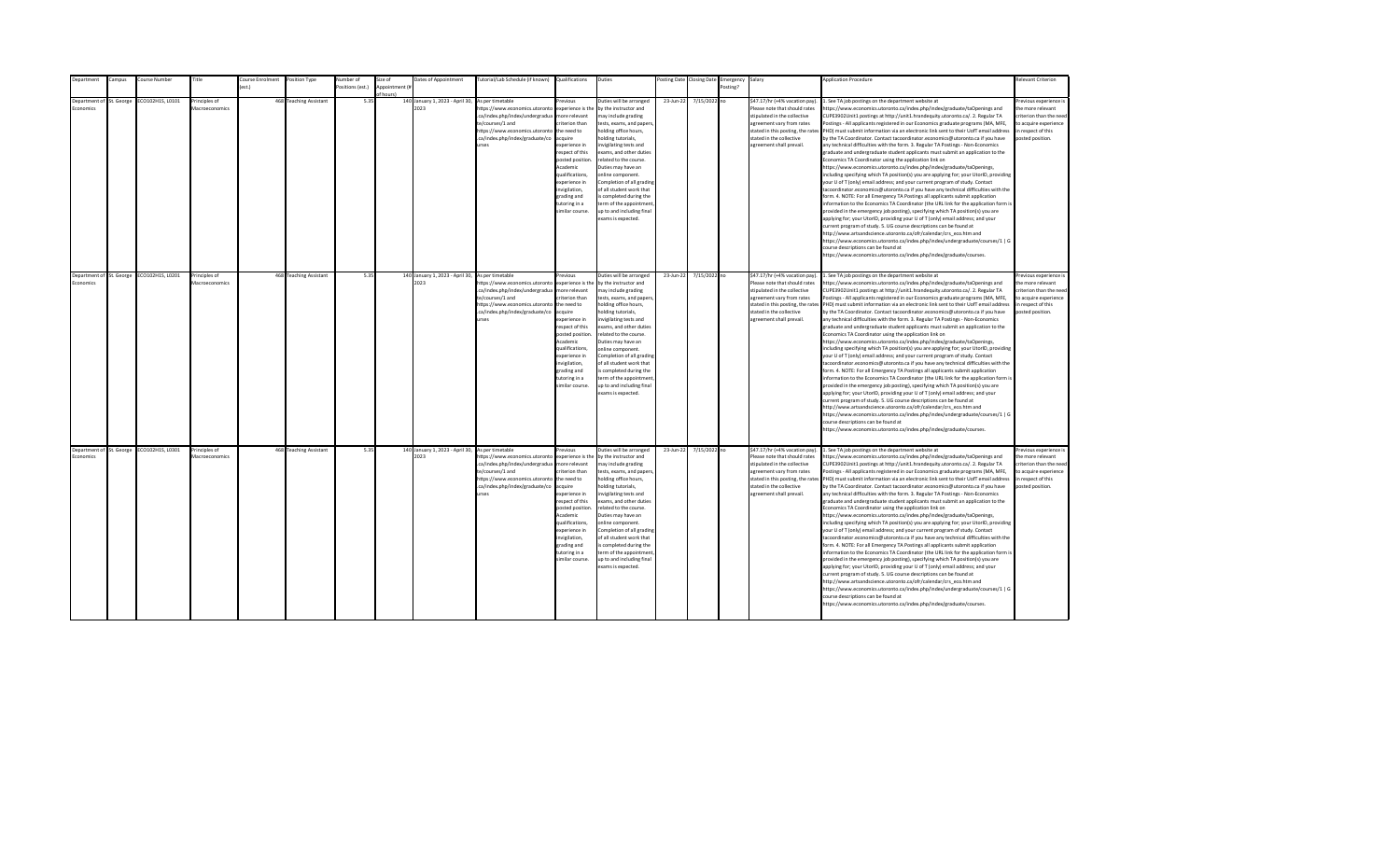| <b>Department</b>                     | Campus | Course Number                             | Title                           | Course Enrolment | Position Type          | Number of        | Size of                    | Dates of Appointment                                     | Tutorial/Lab Schedule (if known) Qualifications                                                                                                                                               |                                                                                                                                                                                                                                                                    | Duties                                                                                                                                                                                                                                                                                                                                                                                                                                         |           | Posting Date Closing Date | Emergency Salary |                                                                                                                                                                                                                           | <b>Application Procedure</b>                                                                                                                                                                                                                                                                                                                                                                                                                                                                                                                                                                                                                                                                                                                                                                                                                                                                                                                                                                                                                                                                                                                                                                                                                                                                                                                                                                                                                                                                                                                                                                                                                                                                                                                                                                 | <b>Relevant Criterion</b>                                                                                                                |
|---------------------------------------|--------|-------------------------------------------|---------------------------------|------------------|------------------------|------------------|----------------------------|----------------------------------------------------------|-----------------------------------------------------------------------------------------------------------------------------------------------------------------------------------------------|--------------------------------------------------------------------------------------------------------------------------------------------------------------------------------------------------------------------------------------------------------------------|------------------------------------------------------------------------------------------------------------------------------------------------------------------------------------------------------------------------------------------------------------------------------------------------------------------------------------------------------------------------------------------------------------------------------------------------|-----------|---------------------------|------------------|---------------------------------------------------------------------------------------------------------------------------------------------------------------------------------------------------------------------------|----------------------------------------------------------------------------------------------------------------------------------------------------------------------------------------------------------------------------------------------------------------------------------------------------------------------------------------------------------------------------------------------------------------------------------------------------------------------------------------------------------------------------------------------------------------------------------------------------------------------------------------------------------------------------------------------------------------------------------------------------------------------------------------------------------------------------------------------------------------------------------------------------------------------------------------------------------------------------------------------------------------------------------------------------------------------------------------------------------------------------------------------------------------------------------------------------------------------------------------------------------------------------------------------------------------------------------------------------------------------------------------------------------------------------------------------------------------------------------------------------------------------------------------------------------------------------------------------------------------------------------------------------------------------------------------------------------------------------------------------------------------------------------------------|------------------------------------------------------------------------------------------------------------------------------------------|
|                                       |        |                                           |                                 | est.)            |                        | Positions (est.) | Appointment (i<br>f hours) |                                                          |                                                                                                                                                                                               |                                                                                                                                                                                                                                                                    |                                                                                                                                                                                                                                                                                                                                                                                                                                                |           |                           | Posting?         |                                                                                                                                                                                                                           |                                                                                                                                                                                                                                                                                                                                                                                                                                                                                                                                                                                                                                                                                                                                                                                                                                                                                                                                                                                                                                                                                                                                                                                                                                                                                                                                                                                                                                                                                                                                                                                                                                                                                                                                                                                              |                                                                                                                                          |
| Department of St. George<br>conomics  |        | ECO102H1S, L0101                          | Principles of<br>Macroeconomics |                  | 468 Teaching Assistant | 5.35             |                            | 140 January 1, 2023 - April 30,<br>2023                  | As per timetable<br>ttps://www.economics.utoronto<br>.ca/index.php/index/undergradua<br>te/courses/1 and<br>https://www.economics.utoronto<br>.ca/index.php/index/graduate/co<br><b>urses</b> | revious<br>experience is the<br>nore relevant<br>riterion than<br>the need to<br>cauire<br>xperience in<br>espect of this<br>posted position<br>Academic<br>qualifications,<br>xperience in<br>wigilation,<br>grading and<br>utoring in a<br>imilar course.        | Duties will be arranged<br>by the instructor and<br>nay include grading<br>tests, exams, and papers<br>nolding office hours,<br>olding tutorials.<br>nvigilating tests and<br>exams, and other duties<br>related to the course.<br>Duties may have an<br>online component.<br>Completion of all grading<br>of all student work that<br>s completed during the<br>erm of the appointment<br>up to and including final<br>exams is expected.     | 23-Jun-22 | 7/15/2022 no              |                  | \$47.17/hr (+4% vacation pay).<br>Please note that should rates<br>stipulated in the collective<br>agreement vary from rates<br>stated in this posting, the rates<br>stated in the collective<br>agreement shall prevail. | . See TA job postings on the department website at<br>https://www.economics.utoronto.ca/index.php/index/graduate/taOpenings and<br>CUPE3902Unit1 postings at http://unit1.hrandequity.utoronto.ca/. 2. Regular TA<br>Postings - All applicants registered in our Economics graduate programs (MA, MFE,<br>PHD) must submit information via an electronic link sent to their UofT email address<br>by the TA Coordinator. Contact tacoordinator.economics@utoronto.ca if you have<br>any technical difficulties with the form. 3. Regular TA Postings - Non-Economics<br>graduate and undergraduate student applicants must submit an application to the<br>Economics TA Coordinator using the application link on<br>https://www.economics.utoronto.ca/index.php/index/graduate/taOpenings,<br>including specifying which TA position(s) you are applying for; your UtorID, providing<br>your U of T (only) email address; and your current program of study. Contact<br>tacoordinator.economics@utoronto.ca if you have any technical difficulties with the<br>form. 4. NOTE: For all Emergency TA Postings all applicants submit application<br>information to the Economics TA Coordinator (the URL link for the application form is<br>provided in the emergency job posting), specifying which TA position(s) you are<br>applying for; your UtorID, providing your U of T (only) email address; and your<br>current program of study. 5. UG course descriptions can be found at<br>http://www.artsandscience.utoronto.ca/ofr/calendar/crs_eco.htm and<br>https://www.economics.utoronto.ca/index.php/index/undergraduate/courses/1   G<br>course descriptions can be found at<br>https://www.economics.utoronto.ca/index.php/index/graduate/courses.                                    | revious experience i<br>the more relevant<br>criterion than the nee-<br>to acquire experience<br>in respect of this<br>posted position.  |
| Department of St. George<br>Economics |        | ECO102H1S, L0201                          | Principles of<br>Macroeconomics |                  | 468 Teaching Assistant | 5.35             |                            | 140 January 1, 2023 - April 30, As per timetable<br>2023 | https://www.economics.utoronto<br>.ca/index.php/index/undergradua<br>te/courses/1 and<br>https://www.economics.utoronto<br>.ca/index.php/index/graduate/co<br><b>urses</b>                    | revious<br>experience is the<br>more relevant<br>riterion than<br>the need to<br>acquire<br>experience in<br>resnect of this<br>posted position<br>Academic<br>qualifications.<br>experience in<br>invigilation,<br>grading and<br>tutoring in a<br>imilar course. | Duties will be arranged<br>by the instructor and<br>may include grading<br>tests, exams, and papers,<br>holding office hours,<br>nolding tutorials,<br>nvigilating tests and<br>exams, and other duties<br>related to the course.<br>Duties may have an<br>online component.<br>Completion of all grading<br>of all student work that<br>is completed during the<br>term of the appointment<br>up to and including final<br>exams is expected. | 23-Jun-22 | 7/15/2022 no              |                  | \$47.17/hr (+4% vacation pay).<br>Please note that should rates<br>stipulated in the collective<br>agreement vary from rates<br>stated in the collective<br>agreement shall prevail.                                      | 1. See TA job postings on the department website at<br>https://www.economics.utoronto.ca/index.php/index/graduate/taOpenings and<br>CUPE3902Unit1 postings at http://unit1.hrandequity.utoronto.ca/. 2. Regular TA<br>Postings - All applicants registered in our Economics graduate programs (MA, MFE,<br>stated in this posting, the rates PHD) must submit information via an electronic link sent to their UofT email address<br>by the TA Coordinator. Contact tacoordinator.economics@utoronto.ca if you have<br>any technical difficulties with the form. 3. Regular TA Postings - Non-Economics<br>eraduate and undergraduate student applicants must submit an application to the<br>Economics TA Coordinator using the application link on<br>https://www.economics.utoronto.ca/index.php/index/graduate/taOpenings,<br>including specifying which TA position(s) you are applying for; your UtorID, providing<br>your U of T (only) email address; and your current program of study. Contact<br>tacoordinator.economics@utoronto.ca if you have any technical difficulties with the<br>form. 4. NOTE: For all Emergency TA Postings all applicants submit application<br>information to the Economics TA Coordinator (the URL link for the application form is<br>provided in the emergency job posting), specifying which TA position(s) you are<br>applying for; your UtorID, providing your U of T (only) email address; and your<br>current program of study. 5. UG course descriptions can be found at<br>http://www.artsandscience.utoronto.ca/ofr/calendar/crs_eco.htm and<br>https://www.economics.utoronto.ca/index.php/index/undergraduate/courses/1   G<br>course descriptions can be found at<br>https://www.economics.utoronto.ca/index.php/index/graduate/courses. | Previous experience i<br>the more relevant<br>criterion than the need<br>to acquire experience<br>in respect of this<br>posted position. |
| Economics                             |        | Department of St. George ECO102H1S, L0301 | Principles of<br>Macroeconomics |                  | 468 Teaching Assistant | 5.35             |                            | 140 January 1, 2023 - April 30, As per timetable<br>2023 | https://www.economics.utoronto<br>.ca/index.php/index/undergradua<br>te/courses/1 and<br>https://www.economics.utoronto<br>.ca/index.php/index/graduate/co<br>urses                           | revious<br>experience is the<br>more relevant<br>riterion than<br>the need to<br>acquire<br>experience in<br>respect of this<br>posted position<br>Academic<br>qualifications,<br>experience in<br>invigilation,<br>grading and<br>tutoring in a<br>imilar course. | Outies will be arranged<br>by the instructor and<br>may include grading<br>tests, exams, and papers,<br>holding office hours,<br>nolding tutorials,<br>nvigilating tests and<br>exams, and other duties<br>related to the course.<br>Duties may have an<br>online component.<br>Completion of all grading<br>of all student work that<br>is completed during the<br>term of the appointment<br>up to and including final<br>exams is expected. | 23-Jun-22 | 7/15/2022 no              |                  | \$47.17/hr (+4% vacation pay).<br>Please note that should rates<br>stipulated in the collective<br>agreement vary from rates<br>stated in the collective<br>agreement shall prevail.                                      | 1. See TA job postings on the department website at<br>https://www.economics.utoronto.ca/index.php/index/graduate/taOpenings and<br>CUPE3902Unit1 postings at http://unit1.hrandequity.utoronto.ca/. 2. Regular TA<br>Postings - All applicants registered in our Economics graduate programs (MA, MFE,<br>stated in this posting, the rates PHD) must submit information via an electronic link sent to their UofT email address<br>by the TA Coordinator. Contact tacoordinator.economics@utoronto.ca if you have<br>any technical difficulties with the form. 3. Regular TA Postings - Non-Economics<br>graduate and undergraduate student applicants must submit an application to the<br>Economics TA Coordinator using the application link on<br>https://www.economics.utoronto.ca/index.php/index/graduate/taOpenings,<br>including specifying which TA position(s) you are applying for; your UtorID, providing<br>your U of T (only) email address; and your current program of study. Contact<br>tacoordinator.economics@utoronto.ca if you have any technical difficulties with the<br>form. 4. NOTE: For all Emergency TA Postings all applicants submit application<br>information to the Economics TA Coordinator (the URL link for the application form is<br>provided in the emergency job posting), specifying which TA position(s) you are<br>applying for; your UtorID, providing your U of T (only) email address; and your<br>current program of study. 5. UG course descriptions can be found at<br>http://www.artsandscience.utoronto.ca/ofr/calendar/crs eco.htm and<br>https://www.economics.utoronto.ca/index.php/index/undergraduate/courses/1   G<br>course descriptions can be found at<br>https://www.economics.utoronto.ca/index.php/index/graduate/courses. | revious experience i<br>the more relevant<br>criterion than the need<br>to acquire experience<br>in respect of this<br>posted position.  |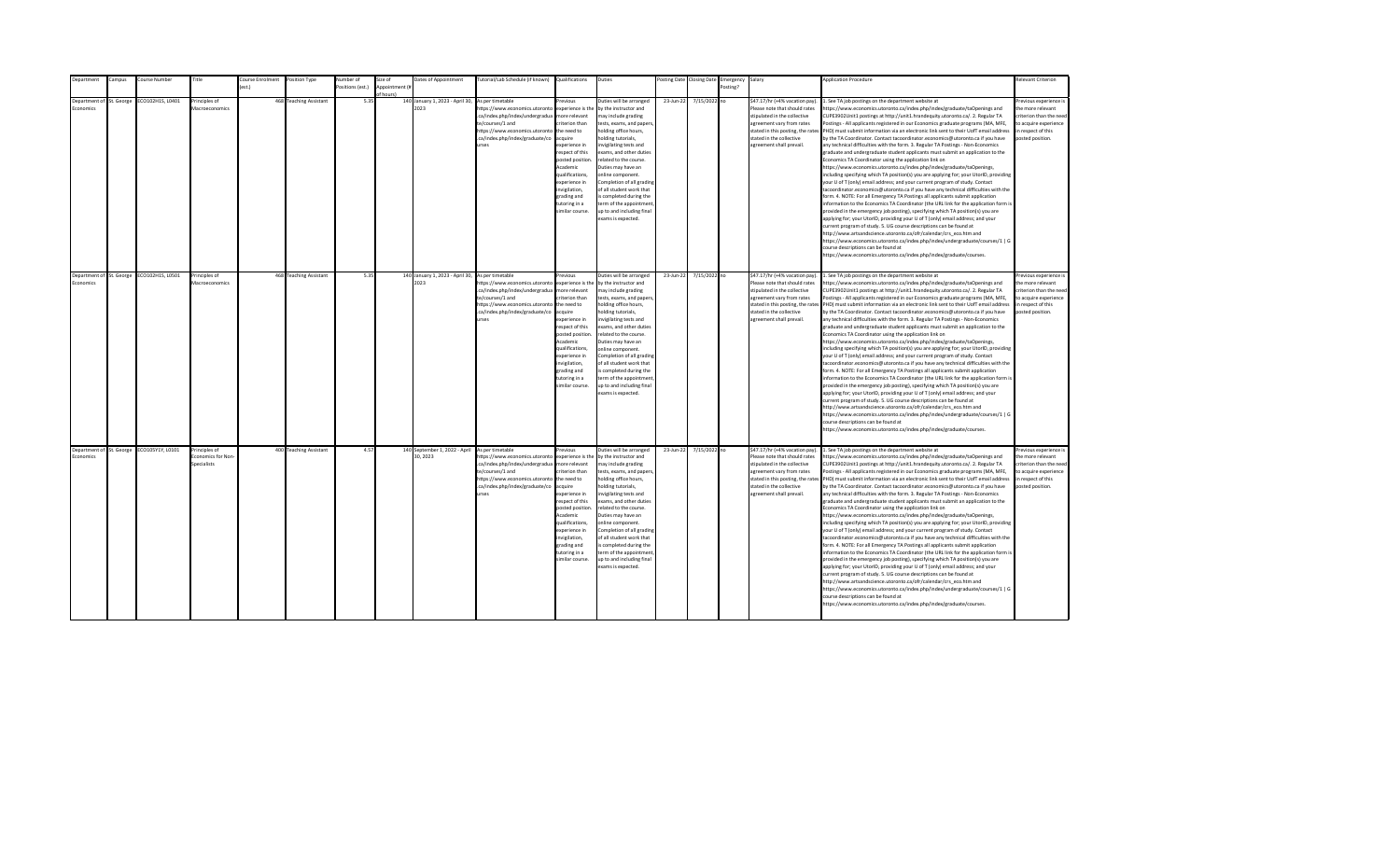| <b>Department</b>                            | Campus | Course Number                             | Title                                             | Course Enrolment | Position Type          | Number of        | Size of                    | Dates of Appointment                                     | Tutorial/Lab Schedule (if known) Qualifications                                                                                                                                                |                                                                                                                                                                                                                                                                    | Duties                                                                                                                                                                                                                                                                                                                                                                                                                                         |           | Posting Date Closing Date | Emergency Salary |                                                                                                                                                                                                                           | <b>Application Procedure</b>                                                                                                                                                                                                                                                                                                                                                                                                                                                                                                                                                                                                                                                                                                                                                                                                                                                                                                                                                                                                                                                                                                                                                                                                                                                                                                                                                                                                                                                                                                                                                                                                                                                                                                                                                                 | <b>Relevant Criterion</b>                                                                                                                |
|----------------------------------------------|--------|-------------------------------------------|---------------------------------------------------|------------------|------------------------|------------------|----------------------------|----------------------------------------------------------|------------------------------------------------------------------------------------------------------------------------------------------------------------------------------------------------|--------------------------------------------------------------------------------------------------------------------------------------------------------------------------------------------------------------------------------------------------------------------|------------------------------------------------------------------------------------------------------------------------------------------------------------------------------------------------------------------------------------------------------------------------------------------------------------------------------------------------------------------------------------------------------------------------------------------------|-----------|---------------------------|------------------|---------------------------------------------------------------------------------------------------------------------------------------------------------------------------------------------------------------------------|----------------------------------------------------------------------------------------------------------------------------------------------------------------------------------------------------------------------------------------------------------------------------------------------------------------------------------------------------------------------------------------------------------------------------------------------------------------------------------------------------------------------------------------------------------------------------------------------------------------------------------------------------------------------------------------------------------------------------------------------------------------------------------------------------------------------------------------------------------------------------------------------------------------------------------------------------------------------------------------------------------------------------------------------------------------------------------------------------------------------------------------------------------------------------------------------------------------------------------------------------------------------------------------------------------------------------------------------------------------------------------------------------------------------------------------------------------------------------------------------------------------------------------------------------------------------------------------------------------------------------------------------------------------------------------------------------------------------------------------------------------------------------------------------|------------------------------------------------------------------------------------------------------------------------------------------|
|                                              |        |                                           |                                                   | est.)            |                        | Positions (est.) | Appointment (i<br>f hours) |                                                          |                                                                                                                                                                                                |                                                                                                                                                                                                                                                                    |                                                                                                                                                                                                                                                                                                                                                                                                                                                |           |                           | Posting?         |                                                                                                                                                                                                                           |                                                                                                                                                                                                                                                                                                                                                                                                                                                                                                                                                                                                                                                                                                                                                                                                                                                                                                                                                                                                                                                                                                                                                                                                                                                                                                                                                                                                                                                                                                                                                                                                                                                                                                                                                                                              |                                                                                                                                          |
| Department of St. George<br>conomics         |        | ECO102H1S, L0401                          | Principles of<br>Macroeconomics                   |                  | 468 Teaching Assistant | 5.35             |                            | 140 January 1, 2023 - April 30,<br>2023                  | As per timetable<br>ttps://www.economics.utoronto<br>.ca/index.php/index/undergradua<br>te/courses/1 and<br>https://www.economics.utoronto<br>.ca/index.php/index/graduate/co<br><b>urses</b>  | revious<br>experience is the<br>nore relevant<br>riterion than<br>the need to<br>cauire<br>xperience in<br>espect of this<br>posted position<br>Academic<br>qualifications,<br>xperience in<br>nvigilation,<br>trading and<br>utoring in a<br>imilar course.       | Duties will be arranged<br>by the instructor and<br>nay include grading<br>tests, exams, and papers<br>nolding office hours,<br>olding tutorials,<br>nvigilating tests and<br>exams, and other duties<br>elated to the course.<br>Duties may have an<br>online component.<br>Completion of all grading<br>of all student work that<br>s completed during the<br>erm of the appointment<br>up to and including final<br>exams is expected.      | 23-Jun-22 | 7/15/2022 no              |                  | \$47.17/hr (+4% vacation pay).<br>Please note that should rates<br>stipulated in the collective<br>agreement vary from rates<br>stated in this posting, the rates<br>stated in the collective<br>agreement shall prevail. | 1. See TA job postings on the department website at<br>https://www.economics.utoronto.ca/index.php/index/graduate/taOpenings and<br>CUPE3902Unit1 postings at http://unit1.hrandequity.utoronto.ca/. 2. Regular TA<br>Postings - All applicants registered in our Economics graduate programs (MA, MFE,<br>PHD) must submit information via an electronic link sent to their UofT email address<br>by the TA Coordinator. Contact tacoordinator.economics@utoronto.ca if you have<br>any technical difficulties with the form. 3. Regular TA Postings - Non-Economics<br>graduate and undergraduate student applicants must submit an application to the<br>Economics TA Coordinator using the application link on<br>https://www.economics.utoronto.ca/index.php/index/graduate/taOpenings,<br>including specifying which TA position(s) you are applying for; your UtorID, providing<br>your U of T (only) email address; and your current program of study. Contact<br>tacoordinator.economics@utoronto.ca if you have any technical difficulties with the<br>form. 4. NOTE: For all Emergency TA Postings all applicants submit application<br>information to the Economics TA Coordinator (the URL link for the application form is<br>provided in the emergency job posting), specifying which TA position(s) you are<br>applying for; your UtorID, providing your U of T (only) email address; and your<br>current program of study. 5. UG course descriptions can be found at<br>http://www.artsandscience.utoronto.ca/ofr/calendar/crs eco.htm and<br>https://www.economics.utoronto.ca/index.php/index/undergraduate/courses/1   G<br>course descriptions can be found at<br>https://www.economics.utoronto.ca/index.php/index/graduate/courses.                                   | revious experience i<br>the more relevant<br>riterion than the need<br>to acquire experience<br>in respect of this<br>posted position.   |
| Department of St. George<br><b>Economics</b> |        | ECO102H1S, L0501                          | Principles of<br>Macroeconomics                   |                  | 468 Teaching Assistant | 5.35             |                            | 140 January 1, 2023 - April 30, As per timetable<br>2023 | https://www.economics.utoronto<br>.ca/index.php/index/undergradua<br>te/courses/1 and<br>https://www.economics.utoronto<br>.ca/index.php/index/graduate/co<br><b>IFSPS</b>                     | revinus<br>experience is the<br>more relevant<br>riterion than<br>the need to<br>acquire<br>experience in<br>respect of this<br>posted position<br>Academic<br>qualifications,<br>experience in<br>nvigilation,<br>grading and<br>tutoring in a<br>imilar course.  | Duties will be arranged<br>by the instructor and<br>may include grading<br>tests, exams, and papers,<br>holding office hours,<br>nolding tutorials,<br>nvigilating tests and<br>exams, and other duties<br>related to the course.<br>Duties may have an<br>online component.<br>Completion of all grading<br>of all student work that<br>is completed during the<br>term of the appointment<br>up to and including final<br>exams is expected. | 23-Jun-22 | 7/15/2022 no              |                  | \$47.17/hr (+4% vacation pay).<br>Please note that should rates<br>stipulated in the collective<br>agreement vary from rates<br>stated in the collective<br>agreement shall prevail.                                      | 1. See TA job postings on the department website at<br>https://www.economics.utoronto.ca/index.php/index/graduate/taOpenings and<br>CUPE3902Unit1 postings at http://unit1.hrandequity.utoronto.ca/. 2. Regular TA<br>Postings - All applicants registered in our Economics graduate programs (MA, MFE,<br>stated in this posting, the rates PHD) must submit information via an electronic link sent to their UofT email address<br>by the TA Coordinator. Contact tacoordinator.economics@utoronto.ca if you have<br>any technical difficulties with the form. 3. Regular TA Postings - Non-Economics<br>graduate and undergraduate student applicants must submit an application to the<br>Economics TA Coordinator using the application link on<br>https://www.economics.utoronto.ca/index.php/index/graduate/taOpenings,<br>including specifying which TA position(s) you are applying for; your UtorID, providing<br>your U of T (only) email address; and your current program of study. Contact<br>tacoordinator.economics@utoronto.ca if you have any technical difficulties with the<br>form. 4. NOTE: For all Emergency TA Postings all applicants submit application<br>information to the Economics TA Coordinator (the URL link for the application form is<br>provided in the emergency job posting), specifying which TA position(s) you are<br>applying for; your UtorID, providing your U of T (only) email address; and your<br>current program of study. 5. UG course descriptions can be found at<br>http://www.artsandscience.utoronto.ca/ofr/calendar/crs_eco.htm and<br>https://www.economics.utoronto.ca/index.php/index/undergraduate/courses/1   G<br>course descriptions can be found at<br>https://www.economics.utoronto.ca/index.php/index/graduate/courses. | Previous experience i<br>the more relevant<br>criterion than the need<br>to acquire experience<br>in respect of this<br>posted position. |
| Economics                                    |        | Department of St. George ECO105Y1Y, L0101 | Principles of<br>Economics for Non<br>specialists |                  | 400 Teaching Assistant | 4.57             |                            | 140 September 1, 2022 - April<br>30.2023                 | As per timetable<br>https://www.economics.utoronto<br>.ca/index.php/index/undergradua<br>te/courses/1 and<br>https://www.economics.utoronto<br>.ca/index.php/index/graduate/co<br><b>urses</b> | revious<br>experience is the<br>more relevant<br>riterion than<br>the need to<br>acquire<br>experience in<br>respect of this<br>posted position<br>Academic<br>qualifications,<br>experience in<br>invigilation,<br>grading and<br>tutoring in a<br>imilar course. | Duties will be arranged<br>by the instructor and<br>may include grading<br>tests, exams, and papers,<br>holding office hours,<br>nolding tutorials,<br>nvigilating tests and<br>exams, and other duties<br>related to the course.<br>Duties may have an<br>online component.<br>Completion of all grading<br>of all student work that<br>is completed during the<br>term of the appointment<br>up to and including final<br>exams is expected. | 23-Jun-22 | 7/15/2022 no              |                  | \$47.17/hr (+4% vacation pay).<br>Please note that should rates<br>stipulated in the collective<br>agreement vary from rates<br>stated in the collective<br>agreement shall prevail.                                      | 1. See TA job postings on the department website at<br>https://www.economics.utoronto.ca/index.php/index/graduate/taOpenings and<br>CUPE3902Unit1 postings at http://unit1.hrandequity.utoronto.ca/. 2. Regular TA<br>Postings - All applicants registered in our Economics graduate programs (MA, MFE,<br>stated in this posting, the rates PHD) must submit information via an electronic link sent to their UofT email address<br>by the TA Coordinator. Contact tacoordinator.economics@utoronto.ca if you have<br>any technical difficulties with the form. 3. Regular TA Postings - Non-Economics<br>graduate and undergraduate student applicants must submit an application to the<br>Economics TA Coordinator using the application link on<br>https://www.economics.utoronto.ca/index.php/index/graduate/taOpenings,<br>including specifying which TA position(s) you are applying for; your UtorID, providing<br>your U of T (only) email address; and your current program of study. Contact<br>tacoordinator.economics@utoronto.ca if you have any technical difficulties with the<br>form. 4. NOTE: For all Emergency TA Postings all applicants submit application<br>information to the Economics TA Coordinator (the URL link for the application form is<br>provided in the emergency job posting), specifying which TA position(s) you are<br>applying for; your UtorID, providing your U of T (only) email address; and your<br>current program of study. 5. UG course descriptions can be found at<br>http://www.artsandscience.utoronto.ca/ofr/calendar/crs eco.htm and<br>https://www.economics.utoronto.ca/index.php/index/undergraduate/courses/1   G<br>course descriptions can be found at<br>https://www.economics.utoronto.ca/index.php/index/graduate/courses. | Previous experience i<br>the more relevant<br>criterion than the need<br>to acquire experience<br>in respect of this<br>posted position. |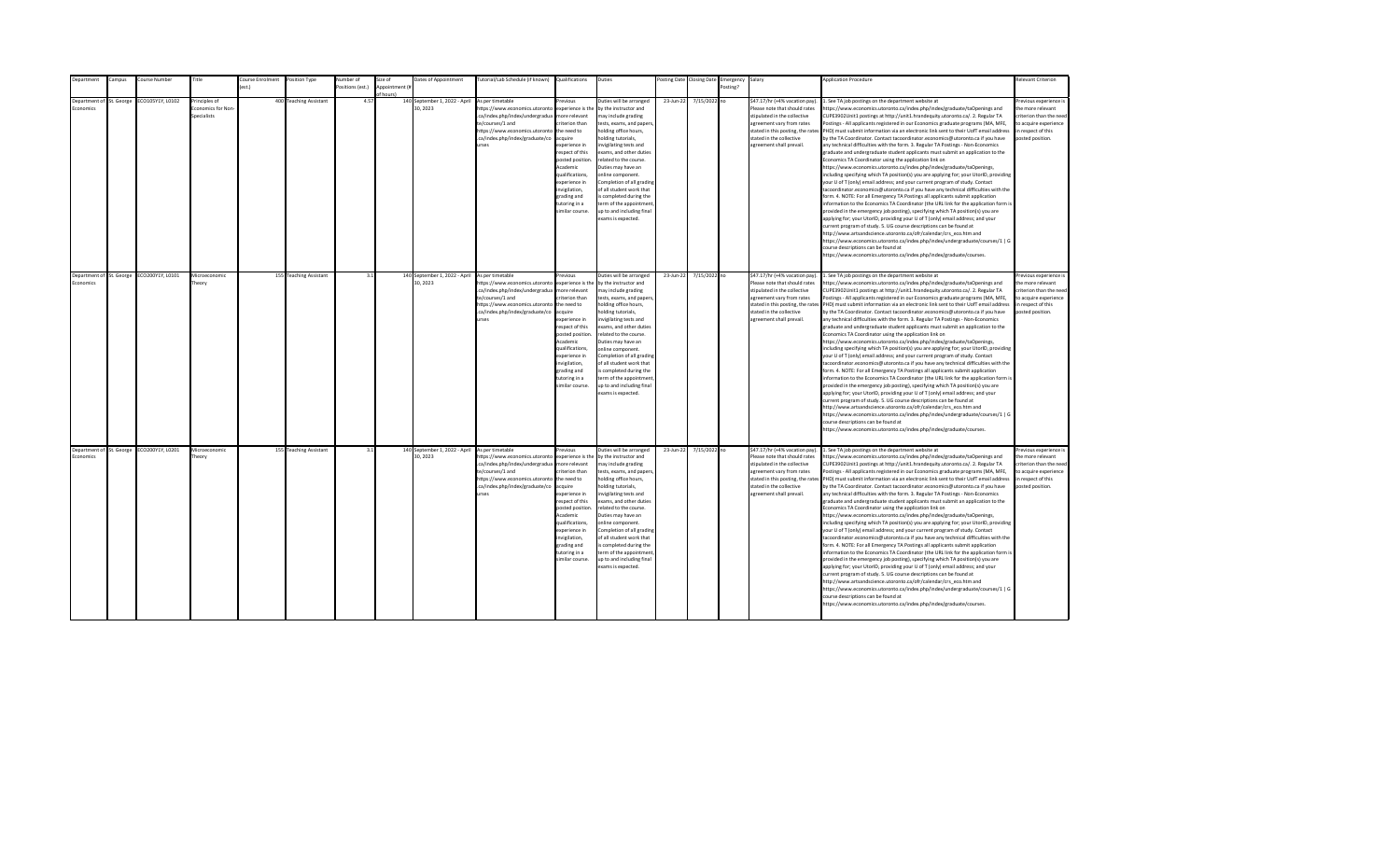| Department                        | ampus:                   | ourse Number     | Title                                                           | <b>Course Enrolment</b> | Position Type          | lumber of       | size of        | Dates of Appointment                                      | lutorial/Lab Schedule (if known)                                                                                                                                                        | Qualifications                                                                                                                                                                                                                                             | Duties                                                                                                                                                                                                                                                                                                                                                                                                                                         | osting Date | <b>Closing Date</b> | Emergency | Salary                                                                                                                                                                                                                   | <b>Application Procedure</b>                                                                                                                                                                                                                                                                                                                                                                                                                                                                                                                                                                                                                                                                                                                                                                                                                                                                                                                                                                                                                                                                                                                                                                                                                                                                                                                                                                                                                                                                                                                                                                                                                                                                                                                                                                 | Relevant Criterion                                                                                                                       |
|-----------------------------------|--------------------------|------------------|-----------------------------------------------------------------|-------------------------|------------------------|-----------------|----------------|-----------------------------------------------------------|-----------------------------------------------------------------------------------------------------------------------------------------------------------------------------------------|------------------------------------------------------------------------------------------------------------------------------------------------------------------------------------------------------------------------------------------------------------|------------------------------------------------------------------------------------------------------------------------------------------------------------------------------------------------------------------------------------------------------------------------------------------------------------------------------------------------------------------------------------------------------------------------------------------------|-------------|---------------------|-----------|--------------------------------------------------------------------------------------------------------------------------------------------------------------------------------------------------------------------------|----------------------------------------------------------------------------------------------------------------------------------------------------------------------------------------------------------------------------------------------------------------------------------------------------------------------------------------------------------------------------------------------------------------------------------------------------------------------------------------------------------------------------------------------------------------------------------------------------------------------------------------------------------------------------------------------------------------------------------------------------------------------------------------------------------------------------------------------------------------------------------------------------------------------------------------------------------------------------------------------------------------------------------------------------------------------------------------------------------------------------------------------------------------------------------------------------------------------------------------------------------------------------------------------------------------------------------------------------------------------------------------------------------------------------------------------------------------------------------------------------------------------------------------------------------------------------------------------------------------------------------------------------------------------------------------------------------------------------------------------------------------------------------------------|------------------------------------------------------------------------------------------------------------------------------------------|
|                                   |                          |                  |                                                                 | $f$ est.)               |                        | ositions (est.) | Annointment (# |                                                           |                                                                                                                                                                                         |                                                                                                                                                                                                                                                            |                                                                                                                                                                                                                                                                                                                                                                                                                                                |             |                     | Posting?  |                                                                                                                                                                                                                          |                                                                                                                                                                                                                                                                                                                                                                                                                                                                                                                                                                                                                                                                                                                                                                                                                                                                                                                                                                                                                                                                                                                                                                                                                                                                                                                                                                                                                                                                                                                                                                                                                                                                                                                                                                                              |                                                                                                                                          |
| Denartment of<br><b>Economics</b> | St. George               | CO105Y1Y, L0102  | Principles of<br><b>Fronomics for Non</b><br><b>Specialists</b> |                         | 400 Teaching Assistant | 4.57            | of hours)      | 140 September 1, 2022 - April<br>30.2023                  | As per timetable<br>https://www.economics.utoronto<br>.ca/index.php/index/undergradua<br>te/courses/1 and<br>https://www.economics.utoronto<br>.ca/index.php/index/graduate/co<br>urses | revious<br>experience is the<br>more relevant<br>riterion than<br>the need to<br>acquire<br>experience in<br>respect of this<br>posted position.<br>Academic<br>qualifications,<br>experience in<br>nvigilation,<br>grading and                            | Duties will be arranged<br>by the instructor and<br>may include grading<br>tests, exams, and papers,<br>holding office hours,<br>holding tutorials,<br>nvigilating tests and<br>exams, and other duties<br>related to the course.<br>Duties may have an<br>online component.<br>Completion of all grading<br>of all student work that<br>s completed during the                                                                                | 23-Jun-22   | 7/15/2022 no        |           | \$47.17/hr (+4% vacation pay)<br>Please note that should rates<br>stipulated in the collective<br>agreement vary from rates<br>stated in this posting, the rates<br>stated in the collective<br>agreement shall prevail. | . See TA job postings on the department website at<br>ttps://www.economics.utoronto.ca/index.php/index/graduate/taOpenings and<br>CUPE3902Unit1 postings at http://unit1.hrandequity.utoronto.ca/. 2. Regular TA<br>ostings - All applicants registered in our Economics graduate programs (MA, MFE,<br>PHD) must submit information via an electronic link sent to their UofT email address<br>by the TA Coordinator. Contact tacoordinator.economics@utoronto.ca if you have<br>any technical difficulties with the form. 3. Regular TA Postings - Non-Economics<br>graduate and undergraduate student applicants must submit an application to the<br>Economics TA Coordinator using the application link on<br>https://www.economics.utoronto.ca/index.php/index/graduate/taOpenings,<br>including specifying which TA position(s) you are applying for; your UtorID, providing<br>your U of T (only) email address; and your current program of study. Contact<br>acoordinator.economics@utoronto.ca if you have any technical difficulties with the<br>form. 4. NOTE: For all Emergency TA Postings all applicants submit application                                                                                                                                                                                                                                                                                                                                                                                                                                                                                                                                                                                                                                                  | Previous experience i<br>the more relevant<br>criterion than the need<br>to acquire experience<br>in respect of this<br>posted position. |
|                                   | Department of St. George | ECO200Y1Y, L0101 | Microeconomic                                                   |                         | 155 Teaching Assistant | 3.1             |                | 140 September 1, 2022 - April As per timetable            |                                                                                                                                                                                         | tutoring in a<br>similar course.<br>revious                                                                                                                                                                                                                | term of the appointment<br>up to and including final<br>exams is expected.<br>Duties will be arranged                                                                                                                                                                                                                                                                                                                                          | 23-Jun-22   | 7/15/2022 no        |           | \$47.17/hr (+4% vacation pay).                                                                                                                                                                                           | information to the Economics TA Coordinator (the URL link for the application form is<br>provided in the emergency job posting), specifying which TA position(s) you are<br>applying for; your UtorID, providing your U of T (only) email address; and your<br>urrent program of study. 5. UG course descriptions can be found at<br>http://www.artsandscience.utoronto.ca/ofr/calendar/crs eco.htm and<br>https://www.economics.utoronto.ca/index.php/index/undergraduate/courses/1   G<br>ourse descriptions can be found at<br>https://www.economics.utoronto.ca/index.php/index/graduate/courses.<br>1. See TA job postings on the department website at                                                                                                                                                                                                                                                                                                                                                                                                                                                                                                                                                                                                                                                                                                                                                                                                                                                                                                                                                                                                                                                                                                                                 | Previous experience i                                                                                                                    |
| Economics                         |                          |                  | heory                                                           |                         |                        |                 |                | 30, 2023                                                  | https://www.economics.utoronto<br>.ca/index.php/index/undergradua<br>te/courses/1 and<br>https://www.economics.utoronto<br>.ca/index.php/index/graduate/co<br>urses                     | experience is the<br>more relevant<br>criterion than<br>the need to<br>acquire<br>experience in<br>respect of this<br>posted position.<br>Academic<br>qualifications.<br>experience in<br>invigilation,<br>grading and<br>tutoring in a<br>similar course. | by the instructor and<br>may include grading<br>tests, exams, and papers,<br>holding office hours,<br>holding tutorials,<br>invigilating tests and<br>exams, and other duties<br>related to the course.<br>Duties may have an<br>online component.<br>Completion of all grading<br>of all student work that<br>is completed during the<br>term of the appointment<br>up to and including final<br>exams is expected.                           |             |                     |           | Please note that should rates<br>stipulated in the collective<br>agreement vary from rates<br>stated in the collective<br>agreement shall prevail.                                                                       | https://www.economics.utoronto.ca/index.php/index/graduate/taOpenings and<br>CUPE3902Unit1 postings at http://unit1.hrandequity.utoronto.ca/. 2. Regular TA<br>Postings - All applicants registered in our Economics graduate programs (MA, MFE,<br>stated in this posting, the rates PHD) must submit information via an electronic link sent to their UofT email address<br>by the TA Coordinator. Contact tacoordinator.economics@utoronto.ca if you have<br>any technical difficulties with the form. 3. Regular TA Postings - Non-Economics<br>graduate and undergraduate student applicants must submit an application to the<br>Economics TA Coordinator using the application link on<br>https://www.economics.utoronto.ca/index.php/index/graduate/taOpenings,<br>including specifying which TA position(s) you are applying for; your UtorID, providing<br>your U of T (only) email address; and your current program of study. Contact<br>tacoordinator.economics@utoronto.ca if you have any technical difficulties with the<br>form. 4. NOTE: For all Emergency TA Postings all applicants submit application<br>information to the Economics TA Coordinator (the URL link for the application form is<br>provided in the emergency job posting), specifying which TA position(s) you are<br>applying for; your UtorID, providing your U of T (only) email address; and your<br>current program of study. 5. UG course descriptions can be found at<br>http://www.artsandscience.utoronto.ca/ofr/calendar/crs_eco.htm and<br>https://www.economics.utoronto.ca/index.php/index/undergraduate/courses/1   G<br>ourse descriptions can be found at<br>ittps://www.economics.utoronto.ca/index.php/index/graduate/courses.                                                         | the more relevant<br>criterion than the need<br>to acquire experience<br>in respect of this<br>posted position.                          |
| Economics                         | Department of St. George | ECO200Y1Y, L0201 | Microeconomic<br>heorv                                          |                         | 155 Teaching Assistant | 3.1             |                | 140 September 1, 2022 - April As per timetable<br>30.2023 | https://www.economics.utoronto<br>.ca/index.php/index/undergradua<br>te/courses/1 and<br>https://www.economics.utoronto the need to<br>.ca/index.php/index/graduate/co<br>urses         | Previous<br>experience is the<br>more relevant<br>criterion than<br>acquire<br>experience in<br>respect of this<br>posted position<br>Academic<br>qualifications,<br>experience in<br>invigilation,<br>grading and<br>tutoring in a<br>similar course.     | Duties will be arranged<br>by the instructor and<br>may include grading<br>tests, exams, and papers,<br>holding office hours,<br>holding tutorials,<br>nvigilating tests and<br>exams, and other duties<br>related to the course.<br>Duties may have an<br>online component.<br>Completion of all grading<br>of all student work that<br>is completed during the<br>term of the appointment<br>up to and including final<br>exams is expected. | 23-Jun-22   | 7/15/2022 no        |           | \$47.17/hr (+4% vacation pay).<br>Please note that should rates<br>stipulated in the collective<br>agreement vary from rates<br>stated in the collective<br>agreement shall prevail.                                     | 1. See TA job postings on the department website at<br>https://www.economics.utoronto.ca/index.php/index/graduate/taOpenings and<br>CUPE3902Unit1 postings at http://unit1.hrandequity.utoronto.ca/. 2. Regular TA<br>Postings - All applicants registered in our Economics graduate programs (MA, MFE,<br>stated in this posting, the rates PHD) must submit information via an electronic link sent to their UofT email address<br>by the TA Coordinator. Contact tacoordinator.economics@utoronto.ca if you have<br>any technical difficulties with the form. 3. Regular TA Postings - Non-Economics<br>graduate and undergraduate student applicants must submit an application to the<br>Economics TA Coordinator using the application link on<br>https://www.economics.utoronto.ca/index.php/index/graduate/taOpenings,<br>including specifying which TA position(s) you are applying for; your UtorID, providing<br>your U of T (only) email address; and your current program of study. Contact<br>tacoordinator.economics@utoronto.ca if you have any technical difficulties with the<br>form. 4. NOTE: For all Emergency TA Postings all applicants submit application<br>information to the Economics TA Coordinator (the URL link for the application form is<br>provided in the emergency job posting), specifying which TA position(s) you are<br>applying for; your UtorID, providing your U of T (only) email address; and your<br>current program of study. 5. UG course descriptions can be found at<br>http://www.artsandscience.utoronto.ca/ofr/calendar/crs_eco.htm and<br>https://www.economics.utoronto.ca/index.php/index/undergraduate/courses/1   G<br>course descriptions can be found at<br>https://www.economics.utoronto.ca/index.php/index/graduate/courses. | revious experience i<br>the more relevant<br>criterion than the need<br>to acquire experience<br>in respect of this<br>posted position.  |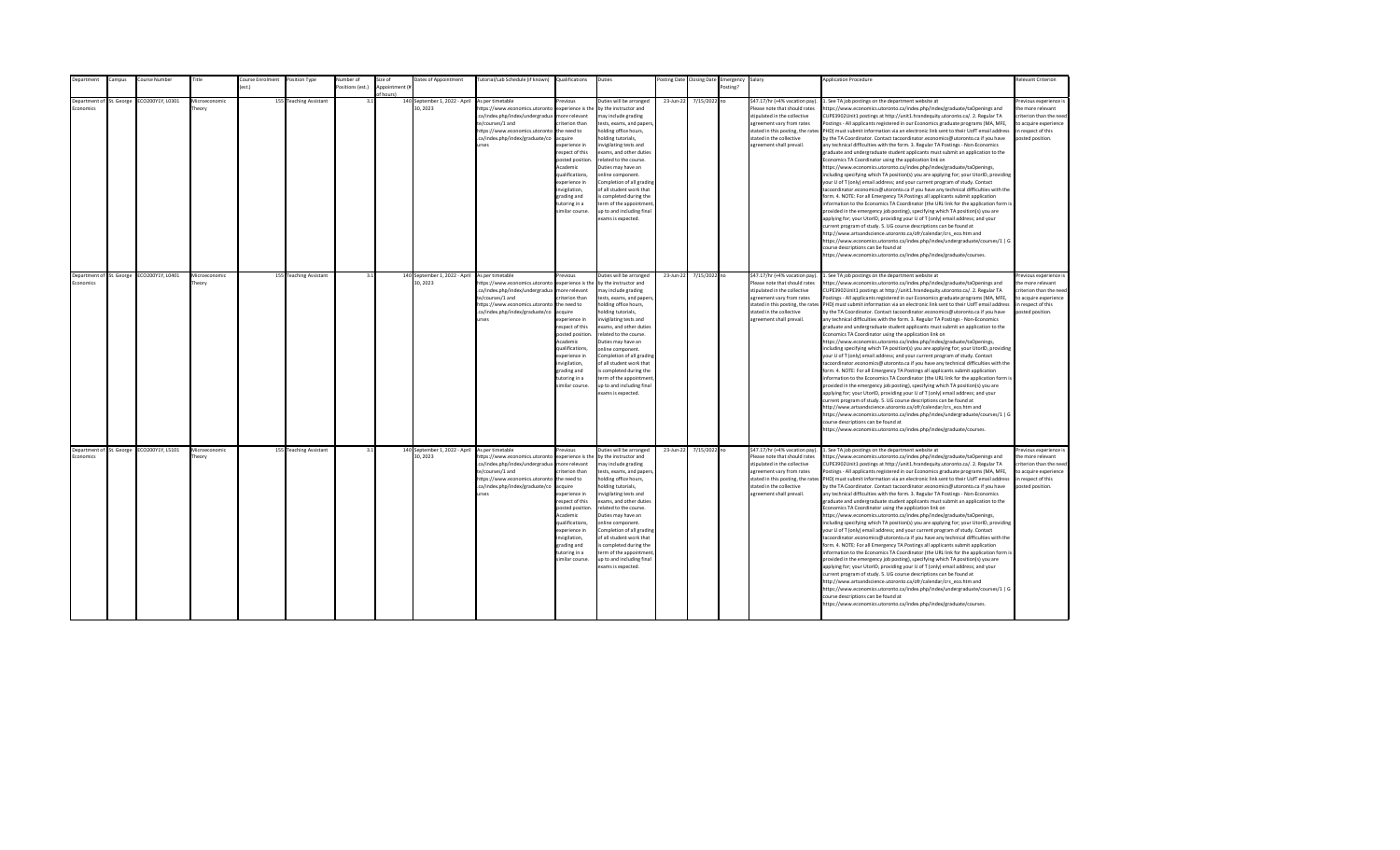| Department | Campus                   | Course Number                             | Title                  | Course Enrolment | Position Type          | <b>Number</b> of | Size of                     | Dates of Appointment                                      | Tutorial/Lab Schedule (if known) Qualifications                                                                                                                                         |                                                                                                                                                                                                                                                                      | Duties                                                                                                                                                                                                                                                                                                                                                                                                                                          |           | Posting Date Closing Date | Emergency Salary |                                                                                                                                                                                                                           | <b>Application Procedure</b>                                                                                                                                                                                                                                                                                                                                                                                                                                                                                                                                                                                                                                                                                                                                                                                                                                                                                                                                                                                                                                                                                                                                                                                                                                                                                                                                                                                                                                                                                                                                                                                                                                                                                                                                                                 | Relevant Criterion                                                                                                                        |
|------------|--------------------------|-------------------------------------------|------------------------|------------------|------------------------|------------------|-----------------------------|-----------------------------------------------------------|-----------------------------------------------------------------------------------------------------------------------------------------------------------------------------------------|----------------------------------------------------------------------------------------------------------------------------------------------------------------------------------------------------------------------------------------------------------------------|-------------------------------------------------------------------------------------------------------------------------------------------------------------------------------------------------------------------------------------------------------------------------------------------------------------------------------------------------------------------------------------------------------------------------------------------------|-----------|---------------------------|------------------|---------------------------------------------------------------------------------------------------------------------------------------------------------------------------------------------------------------------------|----------------------------------------------------------------------------------------------------------------------------------------------------------------------------------------------------------------------------------------------------------------------------------------------------------------------------------------------------------------------------------------------------------------------------------------------------------------------------------------------------------------------------------------------------------------------------------------------------------------------------------------------------------------------------------------------------------------------------------------------------------------------------------------------------------------------------------------------------------------------------------------------------------------------------------------------------------------------------------------------------------------------------------------------------------------------------------------------------------------------------------------------------------------------------------------------------------------------------------------------------------------------------------------------------------------------------------------------------------------------------------------------------------------------------------------------------------------------------------------------------------------------------------------------------------------------------------------------------------------------------------------------------------------------------------------------------------------------------------------------------------------------------------------------|-------------------------------------------------------------------------------------------------------------------------------------------|
|            |                          |                                           |                        |                  |                        | ositions (est.)  | Appointment (#<br>of hours! |                                                           |                                                                                                                                                                                         |                                                                                                                                                                                                                                                                      |                                                                                                                                                                                                                                                                                                                                                                                                                                                 |           |                           | Posting?         |                                                                                                                                                                                                                           |                                                                                                                                                                                                                                                                                                                                                                                                                                                                                                                                                                                                                                                                                                                                                                                                                                                                                                                                                                                                                                                                                                                                                                                                                                                                                                                                                                                                                                                                                                                                                                                                                                                                                                                                                                                              |                                                                                                                                           |
| Economics  | Department of St. George | ECO200Y1Y, L0301                          | Microeconomic<br>heorv |                  | 155 Teaching Assistant | 3.1              |                             | 140 September 1, 2022 - April<br>30.2023                  | As per timetable<br>nttps://www.economics.utoronto<br>.ca/index.php/index/undergradua<br>te/courses/1 and<br>https://www.economics.utoronto<br>.ca/index.php/index/graduate/co<br>urses | Previous<br>experience is the<br>more relevant<br>riterion than<br>the need to<br>acquire<br>xperience in<br>respect of this<br>posted position<br>Academic<br>qualifications,<br>experience in<br>wigilation,<br>grading and<br>tutoring in a<br>similar course.    | Duties will be arranged<br>by the instructor and<br>may include grading<br>tests, exams, and papers<br>holding office hours,<br>olding tutorials,<br>nvigilating tests and<br>exams, and other duties<br>related to the course.<br>Duties may have an<br>online component.<br>Completion of all grading<br>of all student work that<br>s completed during the<br>erm of the appointment<br>up to and including final<br>exams is expected.      | 23-Jun-22 | 7/15/2022 no              |                  | \$47.17/hr (+4% vacation pay).<br>Please note that should rates<br>stipulated in the collective<br>agreement vary from rates<br>stated in this posting, the rates<br>stated in the collective<br>agreement shall prevail. | 1. See TA job postings on the department website at<br>ttps://www.economics.utoronto.ca/index.php/index/graduate/taOpenings and<br>CUPE3902Unit1 postings at http://unit1.hrandequity.utoronto.ca/. 2. Regular TA<br>Postings - All applicants registered in our Economics graduate programs (MA, MFE,<br>PHD) must submit information via an electronic link sent to their UofT email address<br>by the TA Coordinator. Contact tacoordinator.economics@utoronto.ca if you have<br>any technical difficulties with the form. 3. Regular TA Postings - Non-Economics<br>graduate and undergraduate student applicants must submit an application to the<br>Economics TA Coordinator using the application link on<br>https://www.economics.utoronto.ca/index.php/index/graduate/taOpenings,<br>ncluding specifying which TA position(s) you are applying for; your UtorID, providing<br>our U of T (only) email address; and your current program of study. Contact<br>acoordinator.economics@utoronto.ca if you have any technical difficulties with the<br>orm. 4. NOTE: For all Emergency TA Postings all applicants submit application<br>nformation to the Economics TA Coordinator (the URL link for the application form is<br>provided in the emergency job posting), specifying which TA position(s) you are<br>applying for; your UtorID, providing your U of T (only) email address; and your<br>urrent program of study. 5. UG course descriptions can be found at<br>http://www.artsandscience.utoronto.ca/ofr/calendar/crs eco.htm and<br>https://www.economics.utoronto.ca/index.php/index/undergraduate/courses/1   G<br>ourse descriptions can be found at<br>https://www.economics.utoronto.ca/index.php/index/graduate/courses.                                           | revious experience i<br>the more relevant<br>riterion than the need<br>to acquire experience<br>in respect of this<br>posted position.    |
| Economics  | Department of St. George | ECO200Y1Y, L0401                          | Microeconomic<br>heory |                  | 155 Teaching Assistant | 3.1              |                             | 140 September 1, 2022 - April<br>30, 2023                 | As per timetable<br>https://www.economics.utoronto<br>.ca/index.php/index/undergradua<br>te/courses/1 and<br>https://www.economics.utoronto<br>.ca/index.php/index/graduate/co<br>urses | revious<br>experience is the<br>more relevant<br>criterion than<br>the need to<br>acquire<br>experience in<br>respect of this<br>posted position<br>Academic<br>qualifications,<br>experience in<br>invigilation,<br>grading and<br>tutoring in a<br>similar course. | Duties will be arranged<br>by the instructor and<br>may include grading<br>tests, exams, and papers,<br>holding office hours,<br>holding tutorials,<br>invigilating tests and<br>exams, and other duties<br>related to the course.<br>Duties may have an<br>online component.<br>Completion of all grading<br>of all student work that<br>is completed during the<br>term of the appointment<br>up to and including final<br>exams is expected. | 23-Jun-22 | 7/15/2022 no              |                  | \$47.17/hr (+4% vacation pay).<br>Please note that should rates<br>stipulated in the collective<br>agreement vary from rates<br>stated in the collective<br>agreement shall prevail.                                      | 1. See TA job postings on the department website at<br>https://www.economics.utoronto.ca/index.php/index/graduate/taOpenings and<br>CUPE3902Unit1 postings at http://unit1.hrandequity.utoronto.ca/. 2. Regular TA<br>Postings - All applicants registered in our Economics graduate programs (MA, MFE,<br>stated in this posting, the rates PHD) must submit information via an electronic link sent to their UofT email address<br>by the TA Coordinator. Contact tacoordinator.economics@utoronto.ca if you have<br>any technical difficulties with the form. 3. Regular TA Postings - Non-Economics<br>graduate and undergraduate student applicants must submit an application to the<br>Economics TA Coordinator using the application link on<br>https://www.economics.utoronto.ca/index.php/index/graduate/taOpenings,<br>including specifying which TA position(s) you are applying for; your UtorID, providing<br>your U of T (only) email address; and your current program of study. Contact<br>acoordinator.economics@utoronto.ca if you have any technical difficulties with the<br>form. 4. NOTE: For all Emergency TA Postings all applicants submit application<br>information to the Economics TA Coordinator (the URL link for the application form is<br>provided in the emergency job posting), specifying which TA position(s) you are<br>applying for; your UtorID, providing your U of T (only) email address; and your<br>current program of study. 5. UG course descriptions can be found at<br>http://www.artsandscience.utoronto.ca/ofr/calendar/crs_eco.htm and<br>https://www.economics.utoronto.ca/index.php/index/undergraduate/courses/1   G<br>ourse descriptions can be found at<br>https://www.economics.utoronto.ca/index.php/index/graduate/courses.   | Previous experience i<br>the more relevant<br>criterion than the need<br>to acquire experience<br>in respect of this<br>posted position.  |
| Economics  |                          | Department of St. George ECO200Y1Y, L5101 | Microeconomic<br>heorv |                  | 155 Teaching Assistant | 3.1              |                             | 140 September 1, 2022 - April As per timetable<br>30.2023 | https://www.economics.utoronto<br>.ca/index.php/index/undergradua<br>te/courses/1 and<br>https://www.economics.utoronto the need to<br>.ca/index.php/index/graduate/co<br>urses         | Previous<br>experience is the<br>more relevant<br>criterion than<br>acquire<br>experience in<br>respect of this<br>posted position<br>Academic<br>qualifications,<br>experience in<br>invigilation,<br>grading and<br>tutoring in a<br>similar course.               | Duties will be arranged<br>by the instructor and<br>may include grading<br>tests, exams, and papers,<br>holding office hours,<br>holding tutorials,<br>nvigilating tests and<br>exams, and other duties<br>related to the course.<br>Duties may have an<br>online component.<br>Completion of all grading<br>of all student work that<br>is completed during the<br>term of the appointment<br>up to and including final<br>exams is expected.  | 23-Jun-22 | 7/15/2022 no              |                  | \$47.17/hr (+4% vacation pay).<br>Please note that should rates<br>stipulated in the collective<br>agreement vary from rates<br>stated in the collective<br>agreement shall prevail.                                      | 1. See TA job postings on the department website at<br>https://www.economics.utoronto.ca/index.php/index/graduate/taOpenings and<br>CUPE3902Unit1 postings at http://unit1.hrandequity.utoronto.ca/. 2. Regular TA<br>Postings - All applicants registered in our Economics graduate programs (MA, MFE,<br>stated in this posting, the rates PHD) must submit information via an electronic link sent to their UofT email address<br>by the TA Coordinator. Contact tacoordinator.economics@utoronto.ca if you have<br>any technical difficulties with the form. 3. Regular TA Postings - Non-Economics<br>graduate and undergraduate student applicants must submit an application to the<br>Economics TA Coordinator using the application link on<br>https://www.economics.utoronto.ca/index.php/index/graduate/taOpenings,<br>including specifying which TA position(s) you are applying for; your UtorID, providing<br>your U of T (only) email address; and your current program of study. Contact<br>tacoordinator.economics@utoronto.ca if you have any technical difficulties with the<br>form. 4. NOTE: For all Emergency TA Postings all applicants submit application<br>information to the Economics TA Coordinator (the URL link for the application form is<br>provided in the emergency job posting), specifying which TA position(s) you are<br>applying for; your UtorID, providing your U of T (only) email address; and your<br>current program of study. 5. UG course descriptions can be found at<br>http://www.artsandscience.utoronto.ca/ofr/calendar/crs eco.htm and<br>https://www.economics.utoronto.ca/index.php/index/undergraduate/courses/1   G<br>course descriptions can be found at<br>https://www.economics.utoronto.ca/index.php/index/graduate/courses. | Previous experience is<br>the more relevant<br>criterion than the need<br>to acquire experience<br>in respect of this<br>posted position. |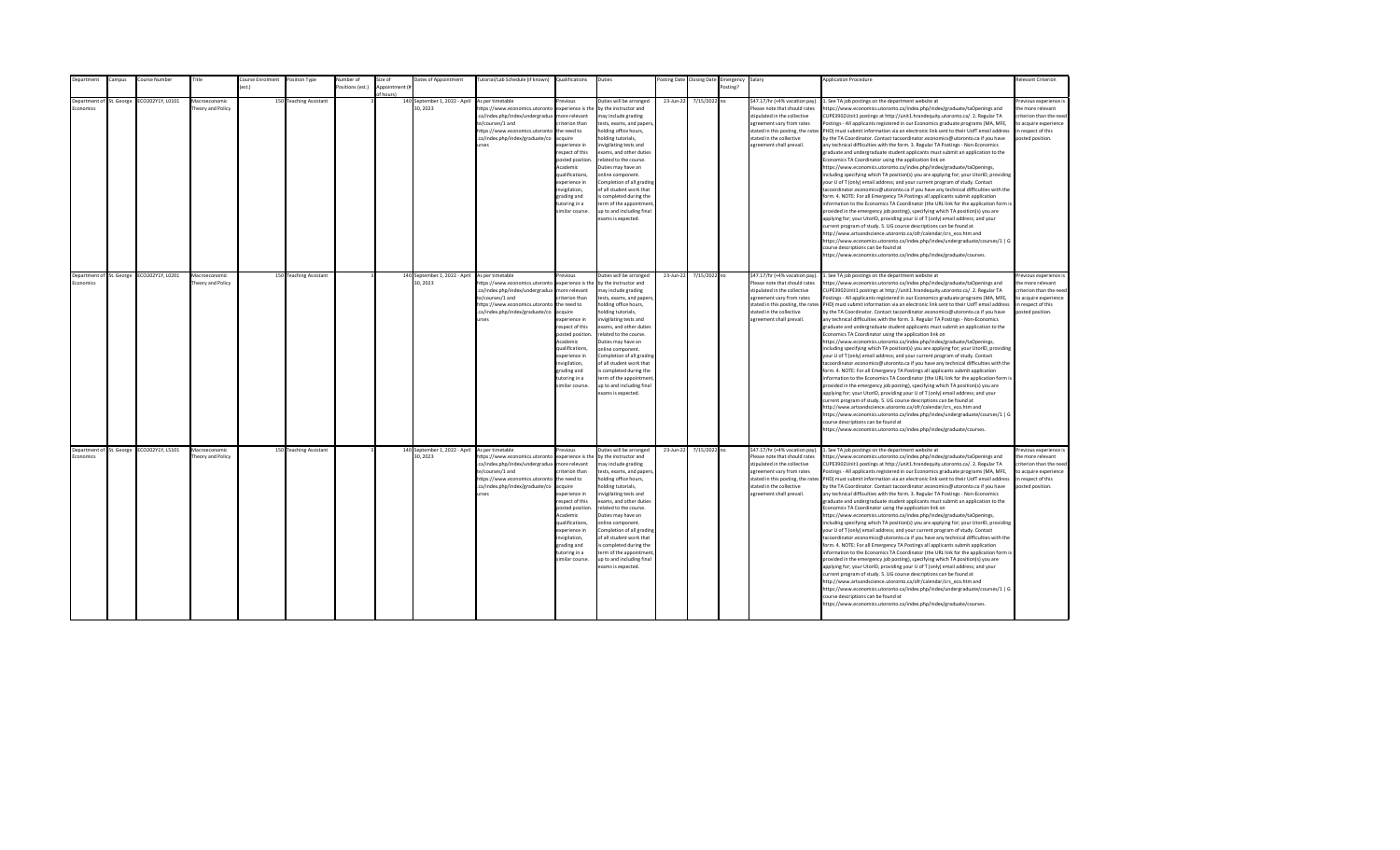| <b>Department</b>                            | Campus | Course Number                             | Title                              | Course Enrolment | Position Type          | Number of        | Size of                    | Dates of Appointment                      | Tutorial/Lab Schedule (if known) Qualifications                                                                                                                                                |                                                                                                                                                                                                                                                                    | Duties                                                                                                                                                                                                                                                                                                                                                                                                                                         |           | Posting Date Closing Date | Emergency Salary |                                                                                                                                                                                                                           | <b>Application Procedure</b>                                                                                                                                                                                                                                                                                                                                                                                                                                                                                                                                                                                                                                                                                                                                                                                                                                                                                                                                                                                                                                                                                                                                                                                                                                                                                                                                                                                                                                                                                                                                                                                                                                                                                                                                                                 | <b>Relevant Criterion</b>                                                                                                                |
|----------------------------------------------|--------|-------------------------------------------|------------------------------------|------------------|------------------------|------------------|----------------------------|-------------------------------------------|------------------------------------------------------------------------------------------------------------------------------------------------------------------------------------------------|--------------------------------------------------------------------------------------------------------------------------------------------------------------------------------------------------------------------------------------------------------------------|------------------------------------------------------------------------------------------------------------------------------------------------------------------------------------------------------------------------------------------------------------------------------------------------------------------------------------------------------------------------------------------------------------------------------------------------|-----------|---------------------------|------------------|---------------------------------------------------------------------------------------------------------------------------------------------------------------------------------------------------------------------------|----------------------------------------------------------------------------------------------------------------------------------------------------------------------------------------------------------------------------------------------------------------------------------------------------------------------------------------------------------------------------------------------------------------------------------------------------------------------------------------------------------------------------------------------------------------------------------------------------------------------------------------------------------------------------------------------------------------------------------------------------------------------------------------------------------------------------------------------------------------------------------------------------------------------------------------------------------------------------------------------------------------------------------------------------------------------------------------------------------------------------------------------------------------------------------------------------------------------------------------------------------------------------------------------------------------------------------------------------------------------------------------------------------------------------------------------------------------------------------------------------------------------------------------------------------------------------------------------------------------------------------------------------------------------------------------------------------------------------------------------------------------------------------------------|------------------------------------------------------------------------------------------------------------------------------------------|
|                                              |        |                                           |                                    | est.)            |                        | Positions (est.) | Appointment (i<br>f hours) |                                           |                                                                                                                                                                                                |                                                                                                                                                                                                                                                                    |                                                                                                                                                                                                                                                                                                                                                                                                                                                |           |                           | Posting?         |                                                                                                                                                                                                                           |                                                                                                                                                                                                                                                                                                                                                                                                                                                                                                                                                                                                                                                                                                                                                                                                                                                                                                                                                                                                                                                                                                                                                                                                                                                                                                                                                                                                                                                                                                                                                                                                                                                                                                                                                                                              |                                                                                                                                          |
| Department of St. George<br>conomics         |        | ECO202Y1Y, L0101                          | Macroeconomic<br>heory and Policy  |                  | 150 Teaching Assistant |                  |                            | 140 September 1, 2022 - April<br>30.2023  | As per timetable<br>https://www.economics.utoronto<br>.ca/index.php/index/undergradua<br>te/courses/1 and<br>https://www.economics.utoronto<br>.ca/index.php/index/graduate/co<br><b>urses</b> | revious<br>experience is the<br>nore relevant<br>riterion than<br>the need to<br>cauire<br>xperience in<br>espect of this<br>posted position<br>Academic<br>qualifications,<br>xperience in<br>nvigilation,<br>trading and<br>utoring in a<br>imilar course.       | Duties will be arranged<br>by the instructor and<br>nay include grading<br>tests, exams, and papers<br>nolding office hours,<br>olding tutorials,<br>nvigilating tests and<br>exams, and other duties<br>elated to the course.<br>Duties may have an<br>online component.<br>Completion of all grading<br>of all student work that<br>s completed during the<br>erm of the appointment<br>up to and including final<br>exams is expected.      | 23-Jun-22 | 7/15/2022 no              |                  | \$47.17/hr (+4% vacation pay).<br>Please note that should rates<br>stipulated in the collective<br>agreement vary from rates<br>stated in this posting, the rates<br>stated in the collective<br>agreement shall prevail. | 1. See TA job postings on the department website at<br>https://www.economics.utoronto.ca/index.php/index/graduate/taOpenings and<br>CUPE3902Unit1 postings at http://unit1.hrandequity.utoronto.ca/. 2. Regular TA<br>Postings - All applicants registered in our Economics graduate programs (MA, MFE,<br>PHD) must submit information via an electronic link sent to their UofT email address<br>by the TA Coordinator. Contact tacoordinator.economics@utoronto.ca if you have<br>any technical difficulties with the form. 3. Regular TA Postings - Non-Economics<br>graduate and undergraduate student applicants must submit an application to the<br>Economics TA Coordinator using the application link on<br>https://www.economics.utoronto.ca/index.php/index/graduate/taOpenings,<br>including specifying which TA position(s) you are applying for; your UtorID, providing<br>your U of T (only) email address; and your current program of study. Contact<br>tacoordinator.economics@utoronto.ca if you have any technical difficulties with the<br>form. 4. NOTE: For all Emergency TA Postings all applicants submit application<br>information to the Economics TA Coordinator (the URL link for the application form is<br>provided in the emergency job posting), specifying which TA position(s) you are<br>applying for; your UtorID, providing your U of T (only) email address; and your<br>current program of study. 5. UG course descriptions can be found at<br>http://www.artsandscience.utoronto.ca/ofr/calendar/crs eco.htm and<br>https://www.economics.utoronto.ca/index.php/index/undergraduate/courses/1   G<br>course descriptions can be found at<br>https://www.economics.utoronto.ca/index.php/index/graduate/courses.                                   | revious experience i<br>the more relevant<br>riterion than the need<br>to acquire experience<br>in respect of this<br>posted position.   |
| Department of St. George<br><b>Economics</b> |        | ECO202Y1Y, L0201                          | Macroeconomic<br>Theory and Policy |                  | 150 Teaching Assistant |                  |                            | 140 September 1, 2022 - April<br>30, 2023 | As per timetable<br>https://www.economics.utoronto<br>.ca/index.php/index/undergradua<br>te/courses/1 and<br>https://www.economics.utoronto<br>.ca/index.php/index/graduate/co<br><b>IFSPS</b> | revious<br>experience is the<br>more relevant<br>riterion than<br>the need to<br>acquire<br>xperience in<br>respect of this<br>posted position<br>Academic<br>qualifications,<br>experience in<br>nvigilation,<br>grading and<br>tutoring in a<br>imilar course.   | Duties will be arranged<br>by the instructor and<br>may include grading<br>tests, exams, and papers,<br>holding office hours,<br>nolding tutorials,<br>nvigilating tests and<br>exams, and other duties<br>related to the course.<br>Duties may have an<br>online component.<br>Completion of all grading<br>of all student work that<br>is completed during the<br>term of the appointment<br>up to and including final<br>exams is expected. | 23-Jun-22 | 7/15/2022 no              |                  | \$47.17/hr (+4% vacation pay).<br>Please note that should rates<br>stipulated in the collective<br>agreement vary from rates<br>stated in the collective<br>agreement shall prevail.                                      | 1. See TA job postings on the department website at<br>https://www.economics.utoronto.ca/index.php/index/graduate/taOpenings and<br>CUPE3902Unit1 postings at http://unit1.hrandequity.utoronto.ca/. 2. Regular TA<br>Postings - All applicants registered in our Economics graduate programs (MA, MFE,<br>stated in this posting, the rates PHD) must submit information via an electronic link sent to their UofT email address<br>by the TA Coordinator. Contact tacoordinator.economics@utoronto.ca if you have<br>any technical difficulties with the form. 3. Regular TA Postings - Non-Economics<br>graduate and undergraduate student applicants must submit an application to the<br>Economics TA Coordinator using the application link on<br>https://www.economics.utoronto.ca/index.php/index/graduate/taOpenings,<br>including specifying which TA position(s) you are applying for; your UtorID, providing<br>your U of T (only) email address; and your current program of study. Contact<br>tacoordinator.economics@utoronto.ca if you have any technical difficulties with the<br>form. 4. NOTE: For all Emergency TA Postings all applicants submit application<br>information to the Economics TA Coordinator (the URL link for the application form is<br>provided in the emergency job posting), specifying which TA position(s) you are<br>applying for; your UtorID, providing your U of T (only) email address; and your<br>current program of study. 5. UG course descriptions can be found at<br>http://www.artsandscience.utoronto.ca/ofr/calendar/crs_eco.htm and<br>https://www.economics.utoronto.ca/index.php/index/undergraduate/courses/1   G<br>course descriptions can be found at<br>https://www.economics.utoronto.ca/index.php/index/graduate/courses. | Previous experience i<br>the more relevant<br>criterion than the need<br>to acquire experience<br>in respect of this<br>posted position. |
| Economics                                    |        | Department of St. George ECO202Y1Y, L5101 | Macroeconomic<br>Theory and Policy |                  | 150 Teaching Assistant |                  |                            | 140 September 1, 2022 - April<br>30.2023  | As per timetable<br>https://www.economics.utoronto<br>.ca/index.php/index/undergradua<br>te/courses/1 and<br>https://www.economics.utoronto<br>.ca/index.php/index/graduate/co<br><b>urses</b> | revious<br>experience is the<br>more relevant<br>riterion than<br>the need to<br>acquire<br>experience in<br>respect of this<br>posted position<br>Academic<br>qualifications,<br>experience in<br>invigilation,<br>grading and<br>tutoring in a<br>imilar course. | Duties will be arranged<br>by the instructor and<br>may include grading<br>tests, exams, and papers,<br>holding office hours,<br>nolding tutorials,<br>nvigilating tests and<br>exams, and other duties<br>related to the course.<br>Duties may have an<br>online component.<br>Completion of all grading<br>of all student work that<br>is completed during the<br>term of the appointment<br>up to and including final<br>exams is expected. | 23-Jun-22 | 7/15/2022 no              |                  | \$47.17/hr (+4% vacation pay).<br>Please note that should rates<br>stipulated in the collective<br>agreement vary from rates<br>stated in the collective<br>agreement shall prevail.                                      | 1. See TA job postings on the department website at<br>https://www.economics.utoronto.ca/index.php/index/graduate/taOpenings and<br>CUPE3902Unit1 postings at http://unit1.hrandequity.utoronto.ca/. 2. Regular TA<br>Postings - All applicants registered in our Economics graduate programs (MA, MFE,<br>stated in this posting, the rates PHD) must submit information via an electronic link sent to their UofT email address<br>by the TA Coordinator. Contact tacoordinator.economics@utoronto.ca if you have<br>any technical difficulties with the form. 3. Regular TA Postings - Non-Economics<br>graduate and undergraduate student applicants must submit an application to the<br>Economics TA Coordinator using the application link on<br>https://www.economics.utoronto.ca/index.php/index/graduate/taOpenings,<br>including specifying which TA position(s) you are applying for; your UtorID, providing<br>your U of T (only) email address; and your current program of study. Contact<br>tacoordinator.economics@utoronto.ca if you have any technical difficulties with the<br>form. 4. NOTE: For all Emergency TA Postings all applicants submit application<br>information to the Economics TA Coordinator (the URL link for the application form is<br>provided in the emergency job posting), specifying which TA position(s) you are<br>applying for; your UtorID, providing your U of T (only) email address; and your<br>current program of study. 5. UG course descriptions can be found at<br>http://www.artsandscience.utoronto.ca/ofr/calendar/crs eco.htm and<br>https://www.economics.utoronto.ca/index.php/index/undergraduate/courses/1   G<br>course descriptions can be found at<br>https://www.economics.utoronto.ca/index.php/index/graduate/courses. | Previous experience i<br>the more relevant<br>criterion than the need<br>to acquire experience<br>in respect of this<br>posted position. |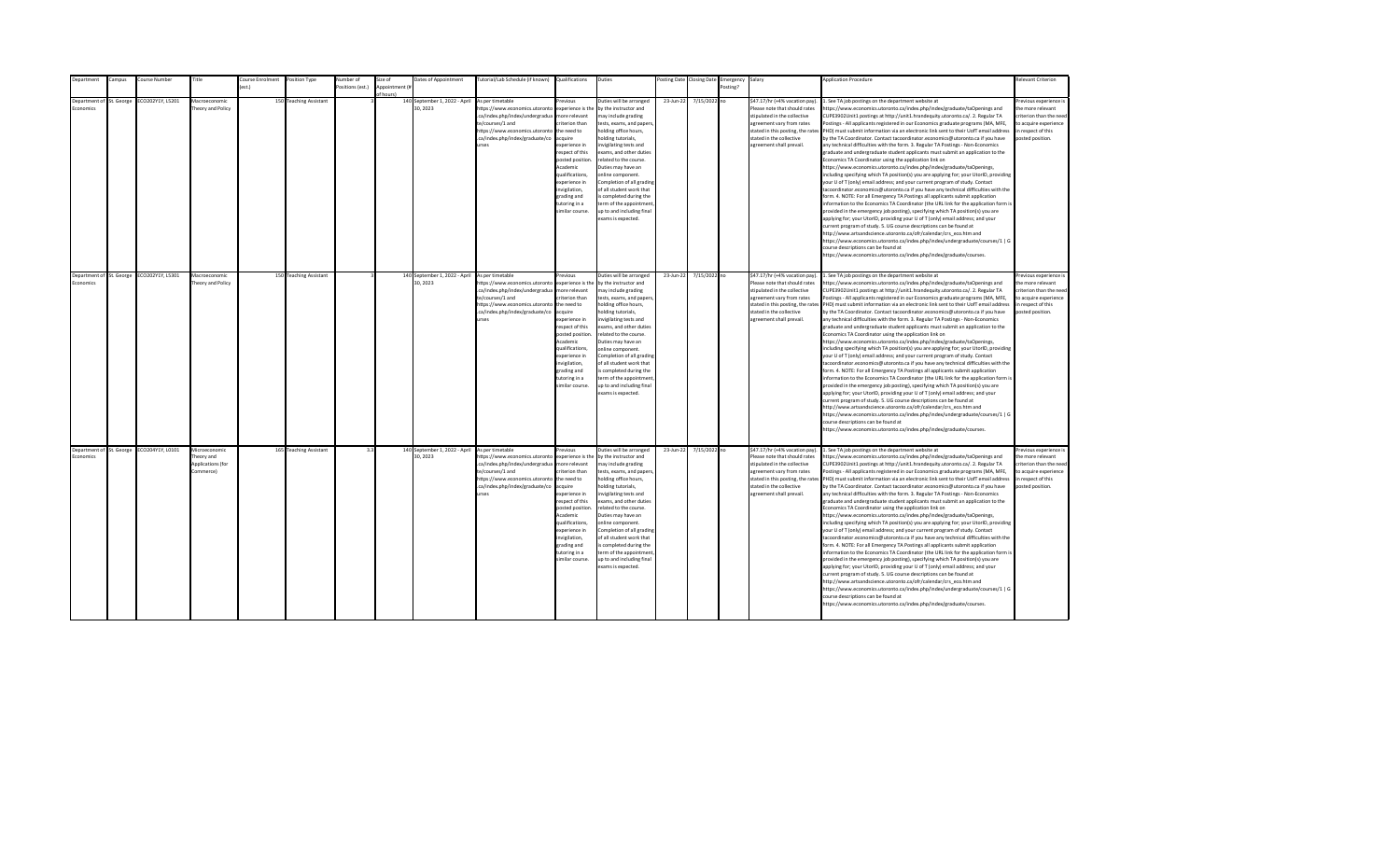| epartment                                   | ampus: | Course Number                             | Title                                                               | ourse Enrolment  | Position Type          | Number of        | Size of        | Dates of Appointment                      | [utorial/Lab Schedule (if known)                                                                                                                                                               | Qualifications                                                                                                                                                                                                                                                      | Duties                                                                                                                                                                                                                                                                                                                                                                                                                                         |           | osting Date Closing Date | Emergency | Salary                                                                                                                                                                                                                    | <b>Application Procedure</b>                                                                                                                                                                                                                                                                                                                                                                                                                                                                                                                                                                                                                                                                                                                                                                                                                                                                                                                                                                                                                                                                                                                                                                                                                                                                                                                                                                                                                                                                                                                                                                                                                                                                                                                                                                 | Relevant Criterion                                                                                                                       |
|---------------------------------------------|--------|-------------------------------------------|---------------------------------------------------------------------|------------------|------------------------|------------------|----------------|-------------------------------------------|------------------------------------------------------------------------------------------------------------------------------------------------------------------------------------------------|---------------------------------------------------------------------------------------------------------------------------------------------------------------------------------------------------------------------------------------------------------------------|------------------------------------------------------------------------------------------------------------------------------------------------------------------------------------------------------------------------------------------------------------------------------------------------------------------------------------------------------------------------------------------------------------------------------------------------|-----------|--------------------------|-----------|---------------------------------------------------------------------------------------------------------------------------------------------------------------------------------------------------------------------------|----------------------------------------------------------------------------------------------------------------------------------------------------------------------------------------------------------------------------------------------------------------------------------------------------------------------------------------------------------------------------------------------------------------------------------------------------------------------------------------------------------------------------------------------------------------------------------------------------------------------------------------------------------------------------------------------------------------------------------------------------------------------------------------------------------------------------------------------------------------------------------------------------------------------------------------------------------------------------------------------------------------------------------------------------------------------------------------------------------------------------------------------------------------------------------------------------------------------------------------------------------------------------------------------------------------------------------------------------------------------------------------------------------------------------------------------------------------------------------------------------------------------------------------------------------------------------------------------------------------------------------------------------------------------------------------------------------------------------------------------------------------------------------------------|------------------------------------------------------------------------------------------------------------------------------------------|
|                                             |        |                                           |                                                                     | $o$ ct $\lambda$ |                        | Positions (est.) | Appointment (i |                                           |                                                                                                                                                                                                |                                                                                                                                                                                                                                                                     |                                                                                                                                                                                                                                                                                                                                                                                                                                                |           |                          | Posting?  |                                                                                                                                                                                                                           |                                                                                                                                                                                                                                                                                                                                                                                                                                                                                                                                                                                                                                                                                                                                                                                                                                                                                                                                                                                                                                                                                                                                                                                                                                                                                                                                                                                                                                                                                                                                                                                                                                                                                                                                                                                              |                                                                                                                                          |
|                                             |        |                                           |                                                                     |                  |                        |                  |                |                                           |                                                                                                                                                                                                |                                                                                                                                                                                                                                                                     |                                                                                                                                                                                                                                                                                                                                                                                                                                                |           |                          |           |                                                                                                                                                                                                                           |                                                                                                                                                                                                                                                                                                                                                                                                                                                                                                                                                                                                                                                                                                                                                                                                                                                                                                                                                                                                                                                                                                                                                                                                                                                                                                                                                                                                                                                                                                                                                                                                                                                                                                                                                                                              |                                                                                                                                          |
| Department of St. George<br><b>conomics</b> |        | CO202Y1Y, L5201                           | Macroeconomic<br><b>Theory and Policy</b>                           |                  | 150 Teaching Assistant |                  | of hours)      | 140 September 1, 2022 - April<br>30.2023  | As per timetable<br>https://www.economics.utoronto<br>.ca/index.php/index/undergradua<br>te/courses/1 and<br>https://www.economics.utoronto<br>.ca/index.php/index/graduate/co<br><b>Print</b> | revinus<br>experience is the<br>more relevant<br>riterion than<br>the need to<br>acquire<br>experience in<br>respect of this<br>posted position.<br>Academic<br>qualifications,<br>experience in<br>nvigilation,<br>grading and<br>tutoring in a<br>imilar course.  | Duties will be arranged<br>by the instructor and<br>may include grading<br>tests, exams, and papers,<br>holding office hours,<br>nolding tutorials,<br>nvigilating tests and<br>exams, and other duties<br>related to the course.<br>Duties may have an<br>online component.<br>Completion of all grading<br>of all student work that<br>s completed during the<br>term of the appointment<br>up to and including final<br>exams is expected.  | 23-Jun-22 | 7/15/2022 no             |           | \$47.17/hr (+4% vacation pay).<br>Please note that should rates<br>stipulated in the collective<br>agreement vary from rates<br>stated in this posting, the rates<br>stated in the collective<br>agreement shall prevail. | . See TA job postings on the department website at<br>https://www.economics.utoronto.ca/index.php/index/graduate/taOpenings and<br>CUPE3902Unit1 postings at http://unit1.hrandequity.utoronto.ca/. 2. Regular TA<br>Postings - All applicants registered in our Economics graduate programs (MA, MFE,<br>PHD) must submit information via an electronic link sent to their UofT email address<br>by the TA Coordinator. Contact tacoordinator.economics@utoronto.ca if you have<br>any technical difficulties with the form. 3. Regular TA Postings - Non-Economics<br>graduate and undergraduate student applicants must submit an application to the<br>Economics TA Coordinator using the application link on<br>https://www.economics.utoronto.ca/index.php/index/graduate/taOpenings,<br>including specifying which TA position(s) you are applying for; your UtorID, providing<br>your U of T (only) email address; and your current program of study. Contact<br>tacoordinator.economics@utoronto.ca if you have any technical difficulties with the<br>form. 4. NOTE: For all Emergency TA Postings all applicants submit application<br>information to the Economics TA Coordinator (the URL link for the application form is<br>provided in the emergency job posting), specifying which TA position(s) you are<br>applying for; your UtorID, providing your U of T (only) email address; and your<br>current program of study. 5. UG course descriptions can be found at<br>http://www.artsandscience.utoronto.ca/ofr/calendar/crs eco.htm and<br>https://www.economics.utoronto.ca/index.php/index/undergraduate/courses/1   G<br>course descriptions can be found at<br>https://www.economics.utoronto.ca/index.php/index/graduate/courses.                                    | Previous experience i<br>the more relevant<br>criterion than the need<br>to acquire experience<br>in respect of this<br>posted position. |
|                                             |        |                                           |                                                                     |                  |                        |                  |                |                                           |                                                                                                                                                                                                |                                                                                                                                                                                                                                                                     |                                                                                                                                                                                                                                                                                                                                                                                                                                                |           |                          |           |                                                                                                                                                                                                                           |                                                                                                                                                                                                                                                                                                                                                                                                                                                                                                                                                                                                                                                                                                                                                                                                                                                                                                                                                                                                                                                                                                                                                                                                                                                                                                                                                                                                                                                                                                                                                                                                                                                                                                                                                                                              |                                                                                                                                          |
| Department of St. George<br>Economics       |        | ECO202Y1Y, L5301                          | Macroeconomic<br>Theory and Policy                                  |                  | 150 Teaching Assistant |                  |                | 140 September 1, 2022 - April<br>30, 2023 | As per timetable<br>https://www.economics.utoronto<br>.ca/index.php/index/undergradua<br>te/courses/1 and<br>https://www.economics.utoronto<br>.ca/index.php/index/graduate/co<br><b>urses</b> | revious<br>experience is the<br>more relevant<br>riterion than<br>the need to<br>acquire<br>experience in<br>resnect of this<br>posted position<br>Academic<br>qualifications.<br>experience in<br>invigilation,<br>grading and<br>tutoring in a<br>similar course. | Duties will be arranged<br>by the instructor and<br>may include grading<br>tests, exams, and papers,<br>holding office hours,<br>nolding tutorials,<br>nvigilating tests and<br>exams, and other duties<br>related to the course.<br>Duties may have an<br>online component.<br>Completion of all grading<br>of all student work that<br>is completed during the<br>term of the appointment<br>up to and including final<br>exams is expected. | 23-Jun-22 | 7/15/2022 no             |           | \$47.17/hr (+4% vacation pay).<br>Please note that should rates<br>stipulated in the collective<br>agreement vary from rates<br>stated in the collective<br>agreement shall prevail.                                      | 1. See TA job postings on the department website at<br>https://www.economics.utoronto.ca/index.php/index/graduate/taOpenings and<br>CUPE3902Unit1 postings at http://unit1.hrandequity.utoronto.ca/. 2. Regular TA<br>Postings - All applicants registered in our Economics graduate programs (MA, MFE,<br>stated in this posting, the rates PHD) must submit information via an electronic link sent to their UofT email address<br>by the TA Coordinator. Contact tacoordinator.economics@utoronto.ca if you have<br>any technical difficulties with the form. 3. Regular TA Postings - Non-Economics<br>eraduate and undergraduate student applicants must submit an application to the<br>Economics TA Coordinator using the application link on<br>https://www.economics.utoronto.ca/index.php/index/graduate/taOpenings,<br>including specifying which TA position(s) you are applying for; your UtorID, providing<br>your U of T (only) email address; and your current program of study. Contact<br>tacoordinator.economics@utoronto.ca if you have any technical difficulties with the<br>form. 4. NOTE: For all Emergency TA Postings all applicants submit application<br>information to the Economics TA Coordinator (the URL link for the application form is<br>provided in the emergency job posting), specifying which TA position(s) you are<br>applying for; your UtorID, providing your U of T (only) email address; and your<br>current program of study. 5. UG course descriptions can be found at<br>http://www.artsandscience.utoronto.ca/ofr/calendar/crs_eco.htm and<br>https://www.economics.utoronto.ca/index.php/index/undergraduate/courses/1   G<br>course descriptions can be found at<br>https://www.economics.utoronto.ca/index.php/index/graduate/courses. | Previous experience i<br>the more relevant<br>criterion than the need<br>to acquire experience<br>in respect of this<br>posted position. |
| Economics                                   |        | Department of St. George ECO204Y1Y, L0101 | Microeconomic<br>heory and<br><b>Applications (for</b><br>Commerce) |                  | 165 Teaching Assistant | 33               |                | 140 September 1, 2022 - April<br>30.2023  | As per timetable<br>https://www.economics.utoronto<br>.ca/index.php/index/undergradua<br>te/courses/1 and<br>https://www.economics.utoronto<br>.ca/index.php/index/graduate/co<br>urses        | revious<br>experience is the<br>more relevant<br>riterion than<br>the need to<br>acquire<br>experience in<br>respect of this<br>posted position<br>Academic<br>qualifications,<br>experience in<br>invigilation,<br>grading and<br>tutoring in a<br>imilar course.  | Outies will be arranged<br>by the instructor and<br>may include grading<br>tests, exams, and papers,<br>holding office hours,<br>nolding tutorials,<br>nvigilating tests and<br>exams, and other duties<br>related to the course.<br>Duties may have an<br>online component.<br>Completion of all grading<br>of all student work that<br>is completed during the<br>term of the appointment<br>up to and including final<br>exams is expected. | 23-Jun-22 | 7/15/2022 no             |           | \$47.17/hr (+4% vacation pay).<br>Please note that should rates<br>stipulated in the collective<br>agreement vary from rates<br>stated in the collective<br>agreement shall prevail.                                      | 1. See TA job postings on the department website at<br>https://www.economics.utoronto.ca/index.php/index/graduate/taOpenings and<br>CUPE3902Unit1 postings at http://unit1.hrandequity.utoronto.ca/. 2. Regular TA<br>Postings - All applicants registered in our Economics graduate programs (MA, MFE,<br>stated in this posting, the rates PHD) must submit information via an electronic link sent to their UofT email address<br>by the TA Coordinator. Contact tacoordinator.economics@utoronto.ca if you have<br>any technical difficulties with the form. 3. Regular TA Postings - Non-Economics<br>graduate and undergraduate student applicants must submit an application to the<br>Economics TA Coordinator using the application link on<br>https://www.economics.utoronto.ca/index.php/index/graduate/taOpenings,<br>including specifying which TA position(s) you are applying for; your UtorID, providing<br>your U of T (only) email address; and your current program of study. Contact<br>tacoordinator.economics@utoronto.ca if you have any technical difficulties with the<br>form. 4. NOTE: For all Emergency TA Postings all applicants submit application<br>information to the Economics TA Coordinator (the URL link for the application form is<br>provided in the emergency job posting), specifying which TA position(s) you are<br>applying for; your UtorID, providing your U of T (only) email address; and your<br>current program of study. 5. UG course descriptions can be found at<br>http://www.artsandscience.utoronto.ca/ofr/calendar/crs eco.htm and<br>https://www.economics.utoronto.ca/index.php/index/undergraduate/courses/1   G<br>course descriptions can be found at<br>https://www.economics.utoronto.ca/index.php/index/graduate/courses. | revious experience i<br>the more relevant<br>criterion than the need<br>to acquire experience<br>in respect of this<br>posted position.  |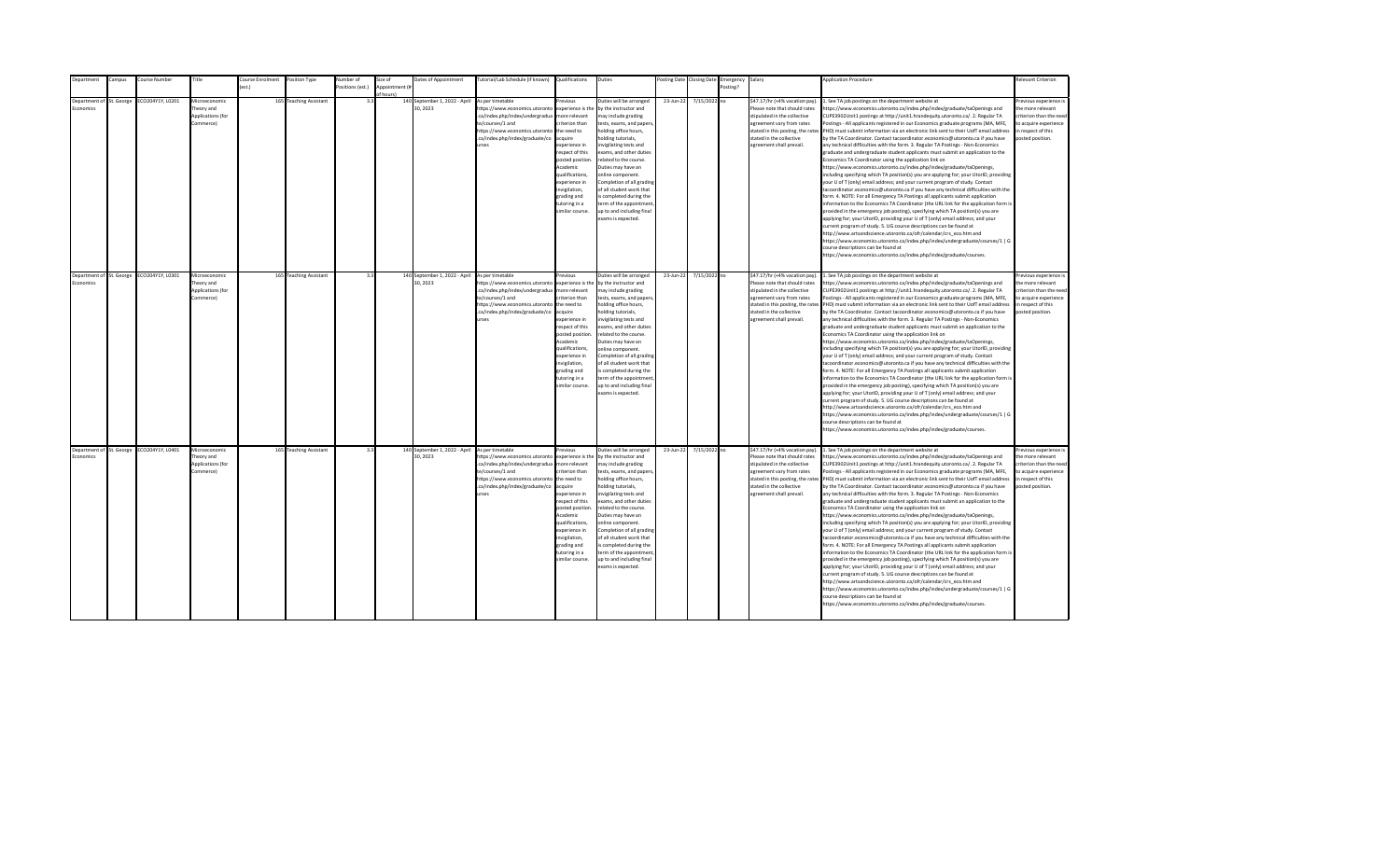| Department                                   | Campus                   | Course Number    | Title                                                        | Course Enrolment | Position Type          | <b>Number</b> of | Size of                     | Dates of Appointment                                      | Tutorial/Lab Schedule (if known) Qualifications                                                                                                                                                            |                                                                                                                                                                                                                                                                   | Duties                                                                                                                                                                                                                                                                                                                                                                                                                                          |           | Posting Date Closing Date | Emergency Salary |                                                                                                                                                                                                                           | <b>Application Procedure</b>                                                                                                                                                                                                                                                                                                                                                                                                                                                                                                                                                                                                                                                                                                                                                                                                                                                                                                                                                                                                                                                                                                                                                                                                                                                                                                                                                                                                                                                                                                                                                                                                                                                                                                                                                                 | Relevant Criterion                                                                                                                       |
|----------------------------------------------|--------------------------|------------------|--------------------------------------------------------------|------------------|------------------------|------------------|-----------------------------|-----------------------------------------------------------|------------------------------------------------------------------------------------------------------------------------------------------------------------------------------------------------------------|-------------------------------------------------------------------------------------------------------------------------------------------------------------------------------------------------------------------------------------------------------------------|-------------------------------------------------------------------------------------------------------------------------------------------------------------------------------------------------------------------------------------------------------------------------------------------------------------------------------------------------------------------------------------------------------------------------------------------------|-----------|---------------------------|------------------|---------------------------------------------------------------------------------------------------------------------------------------------------------------------------------------------------------------------------|----------------------------------------------------------------------------------------------------------------------------------------------------------------------------------------------------------------------------------------------------------------------------------------------------------------------------------------------------------------------------------------------------------------------------------------------------------------------------------------------------------------------------------------------------------------------------------------------------------------------------------------------------------------------------------------------------------------------------------------------------------------------------------------------------------------------------------------------------------------------------------------------------------------------------------------------------------------------------------------------------------------------------------------------------------------------------------------------------------------------------------------------------------------------------------------------------------------------------------------------------------------------------------------------------------------------------------------------------------------------------------------------------------------------------------------------------------------------------------------------------------------------------------------------------------------------------------------------------------------------------------------------------------------------------------------------------------------------------------------------------------------------------------------------|------------------------------------------------------------------------------------------------------------------------------------------|
|                                              |                          |                  |                                                              |                  |                        | ositions (est.)  | Appointment (#<br>of hours! |                                                           |                                                                                                                                                                                                            |                                                                                                                                                                                                                                                                   |                                                                                                                                                                                                                                                                                                                                                                                                                                                 |           |                           | Posting?         |                                                                                                                                                                                                                           |                                                                                                                                                                                                                                                                                                                                                                                                                                                                                                                                                                                                                                                                                                                                                                                                                                                                                                                                                                                                                                                                                                                                                                                                                                                                                                                                                                                                                                                                                                                                                                                                                                                                                                                                                                                              |                                                                                                                                          |
| Department of St. George<br><b>Economics</b> |                          | ECO204Y1Y, L0201 | Microeconomic<br>heory and<br>Applications (for<br>(ommerce) |                  | 165 Teaching Assistant | 33               |                             | 140 September 1, 2022 - April<br>30.2023                  | As per timetable<br>https://www.economics.utoronto<br>.ca/index.php/index/undergradua<br>te/courses/1 and<br>https://www.economics.utoronto<br>.ca/index.php/index/graduate/co<br>urses                    | Previous<br>experience is the<br>more relevant<br>riterion than<br>the need to<br>acquire<br>xperience in<br>respect of this<br>posted position<br>Academic<br>qualifications,<br>experience in<br>wigilation,<br>grading and<br>tutoring in a<br>similar course. | Duties will be arranged<br>by the instructor and<br>may include grading<br>tests, exams, and papers<br>holding office hours,<br>olding tutorials.<br>nvigilating tests and<br>exams, and other duties<br>related to the course.<br>Duties may have an<br>online component.<br>Completion of all grading<br>of all student work that<br>s completed during the<br>term of the appointment<br>up to and including final<br>exams is expected.     | 23-Jun-22 | 7/15/2022 no              |                  | \$47.17/hr (+4% vacation pay).<br>Please note that should rates<br>stipulated in the collective<br>agreement vary from rates<br>stated in this posting, the rates<br>stated in the collective<br>agreement shall prevail. | L. See TA job postings on the department website at<br>ttps://www.economics.utoronto.ca/index.php/index/graduate/taOpenings and<br>CUPE3902Unit1 postings at http://unit1.hrandequity.utoronto.ca/. 2. Regular TA<br>Postings - All applicants registered in our Economics graduate programs (MA, MFE,<br>PHD) must submit information via an electronic link sent to their UofT email address<br>by the TA Coordinator. Contact tacoordinator.economics@utoronto.ca if you have<br>any technical difficulties with the form. 3. Regular TA Postings - Non-Economics<br>graduate and undergraduate student applicants must submit an application to the<br>Economics TA Coordinator using the application link on<br>https://www.economics.utoronto.ca/index.php/index/graduate/taOpenings,<br>including specifying which TA position(s) you are applying for; your UtorID, providing<br>our U of T (only) email address; and your current program of study. Contact<br>acoordinator.economics@utoronto.ca if you have any technical difficulties with the<br>orm. 4. NOTE: For all Emergency TA Postings all applicants submit application<br>nformation to the Economics TA Coordinator (the URL link for the application form is<br>provided in the emergency job posting), specifying which TA position(s) you are<br>applying for; your UtorID, providing your U of T (only) email address; and your<br>urrent program of study. 5. UG course descriptions can be found at<br>http://www.artsandscience.utoronto.ca/ofr/calendar/crs_eco.htm and<br>https://www.economics.utoronto.ca/index.php/index/undergraduate/courses/1   G<br>ourse descriptions can be found at<br>ttps://www.economics.utoronto.ca/index.php/index/graduate/courses.                                           | revious experience i<br>the more relevant<br>criterion than the nee-<br>to acquire experience<br>in respect of this<br>posted position.  |
| Department of St. George<br>Economics        |                          | ECO204Y1Y, L0301 | Microeconomic<br>heory and<br>Applications (for<br>Commerce) |                  | 165 Teaching Assistant | 3.3              |                             | 140 September 1, 2022 - April As per timetable<br>30.2023 | https://www.economics.utoronto<br>.ca/index.php/index/undergradua<br>te/courses/1 and<br>https://www.economics.utoronto the need to<br>.ca/index.php/index/graduate/co<br>urses                            | revious<br>experience is the<br>more relevant<br>criterion than<br>acquire<br>experience in<br>respect of this<br>posted position.<br>Academic<br>qualifications.<br>experience in<br>invigilation.<br>grading and<br>tutoring in a<br>similar course.            | Duties will be arranged<br>by the instructor and<br>may include grading<br>tests, exams, and papers,<br>holding office hours,<br>holding tutorials,<br>invigilating tests and<br>exams, and other duties<br>related to the course.<br>Duties may have an<br>online component.<br>Completion of all grading<br>of all student work that<br>is completed during the<br>term of the appointment<br>up to and including final<br>exams is expected. | 23-Jun-22 | 7/15/2022 no              |                  | \$47.17/hr (+4% vacation pay).<br>Please note that should rates<br>stipulated in the collective<br>agreement vary from rates<br>stated in the collective<br>agreement shall prevail.                                      | 1. See TA job postings on the department website at<br>https://www.economics.utoronto.ca/index.php/index/graduate/taOpenings and<br>CUPE3902Unit1 postings at http://unit1.hrandequity.utoronto.ca/. 2. Regular TA<br>Postings - All applicants registered in our Economics graduate programs (MA, MFE,<br>stated in this posting, the rates PHD) must submit information via an electronic link sent to their UofT email address<br>by the TA Coordinator. Contact tacoordinator.economics@utoronto.ca if you have<br>any technical difficulties with the form. 3. Regular TA Postings - Non-Economics<br>graduate and undergraduate student applicants must submit an application to the<br>Economics TA Coordinator using the application link on<br>https://www.economics.utoronto.ca/index.php/index/graduate/taOpenings,<br>including specifying which TA position(s) you are applying for; your UtorID, providing<br>your U of T (only) email address; and your current program of study. Contact<br>tacoordinator.economics@utoronto.ca if you have any technical difficulties with the<br>form. 4. NOTE: For all Emergency TA Postings all applicants submit application<br>information to the Economics TA Coordinator (the URL link for the application form is<br>provided in the emergency job posting), specifying which TA position(s) you are<br>applying for; your UtorID, providing your U of T (only) email address; and your<br>current program of study. 5. UG course descriptions can be found at<br>http://www.artsandscience.utoronto.ca/ofr/calendar/crs eco.htm and<br>https://www.economics.utoronto.ca/index.php/index/undergraduate/courses/1   G<br>ourse descriptions can be found at<br>ittps://www.economics.utoronto.ca/index.php/index/graduate/courses.  | Previous experience i<br>the more relevant<br>criterion than the need<br>to acquire experience<br>in respect of this<br>posted position. |
| Economics                                    | Department of St. George | ECO204Y1Y, L0401 | Microeconomic<br>heory and<br>Applications (for<br>Commerce) |                  | 165 Teaching Assistant | 3.3              |                             | 140 September 1, 2022 - April<br>30.2023                  | As per timetable<br>https://www.economics.utoronto<br>ca/index.php/index/undergradua<br>te/courses/1 and<br>https://www.economics.utoronto the need to<br>.ca/index.php/index/graduate/co acquire<br>urses | revious<br>experience is the<br>more relevant<br>criterion than<br>experience in<br>respect of this<br>posted position<br>Academic<br>qualifications,<br>experience in<br>invigilation,<br>grading and<br>tutoring in a<br>similar course.                        | Duties will be arranged<br>by the instructor and<br>may include grading<br>tests, exams, and papers,<br>holding office hours,<br>holding tutorials,<br>nvigilating tests and<br>exams, and other duties<br>related to the course.<br>Duties may have an<br>online component.<br>Completion of all grading<br>of all student work that<br>is completed during the<br>term of the appointment<br>up to and including final<br>exams is expected.  | 23-Jun-22 | 7/15/2022 no              |                  | \$47.17/hr (+4% vacation pay).<br>Please note that should rates<br>stipulated in the collective<br>agreement vary from rates<br>stated in the collective<br>agreement shall prevail.                                      | 1. See TA job postings on the department website at<br>nttps://www.economics.utoronto.ca/index.php/index/graduate/taOpenings and<br>CUPE3902Unit1 postings at http://unit1.hrandequity.utoronto.ca/. 2. Regular TA<br>Postings - All applicants registered in our Economics graduate programs (MA, MFE,<br>stated in this posting, the rates PHD) must submit information via an electronic link sent to their UofT email address<br>by the TA Coordinator. Contact tacoordinator.economics@utoronto.ca if you have<br>any technical difficulties with the form. 3. Regular TA Postings - Non-Economics<br>graduate and undergraduate student applicants must submit an application to the<br>Economics TA Coordinator using the application link on<br>https://www.economics.utoronto.ca/index.php/index/graduate/taOpenings,<br>including specifying which TA position(s) you are applying for; your UtorID, providing<br>your U of T (only) email address; and your current program of study. Contact<br>tacoordinator.economics@utoronto.ca if you have any technical difficulties with the<br>form. 4. NOTE: For all Emergency TA Postings all applicants submit application<br>information to the Economics TA Coordinator (the URL link for the application form is<br>provided in the emergency job posting), specifying which TA position(s) you are<br>applying for; your UtorID, providing your U of T (only) email address; and your<br>current program of study. 5. UG course descriptions can be found at<br>http://www.artsandscience.utoronto.ca/ofr/calendar/crs eco.htm and<br>https://www.economics.utoronto.ca/index.php/index/undergraduate/courses/1   G<br>course descriptions can be found at<br>https://www.economics.utoronto.ca/index.php/index/graduate/courses. | revious experience i<br>the more relevant<br>criterion than the need<br>to acquire experience<br>in respect of this<br>posted position.  |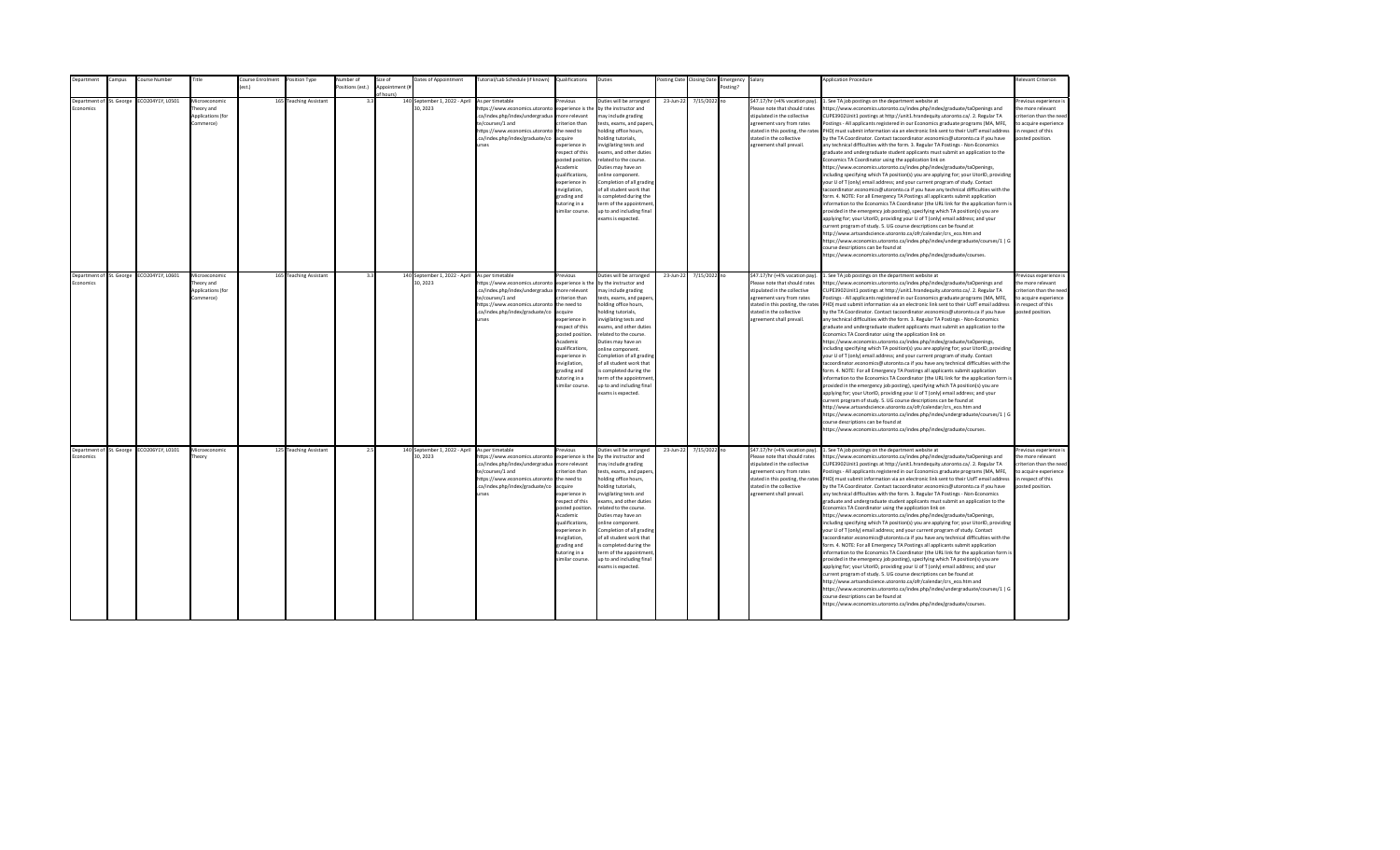| epartment                | ampus: | Course Number                             | Title                      | ourse Enrolment  | Position Type          | Number of        | Size of        | Dates of Appointment                     | [utorial/Lab Schedule (if known)                                  | Qualifications         | Duties                                             |           | osting Date Closing Date | Emergency | Salary                            | <b>Application Procedure</b>                                                                                                                                                                             | Relevant Criterion                         |
|--------------------------|--------|-------------------------------------------|----------------------------|------------------|------------------------|------------------|----------------|------------------------------------------|-------------------------------------------------------------------|------------------------|----------------------------------------------------|-----------|--------------------------|-----------|-----------------------------------|----------------------------------------------------------------------------------------------------------------------------------------------------------------------------------------------------------|--------------------------------------------|
|                          |        |                                           |                            | $o$ ct $\lambda$ |                        | Positions (est.) | Appointment (i |                                          |                                                                   |                        |                                                    |           |                          | Posting?  |                                   |                                                                                                                                                                                                          |                                            |
| Department of St. George |        |                                           |                            |                  |                        | 3 <sup>1</sup>   | f hours)       |                                          | As per timetable                                                  | revinus                |                                                    |           |                          |           | \$47.17/hr (+4% vacation pay).    |                                                                                                                                                                                                          |                                            |
| <b>conomics</b>          |        | CO204Y1Y, L0501                           | Microeconomic<br>henry and |                  | 165 Teaching Assistant |                  |                | 140 September 1, 2022 - April<br>30.2023 | https://www.economics.utoronto                                    | experience is the      | Duties will be arranged<br>by the instructor and   | 23-Jun-22 | 7/15/2022 no             |           | Please note that should rates     | . See TA job postings on the department website at<br>https://www.economics.utoronto.ca/index.php/index/graduate/taOpenings and                                                                          | Previous experience i<br>the more relevant |
|                          |        |                                           | <b>Applications (for</b>   |                  |                        |                  |                |                                          | .ca/index.php/index/undergradua                                   | more relevant          | may include grading                                |           |                          |           | stipulated in the collective      | CUPE3902Unit1 postings at http://unit1.hrandequity.utoronto.ca/. 2. Regular TA                                                                                                                           | criterion than the need                    |
|                          |        |                                           | Commerce)                  |                  |                        |                  |                |                                          | te/courses/1 and                                                  | riterion than          |                                                    |           |                          |           | agreement vary from rates         | Postings - All applicants registered in our Economics graduate programs (MA, MFE,                                                                                                                        | to acquire experience                      |
|                          |        |                                           |                            |                  |                        |                  |                |                                          | https://www.economics.utoronto                                    | the need to            | tests, exams, and papers,<br>holding office hours, |           |                          |           | stated in this posting, the rates | PHD) must submit information via an electronic link sent to their UofT email address                                                                                                                     | in respect of this                         |
|                          |        |                                           |                            |                  |                        |                  |                |                                          | .ca/index.php/index/graduate/co                                   | acquire                | nolding tutorials,                                 |           |                          |           | stated in the collective          | by the TA Coordinator. Contact tacoordinator.economics@utoronto.ca if you have                                                                                                                           | posted position.                           |
|                          |        |                                           |                            |                  |                        |                  |                |                                          | <b>Print</b>                                                      | experience in          | nvigilating tests and                              |           |                          |           | agreement shall prevail.          | any technical difficulties with the form. 3. Regular TA Postings - Non-Economics                                                                                                                         |                                            |
|                          |        |                                           |                            |                  |                        |                  |                |                                          |                                                                   | respect of this        | exams, and other duties                            |           |                          |           |                                   | graduate and undergraduate student applicants must submit an application to the                                                                                                                          |                                            |
|                          |        |                                           |                            |                  |                        |                  |                |                                          |                                                                   | posted position.       | related to the course.                             |           |                          |           |                                   | Economics TA Coordinator using the application link on                                                                                                                                                   |                                            |
|                          |        |                                           |                            |                  |                        |                  |                |                                          |                                                                   | Academic               | Duties may have an                                 |           |                          |           |                                   | https://www.economics.utoronto.ca/index.php/index/graduate/taOpenings,                                                                                                                                   |                                            |
|                          |        |                                           |                            |                  |                        |                  |                |                                          |                                                                   | qualifications,        | online component.                                  |           |                          |           |                                   | including specifying which TA position(s) you are applying for; your UtorID, providing                                                                                                                   |                                            |
|                          |        |                                           |                            |                  |                        |                  |                |                                          |                                                                   | experience in          | Completion of all grading                          |           |                          |           |                                   | your U of T (only) email address; and your current program of study. Contact                                                                                                                             |                                            |
|                          |        |                                           |                            |                  |                        |                  |                |                                          |                                                                   | nvigilation,           | of all student work that                           |           |                          |           |                                   | tacoordinator.economics@utoronto.ca if you have any technical difficulties with the                                                                                                                      |                                            |
|                          |        |                                           |                            |                  |                        |                  |                |                                          |                                                                   | grading and            | s completed during the                             |           |                          |           |                                   | form. 4. NOTE: For all Emergency TA Postings all applicants submit application                                                                                                                           |                                            |
|                          |        |                                           |                            |                  |                        |                  |                |                                          |                                                                   | tutoring in a          | term of the appointment                            |           |                          |           |                                   | information to the Economics TA Coordinator (the URL link for the application form is                                                                                                                    |                                            |
|                          |        |                                           |                            |                  |                        |                  |                |                                          |                                                                   | imilar course.         | up to and including final                          |           |                          |           |                                   | provided in the emergency job posting), specifying which TA position(s) you are                                                                                                                          |                                            |
|                          |        |                                           |                            |                  |                        |                  |                |                                          |                                                                   |                        | exams is expected.                                 |           |                          |           |                                   | applying for; your UtorID, providing your U of T (only) email address; and your                                                                                                                          |                                            |
|                          |        |                                           |                            |                  |                        |                  |                |                                          |                                                                   |                        |                                                    |           |                          |           |                                   | current program of study. 5. UG course descriptions can be found at                                                                                                                                      |                                            |
|                          |        |                                           |                            |                  |                        |                  |                |                                          |                                                                   |                        |                                                    |           |                          |           |                                   | http://www.artsandscience.utoronto.ca/ofr/calendar/crs eco.htm and                                                                                                                                       |                                            |
|                          |        |                                           |                            |                  |                        |                  |                |                                          |                                                                   |                        |                                                    |           |                          |           |                                   | https://www.economics.utoronto.ca/index.php/index/undergraduate/courses/1   G                                                                                                                            |                                            |
|                          |        |                                           |                            |                  |                        |                  |                |                                          |                                                                   |                        |                                                    |           |                          |           |                                   | course descriptions can be found at                                                                                                                                                                      |                                            |
|                          |        |                                           |                            |                  |                        |                  |                |                                          |                                                                   |                        |                                                    |           |                          |           |                                   | https://www.economics.utoronto.ca/index.php/index/graduate/courses.                                                                                                                                      |                                            |
|                          |        |                                           |                            |                  |                        |                  |                |                                          |                                                                   |                        |                                                    |           |                          |           |                                   |                                                                                                                                                                                                          |                                            |
|                          |        |                                           |                            |                  |                        |                  |                |                                          |                                                                   |                        |                                                    |           |                          |           |                                   |                                                                                                                                                                                                          |                                            |
| Department of St. George |        | ECO204Y1Y, L0601                          | Microeconomic              |                  | 165 Teaching Assistant | 3.3              |                | 140 September 1, 2022 - April            | As per timetable                                                  | revious                | Duties will be arranged                            | 23-Jun-22 | 7/15/2022 no             |           | \$47.17/hr (+4% vacation pay).    | 1. See TA job postings on the department website at                                                                                                                                                      | Previous experience i                      |
| Economics                |        |                                           | Theory and                 |                  |                        |                  |                | 30, 2023                                 | https://www.economics.utoronto                                    | experience is the      | by the instructor and                              |           |                          |           | Please note that should rates     | https://www.economics.utoronto.ca/index.php/index/graduate/taOpenings and                                                                                                                                | the more relevant                          |
|                          |        |                                           | <b>Applications (for</b>   |                  |                        |                  |                |                                          | .ca/index.php/index/undergradua                                   | more relevant          | may include grading                                |           |                          |           | stipulated in the collective      | CUPE3902Unit1 postings at http://unit1.hrandequity.utoronto.ca/. 2. Regular TA                                                                                                                           | criterion than the need                    |
|                          |        |                                           | Commerce)                  |                  |                        |                  |                |                                          | te/courses/1 and                                                  | riterion than          | tests, exams, and papers,                          |           |                          |           | agreement vary from rates         | Postings - All applicants registered in our Economics graduate programs (MA, MFE,                                                                                                                        | to acquire experience                      |
|                          |        |                                           |                            |                  |                        |                  |                |                                          | https://www.economics.utoronto<br>.ca/index.php/index/graduate/co | the need to<br>acquire | holding office hours,<br>nolding tutorials,        |           |                          |           | stated in the collective          | stated in this posting, the rates PHD) must submit information via an electronic link sent to their UofT email address<br>by the TA Coordinator. Contact tacoordinator.economics@utoronto.ca if you have | in respect of this<br>posted position.     |
|                          |        |                                           |                            |                  |                        |                  |                |                                          | <b>urses</b>                                                      | experience in          | nvigilating tests and                              |           |                          |           | agreement shall prevail.          | any technical difficulties with the form. 3. Regular TA Postings - Non-Economics                                                                                                                         |                                            |
|                          |        |                                           |                            |                  |                        |                  |                |                                          |                                                                   | resnect of this        | exams, and other duties                            |           |                          |           |                                   | eraduate and undergraduate student applicants must submit an application to the                                                                                                                          |                                            |
|                          |        |                                           |                            |                  |                        |                  |                |                                          |                                                                   | posted position        | related to the course.                             |           |                          |           |                                   | Economics TA Coordinator using the application link on                                                                                                                                                   |                                            |
|                          |        |                                           |                            |                  |                        |                  |                |                                          |                                                                   | Academic               | Duties may have an                                 |           |                          |           |                                   | https://www.economics.utoronto.ca/index.php/index/graduate/taOpenings,                                                                                                                                   |                                            |
|                          |        |                                           |                            |                  |                        |                  |                |                                          |                                                                   | qualifications.        | online component.                                  |           |                          |           |                                   | including specifying which TA position(s) you are applying for; your UtorID, providing                                                                                                                   |                                            |
|                          |        |                                           |                            |                  |                        |                  |                |                                          |                                                                   | experience in          | Completion of all grading                          |           |                          |           |                                   | your U of T (only) email address; and your current program of study. Contact                                                                                                                             |                                            |
|                          |        |                                           |                            |                  |                        |                  |                |                                          |                                                                   | invigilation,          | of all student work that                           |           |                          |           |                                   | tacoordinator.economics@utoronto.ca if you have any technical difficulties with the                                                                                                                      |                                            |
|                          |        |                                           |                            |                  |                        |                  |                |                                          |                                                                   | grading and            | is completed during the                            |           |                          |           |                                   | form. 4. NOTE: For all Emergency TA Postings all applicants submit application                                                                                                                           |                                            |
|                          |        |                                           |                            |                  |                        |                  |                |                                          |                                                                   | tutoring in a          | term of the appointment                            |           |                          |           |                                   | information to the Economics TA Coordinator (the URL link for the application form is                                                                                                                    |                                            |
|                          |        |                                           |                            |                  |                        |                  |                |                                          |                                                                   | similar course.        | up to and including final                          |           |                          |           |                                   | provided in the emergency job posting), specifying which TA position(s) you are                                                                                                                          |                                            |
|                          |        |                                           |                            |                  |                        |                  |                |                                          |                                                                   |                        | exams is expected.                                 |           |                          |           |                                   | applying for; your UtorID, providing your U of T (only) email address; and your                                                                                                                          |                                            |
|                          |        |                                           |                            |                  |                        |                  |                |                                          |                                                                   |                        |                                                    |           |                          |           |                                   | current program of study. 5. UG course descriptions can be found at                                                                                                                                      |                                            |
|                          |        |                                           |                            |                  |                        |                  |                |                                          |                                                                   |                        |                                                    |           |                          |           |                                   | http://www.artsandscience.utoronto.ca/ofr/calendar/crs_eco.htm and                                                                                                                                       |                                            |
|                          |        |                                           |                            |                  |                        |                  |                |                                          |                                                                   |                        |                                                    |           |                          |           |                                   | https://www.economics.utoronto.ca/index.php/index/undergraduate/courses/1   G                                                                                                                            |                                            |
|                          |        |                                           |                            |                  |                        |                  |                |                                          |                                                                   |                        |                                                    |           |                          |           |                                   | course descriptions can be found at                                                                                                                                                                      |                                            |
|                          |        |                                           |                            |                  |                        |                  |                |                                          |                                                                   |                        |                                                    |           |                          |           |                                   | https://www.economics.utoronto.ca/index.php/index/graduate/courses.                                                                                                                                      |                                            |
|                          |        |                                           |                            |                  |                        |                  |                |                                          |                                                                   |                        |                                                    |           |                          |           |                                   |                                                                                                                                                                                                          |                                            |
|                          |        | Department of St. George ECO206Y1Y, L0101 | Microeconomic              |                  | 125 Teaching Assistant | 2.5              |                | 140 September 1, 2022 - April            | As per timetable                                                  | revious                | Outies will be arranged                            | 23-Jun-22 | 7/15/2022 no             |           | \$47.17/hr (+4% vacation pay).    | 1. See TA job postings on the department website at                                                                                                                                                      | revious experience i                       |
| Economics                |        |                                           | Theory                     |                  |                        |                  |                | 30.2023                                  | https://www.economics.utoronto                                    | experience is the      | by the instructor and                              |           |                          |           | Please note that should rates     | https://www.economics.utoronto.ca/index.php/index/graduate/taOpenings and                                                                                                                                | the more relevant                          |
|                          |        |                                           |                            |                  |                        |                  |                |                                          | .ca/index.php/index/undergradua                                   | more relevant          | may include grading                                |           |                          |           | stipulated in the collective      | CUPE3902Unit1 postings at http://unit1.hrandequity.utoronto.ca/. 2. Regular TA                                                                                                                           | criterion than the need                    |
|                          |        |                                           |                            |                  |                        |                  |                |                                          | te/courses/1 and                                                  | riterion than          | tests, exams, and papers,                          |           |                          |           | agreement vary from rates         | Postings - All applicants registered in our Economics graduate programs (MA, MFE,                                                                                                                        | to acquire experience                      |
|                          |        |                                           |                            |                  |                        |                  |                |                                          | https://www.economics.utoronto                                    | the need to            | holding office hours,                              |           |                          |           |                                   | stated in this posting, the rates PHD) must submit information via an electronic link sent to their UofT email address                                                                                   | in respect of this                         |
|                          |        |                                           |                            |                  |                        |                  |                |                                          | .ca/index.php/index/graduate/co                                   | acquire                | nolding tutorials,                                 |           |                          |           | stated in the collective          | by the TA Coordinator. Contact tacoordinator.economics@utoronto.ca if you have                                                                                                                           | posted position.                           |
|                          |        |                                           |                            |                  |                        |                  |                |                                          | urses                                                             | experience in          | nvigilating tests and                              |           |                          |           | agreement shall prevail.          | any technical difficulties with the form. 3. Regular TA Postings - Non-Economics                                                                                                                         |                                            |
|                          |        |                                           |                            |                  |                        |                  |                |                                          |                                                                   | respect of this        | exams, and other duties                            |           |                          |           |                                   | graduate and undergraduate student applicants must submit an application to the                                                                                                                          |                                            |
|                          |        |                                           |                            |                  |                        |                  |                |                                          |                                                                   | posted position        | related to the course.                             |           |                          |           |                                   | Economics TA Coordinator using the application link on                                                                                                                                                   |                                            |
|                          |        |                                           |                            |                  |                        |                  |                |                                          |                                                                   | Academic               | Duties may have an                                 |           |                          |           |                                   | https://www.economics.utoronto.ca/index.php/index/graduate/taOpenings,                                                                                                                                   |                                            |
|                          |        |                                           |                            |                  |                        |                  |                |                                          |                                                                   | qualifications,        | online component.                                  |           |                          |           |                                   | including specifying which TA position(s) you are applying for; your UtorID, providing                                                                                                                   |                                            |
|                          |        |                                           |                            |                  |                        |                  |                |                                          |                                                                   | experience in          | Completion of all grading                          |           |                          |           |                                   | your U of T (only) email address; and your current program of study. Contact                                                                                                                             |                                            |
|                          |        |                                           |                            |                  |                        |                  |                |                                          |                                                                   | invigilation,          | of all student work that                           |           |                          |           |                                   | tacoordinator.economics@utoronto.ca if you have any technical difficulties with the                                                                                                                      |                                            |
|                          |        |                                           |                            |                  |                        |                  |                |                                          |                                                                   | grading and            | is completed during the                            |           |                          |           |                                   | form. 4. NOTE: For all Emergency TA Postings all applicants submit application                                                                                                                           |                                            |
|                          |        |                                           |                            |                  |                        |                  |                |                                          |                                                                   | tutoring in a          | term of the appointment                            |           |                          |           |                                   | information to the Economics TA Coordinator (the URL link for the application form is                                                                                                                    |                                            |
|                          |        |                                           |                            |                  |                        |                  |                |                                          |                                                                   | imilar course.         | up to and including final                          |           |                          |           |                                   | provided in the emergency job posting), specifying which TA position(s) you are                                                                                                                          |                                            |
|                          |        |                                           |                            |                  |                        |                  |                |                                          |                                                                   |                        | exams is expected.                                 |           |                          |           |                                   | applying for; your UtorID, providing your U of T (only) email address; and your                                                                                                                          |                                            |
|                          |        |                                           |                            |                  |                        |                  |                |                                          |                                                                   |                        |                                                    |           |                          |           |                                   | current program of study. 5. UG course descriptions can be found at                                                                                                                                      |                                            |
|                          |        |                                           |                            |                  |                        |                  |                |                                          |                                                                   |                        |                                                    |           |                          |           |                                   | http://www.artsandscience.utoronto.ca/ofr/calendar/crs_eco.htm and                                                                                                                                       |                                            |
|                          |        |                                           |                            |                  |                        |                  |                |                                          |                                                                   |                        |                                                    |           |                          |           |                                   | https://www.economics.utoronto.ca/index.php/index/undergraduate/courses/1   G                                                                                                                            |                                            |
|                          |        |                                           |                            |                  |                        |                  |                |                                          |                                                                   |                        |                                                    |           |                          |           |                                   | course descriptions can be found at                                                                                                                                                                      |                                            |
|                          |        |                                           |                            |                  |                        |                  |                |                                          |                                                                   |                        |                                                    |           |                          |           |                                   | https://www.economics.utoronto.ca/index.php/index/graduate/courses.                                                                                                                                      |                                            |
|                          |        |                                           |                            |                  |                        |                  |                |                                          |                                                                   |                        |                                                    |           |                          |           |                                   |                                                                                                                                                                                                          |                                            |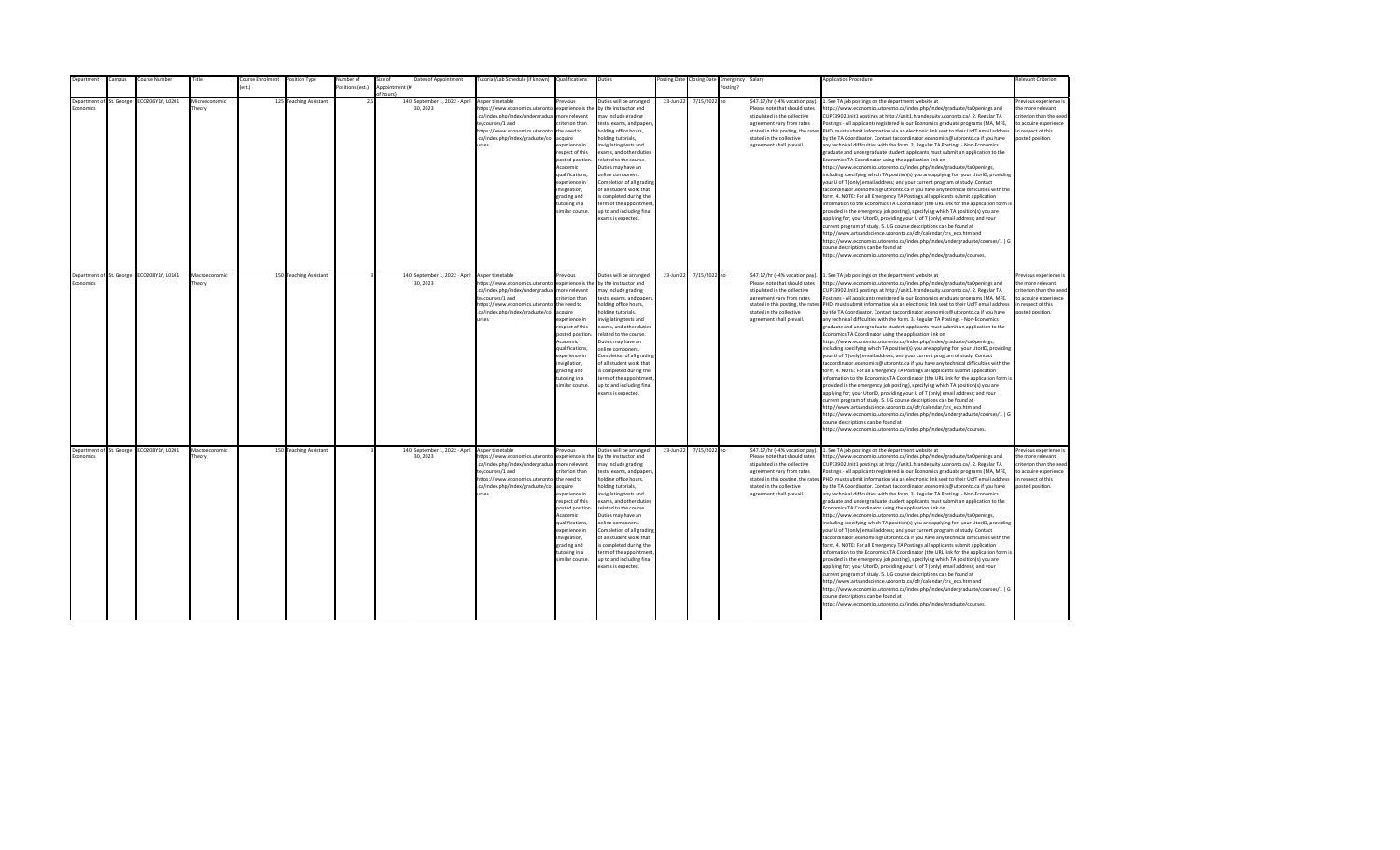| <b>Department</b>                            | Campus | Course Number                             | Title                   | Course Enrolment | Position Type          | Number of        | Size of                    | Dates of Appointment                      | Tutorial/Lab Schedule (if known) Qualifications                                                                                                                                                |                                                                                                                                                                                                                                                                    | Duties                                                                                                                                                                                                                                                                                                                                                                                                                                         |           | Posting Date Closing Date | Emergency Salary |                                                                                                                                                                                                                           | <b>Application Procedure</b>                                                                                                                                                                                                                                                                                                                                                                                                                                                                                                                                                                                                                                                                                                                                                                                                                                                                                                                                                                                                                                                                                                                                                                                                                                                                                                                                                                                                                                                                                                                                                                                                                                                                                                                                                                 | <b>Relevant Criterion</b>                                                                                                                |
|----------------------------------------------|--------|-------------------------------------------|-------------------------|------------------|------------------------|------------------|----------------------------|-------------------------------------------|------------------------------------------------------------------------------------------------------------------------------------------------------------------------------------------------|--------------------------------------------------------------------------------------------------------------------------------------------------------------------------------------------------------------------------------------------------------------------|------------------------------------------------------------------------------------------------------------------------------------------------------------------------------------------------------------------------------------------------------------------------------------------------------------------------------------------------------------------------------------------------------------------------------------------------|-----------|---------------------------|------------------|---------------------------------------------------------------------------------------------------------------------------------------------------------------------------------------------------------------------------|----------------------------------------------------------------------------------------------------------------------------------------------------------------------------------------------------------------------------------------------------------------------------------------------------------------------------------------------------------------------------------------------------------------------------------------------------------------------------------------------------------------------------------------------------------------------------------------------------------------------------------------------------------------------------------------------------------------------------------------------------------------------------------------------------------------------------------------------------------------------------------------------------------------------------------------------------------------------------------------------------------------------------------------------------------------------------------------------------------------------------------------------------------------------------------------------------------------------------------------------------------------------------------------------------------------------------------------------------------------------------------------------------------------------------------------------------------------------------------------------------------------------------------------------------------------------------------------------------------------------------------------------------------------------------------------------------------------------------------------------------------------------------------------------|------------------------------------------------------------------------------------------------------------------------------------------|
|                                              |        |                                           |                         | est.)            |                        | Positions (est.) | Appointment (i<br>f hours) |                                           |                                                                                                                                                                                                |                                                                                                                                                                                                                                                                    |                                                                                                                                                                                                                                                                                                                                                                                                                                                |           |                           | Posting?         |                                                                                                                                                                                                                           |                                                                                                                                                                                                                                                                                                                                                                                                                                                                                                                                                                                                                                                                                                                                                                                                                                                                                                                                                                                                                                                                                                                                                                                                                                                                                                                                                                                                                                                                                                                                                                                                                                                                                                                                                                                              |                                                                                                                                          |
| Department of St. George<br>conomics         |        | ECO206Y1Y, L0201                          | Microeconomic<br>heory  |                  | 125 Teaching Assistant | 2.5              |                            | 140 September 1, 2022 - April<br>30.2023  | As per timetable<br>https://www.economics.utoronto<br>.ca/index.php/index/undergradua<br>te/courses/1 and<br>https://www.economics.utoronto<br>.ca/index.php/index/graduate/co<br><b>urses</b> | revious<br>experience is the<br>nore relevant<br>riterion than<br>the need to<br>cauire<br>xperience in<br>espect of this<br>posted position<br>Academic<br>qualifications,<br>xperience in<br>nvigilation,<br>trading and<br>utoring in a<br>imilar course.       | Duties will be arranged<br>by the instructor and<br>nay include grading<br>tests, exams, and papers<br>nolding office hours,<br>olding tutorials,<br>nvigilating tests and<br>exams, and other duties<br>elated to the course.<br>Duties may have an<br>online component.<br>Completion of all grading<br>of all student work that<br>s completed during the<br>erm of the appointment<br>up to and including final<br>exams is expected.      | 23-Jun-22 | 7/15/2022 no              |                  | \$47.17/hr (+4% vacation pay).<br>Please note that should rates<br>stipulated in the collective<br>agreement vary from rates<br>stated in this posting, the rates<br>stated in the collective<br>agreement shall prevail. | 1. See TA job postings on the department website at<br>https://www.economics.utoronto.ca/index.php/index/graduate/taOpenings and<br>CUPE3902Unit1 postings at http://unit1.hrandequity.utoronto.ca/. 2. Regular TA<br>Postings - All applicants registered in our Economics graduate programs (MA, MFE,<br>PHD) must submit information via an electronic link sent to their UofT email address<br>by the TA Coordinator. Contact tacoordinator.economics@utoronto.ca if you have<br>any technical difficulties with the form. 3. Regular TA Postings - Non-Economics<br>graduate and undergraduate student applicants must submit an application to the<br>Economics TA Coordinator using the application link on<br>https://www.economics.utoronto.ca/index.php/index/graduate/taOpenings,<br>including specifying which TA position(s) you are applying for; your UtorID, providing<br>your U of T (only) email address; and your current program of study. Contact<br>tacoordinator.economics@utoronto.ca if you have any technical difficulties with the<br>form. 4. NOTE: For all Emergency TA Postings all applicants submit application<br>information to the Economics TA Coordinator (the URL link for the application form is<br>provided in the emergency job posting), specifying which TA position(s) you are<br>applying for; your UtorID, providing your U of T (only) email address; and your<br>current program of study. 5. UG course descriptions can be found at<br>http://www.artsandscience.utoronto.ca/ofr/calendar/crs eco.htm and<br>https://www.economics.utoronto.ca/index.php/index/undergraduate/courses/1   G<br>course descriptions can be found at<br>https://www.economics.utoronto.ca/index.php/index/graduate/courses.                                   | revious experience i<br>the more relevant<br>riterion than the need<br>to acquire experience<br>in respect of this<br>posted position.   |
| Department of St. George<br><b>Economics</b> |        | ECO208Y1Y, L0101                          | Macroeconomic<br>Theory |                  | 150 Teaching Assistant |                  |                            | 140 September 1, 2022 - April<br>30, 2023 | As per timetable<br>https://www.economics.utoronto<br>.ca/index.php/index/undergradua<br>te/courses/1 and<br>https://www.economics.utoronto<br>.ca/index.php/index/graduate/co<br><b>IFSPS</b> | revious<br>experience is the<br>more relevant<br>riterion than<br>the need to<br>acquire<br>xperience in<br>respect of this<br>posted position<br>Academic<br>qualifications,<br>experience in<br>nvigilation,<br>grading and<br>tutoring in a<br>imilar course.   | Duties will be arranged<br>by the instructor and<br>may include grading<br>tests, exams, and papers,<br>holding office hours,<br>nolding tutorials,<br>nvigilating tests and<br>exams, and other duties<br>related to the course.<br>Duties may have an<br>online component.<br>Completion of all grading<br>of all student work that<br>is completed during the<br>term of the appointment<br>up to and including final<br>exams is expected. | 23-Jun-22 | 7/15/2022 no              |                  | \$47.17/hr (+4% vacation pay).<br>Please note that should rates<br>stipulated in the collective<br>agreement vary from rates<br>stated in the collective<br>agreement shall prevail.                                      | 1. See TA job postings on the department website at<br>https://www.economics.utoronto.ca/index.php/index/graduate/taOpenings and<br>CUPE3902Unit1 postings at http://unit1.hrandequity.utoronto.ca/. 2. Regular TA<br>Postings - All applicants registered in our Economics graduate programs (MA, MFE,<br>stated in this posting, the rates PHD) must submit information via an electronic link sent to their UofT email address<br>by the TA Coordinator. Contact tacoordinator.economics@utoronto.ca if you have<br>any technical difficulties with the form. 3. Regular TA Postings - Non-Economics<br>graduate and undergraduate student applicants must submit an application to the<br>Economics TA Coordinator using the application link on<br>https://www.economics.utoronto.ca/index.php/index/graduate/taOpenings,<br>including specifying which TA position(s) you are applying for; your UtorID, providing<br>your U of T (only) email address; and your current program of study. Contact<br>tacoordinator.economics@utoronto.ca if you have any technical difficulties with the<br>form. 4. NOTE: For all Emergency TA Postings all applicants submit application<br>information to the Economics TA Coordinator (the URL link for the application form is<br>provided in the emergency job posting), specifying which TA position(s) you are<br>applying for; your UtorID, providing your U of T (only) email address; and your<br>current program of study. 5. UG course descriptions can be found at<br>http://www.artsandscience.utoronto.ca/ofr/calendar/crs_eco.htm and<br>https://www.economics.utoronto.ca/index.php/index/undergraduate/courses/1   G<br>course descriptions can be found at<br>https://www.economics.utoronto.ca/index.php/index/graduate/courses. | Previous experience i<br>the more relevant<br>criterion than the need<br>to acquire experience<br>in respect of this<br>posted position. |
| Economics                                    |        | Department of St. George ECO208Y1Y, L0201 | Macroeconomic<br>Theory |                  | 150 Teaching Assistant |                  |                            | 140 September 1, 2022 - April<br>30.2023  | As per timetable<br>https://www.economics.utoronto<br>.ca/index.php/index/undergradua<br>te/courses/1 and<br>https://www.economics.utoronto<br>.ca/index.php/index/graduate/co<br><b>urses</b> | revious<br>experience is the<br>more relevant<br>riterion than<br>the need to<br>acquire<br>experience in<br>respect of this<br>posted position<br>Academic<br>qualifications,<br>experience in<br>invigilation,<br>grading and<br>tutoring in a<br>imilar course. | Duties will be arranged<br>by the instructor and<br>may include grading<br>tests, exams, and papers,<br>holding office hours,<br>nolding tutorials,<br>nvigilating tests and<br>exams, and other duties<br>related to the course.<br>Duties may have an<br>online component.<br>Completion of all grading<br>of all student work that<br>is completed during the<br>term of the appointment<br>up to and including final<br>exams is expected. | 23-Jun-22 | 7/15/2022 no              |                  | \$47.17/hr (+4% vacation pay).<br>Please note that should rates<br>stipulated in the collective<br>agreement vary from rates<br>stated in the collective<br>agreement shall prevail.                                      | 1. See TA job postings on the department website at<br>https://www.economics.utoronto.ca/index.php/index/graduate/taOpenings and<br>CUPE3902Unit1 postings at http://unit1.hrandequity.utoronto.ca/. 2. Regular TA<br>Postings - All applicants registered in our Economics graduate programs (MA, MFE,<br>stated in this posting, the rates PHD) must submit information via an electronic link sent to their UofT email address<br>by the TA Coordinator. Contact tacoordinator.economics@utoronto.ca if you have<br>any technical difficulties with the form. 3. Regular TA Postings - Non-Economics<br>graduate and undergraduate student applicants must submit an application to the<br>Economics TA Coordinator using the application link on<br>https://www.economics.utoronto.ca/index.php/index/graduate/taOpenings,<br>including specifying which TA position(s) you are applying for; your UtorID, providing<br>your U of T (only) email address; and your current program of study. Contact<br>tacoordinator.economics@utoronto.ca if you have any technical difficulties with the<br>form. 4. NOTE: For all Emergency TA Postings all applicants submit application<br>information to the Economics TA Coordinator (the URL link for the application form is<br>provided in the emergency job posting), specifying which TA position(s) you are<br>applying for; your UtorID, providing your U of T (only) email address; and your<br>current program of study. 5. UG course descriptions can be found at<br>http://www.artsandscience.utoronto.ca/ofr/calendar/crs eco.htm and<br>https://www.economics.utoronto.ca/index.php/index/undergraduate/courses/1   G<br>course descriptions can be found at<br>https://www.economics.utoronto.ca/index.php/index/graduate/courses. | Previous experience i<br>the more relevant<br>criterion than the need<br>to acquire experience<br>in respect of this<br>posted position. |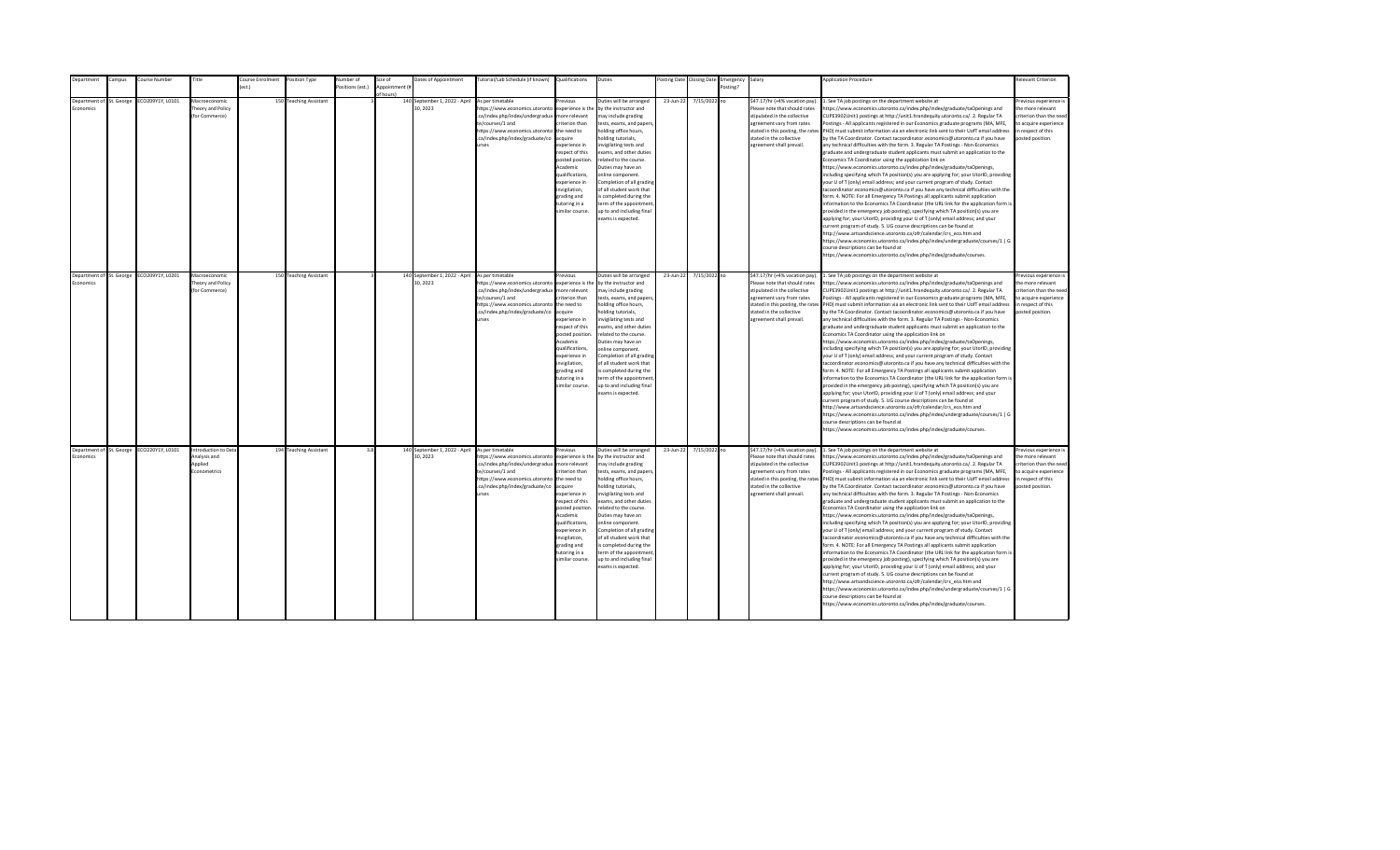| Department       | ampus:                   | ourse Number     | Title                | Course Enrolment | Position Type          | lumber of       | size of        | Dates of Appointment                                      | lutorial/Lab Schedule (if known)           | Qualifications                   | Duties                                                | osting Date | <b>Closing Date</b> | Emergency | Salary                            | <b>Application Procedure</b>                                                                                                                                                                             | Relevant Criterion                     |
|------------------|--------------------------|------------------|----------------------|------------------|------------------------|-----------------|----------------|-----------------------------------------------------------|--------------------------------------------|----------------------------------|-------------------------------------------------------|-------------|---------------------|-----------|-----------------------------------|----------------------------------------------------------------------------------------------------------------------------------------------------------------------------------------------------------|----------------------------------------|
|                  |                          |                  |                      | $f$ est.)        |                        | ositions (est.) | Annointment (# |                                                           |                                            |                                  |                                                       |             |                     | Posting?  |                                   |                                                                                                                                                                                                          |                                        |
|                  |                          |                  |                      |                  |                        |                 | of hours)      |                                                           |                                            |                                  |                                                       |             |                     |           |                                   |                                                                                                                                                                                                          |                                        |
| Denartment of    | St. George               | CO209Y1Y, L0101  | Macroeconomic        |                  | 150 Teaching Assistant |                 |                | 140 September 1, 2022 - April                             | As per timetable                           | revious                          | Duties will be arranged                               | 23-Jun-22   | 7/15/2022 no        |           | \$47.17/hr (+4% vacation pay)     | . See TA job postings on the department website at                                                                                                                                                       | Previous experience i                  |
| <b>Economics</b> |                          |                  | henry and Policy     |                  |                        |                 |                | 30.2023                                                   | https://www.economics.utoronto             | experience is the                | by the instructor and                                 |             |                     |           | Please note that should rates     | ttps://www.economics.utoronto.ca/index.php/index/graduate/taOpenings and                                                                                                                                 | the more relevant                      |
|                  |                          |                  | (for Commerce)       |                  |                        |                 |                |                                                           | .ca/index.php/index/undergradua            | more relevant                    | may include grading                                   |             |                     |           | stipulated in the collective      | CUPE3902Unit1 postings at http://unit1.hrandequity.utoronto.ca/. 2. Regular TA                                                                                                                           | criterion than the need                |
|                  |                          |                  |                      |                  |                        |                 |                |                                                           | te/courses/1 and                           | riterion than                    | tests, exams, and papers,                             |             |                     |           | agreement vary from rates         | ostings - All applicants registered in our Economics graduate programs (MA, MFE,                                                                                                                         | to acquire experience                  |
|                  |                          |                  |                      |                  |                        |                 |                |                                                           | https://www.economics.utoronto             | the need to                      | holding office hours,                                 |             |                     |           | stated in this posting, the rates | PHD) must submit information via an electronic link sent to their UofT email address                                                                                                                     | in respect of this                     |
|                  |                          |                  |                      |                  |                        |                 |                |                                                           | .ca/index.php/index/graduate/co            | acquire                          | holding tutorials,                                    |             |                     |           | stated in the collective          | by the TA Coordinator. Contact tacoordinator.economics@utoronto.ca if you have                                                                                                                           | posted position.                       |
|                  |                          |                  |                      |                  |                        |                 |                |                                                           | urses                                      | experience in                    | nvigilating tests and                                 |             |                     |           | agreement shall prevail.          | any technical difficulties with the form. 3. Regular TA Postings - Non-Economics                                                                                                                         |                                        |
|                  |                          |                  |                      |                  |                        |                 |                |                                                           |                                            | respect of this                  | exams, and other duties                               |             |                     |           |                                   | graduate and undergraduate student applicants must submit an application to the                                                                                                                          |                                        |
|                  |                          |                  |                      |                  |                        |                 |                |                                                           |                                            | posted position.<br>Academic     | related to the course.<br>Duties may have an          |             |                     |           |                                   | Economics TA Coordinator using the application link on                                                                                                                                                   |                                        |
|                  |                          |                  |                      |                  |                        |                 |                |                                                           |                                            | qualifications,                  | online component.                                     |             |                     |           |                                   | https://www.economics.utoronto.ca/index.php/index/graduate/taOpenings,                                                                                                                                   |                                        |
|                  |                          |                  |                      |                  |                        |                 |                |                                                           |                                            | experience in                    |                                                       |             |                     |           |                                   | including specifying which TA position(s) you are applying for; your UtorID, providing                                                                                                                   |                                        |
|                  |                          |                  |                      |                  |                        |                 |                |                                                           |                                            |                                  | Completion of all grading<br>of all student work that |             |                     |           |                                   | your U of T (only) email address; and your current program of study. Contact                                                                                                                             |                                        |
|                  |                          |                  |                      |                  |                        |                 |                |                                                           |                                            | nvigilation,                     |                                                       |             |                     |           |                                   | acoordinator.economics@utoronto.ca if you have any technical difficulties with the                                                                                                                       |                                        |
|                  |                          |                  |                      |                  |                        |                 |                |                                                           |                                            | grading and<br>tutoring in a     | s completed during the<br>term of the appointment     |             |                     |           |                                   | form. 4. NOTE: For all Emergency TA Postings all applicants submit application<br>information to the Economics TA Coordinator (the URL link for the application form is                                  |                                        |
|                  |                          |                  |                      |                  |                        |                 |                |                                                           |                                            | similar course.                  | up to and including final                             |             |                     |           |                                   |                                                                                                                                                                                                          |                                        |
|                  |                          |                  |                      |                  |                        |                 |                |                                                           |                                            |                                  | exams is expected.                                    |             |                     |           |                                   | provided in the emergency job posting), specifying which TA position(s) you are                                                                                                                          |                                        |
|                  |                          |                  |                      |                  |                        |                 |                |                                                           |                                            |                                  |                                                       |             |                     |           |                                   | applying for; your UtorID, providing your U of T (only) email address; and your<br>urrent program of study. 5. UG course descriptions can be found at                                                    |                                        |
|                  |                          |                  |                      |                  |                        |                 |                |                                                           |                                            |                                  |                                                       |             |                     |           |                                   | http://www.artsandscience.utoronto.ca/ofr/calendar/crs eco.htm and                                                                                                                                       |                                        |
|                  |                          |                  |                      |                  |                        |                 |                |                                                           |                                            |                                  |                                                       |             |                     |           |                                   | https://www.economics.utoronto.ca/index.php/index/undergraduate/courses/1   G                                                                                                                            |                                        |
|                  |                          |                  |                      |                  |                        |                 |                |                                                           |                                            |                                  |                                                       |             |                     |           |                                   | ourse descriptions can be found at                                                                                                                                                                       |                                        |
|                  |                          |                  |                      |                  |                        |                 |                |                                                           |                                            |                                  |                                                       |             |                     |           |                                   | https://www.economics.utoronto.ca/index.php/index/graduate/courses.                                                                                                                                      |                                        |
|                  |                          |                  |                      |                  |                        |                 |                |                                                           |                                            |                                  |                                                       |             |                     |           |                                   |                                                                                                                                                                                                          |                                        |
|                  |                          |                  |                      |                  |                        |                 |                |                                                           |                                            |                                  |                                                       |             |                     |           |                                   |                                                                                                                                                                                                          |                                        |
|                  | Department of St. George | ECO209Y1Y, L0201 | Macroeconomic        |                  | 150 Teaching Assistant |                 |                | 140 September 1, 2022 - April As per timetable            |                                            | revious                          | Duties will be arranged                               | 23-Jun-22   | 7/15/2022 no        |           | \$47.17/hr (+4% vacation pay).    | 1. See TA job postings on the department website at                                                                                                                                                      | Previous experience i                  |
| Economics        |                          |                  | heory and Policy     |                  |                        |                 |                | 30, 2023                                                  | https://www.economics.utoronto             | experience is the                | by the instructor and                                 |             |                     |           | Please note that should rates     | https://www.economics.utoronto.ca/index.php/index/graduate/taOpenings and                                                                                                                                | the more relevant                      |
|                  |                          |                  | (for Commerce)       |                  |                        |                 |                |                                                           | .ca/index.php/index/undergradua            | more relevant                    | may include grading                                   |             |                     |           | stipulated in the collective      | CUPE3902Unit1 postings at http://unit1.hrandequity.utoronto.ca/. 2. Regular TA                                                                                                                           | criterion than the need                |
|                  |                          |                  |                      |                  |                        |                 |                |                                                           | te/courses/1 and                           | criterion than                   | tests, exams, and papers,                             |             |                     |           | agreement vary from rates         | Postings - All applicants registered in our Economics graduate programs (MA, MFE,                                                                                                                        | to acquire experience                  |
|                  |                          |                  |                      |                  |                        |                 |                |                                                           | https://www.economics.utoronto             | the need to                      | holding office hours,                                 |             |                     |           |                                   | stated in this posting, the rates PHD) must submit information via an electronic link sent to their UofT email address                                                                                   | in respect of this                     |
|                  |                          |                  |                      |                  |                        |                 |                |                                                           | .ca/index.php/index/graduate/co            | acquire                          | holding tutorials,                                    |             |                     |           | stated in the collective          | by the TA Coordinator. Contact tacoordinator.economics@utoronto.ca if you have                                                                                                                           | posted position.                       |
|                  |                          |                  |                      |                  |                        |                 |                |                                                           | urses                                      | experience in                    | invigilating tests and                                |             |                     |           | agreement shall prevail.          | any technical difficulties with the form. 3. Regular TA Postings - Non-Economics                                                                                                                         |                                        |
|                  |                          |                  |                      |                  |                        |                 |                |                                                           |                                            | respect of this                  | exams, and other duties                               |             |                     |           |                                   | graduate and undergraduate student applicants must submit an application to the                                                                                                                          |                                        |
|                  |                          |                  |                      |                  |                        |                 |                |                                                           |                                            | posted position.                 | related to the course.                                |             |                     |           |                                   | Economics TA Coordinator using the application link on                                                                                                                                                   |                                        |
|                  |                          |                  |                      |                  |                        |                 |                |                                                           |                                            | Academic                         | Duties may have an                                    |             |                     |           |                                   | https://www.economics.utoronto.ca/index.php/index/graduate/taOpenings,                                                                                                                                   |                                        |
|                  |                          |                  |                      |                  |                        |                 |                |                                                           |                                            | qualifications.<br>experience in | online component.                                     |             |                     |           |                                   | including specifying which TA position(s) you are applying for; your UtorID, providing                                                                                                                   |                                        |
|                  |                          |                  |                      |                  |                        |                 |                |                                                           |                                            |                                  | Completion of all grading<br>of all student work that |             |                     |           |                                   | your U of T (only) email address; and your current program of study. Contact                                                                                                                             |                                        |
|                  |                          |                  |                      |                  |                        |                 |                |                                                           |                                            | invigilation,<br>grading and     | is completed during the                               |             |                     |           |                                   | tacoordinator.economics@utoronto.ca if you have any technical difficulties with the<br>form. 4. NOTE: For all Emergency TA Postings all applicants submit application                                    |                                        |
|                  |                          |                  |                      |                  |                        |                 |                |                                                           |                                            | tutoring in a                    | term of the appointment                               |             |                     |           |                                   | information to the Economics TA Coordinator (the URL link for the application form is                                                                                                                    |                                        |
|                  |                          |                  |                      |                  |                        |                 |                |                                                           |                                            | similar course.                  | up to and including final                             |             |                     |           |                                   | provided in the emergency job posting), specifying which TA position(s) you are                                                                                                                          |                                        |
|                  |                          |                  |                      |                  |                        |                 |                |                                                           |                                            |                                  | exams is expected.                                    |             |                     |           |                                   | applying for; your UtorID, providing your U of T (only) email address; and your                                                                                                                          |                                        |
|                  |                          |                  |                      |                  |                        |                 |                |                                                           |                                            |                                  |                                                       |             |                     |           |                                   | current program of study. 5. UG course descriptions can be found at                                                                                                                                      |                                        |
|                  |                          |                  |                      |                  |                        |                 |                |                                                           |                                            |                                  |                                                       |             |                     |           |                                   | http://www.artsandscience.utoronto.ca/ofr/calendar/crs_eco.htm and                                                                                                                                       |                                        |
|                  |                          |                  |                      |                  |                        |                 |                |                                                           |                                            |                                  |                                                       |             |                     |           |                                   | https://www.economics.utoronto.ca/index.php/index/undergraduate/courses/1   G                                                                                                                            |                                        |
|                  |                          |                  |                      |                  |                        |                 |                |                                                           |                                            |                                  |                                                       |             |                     |           |                                   | ourse descriptions can be found at                                                                                                                                                                       |                                        |
|                  |                          |                  |                      |                  |                        |                 |                |                                                           |                                            |                                  |                                                       |             |                     |           |                                   | ittps://www.economics.utoronto.ca/index.php/index/graduate/courses.                                                                                                                                      |                                        |
|                  |                          |                  |                      |                  |                        |                 |                |                                                           |                                            |                                  |                                                       |             |                     |           |                                   |                                                                                                                                                                                                          |                                        |
|                  |                          |                  |                      |                  |                        |                 |                |                                                           |                                            |                                  |                                                       |             |                     |           |                                   |                                                                                                                                                                                                          |                                        |
|                  | Department of St. George | ECO220Y1Y, L0101 | Introduction to Data |                  | 194 Teaching Assistant | 3.8             |                | 140 September 1, 2022 - April As per timetable<br>30.2023 |                                            | revious                          | Duties will be arranged                               | 23-Jun-22   | 7/15/2022 no        |           | \$47.17/hr (+4% vacation pay).    | 1. See TA job postings on the department website at                                                                                                                                                      | revious experience i                   |
| Economics        |                          |                  | Analysis and         |                  |                        |                 |                |                                                           | https://www.economics.utoronto             | experience is the                | by the instructor and                                 |             |                     |           | Please note that should rates     | https://www.economics.utoronto.ca/index.php/index/graduate/taOpenings and                                                                                                                                | the more relevant                      |
|                  |                          |                  | Applied              |                  |                        |                 |                |                                                           | .ca/index.php/index/undergradua            | more relevant                    | may include grading                                   |             |                     |           | stipulated in the collective      | CUPE3902Unit1 postings at http://unit1.hrandequity.utoronto.ca/. 2. Regular TA                                                                                                                           | criterion than the need                |
|                  |                          |                  | Econometrics         |                  |                        |                 |                |                                                           | te/courses/1 and                           | criterion than                   | tests, exams, and papers,                             |             |                     |           | agreement vary from rates         | Postings - All applicants registered in our Economics graduate programs (MA, MFE,                                                                                                                        | to acquire experience                  |
|                  |                          |                  |                      |                  |                        |                 |                |                                                           | https://www.economics.utoronto the need to | acquire                          | holding office hours,<br>holding tutorials,           |             |                     |           | stated in the collective          | stated in this posting, the rates PHD) must submit information via an electronic link sent to their UofT email address<br>by the TA Coordinator. Contact tacoordinator.economics@utoronto.ca if you have | in respect of this<br>posted position. |
|                  |                          |                  |                      |                  |                        |                 |                |                                                           | .ca/index.php/index/graduate/co<br>urses   | experience in                    |                                                       |             |                     |           | agreement shall prevail.          |                                                                                                                                                                                                          |                                        |
|                  |                          |                  |                      |                  |                        |                 |                |                                                           |                                            | respect of this                  | nvigilating tests and<br>exams, and other duties      |             |                     |           |                                   | any technical difficulties with the form. 3. Regular TA Postings - Non-Economics<br>graduate and undergraduate student applicants must submit an application to the                                      |                                        |
|                  |                          |                  |                      |                  |                        |                 |                |                                                           |                                            | posted position                  | related to the course.                                |             |                     |           |                                   | Economics TA Coordinator using the application link on                                                                                                                                                   |                                        |
|                  |                          |                  |                      |                  |                        |                 |                |                                                           |                                            | Academic                         | Duties may have an                                    |             |                     |           |                                   | https://www.economics.utoronto.ca/index.php/index/graduate/taOpenings,                                                                                                                                   |                                        |
|                  |                          |                  |                      |                  |                        |                 |                |                                                           |                                            | qualifications,                  | online component.                                     |             |                     |           |                                   | including specifying which TA position(s) you are applying for; your UtorID, providing                                                                                                                   |                                        |
|                  |                          |                  |                      |                  |                        |                 |                |                                                           |                                            | experience in                    | Completion of all grading                             |             |                     |           |                                   | your U of T (only) email address; and your current program of study. Contact                                                                                                                             |                                        |
|                  |                          |                  |                      |                  |                        |                 |                |                                                           |                                            | invigilation,                    | of all student work that                              |             |                     |           |                                   | tacoordinator.economics@utoronto.ca if you have any technical difficulties with the                                                                                                                      |                                        |
|                  |                          |                  |                      |                  |                        |                 |                |                                                           |                                            | grading and                      | is completed during the                               |             |                     |           |                                   | form. 4. NOTE: For all Emergency TA Postings all applicants submit application                                                                                                                           |                                        |
|                  |                          |                  |                      |                  |                        |                 |                |                                                           |                                            | tutoring in a                    | term of the appointment                               |             |                     |           |                                   | information to the Economics TA Coordinator (the URL link for the application form is                                                                                                                    |                                        |
|                  |                          |                  |                      |                  |                        |                 |                |                                                           |                                            | similar course.                  | up to and including final                             |             |                     |           |                                   | provided in the emergency job posting), specifying which TA position(s) you are                                                                                                                          |                                        |
|                  |                          |                  |                      |                  |                        |                 |                |                                                           |                                            |                                  | exams is expected.                                    |             |                     |           |                                   | applying for; your UtorID, providing your U of T (only) email address; and your                                                                                                                          |                                        |
|                  |                          |                  |                      |                  |                        |                 |                |                                                           |                                            |                                  |                                                       |             |                     |           |                                   | current program of study. 5. UG course descriptions can be found at                                                                                                                                      |                                        |
|                  |                          |                  |                      |                  |                        |                 |                |                                                           |                                            |                                  |                                                       |             |                     |           |                                   | http://www.artsandscience.utoronto.ca/ofr/calendar/crs_eco.htm and                                                                                                                                       |                                        |
|                  |                          |                  |                      |                  |                        |                 |                |                                                           |                                            |                                  |                                                       |             |                     |           |                                   | https://www.economics.utoronto.ca/index.php/index/undergraduate/courses/1   G                                                                                                                            |                                        |
|                  |                          |                  |                      |                  |                        |                 |                |                                                           |                                            |                                  |                                                       |             |                     |           |                                   | course descriptions can be found at                                                                                                                                                                      |                                        |
|                  |                          |                  |                      |                  |                        |                 |                |                                                           |                                            |                                  |                                                       |             |                     |           |                                   | https://www.economics.utoronto.ca/index.php/index/graduate/courses.                                                                                                                                      |                                        |
|                  |                          |                  |                      |                  |                        |                 |                |                                                           |                                            |                                  |                                                       |             |                     |           |                                   |                                                                                                                                                                                                          |                                        |
|                  |                          |                  |                      |                  |                        |                 |                |                                                           |                                            |                                  |                                                       |             |                     |           |                                   |                                                                                                                                                                                                          |                                        |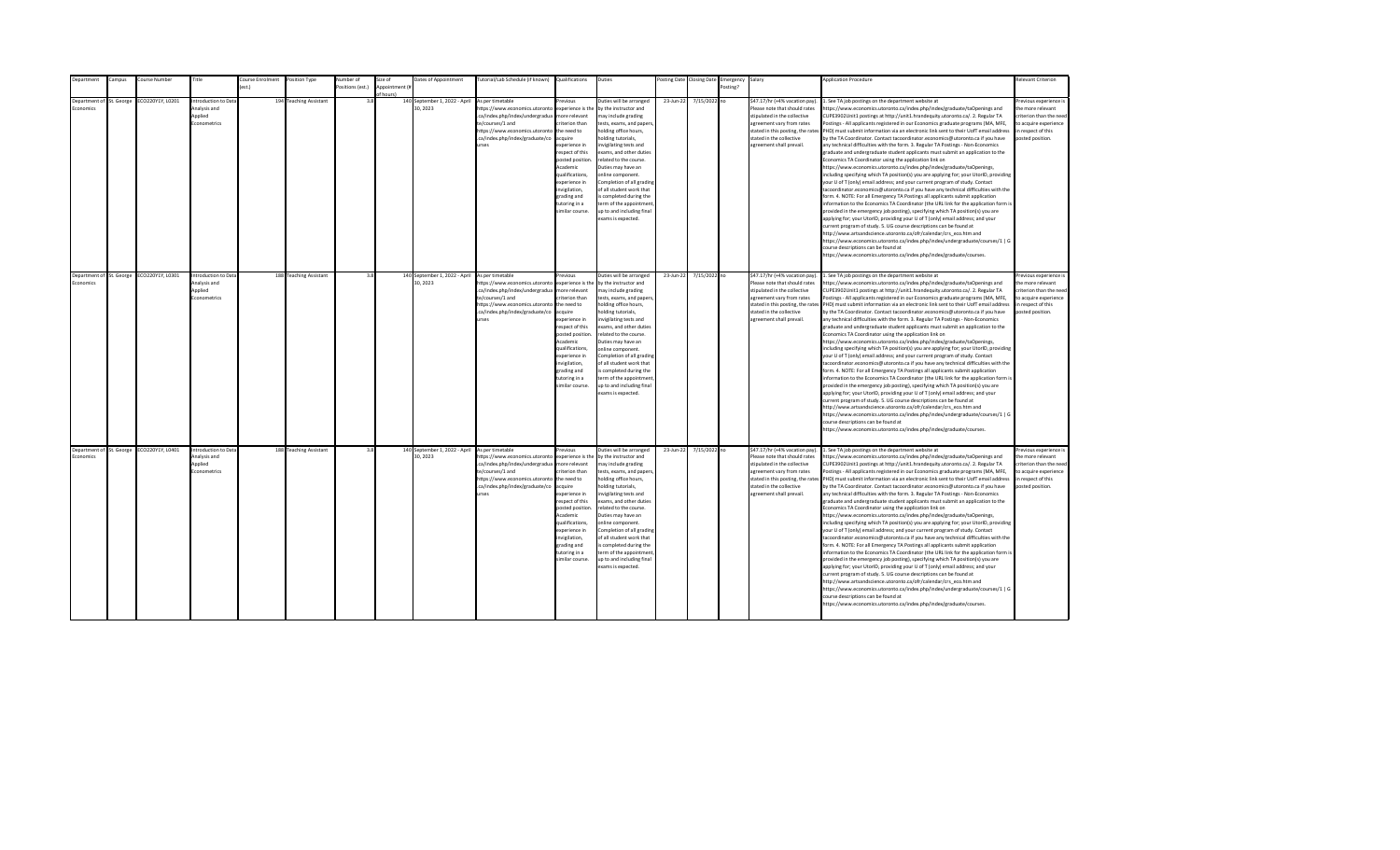| epartment                | ampus | Course Number                             | Title                | ourse Enrolment  | Position Type          | Number of        | Size of        | Dates of Appointment                     | [utorial/Lab Schedule (if known)                                  | Qualifications         | Duties                                             |           | osting Date Closing Date | Emergency | Salary                            | <b>Application Procedure</b>                                                                                                                                                                             | Relevant Criterion                         |
|--------------------------|-------|-------------------------------------------|----------------------|------------------|------------------------|------------------|----------------|------------------------------------------|-------------------------------------------------------------------|------------------------|----------------------------------------------------|-----------|--------------------------|-----------|-----------------------------------|----------------------------------------------------------------------------------------------------------------------------------------------------------------------------------------------------------|--------------------------------------------|
|                          |       |                                           |                      | $o$ ct $\lambda$ |                        | Positions (est.) | Appointment (i |                                          |                                                                   |                        |                                                    |           |                          | Posting?  |                                   |                                                                                                                                                                                                          |                                            |
| Department of St. George |       |                                           | Introduction to Data |                  |                        | 3.8              | f hours)       |                                          | As per timetable                                                  | revinus                |                                                    |           |                          |           | \$47.17/hr (+4% vacation pay).    |                                                                                                                                                                                                          |                                            |
| <b>conomics</b>          |       | CO220Y1Y, L0201                           | hns zizvlenA         |                  | 194 Teaching Assistant |                  |                | 140 September 1, 2022 - April<br>30.2023 | https://www.economics.utoronto                                    | experience is the      | Duties will be arranged<br>by the instructor and   | 23-Jun-22 | 7/15/2022 no             |           | Please note that should rates     | . See TA job postings on the department website at<br>https://www.economics.utoronto.ca/index.php/index/graduate/taOpenings and                                                                          | Previous experience i<br>the more relevant |
|                          |       |                                           | Applied              |                  |                        |                  |                |                                          | .ca/index.php/index/undergradua                                   | more relevant          | may include grading                                |           |                          |           | stipulated in the collective      | CUPE3902Unit1 postings at http://unit1.hrandequity.utoronto.ca/. 2. Regular TA                                                                                                                           | criterion than the need                    |
|                          |       |                                           | Econometrics         |                  |                        |                  |                |                                          | te/courses/1 and                                                  | riterion than          |                                                    |           |                          |           | agreement vary from rates         | Postings - All applicants registered in our Economics graduate programs (MA, MFE,                                                                                                                        | to acquire experience                      |
|                          |       |                                           |                      |                  |                        |                  |                |                                          | https://www.economics.utoronto                                    | the need to            | tests, exams, and papers,<br>holding office hours, |           |                          |           | stated in this posting, the rates | PHD) must submit information via an electronic link sent to their UofT email address                                                                                                                     | in respect of this                         |
|                          |       |                                           |                      |                  |                        |                  |                |                                          | .ca/index.php/index/graduate/co                                   | acquire                | nolding tutorials,                                 |           |                          |           | stated in the collective          | by the TA Coordinator. Contact tacoordinator.economics@utoronto.ca if you have                                                                                                                           | posted position.                           |
|                          |       |                                           |                      |                  |                        |                  |                |                                          | <b>Print</b>                                                      | experience in          | nvigilating tests and                              |           |                          |           | agreement shall prevail.          | any technical difficulties with the form. 3. Regular TA Postings - Non-Economics                                                                                                                         |                                            |
|                          |       |                                           |                      |                  |                        |                  |                |                                          |                                                                   | respect of this        | exams, and other duties                            |           |                          |           |                                   | graduate and undergraduate student applicants must submit an application to the                                                                                                                          |                                            |
|                          |       |                                           |                      |                  |                        |                  |                |                                          |                                                                   | posted position.       | related to the course.                             |           |                          |           |                                   | Economics TA Coordinator using the application link on                                                                                                                                                   |                                            |
|                          |       |                                           |                      |                  |                        |                  |                |                                          |                                                                   | Academic               | Duties may have an                                 |           |                          |           |                                   | https://www.economics.utoronto.ca/index.php/index/graduate/taOpenings,                                                                                                                                   |                                            |
|                          |       |                                           |                      |                  |                        |                  |                |                                          |                                                                   | qualifications,        | online component.                                  |           |                          |           |                                   | including specifying which TA position(s) you are applying for; your UtorID, providing                                                                                                                   |                                            |
|                          |       |                                           |                      |                  |                        |                  |                |                                          |                                                                   | experience in          | Completion of all grading                          |           |                          |           |                                   | your U of T (only) email address; and your current program of study. Contact                                                                                                                             |                                            |
|                          |       |                                           |                      |                  |                        |                  |                |                                          |                                                                   | nvigilation,           | of all student work that                           |           |                          |           |                                   | tacoordinator.economics@utoronto.ca if you have any technical difficulties with the                                                                                                                      |                                            |
|                          |       |                                           |                      |                  |                        |                  |                |                                          |                                                                   | grading and            | s completed during the                             |           |                          |           |                                   | form. 4. NOTE: For all Emergency TA Postings all applicants submit application                                                                                                                           |                                            |
|                          |       |                                           |                      |                  |                        |                  |                |                                          |                                                                   | tutoring in a          | term of the appointment                            |           |                          |           |                                   | information to the Economics TA Coordinator (the URL link for the application form is                                                                                                                    |                                            |
|                          |       |                                           |                      |                  |                        |                  |                |                                          |                                                                   | imilar course.         | up to and including final                          |           |                          |           |                                   | provided in the emergency job posting), specifying which TA position(s) you are                                                                                                                          |                                            |
|                          |       |                                           |                      |                  |                        |                  |                |                                          |                                                                   |                        | exams is expected.                                 |           |                          |           |                                   | applying for; your UtorID, providing your U of T (only) email address; and your                                                                                                                          |                                            |
|                          |       |                                           |                      |                  |                        |                  |                |                                          |                                                                   |                        |                                                    |           |                          |           |                                   | current program of study. 5. UG course descriptions can be found at                                                                                                                                      |                                            |
|                          |       |                                           |                      |                  |                        |                  |                |                                          |                                                                   |                        |                                                    |           |                          |           |                                   | http://www.artsandscience.utoronto.ca/ofr/calendar/crs eco.htm and                                                                                                                                       |                                            |
|                          |       |                                           |                      |                  |                        |                  |                |                                          |                                                                   |                        |                                                    |           |                          |           |                                   | https://www.economics.utoronto.ca/index.php/index/undergraduate/courses/1   G                                                                                                                            |                                            |
|                          |       |                                           |                      |                  |                        |                  |                |                                          |                                                                   |                        |                                                    |           |                          |           |                                   | course descriptions can be found at                                                                                                                                                                      |                                            |
|                          |       |                                           |                      |                  |                        |                  |                |                                          |                                                                   |                        |                                                    |           |                          |           |                                   | https://www.economics.utoronto.ca/index.php/index/graduate/courses.                                                                                                                                      |                                            |
|                          |       |                                           |                      |                  |                        |                  |                |                                          |                                                                   |                        |                                                    |           |                          |           |                                   |                                                                                                                                                                                                          |                                            |
|                          |       |                                           |                      |                  |                        |                  |                |                                          |                                                                   |                        |                                                    |           |                          |           |                                   |                                                                                                                                                                                                          |                                            |
| Department of St. George |       | ECO220Y1Y, L0301                          | Introduction to Data |                  | 188 Teaching Assistant | 3.8              |                | 140 September 1, 2022 - April            | As per timetable                                                  | revious                | Duties will be arranged                            | 23-Jun-22 | 7/15/2022 no             |           | \$47.17/hr (+4% vacation pay).    | 1. See TA job postings on the department website at                                                                                                                                                      | Previous experience i                      |
| Economics                |       |                                           | Analysis and         |                  |                        |                  |                | 30, 2023                                 | https://www.economics.utoronto                                    | experience is the      | by the instructor and                              |           |                          |           | Please note that should rates     | https://www.economics.utoronto.ca/index.php/index/graduate/taOpenings and                                                                                                                                | the more relevant                          |
|                          |       |                                           | Applied              |                  |                        |                  |                |                                          | .ca/index.php/index/undergradua                                   | more relevant          | may include grading                                |           |                          |           | stipulated in the collective      | CUPE3902Unit1 postings at http://unit1.hrandequity.utoronto.ca/. 2. Regular TA                                                                                                                           | criterion than the need                    |
|                          |       |                                           | Econometrics         |                  |                        |                  |                |                                          | te/courses/1 and                                                  | riterion than          | tests, exams, and papers,                          |           |                          |           | agreement vary from rates         | Postings - All applicants registered in our Economics graduate programs (MA, MFE,                                                                                                                        | to acquire experience                      |
|                          |       |                                           |                      |                  |                        |                  |                |                                          | https://www.economics.utoronto<br>.ca/index.php/index/graduate/co | the need to<br>acquire | holding office hours,<br>nolding tutorials,        |           |                          |           | stated in the collective          | stated in this posting, the rates PHD) must submit information via an electronic link sent to their UofT email address<br>by the TA Coordinator. Contact tacoordinator.economics@utoronto.ca if you have | in respect of this<br>posted position.     |
|                          |       |                                           |                      |                  |                        |                  |                |                                          | <b>urses</b>                                                      | experience in          | nvigilating tests and                              |           |                          |           | agreement shall prevail.          | any technical difficulties with the form. 3. Regular TA Postings - Non-Economics                                                                                                                         |                                            |
|                          |       |                                           |                      |                  |                        |                  |                |                                          |                                                                   | resnect of this        | exams, and other duties                            |           |                          |           |                                   | eraduate and undergraduate student applicants must submit an application to the                                                                                                                          |                                            |
|                          |       |                                           |                      |                  |                        |                  |                |                                          |                                                                   | posted position        | related to the course.                             |           |                          |           |                                   | Economics TA Coordinator using the application link on                                                                                                                                                   |                                            |
|                          |       |                                           |                      |                  |                        |                  |                |                                          |                                                                   | Academic               | Duties may have an                                 |           |                          |           |                                   | https://www.economics.utoronto.ca/index.php/index/graduate/taOpenings,                                                                                                                                   |                                            |
|                          |       |                                           |                      |                  |                        |                  |                |                                          |                                                                   | qualifications.        | online component.                                  |           |                          |           |                                   | including specifying which TA position(s) you are applying for; your UtorID, providing                                                                                                                   |                                            |
|                          |       |                                           |                      |                  |                        |                  |                |                                          |                                                                   | experience in          | Completion of all grading                          |           |                          |           |                                   | your U of T (only) email address; and your current program of study. Contact                                                                                                                             |                                            |
|                          |       |                                           |                      |                  |                        |                  |                |                                          |                                                                   | invigilation,          | of all student work that                           |           |                          |           |                                   | tacoordinator.economics@utoronto.ca if you have any technical difficulties with the                                                                                                                      |                                            |
|                          |       |                                           |                      |                  |                        |                  |                |                                          |                                                                   | grading and            | is completed during the                            |           |                          |           |                                   | form. 4. NOTE: For all Emergency TA Postings all applicants submit application                                                                                                                           |                                            |
|                          |       |                                           |                      |                  |                        |                  |                |                                          |                                                                   | tutoring in a          | term of the appointment                            |           |                          |           |                                   | information to the Economics TA Coordinator (the URL link for the application form is                                                                                                                    |                                            |
|                          |       |                                           |                      |                  |                        |                  |                |                                          |                                                                   | similar course.        | up to and including final                          |           |                          |           |                                   | provided in the emergency job posting), specifying which TA position(s) you are                                                                                                                          |                                            |
|                          |       |                                           |                      |                  |                        |                  |                |                                          |                                                                   |                        | exams is expected.                                 |           |                          |           |                                   | applying for; your UtorID, providing your U of T (only) email address; and your                                                                                                                          |                                            |
|                          |       |                                           |                      |                  |                        |                  |                |                                          |                                                                   |                        |                                                    |           |                          |           |                                   | current program of study. 5. UG course descriptions can be found at                                                                                                                                      |                                            |
|                          |       |                                           |                      |                  |                        |                  |                |                                          |                                                                   |                        |                                                    |           |                          |           |                                   | http://www.artsandscience.utoronto.ca/ofr/calendar/crs_eco.htm and                                                                                                                                       |                                            |
|                          |       |                                           |                      |                  |                        |                  |                |                                          |                                                                   |                        |                                                    |           |                          |           |                                   | https://www.economics.utoronto.ca/index.php/index/undergraduate/courses/1   G                                                                                                                            |                                            |
|                          |       |                                           |                      |                  |                        |                  |                |                                          |                                                                   |                        |                                                    |           |                          |           |                                   | course descriptions can be found at                                                                                                                                                                      |                                            |
|                          |       |                                           |                      |                  |                        |                  |                |                                          |                                                                   |                        |                                                    |           |                          |           |                                   | https://www.economics.utoronto.ca/index.php/index/graduate/courses.                                                                                                                                      |                                            |
|                          |       |                                           |                      |                  |                        |                  |                |                                          |                                                                   |                        |                                                    |           |                          |           |                                   |                                                                                                                                                                                                          |                                            |
|                          |       | Department of St. George ECO220Y1Y, L0401 | Introduction to Data |                  | 188 Teaching Assistant | 3.8              |                | 140 September 1, 2022 - April            | As per timetable                                                  | revious                | Outies will be arranged                            | 23-Jun-22 | 7/15/2022 no             |           | \$47.17/hr (+4% vacation pay).    | 1. See TA job postings on the department website at                                                                                                                                                      | revious experience i                       |
| Economics                |       |                                           | Analysis and         |                  |                        |                  |                | 30.2023                                  | https://www.economics.utoronto                                    | experience is the      | by the instructor and                              |           |                          |           | Please note that should rates     | https://www.economics.utoronto.ca/index.php/index/graduate/taOpenings and                                                                                                                                | the more relevant                          |
|                          |       |                                           | Applied              |                  |                        |                  |                |                                          | .ca/index.php/index/undergradua                                   | more relevant          | may include grading                                |           |                          |           | stipulated in the collective      | CUPE3902Unit1 postings at http://unit1.hrandequity.utoronto.ca/. 2. Regular TA                                                                                                                           | criterion than the need                    |
|                          |       |                                           | Econometrics         |                  |                        |                  |                |                                          | te/courses/1 and                                                  | riterion than          | tests, exams, and papers,                          |           |                          |           | agreement vary from rates         | Postings - All applicants registered in our Economics graduate programs (MA, MFE,                                                                                                                        | to acquire experience                      |
|                          |       |                                           |                      |                  |                        |                  |                |                                          | https://www.economics.utoronto                                    | the need to            | holding office hours,                              |           |                          |           |                                   | stated in this posting, the rates PHD) must submit information via an electronic link sent to their UofT email address                                                                                   | in respect of this                         |
|                          |       |                                           |                      |                  |                        |                  |                |                                          | .ca/index.php/index/graduate/co                                   | acquire                | nolding tutorials,                                 |           |                          |           | stated in the collective          | by the TA Coordinator. Contact tacoordinator.economics@utoronto.ca if you have                                                                                                                           | posted position.                           |
|                          |       |                                           |                      |                  |                        |                  |                |                                          | urses                                                             | experience in          | nvigilating tests and                              |           |                          |           | agreement shall prevail.          | any technical difficulties with the form. 3. Regular TA Postings - Non-Economics                                                                                                                         |                                            |
|                          |       |                                           |                      |                  |                        |                  |                |                                          |                                                                   | respect of this        | exams, and other duties                            |           |                          |           |                                   | graduate and undergraduate student applicants must submit an application to the                                                                                                                          |                                            |
|                          |       |                                           |                      |                  |                        |                  |                |                                          |                                                                   | posted position        | related to the course.                             |           |                          |           |                                   | Economics TA Coordinator using the application link on                                                                                                                                                   |                                            |
|                          |       |                                           |                      |                  |                        |                  |                |                                          |                                                                   | Academic               | Duties may have an                                 |           |                          |           |                                   | https://www.economics.utoronto.ca/index.php/index/graduate/taOpenings,                                                                                                                                   |                                            |
|                          |       |                                           |                      |                  |                        |                  |                |                                          |                                                                   | qualifications,        | online component.                                  |           |                          |           |                                   | including specifying which TA position(s) you are applying for; your UtorID, providing                                                                                                                   |                                            |
|                          |       |                                           |                      |                  |                        |                  |                |                                          |                                                                   | experience in          | Completion of all grading                          |           |                          |           |                                   | your U of T (only) email address; and your current program of study. Contact                                                                                                                             |                                            |
|                          |       |                                           |                      |                  |                        |                  |                |                                          |                                                                   | invigilation,          | of all student work that                           |           |                          |           |                                   | tacoordinator.economics@utoronto.ca if you have any technical difficulties with the                                                                                                                      |                                            |
|                          |       |                                           |                      |                  |                        |                  |                |                                          |                                                                   | grading and            | is completed during the                            |           |                          |           |                                   | form. 4. NOTE: For all Emergency TA Postings all applicants submit application                                                                                                                           |                                            |
|                          |       |                                           |                      |                  |                        |                  |                |                                          |                                                                   | tutoring in a          | term of the appointment                            |           |                          |           |                                   | information to the Economics TA Coordinator (the URL link for the application form is                                                                                                                    |                                            |
|                          |       |                                           |                      |                  |                        |                  |                |                                          |                                                                   | imilar course.         | up to and including final                          |           |                          |           |                                   | provided in the emergency job posting), specifying which TA position(s) you are                                                                                                                          |                                            |
|                          |       |                                           |                      |                  |                        |                  |                |                                          |                                                                   |                        | exams is expected.                                 |           |                          |           |                                   | applying for; your UtorID, providing your U of T (only) email address; and your                                                                                                                          |                                            |
|                          |       |                                           |                      |                  |                        |                  |                |                                          |                                                                   |                        |                                                    |           |                          |           |                                   | current program of study. 5. UG course descriptions can be found at                                                                                                                                      |                                            |
|                          |       |                                           |                      |                  |                        |                  |                |                                          |                                                                   |                        |                                                    |           |                          |           |                                   | http://www.artsandscience.utoronto.ca/ofr/calendar/crs_eco.htm and                                                                                                                                       |                                            |
|                          |       |                                           |                      |                  |                        |                  |                |                                          |                                                                   |                        |                                                    |           |                          |           |                                   | https://www.economics.utoronto.ca/index.php/index/undergraduate/courses/1   G<br>course descriptions can be found at                                                                                     |                                            |
|                          |       |                                           |                      |                  |                        |                  |                |                                          |                                                                   |                        |                                                    |           |                          |           |                                   |                                                                                                                                                                                                          |                                            |
|                          |       |                                           |                      |                  |                        |                  |                |                                          |                                                                   |                        |                                                    |           |                          |           |                                   | https://www.economics.utoronto.ca/index.php/index/graduate/courses.                                                                                                                                      |                                            |
|                          |       |                                           |                      |                  |                        |                  |                |                                          |                                                                   |                        |                                                    |           |                          |           |                                   |                                                                                                                                                                                                          |                                            |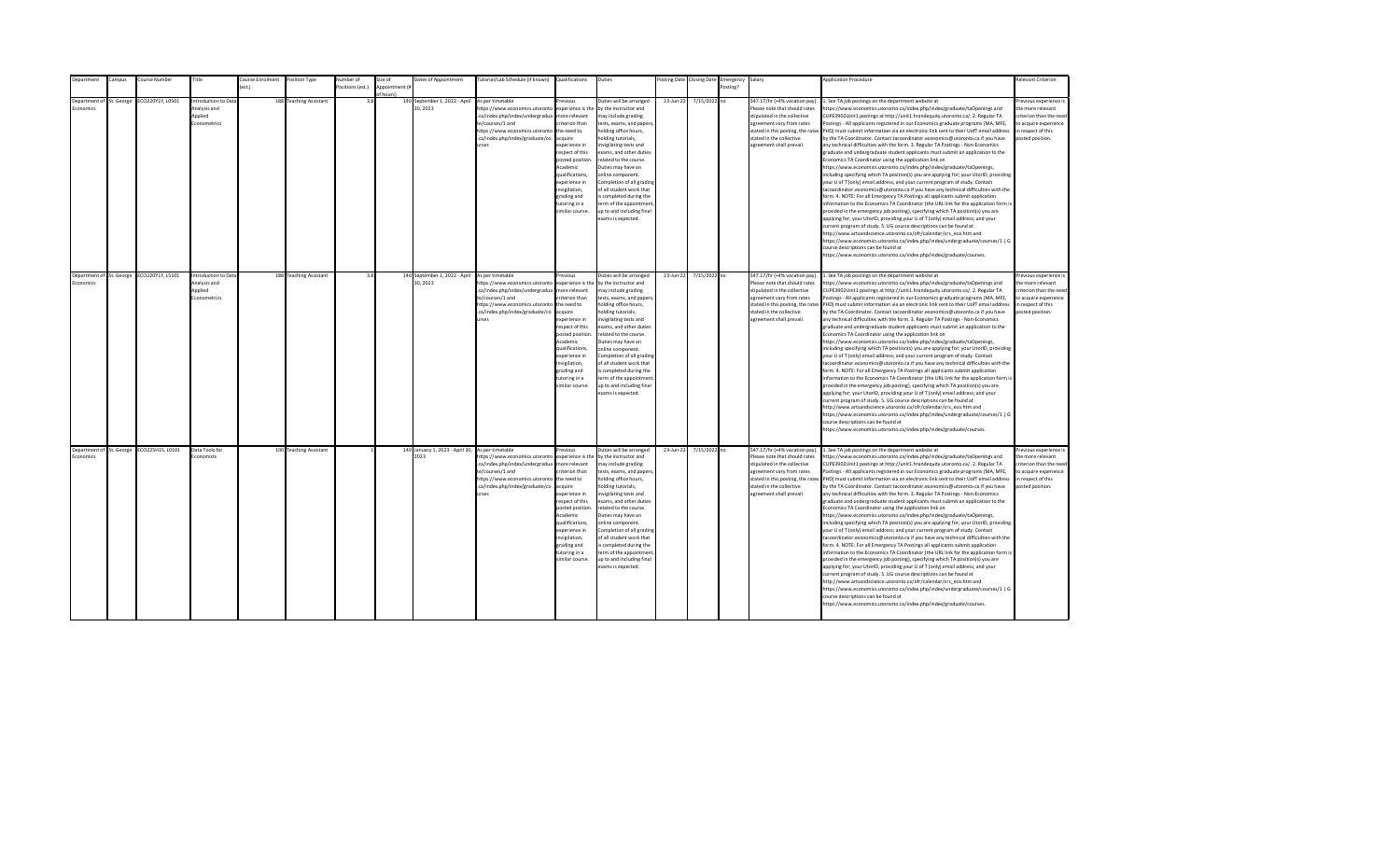| Department                            | Campus | Course Number                             | Title                                                                 | Course Enrolment | Position Type          | Number of        | Size of        | Dates of Appointment                                     | Tutorial/Lab Schedule (if known) Qualifications                                                                                                                                                |                                                                                                                                                                                                                                                                    | Duties                                                                                                                                                                                                                                                                                                                                                                                                                                         |           | Posting Date Closing Date | Emergency Salary |                                                                                                                                                                                                                           | <b>Application Procedure</b>                                                                                                                                                                                                                                                                                                                                                                                                                                                                                                                                                                                                                                                                                                                                                                                                                                                                                                                                                                                                                                                                                                                                                                                                                                                                                                                                                                                                                                                                                                                                                                                                                                                                                                                               | <b>Relevant Criterion</b>                                                                                                                |
|---------------------------------------|--------|-------------------------------------------|-----------------------------------------------------------------------|------------------|------------------------|------------------|----------------|----------------------------------------------------------|------------------------------------------------------------------------------------------------------------------------------------------------------------------------------------------------|--------------------------------------------------------------------------------------------------------------------------------------------------------------------------------------------------------------------------------------------------------------------|------------------------------------------------------------------------------------------------------------------------------------------------------------------------------------------------------------------------------------------------------------------------------------------------------------------------------------------------------------------------------------------------------------------------------------------------|-----------|---------------------------|------------------|---------------------------------------------------------------------------------------------------------------------------------------------------------------------------------------------------------------------------|------------------------------------------------------------------------------------------------------------------------------------------------------------------------------------------------------------------------------------------------------------------------------------------------------------------------------------------------------------------------------------------------------------------------------------------------------------------------------------------------------------------------------------------------------------------------------------------------------------------------------------------------------------------------------------------------------------------------------------------------------------------------------------------------------------------------------------------------------------------------------------------------------------------------------------------------------------------------------------------------------------------------------------------------------------------------------------------------------------------------------------------------------------------------------------------------------------------------------------------------------------------------------------------------------------------------------------------------------------------------------------------------------------------------------------------------------------------------------------------------------------------------------------------------------------------------------------------------------------------------------------------------------------------------------------------------------------------------------------------------------------|------------------------------------------------------------------------------------------------------------------------------------------|
|                                       |        |                                           |                                                                       |                  |                        | Positions (est.) | Appointment (i |                                                          |                                                                                                                                                                                                |                                                                                                                                                                                                                                                                    |                                                                                                                                                                                                                                                                                                                                                                                                                                                |           |                           | Posting?         |                                                                                                                                                                                                                           |                                                                                                                                                                                                                                                                                                                                                                                                                                                                                                                                                                                                                                                                                                                                                                                                                                                                                                                                                                                                                                                                                                                                                                                                                                                                                                                                                                                                                                                                                                                                                                                                                                                                                                                                                            |                                                                                                                                          |
| Department of St. George<br>conomics  |        | ECO220Y1Y, L0501                          | <b>Introduction to Data</b><br>Analysis and<br>Applied<br>conometrics |                  | 188 Teaching Assistant | 3.8              | f hours)       | 140 September 1, 2022 - April<br>30, 2023                | As per timetable<br>https://www.economics.utoronto<br>.ca/index.php/index/undergradua<br>te/courses/1 and<br>https://www.economics.utoronto<br>.ca/index.php/index/graduate/co<br><b>urses</b> | revious<br>experience is the<br>nore relevant<br>riterion than<br>the need to<br>cquire<br>xperience in<br>espect of this<br>posted position<br>Academic<br>ualifications,<br>xperience in<br>nvigilation,<br>trading and<br>utoring in a<br>imilar course.        | Duties will be arranged<br>by the instructor and<br>nay include grading<br>tests, exams, and papers<br>nolding office hours,<br>olding tutorials,<br>nvigilating tests and<br>exams, and other duties<br>elated to the course.<br>Duties may have an<br>online component.<br>Completion of all grading<br>of all student work that<br>s completed during the<br>term of the appointment<br>up to and including final<br>exams is expected.     | 23-Jun-22 | 7/15/2022 no              |                  | \$47.17/hr (+4% vacation pay).<br>Please note that should rates<br>stipulated in the collective<br>agreement vary from rates<br>stated in this posting, the rates<br>stated in the collective<br>agreement shall prevail. | 1. See TA job postings on the department website at<br>https://www.economics.utoronto.ca/index.php/index/graduate/taOpenings and<br>CUPE3902Unit1 postings at http://unit1.hrandequity.utoronto.ca/. 2. Regular TA<br>Postings - All applicants registered in our Economics graduate programs (MA, MFE,<br>PHD) must submit information via an electronic link sent to their UofT email address<br>by the TA Coordinator. Contact tacoordinator.economics@utoronto.ca if you have<br>any technical difficulties with the form. 3. Regular TA Postings - Non-Economics<br>graduate and undergraduate student applicants must submit an application to the<br>Economics TA Coordinator using the application link on<br>https://www.economics.utoronto.ca/index.php/index/graduate/taOpenings,<br>including specifying which TA position(s) you are applying for; your UtorID, providing<br>your U of T (only) email address; and your current program of study. Contact<br>tacoordinator.economics@utoronto.ca if you have any technical difficulties with the<br>form. 4. NOTE: For all Emergency TA Postings all applicants submit application<br>information to the Economics TA Coordinator (the URL link for the application form is<br>provided in the emergency job posting), specifying which TA position(s) you are<br>applying for; your UtorID, providing your U of T (only) email address; and your<br>current program of study. 5. UG course descriptions can be found at<br>http://www.artsandscience.utoronto.ca/ofr/calendar/crs eco.htm and<br>https://www.economics.utoronto.ca/index.php/index/undergraduate/courses/1   G<br>course descriptions can be found at<br>https://www.economics.utoronto.ca/index.php/index/graduate/courses. | revious experience i<br>the more relevant<br>riterion than the need<br>to acquire experience<br>in respect of this<br>posted position.   |
| Department of St. George<br>Economics |        | ECO220Y1Y, L5101                          | Introduction to Data<br>Analysis and<br>Applied<br>Econometrics       |                  | 188 Teaching Assistant | 3.8              |                | 140 September 1, 2022 - April<br>30.2023                 | As per timetable<br>https://www.economics.utoronto<br>.ca/index.php/index/undergradua<br>te/courses/1 and<br>https://www.economics.utoronto<br>.ca/index.php/index/graduate/co<br><b>IFSPS</b> | revious<br>experience is the<br>more relevant<br>riterion than<br>the need to<br>acquire<br>xnerience in<br>espect of this<br>posted position<br>Academic<br>qualifications,<br>experience in<br>nvigilation,<br>grading and<br>tutoring in a<br>imilar course.    | Duties will be arranged<br>by the instructor and<br>may include grading<br>tests, exams, and papers,<br>holding office hours,<br>nolding tutorials,<br>nvigilating tests and<br>exams, and other duties<br>related to the course.<br>Duties may have an<br>online component.<br>Completion of all grading<br>of all student work that<br>is completed during the<br>term of the appointment<br>up to and including final<br>exams is expected. | 23-Jun-22 | 7/15/2022 no              |                  | \$47.17/hr (+4% vacation pay).<br>Please note that should rates<br>stipulated in the collective<br>agreement vary from rates<br>stated in this posting, the rates<br>stated in the collective<br>agreement shall prevail. | 1. See TA job postings on the department website at<br>https://www.economics.utoronto.ca/index.php/index/graduate/taOpenings and<br>CUPE3902Unit1 postings at http://unit1.hrandequity.utoronto.ca/, 2. Regular TA<br>Postings - All applicants registered in our Economics graduate programs (MA, MFE.<br>PHD) must submit information via an electronic link sent to their UofT email address<br>by the TA Coordinator. Contact tacoordinator.economics@utoronto.ca if you have<br>any technical difficulties with the form. 3. Regular TA Postings - Non-Economics<br>graduate and undergraduate student applicants must submit an application to the<br>Economics TA Coordinator using the application link on<br>https://www.economics.utoronto.ca/index.php/index/graduate/taOpenings,<br>including specifying which TA position(s) you are applying for; your UtorID, providing<br>your U of T (only) email address; and your current program of study. Contact<br>tacoordinator.economics@utoronto.ca if you have any technical difficulties with the<br>form. 4. NOTE: For all Emergency TA Postings all applicants submit application<br>information to the Economics TA Coordinator (the URL link for the application form is<br>provided in the emergency job posting), specifying which TA position(s) you are<br>applying for; your UtorID, providing your U of T (only) email address; and your<br>current program of study. 5. UG course descriptions can be found at<br>http://www.artsandscience.utoronto.ca/ofr/calendar/crs_eco.htm and<br>https://www.economics.utoronto.ca/index.php/index/undergraduate/courses/1   G<br>course descriptions can be found at<br>https://www.economics.utoronto.ca/index.php/index/graduate/courses. | Previous experience i<br>the more relevant<br>criterion than the need<br>to acquire experience<br>in respect of this<br>posted position. |
| Economics                             |        | Department of St. George ECO225H1S, L0101 | Data Tools for<br>Economists                                          |                  | 100 Teaching Assistant |                  |                | 140 January 1, 2023 - April 30, As per timetable<br>2023 | https://www.economics.utoronto<br>.ca/index.php/index/undergradua<br>te/courses/1 and<br>https://www.economics.utoronto<br>.ca/index.php/index/graduate/co<br>urses                            | revious<br>experience is the<br>more relevant<br>riterion than<br>the need to<br>acquire<br>experience in<br>respect of this<br>posted position<br>Academic<br>qualifications,<br>experience in<br>invigilation,<br>grading and<br>tutoring in a<br>imilar course. | Duties will be arranged<br>by the instructor and<br>may include grading<br>tests, exams, and papers,<br>holding office hours,<br>nolding tutorials,<br>nvigilating tests and<br>exams, and other duties<br>related to the course.<br>Duties may have an<br>online component.<br>Completion of all grading<br>of all student work that<br>is completed during the<br>term of the appointment<br>up to and including final<br>exams is expected. | 23-Jun-22 | 7/15/2022 no              |                  | \$47.17/hr (+4% vacation pay).<br>Please note that should rates<br>stipulated in the collective<br>agreement vary from rates<br>stated in this posting, the rates<br>stated in the collective<br>agreement shall prevail. | 1. See TA job postings on the department website at<br>https://www.economics.utoronto.ca/index.php/index/graduate/taOpenings and<br>CUPE3902Unit1 postings at http://unit1.hrandequity.utoronto.ca/. 2. Regular TA<br>Postings - All applicants registered in our Economics graduate programs (MA, MFE,<br>PHD) must submit information via an electronic link sent to their UofT email address<br>by the TA Coordinator. Contact tacoordinator.economics@utoronto.ca if you have<br>any technical difficulties with the form. 3. Regular TA Postings - Non-Economics<br>graduate and undergraduate student applicants must submit an application to the<br>Economics TA Coordinator using the application link on<br>https://www.economics.utoronto.ca/index.php/index/graduate/taOpenings,<br>including specifying which TA position(s) you are applying for; your UtorID, providing<br>your U of T (only) email address: and your current program of study. Contact<br>tacoordinator.economics@utoronto.ca if you have any technical difficulties with the<br>form. 4. NOTE: For all Emergency TA Postings all applicants submit application<br>information to the Economics TA Coordinator (the URL link for the application form is<br>provided in the emergency job posting), specifying which TA position(s) you are<br>applying for; your UtorID, providing your U of T (only) email address; and your<br>current program of study. 5. UG course descriptions can be found at<br>http://www.artsandscience.utoronto.ca/ofr/calendar/crs_eco.htm and<br>https://www.economics.utoronto.ca/index.php/index/undergraduate/courses/1   G<br>course descriptions can be found at<br>https://www.economics.utoronto.ca/index.php/index/graduate/courses. | Previous experience i<br>the more relevant<br>criterion than the need<br>to acquire experience<br>in respect of this<br>posted position. |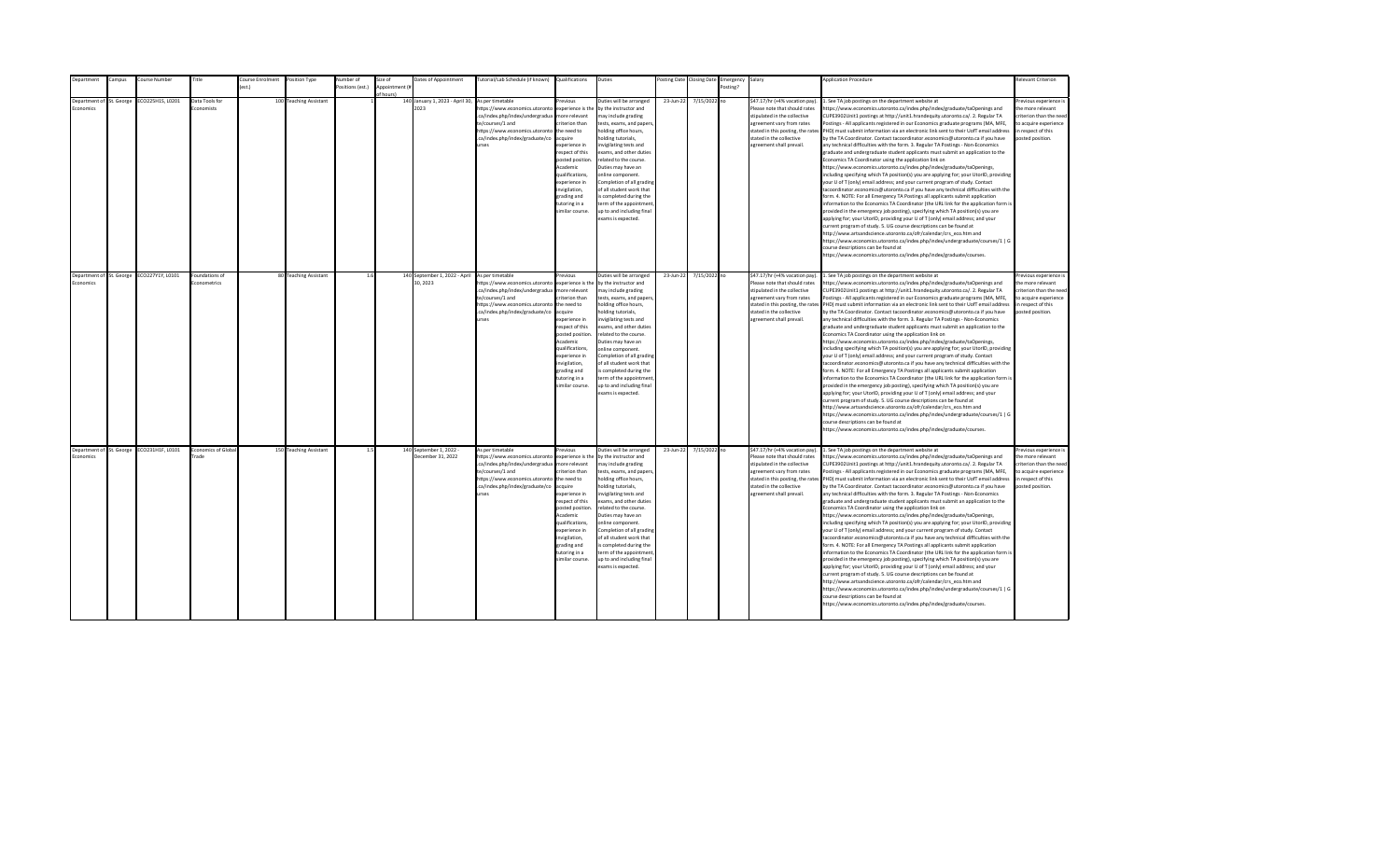| Department                                                       | Campus | Course Number                             | Title                                         | Course Enrolment | Position Type                                   | Number of        | Size of        | Dates of Appointment                                                     | Tutorial/Lab Schedule (if known) Qualifications                                                                                                                                                                   |                                                                                                                                                                                                                                                                        | Duties                                                                                                                                                                                                                                                                                                                                                                                                                                                                |                        | Posting Date Closing Date    | Emergency Salary |                                                                                                                                                                                                                                                             | <b>Application Procedure</b>                                                                                                                                                                                                                                                                                                                                                                                                                                                                                                                                                                                                                                                                                                                                                                                                                                                                                                                                                                                                                                                                                                                                                                                                                                                                                                                                                                                                                                                                                                                                                                                                                                                                                                                                                                                      | <b>Relevant Criterion</b>                                                                                                                                       |
|------------------------------------------------------------------|--------|-------------------------------------------|-----------------------------------------------|------------------|-------------------------------------------------|------------------|----------------|--------------------------------------------------------------------------|-------------------------------------------------------------------------------------------------------------------------------------------------------------------------------------------------------------------|------------------------------------------------------------------------------------------------------------------------------------------------------------------------------------------------------------------------------------------------------------------------|-----------------------------------------------------------------------------------------------------------------------------------------------------------------------------------------------------------------------------------------------------------------------------------------------------------------------------------------------------------------------------------------------------------------------------------------------------------------------|------------------------|------------------------------|------------------|-------------------------------------------------------------------------------------------------------------------------------------------------------------------------------------------------------------------------------------------------------------|-------------------------------------------------------------------------------------------------------------------------------------------------------------------------------------------------------------------------------------------------------------------------------------------------------------------------------------------------------------------------------------------------------------------------------------------------------------------------------------------------------------------------------------------------------------------------------------------------------------------------------------------------------------------------------------------------------------------------------------------------------------------------------------------------------------------------------------------------------------------------------------------------------------------------------------------------------------------------------------------------------------------------------------------------------------------------------------------------------------------------------------------------------------------------------------------------------------------------------------------------------------------------------------------------------------------------------------------------------------------------------------------------------------------------------------------------------------------------------------------------------------------------------------------------------------------------------------------------------------------------------------------------------------------------------------------------------------------------------------------------------------------------------------------------------------------|-----------------------------------------------------------------------------------------------------------------------------------------------------------------|
|                                                                  |        |                                           |                                               | est.)            |                                                 | Positions (est.) | Appointment (i |                                                                          |                                                                                                                                                                                                                   |                                                                                                                                                                                                                                                                        |                                                                                                                                                                                                                                                                                                                                                                                                                                                                       |                        |                              | Posting?         |                                                                                                                                                                                                                                                             |                                                                                                                                                                                                                                                                                                                                                                                                                                                                                                                                                                                                                                                                                                                                                                                                                                                                                                                                                                                                                                                                                                                                                                                                                                                                                                                                                                                                                                                                                                                                                                                                                                                                                                                                                                                                                   |                                                                                                                                                                 |
| Department of St. George<br>conomics<br>Department of St. George |        | ECO225H1S, L0201<br>ECO227Y1Y, L0101      | Data Tools for<br>conomists<br>Foundations of |                  | 100 Teaching Assistant<br>80 Teaching Assistant | 1.6              | f hours)       | 140 January 1, 2023 - April 30,<br>2023<br>140 September 1, 2022 - April | As per timetable<br>ttps://www.economics.utoronto<br>.ca/index.php/index/undergradua<br>te/courses/1 and<br>https://www.economics.utoronto<br>.ca/index.php/index/graduate/co<br><b>urses</b><br>As per timetable | revious<br>experience is the<br>nore relevant<br>riterion than<br>the need to<br>cquire<br>xperience in<br>espect of this<br>posted position<br>Academic<br>ualifications,<br>xperience in<br>nvigilation,<br>trading and<br>utoring in a<br>imilar course.<br>revious | Duties will be arranged<br>by the instructor and<br>nay include grading<br>tests, exams, and papers<br>nolding office hours,<br>olding tutorials,<br>nvigilating tests and<br>exams, and other duties<br>elated to the course.<br>Duties may have an<br>online component.<br>Completion of all grading<br>of all student work that<br>s completed during the<br>term of the appointment<br>up to and including final<br>exams is expected.<br>Duties will be arranged | 23-Jun-22<br>23-Jun-22 | 7/15/2022 no<br>7/15/2022 no |                  | \$47.17/hr (+4% vacation pay).<br>Please note that should rates<br>stipulated in the collective<br>agreement vary from rates<br>stated in this posting, the rates<br>stated in the collective<br>agreement shall prevail.<br>\$47.17/hr (+4% vacation pay). | 1. See TA job postings on the department website at<br>https://www.economics.utoronto.ca/index.php/index/graduate/taOpenings and<br>CUPE3902Unit1 postings at http://unit1.hrandequity.utoronto.ca/. 2. Regular TA<br>Postings - All applicants registered in our Economics graduate programs (MA, MFE,<br>PHD) must submit information via an electronic link sent to their UofT email address<br>by the TA Coordinator. Contact tacoordinator.economics@utoronto.ca if you have<br>any technical difficulties with the form. 3. Regular TA Postings - Non-Economics<br>graduate and undergraduate student applicants must submit an application to the<br>Economics TA Coordinator using the application link on<br>https://www.economics.utoronto.ca/index.php/index/graduate/taOpenings,<br>including specifying which TA position(s) you are applying for; your UtorID, providing<br>your U of T (only) email address; and your current program of study. Contact<br>tacoordinator.economics@utoronto.ca if you have any technical difficulties with the<br>form. 4. NOTE: For all Emergency TA Postings all applicants submit application<br>information to the Economics TA Coordinator (the URL link for the application form is<br>provided in the emergency job posting), specifying which TA position(s) you are<br>applying for; your UtorID, providing your U of T (only) email address; and your<br>current program of study. 5. UG course descriptions can be found at<br>http://www.artsandscience.utoronto.ca/ofr/calendar/crs eco.htm and<br>https://www.economics.utoronto.ca/index.php/index/undergraduate/courses/1   G<br>course descriptions can be found at<br>https://www.economics.utoronto.ca/index.php/index/graduate/courses.<br>1. See TA job postings on the department website at | revious experience i<br>the more relevant<br>riterion than the need<br>to acquire experience<br>in respect of this<br>posted position.<br>Previous experience i |
| Economics                                                        |        |                                           | Econometrics                                  |                  |                                                 |                  |                | 30.2023                                                                  | https://www.economics.utoronto<br>.ca/index.php/index/undergradua<br>te/courses/1 and<br>https://www.economics.utoronto<br>.ca/index.php/index/graduate/co<br><b>IFSPS</b>                                        | experience is the<br>more relevant<br>riterion than<br>the need to<br>acquire<br>xnerience in<br>espect of this<br>posted position<br>Academic<br>qualifications,<br>experience in<br>nvigilation,<br>grading and<br>tutoring in a<br>imilar course.                   | by the instructor and<br>may include grading<br>tests, exams, and papers,<br>holding office hours,<br>nolding tutorials,<br>nvigilating tests and<br>exams, and other duties<br>related to the course.<br>Duties may have an<br>online component.<br>Completion of all grading<br>of all student work that<br>is completed during the<br>term of the appointment<br>up to and including final<br>exams is expected.                                                   |                        |                              |                  | Please note that should rates<br>stipulated in the collective<br>agreement vary from rates<br>stated in this posting, the rates<br>stated in the collective<br>agreement shall prevail.                                                                     | https://www.economics.utoronto.ca/index.php/index/graduate/taOpenings and<br>CUPE3902Unit1 postings at http://unit1.hrandequity.utoronto.ca/, 2. Regular TA<br>Postings - All applicants registered in our Economics graduate programs (MA, MFE.<br>PHD) must submit information via an electronic link sent to their UofT email address<br>by the TA Coordinator. Contact tacoordinator.economics@utoronto.ca if you have<br>any technical difficulties with the form. 3. Regular TA Postings - Non-Economics<br>graduate and undergraduate student applicants must submit an application to the<br>Economics TA Coordinator using the application link on<br>https://www.economics.utoronto.ca/index.php/index/graduate/taOpenings,<br>including specifying which TA position(s) you are applying for; your UtorID, providing<br>your U of T (only) email address; and your current program of study. Contact<br>tacoordinator.economics@utoronto.ca if you have any technical difficulties with the<br>form. 4. NOTE: For all Emergency TA Postings all applicants submit application<br>information to the Economics TA Coordinator (the URL link for the application form is<br>provided in the emergency job posting), specifying which TA position(s) you are<br>applying for; your UtorID, providing your U of T (only) email address; and your<br>current program of study. 5. UG course descriptions can be found at<br>http://www.artsandscience.utoronto.ca/ofr/calendar/crs_eco.htm and<br>https://www.economics.utoronto.ca/index.php/index/undergraduate/courses/1   G<br>course descriptions can be found at<br>https://www.economics.utoronto.ca/index.php/index/graduate/courses.                                                                                                               | the more relevant<br>criterion than the need<br>to acquire experience<br>in respect of this<br>posted position.                                                 |
| Economics                                                        |        | Department of St. George ECO231H1F, L0101 | <b>Economics of Global</b><br>Trade           |                  | 150 Teaching Assistant                          | 1.5              |                | 140 September 1, 2022 -<br>December 31, 2022                             | As per timetable<br>https://www.economics.utoronto<br>.ca/index.php/index/undergradua<br>te/courses/1 and<br>https://www.economics.utoronto<br>.ca/index.php/index/graduate/co<br>urses                           | revious<br>experience is the<br>more relevant<br>riterion than<br>the need to<br>acquire<br>experience in<br>respect of this<br>posted position<br>Academic<br>qualifications,<br>experience in<br>invigilation,<br>grading and<br>tutoring in a<br>imilar course.     | Duties will be arranged<br>by the instructor and<br>may include grading<br>tests, exams, and papers,<br>holding office hours,<br>nolding tutorials,<br>nvigilating tests and<br>exams, and other duties<br>related to the course.<br>Duties may have an<br>online component.<br>Completion of all grading<br>of all student work that<br>is completed during the<br>term of the appointment<br>up to and including final<br>exams is expected.                        | 23-Jun-22              | 7/15/2022 no                 |                  | \$47.17/hr (+4% vacation pay).<br>Please note that should rates<br>stipulated in the collective<br>agreement vary from rates<br>stated in this posting, the rates<br>stated in the collective<br>agreement shall prevail.                                   | 1. See TA job postings on the department website at<br>https://www.economics.utoronto.ca/index.php/index/graduate/taOpenings and<br>CUPE3902Unit1 postings at http://unit1.hrandequity.utoronto.ca/. 2. Regular TA<br>Postings - All applicants registered in our Economics graduate programs (MA, MFE,<br>PHD) must submit information via an electronic link sent to their UofT email address<br>by the TA Coordinator. Contact tacoordinator.economics@utoronto.ca if you have<br>any technical difficulties with the form. 3. Regular TA Postings - Non-Economics<br>graduate and undergraduate student applicants must submit an application to the<br>Economics TA Coordinator using the application link on<br>https://www.economics.utoronto.ca/index.php/index/graduate/taOpenings,<br>including specifying which TA position(s) you are applying for; your UtorID, providing<br>your U of T (only) email address; and your current program of study. Contact<br>tacoordinator.economics@utoronto.ca if you have any technical difficulties with the<br>form. 4. NOTE: For all Emergency TA Postings all applicants submit application<br>information to the Economics TA Coordinator (the URL link for the application form is<br>provided in the emergency job posting), specifying which TA position(s) you are<br>applying for; your UtorID, providing your U of T (only) email address; and your<br>current program of study. 5. UG course descriptions can be found at<br>http://www.artsandscience.utoronto.ca/ofr/calendar/crs_eco.htm and<br>https://www.economics.utoronto.ca/index.php/index/undergraduate/courses/1   G<br>course descriptions can be found at<br>https://www.economics.utoronto.ca/index.php/index/graduate/courses.                                                        | Previous experience i<br>the more relevant<br>criterion than the need<br>to acquire experience<br>in respect of this<br>posted position.                        |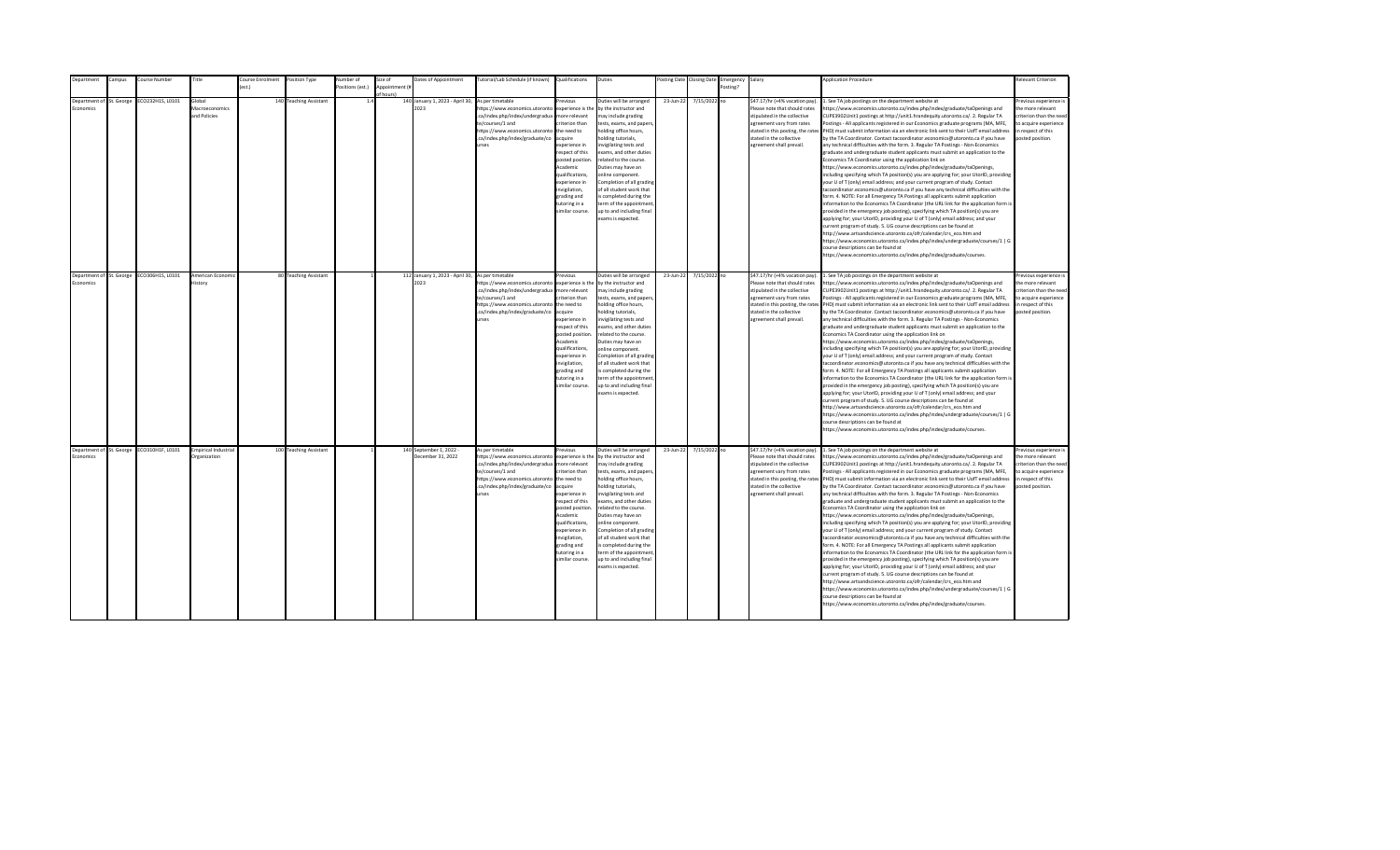| Department                                   | Campus | Course Number    | Title                                       | <b>Course Enrolment</b> | Position Type          | <b>Number</b> of | Size of                     | Dates of Appointment                                     | Tutorial/Lab Schedule (if known) Qualifications                                                                                                                                                             |                                                                                                                                                                                                                                                                   | Duties                                                                                                                                                                                                                                                                                                                                                                                                                                          |           | Posting Date Closing Date | Emergency Salary |                                                                                                                                                                                                                           | <b>Application Procedure</b>                                                                                                                                                                                                                                                                                                                                                                                                                                                                                                                                                                                                                                                                                                                                                                                                                                                                                                                                                                                                                                                                                                                                                                                                                                                                                                                                                                                                                                                                                                                                                                                                                                                                                                                                                                 | Relevant Criterion                                                                                                                       |
|----------------------------------------------|--------|------------------|---------------------------------------------|-------------------------|------------------------|------------------|-----------------------------|----------------------------------------------------------|-------------------------------------------------------------------------------------------------------------------------------------------------------------------------------------------------------------|-------------------------------------------------------------------------------------------------------------------------------------------------------------------------------------------------------------------------------------------------------------------|-------------------------------------------------------------------------------------------------------------------------------------------------------------------------------------------------------------------------------------------------------------------------------------------------------------------------------------------------------------------------------------------------------------------------------------------------|-----------|---------------------------|------------------|---------------------------------------------------------------------------------------------------------------------------------------------------------------------------------------------------------------------------|----------------------------------------------------------------------------------------------------------------------------------------------------------------------------------------------------------------------------------------------------------------------------------------------------------------------------------------------------------------------------------------------------------------------------------------------------------------------------------------------------------------------------------------------------------------------------------------------------------------------------------------------------------------------------------------------------------------------------------------------------------------------------------------------------------------------------------------------------------------------------------------------------------------------------------------------------------------------------------------------------------------------------------------------------------------------------------------------------------------------------------------------------------------------------------------------------------------------------------------------------------------------------------------------------------------------------------------------------------------------------------------------------------------------------------------------------------------------------------------------------------------------------------------------------------------------------------------------------------------------------------------------------------------------------------------------------------------------------------------------------------------------------------------------|------------------------------------------------------------------------------------------------------------------------------------------|
|                                              |        |                  |                                             |                         |                        | ositions (est.)  | Appointment (#<br>of hours! |                                                          |                                                                                                                                                                                                             |                                                                                                                                                                                                                                                                   |                                                                                                                                                                                                                                                                                                                                                                                                                                                 |           |                           | Posting?         |                                                                                                                                                                                                                           |                                                                                                                                                                                                                                                                                                                                                                                                                                                                                                                                                                                                                                                                                                                                                                                                                                                                                                                                                                                                                                                                                                                                                                                                                                                                                                                                                                                                                                                                                                                                                                                                                                                                                                                                                                                              |                                                                                                                                          |
| Department of St. George<br><b>Economics</b> |        | ECO232H1S, L0101 | Global<br>Macroeconomics<br>and Policies    |                         | 140 Teaching Assistant | 14               |                             | 140 January 1, 2023 - April 30,<br>2023                  | As per timetable<br>https://www.economics.utoronto<br>.ca/index.php/index/undergradua<br>te/courses/1 and<br>https://www.economics.utoronto<br>.ca/index.php/index/graduate/co<br>urses                     | Previous<br>experience is the<br>more relevant<br>riterion than<br>the need to<br>acquire<br>xperience in<br>respect of this<br>posted position<br>Academic<br>qualifications,<br>experience in<br>wigilation,<br>grading and<br>tutoring in a<br>similar course. | Duties will be arranged<br>by the instructor and<br>may include grading<br>tests, exams, and papers<br>holding office hours,<br>olding tutorials.<br>nvigilating tests and<br>exams, and other duties<br>related to the course.<br>Duties may have an<br>online component.<br>Completion of all grading<br>of all student work that<br>s completed during the<br>term of the appointment<br>up to and including final<br>exams is expected.     | 23-Jun-22 | 7/15/2022 no              |                  | \$47.17/hr (+4% vacation pay).<br>Please note that should rates<br>stipulated in the collective<br>agreement vary from rates<br>stated in this posting, the rates<br>stated in the collective<br>agreement shall prevail. | . See TA job postings on the department website at<br>ttps://www.economics.utoronto.ca/index.php/index/graduate/taOpenings and<br>CUPE3902Unit1 postings at http://unit1.hrandequity.utoronto.ca/. 2. Regular TA<br>Postings - All applicants registered in our Economics graduate programs (MA, MFE,<br>PHD) must submit information via an electronic link sent to their UofT email address<br>by the TA Coordinator. Contact tacoordinator.economics@utoronto.ca if you have<br>any technical difficulties with the form. 3. Regular TA Postings - Non-Economics<br>graduate and undergraduate student applicants must submit an application to the<br>Economics TA Coordinator using the application link on<br>https://www.economics.utoronto.ca/index.php/index/graduate/taOpenings,<br>including specifying which TA position(s) you are applying for; your UtorID, providing<br>our U of T (only) email address; and your current program of study. Contact<br>acoordinator.economics@utoronto.ca if you have any technical difficulties with the<br>orm. 4. NOTE: For all Emergency TA Postings all applicants submit application<br>nformation to the Economics TA Coordinator (the URL link for the application form is<br>provided in the emergency job posting), specifying which TA position(s) you are<br>applying for; your UtorID, providing your U of T (only) email address; and your<br>urrent program of study. 5. UG course descriptions can be found at<br>http://www.artsandscience.utoronto.ca/ofr/calendar/crs_eco.htm and<br>https://www.economics.utoronto.ca/index.php/index/undergraduate/courses/1   G<br>ourse descriptions can be found at<br>ttps://www.economics.utoronto.ca/index.php/index/graduate/courses.                                            | revious experience i<br>the more relevant<br>criterion than the nee-<br>to acquire experience<br>in respect of this<br>posted position.  |
| Department of St. George<br>Economics        |        | ECO306H1S, L0101 | American Economic<br>listory                |                         | 80 Teaching Assistant  |                  |                             | 112 January 1, 2023 - April 30, As per timetable<br>2023 | https://www.economics.utoronto<br>.ca/index.php/index/undergradua<br>te/courses/1 and<br>https://www.economics.utoronto the need to<br>.ca/index.php/index/graduate/co<br>urses                             | revious<br>experience is the<br>more relevant<br>criterion than<br>acquire<br>experience in<br>respect of this<br>posted position.<br>Academic<br>qualifications.<br>experience in<br>invigilation.<br>grading and<br>tutoring in a<br>similar course.            | Duties will be arranged<br>by the instructor and<br>may include grading<br>tests, exams, and papers,<br>holding office hours,<br>holding tutorials,<br>invigilating tests and<br>exams, and other duties<br>related to the course.<br>Duties may have an<br>online component.<br>Completion of all grading<br>of all student work that<br>is completed during the<br>term of the appointment<br>up to and including final<br>exams is expected. | 23-Jun-22 | 7/15/2022 no              |                  | \$47.17/hr (+4% vacation pay).<br>Please note that should rates<br>stipulated in the collective<br>agreement vary from rates<br>stated in the collective<br>agreement shall prevail.                                      | 1. See TA job postings on the department website at<br>https://www.economics.utoronto.ca/index.php/index/graduate/taOpenings and<br>CUPE3902Unit1 postings at http://unit1.hrandequity.utoronto.ca/. 2. Regular TA<br>Postings - All applicants registered in our Economics graduate programs (MA, MFE,<br>stated in this posting, the rates PHD) must submit information via an electronic link sent to their UofT email address<br>by the TA Coordinator. Contact tacoordinator.economics@utoronto.ca if you have<br>any technical difficulties with the form. 3. Regular TA Postings - Non-Economics<br>graduate and undergraduate student applicants must submit an application to the<br>Economics TA Coordinator using the application link on<br>https://www.economics.utoronto.ca/index.php/index/graduate/taOpenings,<br>including specifying which TA position(s) you are applying for; your UtorID, providing<br>your U of T (only) email address; and your current program of study. Contact<br>tacoordinator.economics@utoronto.ca if you have any technical difficulties with the<br>form. 4. NOTE: For all Emergency TA Postings all applicants submit application<br>information to the Economics TA Coordinator (the URL link for the application form is<br>provided in the emergency job posting), specifying which TA position(s) you are<br>applying for; your UtorID, providing your U of T (only) email address; and your<br>current program of study. 5. UG course descriptions can be found at<br>http://www.artsandscience.utoronto.ca/ofr/calendar/crs eco.htm and<br>https://www.economics.utoronto.ca/index.php/index/undergraduate/courses/1   G<br>ourse descriptions can be found at<br>ittps://www.economics.utoronto.ca/index.php/index/graduate/courses.  | Previous experience i<br>the more relevant<br>criterion than the need<br>to acquire experience<br>in respect of this<br>posted position. |
| Department of St. George<br>Economics        |        | ECO310H1F, L0101 | <b>Empirical Industrial</b><br>Organization |                         | 100 Teaching Assistant |                  |                             | 140 September 1, 2022 -<br>December 31, 2022             | As per timetable<br>https://www.economics.utoronto<br>.ca/index.php/index/undergradua<br>te/courses/1 and<br>https://www.economics.utoronto the need to<br>.ca/index.php/index/graduate/co acquire<br>urses | revious<br>experience is the<br>more relevant<br>criterion than<br>experience in<br>respect of this<br>posted position<br>Academic<br>qualifications,<br>experience in<br>invigilation,<br>grading and<br>tutoring in a<br>similar course.                        | Duties will be arranged<br>by the instructor and<br>may include grading<br>tests, exams, and papers,<br>holding office hours,<br>holding tutorials,<br>nvigilating tests and<br>exams, and other duties<br>related to the course.<br>Duties may have an<br>online component.<br>Completion of all grading<br>of all student work that<br>is completed during the<br>term of the appointment<br>up to and including final<br>exams is expected.  | 23-Jun-22 | 7/15/2022 no              |                  | \$47.17/hr (+4% vacation pay).<br>Please note that should rates<br>stipulated in the collective<br>agreement vary from rates<br>stated in the collective<br>agreement shall prevail.                                      | 1. See TA job postings on the department website at<br>nttps://www.economics.utoronto.ca/index.php/index/graduate/taOpenings and<br>CUPE3902Unit1 postings at http://unit1.hrandequity.utoronto.ca/. 2. Regular TA<br>Postings - All applicants registered in our Economics graduate programs (MA, MFE,<br>stated in this posting, the rates PHD) must submit information via an electronic link sent to their UofT email address<br>by the TA Coordinator. Contact tacoordinator.economics@utoronto.ca if you have<br>any technical difficulties with the form. 3. Regular TA Postings - Non-Economics<br>graduate and undergraduate student applicants must submit an application to the<br>Economics TA Coordinator using the application link on<br>https://www.economics.utoronto.ca/index.php/index/graduate/taOpenings,<br>including specifying which TA position(s) you are applying for; your UtorID, providing<br>your U of T (only) email address; and your current program of study. Contact<br>tacoordinator.economics@utoronto.ca if you have any technical difficulties with the<br>form. 4. NOTE: For all Emergency TA Postings all applicants submit application<br>information to the Economics TA Coordinator (the URL link for the application form is<br>provided in the emergency job posting), specifying which TA position(s) you are<br>applying for; your UtorID, providing your U of T (only) email address; and your<br>current program of study. 5. UG course descriptions can be found at<br>http://www.artsandscience.utoronto.ca/ofr/calendar/crs eco.htm and<br>https://www.economics.utoronto.ca/index.php/index/undergraduate/courses/1   G<br>course descriptions can be found at<br>https://www.economics.utoronto.ca/index.php/index/graduate/courses. | revious experience i<br>the more relevant<br>criterion than the need<br>to acquire experience<br>in respect of this<br>posted position.  |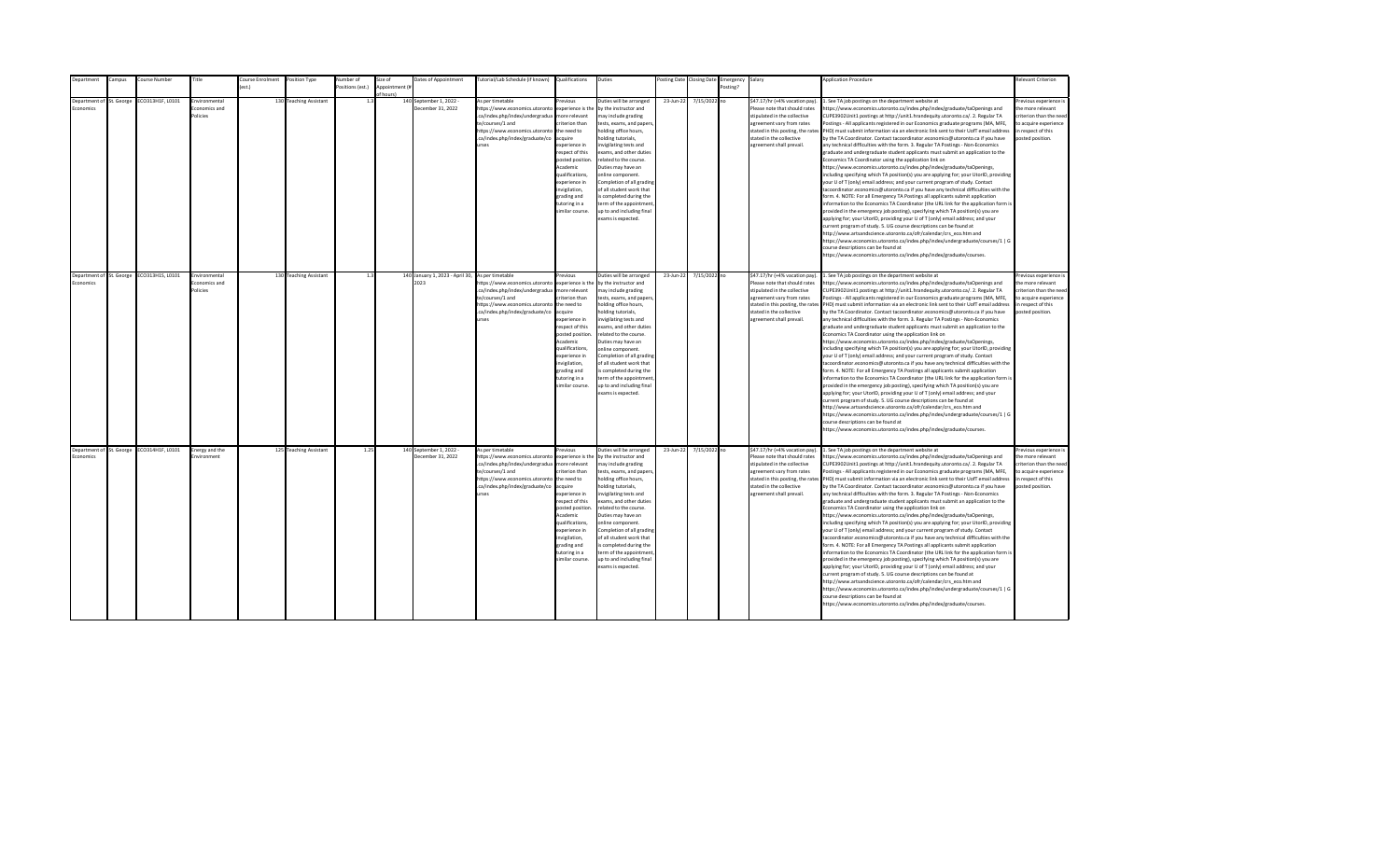| <b>Department</b>                     | Campus | Course Number                             | Title                                      | Course Enrolment | Position Type          | Number of        | Size of                    | Dates of Appointment                                     | Tutorial/Lab Schedule (if known) Qualifications                                                                                                                                                |                                                                                                                                                                                                                                                                    | Duties                                                                                                                                                                                                                                                                                                                                                                                                                                         |           | Posting Date Closing Date | Emergency Salary |                                                                                                                                                                                                                           | <b>Application Procedure</b>                                                                                                                                                                                                                                                                                                                                                                                                                                                                                                                                                                                                                                                                                                                                                                                                                                                                                                                                                                                                                                                                                                                                                                                                                                                                                                                                                                                                                                                                                                                                                                                                                                                                                                                                                                 | <b>Relevant Criterion</b>                                                                                                                |
|---------------------------------------|--------|-------------------------------------------|--------------------------------------------|------------------|------------------------|------------------|----------------------------|----------------------------------------------------------|------------------------------------------------------------------------------------------------------------------------------------------------------------------------------------------------|--------------------------------------------------------------------------------------------------------------------------------------------------------------------------------------------------------------------------------------------------------------------|------------------------------------------------------------------------------------------------------------------------------------------------------------------------------------------------------------------------------------------------------------------------------------------------------------------------------------------------------------------------------------------------------------------------------------------------|-----------|---------------------------|------------------|---------------------------------------------------------------------------------------------------------------------------------------------------------------------------------------------------------------------------|----------------------------------------------------------------------------------------------------------------------------------------------------------------------------------------------------------------------------------------------------------------------------------------------------------------------------------------------------------------------------------------------------------------------------------------------------------------------------------------------------------------------------------------------------------------------------------------------------------------------------------------------------------------------------------------------------------------------------------------------------------------------------------------------------------------------------------------------------------------------------------------------------------------------------------------------------------------------------------------------------------------------------------------------------------------------------------------------------------------------------------------------------------------------------------------------------------------------------------------------------------------------------------------------------------------------------------------------------------------------------------------------------------------------------------------------------------------------------------------------------------------------------------------------------------------------------------------------------------------------------------------------------------------------------------------------------------------------------------------------------------------------------------------------|------------------------------------------------------------------------------------------------------------------------------------------|
|                                       |        |                                           |                                            | est.)            |                        | Positions (est.) | Appointment (i<br>f hours) |                                                          |                                                                                                                                                                                                |                                                                                                                                                                                                                                                                    |                                                                                                                                                                                                                                                                                                                                                                                                                                                |           |                           | Posting?         |                                                                                                                                                                                                                           |                                                                                                                                                                                                                                                                                                                                                                                                                                                                                                                                                                                                                                                                                                                                                                                                                                                                                                                                                                                                                                                                                                                                                                                                                                                                                                                                                                                                                                                                                                                                                                                                                                                                                                                                                                                              |                                                                                                                                          |
| Department of St. George<br>conomics  |        | ECO313H1F, L0101                          | Environmental<br>conomics and<br>Policies  |                  | 130 Teaching Assistant | 1.3              |                            | 140 September 1, 2022 -<br>December 31, 2022             | As per timetable<br>https://www.economics.utoronto<br>.ca/index.php/index/undergradua<br>te/courses/1 and<br>https://www.economics.utoronto<br>.ca/index.php/index/graduate/co<br><b>urses</b> | revious<br>experience is the<br>nore relevant<br>riterion than<br>the need to<br>cauire<br>xperience in<br>espect of this<br>posted position<br>Academic<br>qualifications,<br>xperience in<br>wigilation,<br>grading and<br>utoring in a<br>imilar course.        | Duties will be arranged<br>by the instructor and<br>nay include grading<br>tests, exams, and papers<br>nolding office hours,<br>olding tutorials.<br>nvigilating tests and<br>exams, and other duties<br>related to the course.<br>Duties may have an<br>online component.<br>Completion of all grading<br>of all student work that<br>s completed during the<br>erm of the appointment<br>up to and including final<br>exams is expected.     | 23-Jun-22 | 7/15/2022 no              |                  | \$47.17/hr (+4% vacation pay).<br>Please note that should rates<br>stipulated in the collective<br>agreement vary from rates<br>stated in this posting, the rates<br>stated in the collective<br>agreement shall prevail. | . See TA job postings on the department website at<br>https://www.economics.utoronto.ca/index.php/index/graduate/taOpenings and<br>CUPE3902Unit1 postings at http://unit1.hrandequity.utoronto.ca/. 2. Regular TA<br>Postings - All applicants registered in our Economics graduate programs (MA, MFE,<br>PHD) must submit information via an electronic link sent to their UofT email address<br>by the TA Coordinator. Contact tacoordinator.economics@utoronto.ca if you have<br>any technical difficulties with the form. 3. Regular TA Postings - Non-Economics<br>graduate and undergraduate student applicants must submit an application to the<br>Economics TA Coordinator using the application link on<br>https://www.economics.utoronto.ca/index.php/index/graduate/taOpenings,<br>including specifying which TA position(s) you are applying for; your UtorID, providing<br>your U of T (only) email address; and your current program of study. Contact<br>tacoordinator.economics@utoronto.ca if you have any technical difficulties with the<br>form. 4. NOTE: For all Emergency TA Postings all applicants submit application<br>information to the Economics TA Coordinator (the URL link for the application form is<br>provided in the emergency job posting), specifying which TA position(s) you are<br>applying for; your UtorID, providing your U of T (only) email address; and your<br>current program of study. 5. UG course descriptions can be found at<br>http://www.artsandscience.utoronto.ca/ofr/calendar/crs_eco.htm and<br>https://www.economics.utoronto.ca/index.php/index/undergraduate/courses/1   G<br>course descriptions can be found at<br>https://www.economics.utoronto.ca/index.php/index/graduate/courses.                                    | revious experience i<br>the more relevant<br>criterion than the nee-<br>to acquire experience<br>in respect of this<br>posted position.  |
| Department of St. George<br>Economics |        | ECO313H1S, L0101                          | Environmental<br>Economics and<br>Policies |                  | 130 Teaching Assistant | 1.3              |                            | 140 January 1, 2023 - April 30, As per timetable<br>2023 | https://www.economics.utoronto<br>.ca/index.php/index/undergradua<br>te/courses/1 and<br>https://www.economics.utoronto<br>.ca/index.php/index/graduate/co<br><b>urses</b>                     | revious<br>experience is the<br>more relevant<br>riterion than<br>the need to<br>acquire<br>experience in<br>resnect of this<br>posted position<br>Academic<br>qualifications.<br>experience in<br>invigilation,<br>grading and<br>tutoring in a<br>imilar course. | Duties will be arranged<br>by the instructor and<br>may include grading<br>tests, exams, and papers,<br>holding office hours,<br>nolding tutorials,<br>nvigilating tests and<br>exams, and other duties<br>related to the course.<br>Duties may have an<br>online component.<br>Completion of all grading<br>of all student work that<br>is completed during the<br>term of the appointment<br>up to and including final<br>exams is expected. | 23-Jun-22 | 7/15/2022 no              |                  | \$47.17/hr (+4% vacation pay).<br>Please note that should rates<br>stipulated in the collective<br>agreement vary from rates<br>stated in the collective<br>agreement shall prevail.                                      | 1. See TA job postings on the department website at<br>https://www.economics.utoronto.ca/index.php/index/graduate/taOpenings and<br>CUPE3902Unit1 postings at http://unit1.hrandequity.utoronto.ca/. 2. Regular TA<br>Postings - All applicants registered in our Economics graduate programs (MA, MFE,<br>stated in this posting, the rates PHD) must submit information via an electronic link sent to their UofT email address<br>by the TA Coordinator. Contact tacoordinator.economics@utoronto.ca if you have<br>any technical difficulties with the form. 3. Regular TA Postings - Non-Economics<br>eraduate and undergraduate student applicants must submit an application to the<br>Economics TA Coordinator using the application link on<br>https://www.economics.utoronto.ca/index.php/index/graduate/taOpenings,<br>including specifying which TA position(s) you are applying for; your UtorID, providing<br>your U of T (only) email address; and your current program of study. Contact<br>tacoordinator.economics@utoronto.ca if you have any technical difficulties with the<br>form. 4. NOTE: For all Emergency TA Postings all applicants submit application<br>information to the Economics TA Coordinator (the URL link for the application form is<br>provided in the emergency job posting), specifying which TA position(s) you are<br>applying for; your UtorID, providing your U of T (only) email address; and your<br>current program of study. 5. UG course descriptions can be found at<br>http://www.artsandscience.utoronto.ca/ofr/calendar/crs_eco.htm and<br>https://www.economics.utoronto.ca/index.php/index/undergraduate/courses/1   G<br>course descriptions can be found at<br>https://www.economics.utoronto.ca/index.php/index/graduate/courses. | Previous experience i<br>the more relevant<br>criterion than the need<br>to acquire experience<br>in respect of this<br>posted position. |
| Economics                             |        | Department of St. George ECO314H1F, L0101 | Energy and the<br>Environment              |                  | 125 Teaching Assistant | 1.25             |                            | 140 September 1, 2022 -<br>December 31, 2022             | As per timetable<br>https://www.economics.utoronto<br>.ca/index.php/index/undergradua<br>te/courses/1 and<br>https://www.economics.utoronto<br>.ca/index.php/index/graduate/co<br>urses        | revious<br>experience is the<br>more relevant<br>riterion than<br>the need to<br>acquire<br>experience in<br>respect of this<br>posted position<br>Academic<br>qualifications,<br>experience in<br>invigilation,<br>grading and<br>tutoring in a<br>imilar course. | Duties will be arranged<br>by the instructor and<br>may include grading<br>tests, exams, and papers,<br>holding office hours,<br>nolding tutorials,<br>nvigilating tests and<br>exams, and other duties<br>related to the course.<br>Duties may have an<br>online component.<br>Completion of all grading<br>of all student work that<br>is completed during the<br>term of the appointment<br>up to and including final<br>exams is expected. | 23-Jun-22 | 7/15/2022 no              |                  | \$47.17/hr (+4% vacation pay).<br>Please note that should rates<br>stipulated in the collective<br>agreement vary from rates<br>stated in the collective<br>agreement shall prevail.                                      | 1. See TA job postings on the department website at<br>https://www.economics.utoronto.ca/index.php/index/graduate/taOpenings and<br>CUPE3902Unit1 postings at http://unit1.hrandequity.utoronto.ca/. 2. Regular TA<br>Postings - All applicants registered in our Economics graduate programs (MA, MFE,<br>stated in this posting, the rates PHD) must submit information via an electronic link sent to their UofT email address<br>by the TA Coordinator. Contact tacoordinator.economics@utoronto.ca if you have<br>any technical difficulties with the form. 3. Regular TA Postings - Non-Economics<br>graduate and undergraduate student applicants must submit an application to the<br>Economics TA Coordinator using the application link on<br>https://www.economics.utoronto.ca/index.php/index/graduate/taOpenings,<br>including specifying which TA position(s) you are applying for; your UtorID, providing<br>your U of T (only) email address; and your current program of study. Contact<br>tacoordinator.economics@utoronto.ca if you have any technical difficulties with the<br>form. 4. NOTE: For all Emergency TA Postings all applicants submit application<br>information to the Economics TA Coordinator (the URL link for the application form is<br>provided in the emergency job posting), specifying which TA position(s) you are<br>applying for; your UtorID, providing your U of T (only) email address; and your<br>current program of study. 5. UG course descriptions can be found at<br>http://www.artsandscience.utoronto.ca/ofr/calendar/crs eco.htm and<br>https://www.economics.utoronto.ca/index.php/index/undergraduate/courses/1   G<br>course descriptions can be found at<br>https://www.economics.utoronto.ca/index.php/index/graduate/courses. | revious experience i<br>the more relevant<br>criterion than the need<br>to acquire experience<br>in respect of this<br>posted position.  |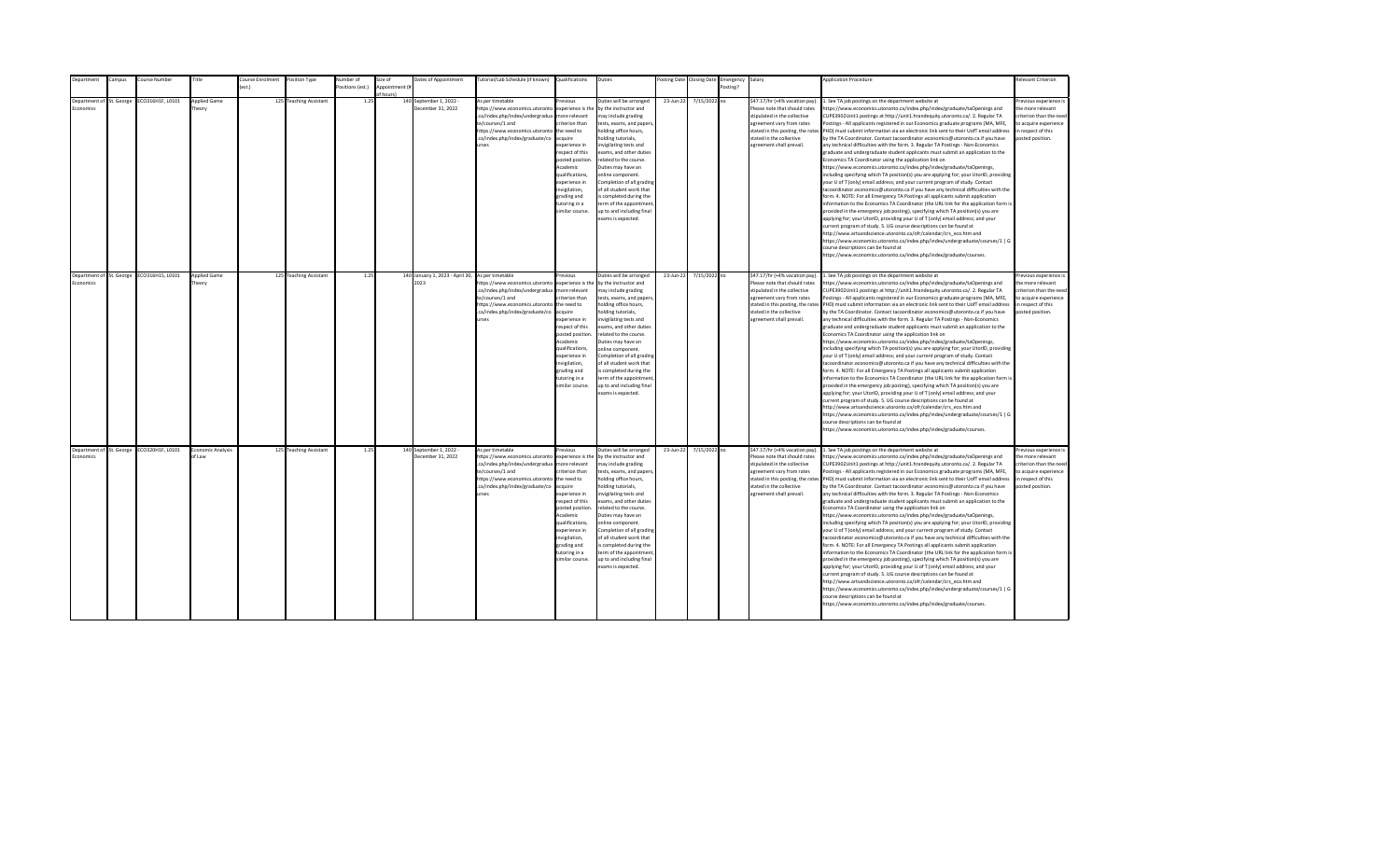| <b>Department</b>                            | Campus | Course Number                             | Title                         | Course Enrolment<br>est.) | Position Type          | Number of        | Size of<br>Appointment (i | Dates of Appointment                                     | Tutorial/Lab Schedule (if known) Qualifications                                                                                                                                                |                                                                                                                                                                                                                                                                    | Duties                                                                                                                                                                                                                                                                                                                                                                                                                                         |           | Posting Date Closing Date | Emergency Salary<br>Posting? |                                                                                                                                                                                                                           | <b>Application Procedure</b>                                                                                                                                                                                                                                                                                                                                                                                                                                                                                                                                                                                                                                                                                                                                                                                                                                                                                                                                                                                                                                                                                                                                                                                                                                                                                                                                                                                                                                                                                                                                                                                                                                                                                                                                                                 | <b>Relevant Criterion</b>                                                                                                                |
|----------------------------------------------|--------|-------------------------------------------|-------------------------------|---------------------------|------------------------|------------------|---------------------------|----------------------------------------------------------|------------------------------------------------------------------------------------------------------------------------------------------------------------------------------------------------|--------------------------------------------------------------------------------------------------------------------------------------------------------------------------------------------------------------------------------------------------------------------|------------------------------------------------------------------------------------------------------------------------------------------------------------------------------------------------------------------------------------------------------------------------------------------------------------------------------------------------------------------------------------------------------------------------------------------------|-----------|---------------------------|------------------------------|---------------------------------------------------------------------------------------------------------------------------------------------------------------------------------------------------------------------------|----------------------------------------------------------------------------------------------------------------------------------------------------------------------------------------------------------------------------------------------------------------------------------------------------------------------------------------------------------------------------------------------------------------------------------------------------------------------------------------------------------------------------------------------------------------------------------------------------------------------------------------------------------------------------------------------------------------------------------------------------------------------------------------------------------------------------------------------------------------------------------------------------------------------------------------------------------------------------------------------------------------------------------------------------------------------------------------------------------------------------------------------------------------------------------------------------------------------------------------------------------------------------------------------------------------------------------------------------------------------------------------------------------------------------------------------------------------------------------------------------------------------------------------------------------------------------------------------------------------------------------------------------------------------------------------------------------------------------------------------------------------------------------------------|------------------------------------------------------------------------------------------------------------------------------------------|
|                                              |        |                                           |                               |                           |                        | Positions (est.) | f hours)                  |                                                          |                                                                                                                                                                                                |                                                                                                                                                                                                                                                                    |                                                                                                                                                                                                                                                                                                                                                                                                                                                |           |                           |                              |                                                                                                                                                                                                                           |                                                                                                                                                                                                                                                                                                                                                                                                                                                                                                                                                                                                                                                                                                                                                                                                                                                                                                                                                                                                                                                                                                                                                                                                                                                                                                                                                                                                                                                                                                                                                                                                                                                                                                                                                                                              |                                                                                                                                          |
| Department of St. George<br>conomics         |        | ECO316H1F, L0101                          | <b>Applied Game</b><br>heory  |                           | 125 Teaching Assistant | 1.25             |                           | 140 September 1, 2022 -<br>December 31, 2022             | As per timetable<br>https://www.economics.utoronto<br>.ca/index.php/index/undergradua<br>te/courses/1 and<br>https://www.economics.utoronto<br>.ca/index.php/index/graduate/co<br><b>urses</b> | revious<br>experience is the<br>nore relevant<br>riterion than<br>the need to<br>cauire<br>xperience in<br>espect of this<br>posted position<br>Academic<br>qualifications,<br>xperience in<br>nvigilation,<br>trading and<br>utoring in a<br>imilar course.       | Duties will be arranged<br>by the instructor and<br>nay include grading<br>tests, exams, and papers<br>nolding office hours,<br>olding tutorials,<br>nvigilating tests and<br>exams, and other duties<br>elated to the course.<br>Duties may have an<br>online component.<br>Completion of all grading<br>of all student work that<br>s completed during the<br>erm of the appointment<br>up to and including final<br>exams is expected.      | 23-Jun-22 | 7/15/2022 no              |                              | \$47.17/hr (+4% vacation pay).<br>Please note that should rates<br>stipulated in the collective<br>agreement vary from rates<br>stated in this posting, the rates<br>stated in the collective<br>agreement shall prevail. | 1. See TA job postings on the department website at<br>https://www.economics.utoronto.ca/index.php/index/graduate/taOpenings and<br>CUPE3902Unit1 postings at http://unit1.hrandequity.utoronto.ca/. 2. Regular TA<br>Postings - All applicants registered in our Economics graduate programs (MA, MFE,<br>PHD) must submit information via an electronic link sent to their UofT email address<br>by the TA Coordinator. Contact tacoordinator.economics@utoronto.ca if you have<br>any technical difficulties with the form. 3. Regular TA Postings - Non-Economics<br>graduate and undergraduate student applicants must submit an application to the<br>Economics TA Coordinator using the application link on<br>https://www.economics.utoronto.ca/index.php/index/graduate/taOpenings,<br>including specifying which TA position(s) you are applying for; your UtorID, providing<br>your U of T (only) email address; and your current program of study. Contact<br>tacoordinator.economics@utoronto.ca if you have any technical difficulties with the<br>form. 4. NOTE: For all Emergency TA Postings all applicants submit application<br>information to the Economics TA Coordinator (the URL link for the application form is<br>provided in the emergency job posting), specifying which TA position(s) you are<br>applying for; your UtorID, providing your U of T (only) email address; and your<br>current program of study. 5. UG course descriptions can be found at<br>http://www.artsandscience.utoronto.ca/ofr/calendar/crs eco.htm and<br>https://www.economics.utoronto.ca/index.php/index/undergraduate/courses/1   G<br>course descriptions can be found at<br>https://www.economics.utoronto.ca/index.php/index/graduate/courses.                                   | revious experience i<br>the more relevant<br>riterion than the need<br>to acquire experience<br>in respect of this<br>posted position.   |
| Department of St. George<br><b>Economics</b> |        | ECO316H1S, L0101                          | <b>Applied Game</b><br>Theory |                           | 125 Teaching Assistant | 1.25             |                           | 140 January 1, 2023 - April 30, As per timetable<br>2023 | https://www.economics.utoronto<br>.ca/index.php/index/undergradua<br>te/courses/1 and<br>https://www.economics.utoronto<br>.ca/index.php/index/graduate/co<br><b>urses</b>                     | revinus<br>experience is the<br>more relevant<br>riterion than<br>the need to<br>acquire<br>experience in<br>respect of this<br>posted position<br>Academic<br>qualifications,<br>experience in<br>nvigilation,<br>grading and<br>tutoring in a<br>imilar course.  | Duties will be arranged<br>by the instructor and<br>may include grading<br>tests, exams, and papers,<br>holding office hours,<br>nolding tutorials,<br>nvigilating tests and<br>exams, and other duties<br>related to the course.<br>Duties may have an<br>online component.<br>Completion of all grading<br>of all student work that<br>is completed during the<br>term of the appointment<br>up to and including final<br>exams is expected. | 23-Jun-22 | 7/15/2022 no              |                              | \$47.17/hr (+4% vacation pay).<br>Please note that should rates<br>stipulated in the collective<br>agreement vary from rates<br>stated in the collective<br>agreement shall prevail.                                      | 1. See TA job postings on the department website at<br>https://www.economics.utoronto.ca/index.php/index/graduate/taOpenings and<br>CUPE3902Unit1 postings at http://unit1.hrandequity.utoronto.ca/. 2. Regular TA<br>Postings - All applicants registered in our Economics graduate programs (MA, MFE,<br>stated in this posting, the rates PHD) must submit information via an electronic link sent to their UofT email address<br>by the TA Coordinator. Contact tacoordinator.economics@utoronto.ca if you have<br>any technical difficulties with the form. 3. Regular TA Postings - Non-Economics<br>graduate and undergraduate student applicants must submit an application to the<br>Economics TA Coordinator using the application link on<br>https://www.economics.utoronto.ca/index.php/index/graduate/taOpenings,<br>including specifying which TA position(s) you are applying for; your UtorID, providing<br>your U of T (only) email address; and your current program of study. Contact<br>tacoordinator.economics@utoronto.ca if you have any technical difficulties with the<br>form. 4. NOTE: For all Emergency TA Postings all applicants submit application<br>information to the Economics TA Coordinator (the URL link for the application form is<br>provided in the emergency job posting), specifying which TA position(s) you are<br>applying for; your UtorID, providing your U of T (only) email address; and your<br>current program of study. 5. UG course descriptions can be found at<br>http://www.artsandscience.utoronto.ca/ofr/calendar/crs_eco.htm and<br>https://www.economics.utoronto.ca/index.php/index/undergraduate/courses/1   G<br>course descriptions can be found at<br>https://www.economics.utoronto.ca/index.php/index/graduate/courses. | Previous experience i<br>the more relevant<br>criterion than the need<br>to acquire experience<br>in respect of this<br>posted position. |
| Economics                                    |        | Department of St. George ECO320H1F, L0101 | Economic Analysis<br>of Law   |                           | 125 Teaching Assistant | 1.25             |                           | 140 September 1, 2022 -<br>December 31, 2022             | As per timetable<br>https://www.economics.utoronto<br>.ca/index.php/index/undergradua<br>te/courses/1 and<br>https://www.economics.utoronto<br>.ca/index.php/index/graduate/co<br><b>urses</b> | revious<br>experience is the<br>more relevant<br>riterion than<br>the need to<br>acquire<br>experience in<br>respect of this<br>posted position<br>Academic<br>qualifications,<br>experience in<br>invigilation,<br>grading and<br>tutoring in a<br>imilar course. | Duties will be arranged<br>by the instructor and<br>may include grading<br>tests, exams, and papers,<br>holding office hours,<br>nolding tutorials,<br>nvigilating tests and<br>exams, and other duties<br>related to the course.<br>Duties may have an<br>online component.<br>Completion of all grading<br>of all student work that<br>is completed during the<br>term of the appointment<br>up to and including final<br>exams is expected. | 23-Jun-22 | 7/15/2022 no              |                              | \$47.17/hr (+4% vacation pay).<br>Please note that should rates<br>stipulated in the collective<br>agreement vary from rates<br>stated in the collective<br>agreement shall prevail.                                      | 1. See TA job postings on the department website at<br>https://www.economics.utoronto.ca/index.php/index/graduate/taOpenings and<br>CUPE3902Unit1 postings at http://unit1.hrandequity.utoronto.ca/. 2. Regular TA<br>Postings - All applicants registered in our Economics graduate programs (MA, MFE,<br>stated in this posting, the rates PHD) must submit information via an electronic link sent to their UofT email address<br>by the TA Coordinator. Contact tacoordinator.economics@utoronto.ca if you have<br>any technical difficulties with the form. 3. Regular TA Postings - Non-Economics<br>graduate and undergraduate student applicants must submit an application to the<br>Economics TA Coordinator using the application link on<br>https://www.economics.utoronto.ca/index.php/index/graduate/taOpenings,<br>including specifying which TA position(s) you are applying for; your UtorID, providing<br>your U of T (only) email address; and your current program of study. Contact<br>tacoordinator.economics@utoronto.ca if you have any technical difficulties with the<br>form. 4. NOTE: For all Emergency TA Postings all applicants submit application<br>information to the Economics TA Coordinator (the URL link for the application form is<br>provided in the emergency job posting), specifying which TA position(s) you are<br>applying for; your UtorID, providing your U of T (only) email address; and your<br>current program of study. 5. UG course descriptions can be found at<br>http://www.artsandscience.utoronto.ca/ofr/calendar/crs eco.htm and<br>https://www.economics.utoronto.ca/index.php/index/undergraduate/courses/1   G<br>course descriptions can be found at<br>https://www.economics.utoronto.ca/index.php/index/graduate/courses. | Previous experience i<br>the more relevant<br>criterion than the need<br>to acquire experience<br>in respect of this<br>posted position. |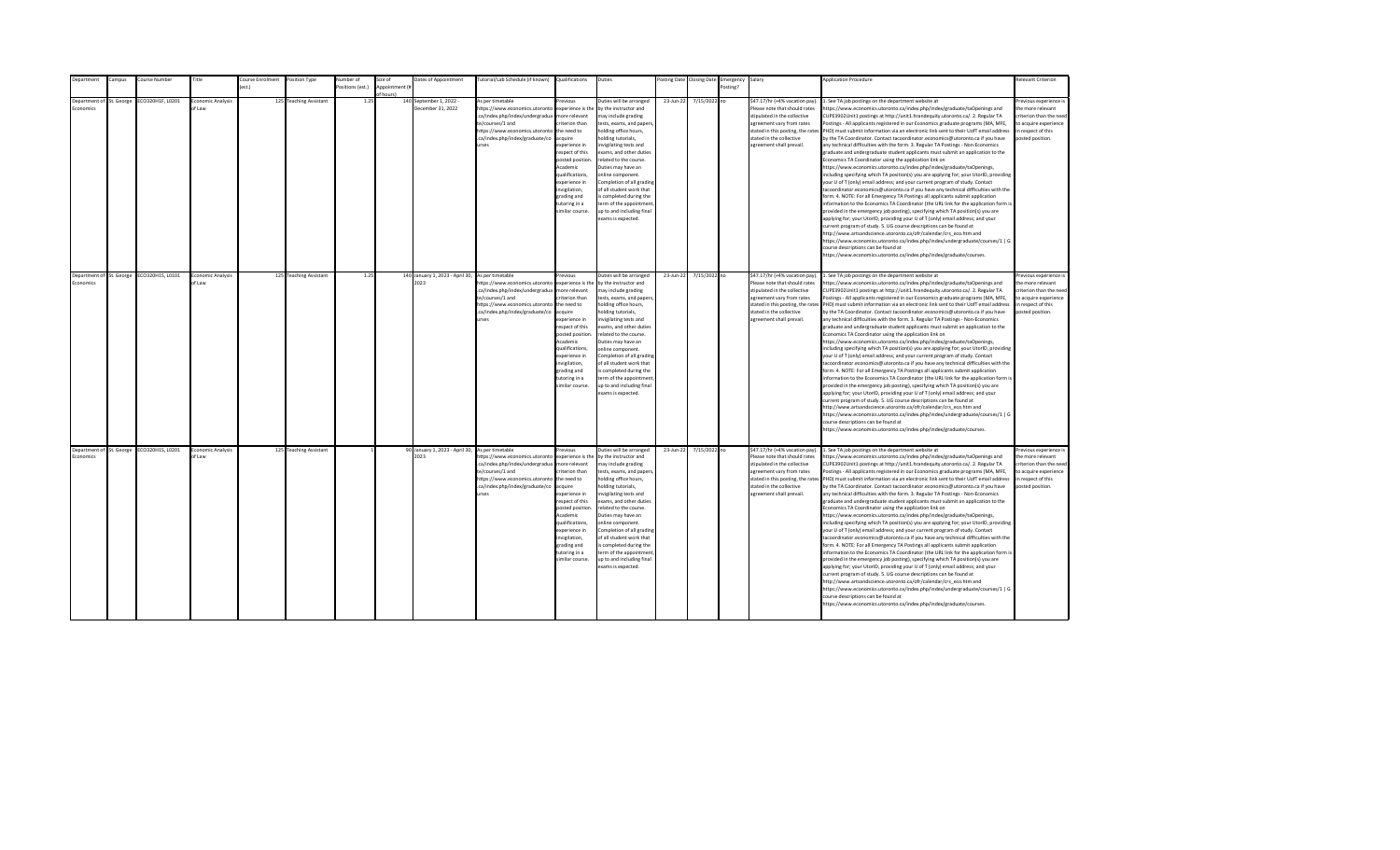| epartment                                   | ampus: | Course Number                             | Title                              | ourse Enrolment  | Position Type          | Number of        | Size of        | Dates of Appointment                                     | utorial/Lab Schedule (if known)                                                                                                                                                                | Qualifications                                                                                                                                                                                                                                                     | Duties                                                                                                                                                                                                                                                                                                                                                                                                                                         |           | osting Date Closing Date | Emergency | Salary                                                                                                                                                                                                                    | <b>Application Procedure</b>                                                                                                                                                                                                                                                                                                                                                                                                                                                                                                                                                                                                                                                                                                                                                                                                                                                                                                                                                                                                                                                                                                                                                                                                                                                                                                                                                                                                                                                                                                                                                                                                                                                                                                                                                                 | <b>Relevant Criterion</b>                                                                                                                |
|---------------------------------------------|--------|-------------------------------------------|------------------------------------|------------------|------------------------|------------------|----------------|----------------------------------------------------------|------------------------------------------------------------------------------------------------------------------------------------------------------------------------------------------------|--------------------------------------------------------------------------------------------------------------------------------------------------------------------------------------------------------------------------------------------------------------------|------------------------------------------------------------------------------------------------------------------------------------------------------------------------------------------------------------------------------------------------------------------------------------------------------------------------------------------------------------------------------------------------------------------------------------------------|-----------|--------------------------|-----------|---------------------------------------------------------------------------------------------------------------------------------------------------------------------------------------------------------------------------|----------------------------------------------------------------------------------------------------------------------------------------------------------------------------------------------------------------------------------------------------------------------------------------------------------------------------------------------------------------------------------------------------------------------------------------------------------------------------------------------------------------------------------------------------------------------------------------------------------------------------------------------------------------------------------------------------------------------------------------------------------------------------------------------------------------------------------------------------------------------------------------------------------------------------------------------------------------------------------------------------------------------------------------------------------------------------------------------------------------------------------------------------------------------------------------------------------------------------------------------------------------------------------------------------------------------------------------------------------------------------------------------------------------------------------------------------------------------------------------------------------------------------------------------------------------------------------------------------------------------------------------------------------------------------------------------------------------------------------------------------------------------------------------------|------------------------------------------------------------------------------------------------------------------------------------------|
|                                             |        |                                           |                                    | $o$ ct $\lambda$ |                        | Positions (est.) | Appointment (i |                                                          |                                                                                                                                                                                                |                                                                                                                                                                                                                                                                    |                                                                                                                                                                                                                                                                                                                                                                                                                                                |           |                          | Posting?  |                                                                                                                                                                                                                           |                                                                                                                                                                                                                                                                                                                                                                                                                                                                                                                                                                                                                                                                                                                                                                                                                                                                                                                                                                                                                                                                                                                                                                                                                                                                                                                                                                                                                                                                                                                                                                                                                                                                                                                                                                                              |                                                                                                                                          |
|                                             |        |                                           |                                    |                  |                        |                  |                |                                                          |                                                                                                                                                                                                |                                                                                                                                                                                                                                                                    |                                                                                                                                                                                                                                                                                                                                                                                                                                                |           |                          |           |                                                                                                                                                                                                                           |                                                                                                                                                                                                                                                                                                                                                                                                                                                                                                                                                                                                                                                                                                                                                                                                                                                                                                                                                                                                                                                                                                                                                                                                                                                                                                                                                                                                                                                                                                                                                                                                                                                                                                                                                                                              |                                                                                                                                          |
| Department of St. George<br><b>conomics</b> |        | CO320H1F, L0201                           | <b>Economic Analysis</b><br>of Law |                  | 125 Teaching Assistant | 1.25             | of hours)      | 140 September 1, 2022 -<br>December 31, 2022             | As per timetable<br>https://www.economics.utoronto<br>.ca/index.php/index/undergradua<br>te/courses/1 and<br>https://www.economics.utoronto<br>.ca/index.php/index/graduate/co<br><b>Print</b> | revinus<br>experience is the<br>more relevant<br>riterion than<br>the need to<br>acquire<br>experience in<br>respect of this<br>posted position.<br>Academic<br>qualifications,<br>experience in<br>nvigilation,<br>grading and<br>tutoring in a<br>imilar course. | Duties will be arranged<br>by the instructor and<br>may include grading<br>tests, exams, and papers,<br>holding office hours,<br>nolding tutorials,<br>nvigilating tests and<br>exams, and other duties<br>related to the course.<br>Duties may have an<br>online component.<br>Completion of all grading<br>of all student work that<br>s completed during the<br>term of the appointment<br>up to and including final<br>exams is expected.  | 23-Jun-22 | 7/15/2022 no             |           | \$47.17/hr (+4% vacation pay).<br>Please note that should rates<br>stipulated in the collective<br>agreement vary from rates<br>stated in this posting, the rates<br>stated in the collective<br>agreement shall prevail. | . See TA job postings on the department website at<br>https://www.economics.utoronto.ca/index.php/index/graduate/taOpenings and<br>CUPE3902Unit1 postings at http://unit1.hrandequity.utoronto.ca/. 2. Regular TA<br>Postings - All applicants registered in our Economics graduate programs (MA, MFE,<br>PHD) must submit information via an electronic link sent to their UofT email address<br>by the TA Coordinator. Contact tacoordinator.economics@utoronto.ca if you have<br>any technical difficulties with the form. 3. Regular TA Postings - Non-Economics<br>graduate and undergraduate student applicants must submit an application to the<br>Economics TA Coordinator using the application link on<br>https://www.economics.utoronto.ca/index.php/index/graduate/taOpenings,<br>including specifying which TA position(s) you are applying for; your UtorID, providing<br>your U of T (only) email address; and your current program of study. Contact<br>tacoordinator.economics@utoronto.ca if you have any technical difficulties with the<br>form. 4. NOTE: For all Emergency TA Postings all applicants submit application<br>information to the Economics TA Coordinator (the URL link for the application form is<br>provided in the emergency job posting), specifying which TA position(s) you are<br>applying for; your UtorID, providing your U of T (only) email address; and your<br>current program of study. 5. UG course descriptions can be found at<br>http://www.artsandscience.utoronto.ca/ofr/calendar/crs eco.htm and<br>https://www.economics.utoronto.ca/index.php/index/undergraduate/courses/1   G<br>course descriptions can be found at<br>https://www.economics.utoronto.ca/index.php/index/graduate/courses.                                    | Previous experience i<br>the more relevant<br>criterion than the need<br>to acquire experience<br>in respect of this<br>posted position. |
|                                             |        |                                           |                                    |                  |                        |                  |                |                                                          |                                                                                                                                                                                                |                                                                                                                                                                                                                                                                    |                                                                                                                                                                                                                                                                                                                                                                                                                                                |           |                          |           |                                                                                                                                                                                                                           |                                                                                                                                                                                                                                                                                                                                                                                                                                                                                                                                                                                                                                                                                                                                                                                                                                                                                                                                                                                                                                                                                                                                                                                                                                                                                                                                                                                                                                                                                                                                                                                                                                                                                                                                                                                              |                                                                                                                                          |
| Department of St. George<br>Economics       |        | ECO320H1S, L0101                          | Economic Analysis<br>of Law        |                  | 125 Teaching Assistant | 1.25             |                | 140 January 1, 2023 - April 30, As per timetable<br>2023 | https://www.economics.utoronto<br>.ca/index.php/index/undergradua<br>te/courses/1 and<br>https://www.economics.utoronto<br>.ca/index.php/index/graduate/co<br><b>urses</b>                     | revious<br>experience is the<br>more relevant<br>riterion than<br>the need to<br>acquire<br>experience in<br>resnect of this<br>posted position<br>Academic<br>qualifications.<br>experience in<br>invigilation,<br>grading and<br>tutoring in a<br>imilar course. | Duties will be arranged<br>by the instructor and<br>may include grading<br>tests, exams, and papers,<br>holding office hours,<br>nolding tutorials,<br>nvigilating tests and<br>exams, and other duties<br>related to the course.<br>Duties may have an<br>online component.<br>Completion of all grading<br>of all student work that<br>is completed during the<br>term of the appointment<br>up to and including final<br>exams is expected. | 23-Jun-22 | 7/15/2022 no             |           | \$47.17/hr (+4% vacation pay).<br>Please note that should rates<br>stipulated in the collective<br>agreement vary from rates<br>stated in the collective<br>agreement shall prevail.                                      | 1. See TA job postings on the department website at<br>https://www.economics.utoronto.ca/index.php/index/graduate/taOpenings and<br>CUPE3902Unit1 postings at http://unit1.hrandequity.utoronto.ca/. 2. Regular TA<br>Postings - All applicants registered in our Economics graduate programs (MA, MFE,<br>stated in this posting, the rates PHD) must submit information via an electronic link sent to their UofT email address<br>by the TA Coordinator. Contact tacoordinator.economics@utoronto.ca if you have<br>any technical difficulties with the form. 3. Regular TA Postings - Non-Economics<br>eraduate and undergraduate student applicants must submit an application to the<br>Economics TA Coordinator using the application link on<br>https://www.economics.utoronto.ca/index.php/index/graduate/taOpenings,<br>including specifying which TA position(s) you are applying for; your UtorID, providing<br>your U of T (only) email address; and your current program of study. Contact<br>tacoordinator.economics@utoronto.ca if you have any technical difficulties with the<br>form. 4. NOTE: For all Emergency TA Postings all applicants submit application<br>information to the Economics TA Coordinator (the URL link for the application form is<br>provided in the emergency job posting), specifying which TA position(s) you are<br>applying for; your UtorID, providing your U of T (only) email address; and your<br>current program of study. 5. UG course descriptions can be found at<br>http://www.artsandscience.utoronto.ca/ofr/calendar/crs_eco.htm and<br>https://www.economics.utoronto.ca/index.php/index/undergraduate/courses/1   G<br>course descriptions can be found at<br>https://www.economics.utoronto.ca/index.php/index/graduate/courses. | Previous experience i<br>the more relevant<br>criterion than the need<br>to acquire experience<br>in respect of this<br>posted position. |
| Economics                                   |        | Department of St. George ECO320H1S, L0201 | Economic Analysis<br>of Law        |                  | 125 Teaching Assistant |                  |                | 90 January 1, 2023 - April 30, As per timetable<br>2023  | https://www.economics.utoronto<br>.ca/index.php/index/undergradua<br>te/courses/1 and<br>https://www.economics.utoronto<br>.ca/index.php/index/graduate/co<br>urses                            | revious<br>experience is the<br>more relevant<br>riterion than<br>the need to<br>acquire<br>experience in<br>respect of this<br>posted position<br>Academic<br>qualifications,<br>experience in<br>invigilation,<br>grading and<br>tutoring in a<br>imilar course. | Duties will be arranged<br>by the instructor and<br>may include grading<br>tests, exams, and papers,<br>holding office hours,<br>nolding tutorials,<br>nvigilating tests and<br>exams, and other duties<br>related to the course.<br>Duties may have an<br>online component.<br>Completion of all grading<br>of all student work that<br>is completed during the<br>term of the appointment<br>up to and including final<br>exams is expected. | 23-Jun-22 | 7/15/2022 no             |           | \$47.17/hr (+4% vacation pay).<br>Please note that should rates<br>stipulated in the collective<br>agreement vary from rates<br>stated in the collective<br>agreement shall prevail.                                      | 1. See TA job postings on the department website at<br>https://www.economics.utoronto.ca/index.php/index/graduate/taOpenings and<br>CUPE3902Unit1 postings at http://unit1.hrandequity.utoronto.ca/. 2. Regular TA<br>Postings - All applicants registered in our Economics graduate programs (MA, MFE,<br>stated in this posting, the rates PHD) must submit information via an electronic link sent to their UofT email address<br>by the TA Coordinator. Contact tacoordinator.economics@utoronto.ca if you have<br>any technical difficulties with the form. 3. Regular TA Postings - Non-Economics<br>graduate and undergraduate student applicants must submit an application to the<br>Economics TA Coordinator using the application link on<br>https://www.economics.utoronto.ca/index.php/index/graduate/taOpenings,<br>including specifying which TA position(s) you are applying for; your UtorID, providing<br>your U of T (only) email address; and your current program of study. Contact<br>tacoordinator.economics@utoronto.ca if you have any technical difficulties with the<br>form. 4. NOTE: For all Emergency TA Postings all applicants submit application<br>information to the Economics TA Coordinator (the URL link for the application form is<br>provided in the emergency job posting), specifying which TA position(s) you are<br>applying for; your UtorID, providing your U of T (only) email address; and your<br>current program of study. 5. UG course descriptions can be found at<br>http://www.artsandscience.utoronto.ca/ofr/calendar/crs eco.htm and<br>https://www.economics.utoronto.ca/index.php/index/undergraduate/courses/1   G<br>course descriptions can be found at<br>https://www.economics.utoronto.ca/index.php/index/graduate/courses. | revious experience i<br>the more relevant<br>criterion than the need<br>to acquire experience<br>in respect of this<br>posted position.  |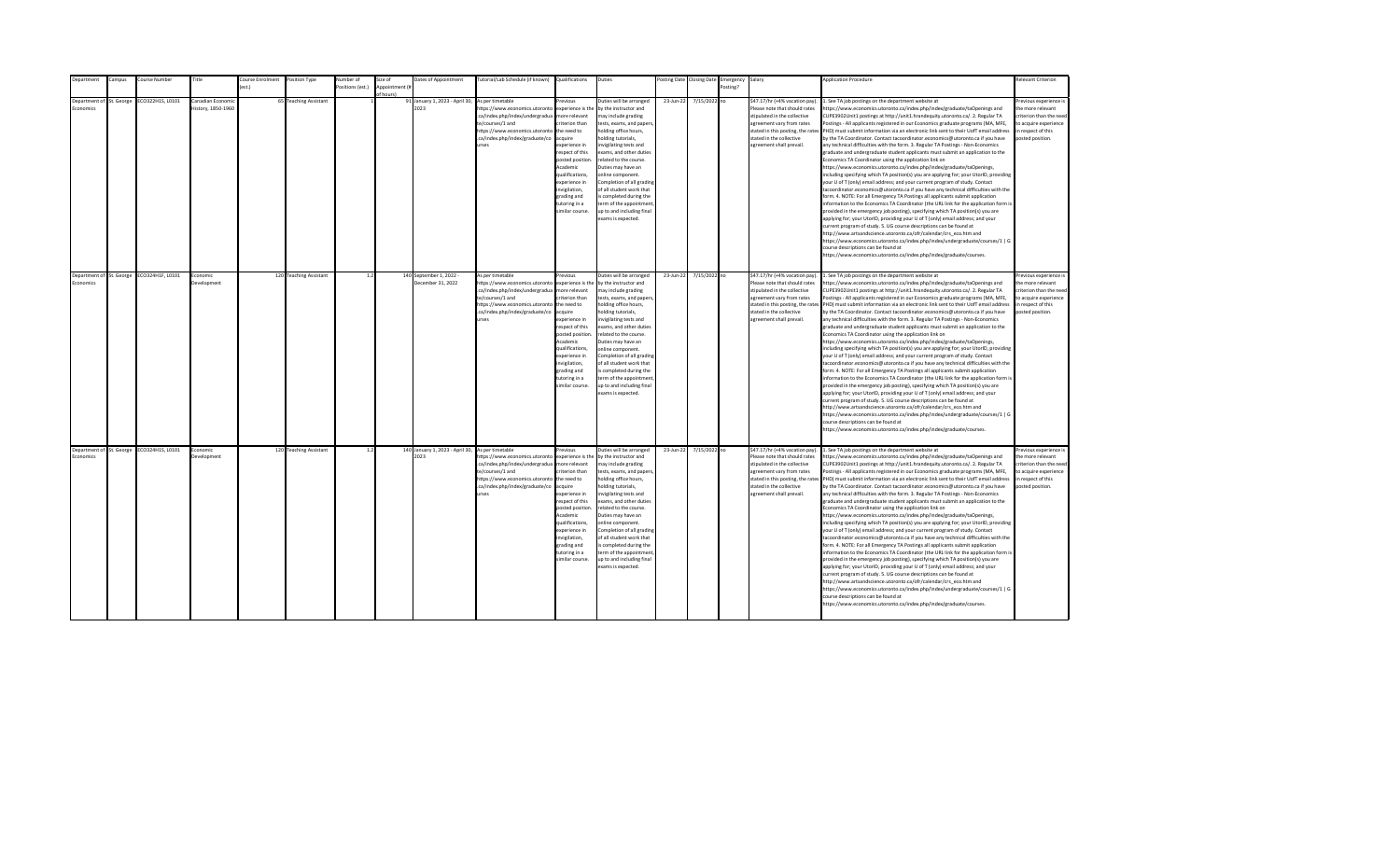| Department       | Campus                   | Course Number    | Title                                   | <b>Course Enrolment</b> | Position Type          | <b>Number</b> of | Size of                     | Dates of Appointment                         | Tutorial/Lab Schedule (if known) Qualifications                                                                                                                                                             |                                                                                                                                                                                                                                                                   | Duties                                                                                                                                                                                                                                                                                                                                                                                                                                          |           | Posting Date Closing Date | Emergency Salary |                                                                                                                                                                                                                           | <b>Application Procedure</b>                                                                                                                                                                                                                                                                                                                                                                                                                                                                                                                                                                                                                                                                                                                                                                                                                                                                                                                                                                                                                                                                                                                                                                                                                                                                                                                                                                                                                                                                                                                                                                                                                                                                                                                                                                 | Relevant Criterion                                                                                                                       |
|------------------|--------------------------|------------------|-----------------------------------------|-------------------------|------------------------|------------------|-----------------------------|----------------------------------------------|-------------------------------------------------------------------------------------------------------------------------------------------------------------------------------------------------------------|-------------------------------------------------------------------------------------------------------------------------------------------------------------------------------------------------------------------------------------------------------------------|-------------------------------------------------------------------------------------------------------------------------------------------------------------------------------------------------------------------------------------------------------------------------------------------------------------------------------------------------------------------------------------------------------------------------------------------------|-----------|---------------------------|------------------|---------------------------------------------------------------------------------------------------------------------------------------------------------------------------------------------------------------------------|----------------------------------------------------------------------------------------------------------------------------------------------------------------------------------------------------------------------------------------------------------------------------------------------------------------------------------------------------------------------------------------------------------------------------------------------------------------------------------------------------------------------------------------------------------------------------------------------------------------------------------------------------------------------------------------------------------------------------------------------------------------------------------------------------------------------------------------------------------------------------------------------------------------------------------------------------------------------------------------------------------------------------------------------------------------------------------------------------------------------------------------------------------------------------------------------------------------------------------------------------------------------------------------------------------------------------------------------------------------------------------------------------------------------------------------------------------------------------------------------------------------------------------------------------------------------------------------------------------------------------------------------------------------------------------------------------------------------------------------------------------------------------------------------|------------------------------------------------------------------------------------------------------------------------------------------|
|                  |                          |                  |                                         |                         |                        | ositions (est.)  | Appointment (#<br>of hours! |                                              |                                                                                                                                                                                                             |                                                                                                                                                                                                                                                                   |                                                                                                                                                                                                                                                                                                                                                                                                                                                 |           |                           | Posting?         |                                                                                                                                                                                                                           |                                                                                                                                                                                                                                                                                                                                                                                                                                                                                                                                                                                                                                                                                                                                                                                                                                                                                                                                                                                                                                                                                                                                                                                                                                                                                                                                                                                                                                                                                                                                                                                                                                                                                                                                                                                              |                                                                                                                                          |
| <b>Economics</b> | Department of St. George | ECO322H1S, L0101 | Canadian Economio<br>listory, 1850-1960 |                         | 65 Teaching Assistant  |                  |                             | 91 January 1, 2023 - April 30,<br>2023       | As per timetable<br>https://www.economics.utoronto<br>.ca/index.php/index/undergradua<br>te/courses/1 and<br>https://www.economics.utoronto<br>.ca/index.php/index/graduate/co<br>urses                     | Previous<br>experience is the<br>more relevant<br>riterion than<br>the need to<br>acquire<br>xperience in<br>respect of this<br>posted position<br>Academic<br>qualifications,<br>experience in<br>wigilation,<br>grading and<br>tutoring in a<br>similar course. | Duties will be arranged<br>by the instructor and<br>may include grading<br>tests, exams, and papers<br>holding office hours,<br>olding tutorials.<br>nvigilating tests and<br>exams, and other duties<br>related to the course.<br>Duties may have an<br>online component.<br>Completion of all grading<br>of all student work that<br>s completed during the<br>term of the appointment<br>up to and including final<br>exams is expected.     | 23-Jun-22 | 7/15/2022 no              |                  | \$47.17/hr (+4% vacation pay).<br>Please note that should rates<br>stipulated in the collective<br>agreement vary from rates<br>stated in this posting, the rates<br>stated in the collective<br>agreement shall prevail. | . See TA job postings on the department website at<br>ttps://www.economics.utoronto.ca/index.php/index/graduate/taOpenings and<br>CUPE3902Unit1 postings at http://unit1.hrandequity.utoronto.ca/. 2. Regular TA<br>Postings - All applicants registered in our Economics graduate programs (MA, MFE,<br>PHD) must submit information via an electronic link sent to their UofT email address<br>by the TA Coordinator. Contact tacoordinator.economics@utoronto.ca if you have<br>any technical difficulties with the form. 3. Regular TA Postings - Non-Economics<br>graduate and undergraduate student applicants must submit an application to the<br>Economics TA Coordinator using the application link on<br>https://www.economics.utoronto.ca/index.php/index/graduate/taOpenings,<br>including specifying which TA position(s) you are applying for; your UtorID, providing<br>our U of T (only) email address; and your current program of study. Contact<br>acoordinator.economics@utoronto.ca if you have any technical difficulties with the<br>orm. 4. NOTE: For all Emergency TA Postings all applicants submit application<br>nformation to the Economics TA Coordinator (the URL link for the application form is<br>provided in the emergency job posting), specifying which TA position(s) you are<br>applying for; your UtorID, providing your U of T (only) email address; and your<br>urrent program of study. 5. UG course descriptions can be found at<br>http://www.artsandscience.utoronto.ca/ofr/calendar/crs_eco.htm and<br>https://www.economics.utoronto.ca/index.php/index/undergraduate/courses/1   G<br>ourse descriptions can be found at<br>ttps://www.economics.utoronto.ca/index.php/index/graduate/courses.                                            | revious experience i<br>the more relevant<br>criterion than the nee-<br>to acquire experience<br>in respect of this<br>posted position.  |
| Economics        | Department of St. George | ECO324H1F, L0101 | Economic<br>Development                 |                         | 120 Teaching Assistant | 1.2              |                             | 140 September 1, 2022 -<br>December 31, 2022 | As per timetable<br>https://www.economics.utoronto<br>.ca/index.php/index/undergradua<br>te/courses/1 and<br>https://www.economics.utoronto the need to<br>.ca/index.php/index/graduate/co<br>urses         | revious<br>experience is the<br>more relevant<br>criterion than<br>acquire<br>experience in<br>respect of this<br>posted position.<br>Academic<br>qualifications.<br>experience in<br>invigilation.<br>grading and<br>tutoring in a<br>similar course.            | Duties will be arranged<br>by the instructor and<br>may include grading<br>tests, exams, and papers,<br>holding office hours,<br>holding tutorials,<br>invigilating tests and<br>exams, and other duties<br>related to the course.<br>Duties may have an<br>online component.<br>Completion of all grading<br>of all student work that<br>is completed during the<br>term of the appointment<br>up to and including final<br>exams is expected. | 23-Jun-22 | 7/15/2022 no              |                  | \$47.17/hr (+4% vacation pay).<br>Please note that should rates<br>stipulated in the collective<br>agreement vary from rates<br>stated in the collective<br>agreement shall prevail.                                      | 1. See TA job postings on the department website at<br>https://www.economics.utoronto.ca/index.php/index/graduate/taOpenings and<br>CUPE3902Unit1 postings at http://unit1.hrandequity.utoronto.ca/. 2. Regular TA<br>Postings - All applicants registered in our Economics graduate programs (MA, MFE,<br>stated in this posting, the rates PHD) must submit information via an electronic link sent to their UofT email address<br>by the TA Coordinator. Contact tacoordinator.economics@utoronto.ca if you have<br>any technical difficulties with the form. 3. Regular TA Postings - Non-Economics<br>graduate and undergraduate student applicants must submit an application to the<br>Economics TA Coordinator using the application link on<br>https://www.economics.utoronto.ca/index.php/index/graduate/taOpenings,<br>including specifying which TA position(s) you are applying for; your UtorID, providing<br>your U of T (only) email address; and your current program of study. Contact<br>tacoordinator.economics@utoronto.ca if you have any technical difficulties with the<br>form. 4. NOTE: For all Emergency TA Postings all applicants submit application<br>information to the Economics TA Coordinator (the URL link for the application form is<br>provided in the emergency job posting), specifying which TA position(s) you are<br>applying for; your UtorID, providing your U of T (only) email address; and your<br>current program of study. 5. UG course descriptions can be found at<br>http://www.artsandscience.utoronto.ca/ofr/calendar/crs eco.htm and<br>https://www.economics.utoronto.ca/index.php/index/undergraduate/courses/1   G<br>ourse descriptions can be found at<br>ittps://www.economics.utoronto.ca/index.php/index/graduate/courses.  | Previous experience i<br>the more relevant<br>criterion than the need<br>to acquire experience<br>in respect of this<br>posted position. |
| Economics        | Department of St. George | ECO324H1S, L0101 | Economic<br>Development                 |                         | 120 Teaching Assistant | 1.2              |                             | 140 January 1, 2023 - April 30,<br>2023      | As per timetable<br>https://www.economics.utoronto<br>.ca/index.php/index/undergradua<br>te/courses/1 and<br>https://www.economics.utoronto the need to<br>.ca/index.php/index/graduate/co acquire<br>urses | revious<br>experience is the<br>more relevant<br>criterion than<br>experience in<br>respect of this<br>posted position<br>Academic<br>qualifications,<br>experience in<br>invigilation,<br>grading and<br>tutoring in a<br>similar course.                        | Duties will be arranged<br>by the instructor and<br>may include grading<br>tests, exams, and papers,<br>holding office hours,<br>holding tutorials,<br>nvigilating tests and<br>exams, and other duties<br>related to the course.<br>Duties may have an<br>online component.<br>Completion of all grading<br>of all student work that<br>is completed during the<br>term of the appointment<br>up to and including final<br>exams is expected.  | 23-Jun-22 | 7/15/2022 no              |                  | \$47.17/hr (+4% vacation pay).<br>Please note that should rates<br>stipulated in the collective<br>agreement vary from rates<br>stated in the collective<br>agreement shall prevail.                                      | 1. See TA job postings on the department website at<br>https://www.economics.utoronto.ca/index.php/index/graduate/taOpenings and<br>CUPE3902Unit1 postings at http://unit1.hrandequity.utoronto.ca/. 2. Regular TA<br>Postings - All applicants registered in our Economics graduate programs (MA, MFE,<br>stated in this posting, the rates PHD) must submit information via an electronic link sent to their UofT email address<br>by the TA Coordinator. Contact tacoordinator.economics@utoronto.ca if you have<br>any technical difficulties with the form. 3. Regular TA Postings - Non-Economics<br>graduate and undergraduate student applicants must submit an application to the<br>Economics TA Coordinator using the application link on<br>https://www.economics.utoronto.ca/index.php/index/graduate/taOpenings,<br>including specifying which TA position(s) you are applying for; your UtorID, providing<br>your U of T (only) email address; and your current program of study. Contact<br>tacoordinator.economics@utoronto.ca if you have any technical difficulties with the<br>form. 4. NOTE: For all Emergency TA Postings all applicants submit application<br>information to the Economics TA Coordinator (the URL link for the application form is<br>provided in the emergency job posting), specifying which TA position(s) you are<br>applying for; your UtorID, providing your U of T (only) email address; and your<br>current program of study. 5. UG course descriptions can be found at<br>http://www.artsandscience.utoronto.ca/ofr/calendar/crs eco.htm and<br>https://www.economics.utoronto.ca/index.php/index/undergraduate/courses/1   G<br>course descriptions can be found at<br>https://www.economics.utoronto.ca/index.php/index/graduate/courses. | revious experience i<br>the more relevant<br>criterion than the need<br>to acquire experience<br>in respect of this<br>posted position.  |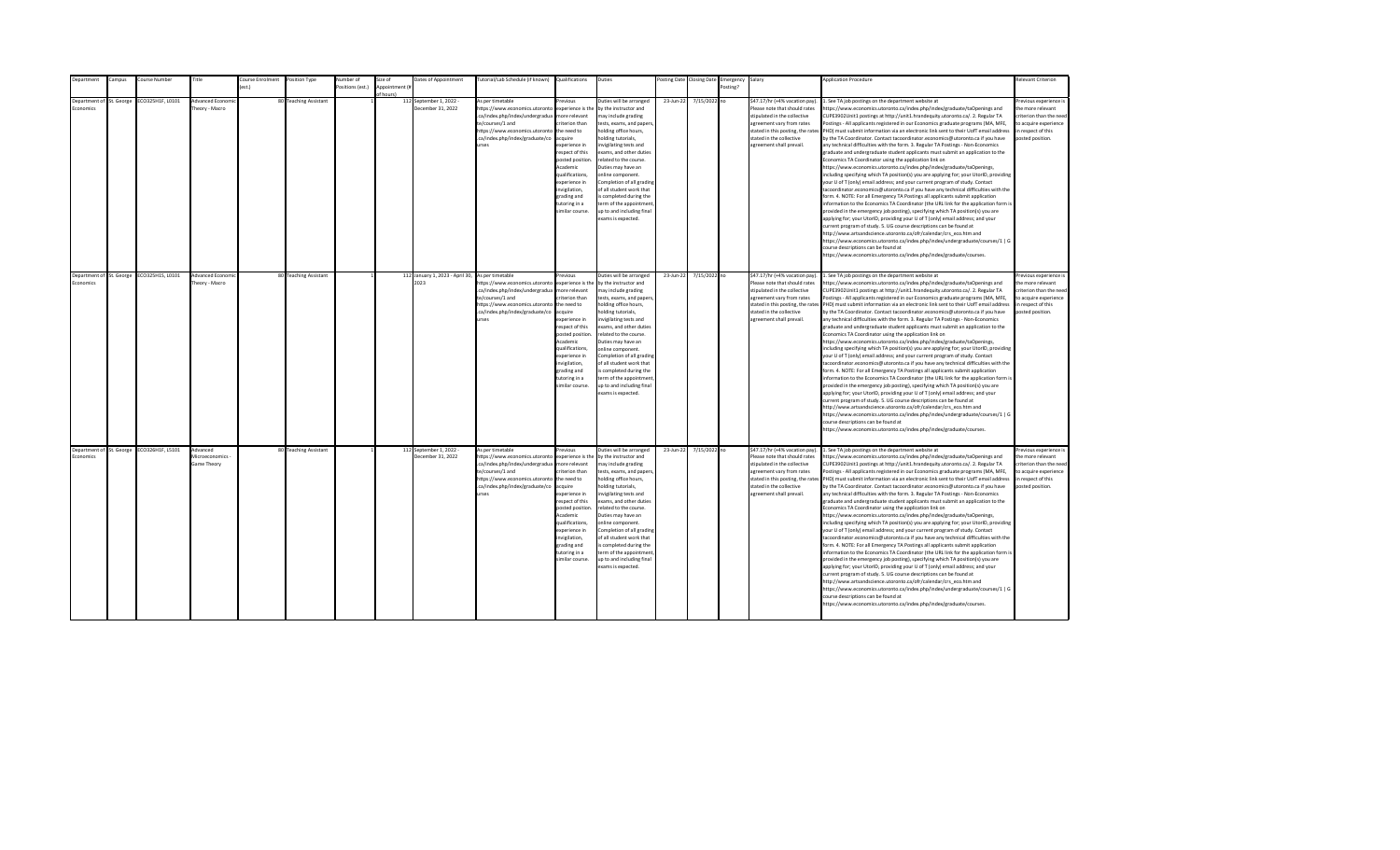| <b>Department</b>                            | Campus | Course Number                             | Title                                     | Course Enrolment | Position Type         | Number of        | Size of                     | Dates of Appointment                                     | Tutorial/Lab Schedule (if known) Qualifications                                                                                                                                                |                                                                                                                                                                                                                                                                    | Duties                                                                                                                                                                                                                                                                                                                                                                                                                                         |           | Posting Date Closing Date | Emergency Salary |                                                                                                                                                                                                                           | <b>Application Procedure</b>                                                                                                                                                                                                                                                                                                                                                                                                                                                                                                                                                                                                                                                                                                                                                                                                                                                                                                                                                                                                                                                                                                                                                                                                                                                                                                                                                                                                                                                                                                                                                                                                                                                                                                                                                                 | <b>Relevant Criterion</b>                                                                                                                |
|----------------------------------------------|--------|-------------------------------------------|-------------------------------------------|------------------|-----------------------|------------------|-----------------------------|----------------------------------------------------------|------------------------------------------------------------------------------------------------------------------------------------------------------------------------------------------------|--------------------------------------------------------------------------------------------------------------------------------------------------------------------------------------------------------------------------------------------------------------------|------------------------------------------------------------------------------------------------------------------------------------------------------------------------------------------------------------------------------------------------------------------------------------------------------------------------------------------------------------------------------------------------------------------------------------------------|-----------|---------------------------|------------------|---------------------------------------------------------------------------------------------------------------------------------------------------------------------------------------------------------------------------|----------------------------------------------------------------------------------------------------------------------------------------------------------------------------------------------------------------------------------------------------------------------------------------------------------------------------------------------------------------------------------------------------------------------------------------------------------------------------------------------------------------------------------------------------------------------------------------------------------------------------------------------------------------------------------------------------------------------------------------------------------------------------------------------------------------------------------------------------------------------------------------------------------------------------------------------------------------------------------------------------------------------------------------------------------------------------------------------------------------------------------------------------------------------------------------------------------------------------------------------------------------------------------------------------------------------------------------------------------------------------------------------------------------------------------------------------------------------------------------------------------------------------------------------------------------------------------------------------------------------------------------------------------------------------------------------------------------------------------------------------------------------------------------------|------------------------------------------------------------------------------------------------------------------------------------------|
|                                              |        |                                           |                                           | est.)            |                       | Positions (est.) | Appointment (i<br>of hours) |                                                          |                                                                                                                                                                                                |                                                                                                                                                                                                                                                                    |                                                                                                                                                                                                                                                                                                                                                                                                                                                |           |                           | Posting?         |                                                                                                                                                                                                                           |                                                                                                                                                                                                                                                                                                                                                                                                                                                                                                                                                                                                                                                                                                                                                                                                                                                                                                                                                                                                                                                                                                                                                                                                                                                                                                                                                                                                                                                                                                                                                                                                                                                                                                                                                                                              |                                                                                                                                          |
| Department of St. George<br>conomics         |        | ECO325H1F, L0101                          | Advanced Econom<br>Theory - Macro         |                  | 80 Teaching Assistant |                  |                             | 112 September 1, 2022 -<br>December 31, 2022             | As per timetable<br>https://www.economics.utoronto<br>.ca/index.php/index/undergradua<br>te/courses/1 and<br>https://www.economics.utoronto<br>.ca/index.php/index/graduate/co<br><b>urses</b> | revious<br>experience is the<br>nore relevant<br>riterion than<br>the need to<br>cauire<br>xperience in<br>espect of this<br>posted position<br>Academic<br>qualifications,<br>xperience in<br>nvigilation,<br>trading and<br>utoring in a<br>imilar course.       | Duties will be arranged<br>by the instructor and<br>nay include grading<br>tests, exams, and papers<br>nolding office hours,<br>olding tutorials,<br>nvigilating tests and<br>exams, and other duties<br>related to the course.<br>Duties may have an<br>online component.<br>Completion of all grading<br>of all student work that<br>s completed during the<br>erm of the appointment<br>up to and including final<br>exams is expected.     | 23-Jun-22 | 7/15/2022 no              |                  | \$47.17/hr (+4% vacation pay).<br>Please note that should rates<br>stipulated in the collective<br>agreement vary from rates<br>stated in this posting, the rates<br>stated in the collective<br>agreement shall prevail. | 1. See TA job postings on the department website at<br>https://www.economics.utoronto.ca/index.php/index/graduate/taOpenings and<br>CUPE3902Unit1 postings at http://unit1.hrandequity.utoronto.ca/. 2. Regular TA<br>Postings - All applicants registered in our Economics graduate programs (MA, MFE,<br>PHD) must submit information via an electronic link sent to their UofT email address<br>by the TA Coordinator. Contact tacoordinator.economics@utoronto.ca if you have<br>any technical difficulties with the form. 3. Regular TA Postings - Non-Economics<br>graduate and undergraduate student applicants must submit an application to the<br>Economics TA Coordinator using the application link on<br>https://www.economics.utoronto.ca/index.php/index/graduate/taOpenings,<br>including specifying which TA position(s) you are applying for; your UtorID, providing<br>your U of T (only) email address; and your current program of study. Contact<br>tacoordinator.economics@utoronto.ca if you have any technical difficulties with the<br>form. 4. NOTE: For all Emergency TA Postings all applicants submit application<br>information to the Economics TA Coordinator (the URL link for the application form is<br>provided in the emergency job posting), specifying which TA position(s) you are<br>applying for; your UtorID, providing your U of T (only) email address; and your<br>current program of study. 5. UG course descriptions can be found at<br>http://www.artsandscience.utoronto.ca/ofr/calendar/crs eco.htm and<br>https://www.economics.utoronto.ca/index.php/index/undergraduate/courses/1   G<br>course descriptions can be found at<br>https://www.economics.utoronto.ca/index.php/index/graduate/courses.                                   | revious experience i<br>the more relevant<br>riterion than the need<br>to acquire experience<br>in respect of this<br>posted position.   |
| Department of St. George<br><b>Economics</b> |        | ECO325H1S, L0101                          | Advanced Econom<br>Theory - Macro         |                  | 80 Teaching Assistant |                  |                             | 112 January 1, 2023 - April 30, As per timetable<br>2023 | https://www.economics.utoronto<br>.ca/index.php/index/undergradua<br>te/courses/1 and<br>https://www.economics.utoronto<br>.ca/index.php/index/graduate/co<br><b>IFSPS</b>                     | revinus<br>experience is the<br>more relevant<br>riterion than<br>the need to<br>acquire<br>xperience in<br>respect of this<br>posted position<br>Academic<br>qualifications,<br>experience in<br>nvigilation,<br>grading and<br>tutoring in a<br>imilar course.   | Duties will be arranged<br>by the instructor and<br>may include grading<br>tests, exams, and papers,<br>holding office hours,<br>nolding tutorials,<br>nvigilating tests and<br>exams, and other duties<br>related to the course.<br>Duties may have an<br>online component.<br>Completion of all grading<br>of all student work that<br>is completed during the<br>term of the appointment<br>up to and including final<br>exams is expected. | 23-Jun-22 | 7/15/2022 no              |                  | \$47.17/hr (+4% vacation pay).<br>Please note that should rates<br>stipulated in the collective<br>agreement vary from rates<br>stated in the collective<br>agreement shall prevail.                                      | 1. See TA job postings on the department website at<br>https://www.economics.utoronto.ca/index.php/index/graduate/taOpenings and<br>CUPE3902Unit1 postings at http://unit1.hrandequity.utoronto.ca/. 2. Regular TA<br>Postings - All applicants registered in our Economics graduate programs (MA, MFE,<br>stated in this posting, the rates PHD) must submit information via an electronic link sent to their UofT email address<br>by the TA Coordinator. Contact tacoordinator.economics@utoronto.ca if you have<br>any technical difficulties with the form. 3. Regular TA Postings - Non-Economics<br>graduate and undergraduate student applicants must submit an application to the<br>Economics TA Coordinator using the application link on<br>https://www.economics.utoronto.ca/index.php/index/graduate/taOpenings,<br>including specifying which TA position(s) you are applying for; your UtorID, providing<br>your U of T (only) email address; and your current program of study. Contact<br>tacoordinator.economics@utoronto.ca if you have any technical difficulties with the<br>form. 4. NOTE: For all Emergency TA Postings all applicants submit application<br>information to the Economics TA Coordinator (the URL link for the application form is<br>provided in the emergency job posting), specifying which TA position(s) you are<br>applying for; your UtorID, providing your U of T (only) email address; and your<br>current program of study. 5. UG course descriptions can be found at<br>http://www.artsandscience.utoronto.ca/ofr/calendar/crs_eco.htm and<br>https://www.economics.utoronto.ca/index.php/index/undergraduate/courses/1   G<br>course descriptions can be found at<br>https://www.economics.utoronto.ca/index.php/index/graduate/courses. | Previous experience i<br>the more relevant<br>criterion than the need<br>to acquire experience<br>in respect of this<br>posted position. |
| Economics                                    |        | Department of St. George ECO326H1F, L5101 | Advanced<br>Microeconomics<br>Game Theory |                  | 80 Teaching Assistant |                  |                             | 112 September 1, 2022 -<br>December 31, 2022             | As per timetable<br>https://www.economics.utoronto<br>.ca/index.php/index/undergradua<br>te/courses/1 and<br>https://www.economics.utoronto<br>.ca/index.php/index/graduate/co<br><b>urses</b> | revious<br>experience is the<br>more relevant<br>riterion than<br>the need to<br>acquire<br>experience in<br>respect of this<br>posted position<br>Academic<br>qualifications,<br>experience in<br>invigilation,<br>grading and<br>tutoring in a<br>imilar course. | Duties will be arranged<br>by the instructor and<br>may include grading<br>tests, exams, and papers,<br>holding office hours,<br>nolding tutorials,<br>nvigilating tests and<br>exams, and other duties<br>related to the course.<br>Duties may have an<br>online component.<br>Completion of all grading<br>of all student work that<br>is completed during the<br>term of the appointment<br>up to and including final<br>exams is expected. | 23-Jun-22 | 7/15/2022 no              |                  | \$47.17/hr (+4% vacation pay).<br>Please note that should rates<br>stipulated in the collective<br>agreement vary from rates<br>stated in the collective<br>agreement shall prevail.                                      | 1. See TA job postings on the department website at<br>https://www.economics.utoronto.ca/index.php/index/graduate/taOpenings and<br>CUPE3902Unit1 postings at http://unit1.hrandequity.utoronto.ca/. 2. Regular TA<br>Postings - All applicants registered in our Economics graduate programs (MA, MFE,<br>stated in this posting, the rates PHD) must submit information via an electronic link sent to their UofT email address<br>by the TA Coordinator. Contact tacoordinator.economics@utoronto.ca if you have<br>any technical difficulties with the form. 3. Regular TA Postings - Non-Economics<br>graduate and undergraduate student applicants must submit an application to the<br>Economics TA Coordinator using the application link on<br>https://www.economics.utoronto.ca/index.php/index/graduate/taOpenings,<br>including specifying which TA position(s) you are applying for; your UtorID, providing<br>your U of T (only) email address; and your current program of study. Contact<br>tacoordinator.economics@utoronto.ca if you have any technical difficulties with the<br>form. 4. NOTE: For all Emergency TA Postings all applicants submit application<br>information to the Economics TA Coordinator (the URL link for the application form is<br>provided in the emergency job posting), specifying which TA position(s) you are<br>applying for; your UtorID, providing your U of T (only) email address; and your<br>current program of study. 5. UG course descriptions can be found at<br>http://www.artsandscience.utoronto.ca/ofr/calendar/crs eco.htm and<br>https://www.economics.utoronto.ca/index.php/index/undergraduate/courses/1   G<br>course descriptions can be found at<br>https://www.economics.utoronto.ca/index.php/index/graduate/courses. | Previous experience i<br>the more relevant<br>criterion than the need<br>to acquire experience<br>in respect of this<br>posted position. |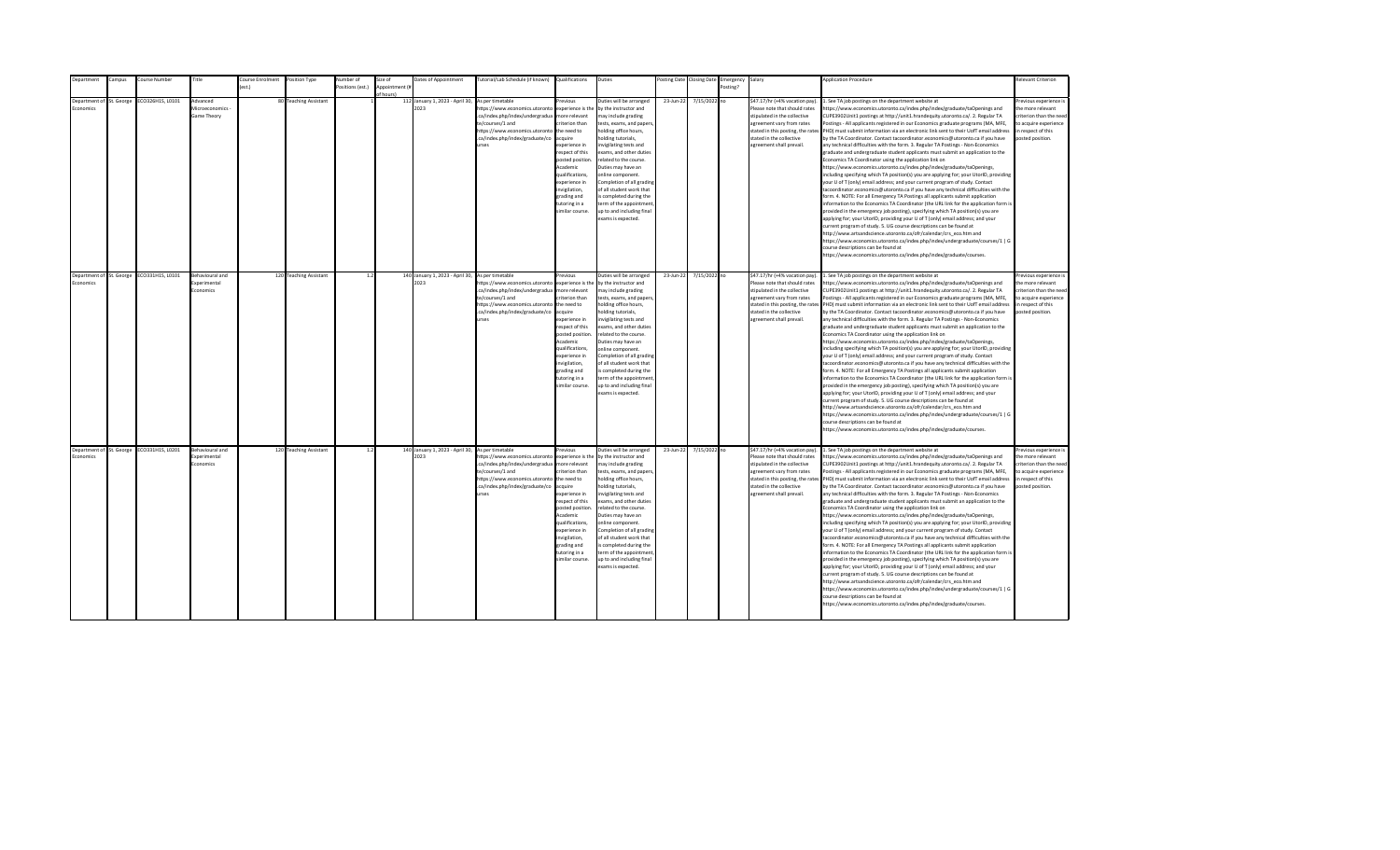|                  | Department               | ampus:                   | ourse Number     | Title                                            | <b>Course Enrolment</b> | Position Type          | lumber of       | size of        | Dates of Appointment                                     | lutorial/Lab Schedule (if known)                                                                                                                                                | Qualifications                                                                                                                                                                                                                                                        | Duties                                                                                                                                                                                                                                                                                                                                                                                                                                          | osting Date | <b>Closing Date</b> | Emergency | Salary                                                                                                                                                                               | <b>Application Procedure</b>                                                                                                                                                                                                                                                                                                                                                                                                                                                                                                                                                                                                                                                                                                                                                                                                                                                                                                                                                                                                                                                                                                                                                                                                                                                                                                                                                                                                                                                                                                                                                                                                                                                                                                                                                                 | Relevant Criterion                                                                                                                       |
|------------------|--------------------------|--------------------------|------------------|--------------------------------------------------|-------------------------|------------------------|-----------------|----------------|----------------------------------------------------------|---------------------------------------------------------------------------------------------------------------------------------------------------------------------------------|-----------------------------------------------------------------------------------------------------------------------------------------------------------------------------------------------------------------------------------------------------------------------|-------------------------------------------------------------------------------------------------------------------------------------------------------------------------------------------------------------------------------------------------------------------------------------------------------------------------------------------------------------------------------------------------------------------------------------------------|-------------|---------------------|-----------|--------------------------------------------------------------------------------------------------------------------------------------------------------------------------------------|----------------------------------------------------------------------------------------------------------------------------------------------------------------------------------------------------------------------------------------------------------------------------------------------------------------------------------------------------------------------------------------------------------------------------------------------------------------------------------------------------------------------------------------------------------------------------------------------------------------------------------------------------------------------------------------------------------------------------------------------------------------------------------------------------------------------------------------------------------------------------------------------------------------------------------------------------------------------------------------------------------------------------------------------------------------------------------------------------------------------------------------------------------------------------------------------------------------------------------------------------------------------------------------------------------------------------------------------------------------------------------------------------------------------------------------------------------------------------------------------------------------------------------------------------------------------------------------------------------------------------------------------------------------------------------------------------------------------------------------------------------------------------------------------|------------------------------------------------------------------------------------------------------------------------------------------|
|                  |                          |                          |                  |                                                  | $f$ est.)               |                        | ositions (est.) | Annointment (# |                                                          |                                                                                                                                                                                 |                                                                                                                                                                                                                                                                       |                                                                                                                                                                                                                                                                                                                                                                                                                                                 |             |                     | Posting?  |                                                                                                                                                                                      |                                                                                                                                                                                                                                                                                                                                                                                                                                                                                                                                                                                                                                                                                                                                                                                                                                                                                                                                                                                                                                                                                                                                                                                                                                                                                                                                                                                                                                                                                                                                                                                                                                                                                                                                                                                              |                                                                                                                                          |
| <b>Economics</b> | Denartment of            | St. George               | CO326H1S, L0101  | Advanced<br><b>Microeconomics</b><br>Game Theory |                         | 80 Teaching Assistant  |                 | of hours)      | 112 January 1, 2023 - April 30,<br>2023                  | As per timetable<br>https://www.economics.utoronto<br>.ca/index.php/index/undergradua                                                                                           | revious<br>experience is the<br>more relevant                                                                                                                                                                                                                         | Duties will be arranged<br>by the instructor and                                                                                                                                                                                                                                                                                                                                                                                                | 23-Jun-22   | 7/15/2022 no        |           | \$47.17/hr (+4% vacation pay)<br>Please note that should rates<br>stipulated in the collective                                                                                       | . See TA job postings on the department website at<br>ttps://www.economics.utoronto.ca/index.php/index/graduate/taOpenings and                                                                                                                                                                                                                                                                                                                                                                                                                                                                                                                                                                                                                                                                                                                                                                                                                                                                                                                                                                                                                                                                                                                                                                                                                                                                                                                                                                                                                                                                                                                                                                                                                                                               | Previous experience i<br>the more relevant<br>criterion than the need                                                                    |
|                  |                          |                          |                  |                                                  |                         |                        |                 |                |                                                          | te/courses/1 and<br>https://www.economics.utoronto<br>.ca/index.php/index/graduate/co<br>urses                                                                                  | riterion than<br>the need to<br>acquire<br>experience in<br>respect of this<br>posted position.<br>Academic<br>qualifications,<br>experience in<br>nvigilation,<br>grading and<br>tutoring in a<br>similar course.                                                    | may include grading<br>tests, exams, and papers,<br>holding office hours,<br>holding tutorials,<br>nvigilating tests and<br>exams, and other duties<br>related to the course.<br>Duties may have an<br>online component.<br>Completion of all grading<br>of all student work that<br>s completed during the<br>term of the appointment<br>up to and including final<br>exams is expected.                                                       |             |                     |           | agreement vary from rates<br>stated in this posting, the rates<br>stated in the collective<br>agreement shall prevail.                                                               | CUPE3902Unit1 postings at http://unit1.hrandequity.utoronto.ca/. 2. Regular TA<br>ostings - All applicants registered in our Economics graduate programs (MA, MFE,<br>PHD) must submit information via an electronic link sent to their UofT email address<br>by the TA Coordinator. Contact tacoordinator.economics@utoronto.ca if you have<br>any technical difficulties with the form. 3. Regular TA Postings - Non-Economics<br>graduate and undergraduate student applicants must submit an application to the<br>Economics TA Coordinator using the application link on<br>https://www.economics.utoronto.ca/index.php/index/graduate/taOpenings,<br>including specifying which TA position(s) you are applying for; your UtorID, providing<br>your U of T (only) email address; and your current program of study. Contact<br>acoordinator.economics@utoronto.ca if you have any technical difficulties with the<br>form. 4. NOTE: For all Emergency TA Postings all applicants submit application<br>information to the Economics TA Coordinator (the URL link for the application form is<br>provided in the emergency job posting), specifying which TA position(s) you are<br>applying for; your UtorID, providing your U of T (only) email address; and your<br>urrent program of study. 5. UG course descriptions can be found at<br>http://www.artsandscience.utoronto.ca/ofr/calendar/crs eco.htm and<br>https://www.economics.utoronto.ca/index.php/index/undergraduate/courses/1   G<br>ourse descriptions can be found at<br>https://www.economics.utoronto.ca/index.php/index/graduate/courses.                                                                                                                                                                           | to acquire experience<br>in respect of this<br>posted position.                                                                          |
| Economics        | Department of St. George |                          | ECO331H1S, L0101 | Behavioural and<br>Experimental<br>Economics     |                         | 120 Teaching Assistant | 1.2             |                | 140 January 1, 2023 - April 30, As per timetable<br>2023 | https://www.economics.utoronto<br>.ca/index.php/index/undergradua<br>te/courses/1 and<br>https://www.economics.utoronto<br>.ca/index.php/index/graduate/co<br>urses             | revious<br>experience is the<br>more relevant<br>criterion than<br>the need to<br>acquire<br>experience in<br>respect of this<br>posted position.<br>Academic<br>qualifications.<br>experience in<br>invigilation,<br>grading and<br>tutoring in a<br>similar course. | Duties will be arranged<br>by the instructor and<br>may include grading<br>tests, exams, and papers,<br>holding office hours,<br>holding tutorials,<br>invigilating tests and<br>exams, and other duties<br>related to the course.<br>Duties may have an<br>online component.<br>Completion of all grading<br>of all student work that<br>is completed during the<br>term of the appointment<br>up to and including final<br>exams is expected. | 23-Jun-22   | 7/15/2022 no        |           | \$47.17/hr (+4% vacation pay).<br>Please note that should rates<br>stipulated in the collective<br>agreement vary from rates<br>stated in the collective<br>agreement shall prevail. | 1. See TA job postings on the department website at<br>https://www.economics.utoronto.ca/index.php/index/graduate/taOpenings and<br>CUPE3902Unit1 postings at http://unit1.hrandequity.utoronto.ca/. 2. Regular TA<br>Postings - All applicants registered in our Economics graduate programs (MA, MFE,<br>stated in this posting, the rates PHD) must submit information via an electronic link sent to their UofT email address<br>by the TA Coordinator. Contact tacoordinator.economics@utoronto.ca if you have<br>any technical difficulties with the form. 3. Regular TA Postings - Non-Economics<br>graduate and undergraduate student applicants must submit an application to the<br>Economics TA Coordinator using the application link on<br>https://www.economics.utoronto.ca/index.php/index/graduate/taOpenings,<br>including specifying which TA position(s) you are applying for; your UtorID, providing<br>your U of T (only) email address; and your current program of study. Contact<br>tacoordinator.economics@utoronto.ca if you have any technical difficulties with the<br>form. 4. NOTE: For all Emergency TA Postings all applicants submit application<br>information to the Economics TA Coordinator (the URL link for the application form is<br>provided in the emergency job posting), specifying which TA position(s) you are<br>applying for; your UtorID, providing your U of T (only) email address; and your<br>current program of study. 5. UG course descriptions can be found at<br>http://www.artsandscience.utoronto.ca/ofr/calendar/crs_eco.htm and<br>https://www.economics.utoronto.ca/index.php/index/undergraduate/courses/1   G<br>ourse descriptions can be found at<br>ittps://www.economics.utoronto.ca/index.php/index/graduate/courses.  | Previous experience i<br>the more relevant<br>criterion than the need<br>to acquire experience<br>in respect of this<br>posted position. |
| Economics        |                          | Department of St. George | ECO331H1S, L0201 | Behavioural and<br>xperimental<br>conomics       |                         | 120 Teaching Assistant | 1.2             |                | 140 January 1, 2023 - April 30, As per timetable<br>2023 | https://www.economics.utoronto<br>.ca/index.php/index/undergradua<br>te/courses/1 and<br>https://www.economics.utoronto the need to<br>.ca/index.php/index/graduate/co<br>urses | Previous<br>experience is the<br>more relevant<br>criterion than<br>acquire<br>experience in<br>respect of this<br>posted position<br>Academic<br>qualifications,<br>experience in<br>invigilation,<br>grading and<br>tutoring in a<br>similar course.                | Duties will be arranged<br>by the instructor and<br>may include grading<br>tests, exams, and papers,<br>holding office hours,<br>holding tutorials,<br>nvigilating tests and<br>exams, and other duties<br>related to the course.<br>Duties may have an<br>online component.<br>Completion of all grading<br>of all student work that<br>is completed during the<br>term of the appointment<br>up to and including final<br>exams is expected.  | 23-Jun-22   | 7/15/2022 no        |           | \$47.17/hr (+4% vacation pay).<br>Please note that should rates<br>stipulated in the collective<br>agreement vary from rates<br>stated in the collective<br>agreement shall prevail. | 1. See TA job postings on the department website at<br>https://www.economics.utoronto.ca/index.php/index/graduate/taOpenings and<br>CUPE3902Unit1 postings at http://unit1.hrandequity.utoronto.ca/. 2. Regular TA<br>Postings - All applicants registered in our Economics graduate programs (MA, MFE,<br>stated in this posting, the rates PHD) must submit information via an electronic link sent to their UofT email address<br>by the TA Coordinator. Contact tacoordinator.economics@utoronto.ca if you have<br>any technical difficulties with the form. 3. Regular TA Postings - Non-Economics<br>graduate and undergraduate student applicants must submit an application to the<br>Economics TA Coordinator using the application link on<br>https://www.economics.utoronto.ca/index.php/index/graduate/taOpenings,<br>including specifying which TA position(s) you are applying for; your UtorID, providing<br>your U of T (only) email address; and your current program of study. Contact<br>tacoordinator.economics@utoronto.ca if you have any technical difficulties with the<br>form. 4. NOTE: For all Emergency TA Postings all applicants submit application<br>information to the Economics TA Coordinator (the URL link for the application form is<br>provided in the emergency job posting), specifying which TA position(s) you are<br>applying for; your UtorID, providing your U of T (only) email address; and your<br>current program of study. 5. UG course descriptions can be found at<br>http://www.artsandscience.utoronto.ca/ofr/calendar/crs eco.htm and<br>https://www.economics.utoronto.ca/index.php/index/undergraduate/courses/1   G<br>course descriptions can be found at<br>https://www.economics.utoronto.ca/index.php/index/graduate/courses. | revious experience i<br>the more relevant<br>criterion than the need<br>to acquire experience<br>in respect of this<br>posted position.  |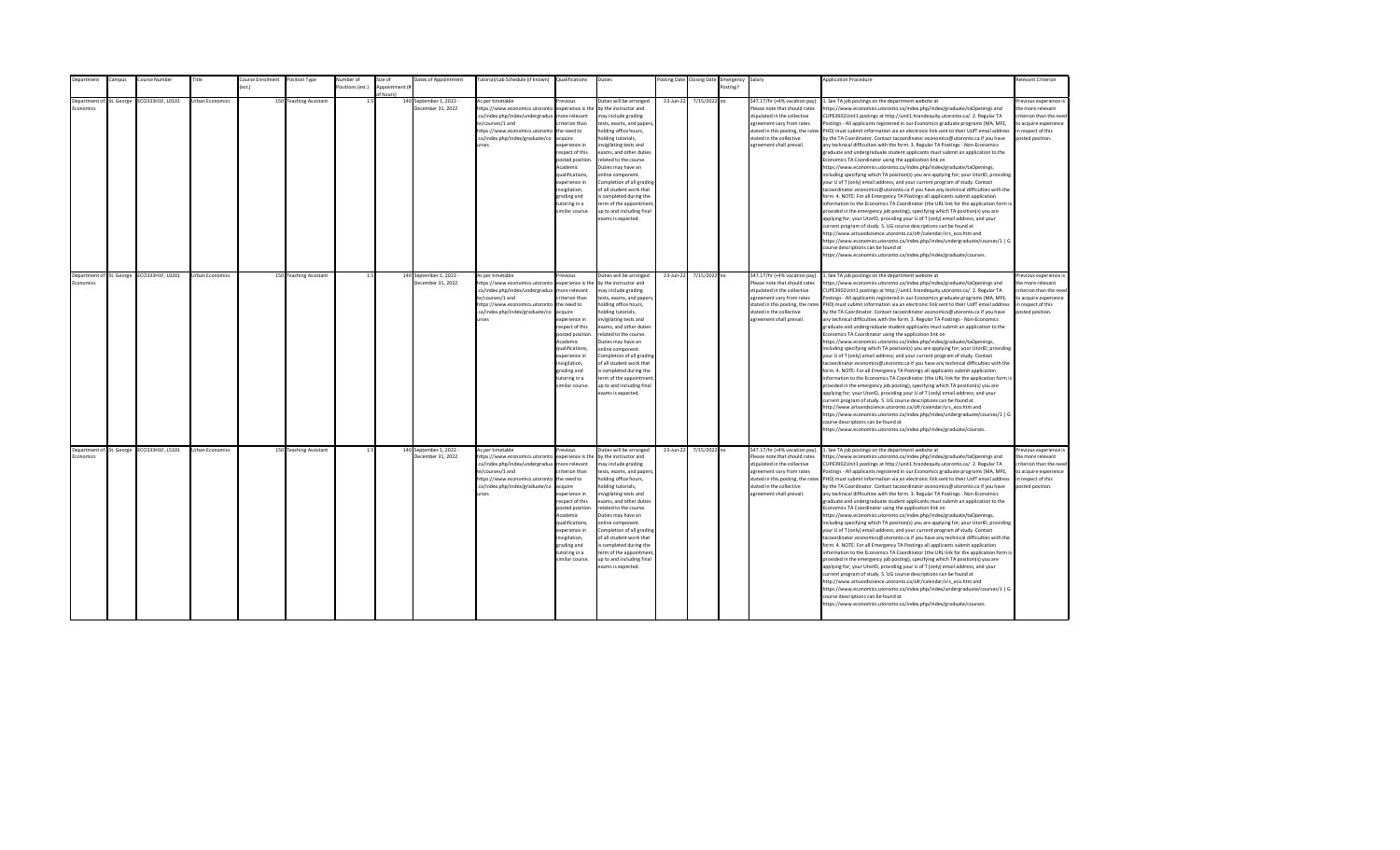| Department                            | Campus | Course Number                             | Title                  | Course Enrolment | Position Type          | Number of        | Size of                    | Dates of Appointment                         | Tutorial/Lab Schedule (if known) Qualifications                                                                                                                                                |                                                                                                                                                                                                                                                                    | Duties                                                                                                                                                                                                                                                                                                                                                                                                                                          |           | Posting Date Closing Date | Emergency Salary |                                                                                                                                                                                                                           | <b>Application Procedure</b>                                                                                                                                                                                                                                                                                                                                                                                                                                                                                                                                                                                                                                                                                                                                                                                                                                                                                                                                                                                                                                                                                                                                                                                                                                                                                                                                                                                                                                                                                                                                                                                                                                                                                                                               | <b>Relevant Criterion</b>                                                                                                                |
|---------------------------------------|--------|-------------------------------------------|------------------------|------------------|------------------------|------------------|----------------------------|----------------------------------------------|------------------------------------------------------------------------------------------------------------------------------------------------------------------------------------------------|--------------------------------------------------------------------------------------------------------------------------------------------------------------------------------------------------------------------------------------------------------------------|-------------------------------------------------------------------------------------------------------------------------------------------------------------------------------------------------------------------------------------------------------------------------------------------------------------------------------------------------------------------------------------------------------------------------------------------------|-----------|---------------------------|------------------|---------------------------------------------------------------------------------------------------------------------------------------------------------------------------------------------------------------------------|------------------------------------------------------------------------------------------------------------------------------------------------------------------------------------------------------------------------------------------------------------------------------------------------------------------------------------------------------------------------------------------------------------------------------------------------------------------------------------------------------------------------------------------------------------------------------------------------------------------------------------------------------------------------------------------------------------------------------------------------------------------------------------------------------------------------------------------------------------------------------------------------------------------------------------------------------------------------------------------------------------------------------------------------------------------------------------------------------------------------------------------------------------------------------------------------------------------------------------------------------------------------------------------------------------------------------------------------------------------------------------------------------------------------------------------------------------------------------------------------------------------------------------------------------------------------------------------------------------------------------------------------------------------------------------------------------------------------------------------------------------|------------------------------------------------------------------------------------------------------------------------------------------|
|                                       |        |                                           |                        | est.)            |                        | Positions (est.) | Appointment (i<br>f hours) |                                              |                                                                                                                                                                                                |                                                                                                                                                                                                                                                                    |                                                                                                                                                                                                                                                                                                                                                                                                                                                 |           |                           | Posting?         |                                                                                                                                                                                                                           |                                                                                                                                                                                                                                                                                                                                                                                                                                                                                                                                                                                                                                                                                                                                                                                                                                                                                                                                                                                                                                                                                                                                                                                                                                                                                                                                                                                                                                                                                                                                                                                                                                                                                                                                                            |                                                                                                                                          |
| Department of St. George<br>conomics  |        | ECO333H1F, L0101                          | <b>Urban Economics</b> |                  | 150 Teaching Assistant | 1.5              |                            | 140 September 1, 2022 -<br>December 31, 2022 | As per timetable<br>https://www.economics.utoronto<br>.ca/index.php/index/undergradua<br>te/courses/1 and<br>https://www.economics.utoronto<br>.ca/index.php/index/graduate/co<br><b>urses</b> | revious<br>experience is the<br>nore relevant<br>riterion than<br>the need to<br>cquire<br>xperience in<br>espect of this<br>posted position<br>Academic<br>ualifications,<br>xperience in<br>nvigilation,<br>trading and<br>utoring in a<br>imilar course.        | Duties will be arranged<br>by the instructor and<br>nay include grading<br>tests, exams, and papers<br>nolding office hours,<br>olding tutorials,<br>nvigilating tests and<br>exams, and other duties<br>elated to the course.<br>Duties may have an<br>online component.<br>Completion of all grading<br>of all student work that<br>s completed during the<br>term of the appointment<br>up to and including final<br>exams is expected.      | 23-Jun-22 | 7/15/2022 no              |                  | \$47.17/hr (+4% vacation pay).<br>Please note that should rates<br>stipulated in the collective<br>agreement vary from rates<br>stated in this posting, the rates<br>stated in the collective<br>agreement shall prevail. | 1. See TA job postings on the department website at<br>https://www.economics.utoronto.ca/index.php/index/graduate/taOpenings and<br>CUPE3902Unit1 postings at http://unit1.hrandequity.utoronto.ca/. 2. Regular TA<br>Postings - All applicants registered in our Economics graduate programs (MA, MFE,<br>PHD) must submit information via an electronic link sent to their UofT email address<br>by the TA Coordinator. Contact tacoordinator.economics@utoronto.ca if you have<br>any technical difficulties with the form. 3. Regular TA Postings - Non-Economics<br>graduate and undergraduate student applicants must submit an application to the<br>Economics TA Coordinator using the application link on<br>https://www.economics.utoronto.ca/index.php/index/graduate/taOpenings,<br>including specifying which TA position(s) you are applying for; your UtorID, providing<br>your U of T (only) email address; and your current program of study. Contact<br>tacoordinator.economics@utoronto.ca if you have any technical difficulties with the<br>form. 4. NOTE: For all Emergency TA Postings all applicants submit application<br>information to the Economics TA Coordinator (the URL link for the application form is<br>provided in the emergency job posting), specifying which TA position(s) you are<br>applying for; your UtorID, providing your U of T (only) email address; and your<br>current program of study. 5. UG course descriptions can be found at<br>http://www.artsandscience.utoronto.ca/ofr/calendar/crs eco.htm and<br>https://www.economics.utoronto.ca/index.php/index/undergraduate/courses/1   G<br>course descriptions can be found at<br>https://www.economics.utoronto.ca/index.php/index/graduate/courses. | revious experience i<br>the more relevant<br>riterion than the need<br>to acquire experience<br>in respect of this<br>posted position.   |
| Department of St. George<br>Economics |        | ECO333H1F, L0201                          | Urban Economics        |                  | 150 Teaching Assistant | 1.5              |                            | 140 September 1, 2022<br>December 31, 2022   | As per timetable<br>https://www.economics.utoronto<br>.ca/index.php/index/undergradua<br>te/courses/1 and<br>https://www.economics.utoronto<br>.ca/index.php/index/graduate/co<br><b>IFSPS</b> | revious<br>experience is the<br>more relevant<br>riterion than<br>the need to<br>acquire<br>xnerience in<br>espect of this<br>posted position<br>Academic<br>qualifications,<br>experience in<br>nvigilation,<br>grading and<br>tutoring in a<br>imilar course.    | Duties will be arranged<br>by the instructor and<br>may include grading<br>tests, exams, and papers,<br>holding office hours,<br>nolding tutorials,<br>nvigilating tests and<br>exams, and other duties<br>related to the course.<br>Duties may have an<br>online component.<br>Completion of all grading<br>of all student work that<br>is completed during the<br>term of the appointment<br>up to and including final<br>exams is expected.  | 23-Jun-22 | 7/15/2022 no              |                  | \$47.17/hr (+4% vacation pay).<br>Please note that should rates<br>stipulated in the collective<br>agreement vary from rates<br>stated in this posting, the rates<br>stated in the collective<br>agreement shall prevail. | 1. See TA job postings on the department website at<br>https://www.economics.utoronto.ca/index.php/index/graduate/taOpenings and<br>CUPE3902Unit1 postings at http://unit1.hrandequity.utoronto.ca/, 2. Regular TA<br>Postings - All applicants registered in our Economics graduate programs (MA, MFE.<br>PHD) must submit information via an electronic link sent to their UofT email address<br>by the TA Coordinator. Contact tacoordinator.economics@utoronto.ca if you have<br>any technical difficulties with the form. 3. Regular TA Postings - Non-Economics<br>graduate and undergraduate student applicants must submit an application to the<br>Economics TA Coordinator using the application link on<br>https://www.economics.utoronto.ca/index.php/index/graduate/taOpenings,<br>including specifying which TA position(s) you are applying for; your UtorID, providing<br>your U of T (only) email address; and your current program of study. Contact<br>tacoordinator.economics@utoronto.ca if you have any technical difficulties with the<br>form. 4. NOTE: For all Emergency TA Postings all applicants submit application<br>information to the Economics TA Coordinator (the URL link for the application form is<br>provided in the emergency job posting), specifying which TA position(s) you are<br>applying for; your UtorID, providing your U of T (only) email address; and your<br>current program of study. 5. UG course descriptions can be found at<br>http://www.artsandscience.utoronto.ca/ofr/calendar/crs_eco.htm and<br>https://www.economics.utoronto.ca/index.php/index/undergraduate/courses/1   G<br>course descriptions can be found at<br>https://www.economics.utoronto.ca/index.php/index/graduate/courses. | Previous experience i<br>the more relevant<br>criterion than the need<br>to acquire experience<br>in respect of this<br>posted position. |
| Economics                             |        | Department of St. George ECO333H1F, L5101 | Urban Economics        |                  | 150 Teaching Assistant | 1.5              |                            | 140 September 1, 2022 -<br>December 31, 2022 | As per timetable<br>https://www.economics.utoronto<br>.ca/index.php/index/undergradua<br>te/courses/1 and<br>https://www.economics.utoronto<br>.ca/index.php/index/graduate/co<br>urses        | revious<br>experience is the<br>more relevant<br>riterion than<br>the need to<br>acquire<br>experience in<br>respect of this<br>posted position<br>Academic<br>qualifications,<br>experience in<br>invigilation,<br>grading and<br>tutoring in a<br>imilar course. | Duties will be arranged<br>by the instructor and<br>may include grading<br>tests, exams, and papers,<br>holding office hours,<br>nolding tutorials,<br>nvigilating tests and<br>exams, and other duties<br>related to the course.<br>Duties may have an<br>online component.<br>Completion of all grading<br>of all student work that<br>is completed during the<br>term of the appointment,<br>up to and including final<br>exams is expected. | 23-Jun-22 | 7/15/2022 no              |                  | \$47.17/hr (+4% vacation pay).<br>Please note that should rates<br>stipulated in the collective<br>agreement vary from rates<br>stated in this posting, the rates<br>stated in the collective<br>agreement shall prevail. | 1. See TA job postings on the department website at<br>https://www.economics.utoronto.ca/index.php/index/graduate/taOpenings and<br>CUPE3902Unit1 postings at http://unit1.hrandequity.utoronto.ca/. 2. Regular TA<br>Postings - All applicants registered in our Economics graduate programs (MA, MFE,<br>PHD) must submit information via an electronic link sent to their UofT email address<br>by the TA Coordinator. Contact tacoordinator.economics@utoronto.ca if you have<br>any technical difficulties with the form. 3. Regular TA Postings - Non-Economics<br>graduate and undergraduate student applicants must submit an application to the<br>Economics TA Coordinator using the application link on<br>https://www.economics.utoronto.ca/index.php/index/graduate/taOpenings,<br>including specifying which TA position(s) you are applying for; your UtorID, providing<br>your U of T (only) email address; and your current program of study. Contact<br>tacoordinator.economics@utoronto.ca if you have any technical difficulties with the<br>form. 4. NOTE: For all Emergency TA Postings all applicants submit application<br>information to the Economics TA Coordinator (the URL link for the application form is<br>provided in the emergency job posting), specifying which TA position(s) you are<br>applying for; your UtorID, providing your U of T (only) email address; and your<br>current program of study. 5. UG course descriptions can be found at<br>http://www.artsandscience.utoronto.ca/ofr/calendar/crs_eco.htm and<br>https://www.economics.utoronto.ca/index.php/index/undergraduate/courses/1   G<br>course descriptions can be found at<br>https://www.economics.utoronto.ca/index.php/index/graduate/courses. | Previous experience i<br>the more relevant<br>criterion than the need<br>to acquire experience<br>in respect of this<br>posted position. |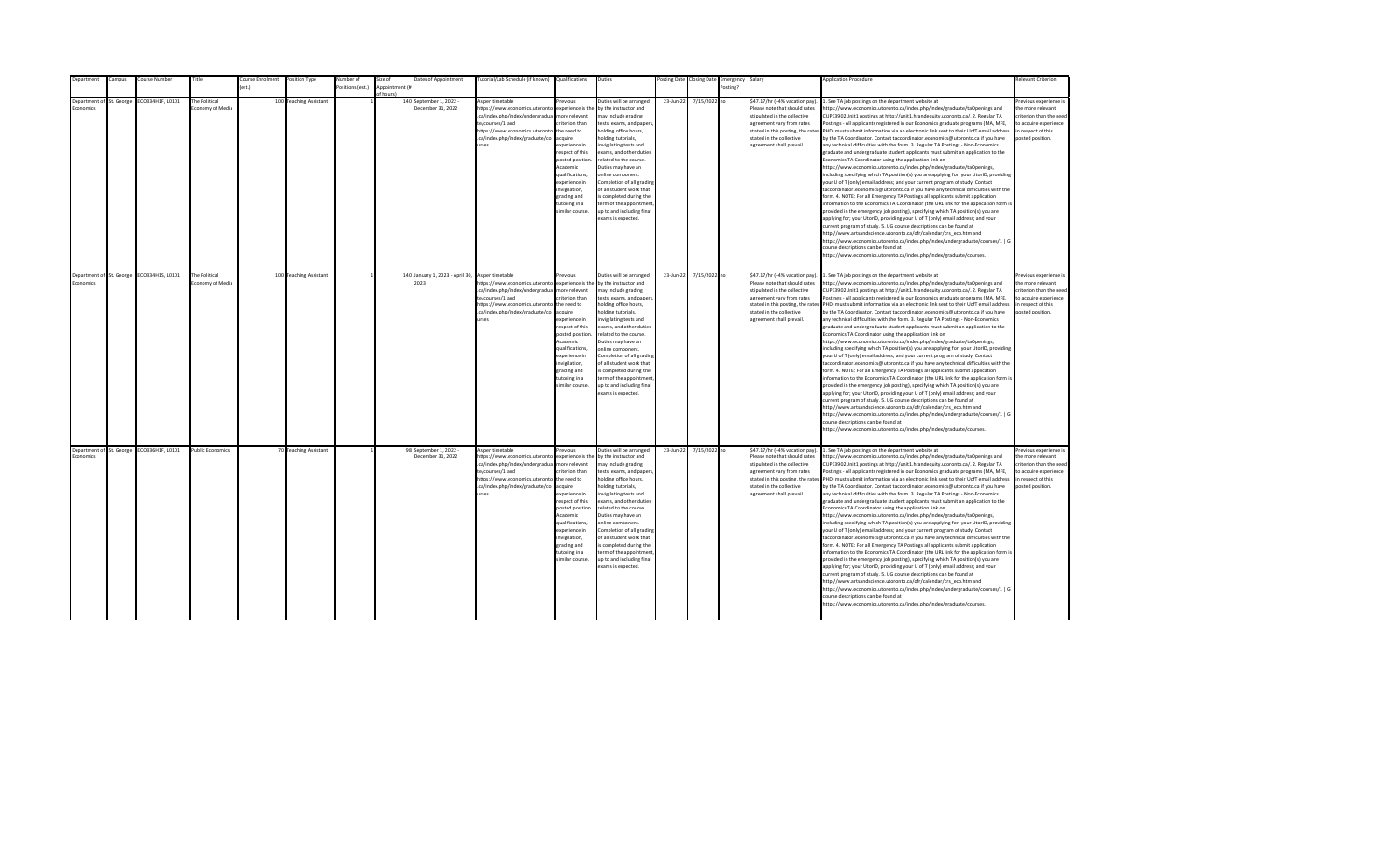| <b>Department</b> | Campus                   | Course Number                             | Title                             | Course Enrolment | Position Type          | Number of        | Size of                    | Dates of Appointment                                     | Tutorial/Lab Schedule (if known) Qualifications                                                                                                                                                |                                                                                                                                                                                                                                                                    | Duties                                                                                                                                                                                                                                                                                                                                                                                                                                         |           | Posting Date Closing Date | Emergency Salary |                                                                                                                                                                                                                           | <b>Application Procedure</b>                                                                                                                                                                                                                                                                                                                                                                                                                                                                                                                                                                                                                                                                                                                                                                                                                                                                                                                                                                                                                                                                                                                                                                                                                                                                                                                                                                                                                                                                                                                                                                                                                                                                                                                                                                 | <b>Relevant Criterion</b>                                                                                                               |
|-------------------|--------------------------|-------------------------------------------|-----------------------------------|------------------|------------------------|------------------|----------------------------|----------------------------------------------------------|------------------------------------------------------------------------------------------------------------------------------------------------------------------------------------------------|--------------------------------------------------------------------------------------------------------------------------------------------------------------------------------------------------------------------------------------------------------------------|------------------------------------------------------------------------------------------------------------------------------------------------------------------------------------------------------------------------------------------------------------------------------------------------------------------------------------------------------------------------------------------------------------------------------------------------|-----------|---------------------------|------------------|---------------------------------------------------------------------------------------------------------------------------------------------------------------------------------------------------------------------------|----------------------------------------------------------------------------------------------------------------------------------------------------------------------------------------------------------------------------------------------------------------------------------------------------------------------------------------------------------------------------------------------------------------------------------------------------------------------------------------------------------------------------------------------------------------------------------------------------------------------------------------------------------------------------------------------------------------------------------------------------------------------------------------------------------------------------------------------------------------------------------------------------------------------------------------------------------------------------------------------------------------------------------------------------------------------------------------------------------------------------------------------------------------------------------------------------------------------------------------------------------------------------------------------------------------------------------------------------------------------------------------------------------------------------------------------------------------------------------------------------------------------------------------------------------------------------------------------------------------------------------------------------------------------------------------------------------------------------------------------------------------------------------------------|-----------------------------------------------------------------------------------------------------------------------------------------|
|                   |                          |                                           |                                   | est.)            |                        | Positions (est.) | Appointment (i<br>f hourch |                                                          |                                                                                                                                                                                                |                                                                                                                                                                                                                                                                    |                                                                                                                                                                                                                                                                                                                                                                                                                                                |           |                           | Posting?         |                                                                                                                                                                                                                           |                                                                                                                                                                                                                                                                                                                                                                                                                                                                                                                                                                                                                                                                                                                                                                                                                                                                                                                                                                                                                                                                                                                                                                                                                                                                                                                                                                                                                                                                                                                                                                                                                                                                                                                                                                                              |                                                                                                                                         |
| conomics          | Department of St. George | ECO334H1F, L0101                          | The Political<br>conomy of Media  |                  | 100 Teaching Assistant |                  |                            | 140 September 1, 2022 -<br>December 31, 2022             | As per timetable<br>https://www.economics.utoronto<br>.ca/index.php/index/undergradua<br>te/courses/1 and<br>https://www.economics.utoronto<br>.ca/index.php/index/graduate/co<br><b>urses</b> | revious<br>experience is the<br>nore relevant<br>riterion than<br>the need to<br>cauire<br>xperience in<br>espect of this<br>posted position<br>Academic<br>qualifications,<br>xperience in<br>wigilation,<br>grading and<br>utoring in a<br>imilar course.        | Duties will be arranged<br>by the instructor and<br>nay include grading<br>tests, exams, and papers<br>nolding office hours,<br>olding tutorials.<br>nvigilating tests and<br>exams, and other duties<br>related to the course.<br>Duties may have an<br>online component.<br>Completion of all grading<br>of all student work that<br>s completed during the<br>erm of the appointment<br>up to and including final<br>exams is expected.     | 23-Jun-22 | 7/15/2022 no              |                  | \$47.17/hr (+4% vacation pay).<br>Please note that should rates<br>stipulated in the collective<br>agreement vary from rates<br>stated in this posting, the rates<br>stated in the collective<br>agreement shall prevail. | . See TA job postings on the department website at<br>https://www.economics.utoronto.ca/index.php/index/graduate/taOpenings and<br>CUPE3902Unit1 postings at http://unit1.hrandequity.utoronto.ca/. 2. Regular TA<br>Postings - All applicants registered in our Economics graduate programs (MA, MFE,<br>PHD) must submit information via an electronic link sent to their UofT email address<br>by the TA Coordinator. Contact tacoordinator.economics@utoronto.ca if you have<br>any technical difficulties with the form. 3. Regular TA Postings - Non-Economics<br>graduate and undergraduate student applicants must submit an application to the<br>Economics TA Coordinator using the application link on<br>https://www.economics.utoronto.ca/index.php/index/graduate/taOpenings,<br>including specifying which TA position(s) you are applying for; your UtorID, providing<br>your U of T (only) email address; and your current program of study. Contact<br>tacoordinator.economics@utoronto.ca if you have any technical difficulties with the<br>form. 4. NOTE: For all Emergency TA Postings all applicants submit application<br>information to the Economics TA Coordinator (the URL link for the application form is<br>provided in the emergency job posting), specifying which TA position(s) you are<br>applying for; your UtorID, providing your U of T (only) email address; and your<br>current program of study. 5. UG course descriptions can be found at<br>http://www.artsandscience.utoronto.ca/ofr/calendar/crs_eco.htm and<br>https://www.economics.utoronto.ca/index.php/index/undergraduate/courses/1   G<br>course descriptions can be found at<br>https://www.economics.utoronto.ca/index.php/index/graduate/courses.                                    | revious experience i<br>the more relevant<br>criterion than the nee-<br>to acquire experience<br>in respect of this<br>posted position. |
| Economics         | Department of St. George | ECO334H1S, L0101                          | The Political<br>Economy of Media |                  | 100 Teaching Assistant |                  |                            | 140 January 1, 2023 - April 30, As per timetable<br>2023 | https://www.economics.utoronto                                                                                                                                                                 | revious<br>experience is the                                                                                                                                                                                                                                       | Duties will be arranged<br>by the instructor and                                                                                                                                                                                                                                                                                                                                                                                               | 23-Jun-22 | 7/15/2022 no              |                  | \$47.17/hr (+4% vacation pay).<br>Please note that should rates                                                                                                                                                           | 1. See TA job postings on the department website at<br>https://www.economics.utoronto.ca/index.php/index/graduate/taOpenings and                                                                                                                                                                                                                                                                                                                                                                                                                                                                                                                                                                                                                                                                                                                                                                                                                                                                                                                                                                                                                                                                                                                                                                                                                                                                                                                                                                                                                                                                                                                                                                                                                                                             | Previous experience i<br>the more relevant                                                                                              |
|                   |                          |                                           |                                   |                  |                        |                  |                            |                                                          | .ca/index.php/index/undergradua<br>te/courses/1 and<br>https://www.economics.utoronto<br>.ca/index.php/index/graduate/co<br><b>urses</b>                                                       | more relevant<br>riterion than<br>the need to<br>acquire<br>experience in<br>resnect of this<br>posted position<br>Academic<br>qualifications.<br>experience in<br>invigilation,<br>grading and<br>tutoring in a<br>imilar course.                                 | may include grading<br>tests, exams, and papers,<br>holding office hours,<br>nolding tutorials,<br>nvigilating tests and<br>exams, and other duties<br>related to the course.<br>Duties may have an<br>online component.<br>Completion of all grading<br>of all student work that<br>is completed during the<br>term of the appointment<br>up to and including final<br>exams is expected.                                                     |           |                           |                  | stipulated in the collective<br>agreement vary from rates<br>stated in the collective<br>agreement shall prevail.                                                                                                         | CUPE3902Unit1 postings at http://unit1.hrandequity.utoronto.ca/. 2. Regular TA<br>Postings - All applicants registered in our Economics graduate programs (MA, MFE,<br>stated in this posting, the rates PHD) must submit information via an electronic link sent to their UofT email address<br>by the TA Coordinator. Contact tacoordinator.economics@utoronto.ca if you have<br>any technical difficulties with the form. 3. Regular TA Postings - Non-Economics<br>eraduate and undergraduate student applicants must submit an application to the<br>Economics TA Coordinator using the application link on<br>https://www.economics.utoronto.ca/index.php/index/graduate/taOpenings,<br>including specifying which TA position(s) you are applying for; your UtorID, providing<br>your U of T (only) email address; and your current program of study. Contact<br>tacoordinator.economics@utoronto.ca if you have any technical difficulties with the<br>form. 4. NOTE: For all Emergency TA Postings all applicants submit application<br>information to the Economics TA Coordinator (the URL link for the application form is<br>provided in the emergency job posting), specifying which TA position(s) you are<br>applying for; your UtorID, providing your U of T (only) email address; and your<br>current program of study. 5. UG course descriptions can be found at<br>http://www.artsandscience.utoronto.ca/ofr/calendar/crs_eco.htm and<br>https://www.economics.utoronto.ca/index.php/index/undergraduate/courses/1   G<br>course descriptions can be found at<br>https://www.economics.utoronto.ca/index.php/index/graduate/courses.                                                                                                                                     | criterion than the need<br>to acquire experience<br>in respect of this<br>posted position.                                              |
| Economics         |                          | Department of St. George ECO336H1F, L0101 | <b>Public Economics</b>           |                  | 70 Teaching Assistant  |                  |                            | 98 September 1, 2022 -<br>December 31, 2022              | As per timetable<br>https://www.economics.utoronto<br>.ca/index.php/index/undergradua<br>te/courses/1 and<br>https://www.economics.utoronto<br>.ca/index.php/index/graduate/co<br><b>urses</b> | revious<br>experience is the<br>more relevant<br>riterion than<br>the need to<br>acquire<br>experience in<br>respect of this<br>posted position<br>Academic<br>qualifications,<br>experience in<br>invigilation,<br>grading and<br>tutoring in a<br>imilar course. | Duties will be arranged<br>by the instructor and<br>may include grading<br>tests, exams, and papers,<br>holding office hours,<br>nolding tutorials,<br>nvigilating tests and<br>exams, and other duties<br>related to the course.<br>Duties may have an<br>online component.<br>Completion of all grading<br>of all student work that<br>is completed during the<br>term of the appointment<br>up to and including final<br>exams is expected. | 23-Jun-22 | 7/15/2022 no              |                  | \$47.17/hr (+4% vacation pay).<br>Please note that should rates<br>stipulated in the collective<br>agreement vary from rates<br>stated in the collective<br>agreement shall prevail.                                      | 1. See TA job postings on the department website at<br>https://www.economics.utoronto.ca/index.php/index/graduate/taOpenings and<br>CUPE3902Unit1 postings at http://unit1.hrandequity.utoronto.ca/. 2. Regular TA<br>Postings - All applicants registered in our Economics graduate programs (MA, MFE,<br>stated in this posting, the rates PHD) must submit information via an electronic link sent to their UofT email address<br>by the TA Coordinator. Contact tacoordinator.economics@utoronto.ca if you have<br>any technical difficulties with the form. 3. Regular TA Postings - Non-Economics<br>graduate and undergraduate student applicants must submit an application to the<br>Economics TA Coordinator using the application link on<br>https://www.economics.utoronto.ca/index.php/index/graduate/taOpenings,<br>including specifying which TA position(s) you are applying for; your UtorID, providing<br>your U of T (only) email address; and your current program of study. Contact<br>tacoordinator.economics@utoronto.ca if you have any technical difficulties with the<br>form. 4. NOTE: For all Emergency TA Postings all applicants submit application<br>information to the Economics TA Coordinator (the URL link for the application form is<br>provided in the emergency job posting), specifying which TA position(s) you are<br>applying for; your UtorID, providing your U of T (only) email address; and your<br>current program of study. 5. UG course descriptions can be found at<br>http://www.artsandscience.utoronto.ca/ofr/calendar/crs eco.htm and<br>https://www.economics.utoronto.ca/index.php/index/undergraduate/courses/1   G<br>course descriptions can be found at<br>https://www.economics.utoronto.ca/index.php/index/graduate/courses. | revious experience i<br>the more relevant<br>criterion than the need<br>to acquire experience<br>in respect of this<br>posted position. |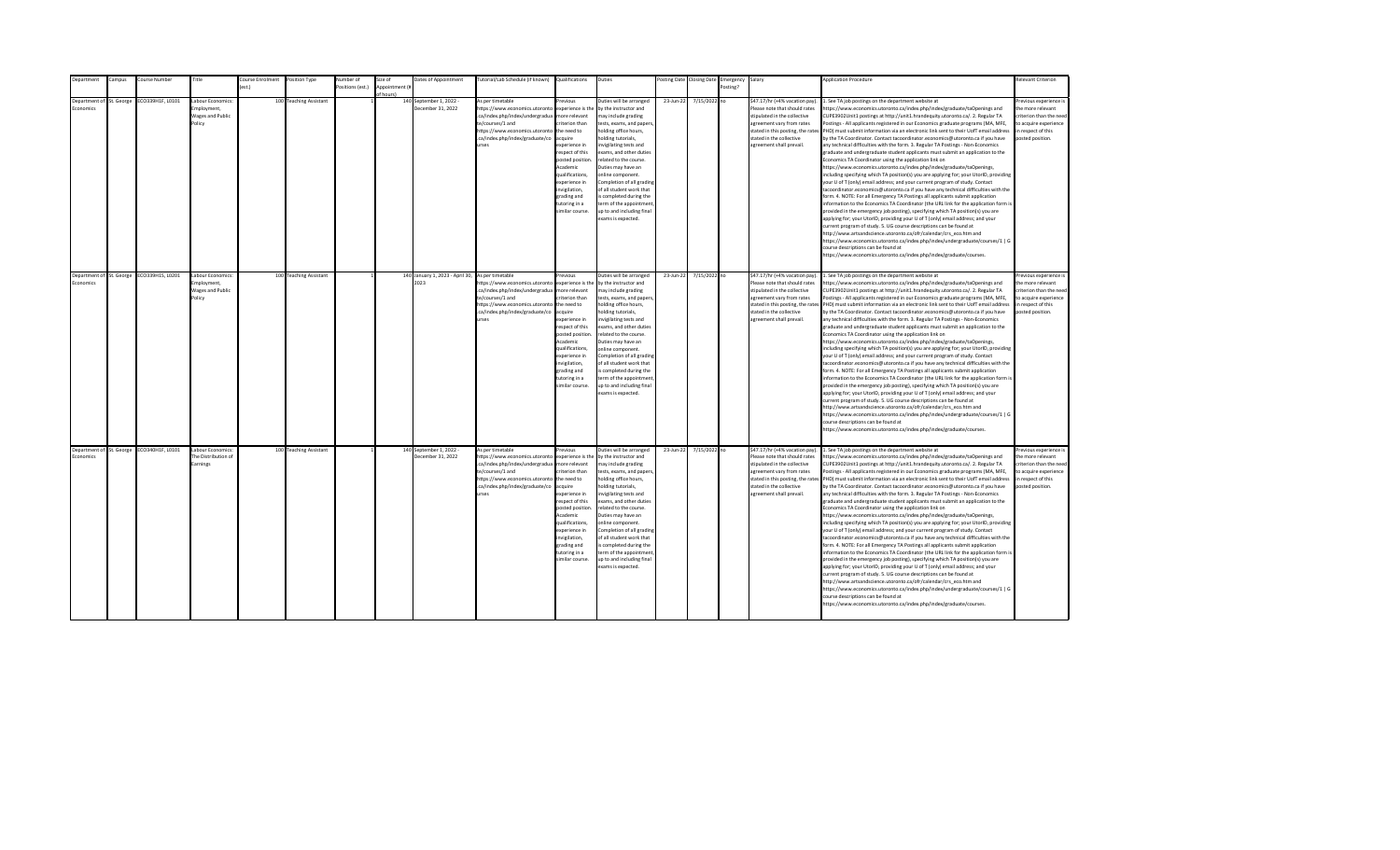| epartment       | ampus:                   | Course Number                             | Title                                    | ourse Enrolment  | Position Type          | Number of        | Size of        | Dates of Appointment                             | utorial/Lab Schedule (if known)                    | Qualifications                   | Duties                                                |           | osting Date Closing Date | Emergency | Salary                                                          | <b>Application Procedure</b>                                                                                                                                                                                | <b>Relevant Criterion</b>                   |
|-----------------|--------------------------|-------------------------------------------|------------------------------------------|------------------|------------------------|------------------|----------------|--------------------------------------------------|----------------------------------------------------|----------------------------------|-------------------------------------------------------|-----------|--------------------------|-----------|-----------------------------------------------------------------|-------------------------------------------------------------------------------------------------------------------------------------------------------------------------------------------------------------|---------------------------------------------|
|                 |                          |                                           |                                          | $o$ ct $\lambda$ |                        | Positions (est.) | Appointment (i |                                                  |                                                    |                                  |                                                       |           |                          | Posting?  |                                                                 |                                                                                                                                                                                                             |                                             |
|                 | Department of St. George | CO339H1F, L0101                           | Labour Economics:                        |                  | 100 Teaching Assistant |                  | of hours)      | 140 September 1, 2022 -                          | As per timetable                                   | revinus                          | Duties will be arranged                               | 23-Jun-22 | 7/15/2022 no             |           | \$47.17/hr (+4% vacation pay).                                  | . See TA job postings on the department website at                                                                                                                                                          | Previous experience i                       |
| <b>conomics</b> |                          |                                           | mnloyment.                               |                  |                        |                  |                | December 31, 2022                                | https://www.economics.utoronto                     | experience is the                | by the instructor and                                 |           |                          |           | Please note that should rates                                   | https://www.economics.utoronto.ca/index.php/index/graduate/taOpenings and                                                                                                                                   | the more relevant                           |
|                 |                          |                                           | <b>Wages and Public</b>                  |                  |                        |                  |                |                                                  | .ca/index.php/index/undergradua                    | more relevant                    | may include grading                                   |           |                          |           | stipulated in the collective                                    | CUPE3902Unit1 postings at http://unit1.hrandequity.utoronto.ca/. 2. Regular TA                                                                                                                              | criterion than the need                     |
|                 |                          |                                           | Policy                                   |                  |                        |                  |                |                                                  | te/courses/1 and                                   | riterion than                    | tests, exams, and papers,                             |           |                          |           | agreement vary from rates                                       | Postings - All applicants registered in our Economics graduate programs (MA, MFE,                                                                                                                           | to acquire experience                       |
|                 |                          |                                           |                                          |                  |                        |                  |                |                                                  | https://www.economics.utoronto                     | the need to                      | holding office hours,                                 |           |                          |           | stated in this posting, the rates                               | PHD) must submit information via an electronic link sent to their UofT email address                                                                                                                        | in respect of this                          |
|                 |                          |                                           |                                          |                  |                        |                  |                |                                                  | .ca/index.php/index/graduate/co                    | acquire                          | nolding tutorials,                                    |           |                          |           | stated in the collective                                        | by the TA Coordinator. Contact tacoordinator.economics@utoronto.ca if you have                                                                                                                              | posted position.                            |
|                 |                          |                                           |                                          |                  |                        |                  |                |                                                  | <b>Print</b>                                       | experience in                    | nvigilating tests and                                 |           |                          |           | agreement shall prevail.                                        | any technical difficulties with the form. 3. Regular TA Postings - Non-Economics                                                                                                                            |                                             |
|                 |                          |                                           |                                          |                  |                        |                  |                |                                                  |                                                    | respect of this                  | exams, and other duties                               |           |                          |           |                                                                 | graduate and undergraduate student applicants must submit an application to the                                                                                                                             |                                             |
|                 |                          |                                           |                                          |                  |                        |                  |                |                                                  |                                                    | posted position.                 | related to the course.                                |           |                          |           |                                                                 | Economics TA Coordinator using the application link on                                                                                                                                                      |                                             |
|                 |                          |                                           |                                          |                  |                        |                  |                |                                                  |                                                    | Academic                         | Duties may have an                                    |           |                          |           |                                                                 | https://www.economics.utoronto.ca/index.php/index/graduate/taOpenings,                                                                                                                                      |                                             |
|                 |                          |                                           |                                          |                  |                        |                  |                |                                                  |                                                    | qualifications,<br>experience in | online component.<br>Completion of all grading        |           |                          |           |                                                                 | including specifying which TA position(s) you are applying for; your UtorID, providing<br>your U of T (only) email address; and your current program of study. Contact                                      |                                             |
|                 |                          |                                           |                                          |                  |                        |                  |                |                                                  |                                                    | nvigilation,                     | of all student work that                              |           |                          |           |                                                                 | tacoordinator.economics@utoronto.ca if you have any technical difficulties with the                                                                                                                         |                                             |
|                 |                          |                                           |                                          |                  |                        |                  |                |                                                  |                                                    | grading and                      | s completed during the                                |           |                          |           |                                                                 | form. 4. NOTE: For all Emergency TA Postings all applicants submit application                                                                                                                              |                                             |
|                 |                          |                                           |                                          |                  |                        |                  |                |                                                  |                                                    | tutoring in a                    | term of the appointment                               |           |                          |           |                                                                 | information to the Economics TA Coordinator (the URL link for the application form is                                                                                                                       |                                             |
|                 |                          |                                           |                                          |                  |                        |                  |                |                                                  |                                                    | imilar course.                   | up to and including final                             |           |                          |           |                                                                 | provided in the emergency job posting), specifying which TA position(s) you are                                                                                                                             |                                             |
|                 |                          |                                           |                                          |                  |                        |                  |                |                                                  |                                                    |                                  | exams is expected.                                    |           |                          |           |                                                                 | applying for; your UtorID, providing your U of T (only) email address; and your                                                                                                                             |                                             |
|                 |                          |                                           |                                          |                  |                        |                  |                |                                                  |                                                    |                                  |                                                       |           |                          |           |                                                                 | current program of study. 5. UG course descriptions can be found at                                                                                                                                         |                                             |
|                 |                          |                                           |                                          |                  |                        |                  |                |                                                  |                                                    |                                  |                                                       |           |                          |           |                                                                 | http://www.artsandscience.utoronto.ca/ofr/calendar/crs eco.htm and                                                                                                                                          |                                             |
|                 |                          |                                           |                                          |                  |                        |                  |                |                                                  |                                                    |                                  |                                                       |           |                          |           |                                                                 | https://www.economics.utoronto.ca/index.php/index/undergraduate/courses/1   G                                                                                                                               |                                             |
|                 |                          |                                           |                                          |                  |                        |                  |                |                                                  |                                                    |                                  |                                                       |           |                          |           |                                                                 | course descriptions can be found at                                                                                                                                                                         |                                             |
|                 |                          |                                           |                                          |                  |                        |                  |                |                                                  |                                                    |                                  |                                                       |           |                          |           |                                                                 | https://www.economics.utoronto.ca/index.php/index/graduate/courses.                                                                                                                                         |                                             |
|                 |                          |                                           |                                          |                  |                        |                  |                |                                                  |                                                    |                                  |                                                       |           |                          |           |                                                                 |                                                                                                                                                                                                             |                                             |
|                 | Department of St. George | ECO339H1S, L0201                          | Labour Economics:                        |                  | 100 Teaching Assistant |                  |                | 140 January 1, 2023 - April 30, As per timetable |                                                    | revious                          | Duties will be arranged                               | 23-Jun-22 | 7/15/2022 no             |           | \$47.17/hr (+4% vacation pay).                                  | 1. See TA job postings on the department website at                                                                                                                                                         | Previous experience i                       |
| Economics       |                          |                                           | Employment.                              |                  |                        |                  |                | 2023                                             | https://www.economics.utoronto                     | experience is the                | by the instructor and                                 |           |                          |           | Please note that should rates                                   | https://www.economics.utoronto.ca/index.php/index/graduate/taOpenings and                                                                                                                                   | the more relevant                           |
|                 |                          |                                           | Wages and Public                         |                  |                        |                  |                |                                                  | .ca/index.php/index/undergradua                    | more relevant                    | may include grading                                   |           |                          |           | stipulated in the collective                                    | CUPE3902Unit1 postings at http://unit1.hrandequity.utoronto.ca/. 2. Regular TA                                                                                                                              | criterion than the need                     |
|                 |                          |                                           | Policy                                   |                  |                        |                  |                |                                                  | te/courses/1 and<br>https://www.economics.utoronto | riterion than<br>the need to     | tests, exams, and papers,<br>holding office hours,    |           |                          |           | agreement vary from rates                                       | Postings - All applicants registered in our Economics graduate programs (MA, MFE,<br>stated in this posting, the rates PHD) must submit information via an electronic link sent to their UofT email address | to acquire experience<br>in respect of this |
|                 |                          |                                           |                                          |                  |                        |                  |                |                                                  | .ca/index.php/index/graduate/co                    | acquire                          | nolding tutorials,                                    |           |                          |           | stated in the collective                                        | by the TA Coordinator. Contact tacoordinator.economics@utoronto.ca if you have                                                                                                                              | posted position.                            |
|                 |                          |                                           |                                          |                  |                        |                  |                |                                                  | <b>urses</b>                                       | experience in                    | nvigilating tests and                                 |           |                          |           | agreement shall prevail.                                        | any technical difficulties with the form. 3. Regular TA Postings - Non-Economics                                                                                                                            |                                             |
|                 |                          |                                           |                                          |                  |                        |                  |                |                                                  |                                                    | resnect of this                  | exams, and other duties                               |           |                          |           |                                                                 | eraduate and undergraduate student applicants must submit an application to the                                                                                                                             |                                             |
|                 |                          |                                           |                                          |                  |                        |                  |                |                                                  |                                                    | posted position                  | related to the course.                                |           |                          |           |                                                                 | Economics TA Coordinator using the application link on                                                                                                                                                      |                                             |
|                 |                          |                                           |                                          |                  |                        |                  |                |                                                  |                                                    | Academic                         | Duties may have an                                    |           |                          |           |                                                                 | https://www.economics.utoronto.ca/index.php/index/graduate/taOpenings,                                                                                                                                      |                                             |
|                 |                          |                                           |                                          |                  |                        |                  |                |                                                  |                                                    | qualifications.                  | online component.                                     |           |                          |           |                                                                 | including specifying which TA position(s) you are applying for; your UtorID, providing                                                                                                                      |                                             |
|                 |                          |                                           |                                          |                  |                        |                  |                |                                                  |                                                    | experience in<br>invigilation,   | Completion of all grading<br>of all student work that |           |                          |           |                                                                 | your U of T (only) email address; and your current program of study. Contact<br>tacoordinator.economics@utoronto.ca if you have any technical difficulties with the                                         |                                             |
|                 |                          |                                           |                                          |                  |                        |                  |                |                                                  |                                                    | grading and                      | is completed during the                               |           |                          |           |                                                                 | form. 4. NOTE: For all Emergency TA Postings all applicants submit application                                                                                                                              |                                             |
|                 |                          |                                           |                                          |                  |                        |                  |                |                                                  |                                                    | tutoring in a                    | term of the appointment                               |           |                          |           |                                                                 | information to the Economics TA Coordinator (the URL link for the application form is                                                                                                                       |                                             |
|                 |                          |                                           |                                          |                  |                        |                  |                |                                                  |                                                    | imilar course.                   | up to and including final                             |           |                          |           |                                                                 | provided in the emergency job posting), specifying which TA position(s) you are                                                                                                                             |                                             |
|                 |                          |                                           |                                          |                  |                        |                  |                |                                                  |                                                    |                                  | exams is expected.                                    |           |                          |           |                                                                 | applying for; your UtorID, providing your U of T (only) email address; and your                                                                                                                             |                                             |
|                 |                          |                                           |                                          |                  |                        |                  |                |                                                  |                                                    |                                  |                                                       |           |                          |           |                                                                 | current program of study. 5. UG course descriptions can be found at                                                                                                                                         |                                             |
|                 |                          |                                           |                                          |                  |                        |                  |                |                                                  |                                                    |                                  |                                                       |           |                          |           |                                                                 | http://www.artsandscience.utoronto.ca/ofr/calendar/crs_eco.htm and                                                                                                                                          |                                             |
|                 |                          |                                           |                                          |                  |                        |                  |                |                                                  |                                                    |                                  |                                                       |           |                          |           |                                                                 | https://www.economics.utoronto.ca/index.php/index/undergraduate/courses/1   G                                                                                                                               |                                             |
|                 |                          |                                           |                                          |                  |                        |                  |                |                                                  |                                                    |                                  |                                                       |           |                          |           |                                                                 | course descriptions can be found at<br>https://www.economics.utoronto.ca/index.php/index/graduate/courses.                                                                                                  |                                             |
|                 |                          |                                           |                                          |                  |                        |                  |                |                                                  |                                                    |                                  |                                                       |           |                          |           |                                                                 |                                                                                                                                                                                                             |                                             |
|                 |                          |                                           |                                          |                  |                        |                  |                |                                                  |                                                    |                                  |                                                       |           |                          |           |                                                                 |                                                                                                                                                                                                             |                                             |
| Economics       |                          | Department of St. George ECO340H1F, L0101 | Labour Economics:<br>The Distribution of |                  | 100 Teaching Assistant |                  |                | 140 September 1, 2022 -<br>December 31, 2022     | As per timetable<br>https://www.economics.utoronto | revious<br>experience is the     | Duties will be arranged<br>by the instructor and      | 23-Jun-22 | 7/15/2022 no             |           | \$47.17/hr (+4% vacation pay).<br>Please note that should rates | 1. See TA job postings on the department website at<br>https://www.economics.utoronto.ca/index.php/index/graduate/taOpenings and                                                                            | revious experience i<br>the more relevant   |
|                 |                          |                                           | Earnings                                 |                  |                        |                  |                |                                                  | .ca/index.php/index/undergradua                    | more relevant                    | may include grading                                   |           |                          |           | stipulated in the collective                                    | CUPE3902Unit1 postings at http://unit1.hrandequity.utoronto.ca/. 2. Regular TA                                                                                                                              | criterion than the need                     |
|                 |                          |                                           |                                          |                  |                        |                  |                |                                                  | te/courses/1 and                                   | riterion than                    | tests, exams, and papers,                             |           |                          |           | agreement vary from rates                                       | Postings - All applicants registered in our Economics graduate programs (MA, MFE,                                                                                                                           | to acquire experience                       |
|                 |                          |                                           |                                          |                  |                        |                  |                |                                                  | https://www.economics.utoronto                     | the need to                      | holding office hours,                                 |           |                          |           |                                                                 | stated in this posting, the rates PHD) must submit information via an electronic link sent to their UofT email address                                                                                      | in respect of this                          |
|                 |                          |                                           |                                          |                  |                        |                  |                |                                                  | .ca/index.php/index/graduate/co                    | acquire                          | nolding tutorials,                                    |           |                          |           | stated in the collective                                        | by the TA Coordinator. Contact tacoordinator.economics@utoronto.ca if you have                                                                                                                              | posted position.                            |
|                 |                          |                                           |                                          |                  |                        |                  |                |                                                  | urses                                              | experience in                    | nvigilating tests and                                 |           |                          |           | agreement shall prevail.                                        | any technical difficulties with the form. 3. Regular TA Postings - Non-Economics                                                                                                                            |                                             |
|                 |                          |                                           |                                          |                  |                        |                  |                |                                                  |                                                    | respect of this                  | exams, and other duties                               |           |                          |           |                                                                 | graduate and undergraduate student applicants must submit an application to the                                                                                                                             |                                             |
|                 |                          |                                           |                                          |                  |                        |                  |                |                                                  |                                                    | posted position<br>Academic      | related to the course.<br>Duties may have an          |           |                          |           |                                                                 | Economics TA Coordinator using the application link on                                                                                                                                                      |                                             |
|                 |                          |                                           |                                          |                  |                        |                  |                |                                                  |                                                    | qualifications,                  | online component.                                     |           |                          |           |                                                                 | https://www.economics.utoronto.ca/index.php/index/graduate/taOpenings,<br>including specifying which TA position(s) you are applying for; your UtorID, providing                                            |                                             |
|                 |                          |                                           |                                          |                  |                        |                  |                |                                                  |                                                    | experience in                    | Completion of all grading                             |           |                          |           |                                                                 | your U of T (only) email address; and your current program of study. Contact                                                                                                                                |                                             |
|                 |                          |                                           |                                          |                  |                        |                  |                |                                                  |                                                    | invigilation,                    | of all student work that                              |           |                          |           |                                                                 | tacoordinator.economics@utoronto.ca if you have any technical difficulties with the                                                                                                                         |                                             |
|                 |                          |                                           |                                          |                  |                        |                  |                |                                                  |                                                    | grading and                      | is completed during the                               |           |                          |           |                                                                 | form. 4. NOTE: For all Emergency TA Postings all applicants submit application                                                                                                                              |                                             |
|                 |                          |                                           |                                          |                  |                        |                  |                |                                                  |                                                    | tutoring in a                    | term of the appointment                               |           |                          |           |                                                                 | information to the Economics TA Coordinator (the URL link for the application form is                                                                                                                       |                                             |
|                 |                          |                                           |                                          |                  |                        |                  |                |                                                  |                                                    | imilar course.                   | up to and including final                             |           |                          |           |                                                                 | provided in the emergency job posting), specifying which TA position(s) you are                                                                                                                             |                                             |
|                 |                          |                                           |                                          |                  |                        |                  |                |                                                  |                                                    |                                  | exams is expected.                                    |           |                          |           |                                                                 | applying for; your UtorID, providing your U of T (only) email address; and your                                                                                                                             |                                             |
|                 |                          |                                           |                                          |                  |                        |                  |                |                                                  |                                                    |                                  |                                                       |           |                          |           |                                                                 | current program of study. 5. UG course descriptions can be found at                                                                                                                                         |                                             |
|                 |                          |                                           |                                          |                  |                        |                  |                |                                                  |                                                    |                                  |                                                       |           |                          |           |                                                                 | http://www.artsandscience.utoronto.ca/ofr/calendar/crs eco.htm and<br>https://www.economics.utoronto.ca/index.php/index/undergraduate/courses/1   G                                                         |                                             |
|                 |                          |                                           |                                          |                  |                        |                  |                |                                                  |                                                    |                                  |                                                       |           |                          |           |                                                                 | course descriptions can be found at                                                                                                                                                                         |                                             |
|                 |                          |                                           |                                          |                  |                        |                  |                |                                                  |                                                    |                                  |                                                       |           |                          |           |                                                                 | https://www.economics.utoronto.ca/index.php/index/graduate/courses.                                                                                                                                         |                                             |
|                 |                          |                                           |                                          |                  |                        |                  |                |                                                  |                                                    |                                  |                                                       |           |                          |           |                                                                 |                                                                                                                                                                                                             |                                             |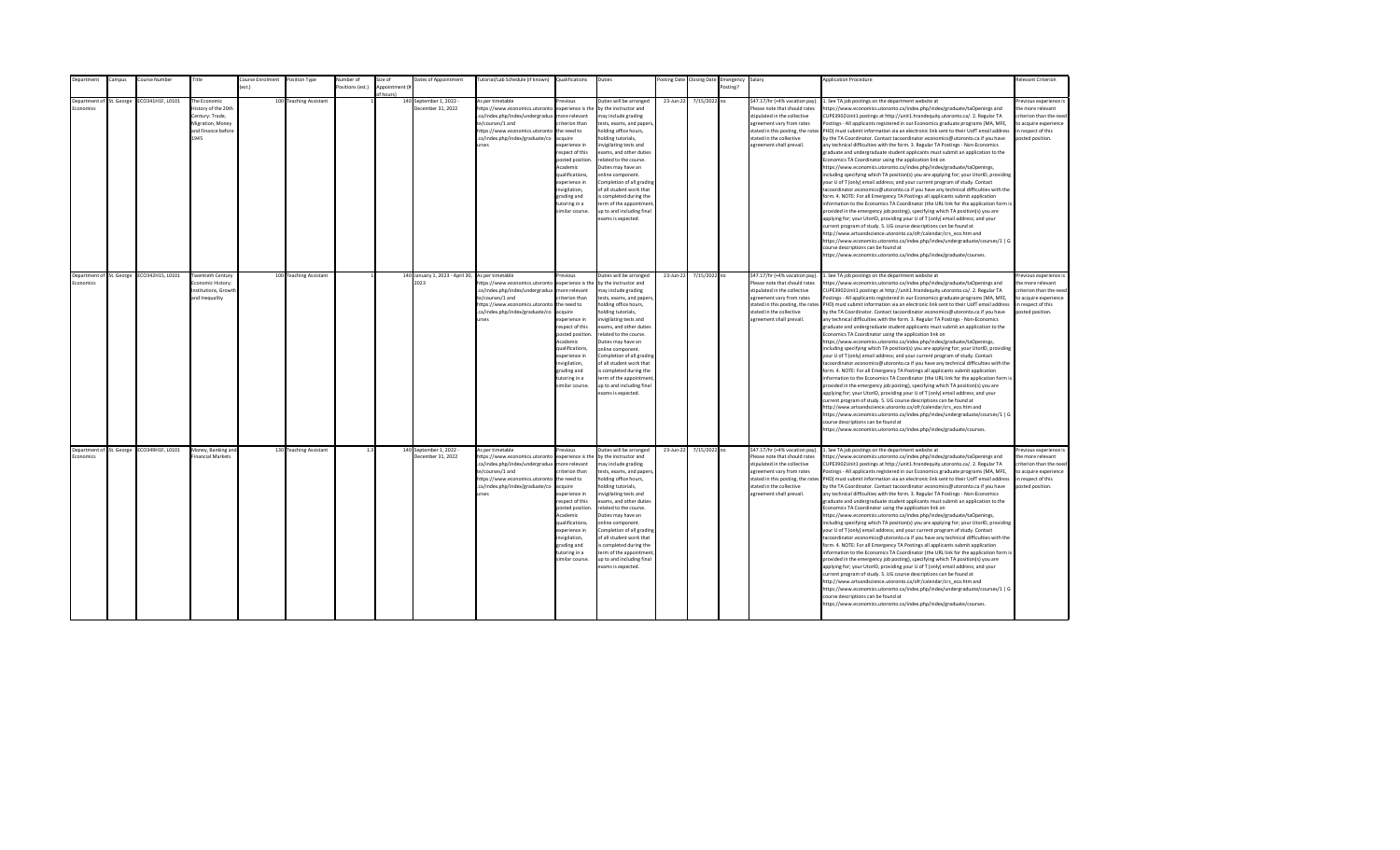| Department               | ampus:     | ourse Number                              | Title                    | <b>Course Enrolment</b> | Position Type          | lumber of       | size of        | Dates of Appointment                             | lutorial/Lab Schedule (if known) | Qualifications    | Duties                    | osting Date | <b>Closing Date</b> | Emergency | Salary                            | <b>Application Procedure</b>                                                                                           | Relevant Criterion      |
|--------------------------|------------|-------------------------------------------|--------------------------|-------------------------|------------------------|-----------------|----------------|--------------------------------------------------|----------------------------------|-------------------|---------------------------|-------------|---------------------|-----------|-----------------------------------|------------------------------------------------------------------------------------------------------------------------|-------------------------|
|                          |            |                                           |                          | $f$ est.)               |                        | ositions (est.) | Annointment (# |                                                  |                                  |                   |                           |             |                     | Posting?  |                                   |                                                                                                                        |                         |
|                          |            |                                           |                          |                         |                        |                 | of hours)      |                                                  |                                  |                   |                           |             |                     |           |                                   |                                                                                                                        |                         |
| Denartment of            | St. George | CO341H1F, L0101                           | The Economic             |                         | 100 Teaching Assistant |                 |                | 140 September 1, 2022 -                          | As per timetable                 | revious           | Duties will be arranged   | 23-Jun-22   | 7/15/2022 no        |           | \$47.17/hr (+4% vacation pay).    | . See TA job postings on the department website at                                                                     | Previous experience i   |
| <b>Economics</b>         |            |                                           | History of the 20th      |                         |                        |                 |                | December 31, 2022                                | https://www.economics.utoronto   | experience is the | by the instructor and     |             |                     |           | Please note that should rates     | ttps://www.economics.utoronto.ca/index.php/index/graduate/taOpenings and                                               | the more relevant       |
|                          |            |                                           | Century: Trade,          |                         |                        |                 |                |                                                  | .ca/index.php/index/undergradua  | more relevant     | may include grading       |             |                     |           | stipulated in the collective      | CUPE3902Unit1 postings at http://unit1.hrandequity.utoronto.ca/. 2. Regular TA                                         | criterion than the need |
|                          |            |                                           | Migration, Money         |                         |                        |                 |                |                                                  | te/courses/1 and                 | riterion than     | tests, exams, and papers, |             |                     |           | agreement vary from rates         | ostings - All applicants registered in our Economics graduate programs (MA, MFE,                                       | to acquire experience   |
|                          |            |                                           | and Finance before       |                         |                        |                 |                |                                                  | https://www.economics.utoronto   | the need to       | holding office hours,     |             |                     |           | stated in this posting, the rates | PHD) must submit information via an electronic link sent to their UofT email address                                   | in respect of this      |
|                          |            |                                           | 1945                     |                         |                        |                 |                |                                                  | .ca/index.php/index/graduate/co  | acquire           | holding tutorials,        |             |                     |           | stated in the collective          | by the TA Coordinator. Contact tacoordinator.economics@utoronto.ca if you have                                         | posted position.        |
|                          |            |                                           |                          |                         |                        |                 |                |                                                  | urses                            | experience in     | nvigilating tests and     |             |                     |           | agreement shall prevail.          | any technical difficulties with the form. 3. Regular TA Postings - Non-Economics                                       |                         |
|                          |            |                                           |                          |                         |                        |                 |                |                                                  |                                  | respect of this   | exams, and other duties   |             |                     |           |                                   | graduate and undergraduate student applicants must submit an application to the                                        |                         |
|                          |            |                                           |                          |                         |                        |                 |                |                                                  |                                  | posted position.  | related to the course.    |             |                     |           |                                   | Economics TA Coordinator using the application link on                                                                 |                         |
|                          |            |                                           |                          |                         |                        |                 |                |                                                  |                                  | Academic          | Duties may have an        |             |                     |           |                                   | https://www.economics.utoronto.ca/index.php/index/graduate/taOpenings,                                                 |                         |
|                          |            |                                           |                          |                         |                        |                 |                |                                                  |                                  | qualifications,   | online component.         |             |                     |           |                                   | including specifying which TA position(s) you are applying for; your UtorID, providing                                 |                         |
|                          |            |                                           |                          |                         |                        |                 |                |                                                  |                                  | experience in     | Completion of all grading |             |                     |           |                                   | your U of T (only) email address; and your current program of study. Contact                                           |                         |
|                          |            |                                           |                          |                         |                        |                 |                |                                                  |                                  | nvigilation,      | of all student work that  |             |                     |           |                                   | acoordinator.economics@utoronto.ca if you have any technical difficulties with the                                     |                         |
|                          |            |                                           |                          |                         |                        |                 |                |                                                  |                                  | grading and       | s completed during the    |             |                     |           |                                   | form. 4. NOTE: For all Emergency TA Postings all applicants submit application                                         |                         |
|                          |            |                                           |                          |                         |                        |                 |                |                                                  |                                  | tutoring in a     | term of the appointment   |             |                     |           |                                   | information to the Economics TA Coordinator (the URL link for the application form is                                  |                         |
|                          |            |                                           |                          |                         |                        |                 |                |                                                  |                                  | similar course.   | up to and including final |             |                     |           |                                   | provided in the emergency job posting), specifying which TA position(s) you are                                        |                         |
|                          |            |                                           |                          |                         |                        |                 |                |                                                  |                                  |                   | exams is expected.        |             |                     |           |                                   | applying for; your UtorID, providing your U of T (only) email address; and your                                        |                         |
|                          |            |                                           |                          |                         |                        |                 |                |                                                  |                                  |                   |                           |             |                     |           |                                   | urrent program of study. 5. UG course descriptions can be found at                                                     |                         |
|                          |            |                                           |                          |                         |                        |                 |                |                                                  |                                  |                   |                           |             |                     |           |                                   | http://www.artsandscience.utoronto.ca/ofr/calendar/crs eco.htm and                                                     |                         |
|                          |            |                                           |                          |                         |                        |                 |                |                                                  |                                  |                   |                           |             |                     |           |                                   | https://www.economics.utoronto.ca/index.php/index/undergraduate/courses/1   G                                          |                         |
|                          |            |                                           |                          |                         |                        |                 |                |                                                  |                                  |                   |                           |             |                     |           |                                   | ourse descriptions can be found at                                                                                     |                         |
|                          |            |                                           |                          |                         |                        |                 |                |                                                  |                                  |                   |                           |             |                     |           |                                   | ttps://www.economics.utoronto.ca/index.php/index/graduate/courses.                                                     |                         |
|                          |            |                                           |                          |                         |                        |                 |                |                                                  |                                  |                   |                           |             |                     |           |                                   |                                                                                                                        |                         |
| Department of St. George |            | ECO342H1S, L0101                          | <b>Twentieth Century</b> |                         | 100 Teaching Assistant |                 |                | 140 January 1, 2023 - April 30, As per timetable |                                  | revinus           | Duties will be arranged   | 23-lun-22   | 7/15/2022 no        |           | \$47.17/hr (+4% vacation pay).    | 1. See TA job postings on the department website at                                                                    | Previous experience i   |
| <b>Economics</b>         |            |                                           | Fronomic History:        |                         |                        |                 |                | 2023                                             | https://www.economics.utoronto   | experience is the | by the instructor and     |             |                     |           | Please note that should rates     | https://www.economics.utoronto.ca/index.php/index/graduate/taOpenings and                                              | the more relevant       |
|                          |            |                                           | Institutions, Growth     |                         |                        |                 |                |                                                  | .ca/index.php/index/undergradua  | more relevant     | may include grading       |             |                     |           | stipulated in the collective      | CUPE3902Unit1 postings at http://unit1.hrandequity.utoronto.ca/. 2. Regular TA                                         | criterion than the need |
|                          |            |                                           | and Inequality           |                         |                        |                 |                |                                                  | te/courses/1 and                 | rriterion than    | tests, exams, and papers, |             |                     |           | agreement vary from rates         | Postings - All applicants registered in our Economics graduate programs (MA, MFE,                                      | to acquire experience   |
|                          |            |                                           |                          |                         |                        |                 |                |                                                  | https://www.economics.utoronto   | the need to       | holding office hours,     |             |                     |           |                                   | stated in this posting, the rates PHD) must submit information via an electronic link sent to their UofT email address | in respect of this      |
|                          |            |                                           |                          |                         |                        |                 |                |                                                  | .ca/index.php/index/graduate/co  | acquire           | holding tutorials,        |             |                     |           | stated in the collective          | by the TA Coordinator. Contact tacoordinator.economics@utoronto.ca if you have                                         | posted position.        |
|                          |            |                                           |                          |                         |                        |                 |                |                                                  | urses                            | experience in     | invigilating tests and    |             |                     |           | agreement shall prevail.          | any technical difficulties with the form. 3. Regular TA Postings - Non-Economics                                       |                         |
|                          |            |                                           |                          |                         |                        |                 |                |                                                  |                                  | respect of this   | exams, and other duties   |             |                     |           |                                   | graduate and undergraduate student applicants must submit an application to the                                        |                         |
|                          |            |                                           |                          |                         |                        |                 |                |                                                  |                                  | posted position   | related to the course.    |             |                     |           |                                   | Economics TA Coordinator using the application link on                                                                 |                         |
|                          |            |                                           |                          |                         |                        |                 |                |                                                  |                                  | Academic          | Duties may have an        |             |                     |           |                                   | https://www.economics.utoronto.ca/index.php/index/graduate/taOpenings,                                                 |                         |
|                          |            |                                           |                          |                         |                        |                 |                |                                                  |                                  | qualifications,   | online component.         |             |                     |           |                                   | including specifying which TA position(s) you are applying for; your UtorID, providing                                 |                         |
|                          |            |                                           |                          |                         |                        |                 |                |                                                  |                                  | experience in     | Completion of all grading |             |                     |           |                                   | your U of T (only) email address; and your current program of study. Contact                                           |                         |
|                          |            |                                           |                          |                         |                        |                 |                |                                                  |                                  | invigilation,     | of all student work that  |             |                     |           |                                   | acoordinator.economics@utoronto.ca if you have any technical difficulties with the                                     |                         |
|                          |            |                                           |                          |                         |                        |                 |                |                                                  |                                  | grading and       | is completed during the   |             |                     |           |                                   | form. 4. NOTE: For all Emergency TA Postings all applicants submit application                                         |                         |
|                          |            |                                           |                          |                         |                        |                 |                |                                                  |                                  | tutoring in a     | term of the appointment   |             |                     |           |                                   | information to the Economics TA Coordinator (the URL link for the application form is                                  |                         |
|                          |            |                                           |                          |                         |                        |                 |                |                                                  |                                  | similar course.   | up to and including final |             |                     |           |                                   | provided in the emergency job posting), specifying which TA position(s) you are                                        |                         |
|                          |            |                                           |                          |                         |                        |                 |                |                                                  |                                  |                   | exams is expected.        |             |                     |           |                                   | applying for; your UtorID, providing your U of T (only) email address; and your                                        |                         |
|                          |            |                                           |                          |                         |                        |                 |                |                                                  |                                  |                   |                           |             |                     |           |                                   | current program of study. 5. UG course descriptions can be found at                                                    |                         |
|                          |            |                                           |                          |                         |                        |                 |                |                                                  |                                  |                   |                           |             |                     |           |                                   | http://www.artsandscience.utoronto.ca/ofr/calendar/crs_eco.htm and                                                     |                         |
|                          |            |                                           |                          |                         |                        |                 |                |                                                  |                                  |                   |                           |             |                     |           |                                   | https://www.economics.utoronto.ca/index.php/index/undergraduate/courses/1   G                                          |                         |
|                          |            |                                           |                          |                         |                        |                 |                |                                                  |                                  |                   |                           |             |                     |           |                                   | ourse descriptions can be found at<br>ttps://www.economics.utoronto.ca/index.php/index/graduate/courses.               |                         |
|                          |            |                                           |                          |                         |                        |                 |                |                                                  |                                  |                   |                           |             |                     |           |                                   |                                                                                                                        |                         |
|                          |            |                                           |                          |                         |                        |                 |                |                                                  |                                  |                   |                           |             |                     |           |                                   |                                                                                                                        |                         |
|                          |            | Department of St. George ECO349H1F, L0101 | Money, Banking and       |                         | 130 Teaching Assistant | 1.3             |                | 140 September 1, 2022 -                          | As per timetable                 | revious           | Duties will be arranged   | 23-Jun-22   | 7/15/2022 no        |           | \$47.17/hr (+4% vacation pay).    | 1. See TA job postings on the department website at                                                                    | Previous experience i   |
| Economics                |            |                                           | Financial Markets        |                         |                        |                 |                | December 31, 2022                                | https://www.economics.utoronto   | experience is the | by the instructor and     |             |                     |           | Please note that should rates     | https://www.economics.utoronto.ca/index.php/index/graduate/taOpenings and                                              | the more relevant       |
|                          |            |                                           |                          |                         |                        |                 |                |                                                  | .ca/index.php/index/undergradua  | more relevant     | may include grading       |             |                     |           | stipulated in the collective      | CUPE3902Unit1 postings at http://unit1.hrandequity.utoronto.ca/. 2. Regular TA                                         | criterion than the need |
|                          |            |                                           |                          |                         |                        |                 |                |                                                  | te/courses/1 and                 | criterion than    | tests, exams, and papers, |             |                     |           | agreement vary from rates         | Postings - All applicants registered in our Economics graduate programs (MA, MFE,                                      | to acquire experience   |
|                          |            |                                           |                          |                         |                        |                 |                |                                                  | https://www.economics.utoronto   | the need to       | holding office hours,     |             |                     |           | stated in this posting, the rates | PHD) must submit information via an electronic link sent to their UofT email address                                   | in respect of this      |
|                          |            |                                           |                          |                         |                        |                 |                |                                                  | .ca/index.php/index/graduate/co  | acquire           | holding tutorials,        |             |                     |           | stated in the collective          | by the TA Coordinator. Contact tacoordinator.economics@utoronto.ca if you have                                         | posted position.        |
|                          |            |                                           |                          |                         |                        |                 |                |                                                  | urses                            | experience in     | invigilating tests and    |             |                     |           | agreement shall prevail.          | any technical difficulties with the form. 3. Regular TA Postings - Non-Economics                                       |                         |
|                          |            |                                           |                          |                         |                        |                 |                |                                                  |                                  | respect of this   | exams, and other duties   |             |                     |           |                                   | graduate and undergraduate student applicants must submit an application to the                                        |                         |
|                          |            |                                           |                          |                         |                        |                 |                |                                                  |                                  | posted position   | related to the course.    |             |                     |           |                                   | Economics TA Coordinator using the application link on                                                                 |                         |
|                          |            |                                           |                          |                         |                        |                 |                |                                                  |                                  | Academic          | Duties may have an        |             |                     |           |                                   | https://www.economics.utoronto.ca/index.php/index/graduate/taOpenings,                                                 |                         |
|                          |            |                                           |                          |                         |                        |                 |                |                                                  |                                  | qualifications,   | online component.         |             |                     |           |                                   | including specifying which TA position(s) you are applying for; your UtorID, providing                                 |                         |
|                          |            |                                           |                          |                         |                        |                 |                |                                                  |                                  | experience in     | Completion of all grading |             |                     |           |                                   | your U of T (only) email address; and your current program of study. Contact                                           |                         |
|                          |            |                                           |                          |                         |                        |                 |                |                                                  |                                  | invigilation,     | of all student work that  |             |                     |           |                                   | tacoordinator.economics@utoronto.ca if you have any technical difficulties with the                                    |                         |
|                          |            |                                           |                          |                         |                        |                 |                |                                                  |                                  | grading and       | is completed during the   |             |                     |           |                                   | form. 4. NOTE: For all Emergency TA Postings all applicants submit application                                         |                         |
|                          |            |                                           |                          |                         |                        |                 |                |                                                  |                                  | tutoring in a     | term of the appointment   |             |                     |           |                                   | information to the Economics TA Coordinator (the URL link for the application form is                                  |                         |
|                          |            |                                           |                          |                         |                        |                 |                |                                                  |                                  | similar course.   | up to and including final |             |                     |           |                                   | provided in the emergency job posting), specifying which TA position(s) you are                                        |                         |
|                          |            |                                           |                          |                         |                        |                 |                |                                                  |                                  |                   | exams is expected.        |             |                     |           |                                   | applying for; your UtorID, providing your U of T (only) email address; and your                                        |                         |
|                          |            |                                           |                          |                         |                        |                 |                |                                                  |                                  |                   |                           |             |                     |           |                                   | urrent program of study. 5. UG course descriptions can be found at:                                                    |                         |
|                          |            |                                           |                          |                         |                        |                 |                |                                                  |                                  |                   |                           |             |                     |           |                                   | http://www.artsandscience.utoronto.ca/ofr/calendar/crs_eco.htm and                                                     |                         |
|                          |            |                                           |                          |                         |                        |                 |                |                                                  |                                  |                   |                           |             |                     |           |                                   | https://www.economics.utoronto.ca/index.php/index/undergraduate/courses/1   G<br>ourse descriptions can be found at    |                         |
|                          |            |                                           |                          |                         |                        |                 |                |                                                  |                                  |                   |                           |             |                     |           |                                   | https://www.economics.utoronto.ca/index.php/index/graduate/courses.                                                    |                         |
|                          |            |                                           |                          |                         |                        |                 |                |                                                  |                                  |                   |                           |             |                     |           |                                   |                                                                                                                        |                         |
|                          |            |                                           |                          |                         |                        |                 |                |                                                  |                                  |                   |                           |             |                     |           |                                   |                                                                                                                        |                         |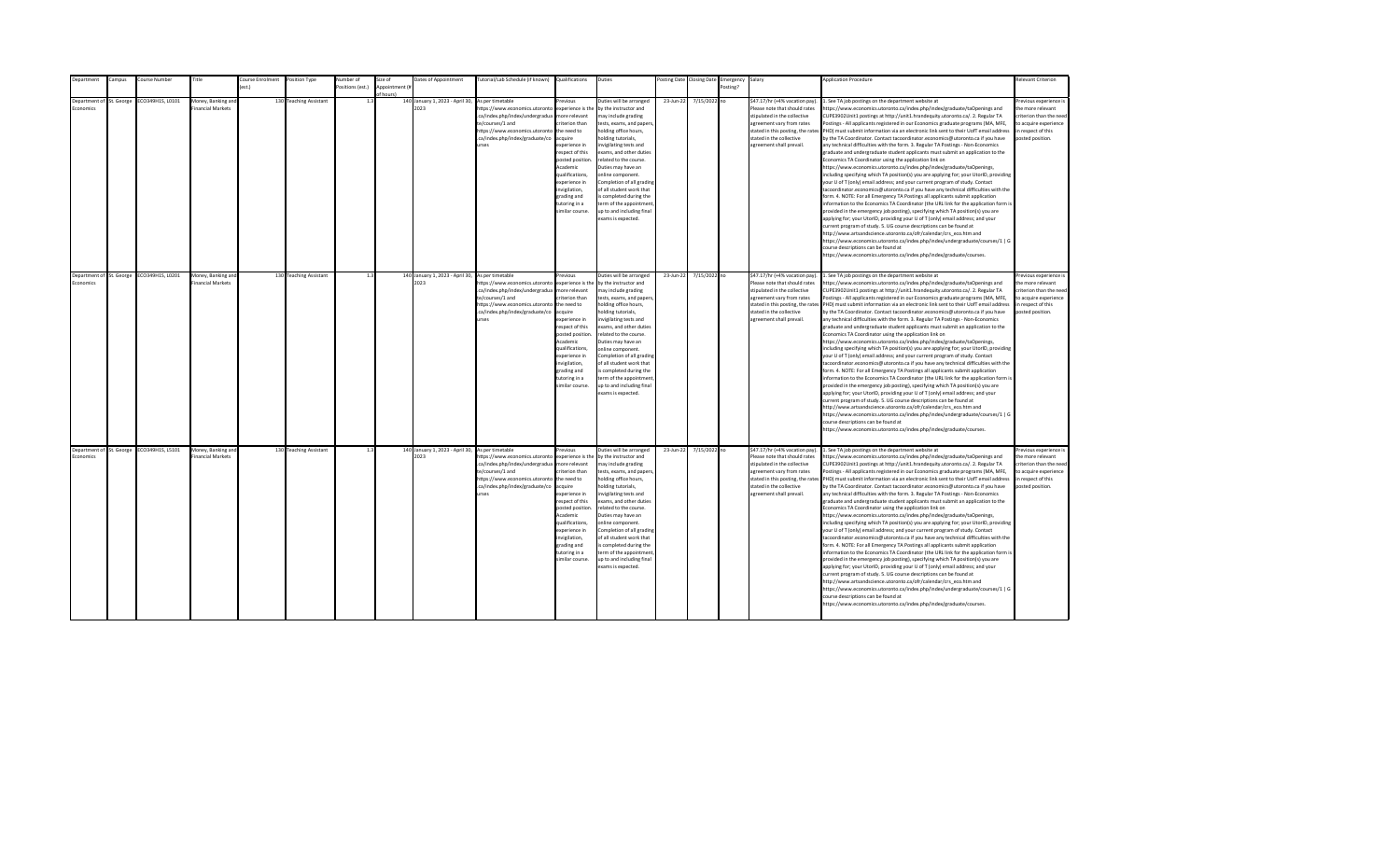|                 | epartment                | ampus:                   | Course Number                             | Title                                   | ourse Enrolment  | Position Type          | Number of        | Size of        | Dates of Appointment                                     | [utorial/Lab Schedule (if known)                                                                                                                                                               | Qualifications                                                                                                                                                                                                                                                     | Duties                                                                                                                                                                                                                                                                                                                                                                                                                                         |           | osting Date Closing Date | Emergency | Salary                                                                                                                                                                                                                    | <b>Application Procedure</b>                                                                                                                                                                                                                                                                                                                                                                                                                                                                                                                                                                                                                                                                                                                                                                                                                                                                                                                                                                                                                                                                                                                                                                                                                                                                                                                                                                                                                                                                                                                                                                                                                                                                                                                                                                 | <b>Relevant Criterion</b>                                                                                                                |
|-----------------|--------------------------|--------------------------|-------------------------------------------|-----------------------------------------|------------------|------------------------|------------------|----------------|----------------------------------------------------------|------------------------------------------------------------------------------------------------------------------------------------------------------------------------------------------------|--------------------------------------------------------------------------------------------------------------------------------------------------------------------------------------------------------------------------------------------------------------------|------------------------------------------------------------------------------------------------------------------------------------------------------------------------------------------------------------------------------------------------------------------------------------------------------------------------------------------------------------------------------------------------------------------------------------------------|-----------|--------------------------|-----------|---------------------------------------------------------------------------------------------------------------------------------------------------------------------------------------------------------------------------|----------------------------------------------------------------------------------------------------------------------------------------------------------------------------------------------------------------------------------------------------------------------------------------------------------------------------------------------------------------------------------------------------------------------------------------------------------------------------------------------------------------------------------------------------------------------------------------------------------------------------------------------------------------------------------------------------------------------------------------------------------------------------------------------------------------------------------------------------------------------------------------------------------------------------------------------------------------------------------------------------------------------------------------------------------------------------------------------------------------------------------------------------------------------------------------------------------------------------------------------------------------------------------------------------------------------------------------------------------------------------------------------------------------------------------------------------------------------------------------------------------------------------------------------------------------------------------------------------------------------------------------------------------------------------------------------------------------------------------------------------------------------------------------------|------------------------------------------------------------------------------------------------------------------------------------------|
|                 |                          |                          |                                           |                                         | $o$ ct $\lambda$ |                        | Positions (est.) | Appointment (i |                                                          |                                                                                                                                                                                                |                                                                                                                                                                                                                                                                    |                                                                                                                                                                                                                                                                                                                                                                                                                                                |           |                          | Posting?  |                                                                                                                                                                                                                           |                                                                                                                                                                                                                                                                                                                                                                                                                                                                                                                                                                                                                                                                                                                                                                                                                                                                                                                                                                                                                                                                                                                                                                                                                                                                                                                                                                                                                                                                                                                                                                                                                                                                                                                                                                                              |                                                                                                                                          |
|                 |                          |                          |                                           |                                         |                  |                        |                  |                |                                                          |                                                                                                                                                                                                |                                                                                                                                                                                                                                                                    |                                                                                                                                                                                                                                                                                                                                                                                                                                                |           |                          |           |                                                                                                                                                                                                                           |                                                                                                                                                                                                                                                                                                                                                                                                                                                                                                                                                                                                                                                                                                                                                                                                                                                                                                                                                                                                                                                                                                                                                                                                                                                                                                                                                                                                                                                                                                                                                                                                                                                                                                                                                                                              |                                                                                                                                          |
| <b>conomics</b> |                          | Department of St. George | CO349H1S, L0101                           | Money, Banking and<br>inancial Markets  |                  | 130 Teaching Assistant | 1.2              | of hours)      | 140 January 1, 2023 - April 30,<br>2023                  | As per timetable<br>https://www.economics.utoronto<br>.ca/index.php/index/undergradua<br>te/courses/1 and<br>https://www.economics.utoronto<br>.ca/index.php/index/graduate/co<br><b>Print</b> | revinus<br>experience is the<br>more relevant<br>riterion than<br>the need to<br>acquire<br>experience in<br>respect of this<br>posted position.<br>Academic<br>qualifications,<br>experience in<br>nvigilation,<br>grading and<br>tutoring in a<br>imilar course. | Duties will be arranged<br>by the instructor and<br>may include grading<br>tests, exams, and papers,<br>holding office hours,<br>nolding tutorials,<br>nvigilating tests and<br>exams, and other duties<br>related to the course.<br>Duties may have an<br>online component.<br>Completion of all grading<br>of all student work that<br>s completed during the<br>term of the appointment<br>up to and including final<br>exams is expected.  | 23-Jun-22 | 7/15/2022 no             |           | \$47.17/hr (+4% vacation pay).<br>Please note that should rates<br>stipulated in the collective<br>agreement vary from rates<br>stated in this posting, the rates<br>stated in the collective<br>agreement shall prevail. | . See TA job postings on the department website at<br>https://www.economics.utoronto.ca/index.php/index/graduate/taOpenings and<br>CUPE3902Unit1 postings at http://unit1.hrandequity.utoronto.ca/. 2. Regular TA<br>Postings - All applicants registered in our Economics graduate programs (MA, MFE,<br>PHD) must submit information via an electronic link sent to their UofT email address<br>by the TA Coordinator. Contact tacoordinator.economics@utoronto.ca if you have<br>any technical difficulties with the form. 3. Regular TA Postings - Non-Economics<br>graduate and undergraduate student applicants must submit an application to the<br>Economics TA Coordinator using the application link on<br>https://www.economics.utoronto.ca/index.php/index/graduate/taOpenings,<br>including specifying which TA position(s) you are applying for; your UtorID, providing<br>your U of T (only) email address; and your current program of study. Contact<br>tacoordinator.economics@utoronto.ca if you have any technical difficulties with the<br>form. 4. NOTE: For all Emergency TA Postings all applicants submit application<br>information to the Economics TA Coordinator (the URL link for the application form is<br>provided in the emergency job posting), specifying which TA position(s) you are<br>applying for; your UtorID, providing your U of T (only) email address; and your<br>current program of study. 5. UG course descriptions can be found at<br>http://www.artsandscience.utoronto.ca/ofr/calendar/crs eco.htm and<br>https://www.economics.utoronto.ca/index.php/index/undergraduate/courses/1   G<br>course descriptions can be found at<br>https://www.economics.utoronto.ca/index.php/index/graduate/courses.                                    | Previous experience i<br>the more relevant<br>criterion than the need<br>to acquire experience<br>in respect of this<br>posted position. |
|                 |                          |                          |                                           |                                         |                  |                        |                  |                |                                                          |                                                                                                                                                                                                |                                                                                                                                                                                                                                                                    |                                                                                                                                                                                                                                                                                                                                                                                                                                                |           |                          |           |                                                                                                                                                                                                                           |                                                                                                                                                                                                                                                                                                                                                                                                                                                                                                                                                                                                                                                                                                                                                                                                                                                                                                                                                                                                                                                                                                                                                                                                                                                                                                                                                                                                                                                                                                                                                                                                                                                                                                                                                                                              |                                                                                                                                          |
| Economics       | Department of St. George |                          | ECO349H1S, L0201                          | Money, Banking and<br>Financial Markets |                  | 130 Teaching Assistant | 1.3              |                | 140 January 1, 2023 - April 30, As per timetable<br>2023 | https://www.economics.utoronto<br>.ca/index.php/index/undergradua<br>te/courses/1 and<br>https://www.economics.utoronto<br>.ca/index.php/index/graduate/co<br><b>urses</b>                     | revious<br>experience is the<br>more relevant<br>riterion than<br>the need to<br>acquire<br>experience in<br>resnect of this<br>posted position<br>Academic<br>qualifications.<br>experience in<br>invigilation,<br>grading and<br>tutoring in a<br>imilar course. | Duties will be arranged<br>by the instructor and<br>may include grading<br>tests, exams, and papers,<br>holding office hours,<br>nolding tutorials,<br>nvigilating tests and<br>exams, and other duties<br>related to the course.<br>Duties may have an<br>online component.<br>Completion of all grading<br>of all student work that<br>is completed during the<br>term of the appointment<br>up to and including final<br>exams is expected. | 23-Jun-22 | 7/15/2022 no             |           | \$47.17/hr (+4% vacation pay).<br>Please note that should rates<br>stipulated in the collective<br>agreement vary from rates<br>stated in the collective<br>agreement shall prevail.                                      | 1. See TA job postings on the department website at<br>https://www.economics.utoronto.ca/index.php/index/graduate/taOpenings and<br>CUPE3902Unit1 postings at http://unit1.hrandequity.utoronto.ca/. 2. Regular TA<br>Postings - All applicants registered in our Economics graduate programs (MA, MFE,<br>stated in this posting, the rates PHD) must submit information via an electronic link sent to their UofT email address<br>by the TA Coordinator. Contact tacoordinator.economics@utoronto.ca if you have<br>any technical difficulties with the form. 3. Regular TA Postings - Non-Economics<br>eraduate and undergraduate student applicants must submit an application to the<br>Economics TA Coordinator using the application link on<br>https://www.economics.utoronto.ca/index.php/index/graduate/taOpenings,<br>including specifying which TA position(s) you are applying for; your UtorID, providing<br>your U of T (only) email address; and your current program of study. Contact<br>tacoordinator.economics@utoronto.ca if you have any technical difficulties with the<br>form. 4. NOTE: For all Emergency TA Postings all applicants submit application<br>information to the Economics TA Coordinator (the URL link for the application form is<br>provided in the emergency job posting), specifying which TA position(s) you are<br>applying for; your UtorID, providing your U of T (only) email address; and your<br>current program of study. 5. UG course descriptions can be found at<br>http://www.artsandscience.utoronto.ca/ofr/calendar/crs_eco.htm and<br>https://www.economics.utoronto.ca/index.php/index/undergraduate/courses/1   G<br>course descriptions can be found at<br>https://www.economics.utoronto.ca/index.php/index/graduate/courses. | Previous experience i<br>the more relevant<br>criterion than the need<br>to acquire experience<br>in respect of this<br>posted position. |
| Economics       |                          |                          | Department of St. George ECO349H1S, L5101 | Money, Banking and<br>inancial Markets  |                  | 130 Teaching Assistant | 1.3              |                | 140 January 1, 2023 - April 30, As per timetable<br>2023 | https://www.economics.utoronto<br>.ca/index.php/index/undergradua<br>te/courses/1 and<br>https://www.economics.utoronto<br>.ca/index.php/index/graduate/co<br>urses                            | revious<br>experience is the<br>more relevant<br>riterion than<br>the need to<br>acquire<br>experience in<br>respect of this<br>posted position<br>Academic<br>qualifications,<br>experience in<br>invigilation,<br>grading and<br>tutoring in a<br>imilar course. | Outies will be arranged<br>by the instructor and<br>may include grading<br>tests, exams, and papers,<br>holding office hours,<br>nolding tutorials,<br>nvigilating tests and<br>exams, and other duties<br>related to the course.<br>Duties may have an<br>online component.<br>Completion of all grading<br>of all student work that<br>is completed during the<br>term of the appointment<br>up to and including final<br>exams is expected. | 23-Jun-22 | 7/15/2022 no             |           | \$47.17/hr (+4% vacation pay).<br>Please note that should rates<br>stipulated in the collective<br>agreement vary from rates<br>stated in the collective<br>agreement shall prevail.                                      | 1. See TA job postings on the department website at<br>https://www.economics.utoronto.ca/index.php/index/graduate/taOpenings and<br>CUPE3902Unit1 postings at http://unit1.hrandequity.utoronto.ca/. 2. Regular TA<br>Postings - All applicants registered in our Economics graduate programs (MA, MFE,<br>stated in this posting, the rates PHD) must submit information via an electronic link sent to their UofT email address<br>by the TA Coordinator. Contact tacoordinator.economics@utoronto.ca if you have<br>any technical difficulties with the form. 3. Regular TA Postings - Non-Economics<br>graduate and undergraduate student applicants must submit an application to the<br>Economics TA Coordinator using the application link on<br>https://www.economics.utoronto.ca/index.php/index/graduate/taOpenings,<br>including specifying which TA position(s) you are applying for; your UtorID, providing<br>your U of T (only) email address; and your current program of study. Contact<br>tacoordinator.economics@utoronto.ca if you have any technical difficulties with the<br>form. 4. NOTE: For all Emergency TA Postings all applicants submit application<br>information to the Economics TA Coordinator (the URL link for the application form is<br>provided in the emergency job posting), specifying which TA position(s) you are<br>applying for; your UtorID, providing your U of T (only) email address; and your<br>current program of study. 5. UG course descriptions can be found at<br>http://www.artsandscience.utoronto.ca/ofr/calendar/crs eco.htm and<br>https://www.economics.utoronto.ca/index.php/index/undergraduate/courses/1   G<br>course descriptions can be found at<br>https://www.economics.utoronto.ca/index.php/index/graduate/courses. | revious experience i<br>the more relevant<br>criterion than the need<br>to acquire experience<br>in respect of this<br>posted position.  |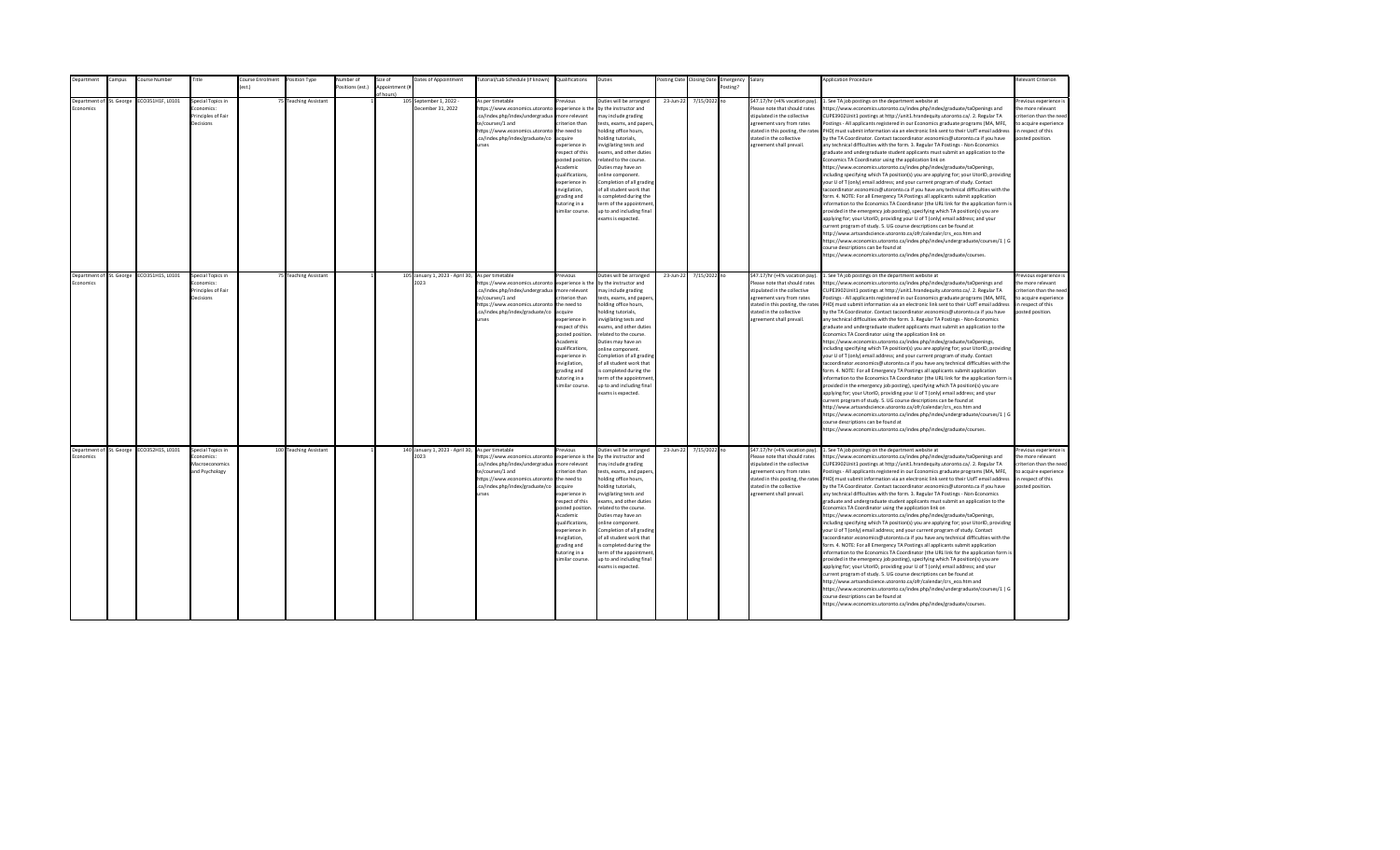| epartment                | ampus: | Course Number                             | Title                           | ourse Enrolment | Position Type          | Number of        | Size of        | Dates of Appointment                                     | utorial/Lab Schedule (if known)                     | Qualifications                   | Duties                                                |           | osting Date Closing Date | Emergency | Salary                                                          | <b>Application Procedure</b>                                                                                                                                          | <b>Relevant Criterion</b>                        |
|--------------------------|--------|-------------------------------------------|---------------------------------|-----------------|------------------------|------------------|----------------|----------------------------------------------------------|-----------------------------------------------------|----------------------------------|-------------------------------------------------------|-----------|--------------------------|-----------|-----------------------------------------------------------------|-----------------------------------------------------------------------------------------------------------------------------------------------------------------------|--------------------------------------------------|
|                          |        |                                           |                                 | ext             |                        | Positions (est.) | Appointment (i |                                                          |                                                     |                                  |                                                       |           |                          | Posting?  |                                                                 |                                                                                                                                                                       |                                                  |
| Department of St. George |        |                                           | Special Topics in               |                 |                        |                  | of hours)      |                                                          | As per timetable                                    | revinus                          |                                                       |           |                          |           | \$47.17/hr (+4% vacation pay).                                  |                                                                                                                                                                       |                                                  |
| <b>conomics</b>          |        | CO351H1F, L0101                           | conomics:                       |                 | 75 Teaching Assistant  |                  |                | 105 September 1, 2022 -<br>December 31, 2022             | https://www.economics.utoronto                      | experience is the                | Duties will be arranged<br>by the instructor and      | 23-Jun-22 | 7/15/2022 no             |           | Please note that should rates                                   | . See TA job postings on the department website at<br>https://www.economics.utoronto.ca/index.php/index/graduate/taOpenings and                                       | Previous experience i<br>the more relevant       |
|                          |        |                                           | Principles of Fair              |                 |                        |                  |                |                                                          | .ca/index.php/index/undergradua                     | more relevant                    | may include grading                                   |           |                          |           | stipulated in the collective                                    | CUPE3902Unit1 postings at http://unit1.hrandequity.utoronto.ca/. 2. Regular TA                                                                                        | criterion than the need                          |
|                          |        |                                           | Decisions                       |                 |                        |                  |                |                                                          | te/courses/1 and                                    | riterion than                    | tests, exams, and papers,                             |           |                          |           | agreement vary from rates                                       | Postings - All applicants registered in our Economics graduate programs (MA, MFE,                                                                                     | to acquire experience                            |
|                          |        |                                           |                                 |                 |                        |                  |                |                                                          | https://www.economics.utoronto                      | the need to                      | holding office hours,                                 |           |                          |           | stated in this posting, the rates                               | PHD) must submit information via an electronic link sent to their UofT email address                                                                                  | in respect of this                               |
|                          |        |                                           |                                 |                 |                        |                  |                |                                                          | .ca/index.php/index/graduate/co                     | acquire                          | nolding tutorials,                                    |           |                          |           | stated in the collective                                        | by the TA Coordinator. Contact tacoordinator.economics@utoronto.ca if you have                                                                                        | posted position.                                 |
|                          |        |                                           |                                 |                 |                        |                  |                |                                                          | <b>Print</b>                                        | experience in                    | nvigilating tests and                                 |           |                          |           | agreement shall prevail.                                        | any technical difficulties with the form. 3. Regular TA Postings - Non-Economics                                                                                      |                                                  |
|                          |        |                                           |                                 |                 |                        |                  |                |                                                          |                                                     | respect of this                  | exams, and other duties                               |           |                          |           |                                                                 | graduate and undergraduate student applicants must submit an application to the                                                                                       |                                                  |
|                          |        |                                           |                                 |                 |                        |                  |                |                                                          |                                                     | posted position.<br>Academic     | related to the course.<br>Duties may have an          |           |                          |           |                                                                 | Economics TA Coordinator using the application link on                                                                                                                |                                                  |
|                          |        |                                           |                                 |                 |                        |                  |                |                                                          |                                                     | qualifications,                  | online component.                                     |           |                          |           |                                                                 | https://www.economics.utoronto.ca/index.php/index/graduate/taOpenings,<br>including specifying which TA position(s) you are applying for; your UtorID, providing      |                                                  |
|                          |        |                                           |                                 |                 |                        |                  |                |                                                          |                                                     | experience in                    | Completion of all grading                             |           |                          |           |                                                                 | your U of T (only) email address; and your current program of study. Contact                                                                                          |                                                  |
|                          |        |                                           |                                 |                 |                        |                  |                |                                                          |                                                     | nvigilation,                     | of all student work that                              |           |                          |           |                                                                 | tacoordinator.economics@utoronto.ca if you have any technical difficulties with the                                                                                   |                                                  |
|                          |        |                                           |                                 |                 |                        |                  |                |                                                          |                                                     | grading and                      | s completed during the                                |           |                          |           |                                                                 | form. 4. NOTE: For all Emergency TA Postings all applicants submit application                                                                                        |                                                  |
|                          |        |                                           |                                 |                 |                        |                  |                |                                                          |                                                     | tutoring in a                    | term of the appointment                               |           |                          |           |                                                                 | information to the Economics TA Coordinator (the URL link for the application form is                                                                                 |                                                  |
|                          |        |                                           |                                 |                 |                        |                  |                |                                                          |                                                     | imilar course.                   | up to and including final                             |           |                          |           |                                                                 | provided in the emergency job posting), specifying which TA position(s) you are                                                                                       |                                                  |
|                          |        |                                           |                                 |                 |                        |                  |                |                                                          |                                                     |                                  | exams is expected.                                    |           |                          |           |                                                                 | applying for; your UtorID, providing your U of T (only) email address; and your                                                                                       |                                                  |
|                          |        |                                           |                                 |                 |                        |                  |                |                                                          |                                                     |                                  |                                                       |           |                          |           |                                                                 | current program of study. 5. UG course descriptions can be found at                                                                                                   |                                                  |
|                          |        |                                           |                                 |                 |                        |                  |                |                                                          |                                                     |                                  |                                                       |           |                          |           |                                                                 | http://www.artsandscience.utoronto.ca/ofr/calendar/crs eco.htm and                                                                                                    |                                                  |
|                          |        |                                           |                                 |                 |                        |                  |                |                                                          |                                                     |                                  |                                                       |           |                          |           |                                                                 | https://www.economics.utoronto.ca/index.php/index/undergraduate/courses/1   G                                                                                         |                                                  |
|                          |        |                                           |                                 |                 |                        |                  |                |                                                          |                                                     |                                  |                                                       |           |                          |           |                                                                 | course descriptions can be found at                                                                                                                                   |                                                  |
|                          |        |                                           |                                 |                 |                        |                  |                |                                                          |                                                     |                                  |                                                       |           |                          |           |                                                                 | https://www.economics.utoronto.ca/index.php/index/graduate/courses.                                                                                                   |                                                  |
|                          |        |                                           |                                 |                 |                        |                  |                |                                                          |                                                     |                                  |                                                       |           |                          |           |                                                                 |                                                                                                                                                                       |                                                  |
| Department of St. George |        | ECO351H1S, L0101                          | Special Topics in               |                 | 75 Teaching Assistant  |                  |                | 105 January 1, 2023 - April 30, As per timetable         |                                                     | revious                          | Duties will be arranged                               | 23-Jun-22 | 7/15/2022 no             |           | \$47.17/hr (+4% vacation pay).                                  | 1. See TA job postings on the department website at                                                                                                                   | Previous experience i                            |
| Economics                |        |                                           | Economics:                      |                 |                        |                  |                | 2023                                                     | https://www.economics.utoronto                      | experience is the                | by the instructor and                                 |           |                          |           | Please note that should rates                                   | https://www.economics.utoronto.ca/index.php/index/graduate/taOpenings and                                                                                             | the more relevant                                |
|                          |        |                                           | Principles of Fair<br>Decisions |                 |                        |                  |                |                                                          | .ca/index.php/index/undergradua<br>te/courses/1 and | more relevant<br>riterion than   | may include grading<br>tests, exams, and papers,      |           |                          |           | stipulated in the collective<br>agreement vary from rates       | CUPE3902Unit1 postings at http://unit1.hrandequity.utoronto.ca/. 2. Regular TA<br>Postings - All applicants registered in our Economics graduate programs (MA, MFE,   | criterion than the need<br>to acquire experience |
|                          |        |                                           |                                 |                 |                        |                  |                |                                                          | https://www.economics.utoronto                      | the need to                      | holding office hours,                                 |           |                          |           |                                                                 | stated in this posting, the rates PHD) must submit information via an electronic link sent to their UofT email address                                                | in respect of this                               |
|                          |        |                                           |                                 |                 |                        |                  |                |                                                          | .ca/index.php/index/graduate/co                     | acquire                          | nolding tutorials,                                    |           |                          |           | stated in the collective                                        | by the TA Coordinator. Contact tacoordinator.economics@utoronto.ca if you have                                                                                        | posted position.                                 |
|                          |        |                                           |                                 |                 |                        |                  |                |                                                          | <b>urses</b>                                        | experience in                    | nvigilating tests and                                 |           |                          |           | agreement shall prevail.                                        | any technical difficulties with the form. 3. Regular TA Postings - Non-Economics                                                                                      |                                                  |
|                          |        |                                           |                                 |                 |                        |                  |                |                                                          |                                                     | resnect of this                  | exams, and other duties                               |           |                          |           |                                                                 | eraduate and undergraduate student applicants must submit an application to the                                                                                       |                                                  |
|                          |        |                                           |                                 |                 |                        |                  |                |                                                          |                                                     | posted position                  | related to the course.                                |           |                          |           |                                                                 | Economics TA Coordinator using the application link on                                                                                                                |                                                  |
|                          |        |                                           |                                 |                 |                        |                  |                |                                                          |                                                     | Academic                         | Duties may have an                                    |           |                          |           |                                                                 | https://www.economics.utoronto.ca/index.php/index/graduate/taOpenings,                                                                                                |                                                  |
|                          |        |                                           |                                 |                 |                        |                  |                |                                                          |                                                     | qualifications.<br>experience in | online component.                                     |           |                          |           |                                                                 | including specifying which TA position(s) you are applying for; your UtorID, providing                                                                                |                                                  |
|                          |        |                                           |                                 |                 |                        |                  |                |                                                          |                                                     | invigilation,                    | Completion of all grading<br>of all student work that |           |                          |           |                                                                 | your U of T (only) email address; and your current program of study. Contact<br>tacoordinator.economics@utoronto.ca if you have any technical difficulties with the   |                                                  |
|                          |        |                                           |                                 |                 |                        |                  |                |                                                          |                                                     | grading and                      | is completed during the                               |           |                          |           |                                                                 | form. 4. NOTE: For all Emergency TA Postings all applicants submit application                                                                                        |                                                  |
|                          |        |                                           |                                 |                 |                        |                  |                |                                                          |                                                     | tutoring in a                    | term of the appointment                               |           |                          |           |                                                                 | information to the Economics TA Coordinator (the URL link for the application form is                                                                                 |                                                  |
|                          |        |                                           |                                 |                 |                        |                  |                |                                                          |                                                     | imilar course.                   | up to and including final                             |           |                          |           |                                                                 | provided in the emergency job posting), specifying which TA position(s) you are                                                                                       |                                                  |
|                          |        |                                           |                                 |                 |                        |                  |                |                                                          |                                                     |                                  | exams is expected.                                    |           |                          |           |                                                                 | applying for; your UtorID, providing your U of T (only) email address; and your                                                                                       |                                                  |
|                          |        |                                           |                                 |                 |                        |                  |                |                                                          |                                                     |                                  |                                                       |           |                          |           |                                                                 | current program of study. 5. UG course descriptions can be found at                                                                                                   |                                                  |
|                          |        |                                           |                                 |                 |                        |                  |                |                                                          |                                                     |                                  |                                                       |           |                          |           |                                                                 | http://www.artsandscience.utoronto.ca/ofr/calendar/crs_eco.htm and                                                                                                    |                                                  |
|                          |        |                                           |                                 |                 |                        |                  |                |                                                          |                                                     |                                  |                                                       |           |                          |           |                                                                 | https://www.economics.utoronto.ca/index.php/index/undergraduate/courses/1   G                                                                                         |                                                  |
|                          |        |                                           |                                 |                 |                        |                  |                |                                                          |                                                     |                                  |                                                       |           |                          |           |                                                                 | course descriptions can be found at                                                                                                                                   |                                                  |
|                          |        |                                           |                                 |                 |                        |                  |                |                                                          |                                                     |                                  |                                                       |           |                          |           |                                                                 | https://www.economics.utoronto.ca/index.php/index/graduate/courses.                                                                                                   |                                                  |
|                          |        |                                           |                                 |                 |                        |                  |                |                                                          |                                                     |                                  |                                                       |           |                          |           |                                                                 |                                                                                                                                                                       |                                                  |
| Economics                |        | Department of St. George ECO352H1S, L0101 | Special Topics in<br>Economics: |                 | 100 Teaching Assistant |                  |                | 140 January 1, 2023 - April 30, As per timetable<br>2023 | https://www.economics.utoronto                      | revious<br>experience is the     | Duties will be arranged<br>by the instructor and      | 23-Jun-22 | 7/15/2022 no             |           | \$47.17/hr (+4% vacation pay).<br>Please note that should rates | 1. See TA job postings on the department website at<br>https://www.economics.utoronto.ca/index.php/index/graduate/taOpenings and                                      | revious experience i<br>the more relevant        |
|                          |        |                                           | Macroeconomics                  |                 |                        |                  |                |                                                          | .ca/index.php/index/undergradua                     | more relevant                    | may include grading                                   |           |                          |           | stipulated in the collective                                    | CUPE3902Unit1 postings at http://unit1.hrandequity.utoronto.ca/. 2. Regular TA                                                                                        | criterion than the need                          |
|                          |        |                                           | and Psychology                  |                 |                        |                  |                |                                                          | te/courses/1 and                                    | riterion than                    | tests, exams, and papers,                             |           |                          |           | agreement vary from rates                                       | Postings - All applicants registered in our Economics graduate programs (MA, MFE,                                                                                     | to acquire experience                            |
|                          |        |                                           |                                 |                 |                        |                  |                |                                                          | https://www.economics.utoronto                      | the need to                      | holding office hours,                                 |           |                          |           |                                                                 | stated in this posting, the rates PHD) must submit information via an electronic link sent to their UofT email address                                                | in respect of this                               |
|                          |        |                                           |                                 |                 |                        |                  |                |                                                          | .ca/index.php/index/graduate/co                     | acquire                          | nolding tutorials,                                    |           |                          |           | stated in the collective                                        | by the TA Coordinator. Contact tacoordinator.economics@utoronto.ca if you have                                                                                        | posted position.                                 |
|                          |        |                                           |                                 |                 |                        |                  |                |                                                          | urses                                               | experience in                    | nvigilating tests and                                 |           |                          |           | agreement shall prevail.                                        | any technical difficulties with the form. 3. Regular TA Postings - Non-Economics                                                                                      |                                                  |
|                          |        |                                           |                                 |                 |                        |                  |                |                                                          |                                                     | respect of this                  | exams, and other duties                               |           |                          |           |                                                                 | graduate and undergraduate student applicants must submit an application to the                                                                                       |                                                  |
|                          |        |                                           |                                 |                 |                        |                  |                |                                                          |                                                     | posted position                  | related to the course.                                |           |                          |           |                                                                 | Economics TA Coordinator using the application link on                                                                                                                |                                                  |
|                          |        |                                           |                                 |                 |                        |                  |                |                                                          |                                                     | Academic                         | Duties may have an                                    |           |                          |           |                                                                 | https://www.economics.utoronto.ca/index.php/index/graduate/taOpenings,                                                                                                |                                                  |
|                          |        |                                           |                                 |                 |                        |                  |                |                                                          |                                                     | qualifications,                  | online component.                                     |           |                          |           |                                                                 | including specifying which TA position(s) you are applying for; your UtorID, providing                                                                                |                                                  |
|                          |        |                                           |                                 |                 |                        |                  |                |                                                          |                                                     | experience in                    | Completion of all grading                             |           |                          |           |                                                                 | your U of T (only) email address; and your current program of study. Contact                                                                                          |                                                  |
|                          |        |                                           |                                 |                 |                        |                  |                |                                                          |                                                     | invigilation,<br>grading and     | of all student work that<br>is completed during the   |           |                          |           |                                                                 | tacoordinator.economics@utoronto.ca if you have any technical difficulties with the<br>form. 4. NOTE: For all Emergency TA Postings all applicants submit application |                                                  |
|                          |        |                                           |                                 |                 |                        |                  |                |                                                          |                                                     | tutoring in a                    | term of the appointment                               |           |                          |           |                                                                 | information to the Economics TA Coordinator (the URL link for the application form is                                                                                 |                                                  |
|                          |        |                                           |                                 |                 |                        |                  |                |                                                          |                                                     | imilar course.                   | up to and including final                             |           |                          |           |                                                                 | provided in the emergency job posting), specifying which TA position(s) you are                                                                                       |                                                  |
|                          |        |                                           |                                 |                 |                        |                  |                |                                                          |                                                     |                                  | exams is expected.                                    |           |                          |           |                                                                 | applying for; your UtorID, providing your U of T (only) email address; and your                                                                                       |                                                  |
|                          |        |                                           |                                 |                 |                        |                  |                |                                                          |                                                     |                                  |                                                       |           |                          |           |                                                                 | current program of study. 5. UG course descriptions can be found at                                                                                                   |                                                  |
|                          |        |                                           |                                 |                 |                        |                  |                |                                                          |                                                     |                                  |                                                       |           |                          |           |                                                                 | http://www.artsandscience.utoronto.ca/ofr/calendar/crs eco.htm and                                                                                                    |                                                  |
|                          |        |                                           |                                 |                 |                        |                  |                |                                                          |                                                     |                                  |                                                       |           |                          |           |                                                                 | https://www.economics.utoronto.ca/index.php/index/undergraduate/courses/1   G                                                                                         |                                                  |
|                          |        |                                           |                                 |                 |                        |                  |                |                                                          |                                                     |                                  |                                                       |           |                          |           |                                                                 | course descriptions can be found at                                                                                                                                   |                                                  |
|                          |        |                                           |                                 |                 |                        |                  |                |                                                          |                                                     |                                  |                                                       |           |                          |           |                                                                 | https://www.economics.utoronto.ca/index.php/index/graduate/courses.                                                                                                   |                                                  |
|                          |        |                                           |                                 |                 |                        |                  |                |                                                          |                                                     |                                  |                                                       |           |                          |           |                                                                 |                                                                                                                                                                       |                                                  |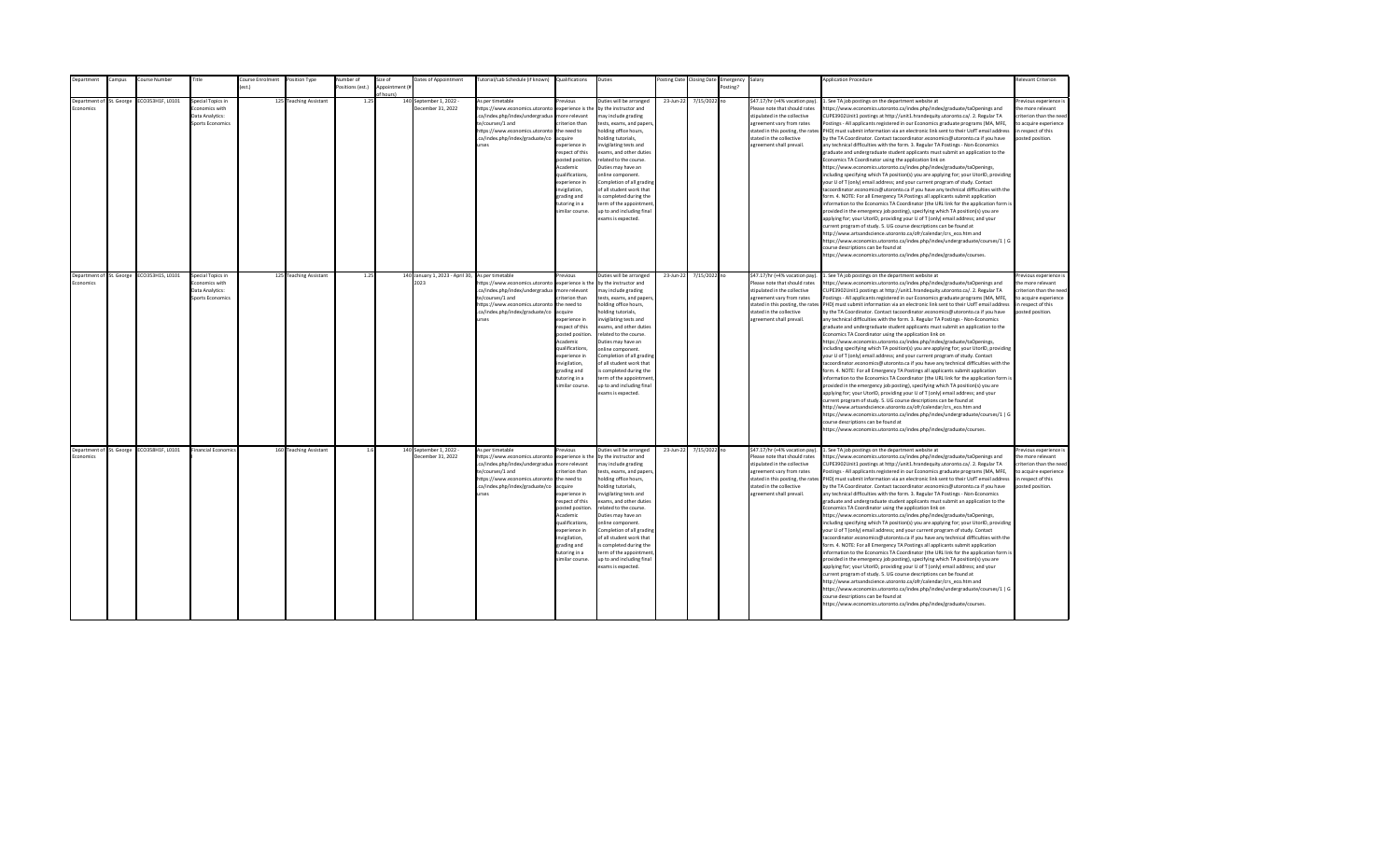| epartment                             | ampus: | Course Number                             | Title                               | ourse Enrolment  | Position Type          | Number of        | Size of        | Dates of Appointment                                     | utorial/Lab Schedule (if known) | Qualifications                     | Duties                                              |           | osting Date Closing Date | Emergency | Salary                                                          | <b>Application Procedure</b>                                                                                                                                          | <b>Relevant Criterion</b>                  |
|---------------------------------------|--------|-------------------------------------------|-------------------------------------|------------------|------------------------|------------------|----------------|----------------------------------------------------------|---------------------------------|------------------------------------|-----------------------------------------------------|-----------|--------------------------|-----------|-----------------------------------------------------------------|-----------------------------------------------------------------------------------------------------------------------------------------------------------------------|--------------------------------------------|
|                                       |        |                                           |                                     | $o$ ct $\lambda$ |                        | Positions (est.) | Appointment (i |                                                          |                                 |                                    |                                                     |           |                          | Posting?  |                                                                 |                                                                                                                                                                       |                                            |
| Department of St. George              |        | CO353H1F, L0101                           | Special Topics in                   |                  | 125 Teaching Assistant | 1.25             | of hours)      | 140 September 1, 2022 -                                  | As per timetable                | revinus                            | Duties will be arranged                             | 23-Jun-22 | 7/15/2022 no             |           | \$47.17/hr (+4% vacation pay).                                  | . See TA job postings on the department website at                                                                                                                    | Previous experience i                      |
| <b>conomics</b>                       |        |                                           | conomics with                       |                  |                        |                  |                | December 31, 2022                                        | https://www.economics.utoronto  | experience is the                  | by the instructor and                               |           |                          |           | Please note that should rates                                   | https://www.economics.utoronto.ca/index.php/index/graduate/taOpenings and                                                                                             | the more relevant                          |
|                                       |        |                                           | Data Analytics:                     |                  |                        |                  |                |                                                          | .ca/index.php/index/undergradua | more relevant                      | may include grading                                 |           |                          |           | stipulated in the collective                                    | CUPE3902Unit1 postings at http://unit1.hrandequity.utoronto.ca/. 2. Regular TA                                                                                        | criterion than the need                    |
|                                       |        |                                           | <b>Sports Economics</b>             |                  |                        |                  |                |                                                          | te/courses/1 and                | riterion than                      | tests, exams, and papers,                           |           |                          |           | agreement vary from rates                                       | Postings - All applicants registered in our Economics graduate programs (MA, MFE,                                                                                     | to acquire experience                      |
|                                       |        |                                           |                                     |                  |                        |                  |                |                                                          | https://www.economics.utoronto  | the need to                        | holding office hours,                               |           |                          |           | stated in this posting, the rates                               | PHD) must submit information via an electronic link sent to their UofT email address                                                                                  | in respect of this                         |
|                                       |        |                                           |                                     |                  |                        |                  |                |                                                          | .ca/index.php/index/graduate/co | acquire                            | nolding tutorials,                                  |           |                          |           | stated in the collective                                        | by the TA Coordinator. Contact tacoordinator.economics@utoronto.ca if you have                                                                                        | posted position.                           |
|                                       |        |                                           |                                     |                  |                        |                  |                |                                                          | <b>Print</b>                    | experience in                      | nvigilating tests and                               |           |                          |           | agreement shall prevail.                                        | any technical difficulties with the form. 3. Regular TA Postings - Non-Economics                                                                                      |                                            |
|                                       |        |                                           |                                     |                  |                        |                  |                |                                                          |                                 | respect of this                    | exams, and other duties                             |           |                          |           |                                                                 | graduate and undergraduate student applicants must submit an application to the                                                                                       |                                            |
|                                       |        |                                           |                                     |                  |                        |                  |                |                                                          |                                 | posted position.                   | related to the course.                              |           |                          |           |                                                                 | Economics TA Coordinator using the application link on                                                                                                                |                                            |
|                                       |        |                                           |                                     |                  |                        |                  |                |                                                          |                                 | Academic                           | Duties may have an                                  |           |                          |           |                                                                 | https://www.economics.utoronto.ca/index.php/index/graduate/taOpenings,                                                                                                |                                            |
|                                       |        |                                           |                                     |                  |                        |                  |                |                                                          |                                 | qualifications,                    | online component.                                   |           |                          |           |                                                                 | including specifying which TA position(s) you are applying for; your UtorID, providing                                                                                |                                            |
|                                       |        |                                           |                                     |                  |                        |                  |                |                                                          |                                 | experience in                      | Completion of all grading                           |           |                          |           |                                                                 | your U of T (only) email address; and your current program of study. Contact                                                                                          |                                            |
|                                       |        |                                           |                                     |                  |                        |                  |                |                                                          |                                 | nvigilation,                       | of all student work that                            |           |                          |           |                                                                 | tacoordinator.economics@utoronto.ca if you have any technical difficulties with the                                                                                   |                                            |
|                                       |        |                                           |                                     |                  |                        |                  |                |                                                          |                                 | grading and                        | s completed during the                              |           |                          |           |                                                                 | form. 4. NOTE: For all Emergency TA Postings all applicants submit application                                                                                        |                                            |
|                                       |        |                                           |                                     |                  |                        |                  |                |                                                          |                                 | tutoring in a                      | term of the appointment                             |           |                          |           |                                                                 | information to the Economics TA Coordinator (the URL link for the application form is                                                                                 |                                            |
|                                       |        |                                           |                                     |                  |                        |                  |                |                                                          |                                 | imilar course.                     | up to and including final<br>exams is expected.     |           |                          |           |                                                                 | provided in the emergency job posting), specifying which TA position(s) you are                                                                                       |                                            |
|                                       |        |                                           |                                     |                  |                        |                  |                |                                                          |                                 |                                    |                                                     |           |                          |           |                                                                 | applying for; your UtorID, providing your U of T (only) email address; and your<br>current program of study. 5. UG course descriptions can be found at                |                                            |
|                                       |        |                                           |                                     |                  |                        |                  |                |                                                          |                                 |                                    |                                                     |           |                          |           |                                                                 | http://www.artsandscience.utoronto.ca/ofr/calendar/crs eco.htm and                                                                                                    |                                            |
|                                       |        |                                           |                                     |                  |                        |                  |                |                                                          |                                 |                                    |                                                     |           |                          |           |                                                                 | https://www.economics.utoronto.ca/index.php/index/undergraduate/courses/1   G                                                                                         |                                            |
|                                       |        |                                           |                                     |                  |                        |                  |                |                                                          |                                 |                                    |                                                     |           |                          |           |                                                                 | course descriptions can be found at                                                                                                                                   |                                            |
|                                       |        |                                           |                                     |                  |                        |                  |                |                                                          |                                 |                                    |                                                     |           |                          |           |                                                                 | https://www.economics.utoronto.ca/index.php/index/graduate/courses.                                                                                                   |                                            |
|                                       |        |                                           |                                     |                  |                        |                  |                |                                                          |                                 |                                    |                                                     |           |                          |           |                                                                 |                                                                                                                                                                       |                                            |
|                                       |        |                                           |                                     |                  |                        |                  |                |                                                          |                                 |                                    |                                                     |           |                          |           |                                                                 |                                                                                                                                                                       |                                            |
| Department of St. George<br>Economics |        | ECO353H1S, L0101                          | Special Topics in<br>Economics with |                  | 125 Teaching Assistant | 1.25             |                | 140 January 1, 2023 - April 30, As per timetable<br>2023 | https://www.economics.utoronto  | revious<br>experience is the       | Duties will be arranged<br>by the instructor and    | 23-Jun-22 | 7/15/2022 no             |           | \$47.17/hr (+4% vacation pay).<br>Please note that should rates | 1. See TA job postings on the department website at                                                                                                                   | Previous experience i<br>the more relevant |
|                                       |        |                                           | Data Analytics:                     |                  |                        |                  |                |                                                          | .ca/index.php/index/undergradua | more relevant                      | may include grading                                 |           |                          |           | stipulated in the collective                                    | https://www.economics.utoronto.ca/index.php/index/graduate/taOpenings and<br>CUPE3902Unit1 postings at http://unit1.hrandequity.utoronto.ca/. 2. Regular TA           | criterion than the need                    |
|                                       |        |                                           | <b>Sports Economics</b>             |                  |                        |                  |                |                                                          | te/courses/1 and                | riterion than                      | tests, exams, and papers,                           |           |                          |           | agreement vary from rates                                       | Postings - All applicants registered in our Economics graduate programs (MA, MFE,                                                                                     | to acquire experience                      |
|                                       |        |                                           |                                     |                  |                        |                  |                |                                                          | https://www.economics.utoronto  | the need to                        | holding office hours,                               |           |                          |           |                                                                 | stated in this posting, the rates PHD) must submit information via an electronic link sent to their UofT email address                                                | in respect of this                         |
|                                       |        |                                           |                                     |                  |                        |                  |                |                                                          | .ca/index.php/index/graduate/co | acquire                            | nolding tutorials,                                  |           |                          |           | stated in the collective                                        | by the TA Coordinator. Contact tacoordinator.economics@utoronto.ca if you have                                                                                        | posted position.                           |
|                                       |        |                                           |                                     |                  |                        |                  |                |                                                          | <b>urses</b>                    | experience in                      | nvigilating tests and                               |           |                          |           | agreement shall prevail.                                        | any technical difficulties with the form. 3. Regular TA Postings - Non-Economics                                                                                      |                                            |
|                                       |        |                                           |                                     |                  |                        |                  |                |                                                          |                                 | resnect of this                    | exams, and other duties                             |           |                          |           |                                                                 | eraduate and undergraduate student applicants must submit an application to the                                                                                       |                                            |
|                                       |        |                                           |                                     |                  |                        |                  |                |                                                          |                                 | posted position                    | related to the course.                              |           |                          |           |                                                                 | Economics TA Coordinator using the application link on                                                                                                                |                                            |
|                                       |        |                                           |                                     |                  |                        |                  |                |                                                          |                                 | Academic                           | Duties may have an                                  |           |                          |           |                                                                 | https://www.economics.utoronto.ca/index.php/index/graduate/taOpenings,                                                                                                |                                            |
|                                       |        |                                           |                                     |                  |                        |                  |                |                                                          |                                 | qualifications.                    | online component.                                   |           |                          |           |                                                                 | including specifying which TA position(s) you are applying for; your UtorID, providing                                                                                |                                            |
|                                       |        |                                           |                                     |                  |                        |                  |                |                                                          |                                 | experience in                      | Completion of all grading                           |           |                          |           |                                                                 | your U of T (only) email address; and your current program of study. Contact                                                                                          |                                            |
|                                       |        |                                           |                                     |                  |                        |                  |                |                                                          |                                 | invigilation,<br>grading and       | of all student work that<br>is completed during the |           |                          |           |                                                                 | tacoordinator.economics@utoronto.ca if you have any technical difficulties with the<br>form. 4. NOTE: For all Emergency TA Postings all applicants submit application |                                            |
|                                       |        |                                           |                                     |                  |                        |                  |                |                                                          |                                 | tutoring in a                      | term of the appointment                             |           |                          |           |                                                                 | information to the Economics TA Coordinator (the URL link for the application form is                                                                                 |                                            |
|                                       |        |                                           |                                     |                  |                        |                  |                |                                                          |                                 | imilar course.                     | up to and including final                           |           |                          |           |                                                                 | provided in the emergency job posting), specifying which TA position(s) you are                                                                                       |                                            |
|                                       |        |                                           |                                     |                  |                        |                  |                |                                                          |                                 |                                    | exams is expected.                                  |           |                          |           |                                                                 | applying for; your UtorID, providing your U of T (only) email address; and your                                                                                       |                                            |
|                                       |        |                                           |                                     |                  |                        |                  |                |                                                          |                                 |                                    |                                                     |           |                          |           |                                                                 | current program of study. 5. UG course descriptions can be found at                                                                                                   |                                            |
|                                       |        |                                           |                                     |                  |                        |                  |                |                                                          |                                 |                                    |                                                     |           |                          |           |                                                                 | http://www.artsandscience.utoronto.ca/ofr/calendar/crs_eco.htm and                                                                                                    |                                            |
|                                       |        |                                           |                                     |                  |                        |                  |                |                                                          |                                 |                                    |                                                     |           |                          |           |                                                                 | https://www.economics.utoronto.ca/index.php/index/undergraduate/courses/1   G                                                                                         |                                            |
|                                       |        |                                           |                                     |                  |                        |                  |                |                                                          |                                 |                                    |                                                     |           |                          |           |                                                                 | course descriptions can be found at                                                                                                                                   |                                            |
|                                       |        |                                           |                                     |                  |                        |                  |                |                                                          |                                 |                                    |                                                     |           |                          |           |                                                                 | https://www.economics.utoronto.ca/index.php/index/graduate/courses.                                                                                                   |                                            |
|                                       |        |                                           |                                     |                  |                        |                  |                |                                                          |                                 |                                    |                                                     |           |                          |           |                                                                 |                                                                                                                                                                       |                                            |
|                                       |        | Department of St. George ECO358H1F, L0101 | Financial Economics                 |                  | 160 Teaching Assistant | 1.6              |                | 140 September 1, 2022 -                                  | As per timetable                | revious                            | Outies will be arranged                             | 23-Jun-22 | 7/15/2022 no             |           | \$47.17/hr (+4% vacation pay).                                  | 1. See TA job postings on the department website at                                                                                                                   | revious experience i                       |
| Economics                             |        |                                           |                                     |                  |                        |                  |                | December 31, 2022                                        | https://www.economics.utoronto  | experience is the                  | by the instructor and                               |           |                          |           | Please note that should rates                                   | https://www.economics.utoronto.ca/index.php/index/graduate/taOpenings and                                                                                             | the more relevant                          |
|                                       |        |                                           |                                     |                  |                        |                  |                |                                                          | .ca/index.php/index/undergradua | more relevant                      | may include grading                                 |           |                          |           | stipulated in the collective                                    | CUPE3902Unit1 postings at http://unit1.hrandequity.utoronto.ca/. 2. Regular TA                                                                                        | criterion than the need                    |
|                                       |        |                                           |                                     |                  |                        |                  |                |                                                          | te/courses/1 and                | riterion than                      | tests, exams, and papers,                           |           |                          |           | agreement vary from rates                                       | Postings - All applicants registered in our Economics graduate programs (MA, MFE,                                                                                     | to acquire experience                      |
|                                       |        |                                           |                                     |                  |                        |                  |                |                                                          | https://www.economics.utoronto  | the need to                        | holding office hours,                               |           |                          |           |                                                                 | stated in this posting, the rates PHD) must submit information via an electronic link sent to their UofT email address                                                | in respect of this                         |
|                                       |        |                                           |                                     |                  |                        |                  |                |                                                          | .ca/index.php/index/graduate/co | acquire                            | nolding tutorials,                                  |           |                          |           | stated in the collective                                        | by the TA Coordinator. Contact tacoordinator.economics@utoronto.ca if you have                                                                                        | posted position.                           |
|                                       |        |                                           |                                     |                  |                        |                  |                |                                                          | urses                           | experience in                      | nvigilating tests and                               |           |                          |           | agreement shall prevail.                                        | any technical difficulties with the form. 3. Regular TA Postings - Non-Economics                                                                                      |                                            |
|                                       |        |                                           |                                     |                  |                        |                  |                |                                                          |                                 | respect of this<br>posted position | exams, and other duties<br>related to the course.   |           |                          |           |                                                                 | graduate and undergraduate student applicants must submit an application to the<br>Economics TA Coordinator using the application link on                             |                                            |
|                                       |        |                                           |                                     |                  |                        |                  |                |                                                          |                                 | Academic                           | Duties may have an                                  |           |                          |           |                                                                 | https://www.economics.utoronto.ca/index.php/index/graduate/taOpenings,                                                                                                |                                            |
|                                       |        |                                           |                                     |                  |                        |                  |                |                                                          |                                 | qualifications,                    | online component.                                   |           |                          |           |                                                                 | including specifying which TA position(s) you are applying for; your UtorID, providing                                                                                |                                            |
|                                       |        |                                           |                                     |                  |                        |                  |                |                                                          |                                 | experience in                      | Completion of all grading                           |           |                          |           |                                                                 | your U of T (only) email address; and your current program of study. Contact                                                                                          |                                            |
|                                       |        |                                           |                                     |                  |                        |                  |                |                                                          |                                 | invigilation,                      | of all student work that                            |           |                          |           |                                                                 | tacoordinator.economics@utoronto.ca if you have any technical difficulties with the                                                                                   |                                            |
|                                       |        |                                           |                                     |                  |                        |                  |                |                                                          |                                 | grading and                        | is completed during the                             |           |                          |           |                                                                 | form. 4. NOTE: For all Emergency TA Postings all applicants submit application                                                                                        |                                            |
|                                       |        |                                           |                                     |                  |                        |                  |                |                                                          |                                 | tutoring in a                      | term of the appointment                             |           |                          |           |                                                                 | information to the Economics TA Coordinator (the URL link for the application form is                                                                                 |                                            |
|                                       |        |                                           |                                     |                  |                        |                  |                |                                                          |                                 | imilar course.                     | up to and including final                           |           |                          |           |                                                                 | provided in the emergency job posting), specifying which TA position(s) you are                                                                                       |                                            |
|                                       |        |                                           |                                     |                  |                        |                  |                |                                                          |                                 |                                    | exams is expected.                                  |           |                          |           |                                                                 | applying for; your UtorID, providing your U of T (only) email address; and your                                                                                       |                                            |
|                                       |        |                                           |                                     |                  |                        |                  |                |                                                          |                                 |                                    |                                                     |           |                          |           |                                                                 | current program of study. 5. UG course descriptions can be found at                                                                                                   |                                            |
|                                       |        |                                           |                                     |                  |                        |                  |                |                                                          |                                 |                                    |                                                     |           |                          |           |                                                                 | http://www.artsandscience.utoronto.ca/ofr/calendar/crs eco.htm and                                                                                                    |                                            |
|                                       |        |                                           |                                     |                  |                        |                  |                |                                                          |                                 |                                    |                                                     |           |                          |           |                                                                 | https://www.economics.utoronto.ca/index.php/index/undergraduate/courses/1   G                                                                                         |                                            |
|                                       |        |                                           |                                     |                  |                        |                  |                |                                                          |                                 |                                    |                                                     |           |                          |           |                                                                 | course descriptions can be found at                                                                                                                                   |                                            |
|                                       |        |                                           |                                     |                  |                        |                  |                |                                                          |                                 |                                    |                                                     |           |                          |           |                                                                 | https://www.economics.utoronto.ca/index.php/index/graduate/courses.                                                                                                   |                                            |
|                                       |        |                                           |                                     |                  |                        |                  |                |                                                          |                                 |                                    |                                                     |           |                          |           |                                                                 |                                                                                                                                                                       |                                            |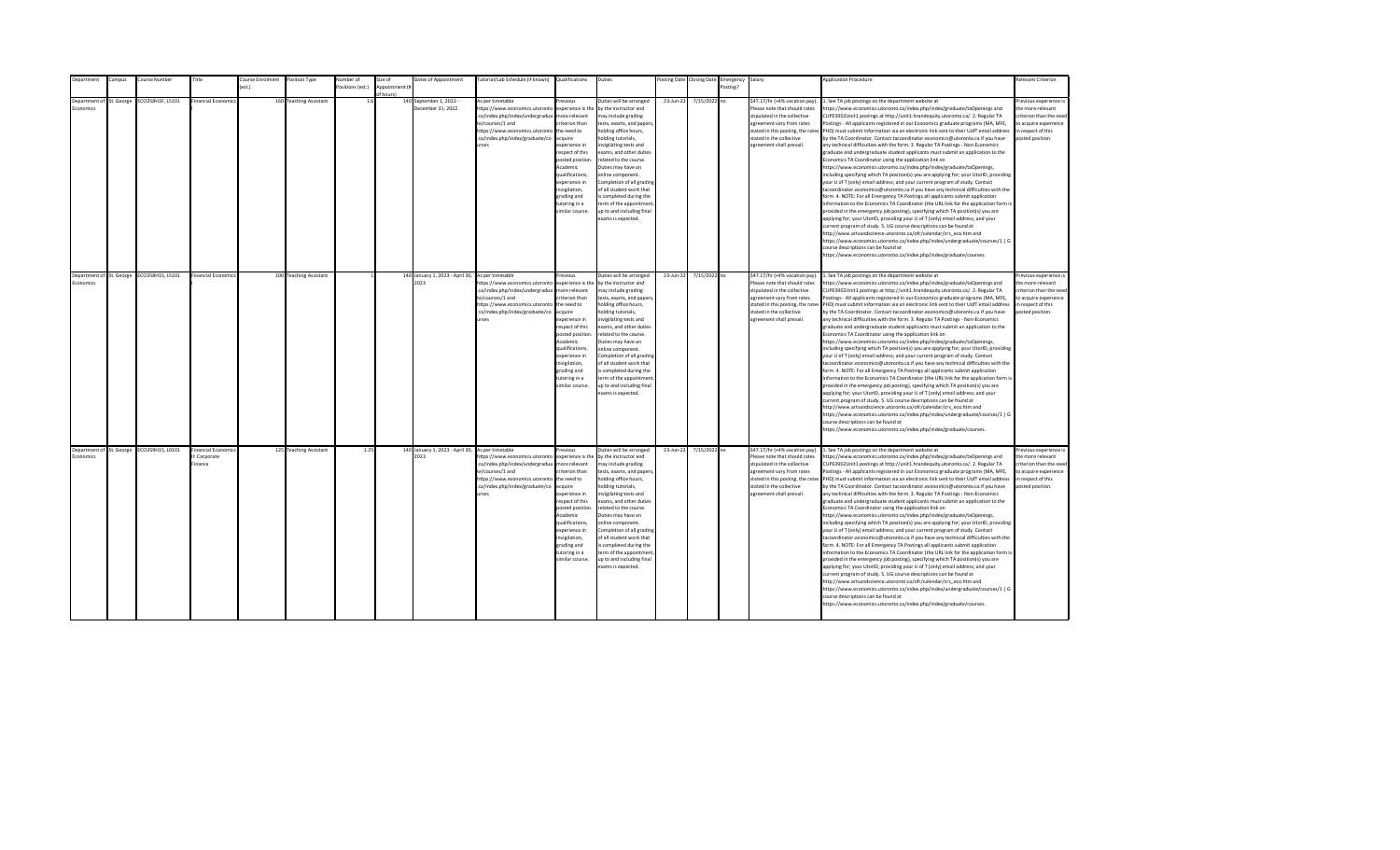| Department                            | Campus | Course Number                             | Title                                              | <b>Course Enrolment</b> | Position Type          | <b>Number</b> of | Size of                     | Dates of Appointment                                     | Tutorial/Lab Schedule (if known) Qualifications                                                                                                                                         |                                                                                                                                                                                                                                                                      | Duties                                                                                                                                                                                                                                                                                                                                                                                                                                          |           | Posting Date Closing Date | Emergency Salary |                                                                                                                                                                                                                           | <b>Application Procedure</b>                                                                                                                                                                                                                                                                                                                                                                                                                                                                                                                                                                                                                                                                                                                                                                                                                                                                                                                                                                                                                                                                                                                                                                                                                                                                                                                                                                                                                                                                                                                                                                                                                                                                                                                                                                 | Relevant Criterion                                                                                                                        |
|---------------------------------------|--------|-------------------------------------------|----------------------------------------------------|-------------------------|------------------------|------------------|-----------------------------|----------------------------------------------------------|-----------------------------------------------------------------------------------------------------------------------------------------------------------------------------------------|----------------------------------------------------------------------------------------------------------------------------------------------------------------------------------------------------------------------------------------------------------------------|-------------------------------------------------------------------------------------------------------------------------------------------------------------------------------------------------------------------------------------------------------------------------------------------------------------------------------------------------------------------------------------------------------------------------------------------------|-----------|---------------------------|------------------|---------------------------------------------------------------------------------------------------------------------------------------------------------------------------------------------------------------------------|----------------------------------------------------------------------------------------------------------------------------------------------------------------------------------------------------------------------------------------------------------------------------------------------------------------------------------------------------------------------------------------------------------------------------------------------------------------------------------------------------------------------------------------------------------------------------------------------------------------------------------------------------------------------------------------------------------------------------------------------------------------------------------------------------------------------------------------------------------------------------------------------------------------------------------------------------------------------------------------------------------------------------------------------------------------------------------------------------------------------------------------------------------------------------------------------------------------------------------------------------------------------------------------------------------------------------------------------------------------------------------------------------------------------------------------------------------------------------------------------------------------------------------------------------------------------------------------------------------------------------------------------------------------------------------------------------------------------------------------------------------------------------------------------|-------------------------------------------------------------------------------------------------------------------------------------------|
|                                       |        |                                           |                                                    | (est.)                  |                        | ositions (est.)  | Appointment (#<br>of hours) |                                                          |                                                                                                                                                                                         |                                                                                                                                                                                                                                                                      |                                                                                                                                                                                                                                                                                                                                                                                                                                                 |           |                           | Posting?         |                                                                                                                                                                                                                           |                                                                                                                                                                                                                                                                                                                                                                                                                                                                                                                                                                                                                                                                                                                                                                                                                                                                                                                                                                                                                                                                                                                                                                                                                                                                                                                                                                                                                                                                                                                                                                                                                                                                                                                                                                                              |                                                                                                                                           |
| Department of St. George<br>Economics |        | ECO358H1F, L5101                          | <b>Financial Economic</b>                          |                         | 160 Teaching Assistant | 1.6              |                             | 140 September 1, 2022 -<br>December 31, 2022             | As per timetable<br>https://www.economics.utoronto<br>.ca/index.php/index/undergradua<br>te/courses/1 and<br>https://www.economics.utoronto<br>.ca/index.php/index/graduate/co<br>urses | Previous<br>experience is the<br>more relevant<br>riterion than<br>the need to<br>acquire<br>xperience in<br>respect of this<br>posted position<br>Academic<br>qualifications,<br>experience in<br>wigilation,<br>grading and<br>tutoring in a<br>similar course.    | Duties will be arranged<br>by the instructor and<br>may include grading<br>tests, exams, and papers<br>holding office hours,<br>olding tutorials,<br>nvigilating tests and<br>exams, and other duties<br>related to the course.<br>Duties may have an<br>online component.<br>Completion of all grading<br>of all student work that<br>s completed during the<br>erm of the appointment<br>up to and including final<br>exams is expected.      | 23-Jun-22 | 7/15/2022 no              |                  | \$47.17/hr (+4% vacation pay).<br>Please note that should rates<br>stipulated in the collective<br>agreement vary from rates<br>stated in this posting, the rates<br>stated in the collective<br>agreement shall prevail. | 1. See TA job postings on the department website at<br>ttps://www.economics.utoronto.ca/index.php/index/graduate/taOpenings and<br>CUPE3902Unit1 postings at http://unit1.hrandequity.utoronto.ca/. 2. Regular TA<br>Postings - All applicants registered in our Economics graduate programs (MA, MFE,<br>PHD) must submit information via an electronic link sent to their UofT email address<br>by the TA Coordinator. Contact tacoordinator.economics@utoronto.ca if you have<br>any technical difficulties with the form. 3. Regular TA Postings - Non-Economics<br>graduate and undergraduate student applicants must submit an application to the<br>Economics TA Coordinator using the application link on<br>https://www.economics.utoronto.ca/index.php/index/graduate/taOpenings,<br>ncluding specifying which TA position(s) you are applying for; your UtorID, providing<br>our U of T (only) email address; and your current program of study. Contact<br>acoordinator.economics@utoronto.ca if you have any technical difficulties with the<br>orm. 4. NOTE: For all Emergency TA Postings all applicants submit application<br>nformation to the Economics TA Coordinator (the URL link for the application form is<br>provided in the emergency job posting), specifying which TA position(s) you are<br>applying for; your UtorID, providing your U of T (only) email address; and your<br>urrent program of study. 5. UG course descriptions can be found at<br>http://www.artsandscience.utoronto.ca/ofr/calendar/crs eco.htm and<br>https://www.economics.utoronto.ca/index.php/index/undergraduate/courses/1   G<br>ourse descriptions can be found at<br>https://www.economics.utoronto.ca/index.php/index/graduate/courses.                                           | revious experience i<br>the more relevant<br>riterion than the need<br>to acquire experience<br>in respect of this<br>posted position.    |
| Department of St. George<br>Economics |        | ECO358H1S, L5101                          | Financial Economic                                 |                         | 100 Teaching Assistant |                  |                             | 140 January 1, 2023 - April 30, As per timetable<br>2023 | https://www.economics.utoronto<br>.ca/index.php/index/undergradua<br>te/courses/1 and<br>https://www.economics.utoronto<br>.ca/index.php/index/graduate/co<br>urses                     | revious<br>experience is the<br>more relevant<br>criterion than<br>the need to<br>acquire<br>experience in<br>respect of this<br>posted position<br>Academic<br>qualifications,<br>experience in<br>invigilation,<br>grading and<br>tutoring in a<br>similar course. | Duties will be arranged<br>by the instructor and<br>may include grading<br>tests, exams, and papers,<br>holding office hours,<br>holding tutorials,<br>invigilating tests and<br>exams, and other duties<br>related to the course.<br>Duties may have an<br>online component.<br>Completion of all grading<br>of all student work that<br>is completed during the<br>term of the appointment<br>up to and including final<br>exams is expected. | 23-Jun-22 | 7/15/2022 no              |                  | \$47.17/hr (+4% vacation pay).<br>Please note that should rates<br>stipulated in the collective<br>agreement vary from rates<br>stated in the collective<br>agreement shall prevail.                                      | 1. See TA job postings on the department website at<br>https://www.economics.utoronto.ca/index.php/index/graduate/taOpenings and<br>CUPE3902Unit1 postings at http://unit1.hrandequity.utoronto.ca/. 2. Regular TA<br>Postings - All applicants registered in our Economics graduate programs (MA, MFE,<br>stated in this posting, the rates PHD) must submit information via an electronic link sent to their UofT email address<br>by the TA Coordinator. Contact tacoordinator.economics@utoronto.ca if you have<br>any technical difficulties with the form. 3. Regular TA Postings - Non-Economics<br>graduate and undergraduate student applicants must submit an application to the<br>Economics TA Coordinator using the application link on<br>https://www.economics.utoronto.ca/index.php/index/graduate/taOpenings,<br>including specifying which TA position(s) you are applying for; your UtorID, providing<br>your U of T (only) email address; and your current program of study. Contact<br>acoordinator.economics@utoronto.ca if you have any technical difficulties with the<br>form. 4. NOTE: For all Emergency TA Postings all applicants submit application<br>information to the Economics TA Coordinator (the URL link for the application form is<br>provided in the emergency job posting), specifying which TA position(s) you are<br>applying for; your UtorID, providing your U of T (only) email address; and your<br>current program of study. 5. UG course descriptions can be found at<br>http://www.artsandscience.utoronto.ca/ofr/calendar/crs_eco.htm and<br>https://www.economics.utoronto.ca/index.php/index/undergraduate/courses/1   G<br>ourse descriptions can be found at<br>https://www.economics.utoronto.ca/index.php/index/graduate/courses.   | Previous experience i<br>the more relevant<br>criterion than the need<br>to acquire experience<br>in respect of this<br>posted position.  |
| Economics                             |        | Department of St. George ECO359H1S, L0101 | <b>Financial Economic</b><br>: Corporate<br>inance |                         | 125 Teaching Assistant | 1.25             |                             | 140 January 1, 2023 - April 30, As per timetable<br>2023 | https://www.economics.utoronto<br>.ca/index.php/index/undergradua<br>te/courses/1 and<br>https://www.economics.utoronto the need to<br>.ca/index.php/index/graduate/co<br>urses         | Previous<br>experience is the<br>more relevant<br>criterion than<br>acquire<br>experience in<br>respect of this<br>posted position<br>Academic<br>qualifications,<br>experience in<br>invigilation,<br>grading and<br>tutoring in a<br>similar course.               | Duties will be arranged<br>by the instructor and<br>may include grading<br>tests, exams, and papers,<br>holding office hours,<br>holding tutorials,<br>nvigilating tests and<br>exams, and other duties<br>related to the course.<br>Duties may have an<br>online component.<br>Completion of all grading<br>of all student work that<br>is completed during the<br>term of the appointment<br>up to and including final<br>exams is expected.  | 23-Jun-22 | 7/15/2022 no              |                  | \$47.17/hr (+4% vacation pay).<br>Please note that should rates<br>stipulated in the collective<br>agreement vary from rates<br>stated in the collective<br>agreement shall prevail.                                      | 1. See TA job postings on the department website at<br>https://www.economics.utoronto.ca/index.php/index/graduate/taOpenings and<br>CUPE3902Unit1 postings at http://unit1.hrandequity.utoronto.ca/. 2. Regular TA<br>Postings - All applicants registered in our Economics graduate programs (MA, MFE,<br>stated in this posting, the rates PHD) must submit information via an electronic link sent to their UofT email address<br>by the TA Coordinator. Contact tacoordinator.economics@utoronto.ca if you have<br>any technical difficulties with the form. 3. Regular TA Postings - Non-Economics<br>graduate and undergraduate student applicants must submit an application to the<br>Economics TA Coordinator using the application link on<br>https://www.economics.utoronto.ca/index.php/index/graduate/taOpenings,<br>including specifying which TA position(s) you are applying for; your UtorID, providing<br>your U of T (only) email address; and your current program of study. Contact<br>tacoordinator.economics@utoronto.ca if you have any technical difficulties with the<br>form. 4. NOTE: For all Emergency TA Postings all applicants submit application<br>information to the Economics TA Coordinator (the URL link for the application form is<br>provided in the emergency job posting), specifying which TA position(s) you are<br>applying for; your UtorID, providing your U of T (only) email address; and your<br>current program of study. 5. UG course descriptions can be found at<br>http://www.artsandscience.utoronto.ca/ofr/calendar/crs eco.htm and<br>https://www.economics.utoronto.ca/index.php/index/undergraduate/courses/1   G<br>course descriptions can be found at<br>https://www.economics.utoronto.ca/index.php/index/graduate/courses. | Previous experience is<br>the more relevant<br>criterion than the need<br>to acquire experience<br>in respect of this<br>posted position. |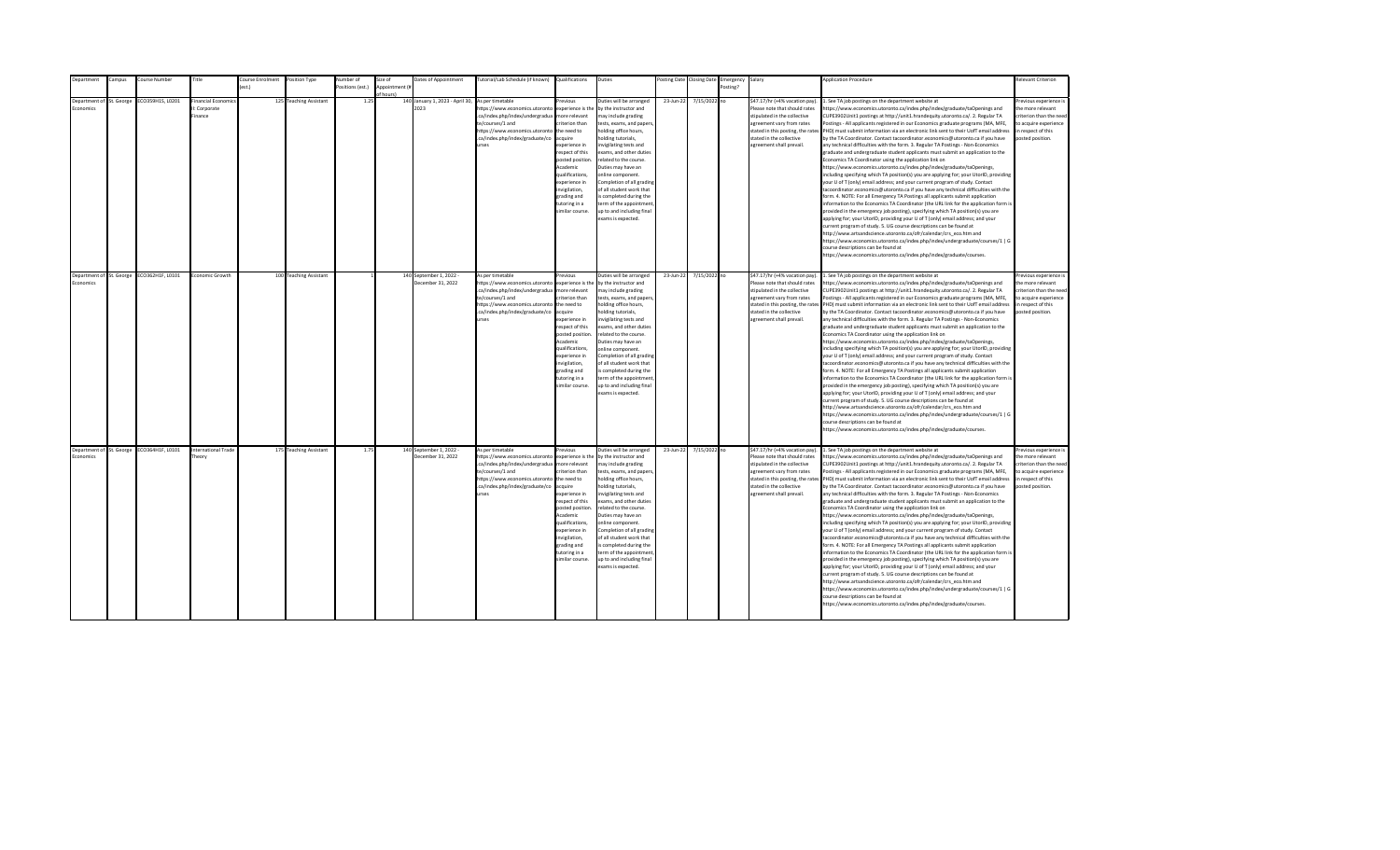| epartment                | ampus: | Course Number                             | Title                      | ourse Enrolment  | Position Type          | Number of        | Size of        | Dates of Appointment            | [utorial/Lab Schedule (if known)                                  | Qualifications                     | Duties                                                |           | osting Date Closing Date | Emergency | Salary                                                        | <b>Application Procedure</b>                                                                                                                                                                                | <b>Relevant Criterion</b>                    |
|--------------------------|--------|-------------------------------------------|----------------------------|------------------|------------------------|------------------|----------------|---------------------------------|-------------------------------------------------------------------|------------------------------------|-------------------------------------------------------|-----------|--------------------------|-----------|---------------------------------------------------------------|-------------------------------------------------------------------------------------------------------------------------------------------------------------------------------------------------------------|----------------------------------------------|
|                          |        |                                           |                            | $o$ ct $\lambda$ |                        | Positions (est.) | Appointment (i |                                 |                                                                   |                                    |                                                       |           |                          | Posting?  |                                                               |                                                                                                                                                                                                             |                                              |
| Department of St. George |        | CO359H1S, L0201                           | inancial Economic          |                  | 125 Teaching Assistant | 1.25             | of hours)      | 140 January 1, 2023 - April 30, | As per timetable                                                  | revinus                            | Duties will be arranged                               | 23-Jun-22 | 7/15/2022 no             |           | \$47.17/hr (+4% vacation pay).                                | . See TA job postings on the department website at                                                                                                                                                          | Previous experience i                        |
| <b>conomics</b>          |        |                                           | I: Corporate               |                  |                        |                  |                | 2023                            | https://www.economics.utoronto                                    | experience is the                  | by the instructor and                                 |           |                          |           | Please note that should rates                                 | https://www.economics.utoronto.ca/index.php/index/graduate/taOpenings and                                                                                                                                   | the more relevant                            |
|                          |        |                                           | inance                     |                  |                        |                  |                |                                 | .ca/index.php/index/undergradua                                   | more relevant                      | may include grading                                   |           |                          |           | stipulated in the collective                                  | CUPE3902Unit1 postings at http://unit1.hrandequity.utoronto.ca/. 2. Regular TA                                                                                                                              | criterion than the need                      |
|                          |        |                                           |                            |                  |                        |                  |                |                                 | te/courses/1 and                                                  | riterion than                      | tests, exams, and papers,                             |           |                          |           | agreement vary from rates                                     | Postings - All applicants registered in our Economics graduate programs (MA, MFE,                                                                                                                           | to acquire experience                        |
|                          |        |                                           |                            |                  |                        |                  |                |                                 | https://www.economics.utoronto                                    | the need to                        | holding office hours,                                 |           |                          |           | stated in this posting, the rates                             | PHD) must submit information via an electronic link sent to their UofT email address                                                                                                                        | in respect of this                           |
|                          |        |                                           |                            |                  |                        |                  |                |                                 | .ca/index.php/index/graduate/co                                   | acquire                            | nolding tutorials,                                    |           |                          |           | stated in the collective                                      | by the TA Coordinator. Contact tacoordinator.economics@utoronto.ca if you have                                                                                                                              | posted position.                             |
|                          |        |                                           |                            |                  |                        |                  |                |                                 | <b>Print</b>                                                      | experience in                      | nvigilating tests and                                 |           |                          |           | agreement shall prevail.                                      | any technical difficulties with the form. 3. Regular TA Postings - Non-Economics                                                                                                                            |                                              |
|                          |        |                                           |                            |                  |                        |                  |                |                                 |                                                                   | respect of this                    | exams, and other duties                               |           |                          |           |                                                               | graduate and undergraduate student applicants must submit an application to the                                                                                                                             |                                              |
|                          |        |                                           |                            |                  |                        |                  |                |                                 |                                                                   | posted position.                   | related to the course.                                |           |                          |           |                                                               | Economics TA Coordinator using the application link on                                                                                                                                                      |                                              |
|                          |        |                                           |                            |                  |                        |                  |                |                                 |                                                                   | Academic                           | Duties may have an                                    |           |                          |           |                                                               | https://www.economics.utoronto.ca/index.php/index/graduate/taOpenings,                                                                                                                                      |                                              |
|                          |        |                                           |                            |                  |                        |                  |                |                                 |                                                                   | qualifications,<br>experience in   | online component.                                     |           |                          |           |                                                               | including specifying which TA position(s) you are applying for; your UtorID, providing                                                                                                                      |                                              |
|                          |        |                                           |                            |                  |                        |                  |                |                                 |                                                                   | nvigilation,                       | Completion of all grading<br>of all student work that |           |                          |           |                                                               | your U of T (only) email address; and your current program of study. Contact<br>tacoordinator.economics@utoronto.ca if you have any technical difficulties with the                                         |                                              |
|                          |        |                                           |                            |                  |                        |                  |                |                                 |                                                                   | grading and                        | s completed during the                                |           |                          |           |                                                               | form. 4. NOTE: For all Emergency TA Postings all applicants submit application                                                                                                                              |                                              |
|                          |        |                                           |                            |                  |                        |                  |                |                                 |                                                                   | tutoring in a                      | term of the appointment                               |           |                          |           |                                                               | information to the Economics TA Coordinator (the URL link for the application form is                                                                                                                       |                                              |
|                          |        |                                           |                            |                  |                        |                  |                |                                 |                                                                   | imilar course.                     | up to and including final                             |           |                          |           |                                                               | provided in the emergency job posting), specifying which TA position(s) you are                                                                                                                             |                                              |
|                          |        |                                           |                            |                  |                        |                  |                |                                 |                                                                   |                                    | exams is expected.                                    |           |                          |           |                                                               | applying for; your UtorID, providing your U of T (only) email address; and your                                                                                                                             |                                              |
|                          |        |                                           |                            |                  |                        |                  |                |                                 |                                                                   |                                    |                                                       |           |                          |           |                                                               | current program of study. 5. UG course descriptions can be found at                                                                                                                                         |                                              |
|                          |        |                                           |                            |                  |                        |                  |                |                                 |                                                                   |                                    |                                                       |           |                          |           |                                                               | http://www.artsandscience.utoronto.ca/ofr/calendar/crs eco.htm and                                                                                                                                          |                                              |
|                          |        |                                           |                            |                  |                        |                  |                |                                 |                                                                   |                                    |                                                       |           |                          |           |                                                               | https://www.economics.utoronto.ca/index.php/index/undergraduate/courses/1   G                                                                                                                               |                                              |
|                          |        |                                           |                            |                  |                        |                  |                |                                 |                                                                   |                                    |                                                       |           |                          |           |                                                               | course descriptions can be found at                                                                                                                                                                         |                                              |
|                          |        |                                           |                            |                  |                        |                  |                |                                 |                                                                   |                                    |                                                       |           |                          |           |                                                               | https://www.economics.utoronto.ca/index.php/index/graduate/courses.                                                                                                                                         |                                              |
|                          |        |                                           |                            |                  |                        |                  |                |                                 |                                                                   |                                    |                                                       |           |                          |           |                                                               |                                                                                                                                                                                                             |                                              |
| Department of St. George |        | ECO362H1F, L0101                          | Economic Growth            |                  | 100 Teaching Assistant |                  |                | 140 September 1, 2022 -         | As per timetable                                                  | revious                            | Duties will be arranged                               | 23-Jun-22 | 7/15/2022 no             |           | \$47.17/hr (+4% vacation pay).                                | 1. See TA job postings on the department website at                                                                                                                                                         | Previous experience i                        |
| Economics                |        |                                           |                            |                  |                        |                  |                | December 31, 2022               | https://www.economics.utoronto                                    | experience is the                  | by the instructor and                                 |           |                          |           | Please note that should rates                                 | https://www.economics.utoronto.ca/index.php/index/graduate/taOpenings and                                                                                                                                   | the more relevant                            |
|                          |        |                                           |                            |                  |                        |                  |                |                                 | .ca/index.php/index/undergradua                                   | more relevant                      | may include grading                                   |           |                          |           | stipulated in the collective                                  | CUPE3902Unit1 postings at http://unit1.hrandequity.utoronto.ca/. 2. Regular TA                                                                                                                              | criterion than the need                      |
|                          |        |                                           |                            |                  |                        |                  |                |                                 | te/courses/1 and<br>https://www.economics.utoronto                | riterion than<br>the need to       | tests, exams, and papers,<br>holding office hours,    |           |                          |           | agreement vary from rates                                     | Postings - All applicants registered in our Economics graduate programs (MA, MFE,<br>stated in this posting, the rates PHD) must submit information via an electronic link sent to their UofT email address | to acquire experience<br>in respect of this  |
|                          |        |                                           |                            |                  |                        |                  |                |                                 | .ca/index.php/index/graduate/co                                   | acquire                            | nolding tutorials,                                    |           |                          |           | stated in the collective                                      | by the TA Coordinator. Contact tacoordinator.economics@utoronto.ca if you have                                                                                                                              | posted position.                             |
|                          |        |                                           |                            |                  |                        |                  |                |                                 | <b>urses</b>                                                      | experience in                      | nvigilating tests and                                 |           |                          |           | agreement shall prevail.                                      | any technical difficulties with the form. 3. Regular TA Postings - Non-Economics                                                                                                                            |                                              |
|                          |        |                                           |                            |                  |                        |                  |                |                                 |                                                                   | resnect of this                    | exams, and other duties                               |           |                          |           |                                                               | eraduate and undergraduate student applicants must submit an application to the                                                                                                                             |                                              |
|                          |        |                                           |                            |                  |                        |                  |                |                                 |                                                                   | posted position                    | related to the course.                                |           |                          |           |                                                               | Economics TA Coordinator using the application link on                                                                                                                                                      |                                              |
|                          |        |                                           |                            |                  |                        |                  |                |                                 |                                                                   | Academic                           | Duties may have an                                    |           |                          |           |                                                               | https://www.economics.utoronto.ca/index.php/index/graduate/taOpenings,                                                                                                                                      |                                              |
|                          |        |                                           |                            |                  |                        |                  |                |                                 |                                                                   | qualifications.                    | online component.                                     |           |                          |           |                                                               | including specifying which TA position(s) you are applying for; your UtorID, providing                                                                                                                      |                                              |
|                          |        |                                           |                            |                  |                        |                  |                |                                 |                                                                   | experience in                      | Completion of all grading                             |           |                          |           |                                                               | your U of T (only) email address; and your current program of study. Contact                                                                                                                                |                                              |
|                          |        |                                           |                            |                  |                        |                  |                |                                 |                                                                   | invigilation,<br>grading and       | of all student work that<br>is completed during the   |           |                          |           |                                                               | tacoordinator.economics@utoronto.ca if you have any technical difficulties with the<br>form. 4. NOTE: For all Emergency TA Postings all applicants submit application                                       |                                              |
|                          |        |                                           |                            |                  |                        |                  |                |                                 |                                                                   | tutoring in a                      | term of the appointment                               |           |                          |           |                                                               | information to the Economics TA Coordinator (the URL link for the application form is                                                                                                                       |                                              |
|                          |        |                                           |                            |                  |                        |                  |                |                                 |                                                                   | imilar course.                     | up to and including final                             |           |                          |           |                                                               | provided in the emergency job posting), specifying which TA position(s) you are                                                                                                                             |                                              |
|                          |        |                                           |                            |                  |                        |                  |                |                                 |                                                                   |                                    | exams is expected.                                    |           |                          |           |                                                               | applying for; your UtorID, providing your U of T (only) email address; and your                                                                                                                             |                                              |
|                          |        |                                           |                            |                  |                        |                  |                |                                 |                                                                   |                                    |                                                       |           |                          |           |                                                               | current program of study. 5. UG course descriptions can be found at                                                                                                                                         |                                              |
|                          |        |                                           |                            |                  |                        |                  |                |                                 |                                                                   |                                    |                                                       |           |                          |           |                                                               | http://www.artsandscience.utoronto.ca/ofr/calendar/crs_eco.htm and                                                                                                                                          |                                              |
|                          |        |                                           |                            |                  |                        |                  |                |                                 |                                                                   |                                    |                                                       |           |                          |           |                                                               | https://www.economics.utoronto.ca/index.php/index/undergraduate/courses/1   G                                                                                                                               |                                              |
|                          |        |                                           |                            |                  |                        |                  |                |                                 |                                                                   |                                    |                                                       |           |                          |           |                                                               | course descriptions can be found at                                                                                                                                                                         |                                              |
|                          |        |                                           |                            |                  |                        |                  |                |                                 |                                                                   |                                    |                                                       |           |                          |           |                                                               | https://www.economics.utoronto.ca/index.php/index/graduate/courses.                                                                                                                                         |                                              |
|                          |        |                                           |                            |                  |                        |                  |                |                                 |                                                                   |                                    |                                                       |           |                          |           |                                                               |                                                                                                                                                                                                             |                                              |
|                          |        | Department of St. George ECO364H1F, L0101 | <b>International Trade</b> |                  | 175 Teaching Assistant | 1.75             |                | 140 September 1, 2022 -         | As per timetable                                                  | revious                            | Duties will be arranged                               | 23-Jun-22 | 7/15/2022 no             |           | \$47.17/hr (+4% vacation pay).                                | 1. See TA job postings on the department website at                                                                                                                                                         | revious experience i                         |
| Economics                |        |                                           | Theory                     |                  |                        |                  |                | December 31, 2022               | https://www.economics.utoronto<br>.ca/index.php/index/undergradua | experience is the<br>more relevant | by the instructor and                                 |           |                          |           | Please note that should rates<br>stipulated in the collective | https://www.economics.utoronto.ca/index.php/index/graduate/taOpenings and                                                                                                                                   | the more relevant<br>criterion than the need |
|                          |        |                                           |                            |                  |                        |                  |                |                                 | te/courses/1 and                                                  | riterion than                      | may include grading<br>tests, exams, and papers,      |           |                          |           | agreement vary from rates                                     | CUPE3902Unit1 postings at http://unit1.hrandequity.utoronto.ca/. 2. Regular TA<br>Postings - All applicants registered in our Economics graduate programs (MA, MFE,                                         | to acquire experience                        |
|                          |        |                                           |                            |                  |                        |                  |                |                                 | https://www.economics.utoronto                                    | the need to                        | holding office hours,                                 |           |                          |           |                                                               | stated in this posting, the rates PHD) must submit information via an electronic link sent to their UofT email address                                                                                      | in respect of this                           |
|                          |        |                                           |                            |                  |                        |                  |                |                                 | .ca/index.php/index/graduate/co                                   | acquire                            | nolding tutorials,                                    |           |                          |           | stated in the collective                                      | by the TA Coordinator. Contact tacoordinator.economics@utoronto.ca if you have                                                                                                                              | posted position.                             |
|                          |        |                                           |                            |                  |                        |                  |                |                                 | urses                                                             | experience in                      | nvigilating tests and                                 |           |                          |           | agreement shall prevail.                                      | any technical difficulties with the form. 3. Regular TA Postings - Non-Economics                                                                                                                            |                                              |
|                          |        |                                           |                            |                  |                        |                  |                |                                 |                                                                   | respect of this                    | exams, and other duties                               |           |                          |           |                                                               | graduate and undergraduate student applicants must submit an application to the                                                                                                                             |                                              |
|                          |        |                                           |                            |                  |                        |                  |                |                                 |                                                                   | posted position                    | related to the course.                                |           |                          |           |                                                               | Economics TA Coordinator using the application link on                                                                                                                                                      |                                              |
|                          |        |                                           |                            |                  |                        |                  |                |                                 |                                                                   | Academic                           | Duties may have an                                    |           |                          |           |                                                               | https://www.economics.utoronto.ca/index.php/index/graduate/taOpenings,                                                                                                                                      |                                              |
|                          |        |                                           |                            |                  |                        |                  |                |                                 |                                                                   | qualifications,                    | online component.                                     |           |                          |           |                                                               | including specifying which TA position(s) you are applying for; your UtorID, providing                                                                                                                      |                                              |
|                          |        |                                           |                            |                  |                        |                  |                |                                 |                                                                   | experience in<br>invigilation,     | Completion of all grading<br>of all student work that |           |                          |           |                                                               | your U of T (only) email address; and your current program of study. Contact<br>tacoordinator.economics@utoronto.ca if you have any technical difficulties with the                                         |                                              |
|                          |        |                                           |                            |                  |                        |                  |                |                                 |                                                                   | grading and                        | is completed during the                               |           |                          |           |                                                               | form. 4. NOTE: For all Emergency TA Postings all applicants submit application                                                                                                                              |                                              |
|                          |        |                                           |                            |                  |                        |                  |                |                                 |                                                                   | tutoring in a                      | term of the appointment                               |           |                          |           |                                                               | information to the Economics TA Coordinator (the URL link for the application form is                                                                                                                       |                                              |
|                          |        |                                           |                            |                  |                        |                  |                |                                 |                                                                   | imilar course.                     | up to and including final                             |           |                          |           |                                                               | provided in the emergency job posting), specifying which TA position(s) you are                                                                                                                             |                                              |
|                          |        |                                           |                            |                  |                        |                  |                |                                 |                                                                   |                                    | exams is expected.                                    |           |                          |           |                                                               | applying for; your UtorID, providing your U of T (only) email address; and your                                                                                                                             |                                              |
|                          |        |                                           |                            |                  |                        |                  |                |                                 |                                                                   |                                    |                                                       |           |                          |           |                                                               | current program of study. 5. UG course descriptions can be found at                                                                                                                                         |                                              |
|                          |        |                                           |                            |                  |                        |                  |                |                                 |                                                                   |                                    |                                                       |           |                          |           |                                                               | http://www.artsandscience.utoronto.ca/ofr/calendar/crs eco.htm and                                                                                                                                          |                                              |
|                          |        |                                           |                            |                  |                        |                  |                |                                 |                                                                   |                                    |                                                       |           |                          |           |                                                               | https://www.economics.utoronto.ca/index.php/index/undergraduate/courses/1   G<br>course descriptions can be found at                                                                                        |                                              |
|                          |        |                                           |                            |                  |                        |                  |                |                                 |                                                                   |                                    |                                                       |           |                          |           |                                                               | https://www.economics.utoronto.ca/index.php/index/graduate/courses.                                                                                                                                         |                                              |
|                          |        |                                           |                            |                  |                        |                  |                |                                 |                                                                   |                                    |                                                       |           |                          |           |                                                               |                                                                                                                                                                                                             |                                              |
|                          |        |                                           |                            |                  |                        |                  |                |                                 |                                                                   |                                    |                                                       |           |                          |           |                                                               |                                                                                                                                                                                                             |                                              |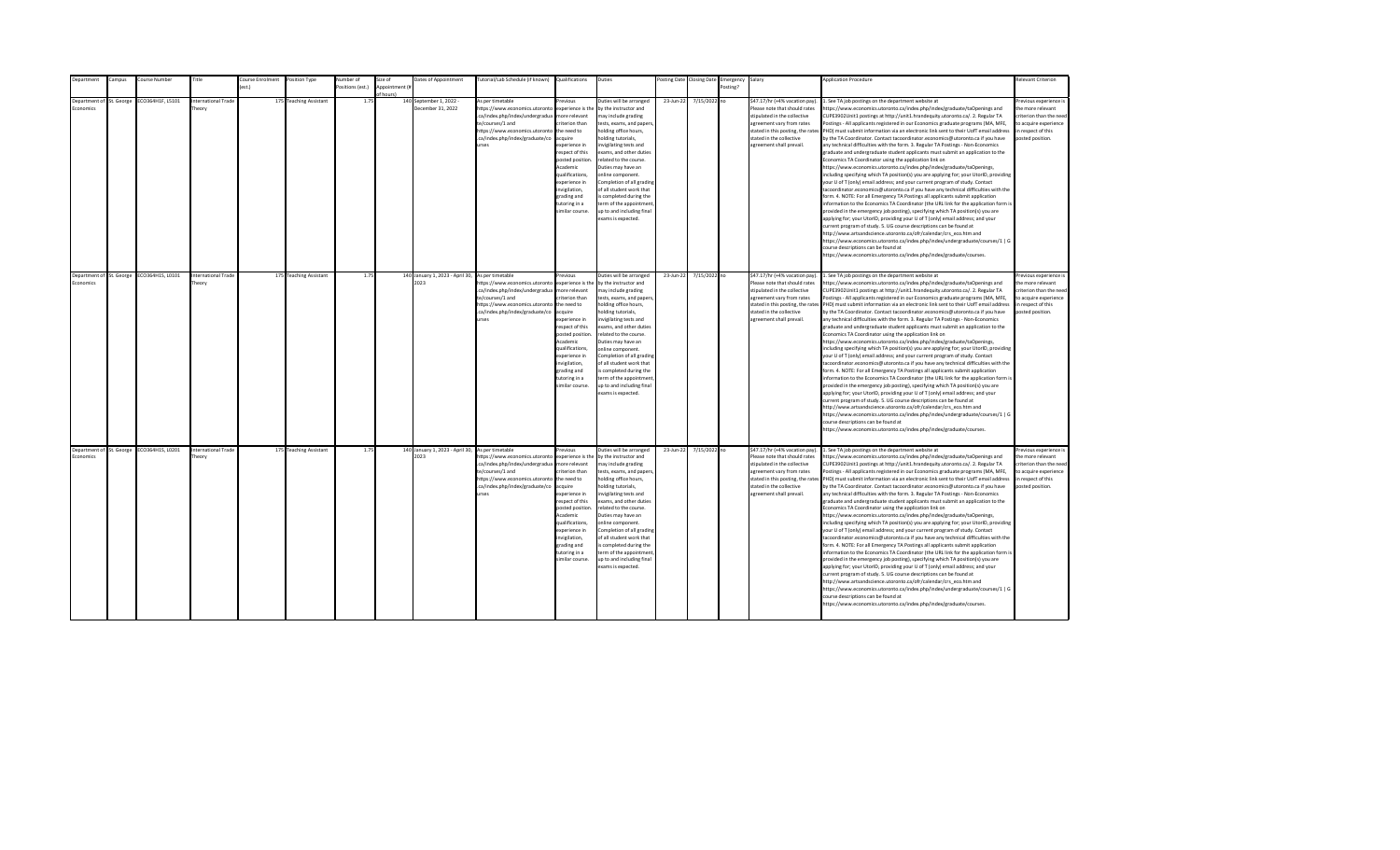| Department | Campus                   | Course Number                             | Title                               | Course Enrolment | Position Type          | <b>Number</b> of | Size of                     | Dates of Appointment                                     | Tutorial/Lab Schedule (if known) Qualifications                                                                                                                                         |                                                                                                                                                                                                                                                                      | Duties                                                                                                                                                                                                                                                                                                                                                                                                                                          |           | Posting Date Closing Date | Emergency Salary |                                                                                                                                                                                                                           | <b>Application Procedure</b>                                                                                                                                                                                                                                                                                                                                                                                                                                                                                                                                                                                                                                                                                                                                                                                                                                                                                                                                                                                                                                                                                                                                                                                                                                                                                                                                                                                                                                                                                                                                                                                                                                                                                                                                                                 | Relevant Criterion                                                                                                                        |
|------------|--------------------------|-------------------------------------------|-------------------------------------|------------------|------------------------|------------------|-----------------------------|----------------------------------------------------------|-----------------------------------------------------------------------------------------------------------------------------------------------------------------------------------------|----------------------------------------------------------------------------------------------------------------------------------------------------------------------------------------------------------------------------------------------------------------------|-------------------------------------------------------------------------------------------------------------------------------------------------------------------------------------------------------------------------------------------------------------------------------------------------------------------------------------------------------------------------------------------------------------------------------------------------|-----------|---------------------------|------------------|---------------------------------------------------------------------------------------------------------------------------------------------------------------------------------------------------------------------------|----------------------------------------------------------------------------------------------------------------------------------------------------------------------------------------------------------------------------------------------------------------------------------------------------------------------------------------------------------------------------------------------------------------------------------------------------------------------------------------------------------------------------------------------------------------------------------------------------------------------------------------------------------------------------------------------------------------------------------------------------------------------------------------------------------------------------------------------------------------------------------------------------------------------------------------------------------------------------------------------------------------------------------------------------------------------------------------------------------------------------------------------------------------------------------------------------------------------------------------------------------------------------------------------------------------------------------------------------------------------------------------------------------------------------------------------------------------------------------------------------------------------------------------------------------------------------------------------------------------------------------------------------------------------------------------------------------------------------------------------------------------------------------------------|-------------------------------------------------------------------------------------------------------------------------------------------|
|            |                          |                                           |                                     |                  |                        | ositions (est.)  | Appointment (#<br>of hours) |                                                          |                                                                                                                                                                                         |                                                                                                                                                                                                                                                                      |                                                                                                                                                                                                                                                                                                                                                                                                                                                 |           |                           | Posting?         |                                                                                                                                                                                                                           |                                                                                                                                                                                                                                                                                                                                                                                                                                                                                                                                                                                                                                                                                                                                                                                                                                                                                                                                                                                                                                                                                                                                                                                                                                                                                                                                                                                                                                                                                                                                                                                                                                                                                                                                                                                              |                                                                                                                                           |
| Economics  | Department of St. George | ECO364H1F, L5101                          | <b>International Trade</b><br>heory |                  | 175 Teaching Assistant | 1.75             |                             | 140 September 1, 2022 -<br>December 31, 2022             | As per timetable<br>https://www.economics.utoronto<br>.ca/index.php/index/undergradua<br>te/courses/1 and<br>https://www.economics.utoronto<br>.ca/index.php/index/graduate/co<br>urses | Previous<br>experience is the<br>more relevant<br>riterion than<br>the need to<br>acquire<br>xperience in<br>respect of this<br>posted position<br>Academic<br>qualifications,<br>experience in<br>wigilation,<br>grading and<br>tutoring in a<br>similar course.    | Duties will be arranged<br>by the instructor and<br>may include grading<br>tests, exams, and papers<br>holding office hours,<br>olding tutorials,<br>nvigilating tests and<br>exams, and other duties<br>related to the course.<br>Duties may have an<br>online component.<br>Completion of all grading<br>of all student work that<br>s completed during the<br>erm of the appointment<br>up to and including final<br>exams is expected.      | 23-Jun-22 | 7/15/2022 no              |                  | \$47.17/hr (+4% vacation pay).<br>Please note that should rates<br>stipulated in the collective<br>agreement vary from rates<br>stated in this posting, the rates<br>stated in the collective<br>agreement shall prevail. | 1. See TA job postings on the department website at<br>ttps://www.economics.utoronto.ca/index.php/index/graduate/taOpenings and<br>CUPE3902Unit1 postings at http://unit1.hrandequity.utoronto.ca/. 2. Regular TA<br>Postings - All applicants registered in our Economics graduate programs (MA, MFE,<br>PHD) must submit information via an electronic link sent to their UofT email address<br>by the TA Coordinator. Contact tacoordinator.economics@utoronto.ca if you have<br>any technical difficulties with the form. 3. Regular TA Postings - Non-Economics<br>graduate and undergraduate student applicants must submit an application to the<br>Economics TA Coordinator using the application link on<br>https://www.economics.utoronto.ca/index.php/index/graduate/taOpenings,<br>ncluding specifying which TA position(s) you are applying for; your UtorID, providing<br>our U of T (only) email address; and your current program of study. Contact<br>acoordinator.economics@utoronto.ca if you have any technical difficulties with the<br>orm. 4. NOTE: For all Emergency TA Postings all applicants submit application<br>nformation to the Economics TA Coordinator (the URL link for the application form is<br>provided in the emergency job posting), specifying which TA position(s) you are<br>applying for; your UtorID, providing your U of T (only) email address; and your<br>urrent program of study. 5. UG course descriptions can be found at<br>http://www.artsandscience.utoronto.ca/ofr/calendar/crs eco.htm and<br>https://www.economics.utoronto.ca/index.php/index/undergraduate/courses/1   G<br>ourse descriptions can be found at<br>https://www.economics.utoronto.ca/index.php/index/graduate/courses.                                           | revious experience i<br>the more relevant<br>riterion than the need<br>to acquire experience<br>in respect of this<br>posted position.    |
| Economics  | Department of St. George | ECO364H1S, L0101                          | <b>International Trade</b><br>heory |                  | 175 Teaching Assistant | 1.75             |                             | 140 January 1, 2023 - April 30, As per timetable<br>2023 | https://www.economics.utoronto<br>.ca/index.php/index/undergradua<br>te/courses/1 and<br>https://www.economics.utoronto<br>.ca/index.php/index/graduate/co<br>urses                     | revious<br>experience is the<br>more relevant<br>criterion than<br>the need to<br>acquire<br>experience in<br>respect of this<br>posted position<br>Academic<br>qualifications,<br>experience in<br>invigilation,<br>grading and<br>tutoring in a<br>similar course. | Duties will be arranged<br>by the instructor and<br>may include grading<br>tests, exams, and papers,<br>holding office hours,<br>holding tutorials,<br>invigilating tests and<br>exams, and other duties<br>related to the course.<br>Duties may have an<br>online component.<br>Completion of all grading<br>of all student work that<br>is completed during the<br>term of the appointment<br>up to and including final<br>exams is expected. | 23-Jun-22 | 7/15/2022 no              |                  | \$47.17/hr (+4% vacation pay).<br>Please note that should rates<br>stipulated in the collective<br>agreement vary from rates<br>stated in the collective<br>agreement shall prevail.                                      | 1. See TA job postings on the department website at<br>https://www.economics.utoronto.ca/index.php/index/graduate/taOpenings and<br>CUPE3902Unit1 postings at http://unit1.hrandequity.utoronto.ca/. 2. Regular TA<br>Postings - All applicants registered in our Economics graduate programs (MA, MFE,<br>stated in this posting, the rates PHD) must submit information via an electronic link sent to their UofT email address<br>by the TA Coordinator. Contact tacoordinator.economics@utoronto.ca if you have<br>any technical difficulties with the form. 3. Regular TA Postings - Non-Economics<br>graduate and undergraduate student applicants must submit an application to the<br>Economics TA Coordinator using the application link on<br>https://www.economics.utoronto.ca/index.php/index/graduate/taOpenings,<br>including specifying which TA position(s) you are applying for; your UtorID, providing<br>your U of T (only) email address; and your current program of study. Contact<br>acoordinator.economics@utoronto.ca if you have any technical difficulties with the<br>form. 4. NOTE: For all Emergency TA Postings all applicants submit application<br>information to the Economics TA Coordinator (the URL link for the application form is<br>provided in the emergency job posting), specifying which TA position(s) you are<br>applying for; your UtorID, providing your U of T (only) email address; and your<br>current program of study. 5. UG course descriptions can be found at<br>http://www.artsandscience.utoronto.ca/ofr/calendar/crs_eco.htm and<br>https://www.economics.utoronto.ca/index.php/index/undergraduate/courses/1   G<br>ourse descriptions can be found at<br>https://www.economics.utoronto.ca/index.php/index/graduate/courses.   | Previous experience i<br>the more relevant<br>criterion than the need<br>to acquire experience<br>in respect of this<br>posted position.  |
| Economics  |                          | Department of St. George ECO364H1S, L0201 | <b>International Trade</b><br>heory |                  | 175 Teaching Assistant | 1.75             |                             | 140 January 1, 2023 - April 30, As per timetable<br>2023 | https://www.economics.utoronto<br>.ca/index.php/index/undergradua<br>te/courses/1 and<br>https://www.economics.utoronto the need to<br>.ca/index.php/index/graduate/co<br>urses         | Previous<br>experience is the<br>more relevant<br>criterion than<br>acquire<br>experience in<br>respect of this<br>posted position<br>Academic<br>qualifications,<br>experience in<br>invigilation,<br>grading and<br>tutoring in a<br>similar course.               | Duties will be arranged<br>by the instructor and<br>may include grading<br>tests, exams, and papers,<br>holding office hours,<br>holding tutorials,<br>nvigilating tests and<br>exams, and other duties<br>related to the course.<br>Duties may have an<br>online component.<br>Completion of all grading<br>of all student work that<br>is completed during the<br>term of the appointment<br>up to and including final<br>exams is expected.  | 23-Jun-22 | 7/15/2022 no              |                  | \$47.17/hr (+4% vacation pay).<br>Please note that should rates<br>stipulated in the collective<br>agreement vary from rates<br>stated in the collective<br>agreement shall prevail.                                      | 1. See TA job postings on the department website at<br>https://www.economics.utoronto.ca/index.php/index/graduate/taOpenings and<br>CUPE3902Unit1 postings at http://unit1.hrandequity.utoronto.ca/. 2. Regular TA<br>Postings - All applicants registered in our Economics graduate programs (MA, MFE,<br>stated in this posting, the rates PHD) must submit information via an electronic link sent to their UofT email address<br>by the TA Coordinator. Contact tacoordinator.economics@utoronto.ca if you have<br>any technical difficulties with the form. 3. Regular TA Postings - Non-Economics<br>graduate and undergraduate student applicants must submit an application to the<br>Economics TA Coordinator using the application link on<br>https://www.economics.utoronto.ca/index.php/index/graduate/taOpenings,<br>including specifying which TA position(s) you are applying for; your UtorID, providing<br>your U of T (only) email address; and your current program of study. Contact<br>tacoordinator.economics@utoronto.ca if you have any technical difficulties with the<br>form. 4. NOTE: For all Emergency TA Postings all applicants submit application<br>information to the Economics TA Coordinator (the URL link for the application form is<br>provided in the emergency job posting), specifying which TA position(s) you are<br>applying for; your UtorID, providing your U of T (only) email address; and your<br>current program of study. 5. UG course descriptions can be found at<br>http://www.artsandscience.utoronto.ca/ofr/calendar/crs eco.htm and<br>https://www.economics.utoronto.ca/index.php/index/undergraduate/courses/1   G<br>course descriptions can be found at<br>https://www.economics.utoronto.ca/index.php/index/graduate/courses. | Previous experience is<br>the more relevant<br>criterion than the need<br>to acquire experience<br>in respect of this<br>posted position. |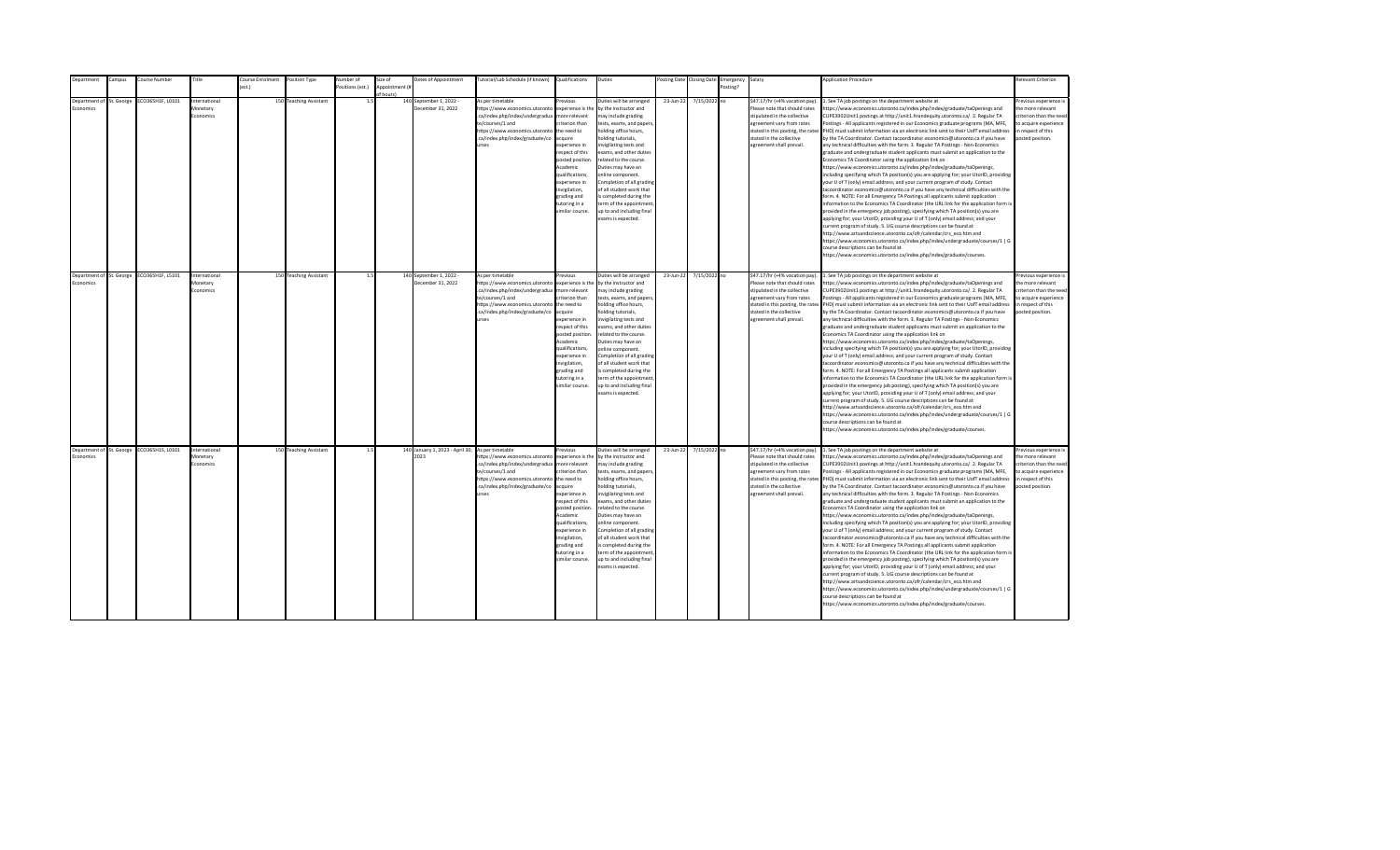|           | Department               | Campus | Course Number                             | Title                                  | Course Enrolment Position Type |                        | <b>Number</b> of | Size of                     | Dates of Appointment                                     | Tutorial/Lab Schedule (if known) Qualifications                                                                                                                                         |                                                                                                                                                                                                                                                                      | Duties                                                                                                                                                                                                                                                                                                                                                                                                                                          |           | Posting Date Closing Date | Emergency Salary |                                                                                                                                                                                                                           | <b>Application Procedure</b>                                                                                                                                                                                                                                                                                                                                                                                                                                                                                                                                                                                                                                                                                                                                                                                                                                                                                                                                                                                                                                                                                                                                                                                                                                                                                                                                                                                                                                                                                                                                                                                                                                                                                                                                                                 | <b>Relevant Criterion</b>                                                                                                                 |
|-----------|--------------------------|--------|-------------------------------------------|----------------------------------------|--------------------------------|------------------------|------------------|-----------------------------|----------------------------------------------------------|-----------------------------------------------------------------------------------------------------------------------------------------------------------------------------------------|----------------------------------------------------------------------------------------------------------------------------------------------------------------------------------------------------------------------------------------------------------------------|-------------------------------------------------------------------------------------------------------------------------------------------------------------------------------------------------------------------------------------------------------------------------------------------------------------------------------------------------------------------------------------------------------------------------------------------------|-----------|---------------------------|------------------|---------------------------------------------------------------------------------------------------------------------------------------------------------------------------------------------------------------------------|----------------------------------------------------------------------------------------------------------------------------------------------------------------------------------------------------------------------------------------------------------------------------------------------------------------------------------------------------------------------------------------------------------------------------------------------------------------------------------------------------------------------------------------------------------------------------------------------------------------------------------------------------------------------------------------------------------------------------------------------------------------------------------------------------------------------------------------------------------------------------------------------------------------------------------------------------------------------------------------------------------------------------------------------------------------------------------------------------------------------------------------------------------------------------------------------------------------------------------------------------------------------------------------------------------------------------------------------------------------------------------------------------------------------------------------------------------------------------------------------------------------------------------------------------------------------------------------------------------------------------------------------------------------------------------------------------------------------------------------------------------------------------------------------|-------------------------------------------------------------------------------------------------------------------------------------------|
|           |                          |        |                                           |                                        | $f$ est.)                      |                        | ositions (est.)  | Appointment (#<br>of hours) |                                                          |                                                                                                                                                                                         |                                                                                                                                                                                                                                                                      |                                                                                                                                                                                                                                                                                                                                                                                                                                                 |           |                           | Posting?         |                                                                                                                                                                                                                           |                                                                                                                                                                                                                                                                                                                                                                                                                                                                                                                                                                                                                                                                                                                                                                                                                                                                                                                                                                                                                                                                                                                                                                                                                                                                                                                                                                                                                                                                                                                                                                                                                                                                                                                                                                                              |                                                                                                                                           |
| Economics | Department of St. George |        | ECO365H1F, L0101                          | nternational<br>Monetary<br>Economics  |                                | 150 Teaching Assistant | 1.5              |                             | 140 September 1, 2022 -<br>December 31, 2022             | As per timetable<br>https://www.economics.utoronto<br>.ca/index.php/index/undergradua<br>te/courses/1 and<br>https://www.economics.utoronto<br>.ca/index.php/index/graduate/co<br>urses | Previous<br>experience is the<br>more relevant<br>riterion than<br>the need to<br>acquire<br>xperience in<br>respect of this<br>posted position<br>Academic<br>qualifications,<br>experience in<br>wigilation,<br>grading and<br>tutoring in a<br>similar course.    | Duties will be arranged<br>by the instructor and<br>may include grading<br>tests, exams, and papers<br>holding office hours,<br>olding tutorials,<br>nvigilating tests and<br>exams, and other duties<br>related to the course.<br>Duties may have an<br>online component.<br>Completion of all grading<br>of all student work that<br>s completed during the<br>erm of the appointment<br>up to and including final<br>exams is expected.      | 23-Jun-22 | 7/15/2022 no              |                  | \$47.17/hr (+4% vacation pay).<br>Please note that should rates<br>stipulated in the collective<br>agreement vary from rates<br>stated in this posting, the rates<br>stated in the collective<br>agreement shall prevail. | 1. See TA job postings on the department website at<br>ttps://www.economics.utoronto.ca/index.php/index/graduate/taOpenings and<br>CUPE3902Unit1 postings at http://unit1.hrandequity.utoronto.ca/. 2. Regular TA<br>Postings - All applicants registered in our Economics graduate programs (MA, MFE,<br>PHD) must submit information via an electronic link sent to their UofT email address<br>by the TA Coordinator. Contact tacoordinator.economics@utoronto.ca if you have<br>any technical difficulties with the form. 3. Regular TA Postings - Non-Economics<br>graduate and undergraduate student applicants must submit an application to the<br>Economics TA Coordinator using the application link on<br>https://www.economics.utoronto.ca/index.php/index/graduate/taOpenings,<br>ncluding specifying which TA position(s) you are applying for; your UtorID, providing<br>our U of T (only) email address; and your current program of study. Contact<br>acoordinator.economics@utoronto.ca if you have any technical difficulties with the<br>orm. 4. NOTE: For all Emergency TA Postings all applicants submit application<br>nformation to the Economics TA Coordinator (the URL link for the application form is<br>provided in the emergency job posting), specifying which TA position(s) you are<br>applying for; your UtorID, providing your U of T (only) email address; and your<br>urrent program of study. 5. UG course descriptions can be found at<br>http://www.artsandscience.utoronto.ca/ofr/calendar/crs eco.htm and<br>https://www.economics.utoronto.ca/index.php/index/undergraduate/courses/1   G<br>ourse descriptions can be found at<br>https://www.economics.utoronto.ca/index.php/index/graduate/courses.                                           | revious experience i<br>the more relevant<br>riterion than the need<br>to acquire experience<br>in respect of this<br>posted position.    |
| Economics | Department of St. George |        | ECO365H1F, L5101                          | International<br>Monetary<br>Economics |                                | 150 Teaching Assistant | 1.5              |                             | 140 September 1, 2022 -<br>December 31, 2022             | As per timetable<br>https://www.economics.utoronto<br>.ca/index.php/index/undergradua<br>te/courses/1 and<br>https://www.economics.utoronto<br>.ca/index.php/index/graduate/co<br>urses | revious<br>experience is the<br>more relevant<br>criterion than<br>the need to<br>acquire<br>experience in<br>respect of this<br>posted position<br>Academic<br>qualifications,<br>experience in<br>invigilation,<br>grading and<br>tutoring in a<br>similar course. | Duties will be arranged<br>by the instructor and<br>may include grading<br>tests, exams, and papers,<br>holding office hours,<br>holding tutorials,<br>invigilating tests and<br>exams, and other duties<br>related to the course.<br>Duties may have an<br>online component.<br>Completion of all grading<br>of all student work that<br>is completed during the<br>term of the appointment<br>up to and including final<br>exams is expected. | 23-Jun-22 | 7/15/2022 no              |                  | \$47.17/hr (+4% vacation pay).<br>Please note that should rates<br>stipulated in the collective<br>agreement vary from rates<br>stated in the collective<br>agreement shall prevail.                                      | 1. See TA job postings on the department website at<br>https://www.economics.utoronto.ca/index.php/index/graduate/taOpenings and<br>CUPE3902Unit1 postings at http://unit1.hrandequity.utoronto.ca/. 2. Regular TA<br>Postings - All applicants registered in our Economics graduate programs (MA, MFE,<br>stated in this posting, the rates PHD) must submit information via an electronic link sent to their UofT email address<br>by the TA Coordinator. Contact tacoordinator.economics@utoronto.ca if you have<br>any technical difficulties with the form. 3. Regular TA Postings - Non-Economics<br>graduate and undergraduate student applicants must submit an application to the<br>Economics TA Coordinator using the application link on<br>https://www.economics.utoronto.ca/index.php/index/graduate/taOpenings,<br>including specifying which TA position(s) you are applying for; your UtorID, providing<br>your U of T (only) email address; and your current program of study. Contact<br>acoordinator.economics@utoronto.ca if you have any technical difficulties with the<br>form. 4. NOTE: For all Emergency TA Postings all applicants submit application<br>information to the Economics TA Coordinator (the URL link for the application form is<br>provided in the emergency job posting), specifying which TA position(s) you are<br>applying for; your UtorID, providing your U of T (only) email address; and your<br>current program of study. 5. UG course descriptions can be found at<br>http://www.artsandscience.utoronto.ca/ofr/calendar/crs_eco.htm and<br>https://www.economics.utoronto.ca/index.php/index/undergraduate/courses/1   G<br>ourse descriptions can be found at<br>https://www.economics.utoronto.ca/index.php/index/graduate/courses.   | Previous experience i<br>the more relevant<br>criterion than the need<br>to acquire experience<br>in respect of this<br>posted position.  |
| Economics |                          |        | Department of St. George ECO365H1S, L0101 | Internationa<br>Monetary<br>conomics   |                                | 150 Teaching Assistant | 1.5              |                             | 140 January 1, 2023 - April 30, As per timetable<br>2023 | https://www.economics.utoronto<br>.ca/index.php/index/undergradua<br>te/courses/1 and<br>https://www.economics.utoronto the need to<br>.ca/index.php/index/graduate/co<br>urses         | Previous<br>experience is the<br>more relevant<br>criterion than<br>acquire<br>experience in<br>respect of this<br>posted position<br>Academic<br>qualifications,<br>experience in<br>invigilation,<br>grading and<br>tutoring in a<br>similar course.               | Duties will be arranged<br>by the instructor and<br>may include grading<br>tests, exams, and papers,<br>holding office hours,<br>holding tutorials,<br>nvigilating tests and<br>exams, and other duties<br>related to the course.<br>Duties may have an<br>online component.<br>Completion of all grading<br>of all student work that<br>is completed during the<br>term of the appointment<br>up to and including final<br>exams is expected.  | 23-Jun-22 | 7/15/2022 no              |                  | \$47.17/hr (+4% vacation pay).<br>Please note that should rates<br>stipulated in the collective<br>agreement vary from rates<br>stated in the collective<br>agreement shall prevail.                                      | 1. See TA job postings on the department website at<br>https://www.economics.utoronto.ca/index.php/index/graduate/taOpenings and<br>CUPE3902Unit1 postings at http://unit1.hrandequity.utoronto.ca/. 2. Regular TA<br>Postings - All applicants registered in our Economics graduate programs (MA, MFE,<br>stated in this posting, the rates PHD) must submit information via an electronic link sent to their UofT email address<br>by the TA Coordinator. Contact tacoordinator.economics@utoronto.ca if you have<br>any technical difficulties with the form. 3. Regular TA Postings - Non-Economics<br>graduate and undergraduate student applicants must submit an application to the<br>Economics TA Coordinator using the application link on<br>https://www.economics.utoronto.ca/index.php/index/graduate/taOpenings,<br>including specifying which TA position(s) you are applying for; your UtorID, providing<br>your U of T (only) email address; and your current program of study. Contact<br>tacoordinator.economics@utoronto.ca if you have any technical difficulties with the<br>form. 4. NOTE: For all Emergency TA Postings all applicants submit application<br>information to the Economics TA Coordinator (the URL link for the application form is<br>provided in the emergency job posting), specifying which TA position(s) you are<br>applying for; your UtorID, providing your U of T (only) email address; and your<br>current program of study. 5. UG course descriptions can be found at<br>http://www.artsandscience.utoronto.ca/ofr/calendar/crs eco.htm and<br>https://www.economics.utoronto.ca/index.php/index/undergraduate/courses/1   G<br>course descriptions can be found at<br>https://www.economics.utoronto.ca/index.php/index/graduate/courses. | Previous experience is<br>the more relevant<br>criterion than the need<br>to acquire experience<br>in respect of this<br>posted position. |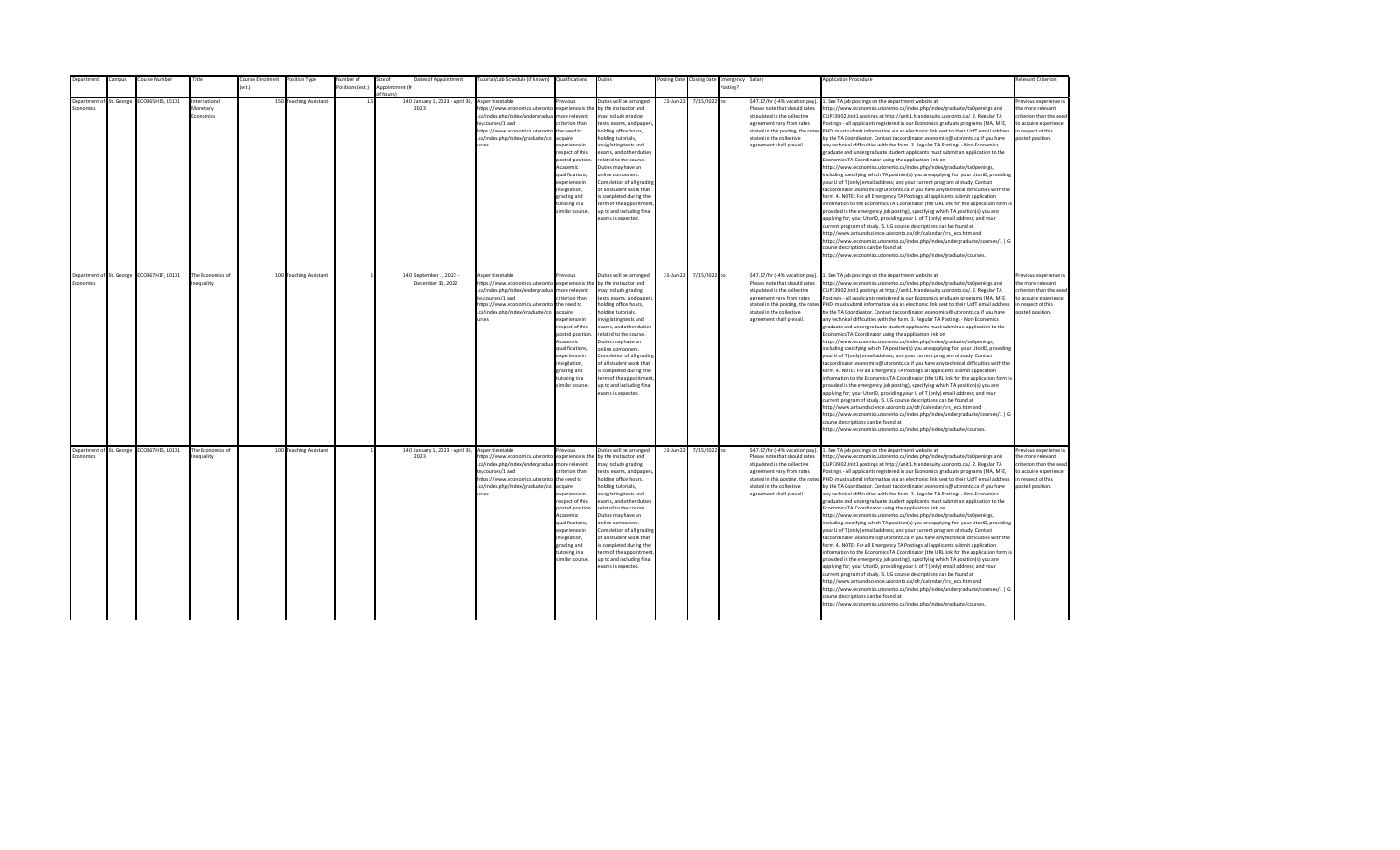| Department                                   | Campus | Course Number    | Title                                 | Course Enrolment Position Type |                        | <b>Number</b> of | Size of                     | Dates of Appointment                         | Tutorial/Lab Schedule (if known) Qualifications                                                                                                                                                             |                                                                                                                                                                                                                                                                   | Duties                                                                                                                                                                                                                                                                                                                                                                                                                                          |           | Posting Date Closing Date | Emergency Salary |                                                                                                                                                                                                                           | <b>Application Procedure</b>                                                                                                                                                                                                                                                                                                                                                                                                                                                                                                                                                                                                                                                                                                                                                                                                                                                                                                                                                                                                                                                                                                                                                                                                                                                                                                                                                                                                                                                                                                                                                                                                                                                                                                                                                                 | Relevant Criterion                                                                                                                       |
|----------------------------------------------|--------|------------------|---------------------------------------|--------------------------------|------------------------|------------------|-----------------------------|----------------------------------------------|-------------------------------------------------------------------------------------------------------------------------------------------------------------------------------------------------------------|-------------------------------------------------------------------------------------------------------------------------------------------------------------------------------------------------------------------------------------------------------------------|-------------------------------------------------------------------------------------------------------------------------------------------------------------------------------------------------------------------------------------------------------------------------------------------------------------------------------------------------------------------------------------------------------------------------------------------------|-----------|---------------------------|------------------|---------------------------------------------------------------------------------------------------------------------------------------------------------------------------------------------------------------------------|----------------------------------------------------------------------------------------------------------------------------------------------------------------------------------------------------------------------------------------------------------------------------------------------------------------------------------------------------------------------------------------------------------------------------------------------------------------------------------------------------------------------------------------------------------------------------------------------------------------------------------------------------------------------------------------------------------------------------------------------------------------------------------------------------------------------------------------------------------------------------------------------------------------------------------------------------------------------------------------------------------------------------------------------------------------------------------------------------------------------------------------------------------------------------------------------------------------------------------------------------------------------------------------------------------------------------------------------------------------------------------------------------------------------------------------------------------------------------------------------------------------------------------------------------------------------------------------------------------------------------------------------------------------------------------------------------------------------------------------------------------------------------------------------|------------------------------------------------------------------------------------------------------------------------------------------|
|                                              |        |                  |                                       |                                |                        | ositions (est.)  | Appointment (#<br>of hours! |                                              |                                                                                                                                                                                                             |                                                                                                                                                                                                                                                                   |                                                                                                                                                                                                                                                                                                                                                                                                                                                 |           |                           | Posting?         |                                                                                                                                                                                                                           |                                                                                                                                                                                                                                                                                                                                                                                                                                                                                                                                                                                                                                                                                                                                                                                                                                                                                                                                                                                                                                                                                                                                                                                                                                                                                                                                                                                                                                                                                                                                                                                                                                                                                                                                                                                              |                                                                                                                                          |
| Department of St. George<br><b>Economics</b> |        | ECO365H1S, L5101 | nternational<br>Monetary<br>Economics |                                | 150 Teaching Assistant | 1.5              |                             | 140 January 1, 2023 - April 30,<br>2023      | As per timetable<br>https://www.economics.utoronto<br>.ca/index.php/index/undergradua<br>te/courses/1 and<br>https://www.economics.utoronto<br>.ca/index.php/index/graduate/co<br>urses                     | Previous<br>experience is the<br>more relevant<br>riterion than<br>the need to<br>acquire<br>xperience in<br>respect of this<br>posted position<br>Academic<br>qualifications,<br>experience in<br>wigilation,<br>grading and<br>tutoring in a<br>similar course. | Duties will be arranged<br>by the instructor and<br>may include grading<br>tests, exams, and papers<br>holding office hours,<br>olding tutorials.<br>nvigilating tests and<br>exams, and other duties<br>related to the course.<br>Duties may have an<br>online component.<br>Completion of all grading<br>of all student work that<br>s completed during the<br>term of the appointment<br>up to and including final<br>exams is expected.     | 23-Jun-22 | 7/15/2022 no              |                  | \$47.17/hr (+4% vacation pay).<br>Please note that should rates<br>stipulated in the collective<br>agreement vary from rates<br>stated in this posting, the rates<br>stated in the collective<br>agreement shall prevail. | . See TA job postings on the department website at<br>ttps://www.economics.utoronto.ca/index.php/index/graduate/taOpenings and<br>CUPE3902Unit1 postings at http://unit1.hrandequity.utoronto.ca/. 2. Regular TA<br>Postings - All applicants registered in our Economics graduate programs (MA, MFE,<br>PHD) must submit information via an electronic link sent to their UofT email address<br>by the TA Coordinator. Contact tacoordinator.economics@utoronto.ca if you have<br>any technical difficulties with the form. 3. Regular TA Postings - Non-Economics<br>graduate and undergraduate student applicants must submit an application to the<br>Economics TA Coordinator using the application link on<br>https://www.economics.utoronto.ca/index.php/index/graduate/taOpenings,<br>including specifying which TA position(s) you are applying for; your UtorID, providing<br>our U of T (only) email address; and your current program of study. Contact<br>acoordinator.economics@utoronto.ca if you have any technical difficulties with the<br>orm. 4. NOTE: For all Emergency TA Postings all applicants submit application<br>nformation to the Economics TA Coordinator (the URL link for the application form is<br>provided in the emergency job posting), specifying which TA position(s) you are<br>applying for; your UtorID, providing your U of T (only) email address; and your<br>urrent program of study. 5. UG course descriptions can be found at<br>http://www.artsandscience.utoronto.ca/ofr/calendar/crs_eco.htm and<br>https://www.economics.utoronto.ca/index.php/index/undergraduate/courses/1   G<br>ourse descriptions can be found at<br>ttps://www.economics.utoronto.ca/index.php/index/graduate/courses.                                            | revious experience i<br>the more relevant<br>criterion than the nee-<br>to acquire experience<br>in respect of this<br>posted position.  |
| Department of St. George<br>Economics        |        | ECO367H1F, L0101 | The Economics of<br>nequality         |                                | 100 Teaching Assistant |                  |                             | 140 September 1, 2022 -<br>December 31, 2022 | As per timetable<br>https://www.economics.utoronto<br>.ca/index.php/index/undergradua<br>te/courses/1 and<br>https://www.economics.utoronto the need to<br>.ca/index.php/index/graduate/co<br>urses         | revious<br>experience is the<br>more relevant<br>criterion than<br>acquire<br>experience in<br>respect of this<br>posted position.<br>Academic<br>qualifications.<br>experience in<br>invigilation.<br>grading and<br>tutoring in a<br>similar course.            | Duties will be arranged<br>by the instructor and<br>may include grading<br>tests, exams, and papers,<br>holding office hours,<br>holding tutorials,<br>invigilating tests and<br>exams, and other duties<br>related to the course.<br>Duties may have an<br>online component.<br>Completion of all grading<br>of all student work that<br>is completed during the<br>term of the appointment<br>up to and including final<br>exams is expected. | 23-Jun-22 | 7/15/2022 no              |                  | \$47.17/hr (+4% vacation pay).<br>Please note that should rates<br>stipulated in the collective<br>agreement vary from rates<br>stated in the collective<br>agreement shall prevail.                                      | 1. See TA job postings on the department website at<br>https://www.economics.utoronto.ca/index.php/index/graduate/taOpenings and<br>CUPE3902Unit1 postings at http://unit1.hrandequity.utoronto.ca/. 2. Regular TA<br>Postings - All applicants registered in our Economics graduate programs (MA, MFE,<br>stated in this posting, the rates PHD) must submit information via an electronic link sent to their UofT email address<br>by the TA Coordinator. Contact tacoordinator.economics@utoronto.ca if you have<br>any technical difficulties with the form. 3. Regular TA Postings - Non-Economics<br>graduate and undergraduate student applicants must submit an application to the<br>Economics TA Coordinator using the application link on<br>https://www.economics.utoronto.ca/index.php/index/graduate/taOpenings,<br>including specifying which TA position(s) you are applying for; your UtorID, providing<br>your U of T (only) email address; and your current program of study. Contact<br>tacoordinator.economics@utoronto.ca if you have any technical difficulties with the<br>form. 4. NOTE: For all Emergency TA Postings all applicants submit application<br>information to the Economics TA Coordinator (the URL link for the application form is<br>provided in the emergency job posting), specifying which TA position(s) you are<br>applying for; your UtorID, providing your U of T (only) email address; and your<br>current program of study. 5. UG course descriptions can be found at<br>http://www.artsandscience.utoronto.ca/ofr/calendar/crs eco.htm and<br>https://www.economics.utoronto.ca/index.php/index/undergraduate/courses/1   G<br>ourse descriptions can be found at<br>ittps://www.economics.utoronto.ca/index.php/index/graduate/courses.  | Previous experience i<br>the more relevant<br>criterion than the need<br>to acquire experience<br>in respect of this<br>posted position. |
| Department of St. George<br>Economics        |        | ECO367H1S, L0101 | The Economics of<br>negualitv         |                                | 100 Teaching Assistant |                  |                             | 140 January 1, 2023 - April 30,<br>2023      | As per timetable<br>https://www.economics.utoronto<br>.ca/index.php/index/undergradua<br>te/courses/1 and<br>https://www.economics.utoronto the need to<br>.ca/index.php/index/graduate/co acquire<br>urses | revious<br>experience is the<br>more relevant<br>criterion than<br>experience in<br>respect of this<br>posted position<br>Academic<br>qualifications,<br>experience in<br>invigilation,<br>grading and<br>tutoring in a<br>similar course.                        | Duties will be arranged<br>by the instructor and<br>may include grading<br>tests, exams, and papers,<br>holding office hours,<br>holding tutorials,<br>nvigilating tests and<br>exams, and other duties<br>related to the course.<br>Duties may have an<br>online component.<br>Completion of all grading<br>of all student work that<br>is completed during the<br>term of the appointment<br>up to and including final<br>exams is expected.  | 23-Jun-22 | 7/15/2022 no              |                  | \$47.17/hr (+4% vacation pay).<br>Please note that should rates<br>stipulated in the collective<br>agreement vary from rates<br>stated in the collective<br>agreement shall prevail.                                      | 1. See TA job postings on the department website at<br>nttps://www.economics.utoronto.ca/index.php/index/graduate/taOpenings and<br>CUPE3902Unit1 postings at http://unit1.hrandequity.utoronto.ca/. 2. Regular TA<br>Postings - All applicants registered in our Economics graduate programs (MA, MFE,<br>stated in this posting, the rates PHD) must submit information via an electronic link sent to their UofT email address<br>by the TA Coordinator. Contact tacoordinator.economics@utoronto.ca if you have<br>any technical difficulties with the form. 3. Regular TA Postings - Non-Economics<br>graduate and undergraduate student applicants must submit an application to the<br>Economics TA Coordinator using the application link on<br>https://www.economics.utoronto.ca/index.php/index/graduate/taOpenings,<br>including specifying which TA position(s) you are applying for; your UtorID, providing<br>your U of T (only) email address; and your current program of study. Contact<br>tacoordinator.economics@utoronto.ca if you have any technical difficulties with the<br>form. 4. NOTE: For all Emergency TA Postings all applicants submit application<br>information to the Economics TA Coordinator (the URL link for the application form is<br>provided in the emergency job posting), specifying which TA position(s) you are<br>applying for; your UtorID, providing your U of T (only) email address; and your<br>current program of study. 5. UG course descriptions can be found at<br>http://www.artsandscience.utoronto.ca/ofr/calendar/crs eco.htm and<br>https://www.economics.utoronto.ca/index.php/index/undergraduate/courses/1   G<br>course descriptions can be found at<br>https://www.economics.utoronto.ca/index.php/index/graduate/courses. | revious experience i<br>the more relevant<br>criterion than the need<br>to acquire experience<br>in respect of this<br>posted position.  |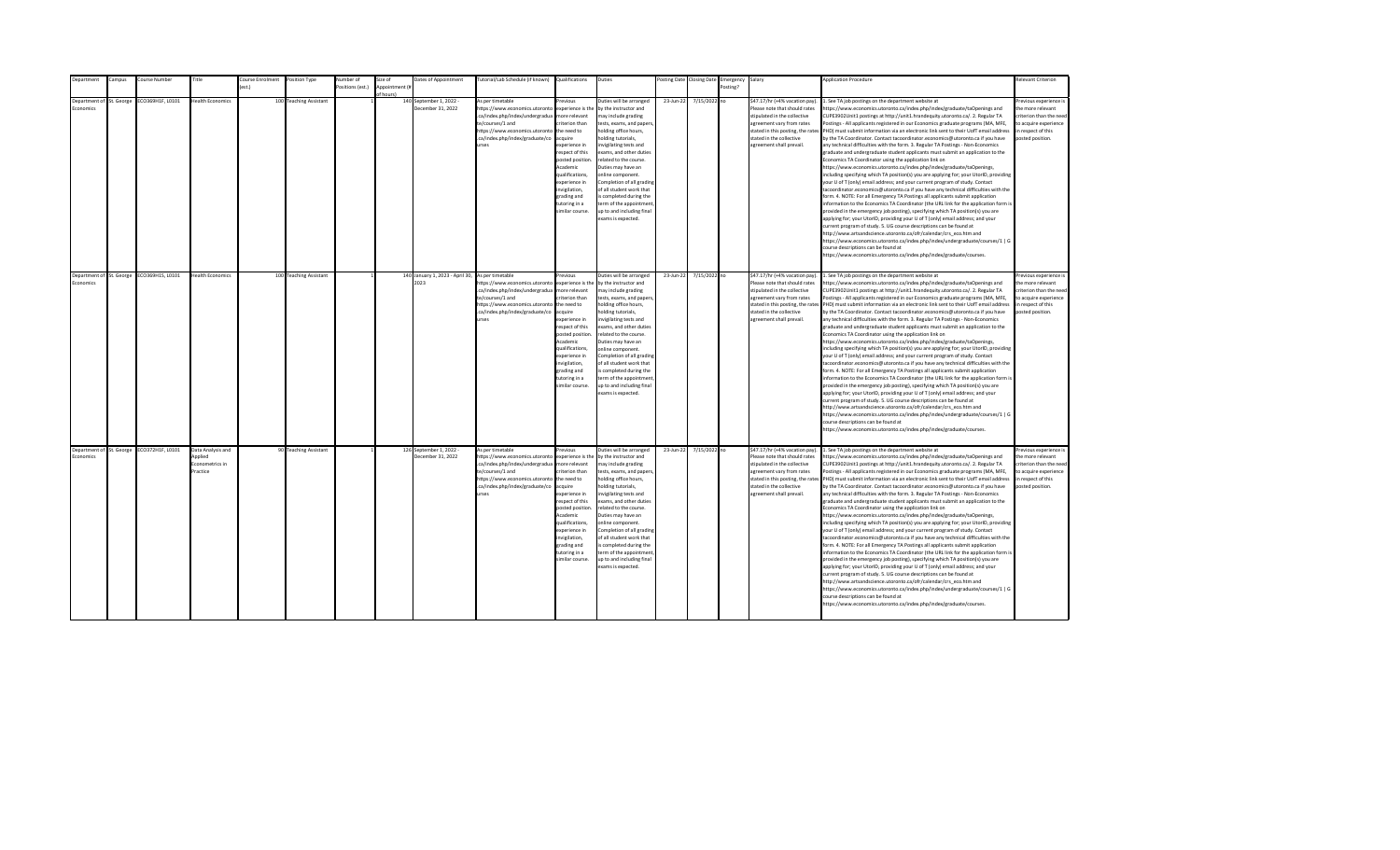| epartment       | ampus:                   | Course Number                             | Title                                                       | ourse Enrolment | Position Type          | Number of        | Size of        | Dates of Appointment                                     | utorial/Lab Schedule (if known)                                                                                                                                                                | Qualifications                                                                                                                                                                                                                                                     | Duties                                                                                                                                                                                                                                                                                                                                                                                                                                         |           | osting Date Closing Date | Emergency | Salary                                                                                                                                                                                                                    | <b>Application Procedure</b>                                                                                                                                                                                                                                                                                                                                                                                                                                                                                                                                                                                                                                                                                                                                                                                                                                                                                                                                                                                                                                                                                                                                                                                                                                                                                                                                                                                                                                                                                                                                                                                                                                                                                                                                                                 | <b>Relevant Criterion</b>                                                                                                                |
|-----------------|--------------------------|-------------------------------------------|-------------------------------------------------------------|-----------------|------------------------|------------------|----------------|----------------------------------------------------------|------------------------------------------------------------------------------------------------------------------------------------------------------------------------------------------------|--------------------------------------------------------------------------------------------------------------------------------------------------------------------------------------------------------------------------------------------------------------------|------------------------------------------------------------------------------------------------------------------------------------------------------------------------------------------------------------------------------------------------------------------------------------------------------------------------------------------------------------------------------------------------------------------------------------------------|-----------|--------------------------|-----------|---------------------------------------------------------------------------------------------------------------------------------------------------------------------------------------------------------------------------|----------------------------------------------------------------------------------------------------------------------------------------------------------------------------------------------------------------------------------------------------------------------------------------------------------------------------------------------------------------------------------------------------------------------------------------------------------------------------------------------------------------------------------------------------------------------------------------------------------------------------------------------------------------------------------------------------------------------------------------------------------------------------------------------------------------------------------------------------------------------------------------------------------------------------------------------------------------------------------------------------------------------------------------------------------------------------------------------------------------------------------------------------------------------------------------------------------------------------------------------------------------------------------------------------------------------------------------------------------------------------------------------------------------------------------------------------------------------------------------------------------------------------------------------------------------------------------------------------------------------------------------------------------------------------------------------------------------------------------------------------------------------------------------------|------------------------------------------------------------------------------------------------------------------------------------------|
|                 |                          |                                           |                                                             | ext             |                        | Positions (est.) | Appointment (i |                                                          |                                                                                                                                                                                                |                                                                                                                                                                                                                                                                    |                                                                                                                                                                                                                                                                                                                                                                                                                                                |           |                          | Posting?  |                                                                                                                                                                                                                           |                                                                                                                                                                                                                                                                                                                                                                                                                                                                                                                                                                                                                                                                                                                                                                                                                                                                                                                                                                                                                                                                                                                                                                                                                                                                                                                                                                                                                                                                                                                                                                                                                                                                                                                                                                                              |                                                                                                                                          |
|                 |                          |                                           |                                                             |                 |                        |                  |                |                                                          |                                                                                                                                                                                                |                                                                                                                                                                                                                                                                    |                                                                                                                                                                                                                                                                                                                                                                                                                                                |           |                          |           |                                                                                                                                                                                                                           |                                                                                                                                                                                                                                                                                                                                                                                                                                                                                                                                                                                                                                                                                                                                                                                                                                                                                                                                                                                                                                                                                                                                                                                                                                                                                                                                                                                                                                                                                                                                                                                                                                                                                                                                                                                              |                                                                                                                                          |
| <b>conomics</b> | Department of St. George | ECO369H1F, L0101                          | <b>Health Economics</b>                                     |                 | 100 Teaching Assistant |                  | of hours)      | 140 September 1, 2022 -<br>December 31, 2022             | As per timetable<br>https://www.economics.utoronto<br>.ca/index.php/index/undergradua<br>te/courses/1 and<br>https://www.economics.utoronto<br>.ca/index.php/index/graduate/co<br><b>Print</b> | revinus<br>experience is the<br>more relevant<br>riterion than<br>the need to<br>acquire<br>experience in<br>respect of this<br>posted position.<br>Academic<br>qualifications,<br>experience in<br>nvigilation,<br>grading and<br>tutoring in a<br>imilar course. | Duties will be arranged<br>by the instructor and<br>may include grading<br>tests, exams, and papers,<br>holding office hours,<br>nolding tutorials,<br>nvigilating tests and<br>exams, and other duties<br>related to the course.<br>Duties may have an<br>online component.<br>Completion of all grading<br>of all student work that<br>s completed during the<br>term of the appointment<br>up to and including final<br>exams is expected.  | 23-Jun-22 | 7/15/2022 no             |           | \$47.17/hr (+4% vacation pay).<br>Please note that should rates<br>stipulated in the collective<br>agreement vary from rates<br>stated in this posting, the rates<br>stated in the collective<br>agreement shall prevail. | . See TA job postings on the department website at<br>https://www.economics.utoronto.ca/index.php/index/graduate/taOpenings and<br>CUPE3902Unit1 postings at http://unit1.hrandequity.utoronto.ca/. 2. Regular TA<br>Postings - All applicants registered in our Economics graduate programs (MA, MFE,<br>PHD) must submit information via an electronic link sent to their UofT email address<br>by the TA Coordinator. Contact tacoordinator.economics@utoronto.ca if you have<br>any technical difficulties with the form. 3. Regular TA Postings - Non-Economics<br>graduate and undergraduate student applicants must submit an application to the<br>Economics TA Coordinator using the application link on<br>https://www.economics.utoronto.ca/index.php/index/graduate/taOpenings,<br>including specifying which TA position(s) you are applying for; your UtorID, providing<br>your U of T (only) email address; and your current program of study. Contact<br>tacoordinator.economics@utoronto.ca if you have any technical difficulties with the<br>form. 4. NOTE: For all Emergency TA Postings all applicants submit application<br>information to the Economics TA Coordinator (the URL link for the application form is<br>provided in the emergency job posting), specifying which TA position(s) you are<br>applying for; your UtorID, providing your U of T (only) email address; and your<br>current program of study. 5. UG course descriptions can be found at<br>http://www.artsandscience.utoronto.ca/ofr/calendar/crs eco.htm and<br>https://www.economics.utoronto.ca/index.php/index/undergraduate/courses/1   G<br>course descriptions can be found at<br>https://www.economics.utoronto.ca/index.php/index/graduate/courses.                                    | Previous experience i<br>the more relevant<br>criterion than the need<br>to acquire experience<br>in respect of this<br>posted position. |
|                 |                          |                                           |                                                             |                 |                        |                  |                |                                                          |                                                                                                                                                                                                |                                                                                                                                                                                                                                                                    |                                                                                                                                                                                                                                                                                                                                                                                                                                                |           |                          |           |                                                                                                                                                                                                                           |                                                                                                                                                                                                                                                                                                                                                                                                                                                                                                                                                                                                                                                                                                                                                                                                                                                                                                                                                                                                                                                                                                                                                                                                                                                                                                                                                                                                                                                                                                                                                                                                                                                                                                                                                                                              |                                                                                                                                          |
| Economics       | Department of St. George | ECO369H1S, L0101                          | <b>Health Economics</b>                                     |                 | 100 Teaching Assistant |                  |                | 140 January 1, 2023 - April 30, As per timetable<br>2023 | https://www.economics.utoronto<br>.ca/index.php/index/undergradua<br>te/courses/1 and<br>https://www.economics.utoronto<br>.ca/index.php/index/graduate/co<br><b>urses</b>                     | revious<br>experience is the<br>more relevant<br>riterion than<br>the need to<br>acquire<br>experience in<br>resnect of this<br>posted position<br>Academic<br>qualifications.<br>experience in<br>invigilation,<br>grading and<br>tutoring in a<br>imilar course. | Duties will be arranged<br>by the instructor and<br>may include grading<br>tests, exams, and papers,<br>holding office hours,<br>nolding tutorials,<br>nvigilating tests and<br>exams, and other duties<br>related to the course.<br>Duties may have an<br>online component.<br>Completion of all grading<br>of all student work that<br>is completed during the<br>term of the appointment<br>up to and including final<br>exams is expected. | 23-Jun-22 | 7/15/2022 no             |           | \$47.17/hr (+4% vacation pay).<br>Please note that should rates<br>stipulated in the collective<br>agreement vary from rates<br>stated in the collective<br>agreement shall prevail.                                      | 1. See TA job postings on the department website at<br>https://www.economics.utoronto.ca/index.php/index/graduate/taOpenings and<br>CUPE3902Unit1 postings at http://unit1.hrandequity.utoronto.ca/. 2. Regular TA<br>Postings - All applicants registered in our Economics graduate programs (MA, MFE,<br>stated in this posting, the rates PHD) must submit information via an electronic link sent to their UofT email address<br>by the TA Coordinator. Contact tacoordinator.economics@utoronto.ca if you have<br>any technical difficulties with the form. 3. Regular TA Postings - Non-Economics<br>eraduate and undergraduate student applicants must submit an application to the<br>Economics TA Coordinator using the application link on<br>https://www.economics.utoronto.ca/index.php/index/graduate/taOpenings,<br>including specifying which TA position(s) you are applying for; your UtorID, providing<br>your U of T (only) email address; and your current program of study. Contact<br>tacoordinator.economics@utoronto.ca if you have any technical difficulties with the<br>form. 4. NOTE: For all Emergency TA Postings all applicants submit application<br>information to the Economics TA Coordinator (the URL link for the application form is<br>provided in the emergency job posting), specifying which TA position(s) you are<br>applying for; your UtorID, providing your U of T (only) email address; and your<br>current program of study. 5. UG course descriptions can be found at<br>http://www.artsandscience.utoronto.ca/ofr/calendar/crs_eco.htm and<br>https://www.economics.utoronto.ca/index.php/index/undergraduate/courses/1   G<br>course descriptions can be found at<br>https://www.economics.utoronto.ca/index.php/index/graduate/courses. | Previous experience i<br>the more relevant<br>criterion than the need<br>to acquire experience<br>in respect of this<br>posted position. |
| Economics       |                          | Department of St. George ECO372H1F, L0101 | Data Analysis and<br>Applied<br>Econometrics in<br>Practice |                 | 90 Teaching Assistant  |                  |                | 126 September 1, 2022 -<br>December 31, 2022             | As per timetable<br>https://www.economics.utoronto<br>.ca/index.php/index/undergradua<br>te/courses/1 and<br>https://www.economics.utoronto<br>.ca/index.php/index/graduate/co<br>urses        | revious<br>experience is the<br>more relevant<br>riterion than<br>the need to<br>acquire<br>experience in<br>respect of this<br>posted position<br>Academic<br>qualifications,<br>experience in<br>invigilation,<br>grading and<br>tutoring in a<br>imilar course. | Duties will be arranged<br>by the instructor and<br>may include grading<br>tests, exams, and papers,<br>holding office hours,<br>nolding tutorials,<br>nvigilating tests and<br>exams, and other duties<br>related to the course.<br>Duties may have an<br>online component.<br>Completion of all grading<br>of all student work that<br>is completed during the<br>term of the appointment<br>up to and including final<br>exams is expected. | 23-Jun-22 | 7/15/2022 no             |           | \$47.17/hr (+4% vacation pay).<br>Please note that should rates<br>stipulated in the collective<br>agreement vary from rates<br>stated in the collective<br>agreement shall prevail.                                      | 1. See TA job postings on the department website at<br>https://www.economics.utoronto.ca/index.php/index/graduate/taOpenings and<br>CUPE3902Unit1 postings at http://unit1.hrandequity.utoronto.ca/. 2. Regular TA<br>Postings - All applicants registered in our Economics graduate programs (MA, MFE,<br>stated in this posting, the rates PHD) must submit information via an electronic link sent to their UofT email address<br>by the TA Coordinator. Contact tacoordinator.economics@utoronto.ca if you have<br>any technical difficulties with the form. 3. Regular TA Postings - Non-Economics<br>graduate and undergraduate student applicants must submit an application to the<br>Economics TA Coordinator using the application link on<br>https://www.economics.utoronto.ca/index.php/index/graduate/taOpenings,<br>including specifying which TA position(s) you are applying for; your UtorID, providing<br>your U of T (only) email address; and your current program of study. Contact<br>tacoordinator.economics@utoronto.ca if you have any technical difficulties with the<br>form. 4. NOTE: For all Emergency TA Postings all applicants submit application<br>information to the Economics TA Coordinator (the URL link for the application form is<br>provided in the emergency job posting), specifying which TA position(s) you are<br>applying for; your UtorID, providing your U of T (only) email address; and your<br>current program of study. 5. UG course descriptions can be found at<br>http://www.artsandscience.utoronto.ca/ofr/calendar/crs eco.htm and<br>https://www.economics.utoronto.ca/index.php/index/undergraduate/courses/1   G<br>course descriptions can be found at<br>https://www.economics.utoronto.ca/index.php/index/graduate/courses. | revious experience i<br>the more relevant<br>criterion than the need<br>to acquire experience<br>in respect of this<br>posted position.  |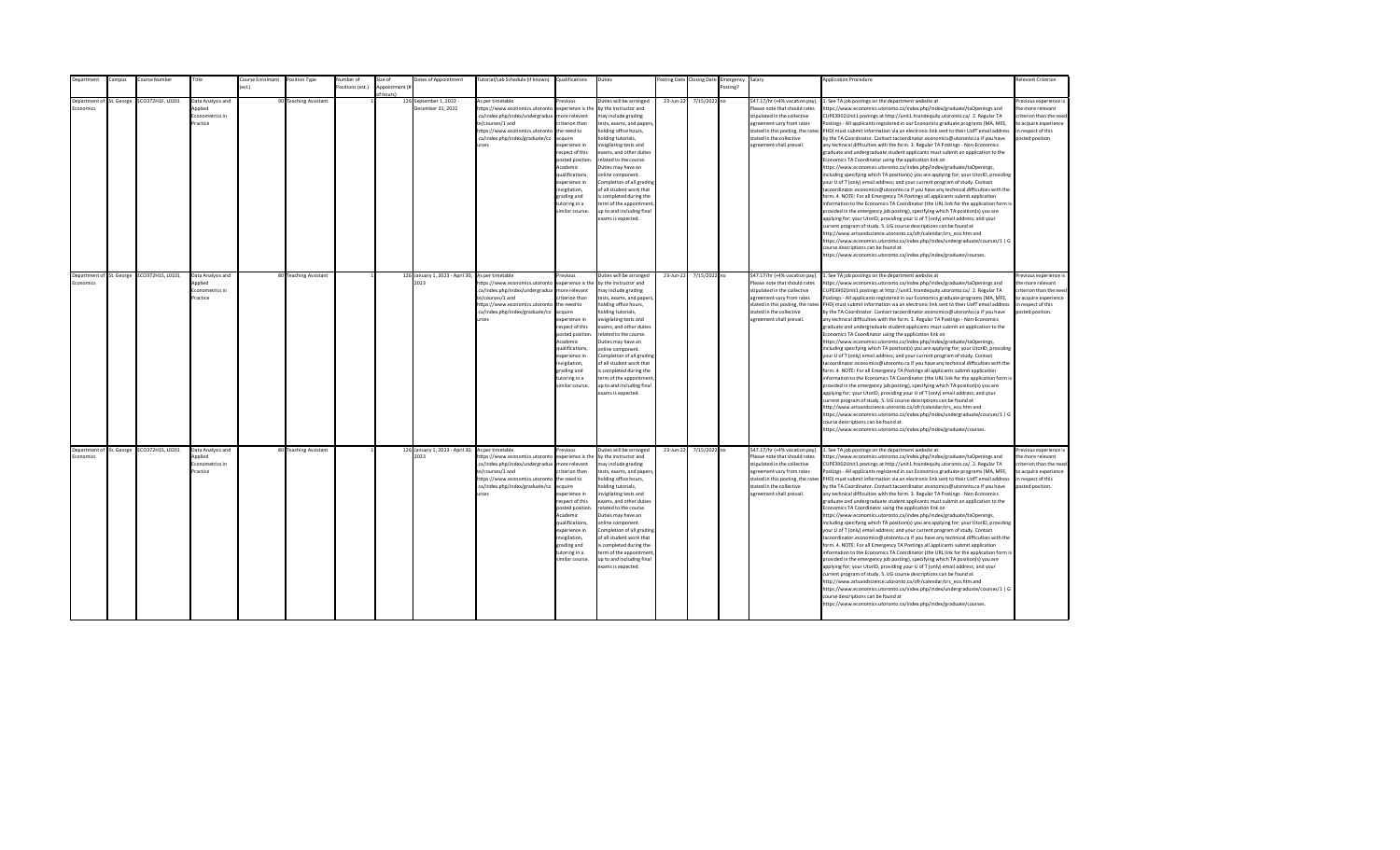| Department               | ampus:     | ourse Number     | Title             | Course Enrolment | Position Type         | lumber of       | size of        | Dates of Appointment                             | lutorial/Lab Schedule (if known)                                  | Qualifications         | Duties                                             | osting Date | <b>Closing Date</b> | Emergency | Salary                                               | <b>Application Procedure</b>                                                                                                                                       | Relevant Criterion                         |
|--------------------------|------------|------------------|-------------------|------------------|-----------------------|-----------------|----------------|--------------------------------------------------|-------------------------------------------------------------------|------------------------|----------------------------------------------------|-------------|---------------------|-----------|------------------------------------------------------|--------------------------------------------------------------------------------------------------------------------------------------------------------------------|--------------------------------------------|
|                          |            |                  |                   | $f$ est.)        |                       | ositions (est.) | Annointment (# |                                                  |                                                                   |                        |                                                    |             |                     | Posting?  |                                                      |                                                                                                                                                                    |                                            |
| Denartment of            |            |                  | Data Analysis and |                  |                       |                 | of hours)      |                                                  | As per timetable                                                  | revious                | Duties will be arranged                            |             |                     |           | \$47.17/hr (+4% vacation pay)                        |                                                                                                                                                                    |                                            |
| <b>Economics</b>         | St. George | CO372H1F, L0201  | heilnnA           |                  | 90 Teaching Assistant |                 |                | 126 September 1, 2022 -<br>December 31, 2022     | https://www.economics.utoronto                                    | experience is the      | by the instructor and                              | 23-Jun-22   | 7/15/2022 no        |           | Please note that should rates                        | . See TA job postings on the department website at<br>https://www.economics.utoronto.ca/index.php/index/graduate/taOpenings and                                    | Previous experience i<br>the more relevant |
|                          |            |                  | Econometrics in   |                  |                       |                 |                |                                                  | .ca/index.php/index/undergradua                                   | more relevant          | may include grading                                |             |                     |           | stipulated in the collective                         | CUPE3902Unit1 postings at http://unit1.hrandequity.utoronto.ca/. 2. Regular TA                                                                                     | criterion than the need                    |
|                          |            |                  | Practice          |                  |                       |                 |                |                                                  | te/courses/1 and                                                  | riterion than          |                                                    |             |                     |           | agreement vary from rates                            | ostings - All applicants registered in our Economics graduate programs (MA, MFE,                                                                                   | to acquire experience                      |
|                          |            |                  |                   |                  |                       |                 |                |                                                  | https://www.economics.utoronto                                    | the need to            | tests, exams, and papers,<br>holding office hours, |             |                     |           | stated in this posting, the rates                    | PHD) must submit information via an electronic link sent to their UofT email address                                                                               | in respect of this                         |
|                          |            |                  |                   |                  |                       |                 |                |                                                  | .ca/index.php/index/graduate/co                                   | acquire                | holding tutorials,                                 |             |                     |           | stated in the collective                             | by the TA Coordinator. Contact tacoordinator.economics@utoronto.ca if you have                                                                                     | posted position.                           |
|                          |            |                  |                   |                  |                       |                 |                |                                                  | urses                                                             | experience in          | nvigilating tests and                              |             |                     |           | agreement shall prevail.                             | any technical difficulties with the form. 3. Regular TA Postings - Non-Economics                                                                                   |                                            |
|                          |            |                  |                   |                  |                       |                 |                |                                                  |                                                                   | respect of this        | exams, and other duties                            |             |                     |           |                                                      | graduate and undergraduate student applicants must submit an application to the                                                                                    |                                            |
|                          |            |                  |                   |                  |                       |                 |                |                                                  |                                                                   | posted position.       | related to the course.                             |             |                     |           |                                                      | Economics TA Coordinator using the application link on                                                                                                             |                                            |
|                          |            |                  |                   |                  |                       |                 |                |                                                  |                                                                   | Academic               | Duties may have an                                 |             |                     |           |                                                      | https://www.economics.utoronto.ca/index.php/index/graduate/taOpenings,                                                                                             |                                            |
|                          |            |                  |                   |                  |                       |                 |                |                                                  |                                                                   | qualifications,        | online component.                                  |             |                     |           |                                                      | including specifying which TA position(s) you are applying for; your UtorID, providing                                                                             |                                            |
|                          |            |                  |                   |                  |                       |                 |                |                                                  |                                                                   | experience in          | Completion of all grading                          |             |                     |           |                                                      | your U of T (only) email address; and your current program of study. Contact                                                                                       |                                            |
|                          |            |                  |                   |                  |                       |                 |                |                                                  |                                                                   | nvigilation,           | of all student work that                           |             |                     |           |                                                      | acoordinator.economics@utoronto.ca if you have any technical difficulties with the                                                                                 |                                            |
|                          |            |                  |                   |                  |                       |                 |                |                                                  |                                                                   | grading and            | s completed during the                             |             |                     |           |                                                      | form. 4. NOTE: For all Emergency TA Postings all applicants submit application                                                                                     |                                            |
|                          |            |                  |                   |                  |                       |                 |                |                                                  |                                                                   | tutoring in a          | term of the appointment                            |             |                     |           |                                                      | information to the Economics TA Coordinator (the URL link for the application form is                                                                              |                                            |
|                          |            |                  |                   |                  |                       |                 |                |                                                  |                                                                   | similar course.        | up to and including final                          |             |                     |           |                                                      | provided in the emergency job posting), specifying which TA position(s) you are                                                                                    |                                            |
|                          |            |                  |                   |                  |                       |                 |                |                                                  |                                                                   |                        | exams is expected.                                 |             |                     |           |                                                      | applying for; your UtorID, providing your U of T (only) email address; and your                                                                                    |                                            |
|                          |            |                  |                   |                  |                       |                 |                |                                                  |                                                                   |                        |                                                    |             |                     |           |                                                      | urrent program of study. 5. UG course descriptions can be found at                                                                                                 |                                            |
|                          |            |                  |                   |                  |                       |                 |                |                                                  |                                                                   |                        |                                                    |             |                     |           |                                                      | http://www.artsandscience.utoronto.ca/ofr/calendar/crs eco.htm and                                                                                                 |                                            |
|                          |            |                  |                   |                  |                       |                 |                |                                                  |                                                                   |                        |                                                    |             |                     |           |                                                      | https://www.economics.utoronto.ca/index.php/index/undergraduate/courses/1   G                                                                                      |                                            |
|                          |            |                  |                   |                  |                       |                 |                |                                                  |                                                                   |                        |                                                    |             |                     |           |                                                      | ourse descriptions can be found at                                                                                                                                 |                                            |
|                          |            |                  |                   |                  |                       |                 |                |                                                  |                                                                   |                        |                                                    |             |                     |           |                                                      | https://www.economics.utoronto.ca/index.php/index/graduate/courses.                                                                                                |                                            |
|                          |            |                  |                   |                  |                       |                 |                |                                                  |                                                                   |                        |                                                    |             |                     |           |                                                      |                                                                                                                                                                    |                                            |
|                          |            |                  |                   |                  |                       |                 |                |                                                  |                                                                   |                        |                                                    |             |                     |           |                                                      |                                                                                                                                                                    |                                            |
| Department of St. George |            | ECO372H1S, L0101 | Data Analysis and |                  | 80 Teaching Assistant |                 |                | 126 January 1, 2023 - April 30, As per timetable |                                                                   | revious                | Duties will be arranged                            | 23-Jun-22   | 7/15/2022 no        |           | \$47.17/hr (+4% vacation pay).                       | 1. See TA job postings on the department website at                                                                                                                | Previous experience i                      |
| Economics                |            |                  | Applied           |                  |                       |                 |                | 2023                                             | https://www.economics.utoronto                                    | experience is the      | by the instructor and                              |             |                     |           | Please note that should rates                        | https://www.economics.utoronto.ca/index.php/index/graduate/taOpenings and                                                                                          | the more relevant                          |
|                          |            |                  | Econometrics in   |                  |                       |                 |                |                                                  | .ca/index.php/index/undergradua                                   | more relevant          | may include grading                                |             |                     |           | stipulated in the collective                         | CUPE3902Unit1 postings at http://unit1.hrandequity.utoronto.ca/. 2. Regular TA                                                                                     | criterion than the need                    |
|                          |            |                  | Practice          |                  |                       |                 |                |                                                  | te/courses/1 and                                                  | criterion than         | tests, exams, and papers,                          |             |                     |           | agreement vary from rates                            | Postings - All applicants registered in our Economics graduate programs (MA, MFE,                                                                                  | to acquire experience                      |
|                          |            |                  |                   |                  |                       |                 |                |                                                  | https://www.economics.utoronto<br>.ca/index.php/index/graduate/co | the need to<br>acquire | holding office hours,                              |             |                     |           |                                                      | stated in this posting, the rates PHD) must submit information via an electronic link sent to their UofT email address                                             | in respect of this                         |
|                          |            |                  |                   |                  |                       |                 |                |                                                  | urses                                                             | experience in          | holding tutorials,<br>invigilating tests and       |             |                     |           | stated in the collective<br>agreement shall prevail. | by the TA Coordinator. Contact tacoordinator.economics@utoronto.ca if you have<br>any technical difficulties with the form. 3. Regular TA Postings - Non-Economics | posted position.                           |
|                          |            |                  |                   |                  |                       |                 |                |                                                  |                                                                   | respect of this        | exams, and other duties                            |             |                     |           |                                                      | graduate and undergraduate student applicants must submit an application to the                                                                                    |                                            |
|                          |            |                  |                   |                  |                       |                 |                |                                                  |                                                                   | posted position.       | related to the course.                             |             |                     |           |                                                      | Economics TA Coordinator using the application link on                                                                                                             |                                            |
|                          |            |                  |                   |                  |                       |                 |                |                                                  |                                                                   | Academic               | Duties may have an                                 |             |                     |           |                                                      | https://www.economics.utoronto.ca/index.php/index/graduate/taOpenings,                                                                                             |                                            |
|                          |            |                  |                   |                  |                       |                 |                |                                                  |                                                                   | qualifications.        | online component.                                  |             |                     |           |                                                      | including specifying which TA position(s) you are applying for; your UtorID, providing                                                                             |                                            |
|                          |            |                  |                   |                  |                       |                 |                |                                                  |                                                                   | experience in          | Completion of all grading                          |             |                     |           |                                                      | your U of T (only) email address; and your current program of study. Contact                                                                                       |                                            |
|                          |            |                  |                   |                  |                       |                 |                |                                                  |                                                                   | invigilation,          | of all student work that                           |             |                     |           |                                                      | tacoordinator.economics@utoronto.ca if you have any technical difficulties with the                                                                                |                                            |
|                          |            |                  |                   |                  |                       |                 |                |                                                  |                                                                   | grading and            | is completed during the                            |             |                     |           |                                                      | form. 4. NOTE: For all Emergency TA Postings all applicants submit application                                                                                     |                                            |
|                          |            |                  |                   |                  |                       |                 |                |                                                  |                                                                   | tutoring in a          | term of the appointment                            |             |                     |           |                                                      | information to the Economics TA Coordinator (the URL link for the application form is                                                                              |                                            |
|                          |            |                  |                   |                  |                       |                 |                |                                                  |                                                                   | similar course.        | up to and including final                          |             |                     |           |                                                      | provided in the emergency job posting), specifying which TA position(s) you are                                                                                    |                                            |
|                          |            |                  |                   |                  |                       |                 |                |                                                  |                                                                   |                        | exams is expected.                                 |             |                     |           |                                                      | applying for; your UtorID, providing your U of T (only) email address; and your                                                                                    |                                            |
|                          |            |                  |                   |                  |                       |                 |                |                                                  |                                                                   |                        |                                                    |             |                     |           |                                                      | current program of study. 5. UG course descriptions can be found at                                                                                                |                                            |
|                          |            |                  |                   |                  |                       |                 |                |                                                  |                                                                   |                        |                                                    |             |                     |           |                                                      | http://www.artsandscience.utoronto.ca/ofr/calendar/crs_eco.htm and                                                                                                 |                                            |
|                          |            |                  |                   |                  |                       |                 |                |                                                  |                                                                   |                        |                                                    |             |                     |           |                                                      | https://www.economics.utoronto.ca/index.php/index/undergraduate/courses/1   G                                                                                      |                                            |
|                          |            |                  |                   |                  |                       |                 |                |                                                  |                                                                   |                        |                                                    |             |                     |           |                                                      | ourse descriptions can be found at                                                                                                                                 |                                            |
|                          |            |                  |                   |                  |                       |                 |                |                                                  |                                                                   |                        |                                                    |             |                     |           |                                                      | ittps://www.economics.utoronto.ca/index.php/index/graduate/courses.                                                                                                |                                            |
|                          |            |                  |                   |                  |                       |                 |                |                                                  |                                                                   |                        |                                                    |             |                     |           |                                                      |                                                                                                                                                                    |                                            |
| Department of St. George |            | ECO372H1S, L0201 | Data Analysis and |                  | 80 Teaching Assistant |                 |                | 126 January 1, 2023 - April 30, As per timetable |                                                                   | Previous               | Duties will be arranged                            | 23-Jun-22   | 7/15/2022 no        |           | \$47.17/hr (+4% vacation pay).                       | 1. See TA job postings on the department website at                                                                                                                | revious experience i                       |
| Economics                |            |                  | Applied           |                  |                       |                 |                | 2023                                             | https://www.economics.utoronto                                    | experience is the      | by the instructor and                              |             |                     |           | Please note that should rates                        | https://www.economics.utoronto.ca/index.php/index/graduate/taOpenings and                                                                                          | the more relevant                          |
|                          |            |                  | conometrics in    |                  |                       |                 |                |                                                  | .ca/index.php/index/undergradua                                   | more relevant          | may include grading                                |             |                     |           | stipulated in the collective                         | CUPE3902Unit1 postings at http://unit1.hrandequity.utoronto.ca/. 2. Regular TA                                                                                     | criterion than the need                    |
|                          |            |                  | Practice          |                  |                       |                 |                |                                                  | te/courses/1 and                                                  | criterion than         | tests, exams, and papers,                          |             |                     |           | agreement vary from rates                            | Postings - All applicants registered in our Economics graduate programs (MA, MFE,                                                                                  | to acquire experience                      |
|                          |            |                  |                   |                  |                       |                 |                |                                                  | https://www.economics.utoronto the need to                        |                        | holding office hours,                              |             |                     |           |                                                      | stated in this posting, the rates PHD) must submit information via an electronic link sent to their UofT email address                                             | in respect of this                         |
|                          |            |                  |                   |                  |                       |                 |                |                                                  | .ca/index.php/index/graduate/co                                   | acquire                | holding tutorials,                                 |             |                     |           | stated in the collective                             | by the TA Coordinator. Contact tacoordinator.economics@utoronto.ca if you have                                                                                     | posted position.                           |
|                          |            |                  |                   |                  |                       |                 |                |                                                  | urses                                                             | experience in          | nvigilating tests and                              |             |                     |           | agreement shall prevail.                             | any technical difficulties with the form. 3. Regular TA Postings - Non-Economics                                                                                   |                                            |
|                          |            |                  |                   |                  |                       |                 |                |                                                  |                                                                   | respect of this        | exams, and other duties                            |             |                     |           |                                                      | graduate and undergraduate student applicants must submit an application to the                                                                                    |                                            |
|                          |            |                  |                   |                  |                       |                 |                |                                                  |                                                                   | posted position        | related to the course.                             |             |                     |           |                                                      | Economics TA Coordinator using the application link on                                                                                                             |                                            |
|                          |            |                  |                   |                  |                       |                 |                |                                                  |                                                                   | Academic               | Duties may have an                                 |             |                     |           |                                                      | https://www.economics.utoronto.ca/index.php/index/graduate/taOpenings,                                                                                             |                                            |
|                          |            |                  |                   |                  |                       |                 |                |                                                  |                                                                   | qualifications,        | online component.                                  |             |                     |           |                                                      | including specifying which TA position(s) you are applying for; your UtorID, providing                                                                             |                                            |
|                          |            |                  |                   |                  |                       |                 |                |                                                  |                                                                   | experience in          | Completion of all grading                          |             |                     |           |                                                      | your U of T (only) email address; and your current program of study. Contact                                                                                       |                                            |
|                          |            |                  |                   |                  |                       |                 |                |                                                  |                                                                   | invigilation,          | of all student work that                           |             |                     |           |                                                      | tacoordinator.economics@utoronto.ca if you have any technical difficulties with the                                                                                |                                            |
|                          |            |                  |                   |                  |                       |                 |                |                                                  |                                                                   | grading and            | is completed during the                            |             |                     |           |                                                      | form. 4. NOTE: For all Emergency TA Postings all applicants submit application                                                                                     |                                            |
|                          |            |                  |                   |                  |                       |                 |                |                                                  |                                                                   | tutoring in a          | term of the appointment                            |             |                     |           |                                                      | information to the Economics TA Coordinator (the URL link for the application form is                                                                              |                                            |
|                          |            |                  |                   |                  |                       |                 |                |                                                  |                                                                   | similar course.        | up to and including final                          |             |                     |           |                                                      | provided in the emergency job posting), specifying which TA position(s) you are                                                                                    |                                            |
|                          |            |                  |                   |                  |                       |                 |                |                                                  |                                                                   |                        | exams is expected.                                 |             |                     |           |                                                      | applying for; your UtorID, providing your U of T (only) email address; and your                                                                                    |                                            |
|                          |            |                  |                   |                  |                       |                 |                |                                                  |                                                                   |                        |                                                    |             |                     |           |                                                      | current program of study. 5. UG course descriptions can be found at                                                                                                |                                            |
|                          |            |                  |                   |                  |                       |                 |                |                                                  |                                                                   |                        |                                                    |             |                     |           |                                                      | http://www.artsandscience.utoronto.ca/ofr/calendar/crs_eco.htm and                                                                                                 |                                            |
|                          |            |                  |                   |                  |                       |                 |                |                                                  |                                                                   |                        |                                                    |             |                     |           |                                                      | https://www.economics.utoronto.ca/index.php/index/undergraduate/courses/1   G<br>course descriptions can be found at                                               |                                            |
|                          |            |                  |                   |                  |                       |                 |                |                                                  |                                                                   |                        |                                                    |             |                     |           |                                                      |                                                                                                                                                                    |                                            |
|                          |            |                  |                   |                  |                       |                 |                |                                                  |                                                                   |                        |                                                    |             |                     |           |                                                      | https://www.economics.utoronto.ca/index.php/index/graduate/courses.                                                                                                |                                            |
|                          |            |                  |                   |                  |                       |                 |                |                                                  |                                                                   |                        |                                                    |             |                     |           |                                                      |                                                                                                                                                                    |                                            |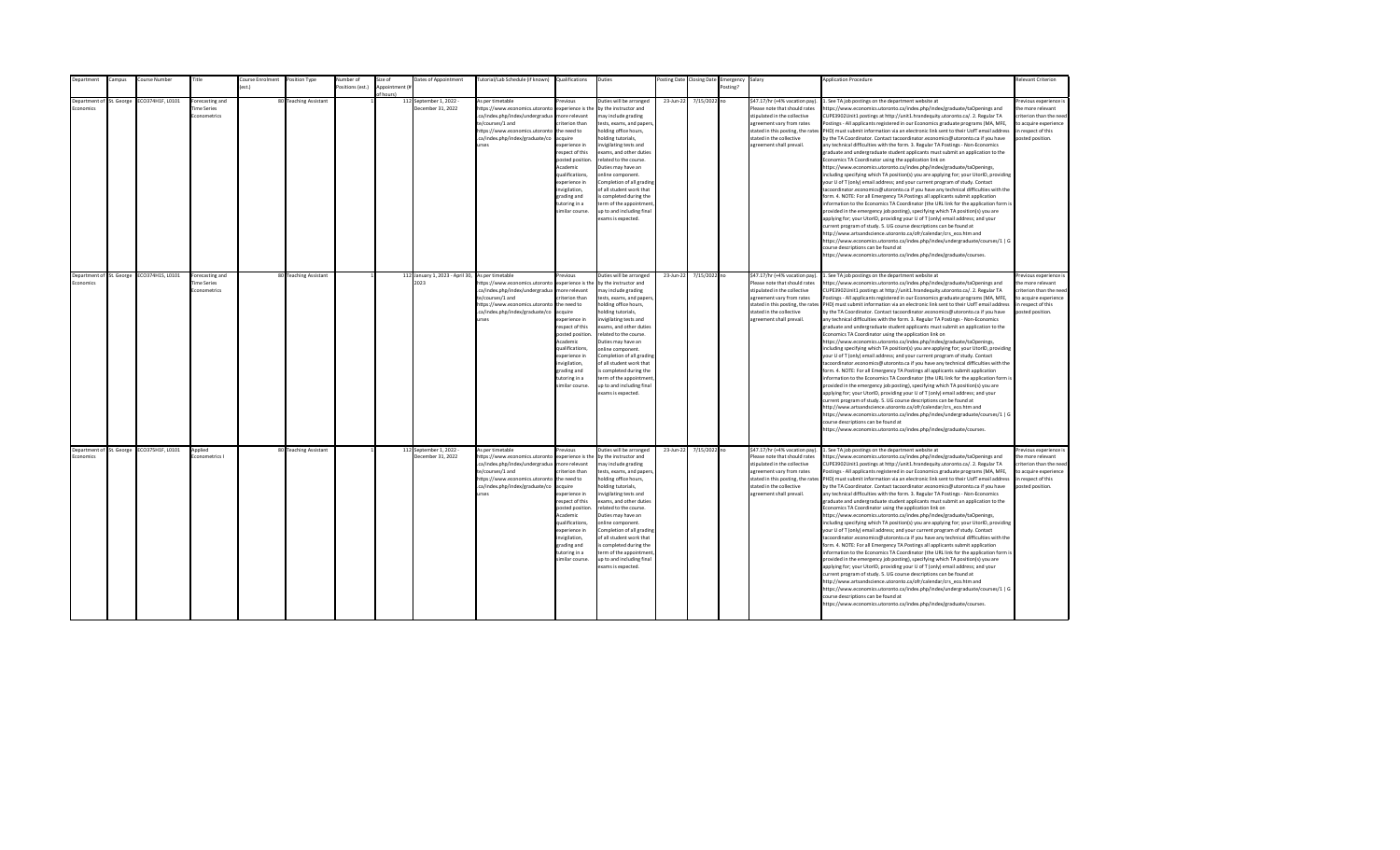| <b>Department</b>                     | Campus | Course Number                             | Title                                                 | Course Enrolment | Position Type         | Number of        | Size of                    | Dates of Appointment                                     | Tutorial/Lab Schedule (if known) Qualifications                                                                                                                                                |                                                                                                                                                                                                                                                                    | Duties                                                                                                                                                                                                                                                                                                                                                                                                                                         |           | Posting Date Closing Date | Emergency Salary |                                                                                                                                                                                                                           | <b>Application Procedure</b>                                                                                                                                                                                                                                                                                                                                                                                                                                                                                                                                                                                                                                                                                                                                                                                                                                                                                                                                                                                                                                                                                                                                                                                                                                                                                                                                                                                                                                                                                                                                                                                                                                                                                                                                                                 | <b>Relevant Criterion</b>                                                                                                                |
|---------------------------------------|--------|-------------------------------------------|-------------------------------------------------------|------------------|-----------------------|------------------|----------------------------|----------------------------------------------------------|------------------------------------------------------------------------------------------------------------------------------------------------------------------------------------------------|--------------------------------------------------------------------------------------------------------------------------------------------------------------------------------------------------------------------------------------------------------------------|------------------------------------------------------------------------------------------------------------------------------------------------------------------------------------------------------------------------------------------------------------------------------------------------------------------------------------------------------------------------------------------------------------------------------------------------|-----------|---------------------------|------------------|---------------------------------------------------------------------------------------------------------------------------------------------------------------------------------------------------------------------------|----------------------------------------------------------------------------------------------------------------------------------------------------------------------------------------------------------------------------------------------------------------------------------------------------------------------------------------------------------------------------------------------------------------------------------------------------------------------------------------------------------------------------------------------------------------------------------------------------------------------------------------------------------------------------------------------------------------------------------------------------------------------------------------------------------------------------------------------------------------------------------------------------------------------------------------------------------------------------------------------------------------------------------------------------------------------------------------------------------------------------------------------------------------------------------------------------------------------------------------------------------------------------------------------------------------------------------------------------------------------------------------------------------------------------------------------------------------------------------------------------------------------------------------------------------------------------------------------------------------------------------------------------------------------------------------------------------------------------------------------------------------------------------------------|------------------------------------------------------------------------------------------------------------------------------------------|
|                                       |        |                                           |                                                       | est.)            |                       | Positions (est.) | Appointment (i<br>f hourch |                                                          |                                                                                                                                                                                                |                                                                                                                                                                                                                                                                    |                                                                                                                                                                                                                                                                                                                                                                                                                                                |           |                           | Posting?         |                                                                                                                                                                                                                           |                                                                                                                                                                                                                                                                                                                                                                                                                                                                                                                                                                                                                                                                                                                                                                                                                                                                                                                                                                                                                                                                                                                                                                                                                                                                                                                                                                                                                                                                                                                                                                                                                                                                                                                                                                                              |                                                                                                                                          |
| Department of St. George<br>conomics  |        | ECO374H1F, L0101                          | Forecasting and<br><b>Time Series</b><br>Econometrics |                  | 80 Teaching Assistant |                  |                            | 112 September 1, 2022 -<br>December 31, 2022             | As per timetable<br>https://www.economics.utoronto<br>.ca/index.php/index/undergradua<br>te/courses/1 and<br>https://www.economics.utoronto<br>.ca/index.php/index/graduate/co<br><b>urses</b> | revious<br>experience is the<br>nore relevant<br>riterion than<br>the need to<br>cauire<br>xperience in<br>espect of this<br>posted position<br>Academic<br>qualifications,<br>xperience in<br>wigilation,<br>grading and<br>utoring in a<br>imilar course.        | Duties will be arranged<br>by the instructor and<br>nay include grading<br>tests, exams, and papers<br>nolding office hours,<br>olding tutorials.<br>nvigilating tests and<br>exams, and other duties<br>related to the course.<br>Duties may have an<br>online component.<br>Completion of all grading<br>of all student work that<br>s completed during the<br>erm of the appointment<br>up to and including final<br>exams is expected.     | 23-Jun-22 | 7/15/2022 no              |                  | \$47.17/hr (+4% vacation pay).<br>Please note that should rates<br>stipulated in the collective<br>agreement vary from rates<br>stated in this posting, the rates<br>stated in the collective<br>agreement shall prevail. | . See TA job postings on the department website at<br>https://www.economics.utoronto.ca/index.php/index/graduate/taOpenings and<br>CUPE3902Unit1 postings at http://unit1.hrandequity.utoronto.ca/. 2. Regular TA<br>Postings - All applicants registered in our Economics graduate programs (MA, MFE,<br>PHD) must submit information via an electronic link sent to their UofT email address<br>by the TA Coordinator. Contact tacoordinator.economics@utoronto.ca if you have<br>any technical difficulties with the form. 3. Regular TA Postings - Non-Economics<br>graduate and undergraduate student applicants must submit an application to the<br>Economics TA Coordinator using the application link on<br>https://www.economics.utoronto.ca/index.php/index/graduate/taOpenings,<br>including specifying which TA position(s) you are applying for; your UtorID, providing<br>your U of T (only) email address; and your current program of study. Contact<br>tacoordinator.economics@utoronto.ca if you have any technical difficulties with the<br>form. 4. NOTE: For all Emergency TA Postings all applicants submit application<br>information to the Economics TA Coordinator (the URL link for the application form is<br>provided in the emergency job posting), specifying which TA position(s) you are<br>applying for; your UtorID, providing your U of T (only) email address; and your<br>current program of study. 5. UG course descriptions can be found at<br>http://www.artsandscience.utoronto.ca/ofr/calendar/crs_eco.htm and<br>https://www.economics.utoronto.ca/index.php/index/undergraduate/courses/1   G<br>course descriptions can be found at<br>https://www.economics.utoronto.ca/index.php/index/graduate/courses.                                    | revious experience i<br>the more relevant<br>criterion than the nee-<br>to acquire experience<br>in respect of this<br>posted position.  |
| Department of St. George<br>Economics |        | ECO374H1S, L0101                          | Forecasting and<br><b>Time Series</b><br>Econometrics |                  | 80 Teaching Assistant |                  |                            | 112 January 1, 2023 - April 30, As per timetable<br>2023 | https://www.economics.utoronto<br>.ca/index.php/index/undergradua<br>te/courses/1 and<br>https://www.economics.utoronto<br>.ca/index.php/index/graduate/co<br><b>urses</b>                     | revious<br>experience is the<br>more relevant<br>riterion than<br>the need to<br>acquire<br>experience in<br>resnect of this<br>posted position<br>Academic<br>qualifications.<br>experience in<br>invigilation,<br>grading and<br>tutoring in a<br>imilar course. | Duties will be arranged<br>by the instructor and<br>may include grading<br>tests, exams, and papers,<br>holding office hours,<br>nolding tutorials,<br>nvigilating tests and<br>exams, and other duties<br>related to the course.<br>Duties may have an<br>online component.<br>Completion of all grading<br>of all student work that<br>is completed during the<br>term of the appointment<br>up to and including final<br>exams is expected. | 23-Jun-22 | 7/15/2022 no              |                  | \$47.17/hr (+4% vacation pay).<br>Please note that should rates<br>stipulated in the collective<br>agreement vary from rates<br>stated in the collective<br>agreement shall prevail.                                      | 1. See TA job postings on the department website at<br>https://www.economics.utoronto.ca/index.php/index/graduate/taOpenings and<br>CUPE3902Unit1 postings at http://unit1.hrandequity.utoronto.ca/. 2. Regular TA<br>Postings - All applicants registered in our Economics graduate programs (MA, MFE,<br>stated in this posting, the rates PHD) must submit information via an electronic link sent to their UofT email address<br>by the TA Coordinator. Contact tacoordinator.economics@utoronto.ca if you have<br>any technical difficulties with the form. 3. Regular TA Postings - Non-Economics<br>eraduate and undergraduate student applicants must submit an application to the<br>Economics TA Coordinator using the application link on<br>https://www.economics.utoronto.ca/index.php/index/graduate/taOpenings,<br>including specifying which TA position(s) you are applying for; your UtorID, providing<br>your U of T (only) email address; and your current program of study. Contact<br>tacoordinator.economics@utoronto.ca if you have any technical difficulties with the<br>form. 4. NOTE: For all Emergency TA Postings all applicants submit application<br>information to the Economics TA Coordinator (the URL link for the application form is<br>provided in the emergency job posting), specifying which TA position(s) you are<br>applying for; your UtorID, providing your U of T (only) email address; and your<br>current program of study. 5. UG course descriptions can be found at<br>http://www.artsandscience.utoronto.ca/ofr/calendar/crs eco.htm and<br>https://www.economics.utoronto.ca/index.php/index/undergraduate/courses/1   G<br>course descriptions can be found at<br>https://www.economics.utoronto.ca/index.php/index/graduate/courses. | Previous experience i<br>the more relevant<br>criterion than the need<br>to acquire experience<br>in respect of this<br>posted position. |
| Economics                             |        | Department of St. George ECO375H1F, L0101 | Applied<br><b>conometrics</b> I                       |                  | 80 Teaching Assistant |                  |                            | 112 September 1, 2022 -<br>December 31, 2022             | As per timetable<br>https://www.economics.utoronto<br>.ca/index.php/index/undergradua<br>te/courses/1 and<br>https://www.economics.utoronto<br>.ca/index.php/index/graduate/co<br><b>urses</b> | revious<br>experience is the<br>more relevant<br>riterion than<br>the need to<br>acquire<br>experience in<br>respect of this<br>posted position<br>Academic<br>qualifications,<br>experience in<br>invigilation,<br>grading and<br>tutoring in a<br>imilar course. | Duties will be arranged<br>by the instructor and<br>may include grading<br>tests, exams, and papers,<br>holding office hours,<br>nolding tutorials,<br>nvigilating tests and<br>exams, and other duties<br>related to the course.<br>Duties may have an<br>online component.<br>Completion of all grading<br>of all student work that<br>is completed during the<br>term of the appointment<br>up to and including final<br>exams is expected. | 23-Jun-22 | 7/15/2022 no              |                  | \$47.17/hr (+4% vacation pay).<br>Please note that should rates<br>stipulated in the collective<br>agreement vary from rates<br>stated in the collective<br>agreement shall prevail.                                      | 1. See TA job postings on the department website at<br>https://www.economics.utoronto.ca/index.php/index/graduate/taOpenings and<br>CUPE3902Unit1 postings at http://unit1.hrandequity.utoronto.ca/. 2. Regular TA<br>Postings - All applicants registered in our Economics graduate programs (MA, MFE,<br>stated in this posting, the rates PHD) must submit information via an electronic link sent to their UofT email address<br>by the TA Coordinator. Contact tacoordinator.economics@utoronto.ca if you have<br>any technical difficulties with the form. 3. Regular TA Postings - Non-Economics<br>graduate and undergraduate student applicants must submit an application to the<br>Economics TA Coordinator using the application link on<br>https://www.economics.utoronto.ca/index.php/index/graduate/taOpenings,<br>including specifying which TA position(s) you are applying for; your UtorID, providing<br>your U of T (only) email address; and your current program of study. Contact<br>tacoordinator.economics@utoronto.ca if you have any technical difficulties with the<br>form. 4. NOTE: For all Emergency TA Postings all applicants submit application<br>information to the Economics TA Coordinator (the URL link for the application form is<br>provided in the emergency job posting), specifying which TA position(s) you are<br>applying for; your UtorID, providing your U of T (only) email address; and your<br>current program of study. 5. UG course descriptions can be found at<br>http://www.artsandscience.utoronto.ca/ofr/calendar/crs eco.htm and<br>https://www.economics.utoronto.ca/index.php/index/undergraduate/courses/1   G<br>course descriptions can be found at<br>https://www.economics.utoronto.ca/index.php/index/graduate/courses. | revious experience i<br>the more relevant<br>criterion than the need<br>to acquire experience<br>in respect of this<br>posted position.  |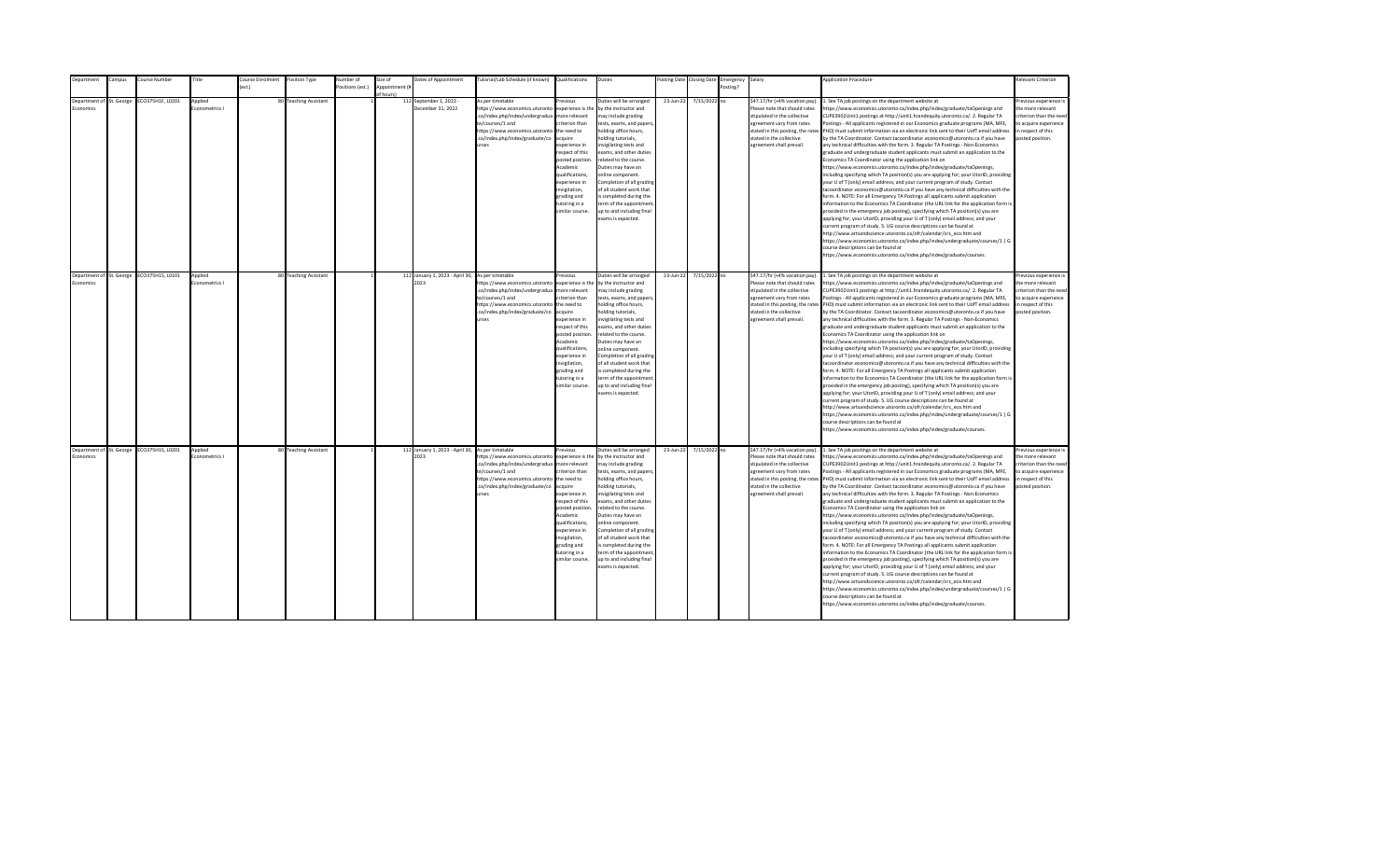| <b>Department</b>                     | Campus | Course Number                             | Title                           | Course Enrolment | Position Type         | Number of        | Size of                    | Dates of Appointment                                     | Tutorial/Lab Schedule (if known) Qualifications                                                                                                                                                |                                                                                                                                                                                                                                                                    | Duties                                                                                                                                                                                                                                                                                                                                                                                                                                         |           | Posting Date Closing Date | Emergency Salary |                                                                                                                                                                                                                           | <b>Application Procedure</b>                                                                                                                                                                                                                                                                                                                                                                                                                                                                                                                                                                                                                                                                                                                                                                                                                                                                                                                                                                                                                                                                                                                                                                                                                                                                                                                                                                                                                                                                                                                                                                                                                                                                                                                                                                 | <b>Relevant Criterion</b>                                                                                                                |
|---------------------------------------|--------|-------------------------------------------|---------------------------------|------------------|-----------------------|------------------|----------------------------|----------------------------------------------------------|------------------------------------------------------------------------------------------------------------------------------------------------------------------------------------------------|--------------------------------------------------------------------------------------------------------------------------------------------------------------------------------------------------------------------------------------------------------------------|------------------------------------------------------------------------------------------------------------------------------------------------------------------------------------------------------------------------------------------------------------------------------------------------------------------------------------------------------------------------------------------------------------------------------------------------|-----------|---------------------------|------------------|---------------------------------------------------------------------------------------------------------------------------------------------------------------------------------------------------------------------------|----------------------------------------------------------------------------------------------------------------------------------------------------------------------------------------------------------------------------------------------------------------------------------------------------------------------------------------------------------------------------------------------------------------------------------------------------------------------------------------------------------------------------------------------------------------------------------------------------------------------------------------------------------------------------------------------------------------------------------------------------------------------------------------------------------------------------------------------------------------------------------------------------------------------------------------------------------------------------------------------------------------------------------------------------------------------------------------------------------------------------------------------------------------------------------------------------------------------------------------------------------------------------------------------------------------------------------------------------------------------------------------------------------------------------------------------------------------------------------------------------------------------------------------------------------------------------------------------------------------------------------------------------------------------------------------------------------------------------------------------------------------------------------------------|------------------------------------------------------------------------------------------------------------------------------------------|
|                                       |        |                                           |                                 | est.)            |                       | Positions (est.) | Appointment (i<br>f hourch |                                                          |                                                                                                                                                                                                |                                                                                                                                                                                                                                                                    |                                                                                                                                                                                                                                                                                                                                                                                                                                                |           |                           | Posting?         |                                                                                                                                                                                                                           |                                                                                                                                                                                                                                                                                                                                                                                                                                                                                                                                                                                                                                                                                                                                                                                                                                                                                                                                                                                                                                                                                                                                                                                                                                                                                                                                                                                                                                                                                                                                                                                                                                                                                                                                                                                              |                                                                                                                                          |
| Department of St. George<br>conomics  |        | ECO375H1F, L0201                          | Applied<br>conometrics I        |                  | 80 Teaching Assistant |                  |                            | 112 September 1, 2022 -<br>December 31, 2022             | As per timetable<br>https://www.economics.utoronto<br>.ca/index.php/index/undergradua<br>te/courses/1 and<br>https://www.economics.utoronto<br>.ca/index.php/index/graduate/co<br><b>urses</b> | revious<br>experience is the<br>nore relevant<br>riterion than<br>the need to<br>cauire<br>xperience in<br>espect of this<br>posted position<br>Academic<br>qualifications,<br>xperience in<br>wigilation,<br>grading and<br>utoring in a<br>imilar course.        | Duties will be arranged<br>by the instructor and<br>nay include grading<br>tests, exams, and papers<br>nolding office hours,<br>olding tutorials.<br>nvigilating tests and<br>exams, and other duties<br>related to the course.<br>Duties may have an<br>online component.<br>Completion of all grading<br>of all student work that<br>s completed during the<br>erm of the appointment<br>up to and including final<br>exams is expected.     | 23-Jun-22 | 7/15/2022 no              |                  | \$47.17/hr (+4% vacation pay).<br>Please note that should rates<br>stipulated in the collective<br>agreement vary from rates<br>stated in this posting, the rates<br>stated in the collective<br>agreement shall prevail. | . See TA job postings on the department website at<br>https://www.economics.utoronto.ca/index.php/index/graduate/taOpenings and<br>CUPE3902Unit1 postings at http://unit1.hrandequity.utoronto.ca/. 2. Regular TA<br>Postings - All applicants registered in our Economics graduate programs (MA, MFE,<br>PHD) must submit information via an electronic link sent to their UofT email address<br>by the TA Coordinator. Contact tacoordinator.economics@utoronto.ca if you have<br>any technical difficulties with the form. 3. Regular TA Postings - Non-Economics<br>graduate and undergraduate student applicants must submit an application to the<br>Economics TA Coordinator using the application link on<br>https://www.economics.utoronto.ca/index.php/index/graduate/taOpenings,<br>including specifying which TA position(s) you are applying for; your UtorID, providing<br>your U of T (only) email address; and your current program of study. Contact<br>tacoordinator.economics@utoronto.ca if you have any technical difficulties with the<br>form. 4. NOTE: For all Emergency TA Postings all applicants submit application<br>information to the Economics TA Coordinator (the URL link for the application form is<br>provided in the emergency job posting), specifying which TA position(s) you are<br>applying for; your UtorID, providing your U of T (only) email address; and your<br>current program of study. 5. UG course descriptions can be found at<br>http://www.artsandscience.utoronto.ca/ofr/calendar/crs_eco.htm and<br>https://www.economics.utoronto.ca/index.php/index/undergraduate/courses/1   G<br>course descriptions can be found at<br>https://www.economics.utoronto.ca/index.php/index/graduate/courses.                                    | revious experience i<br>the more relevant<br>criterion than the nee-<br>to acquire experience<br>in respect of this<br>posted position.  |
| Department of St. George<br>Economics |        | ECO375H1S, L0101                          | Applied<br>Econometrics I       |                  | 80 Teaching Assistant |                  |                            | 112 January 1, 2023 - April 30, As per timetable<br>2023 | https://www.economics.utoronto<br>.ca/index.php/index/undergradua<br>te/courses/1 and<br>https://www.economics.utoronto<br>.ca/index.php/index/graduate/co<br><b>urses</b>                     | revious<br>experience is the<br>more relevant<br>riterion than<br>the need to<br>acquire<br>experience in<br>resnect of this<br>posted position<br>Academic<br>qualifications.<br>experience in<br>invigilation,<br>grading and<br>tutoring in a<br>imilar course. | Duties will be arranged<br>by the instructor and<br>may include grading<br>tests, exams, and papers,<br>holding office hours,<br>nolding tutorials,<br>nvigilating tests and<br>exams, and other duties<br>related to the course.<br>Duties may have an<br>online component.<br>Completion of all grading<br>of all student work that<br>is completed during the<br>term of the appointment<br>up to and including final<br>exams is expected. | 23-Jun-22 | 7/15/2022 no              |                  | \$47.17/hr (+4% vacation pay).<br>Please note that should rates<br>stipulated in the collective<br>agreement vary from rates<br>stated in the collective<br>agreement shall prevail.                                      | 1. See TA job postings on the department website at<br>https://www.economics.utoronto.ca/index.php/index/graduate/taOpenings and<br>CUPE3902Unit1 postings at http://unit1.hrandequity.utoronto.ca/. 2. Regular TA<br>Postings - All applicants registered in our Economics graduate programs (MA, MFE,<br>stated in this posting, the rates PHD) must submit information via an electronic link sent to their UofT email address<br>by the TA Coordinator. Contact tacoordinator.economics@utoronto.ca if you have<br>any technical difficulties with the form. 3. Regular TA Postings - Non-Economics<br>eraduate and undergraduate student applicants must submit an application to the<br>Economics TA Coordinator using the application link on<br>https://www.economics.utoronto.ca/index.php/index/graduate/taOpenings,<br>including specifying which TA position(s) you are applying for; your UtorID, providing<br>your U of T (only) email address; and your current program of study. Contact<br>tacoordinator.economics@utoronto.ca if you have any technical difficulties with the<br>form. 4. NOTE: For all Emergency TA Postings all applicants submit application<br>information to the Economics TA Coordinator (the URL link for the application form is<br>provided in the emergency job posting), specifying which TA position(s) you are<br>applying for; your UtorID, providing your U of T (only) email address; and your<br>current program of study. 5. UG course descriptions can be found at<br>http://www.artsandscience.utoronto.ca/ofr/calendar/crs_eco.htm and<br>https://www.economics.utoronto.ca/index.php/index/undergraduate/courses/1   G<br>course descriptions can be found at<br>https://www.economics.utoronto.ca/index.php/index/graduate/courses. | Previous experience i<br>the more relevant<br>criterion than the need<br>to acquire experience<br>in respect of this<br>posted position. |
| Economics                             |        | Department of St. George ECO375H1S, L0201 | Applied<br><b>conometrics</b> I |                  | 80 Teaching Assistant |                  |                            | 112 January 1, 2023 - April 30, As per timetable<br>2023 | https://www.economics.utoronto<br>.ca/index.php/index/undergradua<br>te/courses/1 and<br>https://www.economics.utoronto<br>.ca/index.php/index/graduate/co<br><b>urses</b>                     | revious<br>experience is the<br>more relevant<br>riterion than<br>the need to<br>acquire<br>experience in<br>respect of this<br>posted position<br>Academic<br>qualifications,<br>experience in<br>invigilation,<br>grading and<br>tutoring in a<br>imilar course. | Outies will be arranged<br>by the instructor and<br>may include grading<br>tests, exams, and papers,<br>holding office hours,<br>nolding tutorials,<br>nvigilating tests and<br>exams, and other duties<br>related to the course.<br>Duties may have an<br>online component.<br>Completion of all grading<br>of all student work that<br>is completed during the<br>term of the appointment<br>up to and including final<br>exams is expected. | 23-Jun-22 | 7/15/2022 no              |                  | \$47.17/hr (+4% vacation pay).<br>Please note that should rates<br>stipulated in the collective<br>agreement vary from rates<br>stated in the collective<br>agreement shall prevail.                                      | 1. See TA job postings on the department website at<br>https://www.economics.utoronto.ca/index.php/index/graduate/taOpenings and<br>CUPE3902Unit1 postings at http://unit1.hrandequity.utoronto.ca/. 2. Regular TA<br>Postings - All applicants registered in our Economics graduate programs (MA, MFE,<br>stated in this posting, the rates PHD) must submit information via an electronic link sent to their UofT email address<br>by the TA Coordinator. Contact tacoordinator.economics@utoronto.ca if you have<br>any technical difficulties with the form. 3. Regular TA Postings - Non-Economics<br>graduate and undergraduate student applicants must submit an application to the<br>Economics TA Coordinator using the application link on<br>https://www.economics.utoronto.ca/index.php/index/graduate/taOpenings,<br>including specifying which TA position(s) you are applying for; your UtorID, providing<br>your U of T (only) email address; and your current program of study. Contact<br>tacoordinator.economics@utoronto.ca if you have any technical difficulties with the<br>form. 4. NOTE: For all Emergency TA Postings all applicants submit application<br>information to the Economics TA Coordinator (the URL link for the application form is<br>provided in the emergency job posting), specifying which TA position(s) you are<br>applying for; your UtorID, providing your U of T (only) email address; and your<br>current program of study. 5. UG course descriptions can be found at<br>http://www.artsandscience.utoronto.ca/ofr/calendar/crs eco.htm and<br>https://www.economics.utoronto.ca/index.php/index/undergraduate/courses/1   G<br>course descriptions can be found at<br>https://www.economics.utoronto.ca/index.php/index/graduate/courses. | revious experience i<br>the more relevant<br>criterion than the need<br>to acquire experience<br>in respect of this<br>posted position.  |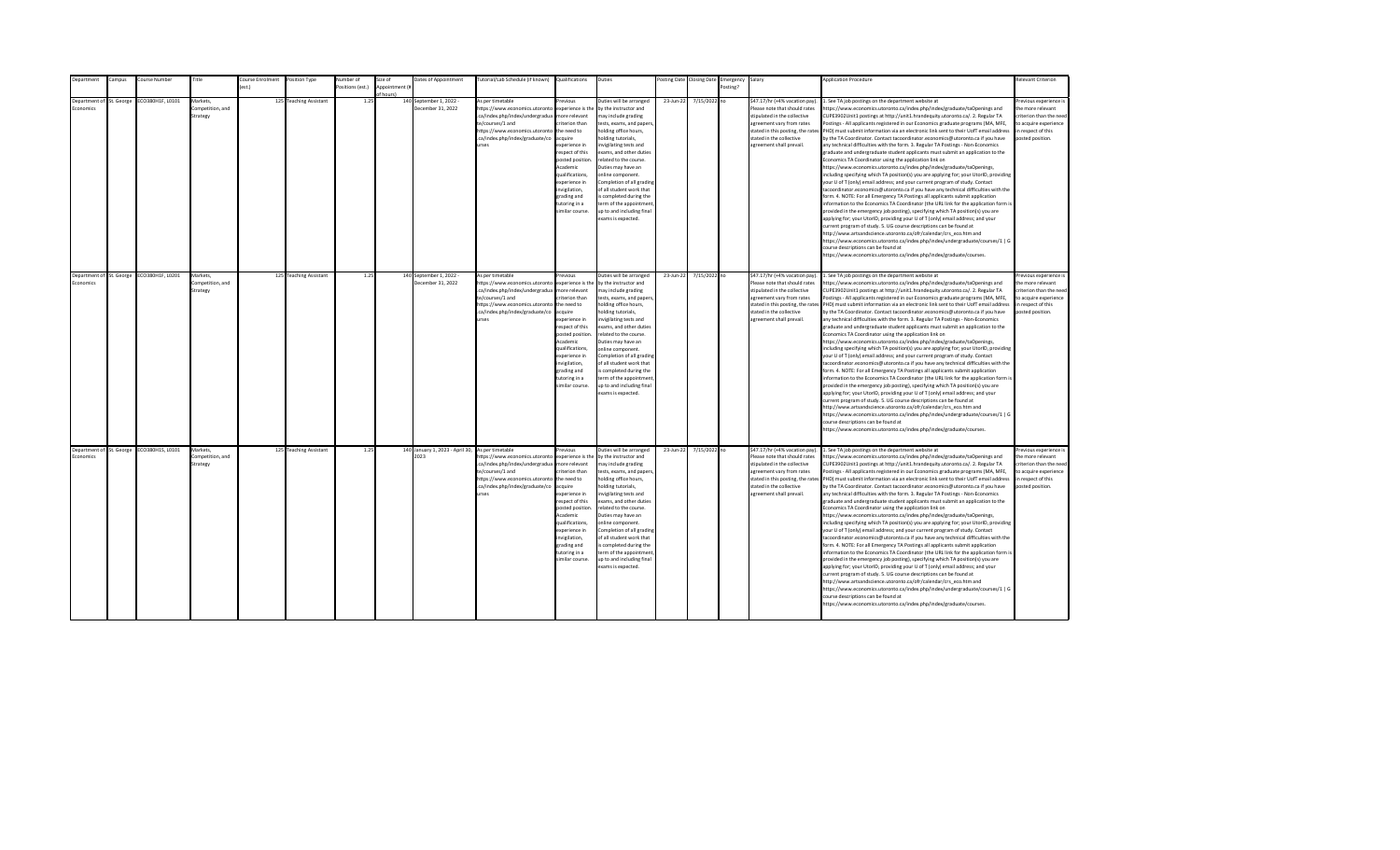| Department                        | ampus:     | ourse Number     | Title            | <b>Course Enrolment</b> | Position Type          | lumber of       | size of        | Dates of Appointment                             | lutorial/Lab Schedule (if known)                                  | Qualifications                     | Duties                                           | osting Date | <b>Closing Date</b> | Emergency | Salary                                                        | <b>Application Procedure</b>                                                                                                                                           | Relevant Criterion                         |
|-----------------------------------|------------|------------------|------------------|-------------------------|------------------------|-----------------|----------------|--------------------------------------------------|-------------------------------------------------------------------|------------------------------------|--------------------------------------------------|-------------|---------------------|-----------|---------------------------------------------------------------|------------------------------------------------------------------------------------------------------------------------------------------------------------------------|--------------------------------------------|
|                                   |            |                  |                  | $f$ est.)               |                        | ositions (est.) | Annointment (# |                                                  |                                                                   |                                    |                                                  |             |                     | Posting?  |                                                               |                                                                                                                                                                        |                                            |
|                                   |            |                  |                  |                         |                        |                 | of hours)      |                                                  |                                                                   |                                    |                                                  |             |                     |           |                                                               |                                                                                                                                                                        |                                            |
| Denartment of<br><b>Economics</b> | St. George | CO380H1F, L0101  | Markets.         |                         | 125 Teaching Assistant | 1.25            |                | 140 September 1, 2022 -<br>December 31, 2022     | As per timetable                                                  | revious                            | Duties will be arranged<br>by the instructor and | 23-Jun-22   | 7/15/2022 no        |           | \$47.17/hr (+4% vacation pay)                                 | . See TA job postings on the department website at                                                                                                                     | Previous experience i<br>the more relevant |
|                                   |            |                  | Competition, and |                         |                        |                 |                |                                                  | https://www.economics.utoronto<br>.ca/index.php/index/undergradua | experience is the<br>more relevant |                                                  |             |                     |           | Please note that should rates<br>stipulated in the collective | ttps://www.economics.utoronto.ca/index.php/index/graduate/taOpenings and                                                                                               | criterion than the need                    |
|                                   |            |                  | Strategy         |                         |                        |                 |                |                                                  | te/courses/1 and                                                  | riterion than                      | may include grading                              |             |                     |           | agreement vary from rates                                     | CUPE3902Unit1 postings at http://unit1.hrandequity.utoronto.ca/. 2. Regular TA<br>ostings - All applicants registered in our Economics graduate programs (MA, MFE,     | to acquire experience                      |
|                                   |            |                  |                  |                         |                        |                 |                |                                                  | https://www.economics.utoronto                                    | the need to                        | tests, exams, and papers,                        |             |                     |           | stated in this posting, the rates                             | PHD) must submit information via an electronic link sent to their UofT email address                                                                                   | in respect of this                         |
|                                   |            |                  |                  |                         |                        |                 |                |                                                  | .ca/index.php/index/graduate/co                                   | acquire                            | holding office hours,<br>holding tutorials,      |             |                     |           | stated in the collective                                      | by the TA Coordinator. Contact tacoordinator.economics@utoronto.ca if you have                                                                                         | posted position.                           |
|                                   |            |                  |                  |                         |                        |                 |                |                                                  | urses                                                             | experience in                      | nvigilating tests and                            |             |                     |           | agreement shall prevail.                                      | any technical difficulties with the form. 3. Regular TA Postings - Non-Economics                                                                                       |                                            |
|                                   |            |                  |                  |                         |                        |                 |                |                                                  |                                                                   | respect of this                    | exams, and other duties                          |             |                     |           |                                                               | graduate and undergraduate student applicants must submit an application to the                                                                                        |                                            |
|                                   |            |                  |                  |                         |                        |                 |                |                                                  |                                                                   | posted position.                   | related to the course.                           |             |                     |           |                                                               | Economics TA Coordinator using the application link on                                                                                                                 |                                            |
|                                   |            |                  |                  |                         |                        |                 |                |                                                  |                                                                   | Academic                           | Duties may have an                               |             |                     |           |                                                               | https://www.economics.utoronto.ca/index.php/index/graduate/taOpenings,                                                                                                 |                                            |
|                                   |            |                  |                  |                         |                        |                 |                |                                                  |                                                                   | qualifications,                    | online component.                                |             |                     |           |                                                               | including specifying which TA position(s) you are applying for; your UtorID, providing                                                                                 |                                            |
|                                   |            |                  |                  |                         |                        |                 |                |                                                  |                                                                   | experience in                      | Completion of all grading                        |             |                     |           |                                                               | your U of T (only) email address; and your current program of study. Contact                                                                                           |                                            |
|                                   |            |                  |                  |                         |                        |                 |                |                                                  |                                                                   | nvigilation,                       | of all student work that                         |             |                     |           |                                                               | acoordinator.economics@utoronto.ca if you have any technical difficulties with the                                                                                     |                                            |
|                                   |            |                  |                  |                         |                        |                 |                |                                                  |                                                                   | grading and                        | s completed during the                           |             |                     |           |                                                               | form. 4. NOTE: For all Emergency TA Postings all applicants submit application                                                                                         |                                            |
|                                   |            |                  |                  |                         |                        |                 |                |                                                  |                                                                   | tutoring in a                      | term of the appointment                          |             |                     |           |                                                               | information to the Economics TA Coordinator (the URL link for the application form is                                                                                  |                                            |
|                                   |            |                  |                  |                         |                        |                 |                |                                                  |                                                                   | similar course.                    | up to and including final                        |             |                     |           |                                                               | provided in the emergency job posting), specifying which TA position(s) you are                                                                                        |                                            |
|                                   |            |                  |                  |                         |                        |                 |                |                                                  |                                                                   |                                    | exams is expected.                               |             |                     |           |                                                               | applying for; your UtorID, providing your U of T (only) email address; and your                                                                                        |                                            |
|                                   |            |                  |                  |                         |                        |                 |                |                                                  |                                                                   |                                    |                                                  |             |                     |           |                                                               | urrent program of study. 5. UG course descriptions can be found at                                                                                                     |                                            |
|                                   |            |                  |                  |                         |                        |                 |                |                                                  |                                                                   |                                    |                                                  |             |                     |           |                                                               | http://www.artsandscience.utoronto.ca/ofr/calendar/crs eco.htm and                                                                                                     |                                            |
|                                   |            |                  |                  |                         |                        |                 |                |                                                  |                                                                   |                                    |                                                  |             |                     |           |                                                               | https://www.economics.utoronto.ca/index.php/index/undergraduate/courses/1   G                                                                                          |                                            |
|                                   |            |                  |                  |                         |                        |                 |                |                                                  |                                                                   |                                    |                                                  |             |                     |           |                                                               | ourse descriptions can be found at                                                                                                                                     |                                            |
|                                   |            |                  |                  |                         |                        |                 |                |                                                  |                                                                   |                                    |                                                  |             |                     |           |                                                               | https://www.economics.utoronto.ca/index.php/index/graduate/courses.                                                                                                    |                                            |
|                                   |            |                  |                  |                         |                        |                 |                |                                                  |                                                                   |                                    |                                                  |             |                     |           |                                                               |                                                                                                                                                                        |                                            |
| Department of St. George          |            | ECO380H1F, L0201 | Markets,         |                         | 125 Teaching Assistant | 1.25            |                | 140 September 1, 2022 -                          | As per timetable                                                  | revious                            | Duties will be arranged                          | 23-Jun-22   | 7/15/2022 no        |           | \$47.17/hr (+4% vacation pay).                                | 1. See TA job postings on the department website at                                                                                                                    | Previous experience i                      |
| Economics                         |            |                  | Competition, and |                         |                        |                 |                | December 31, 2022                                | https://www.economics.utoronto                                    | experience is the                  | by the instructor and                            |             |                     |           | Please note that should rates                                 | https://www.economics.utoronto.ca/index.php/index/graduate/taOpenings and                                                                                              | the more relevant                          |
|                                   |            |                  | Strategy         |                         |                        |                 |                |                                                  | .ca/index.php/index/undergradua                                   | more relevant                      | may include grading                              |             |                     |           | stipulated in the collective                                  | CUPE3902Unit1 postings at http://unit1.hrandequity.utoronto.ca/. 2. Regular TA                                                                                         | criterion than the need                    |
|                                   |            |                  |                  |                         |                        |                 |                |                                                  | te/courses/1 and                                                  | criterion than                     | tests, exams, and papers,                        |             |                     |           | agreement vary from rates                                     | Postings - All applicants registered in our Economics graduate programs (MA, MFE,                                                                                      | to acquire experience                      |
|                                   |            |                  |                  |                         |                        |                 |                |                                                  | https://www.economics.utoronto                                    | the need to                        | holding office hours,                            |             |                     |           |                                                               | stated in this posting, the rates PHD) must submit information via an electronic link sent to their UofT email address                                                 | in respect of this                         |
|                                   |            |                  |                  |                         |                        |                 |                |                                                  | .ca/index.php/index/graduate/co                                   | acquire                            | holding tutorials,                               |             |                     |           | stated in the collective                                      | by the TA Coordinator. Contact tacoordinator.economics@utoronto.ca if you have                                                                                         | posted position.                           |
|                                   |            |                  |                  |                         |                        |                 |                |                                                  | urses                                                             | experience in                      | invigilating tests and                           |             |                     |           | agreement shall prevail.                                      | any technical difficulties with the form. 3. Regular TA Postings - Non-Economics                                                                                       |                                            |
|                                   |            |                  |                  |                         |                        |                 |                |                                                  |                                                                   | respect of this                    | exams, and other duties                          |             |                     |           |                                                               | graduate and undergraduate student applicants must submit an application to the                                                                                        |                                            |
|                                   |            |                  |                  |                         |                        |                 |                |                                                  |                                                                   | posted position.                   | related to the course.                           |             |                     |           |                                                               | Economics TA Coordinator using the application link on                                                                                                                 |                                            |
|                                   |            |                  |                  |                         |                        |                 |                |                                                  |                                                                   | Academic                           | Duties may have an                               |             |                     |           |                                                               | https://www.economics.utoronto.ca/index.php/index/graduate/taOpenings,                                                                                                 |                                            |
|                                   |            |                  |                  |                         |                        |                 |                |                                                  |                                                                   | qualifications.<br>experience in   | online component.<br>Completion of all grading   |             |                     |           |                                                               | including specifying which TA position(s) you are applying for; your UtorID, providing<br>your U of T (only) email address; and your current program of study. Contact |                                            |
|                                   |            |                  |                  |                         |                        |                 |                |                                                  |                                                                   | invigilation,                      | of all student work that                         |             |                     |           |                                                               | tacoordinator.economics@utoronto.ca if you have any technical difficulties with the                                                                                    |                                            |
|                                   |            |                  |                  |                         |                        |                 |                |                                                  |                                                                   | grading and                        | is completed during the                          |             |                     |           |                                                               | form. 4. NOTE: For all Emergency TA Postings all applicants submit application                                                                                         |                                            |
|                                   |            |                  |                  |                         |                        |                 |                |                                                  |                                                                   | tutoring in a                      | term of the appointment                          |             |                     |           |                                                               | information to the Economics TA Coordinator (the URL link for the application form is                                                                                  |                                            |
|                                   |            |                  |                  |                         |                        |                 |                |                                                  |                                                                   | similar course.                    | up to and including final                        |             |                     |           |                                                               | provided in the emergency job posting), specifying which TA position(s) you are                                                                                        |                                            |
|                                   |            |                  |                  |                         |                        |                 |                |                                                  |                                                                   |                                    | exams is expected.                               |             |                     |           |                                                               | applying for; your UtorID, providing your U of T (only) email address; and your                                                                                        |                                            |
|                                   |            |                  |                  |                         |                        |                 |                |                                                  |                                                                   |                                    |                                                  |             |                     |           |                                                               | current program of study. 5. UG course descriptions can be found at                                                                                                    |                                            |
|                                   |            |                  |                  |                         |                        |                 |                |                                                  |                                                                   |                                    |                                                  |             |                     |           |                                                               | http://www.artsandscience.utoronto.ca/ofr/calendar/crs_eco.htm and                                                                                                     |                                            |
|                                   |            |                  |                  |                         |                        |                 |                |                                                  |                                                                   |                                    |                                                  |             |                     |           |                                                               | https://www.economics.utoronto.ca/index.php/index/undergraduate/courses/1   G                                                                                          |                                            |
|                                   |            |                  |                  |                         |                        |                 |                |                                                  |                                                                   |                                    |                                                  |             |                     |           |                                                               | ourse descriptions can be found at                                                                                                                                     |                                            |
|                                   |            |                  |                  |                         |                        |                 |                |                                                  |                                                                   |                                    |                                                  |             |                     |           |                                                               | ittps://www.economics.utoronto.ca/index.php/index/graduate/courses.                                                                                                    |                                            |
|                                   |            |                  |                  |                         |                        |                 |                |                                                  |                                                                   |                                    |                                                  |             |                     |           |                                                               |                                                                                                                                                                        |                                            |
| Department of St. George          |            | ECO380H1S, L0101 | Markets,         |                         | 125 Teaching Assistant | 1.25            |                | 140 January 1, 2023 - April 30, As per timetable |                                                                   | Previous                           | Duties will be arranged                          | 23-Jun-22   | 7/15/2022 no        |           | \$47.17/hr (+4% vacation pay).                                | 1. See TA job postings on the department website at                                                                                                                    | revious experience i                       |
| Economics                         |            |                  | ompetition, and  |                         |                        |                 |                | 2023                                             | https://www.economics.utoronto                                    | experience is the                  | by the instructor and                            |             |                     |           | Please note that should rates                                 | https://www.economics.utoronto.ca/index.php/index/graduate/taOpenings and                                                                                              | the more relevant                          |
|                                   |            |                  | Strategy         |                         |                        |                 |                |                                                  | .ca/index.php/index/undergradua                                   | more relevant                      | may include grading                              |             |                     |           | stipulated in the collective                                  | CUPE3902Unit1 postings at http://unit1.hrandequity.utoronto.ca/. 2. Regular TA                                                                                         | criterion than the need                    |
|                                   |            |                  |                  |                         |                        |                 |                |                                                  | te/courses/1 and                                                  | criterion than                     | tests, exams, and papers,                        |             |                     |           | agreement vary from rates                                     | Postings - All applicants registered in our Economics graduate programs (MA, MFE,                                                                                      | to acquire experience                      |
|                                   |            |                  |                  |                         |                        |                 |                |                                                  | https://www.economics.utoronto the need to                        |                                    | holding office hours,                            |             |                     |           |                                                               | stated in this posting, the rates PHD) must submit information via an electronic link sent to their UofT email address                                                 | in respect of this                         |
|                                   |            |                  |                  |                         |                        |                 |                |                                                  | .ca/index.php/index/graduate/co                                   | acquire                            | holding tutorials,                               |             |                     |           | stated in the collective                                      | by the TA Coordinator. Contact tacoordinator.economics@utoronto.ca if you have                                                                                         | posted position.                           |
|                                   |            |                  |                  |                         |                        |                 |                |                                                  | urses                                                             | experience in                      | nvigilating tests and                            |             |                     |           | agreement shall prevail.                                      | any technical difficulties with the form. 3. Regular TA Postings - Non-Economics                                                                                       |                                            |
|                                   |            |                  |                  |                         |                        |                 |                |                                                  |                                                                   | respect of this                    | exams, and other duties                          |             |                     |           |                                                               | graduate and undergraduate student applicants must submit an application to the                                                                                        |                                            |
|                                   |            |                  |                  |                         |                        |                 |                |                                                  |                                                                   | posted position                    | related to the course.                           |             |                     |           |                                                               | Economics TA Coordinator using the application link on                                                                                                                 |                                            |
|                                   |            |                  |                  |                         |                        |                 |                |                                                  |                                                                   | Academic                           | Duties may have an                               |             |                     |           |                                                               | https://www.economics.utoronto.ca/index.php/index/graduate/taOpenings,                                                                                                 |                                            |
|                                   |            |                  |                  |                         |                        |                 |                |                                                  |                                                                   | qualifications,                    | online component.                                |             |                     |           |                                                               | including specifying which TA position(s) you are applying for; your UtorID, providing                                                                                 |                                            |
|                                   |            |                  |                  |                         |                        |                 |                |                                                  |                                                                   | experience in                      | Completion of all grading                        |             |                     |           |                                                               | your U of T (only) email address; and your current program of study. Contact                                                                                           |                                            |
|                                   |            |                  |                  |                         |                        |                 |                |                                                  |                                                                   | invigilation,                      | of all student work that                         |             |                     |           |                                                               | tacoordinator.economics@utoronto.ca if you have any technical difficulties with the                                                                                    |                                            |
|                                   |            |                  |                  |                         |                        |                 |                |                                                  |                                                                   | grading and                        | is completed during the                          |             |                     |           |                                                               | form. 4. NOTE: For all Emergency TA Postings all applicants submit application                                                                                         |                                            |
|                                   |            |                  |                  |                         |                        |                 |                |                                                  |                                                                   | tutoring in a                      | term of the appointment                          |             |                     |           |                                                               | information to the Economics TA Coordinator (the URL link for the application form is                                                                                  |                                            |
|                                   |            |                  |                  |                         |                        |                 |                |                                                  |                                                                   | similar course.                    | up to and including final                        |             |                     |           |                                                               | provided in the emergency job posting), specifying which TA position(s) you are                                                                                        |                                            |
|                                   |            |                  |                  |                         |                        |                 |                |                                                  |                                                                   |                                    | exams is expected.                               |             |                     |           |                                                               | applying for; your UtorID, providing your U of T (only) email address; and your                                                                                        |                                            |
|                                   |            |                  |                  |                         |                        |                 |                |                                                  |                                                                   |                                    |                                                  |             |                     |           |                                                               | current program of study. 5. UG course descriptions can be found at<br>http://www.artsandscience.utoronto.ca/ofr/calendar/crs eco.htm and                              |                                            |
|                                   |            |                  |                  |                         |                        |                 |                |                                                  |                                                                   |                                    |                                                  |             |                     |           |                                                               | https://www.economics.utoronto.ca/index.php/index/undergraduate/courses/1   G                                                                                          |                                            |
|                                   |            |                  |                  |                         |                        |                 |                |                                                  |                                                                   |                                    |                                                  |             |                     |           |                                                               | course descriptions can be found at                                                                                                                                    |                                            |
|                                   |            |                  |                  |                         |                        |                 |                |                                                  |                                                                   |                                    |                                                  |             |                     |           |                                                               | https://www.economics.utoronto.ca/index.php/index/graduate/courses.                                                                                                    |                                            |
|                                   |            |                  |                  |                         |                        |                 |                |                                                  |                                                                   |                                    |                                                  |             |                     |           |                                                               |                                                                                                                                                                        |                                            |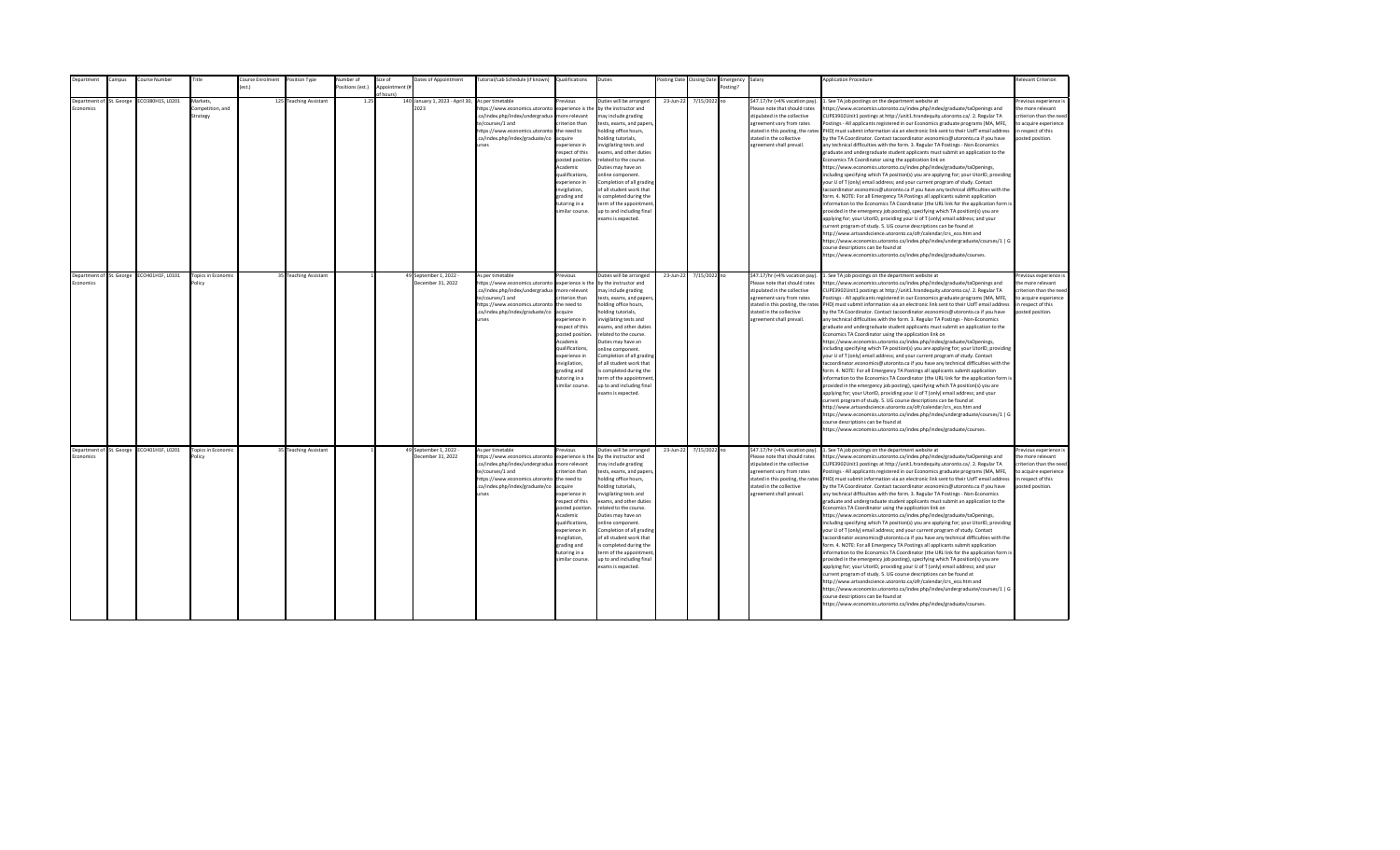| Department                                   | Campus | Course Number    | Title                                    | Course Enrolment Position Type |                        | <b>Number</b> of | Size of                     | Dates of Appointment                        | Tutorial/Lab Schedule (if known) Qualifications                                                                                                                                                             |                                                                                                                                                                                                                                                                   | Duties                                                                                                                                                                                                                                                                                                                                                                                                                                          |           | Posting Date Closing Date | Emergency Salary |                                                                                                                                                                                                                           | <b>Application Procedure</b>                                                                                                                                                                                                                                                                                                                                                                                                                                                                                                                                                                                                                                                                                                                                                                                                                                                                                                                                                                                                                                                                                                                                                                                                                                                                                                                                                                                                                                                                                                                                                                                                                                                                                                                                                                 | Relevant Criterion                                                                                                                       |
|----------------------------------------------|--------|------------------|------------------------------------------|--------------------------------|------------------------|------------------|-----------------------------|---------------------------------------------|-------------------------------------------------------------------------------------------------------------------------------------------------------------------------------------------------------------|-------------------------------------------------------------------------------------------------------------------------------------------------------------------------------------------------------------------------------------------------------------------|-------------------------------------------------------------------------------------------------------------------------------------------------------------------------------------------------------------------------------------------------------------------------------------------------------------------------------------------------------------------------------------------------------------------------------------------------|-----------|---------------------------|------------------|---------------------------------------------------------------------------------------------------------------------------------------------------------------------------------------------------------------------------|----------------------------------------------------------------------------------------------------------------------------------------------------------------------------------------------------------------------------------------------------------------------------------------------------------------------------------------------------------------------------------------------------------------------------------------------------------------------------------------------------------------------------------------------------------------------------------------------------------------------------------------------------------------------------------------------------------------------------------------------------------------------------------------------------------------------------------------------------------------------------------------------------------------------------------------------------------------------------------------------------------------------------------------------------------------------------------------------------------------------------------------------------------------------------------------------------------------------------------------------------------------------------------------------------------------------------------------------------------------------------------------------------------------------------------------------------------------------------------------------------------------------------------------------------------------------------------------------------------------------------------------------------------------------------------------------------------------------------------------------------------------------------------------------|------------------------------------------------------------------------------------------------------------------------------------------|
|                                              |        |                  |                                          |                                |                        | ositions (est.)  | Appointment (#<br>of hours! |                                             |                                                                                                                                                                                                             |                                                                                                                                                                                                                                                                   |                                                                                                                                                                                                                                                                                                                                                                                                                                                 |           |                           | Posting?         |                                                                                                                                                                                                                           |                                                                                                                                                                                                                                                                                                                                                                                                                                                                                                                                                                                                                                                                                                                                                                                                                                                                                                                                                                                                                                                                                                                                                                                                                                                                                                                                                                                                                                                                                                                                                                                                                                                                                                                                                                                              |                                                                                                                                          |
| Department of St. George<br><b>Economics</b> |        | ECO380H1S, L0201 | Markets.<br>competition, and<br>Strategy |                                | 125 Teaching Assistant | 1.25             |                             | 140 January 1, 2023 - April 30,<br>2023     | As per timetable<br>https://www.economics.utoronto<br>.ca/index.php/index/undergradua<br>te/courses/1 and<br>https://www.economics.utoronto<br>.ca/index.php/index/graduate/co<br>urses                     | Previous<br>experience is the<br>more relevant<br>riterion than<br>the need to<br>acquire<br>xperience in<br>respect of this<br>posted position<br>Academic<br>qualifications,<br>experience in<br>wigilation,<br>grading and<br>tutoring in a<br>similar course. | Duties will be arranged<br>by the instructor and<br>may include grading<br>tests, exams, and papers<br>holding office hours,<br>olding tutorials.<br>nvigilating tests and<br>exams, and other duties<br>related to the course.<br>Duties may have an<br>online component.<br>Completion of all grading<br>of all student work that<br>s completed during the<br>term of the appointment<br>up to and including final<br>exams is expected.     | 23-Jun-22 | 7/15/2022 no              |                  | \$47.17/hr (+4% vacation pay).<br>Please note that should rates<br>stipulated in the collective<br>agreement vary from rates<br>stated in this posting, the rates<br>stated in the collective<br>agreement shall prevail. | See TA job postings on the department website at<br>ttps://www.economics.utoronto.ca/index.php/index/graduate/taOpenings and<br>CUPE3902Unit1 postings at http://unit1.hrandequity.utoronto.ca/. 2. Regular TA<br>Postings - All applicants registered in our Economics graduate programs (MA, MFE,<br>PHD) must submit information via an electronic link sent to their UofT email address<br>by the TA Coordinator. Contact tacoordinator.economics@utoronto.ca if you have<br>any technical difficulties with the form. 3. Regular TA Postings - Non-Economics<br>graduate and undergraduate student applicants must submit an application to the<br>Economics TA Coordinator using the application link on<br>https://www.economics.utoronto.ca/index.php/index/graduate/taOpenings,<br>including specifying which TA position(s) you are applying for; your UtorID, providing<br>our U of T (only) email address; and your current program of study. Contact<br>acoordinator.economics@utoronto.ca if you have any technical difficulties with the<br>orm. 4. NOTE: For all Emergency TA Postings all applicants submit application<br>nformation to the Economics TA Coordinator (the URL link for the application form is<br>provided in the emergency job posting), specifying which TA position(s) you are<br>applying for; your UtorID, providing your U of T (only) email address; and your<br>urrent program of study. 5. UG course descriptions can be found at<br>http://www.artsandscience.utoronto.ca/ofr/calendar/crs_eco.htm and<br>https://www.economics.utoronto.ca/index.php/index/undergraduate/courses/1   G<br>ourse descriptions can be found at<br>ttps://www.economics.utoronto.ca/index.php/index/graduate/courses.                                              | revious experience i<br>the more relevant<br>criterion than the nee-<br>to acquire experience<br>in respect of this<br>posted position.  |
| Department of St. George<br>Economics        |        | ECO401H1F, L0101 | <b>Topics in Economic</b><br>Policy      |                                | 35 Teaching Assistant  |                  |                             | 49 September 1, 2022 -<br>December 31, 2022 | As per timetable<br>https://www.economics.utoronto<br>.ca/index.php/index/undergradua<br>te/courses/1 and<br>https://www.economics.utoronto the need to<br>.ca/index.php/index/graduate/co<br>urses         | revious<br>experience is the<br>more relevant<br>criterion than<br>acquire<br>experience in<br>respect of this<br>posted position.<br>Academic<br>qualifications.<br>experience in<br>invigilation.<br>grading and<br>tutoring in a<br>similar course.            | Duties will be arranged<br>by the instructor and<br>may include grading<br>tests, exams, and papers,<br>holding office hours,<br>holding tutorials,<br>invigilating tests and<br>exams, and other duties<br>related to the course.<br>Duties may have an<br>online component.<br>Completion of all grading<br>of all student work that<br>is completed during the<br>term of the appointment<br>up to and including final<br>exams is expected. | 23-Jun-22 | 7/15/2022 no              |                  | \$47.17/hr (+4% vacation pay).<br>Please note that should rates<br>stipulated in the collective<br>agreement vary from rates<br>stated in the collective<br>agreement shall prevail.                                      | 1. See TA job postings on the department website at<br>https://www.economics.utoronto.ca/index.php/index/graduate/taOpenings and<br>CUPE3902Unit1 postings at http://unit1.hrandequity.utoronto.ca/. 2. Regular TA<br>Postings - All applicants registered in our Economics graduate programs (MA, MFE,<br>stated in this posting, the rates PHD) must submit information via an electronic link sent to their UofT email address<br>by the TA Coordinator. Contact tacoordinator.economics@utoronto.ca if you have<br>any technical difficulties with the form. 3. Regular TA Postings - Non-Economics<br>graduate and undergraduate student applicants must submit an application to the<br>Economics TA Coordinator using the application link on<br>https://www.economics.utoronto.ca/index.php/index/graduate/taOpenings,<br>including specifying which TA position(s) you are applying for; your UtorID, providing<br>your U of T (only) email address; and your current program of study. Contact<br>tacoordinator.economics@utoronto.ca if you have any technical difficulties with the<br>form. 4. NOTE: For all Emergency TA Postings all applicants submit application<br>information to the Economics TA Coordinator (the URL link for the application form is<br>provided in the emergency job posting), specifying which TA position(s) you are<br>applying for; your UtorID, providing your U of T (only) email address; and your<br>current program of study. 5. UG course descriptions can be found at<br>http://www.artsandscience.utoronto.ca/ofr/calendar/crs eco.htm and<br>https://www.economics.utoronto.ca/index.php/index/undergraduate/courses/1   G<br>ourse descriptions can be found at<br>ittps://www.economics.utoronto.ca/index.php/index/graduate/courses.  | Previous experience i<br>the more relevant<br>criterion than the need<br>to acquire experience<br>in respect of this<br>posted position. |
| Department of St. George<br>Economics        |        | ECO401H1F, L0201 | <b>Topics in Economic</b><br>'olicy      |                                | 35 Teaching Assistant  |                  |                             | 49 September 1, 2022 -<br>December 31, 2022 | As per timetable<br>https://www.economics.utoronto<br>.ca/index.php/index/undergradua<br>te/courses/1 and<br>https://www.economics.utoronto the need to<br>.ca/index.php/index/graduate/co acquire<br>urses | revious<br>experience is the<br>more relevant<br>criterion than<br>experience in<br>respect of this<br>posted position<br>Academic<br>qualifications,<br>experience in<br>invigilation,<br>grading and<br>tutoring in a<br>similar course.                        | Duties will be arranged<br>by the instructor and<br>may include grading<br>tests, exams, and papers,<br>holding office hours,<br>holding tutorials,<br>nvigilating tests and<br>exams, and other duties<br>related to the course.<br>Duties may have an<br>online component.<br>Completion of all grading<br>of all student work that<br>is completed during the<br>term of the appointment<br>up to and including final<br>exams is expected.  | 23-Jun-22 | 7/15/2022 no              |                  | \$47.17/hr (+4% vacation pay).<br>Please note that should rates<br>stipulated in the collective<br>agreement vary from rates<br>stated in the collective<br>agreement shall prevail.                                      | 1. See TA job postings on the department website at<br>https://www.economics.utoronto.ca/index.php/index/graduate/taOpenings and<br>CUPE3902Unit1 postings at http://unit1.hrandequity.utoronto.ca/. 2. Regular TA<br>Postings - All applicants registered in our Economics graduate programs (MA, MFE,<br>stated in this posting, the rates PHD) must submit information via an electronic link sent to their UofT email address<br>by the TA Coordinator. Contact tacoordinator.economics@utoronto.ca if you have<br>any technical difficulties with the form. 3. Regular TA Postings - Non-Economics<br>graduate and undergraduate student applicants must submit an application to the<br>Economics TA Coordinator using the application link on<br>https://www.economics.utoronto.ca/index.php/index/graduate/taOpenings,<br>including specifying which TA position(s) you are applying for; your UtorID, providing<br>your U of T (only) email address; and your current program of study. Contact<br>tacoordinator.economics@utoronto.ca if you have any technical difficulties with the<br>form. 4. NOTE: For all Emergency TA Postings all applicants submit application<br>information to the Economics TA Coordinator (the URL link for the application form is<br>provided in the emergency job posting), specifying which TA position(s) you are<br>applying for; your UtorID, providing your U of T (only) email address; and your<br>current program of study. 5. UG course descriptions can be found at<br>http://www.artsandscience.utoronto.ca/ofr/calendar/crs eco.htm and<br>https://www.economics.utoronto.ca/index.php/index/undergraduate/courses/1   G<br>course descriptions can be found at<br>https://www.economics.utoronto.ca/index.php/index/graduate/courses. | revious experience i<br>the more relevant<br>criterion than the need<br>to acquire experience<br>in respect of this<br>posted position.  |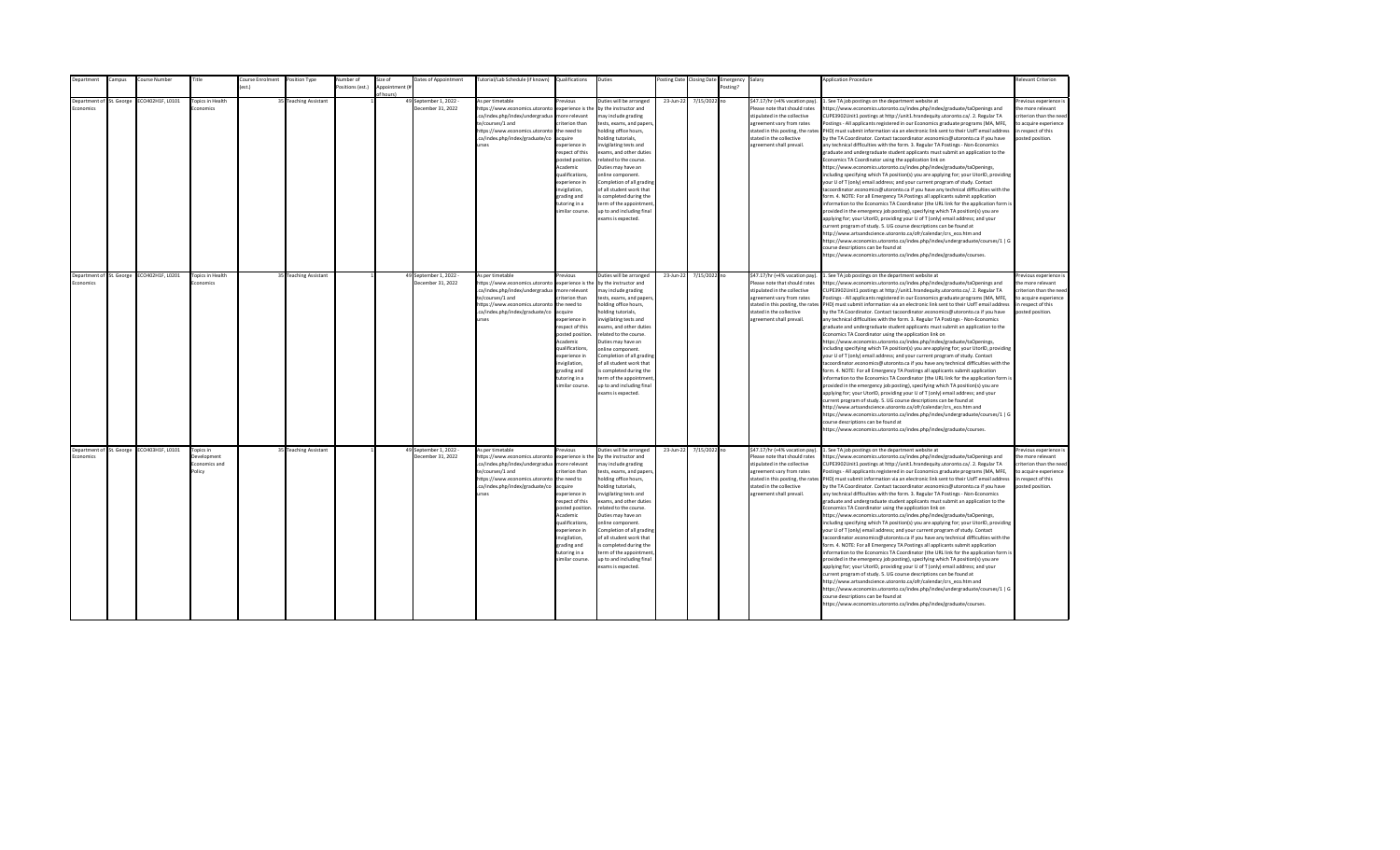| Department                            | Campus | Course Number                             | Title                                               | Course Enrolment | Position Type         | Number of        | Size of                    | Dates of Appointment                        | Tutorial/Lab Schedule (if known) Qualifications                                                                                                                                                |                                                                                                                                                                                                                                                                    | Duties                                                                                                                                                                                                                                                                                                                                                                                                                                         |           | Posting Date Closing Date | Emergency Salary |                                                                                                                                                                                                                           | <b>Application Procedure</b>                                                                                                                                                                                                                                                                                                                                                                                                                                                                                                                                                                                                                                                                                                                                                                                                                                                                                                                                                                                                                                                                                                                                                                                                                                                                                                                                                                                                                                                                                                                                                                                                                                                                                                                                                                 | <b>Relevant Criterion</b>                                                                                                                |
|---------------------------------------|--------|-------------------------------------------|-----------------------------------------------------|------------------|-----------------------|------------------|----------------------------|---------------------------------------------|------------------------------------------------------------------------------------------------------------------------------------------------------------------------------------------------|--------------------------------------------------------------------------------------------------------------------------------------------------------------------------------------------------------------------------------------------------------------------|------------------------------------------------------------------------------------------------------------------------------------------------------------------------------------------------------------------------------------------------------------------------------------------------------------------------------------------------------------------------------------------------------------------------------------------------|-----------|---------------------------|------------------|---------------------------------------------------------------------------------------------------------------------------------------------------------------------------------------------------------------------------|----------------------------------------------------------------------------------------------------------------------------------------------------------------------------------------------------------------------------------------------------------------------------------------------------------------------------------------------------------------------------------------------------------------------------------------------------------------------------------------------------------------------------------------------------------------------------------------------------------------------------------------------------------------------------------------------------------------------------------------------------------------------------------------------------------------------------------------------------------------------------------------------------------------------------------------------------------------------------------------------------------------------------------------------------------------------------------------------------------------------------------------------------------------------------------------------------------------------------------------------------------------------------------------------------------------------------------------------------------------------------------------------------------------------------------------------------------------------------------------------------------------------------------------------------------------------------------------------------------------------------------------------------------------------------------------------------------------------------------------------------------------------------------------------|------------------------------------------------------------------------------------------------------------------------------------------|
|                                       |        |                                           |                                                     | est.)            |                       | Positions (est.) | Appointment (i<br>f hours) |                                             |                                                                                                                                                                                                |                                                                                                                                                                                                                                                                    |                                                                                                                                                                                                                                                                                                                                                                                                                                                |           |                           | Posting?         |                                                                                                                                                                                                                           |                                                                                                                                                                                                                                                                                                                                                                                                                                                                                                                                                                                                                                                                                                                                                                                                                                                                                                                                                                                                                                                                                                                                                                                                                                                                                                                                                                                                                                                                                                                                                                                                                                                                                                                                                                                              |                                                                                                                                          |
| Department of St. George<br>conomics  |        | ECO402H1F, L0101                          | <b>Topics in Health</b><br>conomics                 |                  | 35 Teaching Assistant |                  |                            | 49 September 1, 2022 -<br>December 31, 2022 | As per timetable<br>https://www.economics.utoronto<br>.ca/index.php/index/undergradua<br>te/courses/1 and<br>https://www.economics.utoronto<br>.ca/index.php/index/graduate/co<br><b>urses</b> | revious<br>experience is the<br>nore relevant<br>riterion than<br>the need to<br>cauire<br>xperience in<br>espect of this<br>posted position<br>Academic<br>qualifications,<br>xperience in<br>nvigilation,<br>trading and<br>utoring in a<br>imilar course.       | Duties will be arranged<br>by the instructor and<br>nay include grading<br>tests, exams, and papers<br>nolding office hours,<br>olding tutorials,<br>nvigilating tests and<br>exams, and other duties<br>related to the course.<br>Duties may have an<br>online component.<br>Completion of all grading<br>of all student work that<br>s completed during the<br>erm of the appointment<br>up to and including final<br>exams is expected.     | 23-Jun-22 | 7/15/2022 no              |                  | \$47.17/hr (+4% vacation pay).<br>Please note that should rates<br>stipulated in the collective<br>agreement vary from rates<br>stated in this posting, the rates<br>stated in the collective<br>agreement shall prevail. | 1. See TA job postings on the department website at<br>https://www.economics.utoronto.ca/index.php/index/graduate/taOpenings and<br>CUPE3902Unit1 postings at http://unit1.hrandequity.utoronto.ca/. 2. Regular TA<br>Postings - All applicants registered in our Economics graduate programs (MA, MFE,<br>PHD) must submit information via an electronic link sent to their UofT email address<br>by the TA Coordinator. Contact tacoordinator.economics@utoronto.ca if you have<br>any technical difficulties with the form. 3. Regular TA Postings - Non-Economics<br>graduate and undergraduate student applicants must submit an application to the<br>Economics TA Coordinator using the application link on<br>https://www.economics.utoronto.ca/index.php/index/graduate/taOpenings,<br>including specifying which TA position(s) you are applying for; your UtorID, providing<br>your U of T (only) email address; and your current program of study. Contact<br>tacoordinator.economics@utoronto.ca if you have any technical difficulties with the<br>form. 4. NOTE: For all Emergency TA Postings all applicants submit application<br>information to the Economics TA Coordinator (the URL link for the application form is<br>provided in the emergency job posting), specifying which TA position(s) you are<br>applying for; your UtorID, providing your U of T (only) email address; and your<br>current program of study. 5. UG course descriptions can be found at<br>http://www.artsandscience.utoronto.ca/ofr/calendar/crs eco.htm and<br>https://www.economics.utoronto.ca/index.php/index/undergraduate/courses/1   G<br>course descriptions can be found at<br>https://www.economics.utoronto.ca/index.php/index/graduate/courses.                                   | revious experience i<br>the more relevant<br>riterion than the need<br>to acquire experience<br>in respect of this<br>posted position.   |
| Department of St. George<br>Fronomics |        | ECO402H1F, L0201                          | Topics in Health<br>Economics                       |                  | 35 Teaching Assistant |                  |                            | 49 September 1, 2022 -<br>December 31, 2022 | As per timetable<br>https://www.economics.utoronto<br>.ca/index.php/index/undergradua<br>te/courses/1 and<br>https://www.economics.utoronto<br>.ca/index.php/index/graduate/co<br><b>urses</b> | revious<br>experience is the<br>more relevant<br>riterion than<br>the need to<br>acquire<br>experience in<br>respect of this<br>posted position<br>Academic<br>qualifications,<br>experience in<br>nvigilation,<br>grading and<br>tutoring in a<br>imilar course.  | Duties will be arranged<br>by the instructor and<br>may include grading<br>tests, exams, and papers,<br>holding office hours,<br>nolding tutorials,<br>nvigilating tests and<br>exams, and other duties<br>related to the course.<br>Duties may have an<br>online component.<br>Completion of all grading<br>of all student work that<br>is completed during the<br>term of the appointment<br>up to and including final<br>exams is expected. | 23-Jun-22 | 7/15/2022 no              |                  | \$47.17/hr (+4% vacation pay).<br>Please note that should rates<br>stipulated in the collective<br>agreement vary from rates<br>stated in the collective<br>agreement shall prevail.                                      | 1. See TA job postings on the department website at<br>https://www.economics.utoronto.ca/index.php/index/graduate/taOpenings and<br>CUPE3902Unit1 postings at http://unit1.hrandequity.utoronto.ca/. 2. Regular TA<br>Postings - All applicants registered in our Economics graduate programs (MA, MFE,<br>stated in this posting, the rates PHD) must submit information via an electronic link sent to their UofT email address<br>by the TA Coordinator. Contact tacoordinator.economics@utoronto.ca if you have<br>any technical difficulties with the form. 3. Regular TA Postings - Non-Economics<br>graduate and undergraduate student applicants must submit an application to the<br>Economics TA Coordinator using the application link on<br>https://www.economics.utoronto.ca/index.php/index/graduate/taOpenings,<br>including specifying which TA position(s) you are applying for; your UtorID, providing<br>your U of T (only) email address; and your current program of study. Contact<br>tacoordinator.economics@utoronto.ca if you have any technical difficulties with the<br>form. 4. NOTE: For all Emergency TA Postings all applicants submit application<br>information to the Economics TA Coordinator (the URL link for the application form is<br>provided in the emergency job posting), specifying which TA position(s) you are<br>applying for; your UtorID, providing your U of T (only) email address; and your<br>current program of study. 5. UG course descriptions can be found at<br>http://www.artsandscience.utoronto.ca/ofr/calendar/crs_eco.htm and<br>https://www.economics.utoronto.ca/index.php/index/undergraduate/courses/1   G<br>course descriptions can be found at<br>https://www.economics.utoronto.ca/index.php/index/graduate/courses. | Previous experience i<br>the more relevant<br>criterion than the need<br>to acquire experience<br>in respect of this<br>posted position. |
| Economics                             |        | Department of St. George ECO403H1F, L0101 | Topics in<br>Development<br>Economics and<br>Policy |                  | 35 Teaching Assistant |                  |                            | 49 September 1, 2022 -<br>December 31, 2022 | As per timetable<br>https://www.economics.utoronto<br>.ca/index.php/index/undergradua<br>te/courses/1 and<br>https://www.economics.utoronto<br>.ca/index.php/index/graduate/co<br><b>urses</b> | revious<br>experience is the<br>more relevant<br>riterion than<br>the need to<br>acquire<br>experience in<br>respect of this<br>posted position<br>Academic<br>qualifications,<br>experience in<br>invigilation,<br>grading and<br>tutoring in a<br>imilar course. | Duties will be arranged<br>by the instructor and<br>may include grading<br>tests, exams, and papers,<br>holding office hours,<br>nolding tutorials,<br>nvigilating tests and<br>exams, and other duties<br>related to the course.<br>Duties may have an<br>online component.<br>Completion of all grading<br>of all student work that<br>is completed during the<br>term of the appointment<br>up to and including final<br>exams is expected. | 23-Jun-22 | 7/15/2022 no              |                  | \$47.17/hr (+4% vacation pay).<br>Please note that should rates<br>stipulated in the collective<br>agreement vary from rates<br>stated in the collective<br>agreement shall prevail.                                      | 1. See TA job postings on the department website at<br>https://www.economics.utoronto.ca/index.php/index/graduate/taOpenings and<br>CUPE3902Unit1 postings at http://unit1.hrandequity.utoronto.ca/. 2. Regular TA<br>Postings - All applicants registered in our Economics graduate programs (MA, MFE,<br>stated in this posting, the rates PHD) must submit information via an electronic link sent to their UofT email address<br>by the TA Coordinator. Contact tacoordinator.economics@utoronto.ca if you have<br>any technical difficulties with the form. 3. Regular TA Postings - Non-Economics<br>graduate and undergraduate student applicants must submit an application to the<br>Economics TA Coordinator using the application link on<br>https://www.economics.utoronto.ca/index.php/index/graduate/taOpenings,<br>including specifying which TA position(s) you are applying for; your UtorID, providing<br>your U of T (only) email address; and your current program of study. Contact<br>tacoordinator.economics@utoronto.ca if you have any technical difficulties with the<br>form. 4. NOTE: For all Emergency TA Postings all applicants submit application<br>information to the Economics TA Coordinator (the URL link for the application form is<br>provided in the emergency job posting), specifying which TA position(s) you are<br>applying for; your UtorID, providing your U of T (only) email address; and your<br>current program of study. 5. UG course descriptions can be found at<br>http://www.artsandscience.utoronto.ca/ofr/calendar/crs eco.htm and<br>https://www.economics.utoronto.ca/index.php/index/undergraduate/courses/1   G<br>course descriptions can be found at<br>https://www.economics.utoronto.ca/index.php/index/graduate/courses. | Previous experience i<br>the more relevant<br>criterion than the need<br>to acquire experience<br>in respect of this<br>posted position. |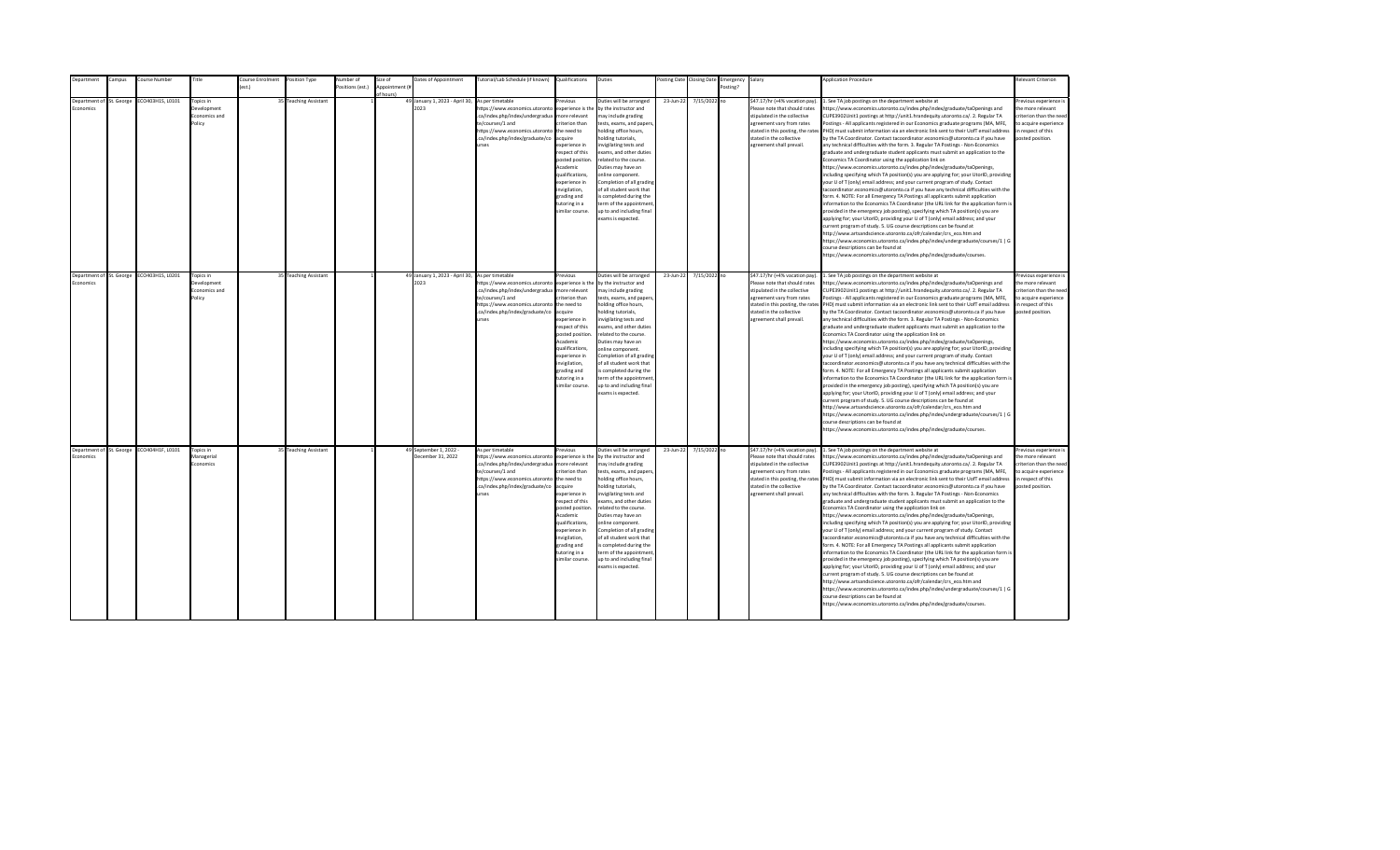| Department                            | Campus     | Course Number                             | <b>Title</b>                                               | Position Type<br>Course Enrolment | Numher of        | Size of        | Dates of Appointment                        | Tutorial/Lab Schedule (if known) Qualifications                                                                                                                                                                                                 |                                                                                                                                                                                                                  | Duties                                                                                                                                                                                                                                                                                                                                                                                                                                        |           | osting Date Closing Date | :mergency | Salary                                                                                                                                                                                                                    | <b>Application Procedure</b>                                                                                                                                                                                                                                                                                                                                                                                                                                                                                                                                                                                                                                                                                                                                                                                                                                                                                                                                                                                                                                                                                                                                                                                                                                                                                                                                                                                                                                                                                                                                                                                                                                                                                                                                                                 | Relevant Criterion                                                                                                                       |
|---------------------------------------|------------|-------------------------------------------|------------------------------------------------------------|-----------------------------------|------------------|----------------|---------------------------------------------|-------------------------------------------------------------------------------------------------------------------------------------------------------------------------------------------------------------------------------------------------|------------------------------------------------------------------------------------------------------------------------------------------------------------------------------------------------------------------|-----------------------------------------------------------------------------------------------------------------------------------------------------------------------------------------------------------------------------------------------------------------------------------------------------------------------------------------------------------------------------------------------------------------------------------------------|-----------|--------------------------|-----------|---------------------------------------------------------------------------------------------------------------------------------------------------------------------------------------------------------------------------|----------------------------------------------------------------------------------------------------------------------------------------------------------------------------------------------------------------------------------------------------------------------------------------------------------------------------------------------------------------------------------------------------------------------------------------------------------------------------------------------------------------------------------------------------------------------------------------------------------------------------------------------------------------------------------------------------------------------------------------------------------------------------------------------------------------------------------------------------------------------------------------------------------------------------------------------------------------------------------------------------------------------------------------------------------------------------------------------------------------------------------------------------------------------------------------------------------------------------------------------------------------------------------------------------------------------------------------------------------------------------------------------------------------------------------------------------------------------------------------------------------------------------------------------------------------------------------------------------------------------------------------------------------------------------------------------------------------------------------------------------------------------------------------------|------------------------------------------------------------------------------------------------------------------------------------------|
|                                       |            |                                           |                                                            | $f$ $p$ st $f$                    | Positions (est.) | Annointment (# |                                             |                                                                                                                                                                                                                                                 |                                                                                                                                                                                                                  |                                                                                                                                                                                                                                                                                                                                                                                                                                               |           |                          | Posting?  |                                                                                                                                                                                                                           |                                                                                                                                                                                                                                                                                                                                                                                                                                                                                                                                                                                                                                                                                                                                                                                                                                                                                                                                                                                                                                                                                                                                                                                                                                                                                                                                                                                                                                                                                                                                                                                                                                                                                                                                                                                              |                                                                                                                                          |
|                                       |            |                                           |                                                            |                                   |                  | f hours)       |                                             |                                                                                                                                                                                                                                                 |                                                                                                                                                                                                                  |                                                                                                                                                                                                                                                                                                                                                                                                                                               |           |                          |           |                                                                                                                                                                                                                           |                                                                                                                                                                                                                                                                                                                                                                                                                                                                                                                                                                                                                                                                                                                                                                                                                                                                                                                                                                                                                                                                                                                                                                                                                                                                                                                                                                                                                                                                                                                                                                                                                                                                                                                                                                                              |                                                                                                                                          |
| Denartment of<br>Fronomics            | St. George | ECO403H1S, L0101                          | <b>Conics</b> in<br>Development<br>Economics and<br>Policy | 35 Teaching Assistant             |                  |                | 49 January 1, 2023 - April 30,<br>2023      | As per timetable<br>https://www.economics.utoronto experience is the<br>.ca/index.php/index/undergradua more relevant<br>te/courses/1 and<br>https://www.economics.utoronto the need to<br>.ca/index.php/index/graduate/co<br><b>ULCOC</b>      | Previous<br>riterion than<br>acquire<br>experience in<br>respect of this<br>posted position.<br>Academic<br>qualifications,<br>experience in<br>nvigilation,<br>grading and                                      | Duties will be arranged<br>by the instructor and<br>may include grading<br>tests, exams, and papers<br>holding office hours,<br>holding tutorials,<br>nvigilating tests and<br>exams, and other duties<br>related to the course.<br>Duties may have an<br>online component.<br>Completion of all grading<br>of all student work that<br>is completed during the                                                                               | 23-Jun-22 | 7/15/2022 no             |           | \$47.17/hr (+4% vacation pay).<br>Please note that should rates<br>stipulated in the collective<br>agreement vary from rates<br>stated in this posting, the rates<br>stated in the collective<br>agreement shall prevail. | 1. See TA job postings on the department website at<br>https://www.economics.utoronto.ca/index.php/index/graduate/taOpenings and<br>CUPE3902Unit1 postings at http://unit1.hrandequity.utoronto.ca/. 2. Regular TA<br>Postings - All applicants registered in our Economics graduate programs (MA, MFE,<br>PHD) must submit information via an electronic link sent to their UofT email address<br>by the TA Coordinator. Contact tacoordinator.economics@utoronto.ca if you have<br>any technical difficulties with the form. 3. Regular TA Postings - Non-Economics<br>graduate and undergraduate student applicants must submit an application to the<br>Economics TA Coordinator using the application link on<br>https://www.economics.utoronto.ca/index.php/index/graduate/taOpenings,<br>including specifying which TA position(s) you are applying for; your UtorID, providing<br>your U of T (only) email address; and your current program of study. Contact<br>tacoordinator.economics@utoronto.ca if you have any technical difficulties with the<br>form. 4. NOTE: For all Emergency TA Postings all applicants submit application                                                                                                                                                                                                                                                                                                                                                                                                                                                                                                                                                                                                                                              | Previous experience i<br>the more relevant<br>criterion than the need<br>to acquire experience<br>in respect of this<br>posted position. |
|                                       |            |                                           |                                                            |                                   |                  |                |                                             |                                                                                                                                                                                                                                                 | tutoring in a<br>similar course.                                                                                                                                                                                 | term of the appointment<br>up to and including final<br>exams is expected.                                                                                                                                                                                                                                                                                                                                                                    |           |                          |           |                                                                                                                                                                                                                           | information to the Economics TA Coordinator (the URL link for the application form is<br>provided in the emergency job posting), specifying which TA position(s) you are<br>applying for; your UtorID, providing your U of T (only) email address; and your<br>urrent program of study. 5. UG course descriptions can be found at<br>http://www.artsandscience.utoronto.ca/ofr/calendar/crs_eco.htm and<br>https://www.economics.utoronto.ca/index.php/index/undergraduate/courses/1   G<br>ourse descriptions can be found at<br>ittps://www.economics.utoronto.ca/index.php/index/graduate/courses.                                                                                                                                                                                                                                                                                                                                                                                                                                                                                                                                                                                                                                                                                                                                                                                                                                                                                                                                                                                                                                                                                                                                                                                        |                                                                                                                                          |
| Department of St. George<br>Economics |            | ECO403H1S, L0201                          | Topics in<br>Development<br>Economics and<br>Policy        | 35 Teaching Assistant             |                  |                | 49 January 1, 2023 - April 30,<br>2023      | As per timetable<br>https://www.economics.utoronto experience is the<br>ca/index.php/index/undergradua more relevant<br>te/courses/1 and<br>https://www.economics.utoronto the need to<br>ca/index.php/index/graduate/co<br><b>urses</b>        | Previous<br>criterion than<br>acquire<br>experience in<br>respect of this<br>nosted position<br>Academic<br>qualifications.<br>experience in<br>invigilation,<br>grading and<br>tutoring in a<br>similar course. | Outies will be arranged<br>by the instructor and<br>nay include grading<br>tests, exams, and papers<br>holding office hours,<br>holding tutorials,<br>nvigilating tests and<br>exams, and other duties<br>related to the course.<br>Duties may have an<br>online component.<br>Completion of all grading<br>of all student work that<br>is completed during the<br>term of the appointment<br>up to and including final<br>exams is expected. | 23-Jun-22 | 7/15/2022 no             |           | \$47.17/hr (+4% vacation pay).<br>Please note that should rates<br>stipulated in the collective<br>agreement vary from rates<br>stated in the collective<br>agreement shall prevail.                                      | 1. See TA job postings on the department website at<br>https://www.economics.utoronto.ca/index.php/index/graduate/taOpenings and<br>CUPE3902Unit1 postings at http://unit1.hrandequity.utoronto.ca/. 2. Regular TA<br>Postings - All applicants registered in our Economics graduate programs (MA, MFE,<br>stated in this posting, the rates PHD) must submit information via an electronic link sent to their UofT email address<br>by the TA Coordinator. Contact tacoordinator.economics@utoronto.ca if you have<br>any technical difficulties with the form. 3. Regular TA Postings - Non-Economics<br>eraduate and undergraduate student applicants must submit an application to the<br>Economics TA Coordinator using the application link on<br>https://www.economics.utoronto.ca/index.php/index/graduate/taOpenings,<br>including specifying which TA position(s) you are applying for; your UtorID, providing<br>your U of T (only) email address; and your current program of study. Contact<br>tacoordinator.economics@utoronto.ca if you have any technical difficulties with the<br>form. 4. NOTE: For all Emergency TA Postings all applicants submit application<br>information to the Economics TA Coordinator (the URL link for the application form is<br>provided in the emergency job posting), specifying which TA position(s) you are<br>applying for; your UtorID, providing your U of T (only) email address; and your<br>current program of study. 5. UG course descriptions can be found at<br>http://www.artsandscience.utoronto.ca/ofr/calendar/crs_eco.htm and<br>https://www.economics.utoronto.ca/index.php/index/undergraduate/courses/1   G<br>ourse descriptions can be found at<br>ittps://www.economics.utoronto.ca/index.php/index/graduate/courses.  | Previous experience i<br>the more relevant<br>criterion than the need<br>to acquire experience<br>in respect of this<br>posted position. |
| <b>Economics</b>                      |            | Department of St. George ECO404H1F, L0101 | Topics in<br>Managerial<br>conomics                        | 35 Teaching Assistant             |                  |                | 49 September 1, 2022 -<br>December 31, 2022 | As per timetable<br>https://www.economics.utoronto experience is th<br>ca/index.php/index/undergradua more relevant<br>te/courses/1 and<br>https://www.economics.utoronto the need to<br>ca/index.php/index/graduate/co acquire<br><b>urses</b> | Previous<br>criterion than<br>experience in<br>respect of this<br>posted position.<br>Academic<br>qualifications,<br>experience in<br>invigilation,<br>grading and<br>tutoring in a<br>similar course.           | Duties will be arranged<br>by the instructor and<br>nay include grading<br>tests, exams, and papers<br>holding office hours,<br>holding tutorials,<br>nvigilating tests and<br>exams, and other duties<br>related to the course.<br>Duties may have an<br>online component.<br>Completion of all grading<br>of all student work that<br>is completed during the<br>term of the appointment<br>up to and including final<br>exams is expected. | 23-Jun-22 | 7/15/2022 no             |           | \$47.17/hr (+4% vacation pay).<br>Please note that should rates<br>stipulated in the collective<br>agreement vary from rates<br>stated in the collective<br>agreement shall prevail.                                      | 1. See TA job postings on the department website at<br>https://www.economics.utoronto.ca/index.php/index/graduate/taOpenings and<br>CUPE3902Unit1 postings at http://unit1.hrandequity.utoronto.ca/. 2. Regular TA<br>Postings - All applicants registered in our Economics graduate programs (MA, MFE,<br>stated in this posting, the rates PHD) must submit information via an electronic link sent to their UofT email address<br>by the TA Coordinator. Contact tacoordinator.economics@utoronto.ca if you have<br>any technical difficulties with the form. 3. Regular TA Postings - Non-Economics<br>graduate and undergraduate student applicants must submit an application to the<br>Economics TA Coordinator using the application link on<br>https://www.economics.utoronto.ca/index.php/index/graduate/taOpenings,<br>including specifying which TA position(s) you are applying for; your UtorID, providing<br>your U of T (only) email address; and your current program of study. Contact<br>tacoordinator.economics@utoronto.ca if you have any technical difficulties with the<br>form. 4. NOTE: For all Emergency TA Postings all applicants submit application<br>information to the Economics TA Coordinator (the URL link for the application form is<br>provided in the emergency job posting), specifying which TA position(s) you are<br>applying for; your UtorID, providing your U of T (only) email address; and your<br>current program of study. 5. UG course descriptions can be found at<br>http://www.artsandscience.utoronto.ca/ofr/calendar/crs eco.htm and<br>https://www.economics.utoronto.ca/index.php/index/undergraduate/courses/1   G<br>course descriptions can be found at<br>https://www.economics.utoronto.ca/index.php/index/graduate/courses. | revious experience i<br>the more relevant<br>criterion than the need<br>to acquire experience<br>in respect of this<br>posted position.  |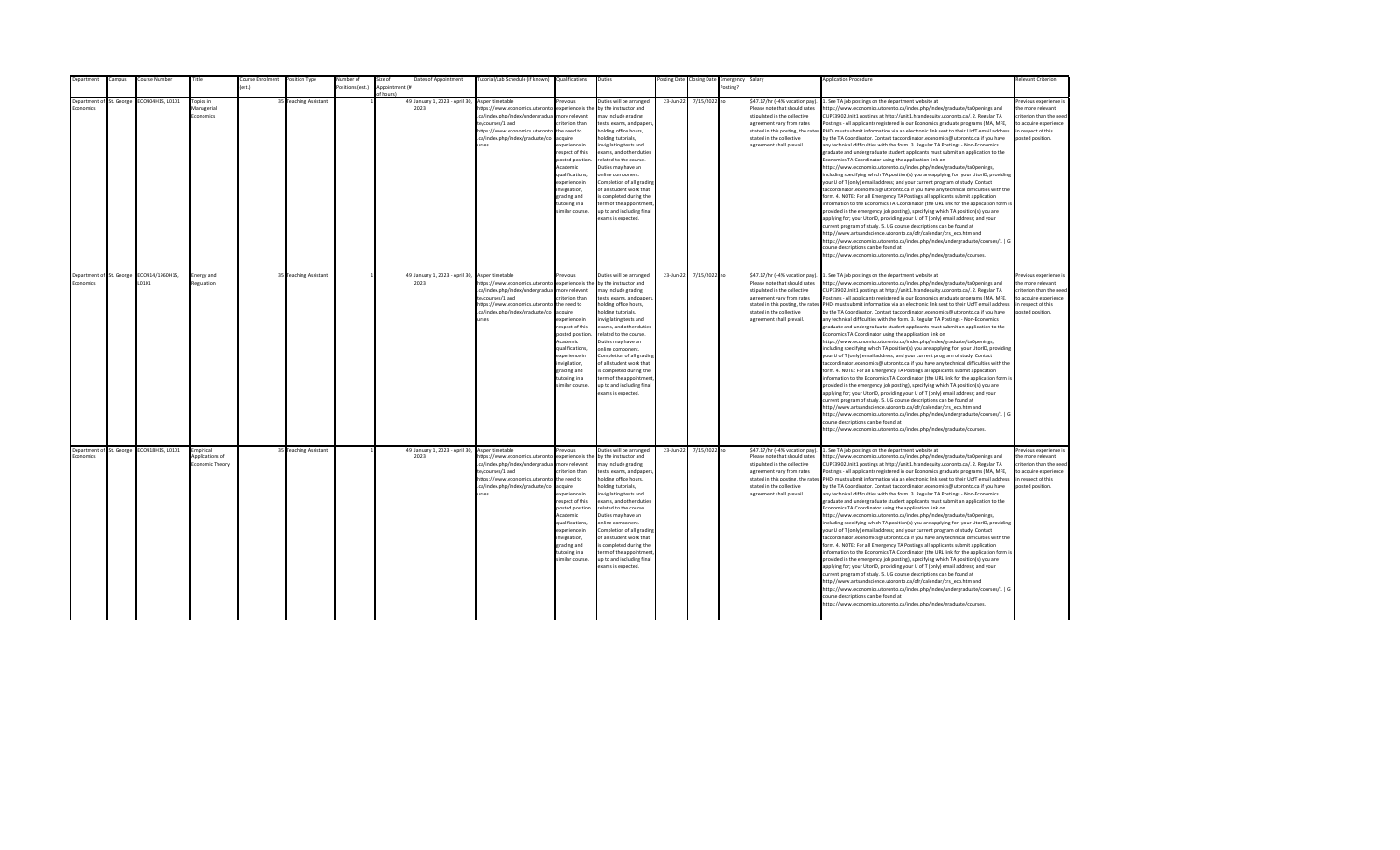| Department                        | ampus:                                 | ourse Number                       | Title                                                     | <b>Course Enrolment</b> | Position Type                                  | lumber of       | size of        | Dates of Appointment                                                                      | lutorial/Lab Schedule (if known)                                                                                                                                                        | Qualifications                                                                                                                                                                                                                                                                 | Duties                                                                                                                                                                                                                                                                                                                                                                                                                                                                   | osting Date            | <b>Closing Date</b>          | Emergency | Salary                                                                                                                                                                                                                                                     | <b>Application Procedure</b>                                                                                                                                                                                                                                                                                                                                                                                                                                                                                                                                                                                                                                                                                                                                                                                                                                                                                                                                                                                                                                                                                                                                                                                                                                                                                                                                                                                                                                                                                                                                                                                                                                                                                                                                                                                | Relevant Criterion                                                                                                                                                |
|-----------------------------------|----------------------------------------|------------------------------------|-----------------------------------------------------------|-------------------------|------------------------------------------------|-----------------|----------------|-------------------------------------------------------------------------------------------|-----------------------------------------------------------------------------------------------------------------------------------------------------------------------------------------|--------------------------------------------------------------------------------------------------------------------------------------------------------------------------------------------------------------------------------------------------------------------------------|--------------------------------------------------------------------------------------------------------------------------------------------------------------------------------------------------------------------------------------------------------------------------------------------------------------------------------------------------------------------------------------------------------------------------------------------------------------------------|------------------------|------------------------------|-----------|------------------------------------------------------------------------------------------------------------------------------------------------------------------------------------------------------------------------------------------------------------|-------------------------------------------------------------------------------------------------------------------------------------------------------------------------------------------------------------------------------------------------------------------------------------------------------------------------------------------------------------------------------------------------------------------------------------------------------------------------------------------------------------------------------------------------------------------------------------------------------------------------------------------------------------------------------------------------------------------------------------------------------------------------------------------------------------------------------------------------------------------------------------------------------------------------------------------------------------------------------------------------------------------------------------------------------------------------------------------------------------------------------------------------------------------------------------------------------------------------------------------------------------------------------------------------------------------------------------------------------------------------------------------------------------------------------------------------------------------------------------------------------------------------------------------------------------------------------------------------------------------------------------------------------------------------------------------------------------------------------------------------------------------------------------------------------------|-------------------------------------------------------------------------------------------------------------------------------------------------------------------|
|                                   |                                        |                                    |                                                           | $f$ est.)               |                                                | ositions (est.) | Annointment (# |                                                                                           |                                                                                                                                                                                         |                                                                                                                                                                                                                                                                                |                                                                                                                                                                                                                                                                                                                                                                                                                                                                          |                        |                              | Posting?  |                                                                                                                                                                                                                                                            |                                                                                                                                                                                                                                                                                                                                                                                                                                                                                                                                                                                                                                                                                                                                                                                                                                                                                                                                                                                                                                                                                                                                                                                                                                                                                                                                                                                                                                                                                                                                                                                                                                                                                                                                                                                                             |                                                                                                                                                                   |
| Denartment of<br><b>Economics</b> | St. George<br>Department of St. George | CO404H1S, L0101<br>ECO414/1960H1S, | Topics in<br>Managerial<br><b>Economics</b><br>Energy and |                         | 35 Teaching Assistant<br>35 Teaching Assistant |                 | of hours)      | 49 January 1, 2023 - April 30,<br>2023<br>49 January 1, 2023 - April 30, As per timetable | As per timetable<br>https://www.economics.utoronto<br>.ca/index.php/index/undergradua<br>te/courses/1 and<br>https://www.economics.utoronto<br>.ca/index.php/index/graduate/co<br>urses | revious<br>experience is the<br>more relevant<br>riterion than<br>the need to<br>acquire<br>experience in<br>respect of this<br>posted position.<br>Academic<br>qualifications,<br>experience in<br>nvigilation,<br>grading and<br>tutoring in a<br>similar course.<br>revious | Duties will be arranged<br>by the instructor and<br>may include grading<br>tests, exams, and papers,<br>holding office hours,<br>holding tutorials,<br>nvigilating tests and<br>exams, and other duties<br>related to the course.<br>Duties may have an<br>online component.<br>Completion of all grading<br>of all student work that<br>s completed during the<br>term of the appointment<br>up to and including final<br>exams is expected.<br>Duties will be arranged | 23-Jun-22<br>23-Jun-22 | 7/15/2022 no<br>7/15/2022 no |           | \$47.17/hr (+4% vacation pay)<br>Please note that should rates<br>stipulated in the collective<br>agreement vary from rates<br>stated in this posting, the rates<br>stated in the collective<br>agreement shall prevail.<br>\$47.17/hr (+4% vacation pay). | . See TA job postings on the department website at<br>ttps://www.economics.utoronto.ca/index.php/index/graduate/taOpenings and<br>CUPE3902Unit1 postings at http://unit1.hrandequity.utoronto.ca/. 2. Regular TA<br>ostings - All applicants registered in our Economics graduate programs (MA, MFE,<br>PHD) must submit information via an electronic link sent to their UofT email address<br>by the TA Coordinator. Contact tacoordinator.economics@utoronto.ca if you have<br>any technical difficulties with the form. 3. Regular TA Postings - Non-Economics<br>graduate and undergraduate student applicants must submit an application to the<br>Economics TA Coordinator using the application link on<br>https://www.economics.utoronto.ca/index.php/index/graduate/taOpenings,<br>including specifying which TA position(s) you are applying for; your UtorID, providing<br>your U of T (only) email address; and your current program of study. Contact<br>acoordinator.economics@utoronto.ca if you have any technical difficulties with the<br>form. 4. NOTE: For all Emergency TA Postings all applicants submit application<br>information to the Economics TA Coordinator (the URL link for the application form is<br>provided in the emergency job posting), specifying which TA position(s) you are<br>applying for; your UtorID, providing your U of T (only) email address; and your<br>urrent program of study. 5. UG course descriptions can be found at<br>http://www.artsandscience.utoronto.ca/ofr/calendar/crs eco.htm and<br>https://www.economics.utoronto.ca/index.php/index/undergraduate/courses/1   G<br>ourse descriptions can be found at<br>https://www.economics.utoronto.ca/index.php/index/graduate/courses.<br>1. See TA job postings on the department website at | Previous experience i<br>the more relevant<br>criterion than the need<br>to acquire experience<br>in respect of this<br>posted position.<br>Previous experience i |
| Economics                         |                                        | 10101                              | Regulation                                                |                         |                                                |                 |                | 2023                                                                                      | https://www.economics.utoronto<br>.ca/index.php/index/undergradua<br>te/courses/1 and<br>https://www.economics.utoronto<br>.ca/index.php/index/graduate/co<br>urses                     | experience is the<br>more relevant<br>criterion than<br>the need to<br>acquire<br>experience in<br>respect of this<br>posted position.<br>Academic<br>qualifications.<br>experience in<br>invigilation,<br>grading and<br>tutoring in a<br>similar course.                     | by the instructor and<br>may include grading<br>tests, exams, and papers,<br>holding office hours,<br>holding tutorials,<br>invigilating tests and<br>exams, and other duties<br>related to the course.<br>Duties may have an<br>online component.<br>Completion of all grading<br>of all student work that<br>is completed during the<br>term of the appointment<br>up to and including final<br>exams is expected.                                                     |                        |                              |           | Please note that should rates<br>stipulated in the collective<br>agreement vary from rates<br>stated in the collective<br>agreement shall prevail.                                                                                                         | https://www.economics.utoronto.ca/index.php/index/graduate/taOpenings and<br>CUPE3902Unit1 postings at http://unit1.hrandequity.utoronto.ca/. 2. Regular TA<br>Postings - All applicants registered in our Economics graduate programs (MA, MFE,<br>stated in this posting, the rates PHD) must submit information via an electronic link sent to their UofT email address<br>by the TA Coordinator. Contact tacoordinator.economics@utoronto.ca if you have<br>any technical difficulties with the form. 3. Regular TA Postings - Non-Economics<br>graduate and undergraduate student applicants must submit an application to the<br>Economics TA Coordinator using the application link on<br>https://www.economics.utoronto.ca/index.php/index/graduate/taOpenings,<br>including specifying which TA position(s) you are applying for; your UtorID, providing<br>your U of T (only) email address; and your current program of study. Contact<br>tacoordinator.economics@utoronto.ca if you have any technical difficulties with the<br>form. 4. NOTE: For all Emergency TA Postings all applicants submit application<br>information to the Economics TA Coordinator (the URL link for the application form is<br>provided in the emergency job posting), specifying which TA position(s) you are<br>applying for; your UtorID, providing your U of T (only) email address; and your<br>current program of study. 5. UG course descriptions can be found at<br>http://www.artsandscience.utoronto.ca/ofr/calendar/crs_eco.htm and<br>https://www.economics.utoronto.ca/index.php/index/undergraduate/courses/1   G<br>ourse descriptions can be found at<br>ittps://www.economics.utoronto.ca/index.php/index/graduate/courses.                                                                        | the more relevant<br>criterion than the need<br>to acquire experience<br>in respect of this<br>posted position.                                                   |
| Economics                         | Department of St. George               | ECO418H1S, L0101                   | Empirical<br>Applications of<br>Economic Theory           |                         | 35 Teaching Assistant                          |                 |                | 49 January 1, 2023 - April 30, As per timetable<br>2023                                   | https://www.economics.utoronto<br>.ca/index.php/index/undergradua<br>te/courses/1 and<br>https://www.economics.utoronto the need to<br>.ca/index.php/index/graduate/co<br>urses         | Previous<br>experience is the<br>more relevant<br>criterion than<br>acquire<br>experience in<br>respect of this<br>posted position<br>Academic<br>qualifications,<br>experience in<br>invigilation,<br>grading and<br>tutoring in a<br>similar course.                         | Duties will be arranged<br>by the instructor and<br>may include grading<br>tests, exams, and papers,<br>holding office hours,<br>holding tutorials,<br>nvigilating tests and<br>exams, and other duties<br>related to the course.<br>Duties may have an<br>online component.<br>Completion of all grading<br>of all student work that<br>is completed during the<br>term of the appointment<br>up to and including final<br>exams is expected.                           | 23-Jun-22              | 7/15/2022 no                 |           | \$47.17/hr (+4% vacation pay).<br>Please note that should rates<br>stipulated in the collective<br>agreement vary from rates<br>stated in the collective<br>agreement shall prevail.                                                                       | 1. See TA job postings on the department website at<br>https://www.economics.utoronto.ca/index.php/index/graduate/taOpenings and<br>CUPE3902Unit1 postings at http://unit1.hrandequity.utoronto.ca/. 2. Regular TA<br>Postings - All applicants registered in our Economics graduate programs (MA, MFE,<br>stated in this posting, the rates PHD) must submit information via an electronic link sent to their UofT email address<br>by the TA Coordinator. Contact tacoordinator.economics@utoronto.ca if you have<br>any technical difficulties with the form. 3. Regular TA Postings - Non-Economics<br>graduate and undergraduate student applicants must submit an application to the<br>Economics TA Coordinator using the application link on<br>https://www.economics.utoronto.ca/index.php/index/graduate/taOpenings,<br>including specifying which TA position(s) you are applying for; your UtorID, providing<br>your U of T (only) email address; and your current program of study. Contact<br>tacoordinator.economics@utoronto.ca if you have any technical difficulties with the<br>form. 4. NOTE: For all Emergency TA Postings all applicants submit application<br>information to the Economics TA Coordinator (the URL link for the application form is<br>provided in the emergency job posting), specifying which TA position(s) you are<br>applying for; your UtorID, providing your U of T (only) email address; and your<br>current program of study. 5. UG course descriptions can be found at<br>http://www.artsandscience.utoronto.ca/ofr/calendar/crs eco.htm and<br>https://www.economics.utoronto.ca/index.php/index/undergraduate/courses/1   G<br>course descriptions can be found at<br>https://www.economics.utoronto.ca/index.php/index/graduate/courses.                | revious experience i<br>the more relevant<br>criterion than the need<br>to acquire experience<br>in respect of this<br>posted position.                           |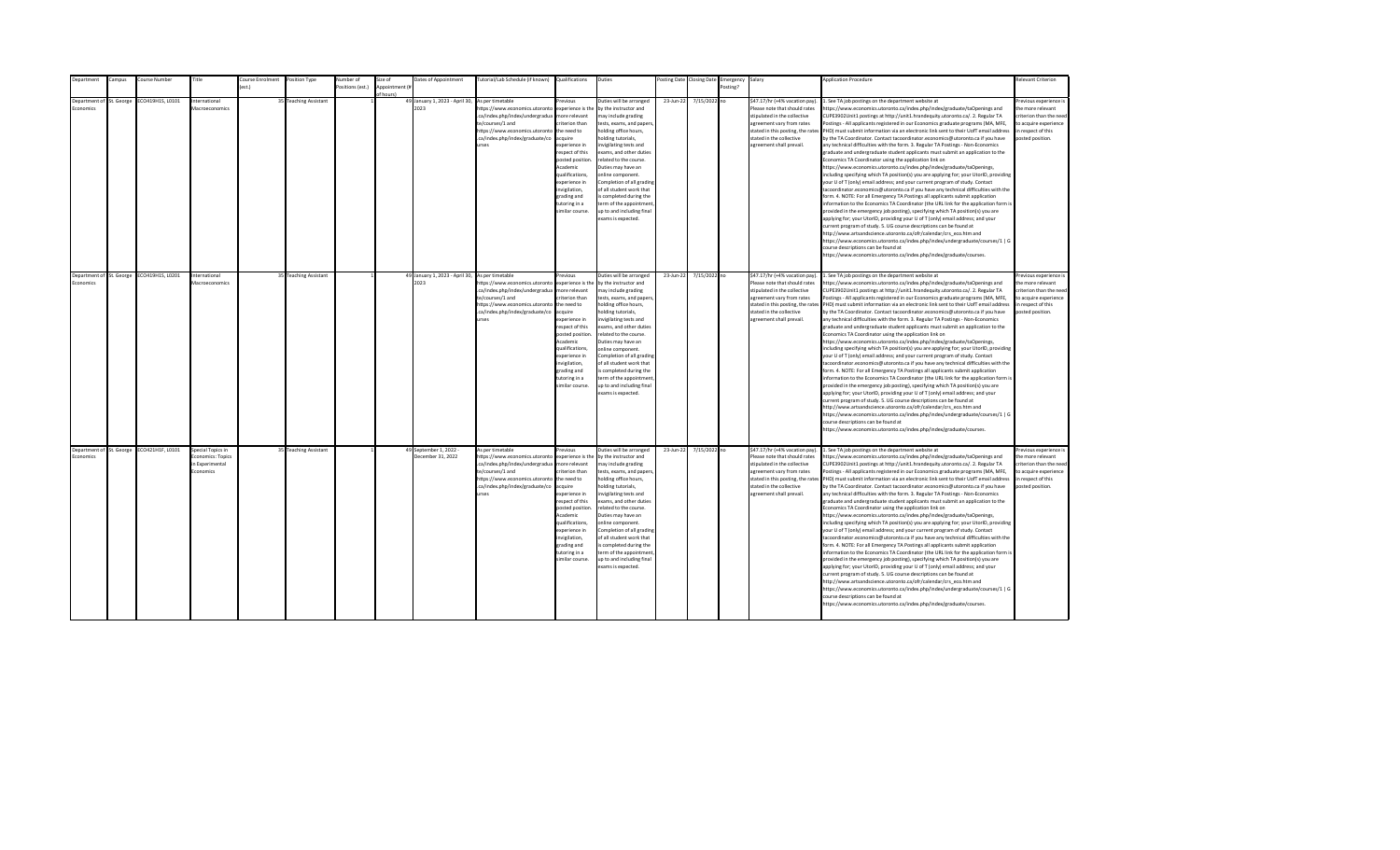| epartment                                   | ampus: | Course Number                             | Title                                                                 | ourse Enrolment | Position Type         | Number of        | Size of       | Dates of Appointment                                    | [utorial/Lab Schedule (if known)                                                                                                                                                               | Qualifications                                                                                                                                                                                                                                                     | Duties                                                                                                                                                                                                                                                                                                                                                                                                                                         |           | osting Date Closing Date | Emergency | Salary                                                                                                                                                                                                                    | <b>Application Procedure</b>                                                                                                                                                                                                                                                                                                                                                                                                                                                                                                                                                                                                                                                                                                                                                                                                                                                                                                                                                                                                                                                                                                                                                                                                                                                                                                                                                                                                                                                                                                                                                                                                                                                                                                                                                                 | <b>Relevant Criterion</b>                                                                                                                |
|---------------------------------------------|--------|-------------------------------------------|-----------------------------------------------------------------------|-----------------|-----------------------|------------------|---------------|---------------------------------------------------------|------------------------------------------------------------------------------------------------------------------------------------------------------------------------------------------------|--------------------------------------------------------------------------------------------------------------------------------------------------------------------------------------------------------------------------------------------------------------------|------------------------------------------------------------------------------------------------------------------------------------------------------------------------------------------------------------------------------------------------------------------------------------------------------------------------------------------------------------------------------------------------------------------------------------------------|-----------|--------------------------|-----------|---------------------------------------------------------------------------------------------------------------------------------------------------------------------------------------------------------------------------|----------------------------------------------------------------------------------------------------------------------------------------------------------------------------------------------------------------------------------------------------------------------------------------------------------------------------------------------------------------------------------------------------------------------------------------------------------------------------------------------------------------------------------------------------------------------------------------------------------------------------------------------------------------------------------------------------------------------------------------------------------------------------------------------------------------------------------------------------------------------------------------------------------------------------------------------------------------------------------------------------------------------------------------------------------------------------------------------------------------------------------------------------------------------------------------------------------------------------------------------------------------------------------------------------------------------------------------------------------------------------------------------------------------------------------------------------------------------------------------------------------------------------------------------------------------------------------------------------------------------------------------------------------------------------------------------------------------------------------------------------------------------------------------------|------------------------------------------------------------------------------------------------------------------------------------------|
|                                             |        |                                           |                                                                       | ext             |                       | Positions (est.) | Annointment ( |                                                         |                                                                                                                                                                                                |                                                                                                                                                                                                                                                                    |                                                                                                                                                                                                                                                                                                                                                                                                                                                |           |                          | Posting?  |                                                                                                                                                                                                                           |                                                                                                                                                                                                                                                                                                                                                                                                                                                                                                                                                                                                                                                                                                                                                                                                                                                                                                                                                                                                                                                                                                                                                                                                                                                                                                                                                                                                                                                                                                                                                                                                                                                                                                                                                                                              |                                                                                                                                          |
|                                             |        |                                           |                                                                       |                 |                       |                  |               |                                                         |                                                                                                                                                                                                |                                                                                                                                                                                                                                                                    |                                                                                                                                                                                                                                                                                                                                                                                                                                                |           |                          |           |                                                                                                                                                                                                                           |                                                                                                                                                                                                                                                                                                                                                                                                                                                                                                                                                                                                                                                                                                                                                                                                                                                                                                                                                                                                                                                                                                                                                                                                                                                                                                                                                                                                                                                                                                                                                                                                                                                                                                                                                                                              |                                                                                                                                          |
| Department of St. George<br><b>conomics</b> |        | CO419H1S, L0101                           | International<br>Macroeconomics                                       |                 | 35 Teaching Assistant |                  | f hours)      | 49 January 1, 2023 - April 30,<br>2023                  | As per timetable<br>https://www.economics.utoronto<br>.ca/index.php/index/undergradua<br>te/courses/1 and<br>https://www.economics.utoronto<br>.ca/index.php/index/graduate/co<br><b>Print</b> | revinus<br>experience is the<br>more relevant<br>riterion than<br>the need to<br>acquire<br>experience in<br>respect of this<br>posted position.<br>Academic<br>qualifications,<br>experience in<br>nvigilation,<br>grading and<br>tutoring in a<br>imilar course. | Duties will be arranged<br>by the instructor and<br>may include grading<br>tests, exams, and papers,<br>holding office hours,<br>nolding tutorials,<br>nvigilating tests and<br>exams, and other duties<br>related to the course.<br>Duties may have an<br>online component.<br>Completion of all grading<br>of all student work that<br>s completed during the<br>term of the appointment<br>up to and including final<br>exams is expected.  | 23-Jun-22 | 7/15/2022 no             |           | \$47.17/hr (+4% vacation pay).<br>Please note that should rates<br>stipulated in the collective<br>agreement vary from rates<br>stated in this posting, the rates<br>stated in the collective<br>agreement shall prevail. | . See TA job postings on the department website at<br>https://www.economics.utoronto.ca/index.php/index/graduate/taOpenings and<br>CUPE3902Unit1 postings at http://unit1.hrandequity.utoronto.ca/. 2. Regular TA<br>Postings - All applicants registered in our Economics graduate programs (MA, MFE,<br>PHD) must submit information via an electronic link sent to their UofT email address<br>by the TA Coordinator. Contact tacoordinator.economics@utoronto.ca if you have<br>any technical difficulties with the form. 3. Regular TA Postings - Non-Economics<br>graduate and undergraduate student applicants must submit an application to the<br>Economics TA Coordinator using the application link on<br>https://www.economics.utoronto.ca/index.php/index/graduate/taOpenings,<br>including specifying which TA position(s) you are applying for; your UtorID, providing<br>your U of T (only) email address; and your current program of study. Contact<br>tacoordinator.economics@utoronto.ca if you have any technical difficulties with the<br>form. 4. NOTE: For all Emergency TA Postings all applicants submit application<br>information to the Economics TA Coordinator (the URL link for the application form is<br>provided in the emergency job posting), specifying which TA position(s) you are<br>applying for; your UtorID, providing your U of T (only) email address; and your<br>current program of study. 5. UG course descriptions can be found at<br>http://www.artsandscience.utoronto.ca/ofr/calendar/crs eco.htm and<br>https://www.economics.utoronto.ca/index.php/index/undergraduate/courses/1   G<br>course descriptions can be found at<br>https://www.economics.utoronto.ca/index.php/index/graduate/courses.                                    | Previous experience i<br>the more relevant<br>criterion than the need<br>to acquire experience<br>in respect of this<br>posted position. |
|                                             |        |                                           |                                                                       |                 |                       |                  |               |                                                         |                                                                                                                                                                                                |                                                                                                                                                                                                                                                                    |                                                                                                                                                                                                                                                                                                                                                                                                                                                |           |                          |           |                                                                                                                                                                                                                           |                                                                                                                                                                                                                                                                                                                                                                                                                                                                                                                                                                                                                                                                                                                                                                                                                                                                                                                                                                                                                                                                                                                                                                                                                                                                                                                                                                                                                                                                                                                                                                                                                                                                                                                                                                                              |                                                                                                                                          |
| Department of St. George<br>Economics       |        | ECO419H1S, L0201                          | International<br>Macroeconomics                                       |                 | 35 Teaching Assistant |                  |               | 49 January 1, 2023 - April 30, As per timetable<br>2023 | https://www.economics.utoronto<br>.ca/index.php/index/undergradua<br>te/courses/1 and<br>https://www.economics.utoronto<br>.ca/index.php/index/graduate/co<br><b>urses</b>                     | revious<br>experience is the<br>more relevant<br>riterion than<br>the need to<br>acquire<br>experience in<br>resnect of this<br>posted position<br>Academic<br>qualifications.<br>experience in<br>invigilation,<br>grading and<br>tutoring in a<br>imilar course. | Duties will be arranged<br>by the instructor and<br>may include grading<br>tests, exams, and papers,<br>holding office hours,<br>nolding tutorials,<br>nvigilating tests and<br>exams, and other duties<br>related to the course.<br>Duties may have an<br>online component.<br>Completion of all grading<br>of all student work that<br>is completed during the<br>term of the appointment<br>up to and including final<br>exams is expected. | 23-Jun-22 | 7/15/2022 no             |           | \$47.17/hr (+4% vacation pay).<br>Please note that should rates<br>stipulated in the collective<br>agreement vary from rates<br>stated in the collective<br>agreement shall prevail.                                      | 1. See TA job postings on the department website at<br>https://www.economics.utoronto.ca/index.php/index/graduate/taOpenings and<br>CUPE3902Unit1 postings at http://unit1.hrandequity.utoronto.ca/. 2. Regular TA<br>Postings - All applicants registered in our Economics graduate programs (MA, MFE,<br>stated in this posting, the rates PHD) must submit information via an electronic link sent to their UofT email address<br>by the TA Coordinator. Contact tacoordinator.economics@utoronto.ca if you have<br>any technical difficulties with the form. 3. Regular TA Postings - Non-Economics<br>eraduate and undergraduate student applicants must submit an application to the<br>Economics TA Coordinator using the application link on<br>https://www.economics.utoronto.ca/index.php/index/graduate/taOpenings,<br>including specifying which TA position(s) you are applying for; your UtorID, providing<br>your U of T (only) email address; and your current program of study. Contact<br>tacoordinator.economics@utoronto.ca if you have any technical difficulties with the<br>form. 4. NOTE: For all Emergency TA Postings all applicants submit application<br>information to the Economics TA Coordinator (the URL link for the application form is<br>provided in the emergency job posting), specifying which TA position(s) you are<br>applying for; your UtorID, providing your U of T (only) email address; and your<br>current program of study. 5. UG course descriptions can be found at<br>http://www.artsandscience.utoronto.ca/ofr/calendar/crs_eco.htm and<br>https://www.economics.utoronto.ca/index.php/index/undergraduate/courses/1   G<br>course descriptions can be found at<br>https://www.economics.utoronto.ca/index.php/index/graduate/courses. | Previous experience i<br>the more relevant<br>criterion than the need<br>to acquire experience<br>in respect of this<br>posted position. |
| Economics                                   |        | Department of St. George ECO421H1F, L0101 | Special Topics in<br>Economics: Topics<br>n Experimental<br>Economics |                 | 35 Teaching Assistant |                  |               | 49 September 1, 2022 -<br>December 31, 2022             | As per timetable<br>https://www.economics.utoronto<br>.ca/index.php/index/undergradua<br>te/courses/1 and<br>https://www.economics.utoronto<br>.ca/index.php/index/graduate/co<br>urses        | revious<br>experience is the<br>more relevant<br>riterion than<br>the need to<br>acquire<br>experience in<br>respect of this<br>posted position<br>Academic<br>qualifications,<br>experience in<br>invigilation,<br>grading and<br>tutoring in a<br>imilar course. | Duties will be arranged<br>by the instructor and<br>may include grading<br>tests, exams, and papers,<br>holding office hours,<br>nolding tutorials,<br>nvigilating tests and<br>exams, and other duties<br>related to the course.<br>Duties may have an<br>online component.<br>Completion of all grading<br>of all student work that<br>is completed during the<br>term of the appointment<br>up to and including final<br>exams is expected. | 23-Jun-22 | 7/15/2022 no             |           | \$47.17/hr (+4% vacation pay).<br>Please note that should rates<br>stipulated in the collective<br>agreement vary from rates<br>stated in the collective<br>agreement shall prevail.                                      | 1. See TA job postings on the department website at<br>https://www.economics.utoronto.ca/index.php/index/graduate/taOpenings and<br>CUPE3902Unit1 postings at http://unit1.hrandequity.utoronto.ca/. 2. Regular TA<br>Postings - All applicants registered in our Economics graduate programs (MA, MFE,<br>stated in this posting, the rates PHD) must submit information via an electronic link sent to their UofT email address<br>by the TA Coordinator. Contact tacoordinator.economics@utoronto.ca if you have<br>any technical difficulties with the form. 3. Regular TA Postings - Non-Economics<br>graduate and undergraduate student applicants must submit an application to the<br>Economics TA Coordinator using the application link on<br>https://www.economics.utoronto.ca/index.php/index/graduate/taOpenings,<br>including specifying which TA position(s) you are applying for; your UtorID, providing<br>your U of T (only) email address; and your current program of study. Contact<br>tacoordinator.economics@utoronto.ca if you have any technical difficulties with the<br>form. 4. NOTE: For all Emergency TA Postings all applicants submit application<br>information to the Economics TA Coordinator (the URL link for the application form is<br>provided in the emergency job posting), specifying which TA position(s) you are<br>applying for; your UtorID, providing your U of T (only) email address; and your<br>current program of study. 5. UG course descriptions can be found at<br>http://www.artsandscience.utoronto.ca/ofr/calendar/crs eco.htm and<br>https://www.economics.utoronto.ca/index.php/index/undergraduate/courses/1   G<br>course descriptions can be found at<br>https://www.economics.utoronto.ca/index.php/index/graduate/courses. | revious experience i<br>the more relevant<br>criterion than the need<br>to acquire experience<br>in respect of this<br>posted position.  |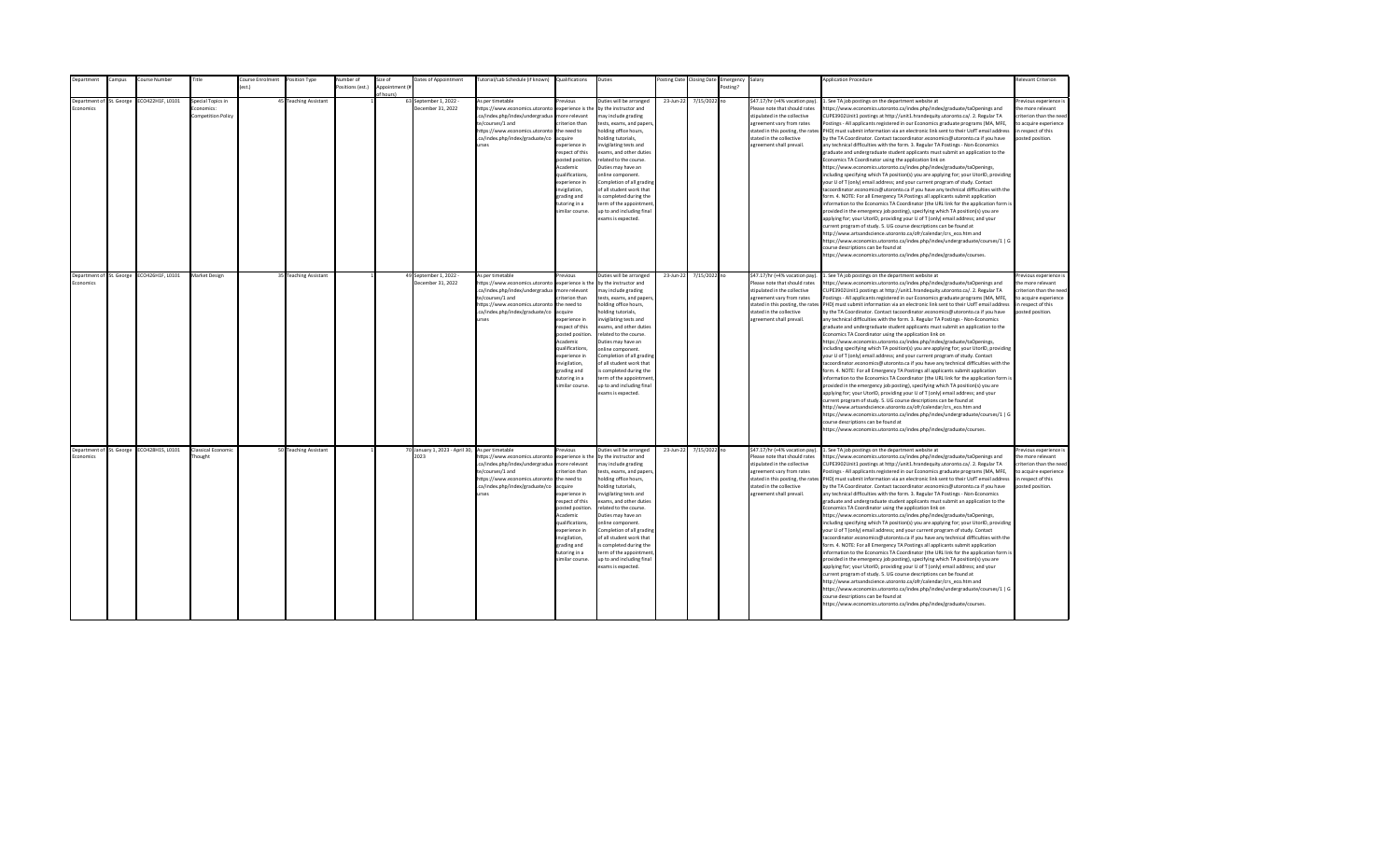| epartment                                   | ampus: | Course Number                             | Title                                                       | ourse Enrolment | Position Type         | Number of        | Size of       | Dates of Appointment                                    | utorial/Lab Schedule (if known)                                                                                                                                                                | Qualifications                                                                                                                                                                                                                                                     | Duties                                                                                                                                                                                                                                                                                                                                                                                                                                         |           | osting Date Closing Date | Emergency | Salary                                                                                                                                                                                                                    | <b>Application Procedure</b>                                                                                                                                                                                                                                                                                                                                                                                                                                                                                                                                                                                                                                                                                                                                                                                                                                                                                                                                                                                                                                                                                                                                                                                                                                                                                                                                                                                                                                                                                                                                                                                                                                                                                                                                                                 | <b>Relevant Criterion</b>                                                                                                                |
|---------------------------------------------|--------|-------------------------------------------|-------------------------------------------------------------|-----------------|-----------------------|------------------|---------------|---------------------------------------------------------|------------------------------------------------------------------------------------------------------------------------------------------------------------------------------------------------|--------------------------------------------------------------------------------------------------------------------------------------------------------------------------------------------------------------------------------------------------------------------|------------------------------------------------------------------------------------------------------------------------------------------------------------------------------------------------------------------------------------------------------------------------------------------------------------------------------------------------------------------------------------------------------------------------------------------------|-----------|--------------------------|-----------|---------------------------------------------------------------------------------------------------------------------------------------------------------------------------------------------------------------------------|----------------------------------------------------------------------------------------------------------------------------------------------------------------------------------------------------------------------------------------------------------------------------------------------------------------------------------------------------------------------------------------------------------------------------------------------------------------------------------------------------------------------------------------------------------------------------------------------------------------------------------------------------------------------------------------------------------------------------------------------------------------------------------------------------------------------------------------------------------------------------------------------------------------------------------------------------------------------------------------------------------------------------------------------------------------------------------------------------------------------------------------------------------------------------------------------------------------------------------------------------------------------------------------------------------------------------------------------------------------------------------------------------------------------------------------------------------------------------------------------------------------------------------------------------------------------------------------------------------------------------------------------------------------------------------------------------------------------------------------------------------------------------------------------|------------------------------------------------------------------------------------------------------------------------------------------|
|                                             |        |                                           |                                                             | ext             |                       | Positions (est.) | Annointment ( |                                                         |                                                                                                                                                                                                |                                                                                                                                                                                                                                                                    |                                                                                                                                                                                                                                                                                                                                                                                                                                                |           |                          | Posting?  |                                                                                                                                                                                                                           |                                                                                                                                                                                                                                                                                                                                                                                                                                                                                                                                                                                                                                                                                                                                                                                                                                                                                                                                                                                                                                                                                                                                                                                                                                                                                                                                                                                                                                                                                                                                                                                                                                                                                                                                                                                              |                                                                                                                                          |
|                                             |        |                                           |                                                             |                 |                       |                  |               |                                                         |                                                                                                                                                                                                |                                                                                                                                                                                                                                                                    |                                                                                                                                                                                                                                                                                                                                                                                                                                                |           |                          |           |                                                                                                                                                                                                                           |                                                                                                                                                                                                                                                                                                                                                                                                                                                                                                                                                                                                                                                                                                                                                                                                                                                                                                                                                                                                                                                                                                                                                                                                                                                                                                                                                                                                                                                                                                                                                                                                                                                                                                                                                                                              |                                                                                                                                          |
| Department of St. George<br><b>conomics</b> |        | CO422H1F, L0101                           | Special Topics in<br>conomics:<br><b>Competition Policy</b> |                 | 45 Teaching Assistant |                  | f hours)      | 63 September 1, 2022 -<br>December 31, 2022             | As per timetable<br>https://www.economics.utoronto<br>.ca/index.php/index/undergradua<br>te/courses/1 and<br>https://www.economics.utoronto<br>.ca/index.php/index/graduate/co<br><b>Print</b> | revinus<br>experience is the<br>more relevant<br>riterion than<br>the need to<br>acquire<br>experience in<br>respect of this<br>posted position.<br>Academic<br>qualifications,<br>experience in<br>nvigilation,<br>grading and<br>tutoring in a<br>imilar course. | Duties will be arranged<br>by the instructor and<br>may include grading<br>tests, exams, and papers,<br>holding office hours,<br>nolding tutorials,<br>nvigilating tests and<br>exams, and other duties<br>related to the course.<br>Duties may have an<br>online component.<br>Completion of all grading<br>of all student work that<br>s completed during the<br>term of the appointment<br>up to and including final<br>exams is expected.  | 23-Jun-22 | 7/15/2022 no             |           | \$47.17/hr (+4% vacation pay).<br>Please note that should rates<br>stipulated in the collective<br>agreement vary from rates<br>stated in this posting, the rates<br>stated in the collective<br>agreement shall prevail. | . See TA job postings on the department website at<br>https://www.economics.utoronto.ca/index.php/index/graduate/taOpenings and<br>CUPE3902Unit1 postings at http://unit1.hrandequity.utoronto.ca/. 2. Regular TA<br>Postings - All applicants registered in our Economics graduate programs (MA, MFE,<br>PHD) must submit information via an electronic link sent to their UofT email address<br>by the TA Coordinator. Contact tacoordinator.economics@utoronto.ca if you have<br>any technical difficulties with the form. 3. Regular TA Postings - Non-Economics<br>graduate and undergraduate student applicants must submit an application to the<br>Economics TA Coordinator using the application link on<br>https://www.economics.utoronto.ca/index.php/index/graduate/taOpenings,<br>including specifying which TA position(s) you are applying for; your UtorID, providing<br>your U of T (only) email address; and your current program of study. Contact<br>tacoordinator.economics@utoronto.ca if you have any technical difficulties with the<br>form. 4. NOTE: For all Emergency TA Postings all applicants submit application<br>information to the Economics TA Coordinator (the URL link for the application form is<br>provided in the emergency job posting), specifying which TA position(s) you are<br>applying for; your UtorID, providing your U of T (only) email address; and your<br>current program of study. 5. UG course descriptions can be found at<br>http://www.artsandscience.utoronto.ca/ofr/calendar/crs eco.htm and<br>https://www.economics.utoronto.ca/index.php/index/undergraduate/courses/1   G<br>course descriptions can be found at<br>https://www.economics.utoronto.ca/index.php/index/graduate/courses.                                    | Previous experience i<br>the more relevant<br>criterion than the need<br>to acquire experience<br>in respect of this<br>posted position. |
|                                             |        |                                           |                                                             |                 |                       |                  |               |                                                         |                                                                                                                                                                                                |                                                                                                                                                                                                                                                                    |                                                                                                                                                                                                                                                                                                                                                                                                                                                |           |                          |           |                                                                                                                                                                                                                           |                                                                                                                                                                                                                                                                                                                                                                                                                                                                                                                                                                                                                                                                                                                                                                                                                                                                                                                                                                                                                                                                                                                                                                                                                                                                                                                                                                                                                                                                                                                                                                                                                                                                                                                                                                                              |                                                                                                                                          |
| Department of St. George<br>Economics       |        | ECO426H1F, L0101                          | Market Design                                               |                 | 35 Teaching Assistant |                  |               | 49 September 1, 2022 -<br>December 31, 2022             | As per timetable<br>https://www.economics.utoronto<br>.ca/index.php/index/undergradua<br>te/courses/1 and<br>https://www.economics.utoronto<br>.ca/index.php/index/graduate/co<br><b>urses</b> | revious<br>experience is the<br>more relevant<br>riterion than<br>the need to<br>acquire<br>experience in<br>resnect of this<br>posted position<br>Academic<br>qualifications.<br>experience in<br>invigilation,<br>grading and<br>tutoring in a<br>imilar course. | Duties will be arranged<br>by the instructor and<br>may include grading<br>tests, exams, and papers,<br>holding office hours,<br>nolding tutorials,<br>nvigilating tests and<br>exams, and other duties<br>related to the course.<br>Duties may have an<br>online component.<br>Completion of all grading<br>of all student work that<br>is completed during the<br>term of the appointment<br>up to and including final<br>exams is expected. | 23-Jun-22 | 7/15/2022 no             |           | \$47.17/hr (+4% vacation pay).<br>Please note that should rates<br>stipulated in the collective<br>agreement vary from rates<br>stated in the collective<br>agreement shall prevail.                                      | 1. See TA job postings on the department website at<br>https://www.economics.utoronto.ca/index.php/index/graduate/taOpenings and<br>CUPE3902Unit1 postings at http://unit1.hrandequity.utoronto.ca/. 2. Regular TA<br>Postings - All applicants registered in our Economics graduate programs (MA, MFE,<br>stated in this posting, the rates PHD) must submit information via an electronic link sent to their UofT email address<br>by the TA Coordinator. Contact tacoordinator.economics@utoronto.ca if you have<br>any technical difficulties with the form. 3. Regular TA Postings - Non-Economics<br>eraduate and undergraduate student applicants must submit an application to the<br>Economics TA Coordinator using the application link on<br>https://www.economics.utoronto.ca/index.php/index/graduate/taOpenings,<br>including specifying which TA position(s) you are applying for; your UtorID, providing<br>your U of T (only) email address; and your current program of study. Contact<br>tacoordinator.economics@utoronto.ca if you have any technical difficulties with the<br>form. 4. NOTE: For all Emergency TA Postings all applicants submit application<br>information to the Economics TA Coordinator (the URL link for the application form is<br>provided in the emergency job posting), specifying which TA position(s) you are<br>applying for; your UtorID, providing your U of T (only) email address; and your<br>current program of study. 5. UG course descriptions can be found at<br>http://www.artsandscience.utoronto.ca/ofr/calendar/crs_eco.htm and<br>https://www.economics.utoronto.ca/index.php/index/undergraduate/courses/1   G<br>course descriptions can be found at<br>https://www.economics.utoronto.ca/index.php/index/graduate/courses. | Previous experience i<br>the more relevant<br>criterion than the need<br>to acquire experience<br>in respect of this<br>posted position. |
| Economics                                   |        | Department of St. George ECO428H1S, L0101 | Classical Economic<br>Thought                               |                 | 50 Teaching Assistant |                  |               | 70 January 1, 2023 - April 30, As per timetable<br>2023 | https://www.economics.utoronto<br>.ca/index.php/index/undergradua<br>te/courses/1 and<br>https://www.economics.utoronto<br>.ca/index.php/index/graduate/co<br>urses                            | revious<br>experience is the<br>more relevant<br>riterion than<br>the need to<br>acquire<br>experience in<br>respect of this<br>posted position<br>Academic<br>qualifications,<br>experience in<br>invigilation,<br>grading and<br>tutoring in a<br>imilar course. | Duties will be arranged<br>by the instructor and<br>may include grading<br>tests, exams, and papers,<br>holding office hours,<br>nolding tutorials,<br>nvigilating tests and<br>exams, and other duties<br>related to the course.<br>Duties may have an<br>online component.<br>Completion of all grading<br>of all student work that<br>is completed during the<br>term of the appointment<br>up to and including final<br>exams is expected. | 23-Jun-22 | 7/15/2022 no             |           | \$47.17/hr (+4% vacation pay).<br>Please note that should rates<br>stipulated in the collective<br>agreement vary from rates<br>stated in the collective<br>agreement shall prevail.                                      | 1. See TA job postings on the department website at<br>https://www.economics.utoronto.ca/index.php/index/graduate/taOpenings and<br>CUPE3902Unit1 postings at http://unit1.hrandequity.utoronto.ca/. 2. Regular TA<br>Postings - All applicants registered in our Economics graduate programs (MA, MFE,<br>stated in this posting, the rates PHD) must submit information via an electronic link sent to their UofT email address<br>by the TA Coordinator. Contact tacoordinator.economics@utoronto.ca if you have<br>any technical difficulties with the form. 3. Regular TA Postings - Non-Economics<br>graduate and undergraduate student applicants must submit an application to the<br>Economics TA Coordinator using the application link on<br>https://www.economics.utoronto.ca/index.php/index/graduate/taOpenings,<br>including specifying which TA position(s) you are applying for; your UtorID, providing<br>your U of T (only) email address; and your current program of study. Contact<br>tacoordinator.economics@utoronto.ca if you have any technical difficulties with the<br>form. 4. NOTE: For all Emergency TA Postings all applicants submit application<br>information to the Economics TA Coordinator (the URL link for the application form is<br>provided in the emergency job posting), specifying which TA position(s) you are<br>applying for; your UtorID, providing your U of T (only) email address; and your<br>current program of study. 5. UG course descriptions can be found at<br>http://www.artsandscience.utoronto.ca/ofr/calendar/crs eco.htm and<br>https://www.economics.utoronto.ca/index.php/index/undergraduate/courses/1   G<br>course descriptions can be found at<br>https://www.economics.utoronto.ca/index.php/index/graduate/courses. | revious experience i<br>the more relevant<br>criterion than the need<br>to acquire experience<br>in respect of this<br>posted position.  |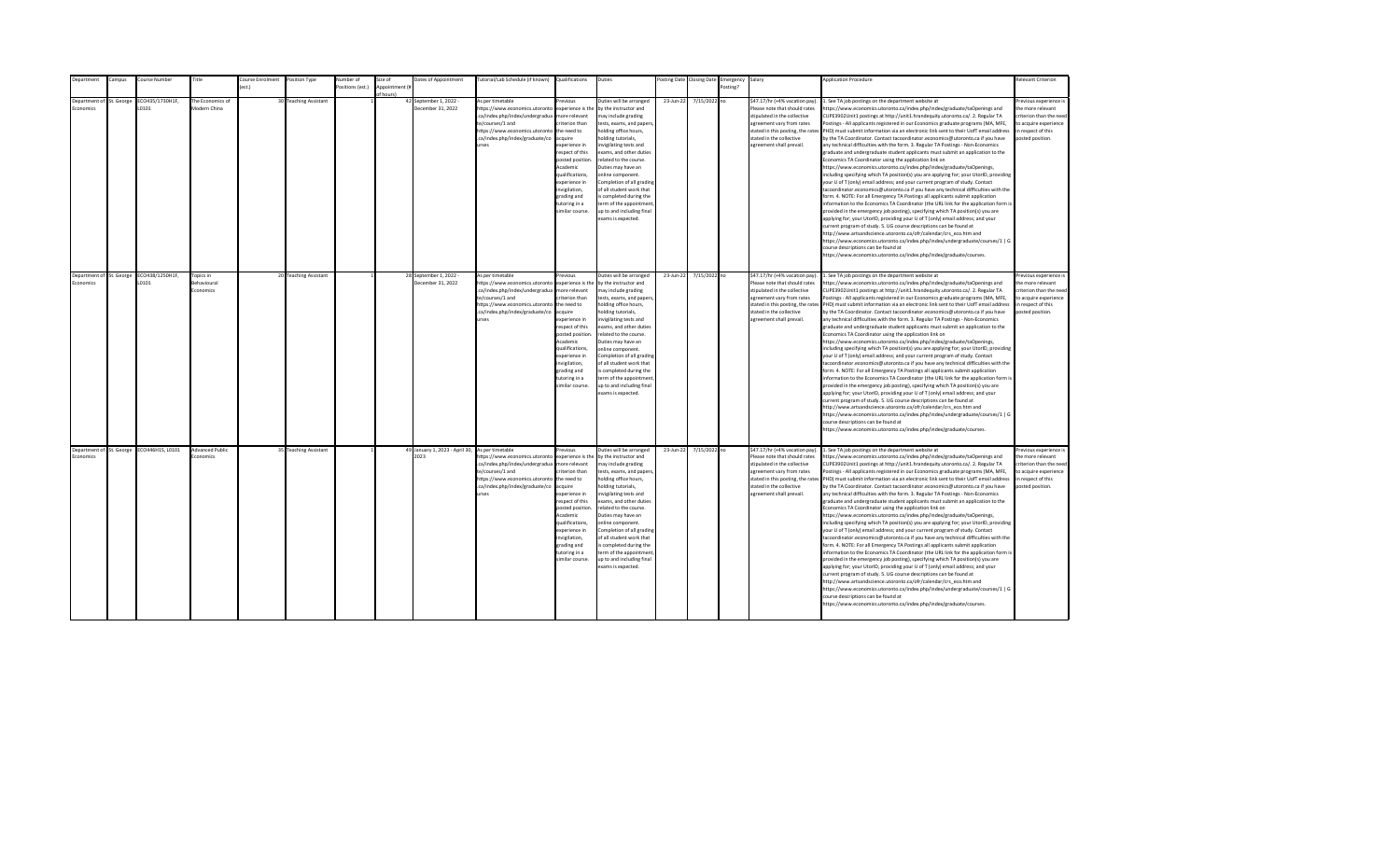| epartment                                   | ampus: | Course Number                             | Title                                 | ourse Enrolment | Position Type         | Number of        | Size of       | Dates of Appointment                                    | utorial/Lab Schedule (if known)                                                                                                                                                                | Qualifications                                                                                                                                                                                                                                                     | Duties                                                                                                                                                                                                                                                                                                                                                                                                                                         |           | osting Date Closing Date | Emergency | Salary                                                                                                                                                                                                                    | <b>Application Procedure</b>                                                                                                                                                                                                                                                                                                                                                                                                                                                                                                                                                                                                                                                                                                                                                                                                                                                                                                                                                                                                                                                                                                                                                                                                                                                                                                                                                                                                                                                                                                                                                                                                                                                                                                                                                                 | <b>Relevant Criterion</b>                                                                                                                |
|---------------------------------------------|--------|-------------------------------------------|---------------------------------------|-----------------|-----------------------|------------------|---------------|---------------------------------------------------------|------------------------------------------------------------------------------------------------------------------------------------------------------------------------------------------------|--------------------------------------------------------------------------------------------------------------------------------------------------------------------------------------------------------------------------------------------------------------------|------------------------------------------------------------------------------------------------------------------------------------------------------------------------------------------------------------------------------------------------------------------------------------------------------------------------------------------------------------------------------------------------------------------------------------------------|-----------|--------------------------|-----------|---------------------------------------------------------------------------------------------------------------------------------------------------------------------------------------------------------------------------|----------------------------------------------------------------------------------------------------------------------------------------------------------------------------------------------------------------------------------------------------------------------------------------------------------------------------------------------------------------------------------------------------------------------------------------------------------------------------------------------------------------------------------------------------------------------------------------------------------------------------------------------------------------------------------------------------------------------------------------------------------------------------------------------------------------------------------------------------------------------------------------------------------------------------------------------------------------------------------------------------------------------------------------------------------------------------------------------------------------------------------------------------------------------------------------------------------------------------------------------------------------------------------------------------------------------------------------------------------------------------------------------------------------------------------------------------------------------------------------------------------------------------------------------------------------------------------------------------------------------------------------------------------------------------------------------------------------------------------------------------------------------------------------------|------------------------------------------------------------------------------------------------------------------------------------------|
|                                             |        |                                           |                                       | ext             |                       | Positions (est.) | Annointment ( |                                                         |                                                                                                                                                                                                |                                                                                                                                                                                                                                                                    |                                                                                                                                                                                                                                                                                                                                                                                                                                                |           |                          | Posting?  |                                                                                                                                                                                                                           |                                                                                                                                                                                                                                                                                                                                                                                                                                                                                                                                                                                                                                                                                                                                                                                                                                                                                                                                                                                                                                                                                                                                                                                                                                                                                                                                                                                                                                                                                                                                                                                                                                                                                                                                                                                              |                                                                                                                                          |
|                                             |        |                                           |                                       |                 |                       |                  |               |                                                         |                                                                                                                                                                                                |                                                                                                                                                                                                                                                                    |                                                                                                                                                                                                                                                                                                                                                                                                                                                |           |                          |           |                                                                                                                                                                                                                           |                                                                                                                                                                                                                                                                                                                                                                                                                                                                                                                                                                                                                                                                                                                                                                                                                                                                                                                                                                                                                                                                                                                                                                                                                                                                                                                                                                                                                                                                                                                                                                                                                                                                                                                                                                                              |                                                                                                                                          |
| Department of St. George<br><b>conomics</b> |        | CO435/1730H1F,<br>0101                    | The Economics of<br>Modern China      |                 | 30 Teaching Assistant |                  | f hours)      | 42 September 1, 2022 -<br>December 31, 2022             | As per timetable<br>https://www.economics.utoronto<br>.ca/index.php/index/undergradua<br>te/courses/1 and<br>https://www.economics.utoronto<br>.ca/index.php/index/graduate/co<br><b>Print</b> | revinus<br>experience is the<br>more relevant<br>riterion than<br>the need to<br>acquire<br>experience in<br>respect of this<br>posted position.<br>Academic<br>qualifications,<br>experience in<br>nvigilation,<br>grading and<br>tutoring in a<br>imilar course. | Duties will be arranged<br>by the instructor and<br>may include grading<br>tests, exams, and papers,<br>holding office hours,<br>nolding tutorials,<br>nvigilating tests and<br>exams, and other duties<br>related to the course.<br>Duties may have an<br>online component.<br>Completion of all grading<br>of all student work that<br>s completed during the<br>term of the appointment<br>up to and including final<br>exams is expected.  | 23-Jun-22 | 7/15/2022 no             |           | \$47.17/hr (+4% vacation pay).<br>Please note that should rates<br>stipulated in the collective<br>agreement vary from rates<br>stated in this posting, the rates<br>stated in the collective<br>agreement shall prevail. | . See TA job postings on the department website at<br>https://www.economics.utoronto.ca/index.php/index/graduate/taOpenings and<br>CUPE3902Unit1 postings at http://unit1.hrandequity.utoronto.ca/. 2. Regular TA<br>Postings - All applicants registered in our Economics graduate programs (MA, MFE,<br>PHD) must submit information via an electronic link sent to their UofT email address<br>by the TA Coordinator. Contact tacoordinator.economics@utoronto.ca if you have<br>any technical difficulties with the form. 3. Regular TA Postings - Non-Economics<br>graduate and undergraduate student applicants must submit an application to the<br>Economics TA Coordinator using the application link on<br>https://www.economics.utoronto.ca/index.php/index/graduate/taOpenings,<br>including specifying which TA position(s) you are applying for; your UtorID, providing<br>your U of T (only) email address; and your current program of study. Contact<br>tacoordinator.economics@utoronto.ca if you have any technical difficulties with the<br>form. 4. NOTE: For all Emergency TA Postings all applicants submit application<br>information to the Economics TA Coordinator (the URL link for the application form is<br>provided in the emergency job posting), specifying which TA position(s) you are<br>applying for; your UtorID, providing your U of T (only) email address; and your<br>current program of study. 5. UG course descriptions can be found at<br>http://www.artsandscience.utoronto.ca/ofr/calendar/crs eco.htm and<br>https://www.economics.utoronto.ca/index.php/index/undergraduate/courses/1   G<br>course descriptions can be found at<br>https://www.economics.utoronto.ca/index.php/index/graduate/courses.                                    | Previous experience i<br>the more relevant<br>criterion than the need<br>to acquire experience<br>in respect of this<br>posted position. |
| Department of St. George<br>Economics       |        | ECO438/1250H1F,<br>L0101                  | Topics in<br>Behavioural<br>Economics |                 | 20 Teaching Assistant |                  |               | 28 September 1, 2022 -<br>December 31, 2022             | As per timetable<br>https://www.economics.utoronto<br>.ca/index.php/index/undergradua<br>te/courses/1 and<br>https://www.economics.utoronto<br>.ca/index.php/index/graduate/co<br><b>urses</b> | revious<br>experience is the<br>more relevant<br>riterion than<br>the need to<br>acquire<br>experience in<br>resnect of this<br>posted position<br>Academic<br>qualifications.<br>experience in<br>invigilation,<br>grading and<br>tutoring in a<br>imilar course. | Duties will be arranged<br>by the instructor and<br>may include grading<br>tests, exams, and papers,<br>holding office hours,<br>nolding tutorials,<br>nvigilating tests and<br>exams, and other duties<br>related to the course.<br>Duties may have an<br>online component.<br>Completion of all grading<br>of all student work that<br>is completed during the<br>term of the appointment<br>up to and including final<br>exams is expected. | 23-Jun-22 | 7/15/2022 no             |           | \$47.17/hr (+4% vacation pay).<br>Please note that should rates<br>stipulated in the collective<br>agreement vary from rates<br>stated in the collective<br>agreement shall prevail.                                      | 1. See TA job postings on the department website at<br>https://www.economics.utoronto.ca/index.php/index/graduate/taOpenings and<br>CUPE3902Unit1 postings at http://unit1.hrandequity.utoronto.ca/. 2. Regular TA<br>Postings - All applicants registered in our Economics graduate programs (MA, MFE,<br>stated in this posting, the rates PHD) must submit information via an electronic link sent to their UofT email address<br>by the TA Coordinator. Contact tacoordinator.economics@utoronto.ca if you have<br>any technical difficulties with the form. 3. Regular TA Postings - Non-Economics<br>eraduate and undergraduate student applicants must submit an application to the<br>Economics TA Coordinator using the application link on<br>https://www.economics.utoronto.ca/index.php/index/graduate/taOpenings,<br>including specifying which TA position(s) you are applying for; your UtorID, providing<br>your U of T (only) email address; and your current program of study. Contact<br>tacoordinator.economics@utoronto.ca if you have any technical difficulties with the<br>form. 4. NOTE: For all Emergency TA Postings all applicants submit application<br>information to the Economics TA Coordinator (the URL link for the application form is<br>provided in the emergency job posting), specifying which TA position(s) you are<br>applying for; your UtorID, providing your U of T (only) email address; and your<br>current program of study. 5. UG course descriptions can be found at<br>http://www.artsandscience.utoronto.ca/ofr/calendar/crs_eco.htm and<br>https://www.economics.utoronto.ca/index.php/index/undergraduate/courses/1   G<br>course descriptions can be found at<br>https://www.economics.utoronto.ca/index.php/index/graduate/courses. | Previous experience i<br>the more relevant<br>criterion than the need<br>to acquire experience<br>in respect of this<br>posted position. |
| Economics                                   |        | Department of St. George ECO446H1S, L0101 | <b>Advanced Public</b><br>Fronomics   |                 | 35 Teaching Assistant |                  |               | 49 January 1, 2023 - April 30, As per timetable<br>2023 | https://www.economics.utoronto<br>.ca/index.php/index/undergradua<br>te/courses/1 and<br>https://www.economics.utoronto<br>.ca/index.php/index/graduate/co<br>urses                            | revious<br>experience is the<br>more relevant<br>riterion than<br>the need to<br>acquire<br>experience in<br>respect of this<br>posted position<br>Academic<br>qualifications,<br>experience in<br>invigilation,<br>grading and<br>tutoring in a<br>imilar course. | Duties will be arranged<br>by the instructor and<br>may include grading<br>tests, exams, and papers,<br>holding office hours,<br>nolding tutorials,<br>nvigilating tests and<br>exams, and other duties<br>related to the course.<br>Duties may have an<br>online component.<br>Completion of all grading<br>of all student work that<br>is completed during the<br>term of the appointment<br>up to and including final<br>exams is expected. | 23-Jun-22 | 7/15/2022 no             |           | \$47.17/hr (+4% vacation pay).<br>Please note that should rates<br>stipulated in the collective<br>agreement vary from rates<br>stated in the collective<br>agreement shall prevail.                                      | 1. See TA job postings on the department website at<br>https://www.economics.utoronto.ca/index.php/index/graduate/taOpenings and<br>CUPE3902Unit1 postings at http://unit1.hrandequity.utoronto.ca/. 2. Regular TA<br>Postings - All applicants registered in our Economics graduate programs (MA, MFE,<br>stated in this posting, the rates PHD) must submit information via an electronic link sent to their UofT email address<br>by the TA Coordinator. Contact tacoordinator.economics@utoronto.ca if you have<br>any technical difficulties with the form. 3. Regular TA Postings - Non-Economics<br>graduate and undergraduate student applicants must submit an application to the<br>Economics TA Coordinator using the application link on<br>https://www.economics.utoronto.ca/index.php/index/graduate/taOpenings,<br>including specifying which TA position(s) you are applying for; your UtorID, providing<br>your U of T (only) email address; and your current program of study. Contact<br>tacoordinator.economics@utoronto.ca if you have any technical difficulties with the<br>form. 4. NOTE: For all Emergency TA Postings all applicants submit application<br>information to the Economics TA Coordinator (the URL link for the application form is<br>provided in the emergency job posting), specifying which TA position(s) you are<br>applying for; your UtorID, providing your U of T (only) email address; and your<br>current program of study. 5. UG course descriptions can be found at<br>http://www.artsandscience.utoronto.ca/ofr/calendar/crs eco.htm and<br>https://www.economics.utoronto.ca/index.php/index/undergraduate/courses/1   G<br>course descriptions can be found at<br>https://www.economics.utoronto.ca/index.php/index/graduate/courses. | revious experience i<br>the more relevant<br>criterion than the need<br>to acquire experience<br>in respect of this<br>posted position.  |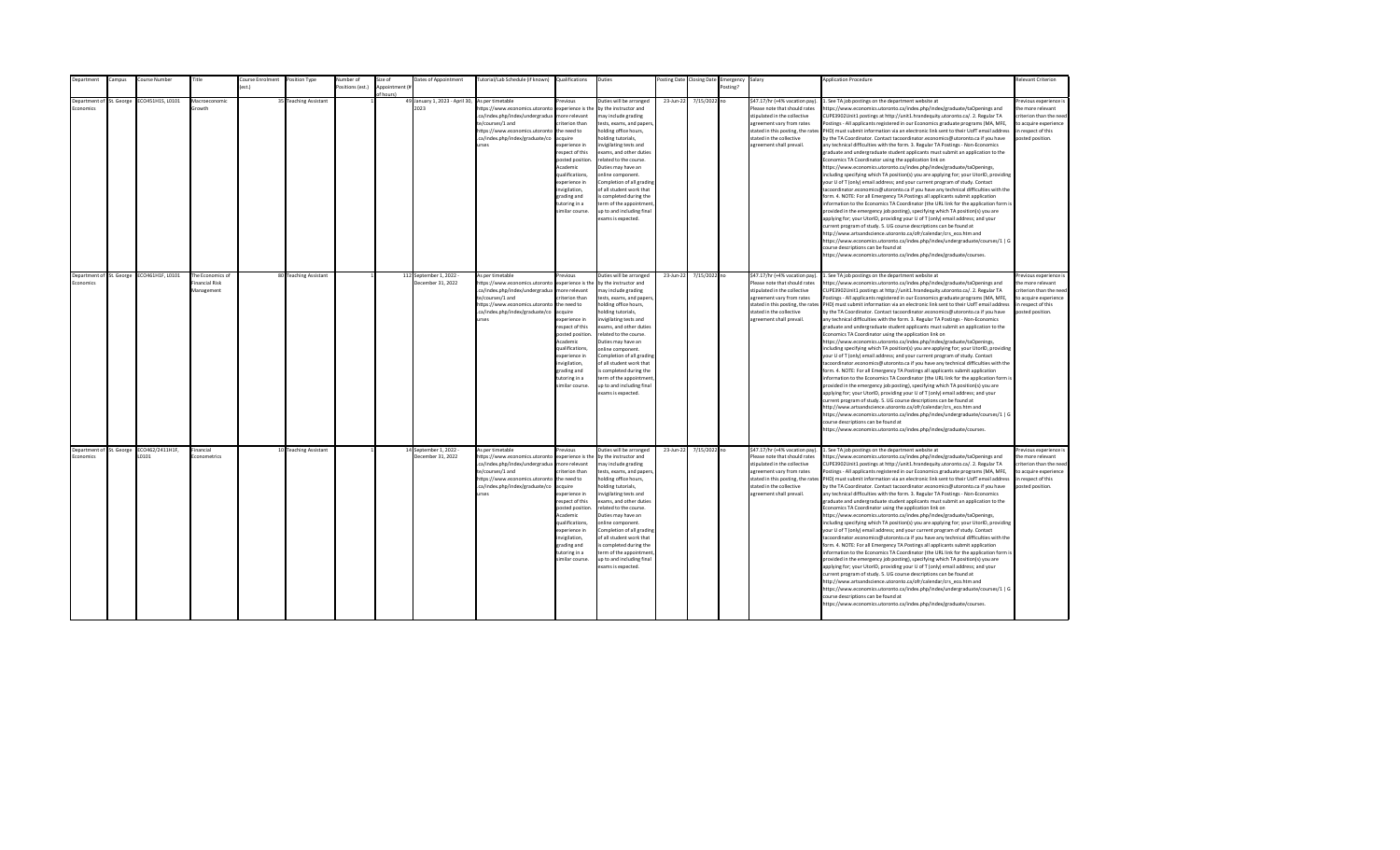| <b>Department</b>                     | Campus | Course Number            | Title                                           | Course Enrolment | Position Type         | Number of        | Size of                    | Dates of Appointment                         | Tutorial/Lab Schedule (if known) Qualifications                                                                                                                                                |                                                                                                                                                                                                                                                                    | Duties                                                                                                                                                                                                                                                                                                                                                                                                                                         |           | Posting Date Closing Date | Emergency Salary |                                                                                                                                                                                                                           | <b>Application Procedure</b>                                                                                                                                                                                                                                                                                                                                                                                                                                                                                                                                                                                                                                                                                                                                                                                                                                                                                                                                                                                                                                                                                                                                                                                                                                                                                                                                                                                                                                                                                                                                                                                                                                                                                                                                                                 | <b>Relevant Criterion</b>                                                                                                                |
|---------------------------------------|--------|--------------------------|-------------------------------------------------|------------------|-----------------------|------------------|----------------------------|----------------------------------------------|------------------------------------------------------------------------------------------------------------------------------------------------------------------------------------------------|--------------------------------------------------------------------------------------------------------------------------------------------------------------------------------------------------------------------------------------------------------------------|------------------------------------------------------------------------------------------------------------------------------------------------------------------------------------------------------------------------------------------------------------------------------------------------------------------------------------------------------------------------------------------------------------------------------------------------|-----------|---------------------------|------------------|---------------------------------------------------------------------------------------------------------------------------------------------------------------------------------------------------------------------------|----------------------------------------------------------------------------------------------------------------------------------------------------------------------------------------------------------------------------------------------------------------------------------------------------------------------------------------------------------------------------------------------------------------------------------------------------------------------------------------------------------------------------------------------------------------------------------------------------------------------------------------------------------------------------------------------------------------------------------------------------------------------------------------------------------------------------------------------------------------------------------------------------------------------------------------------------------------------------------------------------------------------------------------------------------------------------------------------------------------------------------------------------------------------------------------------------------------------------------------------------------------------------------------------------------------------------------------------------------------------------------------------------------------------------------------------------------------------------------------------------------------------------------------------------------------------------------------------------------------------------------------------------------------------------------------------------------------------------------------------------------------------------------------------|------------------------------------------------------------------------------------------------------------------------------------------|
|                                       |        |                          |                                                 | est.)            |                       | Positions (est.) | Appointment (i<br>f hours) |                                              |                                                                                                                                                                                                |                                                                                                                                                                                                                                                                    |                                                                                                                                                                                                                                                                                                                                                                                                                                                |           |                           | Posting?         |                                                                                                                                                                                                                           |                                                                                                                                                                                                                                                                                                                                                                                                                                                                                                                                                                                                                                                                                                                                                                                                                                                                                                                                                                                                                                                                                                                                                                                                                                                                                                                                                                                                                                                                                                                                                                                                                                                                                                                                                                                              |                                                                                                                                          |
| Department of St. George<br>conomics  |        | ECO451H1S, L0101         | Macroeconomic<br><b>Srowth</b>                  |                  | 35 Teaching Assistant |                  |                            | 49 January 1, 2023 - April 30,<br>2023       | As per timetable<br>ttps://www.economics.utoronto<br>.ca/index.php/index/undergradua<br>te/courses/1 and<br>https://www.economics.utoronto<br>.ca/index.php/index/graduate/co<br><b>urses</b>  | revious<br>experience is the<br>nore relevant<br>riterion than<br>the need to<br>cauire<br>xperience in<br>espect of this<br>posted position<br>Academic<br>qualifications,<br>xperience in<br>wigilation,<br>grading and<br>utoring in a<br>imilar course.        | Duties will be arranged<br>by the instructor and<br>nay include grading<br>tests, exams, and papers<br>nolding office hours,<br>olding tutorials.<br>nvigilating tests and<br>exams, and other duties<br>related to the course.<br>Duties may have an<br>online component.<br>Completion of all grading<br>of all student work that<br>s completed during the<br>erm of the appointment<br>up to and including final<br>exams is expected.     | 23-Jun-22 | 7/15/2022 no              |                  | \$47.17/hr (+4% vacation pay).<br>Please note that should rates<br>stipulated in the collective<br>agreement vary from rates<br>stated in this posting, the rates<br>stated in the collective<br>agreement shall prevail. | . See TA job postings on the department website at<br>https://www.economics.utoronto.ca/index.php/index/graduate/taOpenings and<br>CUPE3902Unit1 postings at http://unit1.hrandequity.utoronto.ca/. 2. Regular TA<br>Postings - All applicants registered in our Economics graduate programs (MA, MFE,<br>PHD) must submit information via an electronic link sent to their UofT email address<br>by the TA Coordinator. Contact tacoordinator.economics@utoronto.ca if you have<br>any technical difficulties with the form. 3. Regular TA Postings - Non-Economics<br>graduate and undergraduate student applicants must submit an application to the<br>Economics TA Coordinator using the application link on<br>https://www.economics.utoronto.ca/index.php/index/graduate/taOpenings,<br>including specifying which TA position(s) you are applying for; your UtorID, providing<br>your U of T (only) email address; and your current program of study. Contact<br>tacoordinator.economics@utoronto.ca if you have any technical difficulties with the<br>form. 4. NOTE: For all Emergency TA Postings all applicants submit application<br>information to the Economics TA Coordinator (the URL link for the application form is<br>provided in the emergency job posting), specifying which TA position(s) you are<br>applying for; your UtorID, providing your U of T (only) email address; and your<br>current program of study. 5. UG course descriptions can be found at<br>http://www.artsandscience.utoronto.ca/ofr/calendar/crs_eco.htm and<br>https://www.economics.utoronto.ca/index.php/index/undergraduate/courses/1   G<br>course descriptions can be found at<br>https://www.economics.utoronto.ca/index.php/index/graduate/courses.                                    | revious experience i<br>the more relevant<br>criterion than the nee-<br>to acquire experience<br>in respect of this<br>posted position.  |
| Department of St. George<br>Economics |        | ECO461H1F, L0101         | The Economics of<br>inancial Risk<br>Management |                  | 80 Teaching Assistant |                  |                            | 112 September 1, 2022 -<br>December 31, 2022 | As per timetable<br>https://www.economics.utoronto<br>.ca/index.php/index/undergradua<br>te/courses/1 and<br>https://www.economics.utoronto<br>.ca/index.php/index/graduate/co<br><b>urses</b> | revious<br>experience is the<br>more relevant<br>riterion than<br>the need to<br>acquire<br>experience in<br>resnect of this<br>posted position<br>Academic<br>qualifications.<br>experience in<br>invigilation,<br>grading and<br>tutoring in a<br>imilar course. | Duties will be arranged<br>by the instructor and<br>may include grading<br>tests, exams, and papers,<br>holding office hours,<br>nolding tutorials,<br>nvigilating tests and<br>exams, and other duties<br>related to the course.<br>Duties may have an<br>online component.<br>Completion of all grading<br>of all student work that<br>is completed during the<br>term of the appointment<br>up to and including final<br>exams is expected. | 23-Jun-22 | 7/15/2022 no              |                  | \$47.17/hr (+4% vacation pay).<br>Please note that should rates<br>stipulated in the collective<br>agreement vary from rates<br>stated in the collective<br>agreement shall prevail.                                      | 1. See TA job postings on the department website at<br>https://www.economics.utoronto.ca/index.php/index/graduate/taOpenings and<br>CUPE3902Unit1 postings at http://unit1.hrandequity.utoronto.ca/. 2. Regular TA<br>Postings - All applicants registered in our Economics graduate programs (MA, MFE,<br>stated in this posting, the rates PHD) must submit information via an electronic link sent to their UofT email address<br>by the TA Coordinator. Contact tacoordinator.economics@utoronto.ca if you have<br>any technical difficulties with the form. 3. Regular TA Postings - Non-Economics<br>eraduate and undergraduate student applicants must submit an application to the<br>Economics TA Coordinator using the application link on<br>https://www.economics.utoronto.ca/index.php/index/graduate/taOpenings,<br>including specifying which TA position(s) you are applying for; your UtorID, providing<br>your U of T (only) email address; and your current program of study. Contact<br>tacoordinator.economics@utoronto.ca if you have any technical difficulties with the<br>form. 4. NOTE: For all Emergency TA Postings all applicants submit application<br>information to the Economics TA Coordinator (the URL link for the application form is<br>provided in the emergency job posting), specifying which TA position(s) you are<br>applying for; your UtorID, providing your U of T (only) email address; and your<br>current program of study. 5. UG course descriptions can be found at<br>http://www.artsandscience.utoronto.ca/ofr/calendar/crs eco.htm and<br>https://www.economics.utoronto.ca/index.php/index/undergraduate/courses/1   G<br>course descriptions can be found at<br>https://www.economics.utoronto.ca/index.php/index/graduate/courses. | Previous experience i<br>the more relevant<br>criterion than the need<br>to acquire experience<br>in respect of this<br>posted position. |
| Department of St. George<br>Economics |        | ECO462/2411H1F,<br>L0101 | Financial<br>Econometrics                       |                  | 10 Teaching Assistant |                  |                            | 14 September 1, 2022 -<br>December 31, 2022  | As per timetable<br>https://www.economics.utoronto<br>.ca/index.php/index/undergradua<br>te/courses/1 and<br>https://www.economics.utoronto<br>.ca/index.php/index/graduate/co<br><b>urses</b> | revious<br>experience is the<br>more relevant<br>riterion than<br>the need to<br>acquire<br>experience in<br>respect of this<br>posted position<br>Academic<br>qualifications,<br>experience in<br>invigilation,<br>grading and<br>tutoring in a<br>imilar course. | Duties will be arranged<br>by the instructor and<br>may include grading<br>tests, exams, and papers,<br>holding office hours,<br>nolding tutorials,<br>nvigilating tests and<br>exams, and other duties<br>related to the course.<br>Duties may have an<br>online component.<br>Completion of all grading<br>of all student work that<br>is completed during the<br>term of the appointment<br>up to and including final<br>exams is expected. | 23-Jun-22 | 7/15/2022 no              |                  | \$47.17/hr (+4% vacation pay).<br>Please note that should rates<br>stipulated in the collective<br>agreement vary from rates<br>stated in the collective<br>agreement shall prevail.                                      | 1. See TA job postings on the department website at<br>https://www.economics.utoronto.ca/index.php/index/graduate/taOpenings and<br>CUPE3902Unit1 postings at http://unit1.hrandequity.utoronto.ca/. 2. Regular TA<br>Postings - All applicants registered in our Economics graduate programs (MA, MFE,<br>stated in this posting, the rates PHD) must submit information via an electronic link sent to their UofT email address<br>by the TA Coordinator. Contact tacoordinator.economics@utoronto.ca if you have<br>any technical difficulties with the form. 3. Regular TA Postings - Non-Economics<br>graduate and undergraduate student applicants must submit an application to the<br>Economics TA Coordinator using the application link on<br>https://www.economics.utoronto.ca/index.php/index/graduate/taOpenings,<br>including specifying which TA position(s) you are applying for; your UtorID, providing<br>your U of T (only) email address; and your current program of study. Contact<br>tacoordinator.economics@utoronto.ca if you have any technical difficulties with the<br>form. 4. NOTE: For all Emergency TA Postings all applicants submit application<br>information to the Economics TA Coordinator (the URL link for the application form is<br>provided in the emergency job posting), specifying which TA position(s) you are<br>applying for; your UtorID, providing your U of T (only) email address; and your<br>current program of study. 5. UG course descriptions can be found at<br>http://www.artsandscience.utoronto.ca/ofr/calendar/crs eco.htm and<br>https://www.economics.utoronto.ca/index.php/index/undergraduate/courses/1   G<br>course descriptions can be found at<br>https://www.economics.utoronto.ca/index.php/index/graduate/courses. | revious experience i<br>the more relevant<br>criterion than the need<br>to acquire experience<br>in respect of this<br>posted position.  |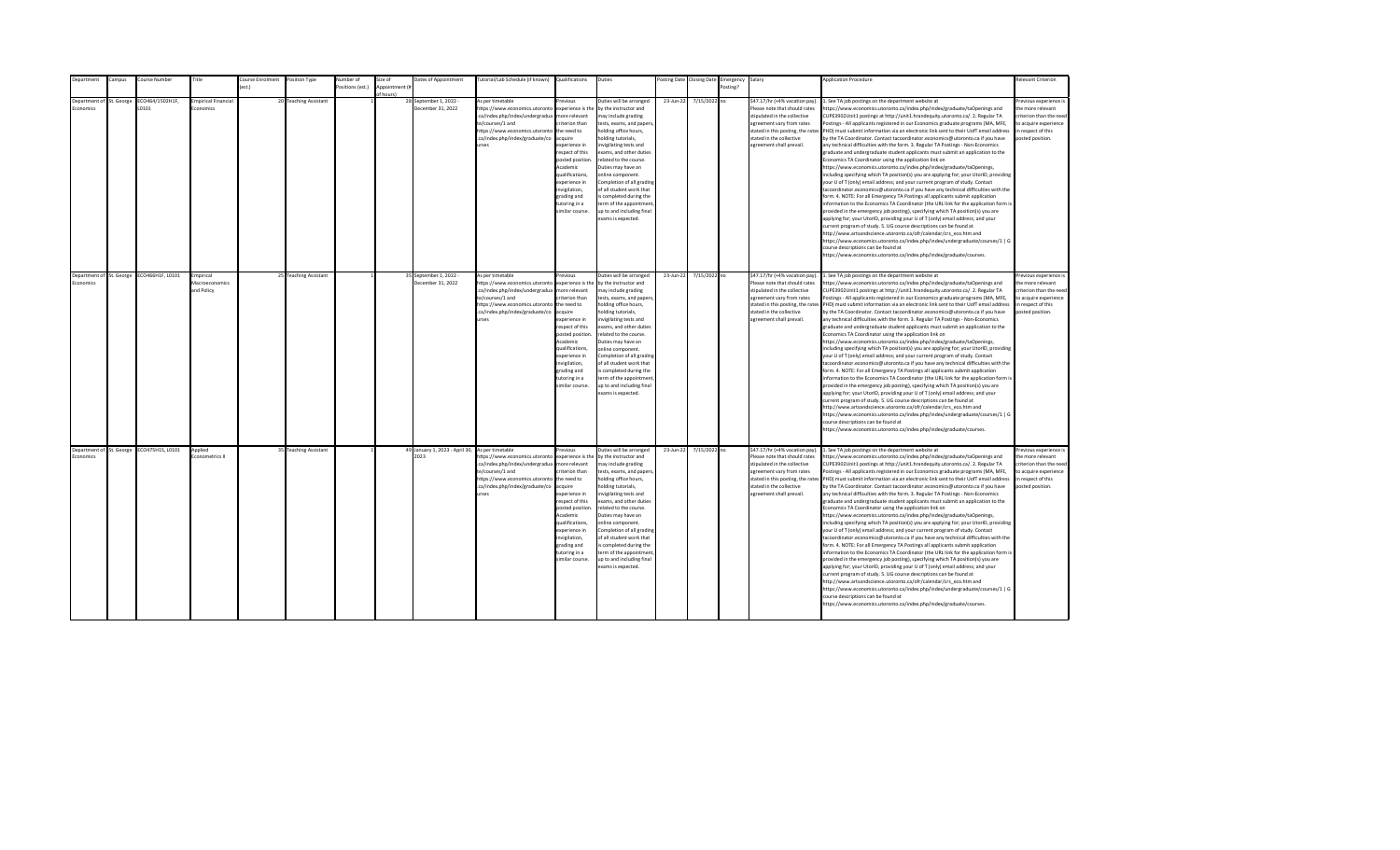| Department       | Campus                   | Course Number          | Title                                     | Course Enrolment | Position Type         | <b>Number</b> of | Size of                     | Dates of Appointment                        | Tutorial/Lab Schedule (if known) Qualifications                                                                                                                                                             |                                                                                                                                                                                                                                                                   | Duties                                                                                                                                                                                                                                                                                                                                                                                                                                          |           | Posting Date Closing Date | Emergency Salary |                                                                                                                                                                                                                           | <b>Application Procedure</b>                                                                                                                                                                                                                                                                                                                                                                                                                                                                                                                                                                                                                                                                                                                                                                                                                                                                                                                                                                                                                                                                                                                                                                                                                                                                                                                                                                                                                                                                                                                                                                                                                                                                                                                                                                 | Relevant Criterion                                                                                                                       |
|------------------|--------------------------|------------------------|-------------------------------------------|------------------|-----------------------|------------------|-----------------------------|---------------------------------------------|-------------------------------------------------------------------------------------------------------------------------------------------------------------------------------------------------------------|-------------------------------------------------------------------------------------------------------------------------------------------------------------------------------------------------------------------------------------------------------------------|-------------------------------------------------------------------------------------------------------------------------------------------------------------------------------------------------------------------------------------------------------------------------------------------------------------------------------------------------------------------------------------------------------------------------------------------------|-----------|---------------------------|------------------|---------------------------------------------------------------------------------------------------------------------------------------------------------------------------------------------------------------------------|----------------------------------------------------------------------------------------------------------------------------------------------------------------------------------------------------------------------------------------------------------------------------------------------------------------------------------------------------------------------------------------------------------------------------------------------------------------------------------------------------------------------------------------------------------------------------------------------------------------------------------------------------------------------------------------------------------------------------------------------------------------------------------------------------------------------------------------------------------------------------------------------------------------------------------------------------------------------------------------------------------------------------------------------------------------------------------------------------------------------------------------------------------------------------------------------------------------------------------------------------------------------------------------------------------------------------------------------------------------------------------------------------------------------------------------------------------------------------------------------------------------------------------------------------------------------------------------------------------------------------------------------------------------------------------------------------------------------------------------------------------------------------------------------|------------------------------------------------------------------------------------------------------------------------------------------|
|                  |                          |                        |                                           |                  |                       | ositions (est.)  | Appointment (#<br>of hours! |                                             |                                                                                                                                                                                                             |                                                                                                                                                                                                                                                                   |                                                                                                                                                                                                                                                                                                                                                                                                                                                 |           |                           | Posting?         |                                                                                                                                                                                                                           |                                                                                                                                                                                                                                                                                                                                                                                                                                                                                                                                                                                                                                                                                                                                                                                                                                                                                                                                                                                                                                                                                                                                                                                                                                                                                                                                                                                                                                                                                                                                                                                                                                                                                                                                                                                              |                                                                                                                                          |
| <b>Economics</b> | Department of St. George | CO464/1502H1F,<br>0101 | <b>Empirical Financial</b><br>conomics    |                  | 20 Teaching Assistant |                  |                             | 28 September 1, 2022 -<br>December 31, 2022 | As per timetable<br>https://www.economics.utoronto<br>.ca/index.php/index/undergradua<br>te/courses/1 and<br>https://www.economics.utoronto<br>.ca/index.php/index/graduate/co<br>urses                     | Previous<br>experience is the<br>more relevant<br>riterion than<br>the need to<br>acquire<br>xperience in<br>respect of this<br>posted position<br>Academic<br>qualifications,<br>experience in<br>wigilation,<br>grading and<br>tutoring in a<br>similar course. | Duties will be arranged<br>by the instructor and<br>may include grading<br>tests, exams, and papers<br>holding office hours,<br>olding tutorials.<br>nvigilating tests and<br>exams, and other duties<br>related to the course.<br>Duties may have an<br>online component.<br>Completion of all grading<br>of all student work that<br>s completed during the<br>term of the appointment<br>up to and including final<br>exams is expected.     | 23-Jun-22 | 7/15/2022 no              |                  | \$47.17/hr (+4% vacation pay).<br>Please note that should rates<br>stipulated in the collective<br>agreement vary from rates<br>stated in this posting, the rates<br>stated in the collective<br>agreement shall prevail. | . See TA job postings on the department website at<br>ttps://www.economics.utoronto.ca/index.php/index/graduate/taOpenings and<br>CUPE3902Unit1 postings at http://unit1.hrandequity.utoronto.ca/. 2. Regular TA<br>Postings - All applicants registered in our Economics graduate programs (MA, MFE,<br>PHD) must submit information via an electronic link sent to their UofT email address<br>by the TA Coordinator. Contact tacoordinator.economics@utoronto.ca if you have<br>any technical difficulties with the form. 3. Regular TA Postings - Non-Economics<br>graduate and undergraduate student applicants must submit an application to the<br>Economics TA Coordinator using the application link on<br>https://www.economics.utoronto.ca/index.php/index/graduate/taOpenings,<br>including specifying which TA position(s) you are applying for; your UtorID, providing<br>our U of T (only) email address; and your current program of study. Contact<br>acoordinator.economics@utoronto.ca if you have any technical difficulties with the<br>orm. 4. NOTE: For all Emergency TA Postings all applicants submit application<br>nformation to the Economics TA Coordinator (the URL link for the application form is<br>provided in the emergency job posting), specifying which TA position(s) you are<br>applying for; your UtorID, providing your U of T (only) email address; and your<br>urrent program of study. 5. UG course descriptions can be found at<br>http://www.artsandscience.utoronto.ca/ofr/calendar/crs_eco.htm and<br>https://www.economics.utoronto.ca/index.php/index/undergraduate/courses/1   G<br>ourse descriptions can be found at<br>ttps://www.economics.utoronto.ca/index.php/index/graduate/courses.                                            | revious experience i<br>the more relevant<br>criterion than the nee-<br>to acquire experience<br>in respect of this<br>posted position.  |
| Economics        | Department of St. George | ECO466H1F, L0101       | Empirical<br>Macroeconomics<br>and Policy |                  | 25 Teaching Assistant |                  |                             | 35 September 1, 2022 -<br>December 31, 2022 | As per timetable<br>https://www.economics.utoronto<br>.ca/index.php/index/undergradua<br>te/courses/1 and<br>https://www.economics.utoronto the need to<br>.ca/index.php/index/graduate/co<br>urses         | revious<br>experience is the<br>more relevant<br>criterion than<br>acquire<br>experience in<br>respect of this<br>posted position.<br>Academic<br>qualifications.<br>experience in<br>invigilation.<br>grading and<br>tutoring in a<br>similar course.            | Duties will be arranged<br>by the instructor and<br>may include grading<br>tests, exams, and papers,<br>holding office hours,<br>holding tutorials,<br>invigilating tests and<br>exams, and other duties<br>related to the course.<br>Duties may have an<br>online component.<br>Completion of all grading<br>of all student work that<br>is completed during the<br>term of the appointment<br>up to and including final<br>exams is expected. | 23-Jun-22 | 7/15/2022 no              |                  | \$47.17/hr (+4% vacation pay).<br>Please note that should rates<br>stipulated in the collective<br>agreement vary from rates<br>stated in the collective<br>agreement shall prevail.                                      | 1. See TA job postings on the department website at<br>https://www.economics.utoronto.ca/index.php/index/graduate/taOpenings and<br>CUPE3902Unit1 postings at http://unit1.hrandequity.utoronto.ca/. 2. Regular TA<br>Postings - All applicants registered in our Economics graduate programs (MA, MFE,<br>stated in this posting, the rates PHD) must submit information via an electronic link sent to their UofT email address<br>by the TA Coordinator. Contact tacoordinator.economics@utoronto.ca if you have<br>any technical difficulties with the form. 3. Regular TA Postings - Non-Economics<br>graduate and undergraduate student applicants must submit an application to the<br>Economics TA Coordinator using the application link on<br>https://www.economics.utoronto.ca/index.php/index/graduate/taOpenings,<br>including specifying which TA position(s) you are applying for; your UtorID, providing<br>your U of T (only) email address; and your current program of study. Contact<br>tacoordinator.economics@utoronto.ca if you have any technical difficulties with the<br>form. 4. NOTE: For all Emergency TA Postings all applicants submit application<br>information to the Economics TA Coordinator (the URL link for the application form is<br>provided in the emergency job posting), specifying which TA position(s) you are<br>applying for; your UtorID, providing your U of T (only) email address; and your<br>current program of study. 5. UG course descriptions can be found at<br>http://www.artsandscience.utoronto.ca/ofr/calendar/crs eco.htm and<br>https://www.economics.utoronto.ca/index.php/index/undergraduate/courses/1   G<br>ourse descriptions can be found at<br>ttps://www.economics.utoronto.ca/index.php/index/graduate/courses.   | Previous experience i<br>the more relevant<br>criterion than the need<br>to acquire experience<br>in respect of this<br>posted position. |
| Economics        | Department of St. George | ECO475H1S, L0101       | Applied<br>conometrics II                 |                  | 35 Teaching Assistant |                  |                             | 49 January 1, 2023 - April 30,<br>2023      | As per timetable<br>https://www.economics.utoronto<br>.ca/index.php/index/undergradua<br>te/courses/1 and<br>https://www.economics.utoronto the need to<br>.ca/index.php/index/graduate/co acquire<br>urses | revious<br>experience is the<br>more relevant<br>criterion than<br>experience in<br>respect of this<br>posted position<br>Academic<br>qualifications,<br>experience in<br>invigilation,<br>grading and<br>tutoring in a<br>similar course.                        | Duties will be arranged<br>by the instructor and<br>may include grading<br>tests, exams, and papers,<br>holding office hours,<br>holding tutorials,<br>nvigilating tests and<br>exams, and other duties<br>related to the course.<br>Duties may have an<br>online component.<br>Completion of all grading<br>of all student work that<br>is completed during the<br>term of the appointment<br>up to and including final<br>exams is expected.  | 23-Jun-22 | 7/15/2022 no              |                  | \$47.17/hr (+4% vacation pay).<br>Please note that should rates<br>stipulated in the collective<br>agreement vary from rates<br>stated in the collective<br>agreement shall prevail.                                      | 1. See TA job postings on the department website at<br>nttps://www.economics.utoronto.ca/index.php/index/graduate/taOpenings and<br>CUPE3902Unit1 postings at http://unit1.hrandequity.utoronto.ca/. 2. Regular TA<br>Postings - All applicants registered in our Economics graduate programs (MA, MFE,<br>stated in this posting, the rates PHD) must submit information via an electronic link sent to their UofT email address<br>by the TA Coordinator. Contact tacoordinator.economics@utoronto.ca if you have<br>any technical difficulties with the form. 3. Regular TA Postings - Non-Economics<br>graduate and undergraduate student applicants must submit an application to the<br>Economics TA Coordinator using the application link on<br>https://www.economics.utoronto.ca/index.php/index/graduate/taOpenings,<br>including specifying which TA position(s) you are applying for; your UtorID, providing<br>your U of T (only) email address; and your current program of study. Contact<br>tacoordinator.economics@utoronto.ca if you have any technical difficulties with the<br>form. 4. NOTE: For all Emergency TA Postings all applicants submit application<br>information to the Economics TA Coordinator (the URL link for the application form is<br>provided in the emergency job posting), specifying which TA position(s) you are<br>applying for; your UtorID, providing your U of T (only) email address; and your<br>current program of study. 5. UG course descriptions can be found at<br>http://www.artsandscience.utoronto.ca/ofr/calendar/crs eco.htm and<br>https://www.economics.utoronto.ca/index.php/index/undergraduate/courses/1   G<br>course descriptions can be found at<br>https://www.economics.utoronto.ca/index.php/index/graduate/courses. | revious experience i<br>the more relevant<br>criterion than the need<br>to acquire experience<br>in respect of this<br>posted position.  |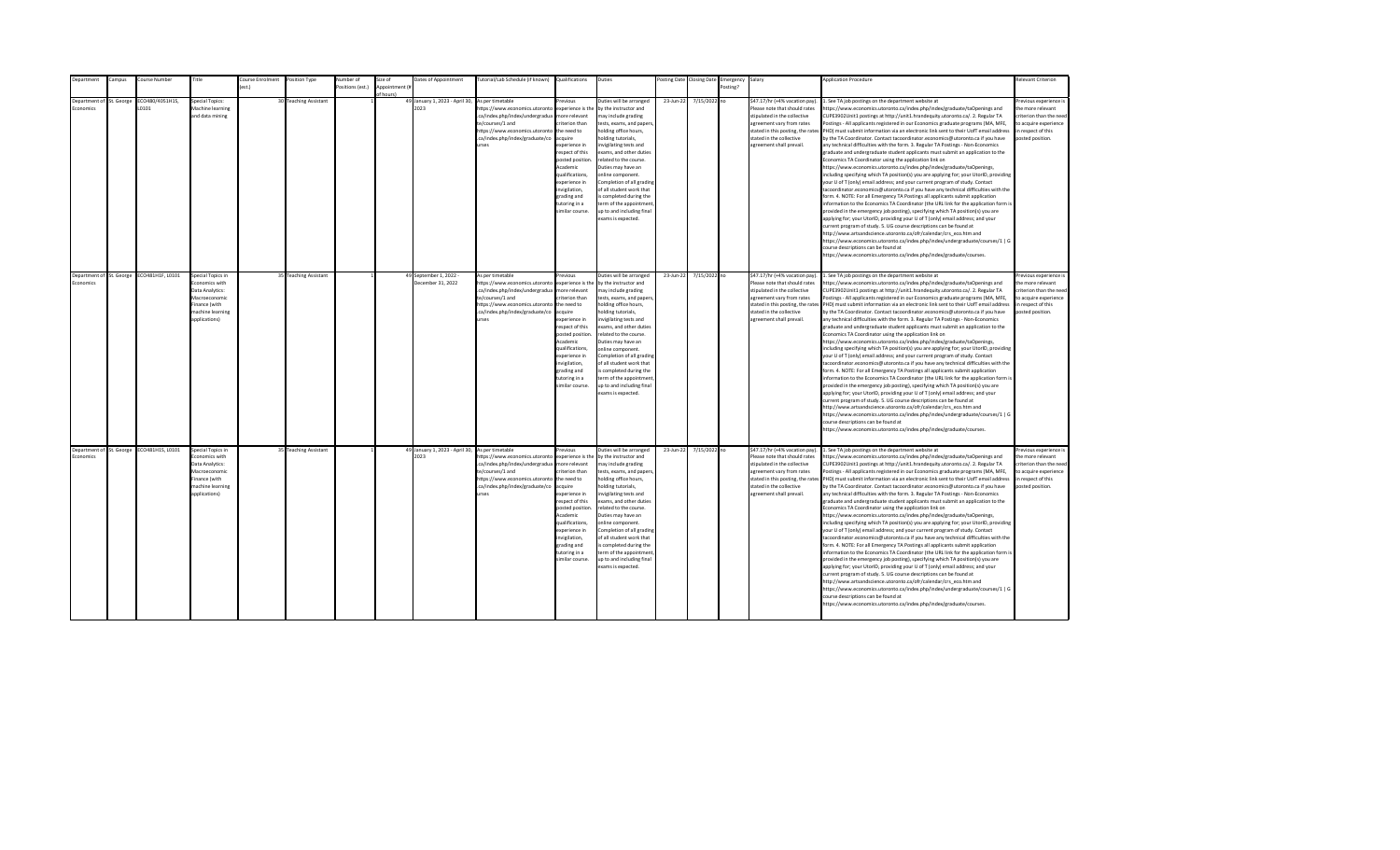| Department               | ampus:     | ourse Number     | Title                             | <b>Course Enrolment</b> | Position Type         | lumber of       | size of        | Dates of Appointment                            | lutorial/Lab Schedule (if known)                                  | Qualifications         | Duties                                             | osting Date | <b>Closing Date</b> | Emergency | Salary                            | <b>Application Procedure</b>                                                                                                                                                                             | Relevant Criterion                         |
|--------------------------|------------|------------------|-----------------------------------|-------------------------|-----------------------|-----------------|----------------|-------------------------------------------------|-------------------------------------------------------------------|------------------------|----------------------------------------------------|-------------|---------------------|-----------|-----------------------------------|----------------------------------------------------------------------------------------------------------------------------------------------------------------------------------------------------------|--------------------------------------------|
|                          |            |                  |                                   | $f$ est.)               |                       | ositions (est.) | Annointment (# |                                                 |                                                                   |                        |                                                    |             |                     | Posting?  |                                   |                                                                                                                                                                                                          |                                            |
| Denartment of            |            | CO480/4051H1S.   | <b>Special Topics:</b>            |                         |                       |                 | of hours)      | 49 January 1, 2023 - April 30,                  |                                                                   | revious                | Duties will be arranged                            |             |                     |           | \$47.17/hr (+4% vacation pay)     |                                                                                                                                                                                                          |                                            |
| <b>Economics</b>         | St. George | 10101            | Machine learning                  |                         | 30 Teaching Assistant |                 |                | 2023                                            | As per timetable<br>https://www.economics.utoronto                | experience is the      | by the instructor and                              | 23-Jun-22   | 7/15/2022 no        |           | Please note that should rates     | . See TA job postings on the department website at<br>ttps://www.economics.utoronto.ca/index.php/index/graduate/taOpenings and                                                                           | Previous experience i<br>the more relevant |
|                          |            |                  | and data mining                   |                         |                       |                 |                |                                                 | .ca/index.php/index/undergradua                                   | more relevant          | may include grading                                |             |                     |           | stipulated in the collective      | CUPE3902Unit1 postings at http://unit1.hrandequity.utoronto.ca/. 2. Regular TA                                                                                                                           | criterion than the need                    |
|                          |            |                  |                                   |                         |                       |                 |                |                                                 | te/courses/1 and                                                  | riterion than          |                                                    |             |                     |           | agreement vary from rates         | ostings - All applicants registered in our Economics graduate programs (MA, MFE,                                                                                                                         | to acquire experience                      |
|                          |            |                  |                                   |                         |                       |                 |                |                                                 | https://www.economics.utoronto                                    | the need to            | tests, exams, and papers,<br>holding office hours, |             |                     |           | stated in this posting, the rates | PHD) must submit information via an electronic link sent to their UofT email address                                                                                                                     | in respect of this                         |
|                          |            |                  |                                   |                         |                       |                 |                |                                                 | .ca/index.php/index/graduate/co                                   | acquire                | holding tutorials,                                 |             |                     |           | stated in the collective          | by the TA Coordinator. Contact tacoordinator.economics@utoronto.ca if you have                                                                                                                           | posted position.                           |
|                          |            |                  |                                   |                         |                       |                 |                |                                                 | urses                                                             | experience in          | nvigilating tests and                              |             |                     |           | agreement shall prevail.          | any technical difficulties with the form. 3. Regular TA Postings - Non-Economics                                                                                                                         |                                            |
|                          |            |                  |                                   |                         |                       |                 |                |                                                 |                                                                   | respect of this        | exams, and other duties                            |             |                     |           |                                   | graduate and undergraduate student applicants must submit an application to the                                                                                                                          |                                            |
|                          |            |                  |                                   |                         |                       |                 |                |                                                 |                                                                   | posted position.       | related to the course.                             |             |                     |           |                                   | Economics TA Coordinator using the application link on                                                                                                                                                   |                                            |
|                          |            |                  |                                   |                         |                       |                 |                |                                                 |                                                                   | Academic               | Duties may have an                                 |             |                     |           |                                   | https://www.economics.utoronto.ca/index.php/index/graduate/taOpenings,                                                                                                                                   |                                            |
|                          |            |                  |                                   |                         |                       |                 |                |                                                 |                                                                   | qualifications,        | online component.                                  |             |                     |           |                                   | including specifying which TA position(s) you are applying for; your UtorID, providing                                                                                                                   |                                            |
|                          |            |                  |                                   |                         |                       |                 |                |                                                 |                                                                   | experience in          | Completion of all grading                          |             |                     |           |                                   | your U of T (only) email address; and your current program of study. Contact                                                                                                                             |                                            |
|                          |            |                  |                                   |                         |                       |                 |                |                                                 |                                                                   | nvigilation,           | of all student work that                           |             |                     |           |                                   | acoordinator.economics@utoronto.ca if you have any technical difficulties with the                                                                                                                       |                                            |
|                          |            |                  |                                   |                         |                       |                 |                |                                                 |                                                                   | grading and            | s completed during the                             |             |                     |           |                                   | form. 4. NOTE: For all Emergency TA Postings all applicants submit application                                                                                                                           |                                            |
|                          |            |                  |                                   |                         |                       |                 |                |                                                 |                                                                   | tutoring in a          | term of the appointment                            |             |                     |           |                                   | information to the Economics TA Coordinator (the URL link for the application form is                                                                                                                    |                                            |
|                          |            |                  |                                   |                         |                       |                 |                |                                                 |                                                                   | similar course.        | up to and including final                          |             |                     |           |                                   | provided in the emergency job posting), specifying which TA position(s) you are                                                                                                                          |                                            |
|                          |            |                  |                                   |                         |                       |                 |                |                                                 |                                                                   |                        | exams is expected.                                 |             |                     |           |                                   | applying for; your UtorID, providing your U of T (only) email address; and your                                                                                                                          |                                            |
|                          |            |                  |                                   |                         |                       |                 |                |                                                 |                                                                   |                        |                                                    |             |                     |           |                                   | urrent program of study. 5. UG course descriptions can be found at                                                                                                                                       |                                            |
|                          |            |                  |                                   |                         |                       |                 |                |                                                 |                                                                   |                        |                                                    |             |                     |           |                                   | http://www.artsandscience.utoronto.ca/ofr/calendar/crs eco.htm and                                                                                                                                       |                                            |
|                          |            |                  |                                   |                         |                       |                 |                |                                                 |                                                                   |                        |                                                    |             |                     |           |                                   | https://www.economics.utoronto.ca/index.php/index/undergraduate/courses/1   G                                                                                                                            |                                            |
|                          |            |                  |                                   |                         |                       |                 |                |                                                 |                                                                   |                        |                                                    |             |                     |           |                                   | ourse descriptions can be found at                                                                                                                                                                       |                                            |
|                          |            |                  |                                   |                         |                       |                 |                |                                                 |                                                                   |                        |                                                    |             |                     |           |                                   | https://www.economics.utoronto.ca/index.php/index/graduate/courses.                                                                                                                                      |                                            |
|                          |            |                  |                                   |                         |                       |                 |                |                                                 |                                                                   |                        |                                                    |             |                     |           |                                   |                                                                                                                                                                                                          |                                            |
|                          |            |                  |                                   |                         |                       |                 |                |                                                 |                                                                   |                        |                                                    |             |                     |           |                                   |                                                                                                                                                                                                          |                                            |
| Department of St. George |            | ECO481H1F, L0101 | Special Topics in                 |                         | 35 Teaching Assistant |                 |                | 49 September 1, 2022 -                          | As per timetable                                                  | revious                | Duties will be arranged                            | 23-Jun-22   | 7/15/2022 no        |           | \$47.17/hr (+4% vacation pay).    | 1. See TA job postings on the department website at                                                                                                                                                      | Previous experience i                      |
| Economics                |            |                  | Economics with                    |                         |                       |                 |                | December 31, 2022                               | https://www.economics.utoronto                                    | experience is the      | by the instructor and                              |             |                     |           | Please note that should rates     | https://www.economics.utoronto.ca/index.php/index/graduate/taOpenings and                                                                                                                                | the more relevant                          |
|                          |            |                  | Data Analytics:                   |                         |                       |                 |                |                                                 | .ca/index.php/index/undergradua                                   | more relevant          | may include grading                                |             |                     |           | stipulated in the collective      | CUPE3902Unit1 postings at http://unit1.hrandequity.utoronto.ca/. 2. Regular TA                                                                                                                           | criterion than the need                    |
|                          |            |                  | Macroeconomic                     |                         |                       |                 |                |                                                 | te/courses/1 and                                                  | criterion than         | tests, exams, and papers,                          |             |                     |           | agreement vary from rates         | Postings - All applicants registered in our Economics graduate programs (MA, MFE,                                                                                                                        | to acquire experience                      |
|                          |            |                  | Finance (with<br>machine learning |                         |                       |                 |                |                                                 | https://www.economics.utoronto<br>.ca/index.php/index/graduate/co | the need to<br>acquire | holding office hours,<br>holding tutorials,        |             |                     |           | stated in the collective          | stated in this posting, the rates PHD) must submit information via an electronic link sent to their UofT email address<br>by the TA Coordinator. Contact tacoordinator.economics@utoronto.ca if you have | in respect of this<br>posted position.     |
|                          |            |                  | applications)                     |                         |                       |                 |                |                                                 | urses                                                             | experience in          | invigilating tests and                             |             |                     |           | agreement shall prevail.          | any technical difficulties with the form. 3. Regular TA Postings - Non-Economics                                                                                                                         |                                            |
|                          |            |                  |                                   |                         |                       |                 |                |                                                 |                                                                   | respect of this        | exams, and other duties                            |             |                     |           |                                   | graduate and undergraduate student applicants must submit an application to the                                                                                                                          |                                            |
|                          |            |                  |                                   |                         |                       |                 |                |                                                 |                                                                   | posted position.       | related to the course.                             |             |                     |           |                                   | Economics TA Coordinator using the application link on                                                                                                                                                   |                                            |
|                          |            |                  |                                   |                         |                       |                 |                |                                                 |                                                                   | Academic               | Duties may have an                                 |             |                     |           |                                   | https://www.economics.utoronto.ca/index.php/index/graduate/taOpenings,                                                                                                                                   |                                            |
|                          |            |                  |                                   |                         |                       |                 |                |                                                 |                                                                   | qualifications.        | online component.                                  |             |                     |           |                                   | including specifying which TA position(s) you are applying for; your UtorID, providing                                                                                                                   |                                            |
|                          |            |                  |                                   |                         |                       |                 |                |                                                 |                                                                   | experience in          | Completion of all grading                          |             |                     |           |                                   | your U of T (only) email address; and your current program of study. Contact                                                                                                                             |                                            |
|                          |            |                  |                                   |                         |                       |                 |                |                                                 |                                                                   | invigilation,          | of all student work that                           |             |                     |           |                                   | tacoordinator.economics@utoronto.ca if you have any technical difficulties with the                                                                                                                      |                                            |
|                          |            |                  |                                   |                         |                       |                 |                |                                                 |                                                                   | grading and            | is completed during the                            |             |                     |           |                                   | form. 4. NOTE: For all Emergency TA Postings all applicants submit application                                                                                                                           |                                            |
|                          |            |                  |                                   |                         |                       |                 |                |                                                 |                                                                   | tutoring in a          | term of the appointment                            |             |                     |           |                                   | information to the Economics TA Coordinator (the URL link for the application form is                                                                                                                    |                                            |
|                          |            |                  |                                   |                         |                       |                 |                |                                                 |                                                                   | similar course.        | up to and including final                          |             |                     |           |                                   | provided in the emergency job posting), specifying which TA position(s) you are                                                                                                                          |                                            |
|                          |            |                  |                                   |                         |                       |                 |                |                                                 |                                                                   |                        | exams is expected.                                 |             |                     |           |                                   | applying for; your UtorID, providing your U of T (only) email address; and your                                                                                                                          |                                            |
|                          |            |                  |                                   |                         |                       |                 |                |                                                 |                                                                   |                        |                                                    |             |                     |           |                                   | current program of study. 5. UG course descriptions can be found at                                                                                                                                      |                                            |
|                          |            |                  |                                   |                         |                       |                 |                |                                                 |                                                                   |                        |                                                    |             |                     |           |                                   | http://www.artsandscience.utoronto.ca/ofr/calendar/crs_eco.htm and                                                                                                                                       |                                            |
|                          |            |                  |                                   |                         |                       |                 |                |                                                 |                                                                   |                        |                                                    |             |                     |           |                                   | https://www.economics.utoronto.ca/index.php/index/undergraduate/courses/1   G                                                                                                                            |                                            |
|                          |            |                  |                                   |                         |                       |                 |                |                                                 |                                                                   |                        |                                                    |             |                     |           |                                   | ourse descriptions can be found at                                                                                                                                                                       |                                            |
|                          |            |                  |                                   |                         |                       |                 |                |                                                 |                                                                   |                        |                                                    |             |                     |           |                                   | ittps://www.economics.utoronto.ca/index.php/index/graduate/courses.                                                                                                                                      |                                            |
|                          |            |                  |                                   |                         |                       |                 |                |                                                 |                                                                   |                        |                                                    |             |                     |           |                                   |                                                                                                                                                                                                          |                                            |
| Department of St. George |            | ECO481H1S, L0101 | Special Topics in                 |                         | 35 Teaching Assistant |                 |                | 49 January 1, 2023 - April 30, As per timetable |                                                                   | Previous               | Duties will be arranged                            | 23-Jun-22   | 7/15/2022 no        |           | \$47.17/hr (+4% vacation pay).    | 1. See TA job postings on the department website at                                                                                                                                                      | revious experience i                       |
| Economics                |            |                  | Economics with                    |                         |                       |                 |                | 2023                                            | https://www.economics.utoronto                                    | experience is the      | by the instructor and                              |             |                     |           | Please note that should rates     | https://www.economics.utoronto.ca/index.php/index/graduate/taOpenings and                                                                                                                                | the more relevant                          |
|                          |            |                  | Data Analytics:                   |                         |                       |                 |                |                                                 | .ca/index.php/index/undergradua                                   | more relevant          | may include grading                                |             |                     |           | stipulated in the collective      | CUPE3902Unit1 postings at http://unit1.hrandequity.utoronto.ca/. 2. Regular TA                                                                                                                           | criterion than the need                    |
|                          |            |                  | Macroeconomic                     |                         |                       |                 |                |                                                 | te/courses/1 and                                                  | criterion than         | tests, exams, and papers,                          |             |                     |           | agreement vary from rates         | Postings - All applicants registered in our Economics graduate programs (MA, MFE,                                                                                                                        | to acquire experience                      |
|                          |            |                  | Finance (with                     |                         |                       |                 |                |                                                 | https://www.economics.utoronto the need to                        |                        | holding office hours,                              |             |                     |           |                                   | stated in this posting, the rates PHD) must submit information via an electronic link sent to their UofT email address                                                                                   | in respect of this                         |
|                          |            |                  | machine learning                  |                         |                       |                 |                |                                                 | .ca/index.php/index/graduate/co                                   | acquire                | holding tutorials,                                 |             |                     |           | stated in the collective          | by the TA Coordinator. Contact tacoordinator.economics@utoronto.ca if you have                                                                                                                           | posted position.                           |
|                          |            |                  | applications)                     |                         |                       |                 |                |                                                 | urses                                                             | experience in          | nvigilating tests and                              |             |                     |           | agreement shall prevail.          | any technical difficulties with the form. 3. Regular TA Postings - Non-Economics                                                                                                                         |                                            |
|                          |            |                  |                                   |                         |                       |                 |                |                                                 |                                                                   | respect of this        | exams, and other duties                            |             |                     |           |                                   | graduate and undergraduate student applicants must submit an application to the                                                                                                                          |                                            |
|                          |            |                  |                                   |                         |                       |                 |                |                                                 |                                                                   | posted position        | related to the course.                             |             |                     |           |                                   | Economics TA Coordinator using the application link on                                                                                                                                                   |                                            |
|                          |            |                  |                                   |                         |                       |                 |                |                                                 |                                                                   | Academic               | Duties may have an                                 |             |                     |           |                                   | https://www.economics.utoronto.ca/index.php/index/graduate/taOpenings,                                                                                                                                   |                                            |
|                          |            |                  |                                   |                         |                       |                 |                |                                                 |                                                                   | qualifications,        | online component.                                  |             |                     |           |                                   | including specifying which TA position(s) you are applying for; your UtorID, providing                                                                                                                   |                                            |
|                          |            |                  |                                   |                         |                       |                 |                |                                                 |                                                                   | experience in          | Completion of all grading                          |             |                     |           |                                   | your U of T (only) email address; and your current program of study. Contact                                                                                                                             |                                            |
|                          |            |                  |                                   |                         |                       |                 |                |                                                 |                                                                   | invigilation,          | of all student work that                           |             |                     |           |                                   | tacoordinator.economics@utoronto.ca if you have any technical difficulties with the                                                                                                                      |                                            |
|                          |            |                  |                                   |                         |                       |                 |                |                                                 |                                                                   | grading and            | is completed during the                            |             |                     |           |                                   | form. 4. NOTE: For all Emergency TA Postings all applicants submit application                                                                                                                           |                                            |
|                          |            |                  |                                   |                         |                       |                 |                |                                                 |                                                                   | tutoring in a          | term of the appointment                            |             |                     |           |                                   | information to the Economics TA Coordinator (the URL link for the application form is                                                                                                                    |                                            |
|                          |            |                  |                                   |                         |                       |                 |                |                                                 |                                                                   | similar course.        | up to and including final                          |             |                     |           |                                   | provided in the emergency job posting), specifying which TA position(s) you are                                                                                                                          |                                            |
|                          |            |                  |                                   |                         |                       |                 |                |                                                 |                                                                   |                        | exams is expected.                                 |             |                     |           |                                   | applying for; your UtorID, providing your U of T (only) email address; and your                                                                                                                          |                                            |
|                          |            |                  |                                   |                         |                       |                 |                |                                                 |                                                                   |                        |                                                    |             |                     |           |                                   | current program of study. 5. UG course descriptions can be found at                                                                                                                                      |                                            |
|                          |            |                  |                                   |                         |                       |                 |                |                                                 |                                                                   |                        |                                                    |             |                     |           |                                   | http://www.artsandscience.utoronto.ca/ofr/calendar/crs eco.htm and                                                                                                                                       |                                            |
|                          |            |                  |                                   |                         |                       |                 |                |                                                 |                                                                   |                        |                                                    |             |                     |           |                                   | https://www.economics.utoronto.ca/index.php/index/undergraduate/courses/1   G                                                                                                                            |                                            |
|                          |            |                  |                                   |                         |                       |                 |                |                                                 |                                                                   |                        |                                                    |             |                     |           |                                   | course descriptions can be found at                                                                                                                                                                      |                                            |
|                          |            |                  |                                   |                         |                       |                 |                |                                                 |                                                                   |                        |                                                    |             |                     |           |                                   | https://www.economics.utoronto.ca/index.php/index/graduate/courses.                                                                                                                                      |                                            |
|                          |            |                  |                                   |                         |                       |                 |                |                                                 |                                                                   |                        |                                                    |             |                     |           |                                   |                                                                                                                                                                                                          |                                            |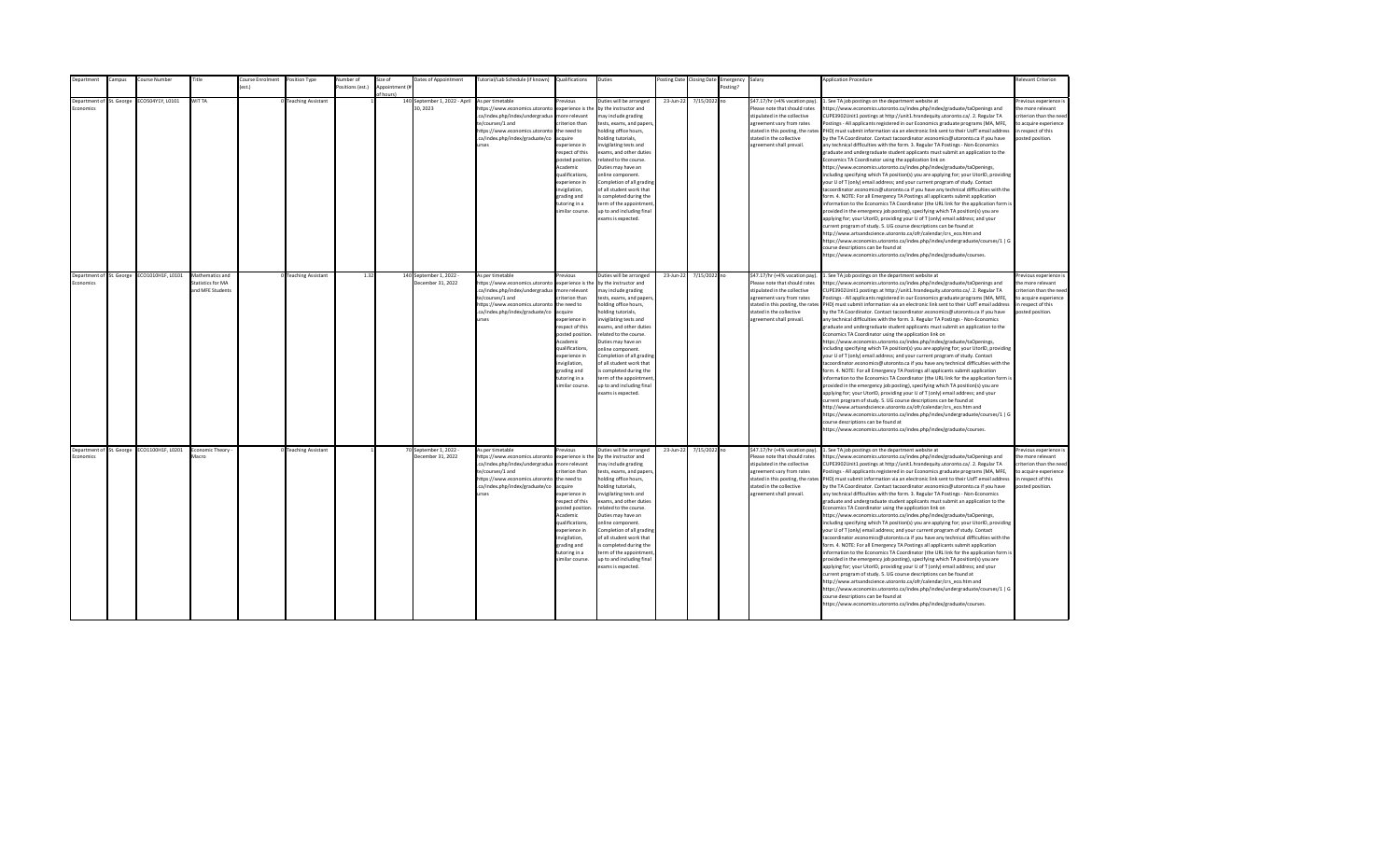| Department | Campus                   | Course Number                              | Title                                                           | Course Enrolment | Position Type             | <b>Number</b> of | Size of                     | Dates of Appointment                         | Tutorial/Lab Schedule (if known) Qualifications                                                                                                                                                     |                                                                                                                                                                                                                                                                      | Duties                                                                                                                                                                                                                                                                                                                                                                                                                                          |           | Posting Date Closing Date | Emergency Salary |                                                                                                                                                                                                                           | <b>Application Procedure</b>                                                                                                                                                                                                                                                                                                                                                                                                                                                                                                                                                                                                                                                                                                                                                                                                                                                                                                                                                                                                                                                                                                                                                                                                                                                                                                                                                                                                                                                                                                                                                                                                                                                                                                                                                                 | Relevant Criterion                                                                                                                        |
|------------|--------------------------|--------------------------------------------|-----------------------------------------------------------------|------------------|---------------------------|------------------|-----------------------------|----------------------------------------------|-----------------------------------------------------------------------------------------------------------------------------------------------------------------------------------------------------|----------------------------------------------------------------------------------------------------------------------------------------------------------------------------------------------------------------------------------------------------------------------|-------------------------------------------------------------------------------------------------------------------------------------------------------------------------------------------------------------------------------------------------------------------------------------------------------------------------------------------------------------------------------------------------------------------------------------------------|-----------|---------------------------|------------------|---------------------------------------------------------------------------------------------------------------------------------------------------------------------------------------------------------------------------|----------------------------------------------------------------------------------------------------------------------------------------------------------------------------------------------------------------------------------------------------------------------------------------------------------------------------------------------------------------------------------------------------------------------------------------------------------------------------------------------------------------------------------------------------------------------------------------------------------------------------------------------------------------------------------------------------------------------------------------------------------------------------------------------------------------------------------------------------------------------------------------------------------------------------------------------------------------------------------------------------------------------------------------------------------------------------------------------------------------------------------------------------------------------------------------------------------------------------------------------------------------------------------------------------------------------------------------------------------------------------------------------------------------------------------------------------------------------------------------------------------------------------------------------------------------------------------------------------------------------------------------------------------------------------------------------------------------------------------------------------------------------------------------------|-------------------------------------------------------------------------------------------------------------------------------------------|
|            |                          |                                            |                                                                 | (est.)           |                           | ositions (est.)  | Appointment (#<br>of hours! |                                              |                                                                                                                                                                                                     |                                                                                                                                                                                                                                                                      |                                                                                                                                                                                                                                                                                                                                                                                                                                                 |           |                           | Posting?         |                                                                                                                                                                                                                           |                                                                                                                                                                                                                                                                                                                                                                                                                                                                                                                                                                                                                                                                                                                                                                                                                                                                                                                                                                                                                                                                                                                                                                                                                                                                                                                                                                                                                                                                                                                                                                                                                                                                                                                                                                                              |                                                                                                                                           |
| Economics  | Department of St. George | ECO504Y1Y, L0101                           | WIT TA                                                          |                  | <b>Teaching Assistant</b> |                  |                             | 140 September 1, 2022 - April<br>30.2023     | As per timetable<br>https://www.economics.utoronto<br>.ca/index.php/index/undergradua<br>te/courses/1 and<br>https://www.economics.utoronto<br>.ca/index.php/index/graduate/co<br>urses             | Previous<br>experience is the<br>more relevant<br>riterion than<br>the need to<br>acquire<br>xperience in<br>respect of this<br>posted position<br>Academic<br>qualifications,<br>experience in<br>wigilation,<br>grading and<br>tutoring in a<br>imilar course.     | Duties will be arranged<br>by the instructor and<br>may include grading<br>tests, exams, and papers<br>holding office hours,<br>olding tutorials,<br>nvigilating tests and<br>exams, and other duties<br>related to the course.<br>Duties may have an<br>online component.<br>Completion of all grading<br>of all student work that<br>s completed during the<br>erm of the appointment<br>up to and including final<br>exams is expected.      | 23-Jun-22 | 7/15/2022 no              |                  | \$47.17/hr (+4% vacation pay).<br>Please note that should rates<br>stipulated in the collective<br>agreement vary from rates<br>stated in this posting, the rates<br>stated in the collective<br>agreement shall prevail. | 1. See TA job postings on the department website at<br>ttps://www.economics.utoronto.ca/index.php/index/graduate/taOpenings and<br>CUPE3902Unit1 postings at http://unit1.hrandequity.utoronto.ca/. 2. Regular TA<br>Postings - All applicants registered in our Economics graduate programs (MA, MFE,<br>PHD) must submit information via an electronic link sent to their UofT email address<br>by the TA Coordinator. Contact tacoordinator.economics@utoronto.ca if you have<br>any technical difficulties with the form. 3. Regular TA Postings - Non-Economics<br>graduate and undergraduate student applicants must submit an application to the<br>Economics TA Coordinator using the application link on<br>https://www.economics.utoronto.ca/index.php/index/graduate/taOpenings,<br>ncluding specifying which TA position(s) you are applying for; your UtorID, providing<br>our U of T (only) email address; and your current program of study. Contact<br>acoordinator.economics@utoronto.ca if you have any technical difficulties with the<br>orm. 4. NOTE: For all Emergency TA Postings all applicants submit application<br>nformation to the Economics TA Coordinator (the URL link for the application form is<br>provided in the emergency job posting), specifying which TA position(s) you are<br>applying for; your UtorID, providing your U of T (only) email address; and your<br>urrent program of study. 5. UG course descriptions can be found at<br>http://www.artsandscience.utoronto.ca/ofr/calendar/crs eco.htm and<br>https://www.economics.utoronto.ca/index.php/index/undergraduate/courses/1   G<br>ourse descriptions can be found at<br>https://www.economics.utoronto.ca/index.php/index/graduate/courses.                                           | revious experience i<br>the more relevant<br>riterion than the need<br>to acquire experience<br>in respect of this<br>posted position.    |
| Economics  | Department of St. George | ECO1010H1F, L0101                          | Mathematics and<br><b>Statistics for MA</b><br>and MFE Students |                  | <b>Teaching Assistant</b> | 1.32             |                             | 140 September 1, 2022 -<br>December 31, 2022 | As per timetable<br>https://www.economics.utoronto<br>.ca/index.php/index/undergradua<br>te/courses/1 and<br>https://www.economics.utoronto<br>.ca/index.php/index/graduate/co<br>urses             | revious<br>experience is the<br>more relevant<br>criterion than<br>the need to<br>acquire<br>experience in<br>respect of this<br>posted position<br>Academic<br>qualifications,<br>experience in<br>invigilation,<br>grading and<br>tutoring in a<br>similar course. | Duties will be arranged<br>by the instructor and<br>may include grading<br>tests, exams, and papers,<br>holding office hours,<br>holding tutorials,<br>invigilating tests and<br>exams, and other duties<br>related to the course.<br>Duties may have an<br>online component.<br>Completion of all grading<br>of all student work that<br>is completed during the<br>term of the appointment<br>up to and including final<br>exams is expected. | 23-Jun-22 | 7/15/2022 no              |                  | \$47.17/hr (+4% vacation pay).<br>Please note that should rates<br>stipulated in the collective<br>agreement vary from rates<br>stated in the collective<br>agreement shall prevail.                                      | 1. See TA job postings on the department website at<br>https://www.economics.utoronto.ca/index.php/index/graduate/taOpenings and<br>CUPE3902Unit1 postings at http://unit1.hrandequity.utoronto.ca/. 2. Regular TA<br>Postings - All applicants registered in our Economics graduate programs (MA, MFE,<br>stated in this posting, the rates PHD) must submit information via an electronic link sent to their UofT email address<br>by the TA Coordinator. Contact tacoordinator.economics@utoronto.ca if you have<br>any technical difficulties with the form. 3. Regular TA Postings - Non-Economics<br>graduate and undergraduate student applicants must submit an application to the<br>Economics TA Coordinator using the application link on<br>https://www.economics.utoronto.ca/index.php/index/graduate/taOpenings,<br>including specifying which TA position(s) you are applying for; your UtorID, providing<br>your U of T (only) email address; and your current program of study. Contact<br>acoordinator.economics@utoronto.ca if you have any technical difficulties with the<br>form. 4. NOTE: For all Emergency TA Postings all applicants submit application<br>information to the Economics TA Coordinator (the URL link for the application form is<br>provided in the emergency job posting), specifying which TA position(s) you are<br>applying for; your UtorID, providing your U of T (only) email address; and your<br>current program of study. 5. UG course descriptions can be found at<br>http://www.artsandscience.utoronto.ca/ofr/calendar/crs_eco.htm and<br>https://www.economics.utoronto.ca/index.php/index/undergraduate/courses/1   G<br>ourse descriptions can be found at<br>https://www.economics.utoronto.ca/index.php/index/graduate/courses.   | Previous experience i<br>the more relevant<br>criterion than the need<br>to acquire experience<br>in respect of this<br>posted position.  |
| Economics  |                          | Department of St. George ECO1100H1F, L0201 | Economic Theory -<br>Macro                                      |                  | 0 Teaching Assistant      |                  |                             | 70 September 1, 2022 -<br>December 31, 2022  | As per timetable<br>https://www.economics.utoronto<br>.ca/index.php/index/undergradua<br>te/courses/1 and<br>https://www.economics.utoronto the need to<br>.ca/index.php/index/graduate/co<br>urses | Previous<br>experience is the<br>more relevant<br>criterion than<br>acquire<br>experience in<br>respect of this<br>posted position<br>Academic<br>qualifications,<br>experience in<br>invigilation,<br>grading and<br>tutoring in a<br>similar course.               | Duties will be arranged<br>by the instructor and<br>may include grading<br>tests, exams, and papers,<br>holding office hours,<br>holding tutorials,<br>nvigilating tests and<br>exams, and other duties<br>related to the course.<br>Duties may have an<br>online component.<br>Completion of all grading<br>of all student work that<br>is completed during the<br>term of the appointment<br>up to and including final<br>exams is expected.  | 23-Jun-22 | 7/15/2022 no              |                  | \$47.17/hr (+4% vacation pay).<br>Please note that should rates<br>stipulated in the collective<br>agreement vary from rates<br>stated in the collective<br>agreement shall prevail.                                      | 1. See TA job postings on the department website at<br>https://www.economics.utoronto.ca/index.php/index/graduate/taOpenings and<br>CUPE3902Unit1 postings at http://unit1.hrandequity.utoronto.ca/. 2. Regular TA<br>Postings - All applicants registered in our Economics graduate programs (MA, MFE,<br>stated in this posting, the rates PHD) must submit information via an electronic link sent to their UofT email address<br>by the TA Coordinator. Contact tacoordinator.economics@utoronto.ca if you have<br>any technical difficulties with the form. 3. Regular TA Postings - Non-Economics<br>graduate and undergraduate student applicants must submit an application to the<br>Economics TA Coordinator using the application link on<br>https://www.economics.utoronto.ca/index.php/index/graduate/taOpenings,<br>including specifying which TA position(s) you are applying for; your UtorID, providing<br>your U of T (only) email address; and your current program of study. Contact<br>tacoordinator.economics@utoronto.ca if you have any technical difficulties with the<br>form. 4. NOTE: For all Emergency TA Postings all applicants submit application<br>information to the Economics TA Coordinator (the URL link for the application form is<br>provided in the emergency job posting), specifying which TA position(s) you are<br>applying for; your UtorID, providing your U of T (only) email address; and your<br>current program of study. 5. UG course descriptions can be found at<br>http://www.artsandscience.utoronto.ca/ofr/calendar/crs eco.htm and<br>https://www.economics.utoronto.ca/index.php/index/undergraduate/courses/1   G<br>course descriptions can be found at<br>https://www.economics.utoronto.ca/index.php/index/graduate/courses. | Previous experience is<br>the more relevant<br>criterion than the need<br>to acquire experience<br>in respect of this<br>posted position. |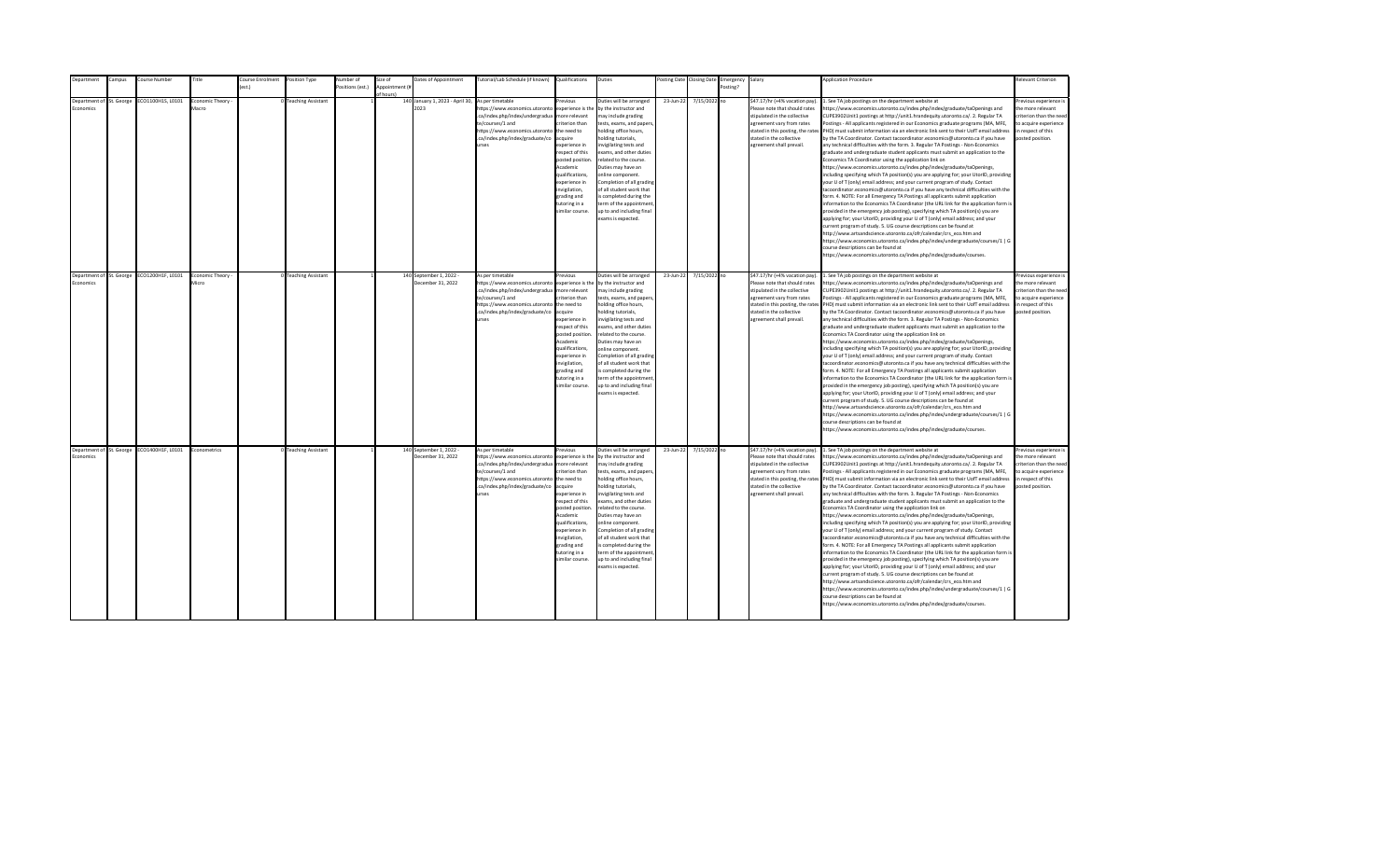| <b>Department</b>                     | Campus | Course Number                              | Title                    | Course Enrolment | Position Type        | Number of        | Size of                    | Dates of Appointment                         | Tutorial/Lab Schedule (if known) Qualifications                                                                                                                                                |                                                                                                                                                                                                                                                                    | Duties                                                                                                                                                                                                                                                                                                                                                                                                                                         |           | Posting Date Closing Date | Emergency Salary |                                                                                                                                                                                                                           | <b>Application Procedure</b>                                                                                                                                                                                                                                                                                                                                                                                                                                                                                                                                                                                                                                                                                                                                                                                                                                                                                                                                                                                                                                                                                                                                                                                                                                                                                                                                                                                                                                                                                                                                                                                                                                                                                                                                                                 | <b>Relevant Criterion</b>                                                                                                                |
|---------------------------------------|--------|--------------------------------------------|--------------------------|------------------|----------------------|------------------|----------------------------|----------------------------------------------|------------------------------------------------------------------------------------------------------------------------------------------------------------------------------------------------|--------------------------------------------------------------------------------------------------------------------------------------------------------------------------------------------------------------------------------------------------------------------|------------------------------------------------------------------------------------------------------------------------------------------------------------------------------------------------------------------------------------------------------------------------------------------------------------------------------------------------------------------------------------------------------------------------------------------------|-----------|---------------------------|------------------|---------------------------------------------------------------------------------------------------------------------------------------------------------------------------------------------------------------------------|----------------------------------------------------------------------------------------------------------------------------------------------------------------------------------------------------------------------------------------------------------------------------------------------------------------------------------------------------------------------------------------------------------------------------------------------------------------------------------------------------------------------------------------------------------------------------------------------------------------------------------------------------------------------------------------------------------------------------------------------------------------------------------------------------------------------------------------------------------------------------------------------------------------------------------------------------------------------------------------------------------------------------------------------------------------------------------------------------------------------------------------------------------------------------------------------------------------------------------------------------------------------------------------------------------------------------------------------------------------------------------------------------------------------------------------------------------------------------------------------------------------------------------------------------------------------------------------------------------------------------------------------------------------------------------------------------------------------------------------------------------------------------------------------|------------------------------------------------------------------------------------------------------------------------------------------|
|                                       |        |                                            |                          | est.)            |                      | Positions (est.) | Appointment (i<br>f hours) |                                              |                                                                                                                                                                                                |                                                                                                                                                                                                                                                                    |                                                                                                                                                                                                                                                                                                                                                                                                                                                |           |                           | Posting?         |                                                                                                                                                                                                                           |                                                                                                                                                                                                                                                                                                                                                                                                                                                                                                                                                                                                                                                                                                                                                                                                                                                                                                                                                                                                                                                                                                                                                                                                                                                                                                                                                                                                                                                                                                                                                                                                                                                                                                                                                                                              |                                                                                                                                          |
| Department of St. George<br>conomics  |        | ECO1100H1S, L0101                          | Economic Theory<br>Macro |                  | 0 Teaching Assistant |                  |                            | 140 January 1, 2023 - April 30,<br>2023      | As per timetable<br>ttps://www.economics.utoronto<br>.ca/index.php/index/undergradua<br>te/courses/1 and<br>https://www.economics.utoronto<br>.ca/index.php/index/graduate/co<br><b>urses</b>  | revious<br>experience is the<br>nore relevant<br>riterion than<br>the need to<br>cauire<br>xperience in<br>espect of this<br>posted position<br>Academic<br>qualifications,<br>xperience in<br>nvigilation,<br>trading and<br>utoring in a<br>imilar course.       | Duties will be arranged<br>by the instructor and<br>nay include grading<br>tests, exams, and papers<br>nolding office hours,<br>olding tutorials,<br>nvigilating tests and<br>exams, and other duties<br>elated to the course.<br>Duties may have an<br>online component.<br>Completion of all grading<br>of all student work that<br>s completed during the<br>erm of the appointment<br>up to and including final<br>exams is expected.      | 23-Jun-22 | 7/15/2022 no              |                  | \$47.17/hr (+4% vacation pay).<br>Please note that should rates<br>stipulated in the collective<br>agreement vary from rates<br>stated in this posting, the rates<br>stated in the collective<br>agreement shall prevail. | 1. See TA job postings on the department website at<br>https://www.economics.utoronto.ca/index.php/index/graduate/taOpenings and<br>CUPE3902Unit1 postings at http://unit1.hrandequity.utoronto.ca/. 2. Regular TA<br>Postings - All applicants registered in our Economics graduate programs (MA, MFE,<br>PHD) must submit information via an electronic link sent to their UofT email address<br>by the TA Coordinator. Contact tacoordinator.economics@utoronto.ca if you have<br>any technical difficulties with the form. 3. Regular TA Postings - Non-Economics<br>graduate and undergraduate student applicants must submit an application to the<br>Economics TA Coordinator using the application link on<br>https://www.economics.utoronto.ca/index.php/index/graduate/taOpenings,<br>including specifying which TA position(s) you are applying for; your UtorID, providing<br>your U of T (only) email address; and your current program of study. Contact<br>tacoordinator.economics@utoronto.ca if you have any technical difficulties with the<br>form. 4. NOTE: For all Emergency TA Postings all applicants submit application<br>information to the Economics TA Coordinator (the URL link for the application form is<br>provided in the emergency job posting), specifying which TA position(s) you are<br>applying for; your UtorID, providing your U of T (only) email address; and your<br>current program of study. 5. UG course descriptions can be found at<br>http://www.artsandscience.utoronto.ca/ofr/calendar/crs eco.htm and<br>https://www.economics.utoronto.ca/index.php/index/undergraduate/courses/1   G<br>course descriptions can be found at<br>https://www.economics.utoronto.ca/index.php/index/graduate/courses.                                   | revious experience i<br>the more relevant<br>riterion than the need<br>to acquire experience<br>in respect of this<br>posted position.   |
| Department of St. George<br>Fronomics |        | ECO1200H1F, L0101                          | Economic Theory<br>Micro |                  | 0 Teaching Assistant |                  |                            | 140 September 1, 2022<br>December 31, 2022   | As per timetable<br>https://www.economics.utoronto<br>.ca/index.php/index/undergradua<br>te/courses/1 and<br>https://www.economics.utoronto<br>.ca/index.php/index/graduate/co<br><b>urses</b> | revious<br>experience is the<br>more relevant<br>riterion than<br>the need to<br>acquire<br>experience in<br>respect of this<br>posted position<br>Academic<br>qualifications,<br>experience in<br>nvigilation,<br>grading and<br>tutoring in a<br>imilar course.  | Duties will be arranged<br>by the instructor and<br>may include grading<br>tests, exams, and papers,<br>holding office hours,<br>nolding tutorials,<br>nvigilating tests and<br>exams, and other duties<br>related to the course.<br>Duties may have an<br>online component.<br>Completion of all grading<br>of all student work that<br>is completed during the<br>term of the appointment<br>up to and including final<br>exams is expected. | 23-Jun-22 | 7/15/2022 no              |                  | \$47.17/hr (+4% vacation pay).<br>Please note that should rates<br>stipulated in the collective<br>agreement vary from rates<br>stated in the collective<br>agreement shall prevail.                                      | 1. See TA job postings on the department website at<br>https://www.economics.utoronto.ca/index.php/index/graduate/taOpenings and<br>CUPE3902Unit1 postings at http://unit1.hrandequity.utoronto.ca/. 2. Regular TA<br>Postings - All applicants registered in our Economics graduate programs (MA, MFE,<br>stated in this posting, the rates PHD) must submit information via an electronic link sent to their UofT email address<br>by the TA Coordinator. Contact tacoordinator.economics@utoronto.ca if you have<br>any technical difficulties with the form. 3. Regular TA Postings - Non-Economics<br>graduate and undergraduate student applicants must submit an application to the<br>Economics TA Coordinator using the application link on<br>https://www.economics.utoronto.ca/index.php/index/graduate/taOpenings,<br>including specifying which TA position(s) you are applying for; your UtorID, providing<br>your U of T (only) email address; and your current program of study. Contact<br>tacoordinator.economics@utoronto.ca if you have any technical difficulties with the<br>form. 4. NOTE: For all Emergency TA Postings all applicants submit application<br>information to the Economics TA Coordinator (the URL link for the application form is<br>provided in the emergency job posting), specifying which TA position(s) you are<br>applying for; your UtorID, providing your U of T (only) email address; and your<br>current program of study. 5. UG course descriptions can be found at<br>http://www.artsandscience.utoronto.ca/ofr/calendar/crs_eco.htm and<br>https://www.economics.utoronto.ca/index.php/index/undergraduate/courses/1   G<br>course descriptions can be found at<br>https://www.economics.utoronto.ca/index.php/index/graduate/courses. | Previous experience i<br>the more relevant<br>criterion than the need<br>to acquire experience<br>in respect of this<br>posted position. |
| Economics                             |        | Department of St. George ECO1400H1F, L0101 | Econometrics             |                  | 0 Teaching Assistant |                  |                            | 140 September 1, 2022 -<br>December 31, 2022 | As per timetable<br>https://www.economics.utoronto<br>.ca/index.php/index/undergradua<br>te/courses/1 and<br>https://www.economics.utoronto<br>.ca/index.php/index/graduate/co<br><b>urses</b> | revious<br>experience is the<br>more relevant<br>riterion than<br>the need to<br>acquire<br>experience in<br>respect of this<br>posted position<br>Academic<br>qualifications,<br>experience in<br>invigilation,<br>grading and<br>tutoring in a<br>imilar course. | Duties will be arranged<br>by the instructor and<br>may include grading<br>tests, exams, and papers,<br>holding office hours,<br>nolding tutorials,<br>nvigilating tests and<br>exams, and other duties<br>related to the course.<br>Duties may have an<br>online component.<br>Completion of all grading<br>of all student work that<br>is completed during the<br>term of the appointment<br>up to and including final<br>exams is expected. | 23-Jun-22 | 7/15/2022 no              |                  | \$47.17/hr (+4% vacation pay).<br>Please note that should rates<br>stipulated in the collective<br>agreement vary from rates<br>stated in the collective<br>agreement shall prevail.                                      | 1. See TA job postings on the department website at<br>https://www.economics.utoronto.ca/index.php/index/graduate/taOpenings and<br>CUPE3902Unit1 postings at http://unit1.hrandequity.utoronto.ca/. 2. Regular TA<br>Postings - All applicants registered in our Economics graduate programs (MA, MFE,<br>stated in this posting, the rates PHD) must submit information via an electronic link sent to their UofT email address<br>by the TA Coordinator. Contact tacoordinator.economics@utoronto.ca if you have<br>any technical difficulties with the form. 3. Regular TA Postings - Non-Economics<br>graduate and undergraduate student applicants must submit an application to the<br>Economics TA Coordinator using the application link on<br>https://www.economics.utoronto.ca/index.php/index/graduate/taOpenings,<br>including specifying which TA position(s) you are applying for; your UtorID, providing<br>your U of T (only) email address; and your current program of study. Contact<br>tacoordinator.economics@utoronto.ca if you have any technical difficulties with the<br>form. 4. NOTE: For all Emergency TA Postings all applicants submit application<br>information to the Economics TA Coordinator (the URL link for the application form is<br>provided in the emergency job posting), specifying which TA position(s) you are<br>applying for; your UtorID, providing your U of T (only) email address; and your<br>current program of study. 5. UG course descriptions can be found at<br>http://www.artsandscience.utoronto.ca/ofr/calendar/crs eco.htm and<br>https://www.economics.utoronto.ca/index.php/index/undergraduate/courses/1   G<br>course descriptions can be found at<br>https://www.economics.utoronto.ca/index.php/index/graduate/courses. | Previous experience i<br>the more relevant<br>criterion than the need<br>to acquire experience<br>in respect of this<br>posted position. |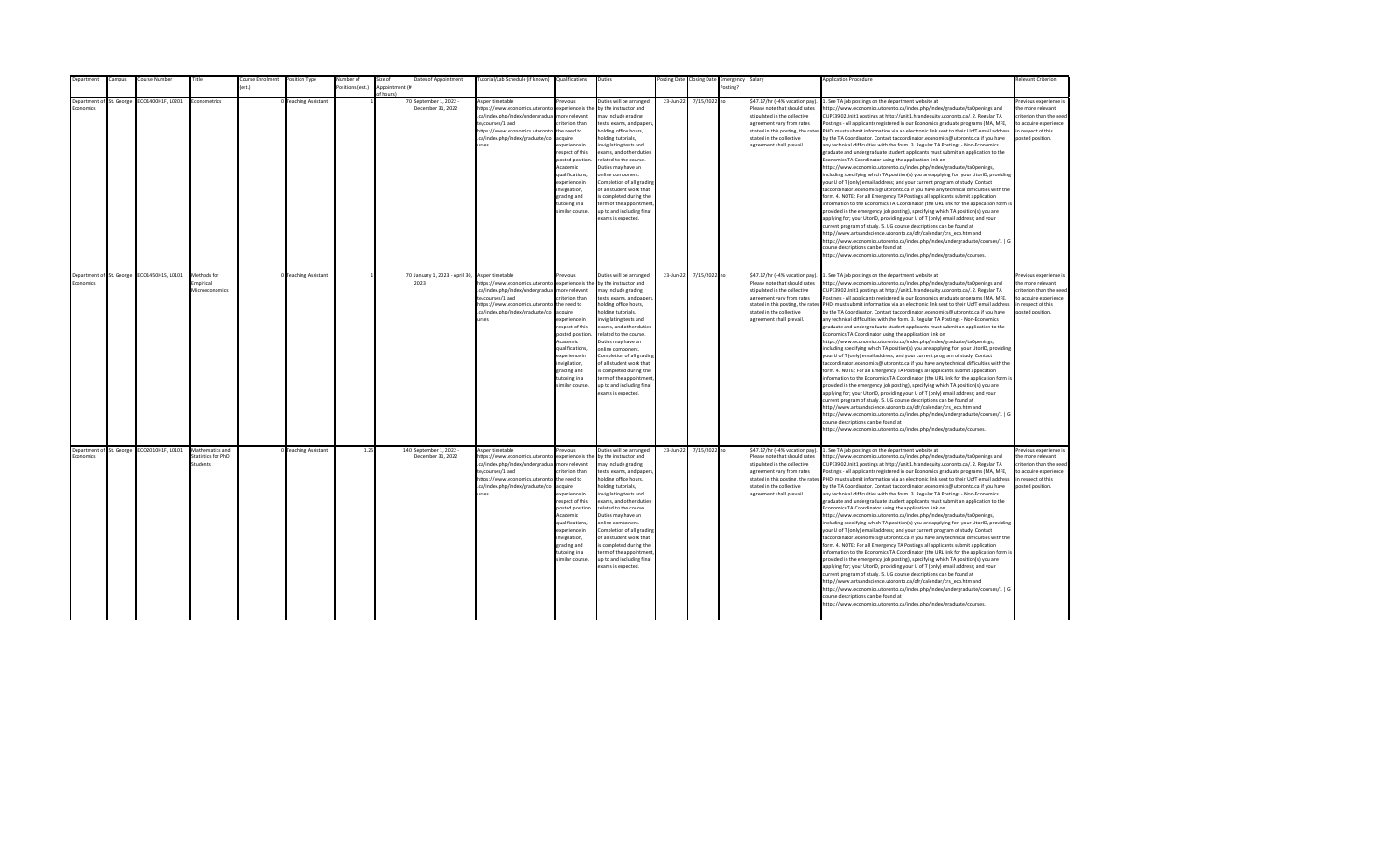| Department                            | Campus | Course Number                              | Title                                                  | Course Enrolment | Position Type        | Number of        | Size of                    | Dates of Appointment                                    | Tutorial/Lab Schedule (if known) Qualifications                                                                                                                                                |                                                                                                                                                                                                                                                                    | Duties                                                                                                                                                                                                                                                                                                                                                                                                                                         |           | Posting Date Closing Date | Emergency Salary |                                                                                                                                                                                                                           | <b>Application Procedure</b>                                                                                                                                                                                                                                                                                                                                                                                                                                                                                                                                                                                                                                                                                                                                                                                                                                                                                                                                                                                                                                                                                                                                                                                                                                                                                                                                                                                                                                                                                                                                                                                                                                                                                                                               | <b>Relevant Criterion</b>                                                                                                                |
|---------------------------------------|--------|--------------------------------------------|--------------------------------------------------------|------------------|----------------------|------------------|----------------------------|---------------------------------------------------------|------------------------------------------------------------------------------------------------------------------------------------------------------------------------------------------------|--------------------------------------------------------------------------------------------------------------------------------------------------------------------------------------------------------------------------------------------------------------------|------------------------------------------------------------------------------------------------------------------------------------------------------------------------------------------------------------------------------------------------------------------------------------------------------------------------------------------------------------------------------------------------------------------------------------------------|-----------|---------------------------|------------------|---------------------------------------------------------------------------------------------------------------------------------------------------------------------------------------------------------------------------|------------------------------------------------------------------------------------------------------------------------------------------------------------------------------------------------------------------------------------------------------------------------------------------------------------------------------------------------------------------------------------------------------------------------------------------------------------------------------------------------------------------------------------------------------------------------------------------------------------------------------------------------------------------------------------------------------------------------------------------------------------------------------------------------------------------------------------------------------------------------------------------------------------------------------------------------------------------------------------------------------------------------------------------------------------------------------------------------------------------------------------------------------------------------------------------------------------------------------------------------------------------------------------------------------------------------------------------------------------------------------------------------------------------------------------------------------------------------------------------------------------------------------------------------------------------------------------------------------------------------------------------------------------------------------------------------------------------------------------------------------------|------------------------------------------------------------------------------------------------------------------------------------------|
|                                       |        |                                            |                                                        | est.)            |                      | Positions (est.) | Appointment (i<br>f hours) |                                                         |                                                                                                                                                                                                |                                                                                                                                                                                                                                                                    |                                                                                                                                                                                                                                                                                                                                                                                                                                                |           |                           | Posting?         |                                                                                                                                                                                                                           |                                                                                                                                                                                                                                                                                                                                                                                                                                                                                                                                                                                                                                                                                                                                                                                                                                                                                                                                                                                                                                                                                                                                                                                                                                                                                                                                                                                                                                                                                                                                                                                                                                                                                                                                                            |                                                                                                                                          |
| Department of St. George<br>conomics  |        | ECO1400H1F, L0201                          | Econometrics                                           |                  | 0 Teaching Assistant |                  |                            | 70 September 1, 2022 -<br>December 31, 2022             | As per timetable<br>https://www.economics.utoronto<br>.ca/index.php/index/undergradua<br>te/courses/1 and<br>https://www.economics.utoronto<br>.ca/index.php/index/graduate/co<br><b>urses</b> | revious<br>experience is the<br>nore relevant<br>riterion than<br>the need to<br>cquire<br>xperience in<br>espect of this<br>posted position<br>Academic<br>ualifications,<br>xperience in<br>nvigilation,<br>trading and<br>utoring in a<br>imilar course.        | Duties will be arranged<br>by the instructor and<br>nay include grading<br>tests, exams, and papers<br>nolding office hours,<br>olding tutorials,<br>nvigilating tests and<br>exams, and other duties<br>elated to the course.<br>Duties may have an<br>online component.<br>Completion of all grading<br>of all student work that<br>s completed during the<br>term of the appointment<br>up to and including final<br>exams is expected.     | 23-Jun-22 | 7/15/2022 no              |                  | \$47.17/hr (+4% vacation pay).<br>Please note that should rates<br>stipulated in the collective<br>agreement vary from rates<br>stated in this posting, the rates<br>stated in the collective<br>agreement shall prevail. | 1. See TA job postings on the department website at<br>https://www.economics.utoronto.ca/index.php/index/graduate/taOpenings and<br>CUPE3902Unit1 postings at http://unit1.hrandequity.utoronto.ca/. 2. Regular TA<br>Postings - All applicants registered in our Economics graduate programs (MA, MFE,<br>PHD) must submit information via an electronic link sent to their UofT email address<br>by the TA Coordinator. Contact tacoordinator.economics@utoronto.ca if you have<br>any technical difficulties with the form. 3. Regular TA Postings - Non-Economics<br>graduate and undergraduate student applicants must submit an application to the<br>Economics TA Coordinator using the application link on<br>https://www.economics.utoronto.ca/index.php/index/graduate/taOpenings,<br>including specifying which TA position(s) you are applying for; your UtorID, providing<br>your U of T (only) email address; and your current program of study. Contact<br>tacoordinator.economics@utoronto.ca if you have any technical difficulties with the<br>form. 4. NOTE: For all Emergency TA Postings all applicants submit application<br>information to the Economics TA Coordinator (the URL link for the application form is<br>provided in the emergency job posting), specifying which TA position(s) you are<br>applying for; your UtorID, providing your U of T (only) email address; and your<br>current program of study. 5. UG course descriptions can be found at<br>http://www.artsandscience.utoronto.ca/ofr/calendar/crs eco.htm and<br>https://www.economics.utoronto.ca/index.php/index/undergraduate/courses/1   G<br>course descriptions can be found at<br>https://www.economics.utoronto.ca/index.php/index/graduate/courses. | revious experience i<br>the more relevant<br>riterion than the need<br>to acquire experience<br>in respect of this<br>posted position.   |
| Department of St. George<br>Economics |        | EC01450H1S, L0101                          | Methods for<br>mpirical<br>Microeconomics              |                  | 0 Teaching Assistant |                  |                            | 70 January 1, 2023 - April 30, As per timetable<br>2023 | https://www.economics.utoronto<br>.ca/index.php/index/undergradua<br>te/courses/1 and<br>https://www.economics.utoronto<br>.ca/index.php/index/graduate/co<br><b>IFSPS</b>                     | revious<br>experience is the<br>more relevant<br>riterion than<br>the need to<br>acquire<br>xnerience in<br>espect of this<br>posted position<br>Academic<br>qualifications,<br>experience in<br>nvigilation,<br>grading and<br>tutoring in a<br>imilar course.    | Duties will be arranged<br>by the instructor and<br>may include grading<br>tests, exams, and papers,<br>holding office hours,<br>nolding tutorials,<br>nvigilating tests and<br>exams, and other duties<br>related to the course.<br>Duties may have an<br>online component.<br>Completion of all grading<br>of all student work that<br>is completed during the<br>term of the appointment<br>up to and including final<br>exams is expected. | 23-Jun-22 | 7/15/2022 no              |                  | \$47.17/hr (+4% vacation pay).<br>Please note that should rates<br>stipulated in the collective<br>agreement vary from rates<br>stated in this posting, the rates<br>stated in the collective<br>agreement shall prevail. | 1. See TA job postings on the department website at<br>https://www.economics.utoronto.ca/index.php/index/graduate/taOpenings and<br>CUPE3902Unit1 postings at http://unit1.hrandequity.utoronto.ca/, 2. Regular TA<br>Postings - All applicants registered in our Economics graduate programs (MA, MFE.<br>PHD) must submit information via an electronic link sent to their UofT email address<br>by the TA Coordinator. Contact tacoordinator.economics@utoronto.ca if you have<br>any technical difficulties with the form. 3. Regular TA Postings - Non-Economics<br>graduate and undergraduate student applicants must submit an application to the<br>Economics TA Coordinator using the application link on<br>https://www.economics.utoronto.ca/index.php/index/graduate/taOpenings,<br>including specifying which TA position(s) you are applying for; your UtorID, providing<br>your U of T (only) email address; and your current program of study. Contact<br>tacoordinator.economics@utoronto.ca if you have any technical difficulties with the<br>form. 4. NOTE: For all Emergency TA Postings all applicants submit application<br>information to the Economics TA Coordinator (the URL link for the application form is<br>provided in the emergency job posting), specifying which TA position(s) you are<br>applying for; your UtorID, providing your U of T (only) email address; and your<br>current program of study. 5. UG course descriptions can be found at<br>http://www.artsandscience.utoronto.ca/ofr/calendar/crs_eco.htm and<br>https://www.economics.utoronto.ca/index.php/index/undergraduate/courses/1   G<br>course descriptions can be found at<br>https://www.economics.utoronto.ca/index.php/index/graduate/courses. | Previous experience i<br>the more relevant<br>criterion than the need<br>to acquire experience<br>in respect of this<br>posted position. |
| Economics                             |        | Department of St. George ECO2010H1F, L0101 | Mathematics and<br><b>Statistics for PhD</b><br>tudent |                  | 0 Teaching Assistant | 1.25             |                            | 140 September 1, 2022 -<br>December 31, 2022            | As per timetable<br>https://www.economics.utoronto<br>.ca/index.php/index/undergradua<br>te/courses/1 and<br>https://www.economics.utoronto<br>.ca/index.php/index/graduate/co<br>urses        | revious<br>experience is the<br>more relevant<br>riterion than<br>the need to<br>acquire<br>experience in<br>respect of this<br>posted position<br>Academic<br>qualifications,<br>experience in<br>invigilation,<br>grading and<br>tutoring in a<br>imilar course. | Duties will be arranged<br>by the instructor and<br>may include grading<br>tests, exams, and papers,<br>holding office hours,<br>nolding tutorials,<br>nvigilating tests and<br>exams, and other duties<br>related to the course.<br>Duties may have an<br>online component.<br>Completion of all grading<br>of all student work that<br>is completed during the<br>term of the appointment<br>up to and including final<br>exams is expected. | 23-Jun-22 | 7/15/2022 no              |                  | \$47.17/hr (+4% vacation pay).<br>Please note that should rates<br>stipulated in the collective<br>agreement vary from rates<br>stated in this posting, the rates<br>stated in the collective<br>agreement shall prevail. | 1. See TA job postings on the department website at<br>https://www.economics.utoronto.ca/index.php/index/graduate/taOpenings and<br>CUPE3902Unit1 postings at http://unit1.hrandequity.utoronto.ca/. 2. Regular TA<br>Postings - All applicants registered in our Economics graduate programs (MA, MFE,<br>PHD) must submit information via an electronic link sent to their UofT email address<br>by the TA Coordinator. Contact tacoordinator.economics@utoronto.ca if you have<br>any technical difficulties with the form. 3. Regular TA Postings - Non-Economics<br>graduate and undergraduate student applicants must submit an application to the<br>Economics TA Coordinator using the application link on<br>https://www.economics.utoronto.ca/index.php/index/graduate/taOpenings,<br>including specifying which TA position(s) you are applying for; your UtorID, providing<br>your U of T (only) email address; and your current program of study. Contact<br>tacoordinator.economics@utoronto.ca if you have any technical difficulties with the<br>form. 4. NOTE: For all Emergency TA Postings all applicants submit application<br>information to the Economics TA Coordinator (the URL link for the application form is<br>provided in the emergency job posting), specifying which TA position(s) you are<br>applying for; your UtorID, providing your U of T (only) email address; and your<br>current program of study. 5. UG course descriptions can be found at<br>http://www.artsandscience.utoronto.ca/ofr/calendar/crs_eco.htm and<br>https://www.economics.utoronto.ca/index.php/index/undergraduate/courses/1   G<br>course descriptions can be found at<br>https://www.economics.utoronto.ca/index.php/index/graduate/courses. | Previous experience i<br>the more relevant<br>criterion than the need<br>to acquire experience<br>in respect of this<br>posted position. |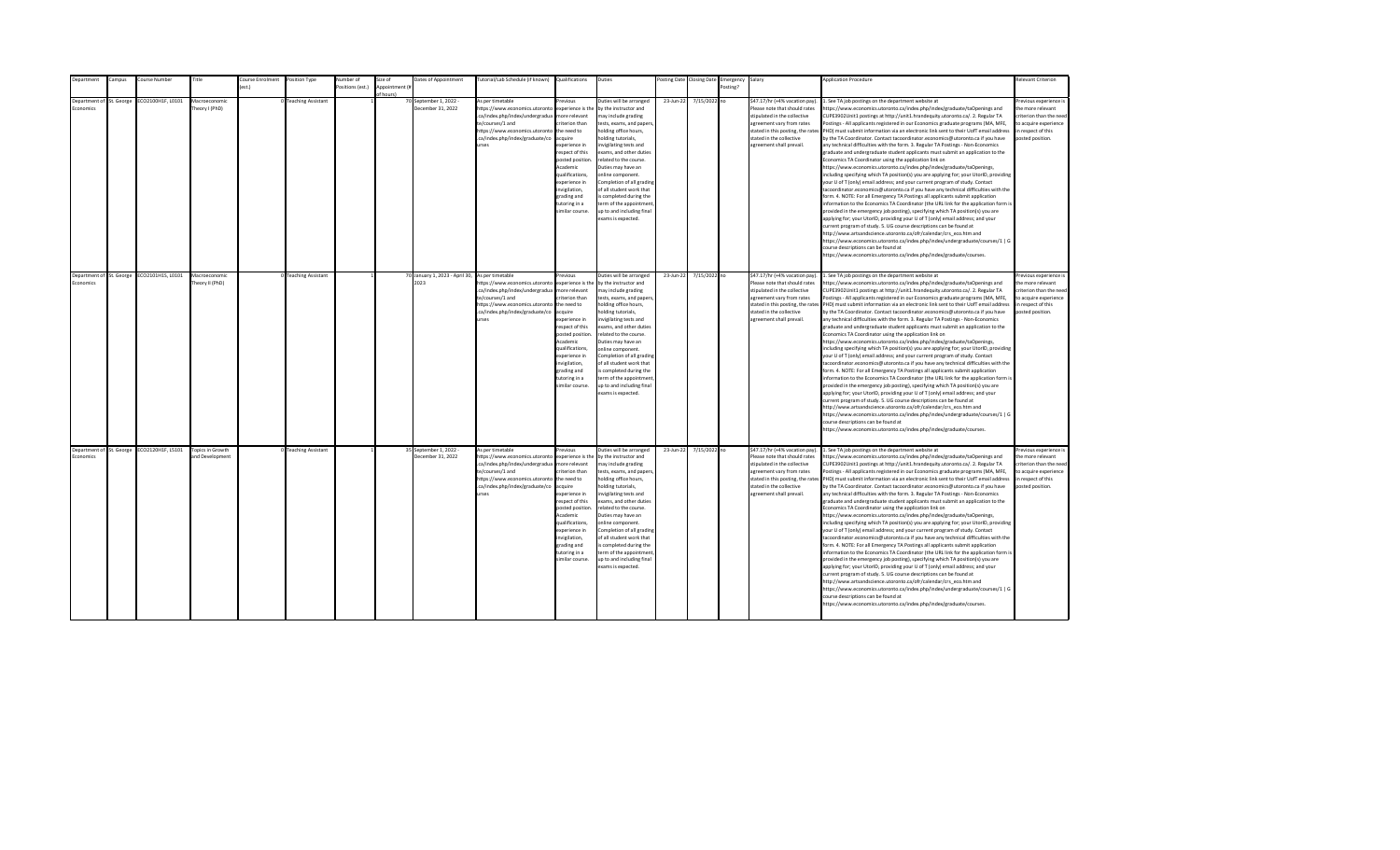|           | <b>Department</b>        | Campus | Course Number                              | Title                               | Course Enrolment | Position Type        | Number of        | Size of                    | Dates of Appointment                                    | Tutorial/Lab Schedule (if known) Qualifications                                                                                                                                                |                                                                                                                                                                                                                                                                    | Duties                                                                                                                                                                                                                                                                                                                                                                                                                                         |           | Posting Date Closing Date | Emergency Salary |                                                                                                                                                                                                                           | <b>Application Procedure</b>                                                                                                                                                                                                                                                                                                                                                                                                                                                                                                                                                                                                                                                                                                                                                                                                                                                                                                                                                                                                                                                                                                                                                                                                                                                                                                                                                                                                                                                                                                                                                                                                                                                                                                                                                                 | <b>Relevant Criterion</b>                                                                                                                |
|-----------|--------------------------|--------|--------------------------------------------|-------------------------------------|------------------|----------------------|------------------|----------------------------|---------------------------------------------------------|------------------------------------------------------------------------------------------------------------------------------------------------------------------------------------------------|--------------------------------------------------------------------------------------------------------------------------------------------------------------------------------------------------------------------------------------------------------------------|------------------------------------------------------------------------------------------------------------------------------------------------------------------------------------------------------------------------------------------------------------------------------------------------------------------------------------------------------------------------------------------------------------------------------------------------|-----------|---------------------------|------------------|---------------------------------------------------------------------------------------------------------------------------------------------------------------------------------------------------------------------------|----------------------------------------------------------------------------------------------------------------------------------------------------------------------------------------------------------------------------------------------------------------------------------------------------------------------------------------------------------------------------------------------------------------------------------------------------------------------------------------------------------------------------------------------------------------------------------------------------------------------------------------------------------------------------------------------------------------------------------------------------------------------------------------------------------------------------------------------------------------------------------------------------------------------------------------------------------------------------------------------------------------------------------------------------------------------------------------------------------------------------------------------------------------------------------------------------------------------------------------------------------------------------------------------------------------------------------------------------------------------------------------------------------------------------------------------------------------------------------------------------------------------------------------------------------------------------------------------------------------------------------------------------------------------------------------------------------------------------------------------------------------------------------------------|------------------------------------------------------------------------------------------------------------------------------------------|
|           |                          |        |                                            |                                     | ext              |                      | Positions (est.) | Appointment (i<br>f hours) |                                                         |                                                                                                                                                                                                |                                                                                                                                                                                                                                                                    |                                                                                                                                                                                                                                                                                                                                                                                                                                                |           |                           | Posting?         |                                                                                                                                                                                                                           |                                                                                                                                                                                                                                                                                                                                                                                                                                                                                                                                                                                                                                                                                                                                                                                                                                                                                                                                                                                                                                                                                                                                                                                                                                                                                                                                                                                                                                                                                                                                                                                                                                                                                                                                                                                              |                                                                                                                                          |
| conomics  | Department of St. George |        | ECO2100H1F, L0101                          | Macroeconomic<br>Theory I (PhD)     |                  | 0 Teaching Assistant |                  |                            | 70 September 1, 2022 -<br>December 31, 2022             | As per timetable<br>https://www.economics.utoronto<br>.ca/index.php/index/undergradua<br>te/courses/1 and<br>https://www.economics.utoronto<br>.ca/index.php/index/graduate/co<br><b>urses</b> | revious<br>experience is the<br>nore relevant<br>riterion than<br>the need to<br>cauire<br>xperience in<br>espect of this<br>posted position<br>Academic<br>qualifications,<br>xperience in<br>wigilation,<br>grading and<br>utoring in a<br>imilar course.        | Duties will be arranged<br>by the instructor and<br>nay include grading<br>tests, exams, and papers<br>nolding office hours,<br>olding tutorials.<br>nvigilating tests and<br>exams, and other duties<br>related to the course.<br>Duties may have an<br>online component.<br>Completion of all grading<br>of all student work that<br>s completed during the<br>erm of the appointment<br>up to and including final<br>exams is expected.     | 23-Jun-22 | 7/15/2022 no              |                  | \$47.17/hr (+4% vacation pay).<br>Please note that should rates<br>stipulated in the collective<br>agreement vary from rates<br>stated in this posting, the rates<br>stated in the collective<br>agreement shall prevail. | . See TA job postings on the department website at<br>https://www.economics.utoronto.ca/index.php/index/graduate/taOpenings and<br>CUPE3902Unit1 postings at http://unit1.hrandequity.utoronto.ca/. 2. Regular TA<br>Postings - All applicants registered in our Economics graduate programs (MA, MFE,<br>PHD) must submit information via an electronic link sent to their UofT email address<br>by the TA Coordinator. Contact tacoordinator.economics@utoronto.ca if you have<br>any technical difficulties with the form. 3. Regular TA Postings - Non-Economics<br>graduate and undergraduate student applicants must submit an application to the<br>Economics TA Coordinator using the application link on<br>https://www.economics.utoronto.ca/index.php/index/graduate/taOpenings,<br>including specifying which TA position(s) you are applying for; your UtorID, providing<br>your U of T (only) email address; and your current program of study. Contact<br>tacoordinator.economics@utoronto.ca if you have any technical difficulties with the<br>form. 4. NOTE: For all Emergency TA Postings all applicants submit application<br>information to the Economics TA Coordinator (the URL link for the application form is<br>provided in the emergency job posting), specifying which TA position(s) you are<br>applying for; your UtorID, providing your U of T (only) email address; and your<br>current program of study. 5. UG course descriptions can be found at<br>http://www.artsandscience.utoronto.ca/ofr/calendar/crs_eco.htm and<br>https://www.economics.utoronto.ca/index.php/index/undergraduate/courses/1   G<br>course descriptions can be found at<br>https://www.economics.utoronto.ca/index.php/index/graduate/courses.                                    | revious experience i<br>the more relevant<br>criterion than the nee-<br>to acquire experience<br>in respect of this<br>posted position.  |
| Economics | Department of St. George |        | ECO2101H1S, L0101                          | Macroeconomic<br>Theory II (PhD)    |                  | 0 Teaching Assistant |                  |                            | 70 January 1, 2023 - April 30, As per timetable<br>2023 | https://www.economics.utoronto<br>.ca/index.php/index/undergradua<br>te/courses/1 and<br>https://www.economics.utoronto<br>.ca/index.php/index/graduate/co<br><b>urses</b>                     | revious<br>experience is the<br>more relevant<br>riterion than<br>the need to<br>acquire<br>experience in<br>resnect of this<br>posted position<br>Academic<br>qualifications.<br>experience in<br>invigilation,<br>grading and<br>tutoring in a<br>imilar course. | Duties will be arranged<br>by the instructor and<br>may include grading<br>tests, exams, and papers,<br>holding office hours,<br>nolding tutorials,<br>nvigilating tests and<br>exams, and other duties<br>related to the course.<br>Duties may have an<br>online component.<br>Completion of all grading<br>of all student work that<br>is completed during the<br>term of the appointment<br>up to and including final<br>exams is expected. | 23-Jun-22 | 7/15/2022 no              |                  | \$47.17/hr (+4% vacation pay).<br>Please note that should rates<br>stipulated in the collective<br>agreement vary from rates<br>stated in the collective<br>agreement shall prevail.                                      | 1. See TA job postings on the department website at<br>https://www.economics.utoronto.ca/index.php/index/graduate/taOpenings and<br>CUPE3902Unit1 postings at http://unit1.hrandequity.utoronto.ca/. 2. Regular TA<br>Postings - All applicants registered in our Economics graduate programs (MA, MFE,<br>stated in this posting, the rates PHD) must submit information via an electronic link sent to their UofT email address<br>by the TA Coordinator. Contact tacoordinator.economics@utoronto.ca if you have<br>any technical difficulties with the form. 3. Regular TA Postings - Non-Economics<br>eraduate and undergraduate student applicants must submit an application to the<br>Economics TA Coordinator using the application link on<br>https://www.economics.utoronto.ca/index.php/index/graduate/taOpenings,<br>including specifying which TA position(s) you are applying for; your UtorID, providing<br>your U of T (only) email address; and your current program of study. Contact<br>tacoordinator.economics@utoronto.ca if you have any technical difficulties with the<br>form. 4. NOTE: For all Emergency TA Postings all applicants submit application<br>information to the Economics TA Coordinator (the URL link for the application form is<br>provided in the emergency job posting), specifying which TA position(s) you are<br>applying for; your UtorID, providing your U of T (only) email address; and your<br>current program of study. 5. UG course descriptions can be found at<br>http://www.artsandscience.utoronto.ca/ofr/calendar/crs_eco.htm and<br>https://www.economics.utoronto.ca/index.php/index/undergraduate/courses/1   G<br>course descriptions can be found at<br>https://www.economics.utoronto.ca/index.php/index/graduate/courses. | Previous experience i<br>the more relevant<br>criterion than the need<br>to acquire experience<br>in respect of this<br>posted position. |
| Economics |                          |        | Department of St. George ECO2120H1F, L5101 | Topics in Growth<br>and Development |                  | 0 Teaching Assistant |                  |                            | 35 September 1, 2022 -<br>December 31, 2022             | As per timetable<br>https://www.economics.utoronto<br>.ca/index.php/index/undergradua<br>te/courses/1 and<br>https://www.economics.utoronto<br>.ca/index.php/index/graduate/co<br><b>urses</b> | revious<br>experience is the<br>more relevant<br>riterion than<br>the need to<br>acquire<br>experience in<br>respect of this<br>posted position<br>Academic<br>qualifications,<br>experience in<br>invigilation,<br>grading and<br>tutoring in a<br>imilar course. | Duties will be arranged<br>by the instructor and<br>may include grading<br>tests, exams, and papers,<br>holding office hours,<br>nolding tutorials,<br>nvigilating tests and<br>exams, and other duties<br>related to the course.<br>Duties may have an<br>online component.<br>Completion of all grading<br>of all student work that<br>is completed during the<br>term of the appointment<br>up to and including final<br>exams is expected. | 23-Jun-22 | 7/15/2022 no              |                  | \$47.17/hr (+4% vacation pay).<br>Please note that should rates<br>stipulated in the collective<br>agreement vary from rates<br>stated in the collective<br>agreement shall prevail.                                      | 1. See TA job postings on the department website at<br>https://www.economics.utoronto.ca/index.php/index/graduate/taOpenings and<br>CUPE3902Unit1 postings at http://unit1.hrandequity.utoronto.ca/. 2. Regular TA<br>Postings - All applicants registered in our Economics graduate programs (MA, MFE,<br>stated in this posting, the rates PHD) must submit information via an electronic link sent to their UofT email address<br>by the TA Coordinator. Contact tacoordinator.economics@utoronto.ca if you have<br>any technical difficulties with the form. 3. Regular TA Postings - Non-Economics<br>graduate and undergraduate student applicants must submit an application to the<br>Economics TA Coordinator using the application link on<br>https://www.economics.utoronto.ca/index.php/index/graduate/taOpenings,<br>including specifying which TA position(s) you are applying for; your UtorID, providing<br>your U of T (only) email address; and your current program of study. Contact<br>tacoordinator.economics@utoronto.ca if you have any technical difficulties with the<br>form. 4. NOTE: For all Emergency TA Postings all applicants submit application<br>information to the Economics TA Coordinator (the URL link for the application form is<br>provided in the emergency job posting), specifying which TA position(s) you are<br>applying for; your UtorID, providing your U of T (only) email address; and your<br>current program of study. 5. UG course descriptions can be found at<br>http://www.artsandscience.utoronto.ca/ofr/calendar/crs eco.htm and<br>https://www.economics.utoronto.ca/index.php/index/undergraduate/courses/1   G<br>course descriptions can be found at<br>https://www.economics.utoronto.ca/index.php/index/graduate/courses. | revious experience i<br>the more relevant<br>criterion than the need<br>to acquire experience<br>in respect of this<br>posted position.  |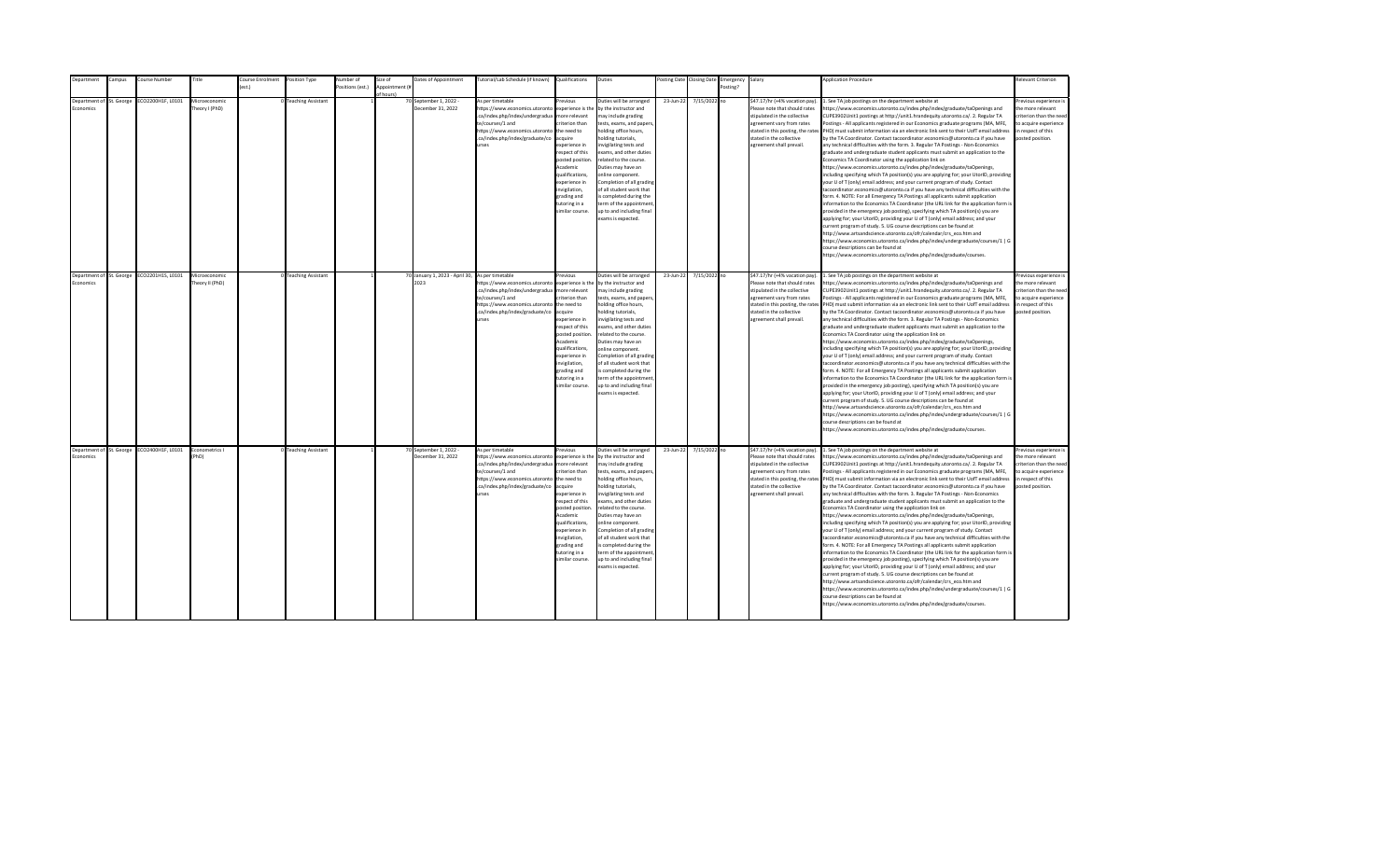| <b>Department</b>                     | Campus | Course Number                              | Title                            | Course Enrolment | Position Type        | Number of        | Size of                    | Dates of Appointment                                    | Tutorial/Lab Schedule (if known) Qualifications                                                                                                                                                |                                                                                                                                                                                                                                                                    | Duties                                                                                                                                                                                                                                                                                                                                                                                                                                          |           | Posting Date Closing Date | Emergency Salary |                                                                                                                                                                                                                           | <b>Application Procedure</b>                                                                                                                                                                                                                                                                                                                                                                                                                                                                                                                                                                                                                                                                                                                                                                                                                                                                                                                                                                                                                                                                                                                                                                                                                                                                                                                                                                                                                                                                                                                                                                                                                                                                                                                                                                 | <b>Relevant Criterion</b>                                                                                                                |
|---------------------------------------|--------|--------------------------------------------|----------------------------------|------------------|----------------------|------------------|----------------------------|---------------------------------------------------------|------------------------------------------------------------------------------------------------------------------------------------------------------------------------------------------------|--------------------------------------------------------------------------------------------------------------------------------------------------------------------------------------------------------------------------------------------------------------------|-------------------------------------------------------------------------------------------------------------------------------------------------------------------------------------------------------------------------------------------------------------------------------------------------------------------------------------------------------------------------------------------------------------------------------------------------|-----------|---------------------------|------------------|---------------------------------------------------------------------------------------------------------------------------------------------------------------------------------------------------------------------------|----------------------------------------------------------------------------------------------------------------------------------------------------------------------------------------------------------------------------------------------------------------------------------------------------------------------------------------------------------------------------------------------------------------------------------------------------------------------------------------------------------------------------------------------------------------------------------------------------------------------------------------------------------------------------------------------------------------------------------------------------------------------------------------------------------------------------------------------------------------------------------------------------------------------------------------------------------------------------------------------------------------------------------------------------------------------------------------------------------------------------------------------------------------------------------------------------------------------------------------------------------------------------------------------------------------------------------------------------------------------------------------------------------------------------------------------------------------------------------------------------------------------------------------------------------------------------------------------------------------------------------------------------------------------------------------------------------------------------------------------------------------------------------------------|------------------------------------------------------------------------------------------------------------------------------------------|
|                                       |        |                                            |                                  | ext              |                      | Positions (est.) | Appointment (i<br>f hours) |                                                         |                                                                                                                                                                                                |                                                                                                                                                                                                                                                                    |                                                                                                                                                                                                                                                                                                                                                                                                                                                 |           |                           | Posting?         |                                                                                                                                                                                                                           |                                                                                                                                                                                                                                                                                                                                                                                                                                                                                                                                                                                                                                                                                                                                                                                                                                                                                                                                                                                                                                                                                                                                                                                                                                                                                                                                                                                                                                                                                                                                                                                                                                                                                                                                                                                              |                                                                                                                                          |
| Department of St. George<br>conomics  |        | ECO2200H1F, L0101                          | Microeconomic<br>Theory I (PhD)  |                  | 0 Teaching Assistant |                  |                            | 70 September 1, 2022 -<br>December 31, 2022             | As per timetable<br>https://www.economics.utoronto<br>.ca/index.php/index/undergradua<br>te/courses/1 and<br>https://www.economics.utoronto<br>.ca/index.php/index/graduate/co<br><b>urses</b> | revious<br>experience is the<br>nore relevant<br>riterion than<br>the need to<br>cauire<br>xperience in<br>espect of this<br>posted position<br>Academic<br>qualifications,<br>xperience in<br>wigilation,<br>grading and<br>utoring in a<br>imilar course.        | Duties will be arranged<br>by the instructor and<br>nay include grading<br>tests, exams, and papers<br>nolding office hours,<br>olding tutorials.<br>nvigilating tests and<br>exams, and other duties<br>related to the course.<br>Duties may have an<br>online component.<br>Completion of all grading<br>of all student work that<br>s completed during the<br>erm of the appointment<br>up to and including final<br>exams is expected.      | 23-Jun-22 | 7/15/2022 no              |                  | \$47.17/hr (+4% vacation pay).<br>Please note that should rates<br>stipulated in the collective<br>agreement vary from rates<br>stated in this posting, the rates<br>stated in the collective<br>agreement shall prevail. | . See TA job postings on the department website at<br>https://www.economics.utoronto.ca/index.php/index/graduate/taOpenings and<br>CUPE3902Unit1 postings at http://unit1.hrandequity.utoronto.ca/. 2. Regular TA<br>Postings - All applicants registered in our Economics graduate programs (MA, MFE,<br>PHD) must submit information via an electronic link sent to their UofT email address<br>by the TA Coordinator. Contact tacoordinator.economics@utoronto.ca if you have<br>any technical difficulties with the form. 3. Regular TA Postings - Non-Economics<br>graduate and undergraduate student applicants must submit an application to the<br>Economics TA Coordinator using the application link on<br>https://www.economics.utoronto.ca/index.php/index/graduate/taOpenings,<br>including specifying which TA position(s) you are applying for; your UtorID, providing<br>your U of T (only) email address; and your current program of study. Contact<br>tacoordinator.economics@utoronto.ca if you have any technical difficulties with the<br>form. 4. NOTE: For all Emergency TA Postings all applicants submit application<br>information to the Economics TA Coordinator (the URL link for the application form is<br>provided in the emergency job posting), specifying which TA position(s) you are<br>applying for; your UtorID, providing your U of T (only) email address; and your<br>current program of study. 5. UG course descriptions can be found at<br>http://www.artsandscience.utoronto.ca/ofr/calendar/crs_eco.htm and<br>https://www.economics.utoronto.ca/index.php/index/undergraduate/courses/1   G<br>course descriptions can be found at<br>https://www.economics.utoronto.ca/index.php/index/graduate/courses.                                    | revious experience i<br>the more relevant<br>criterion than the nee-<br>to acquire experience<br>in respect of this<br>posted position.  |
| Department of St. George<br>Economics |        | ECO2201H1S, L0101                          | Microeconomic<br>Theory II (PhD) |                  | 0 Teaching Assistant |                  |                            | 70 January 1, 2023 - April 30, As per timetable<br>2023 | https://www.economics.utoronto<br>.ca/index.php/index/undergradua<br>te/courses/1 and<br>https://www.economics.utoronto<br>.ca/index.php/index/graduate/co<br><b>urses</b>                     | revious<br>experience is the<br>more relevant<br>riterion than<br>the need to<br>acquire<br>experience in<br>resnect of this<br>posted position<br>Academic<br>qualifications.<br>experience in<br>invigilation,<br>grading and<br>tutoring in a<br>imilar course. | Duties will be arranged<br>by the instructor and<br>may include grading<br>tests, exams, and papers,<br>holding office hours,<br>nolding tutorials,<br>invigilating tests and<br>exams, and other duties<br>related to the course.<br>Duties may have an<br>online component.<br>Completion of all grading<br>of all student work that<br>is completed during the<br>term of the appointment<br>up to and including final<br>exams is expected. | 23-Jun-22 | 7/15/2022 no              |                  | \$47.17/hr (+4% vacation pay).<br>Please note that should rates<br>stipulated in the collective<br>agreement vary from rates<br>stated in the collective<br>agreement shall prevail.                                      | 1. See TA job postings on the department website at<br>https://www.economics.utoronto.ca/index.php/index/graduate/taOpenings and<br>CUPE3902Unit1 postings at http://unit1.hrandequity.utoronto.ca/. 2. Regular TA<br>Postings - All applicants registered in our Economics graduate programs (MA, MFE,<br>stated in this posting, the rates PHD) must submit information via an electronic link sent to their UofT email address<br>by the TA Coordinator. Contact tacoordinator.economics@utoronto.ca if you have<br>any technical difficulties with the form. 3. Regular TA Postings - Non-Economics<br>eraduate and undergraduate student applicants must submit an application to the<br>Economics TA Coordinator using the application link on<br>https://www.economics.utoronto.ca/index.php/index/graduate/taOpenings,<br>including specifying which TA position(s) you are applying for; your UtorID, providing<br>your U of T (only) email address; and your current program of study. Contact<br>tacoordinator.economics@utoronto.ca if you have any technical difficulties with the<br>form. 4. NOTE: For all Emergency TA Postings all applicants submit application<br>information to the Economics TA Coordinator (the URL link for the application form is<br>provided in the emergency job posting), specifying which TA position(s) you are<br>applying for; your UtorID, providing your U of T (only) email address; and your<br>current program of study. 5. UG course descriptions can be found at<br>http://www.artsandscience.utoronto.ca/ofr/calendar/crs_eco.htm and<br>https://www.economics.utoronto.ca/index.php/index/undergraduate/courses/1   G<br>course descriptions can be found at<br>https://www.economics.utoronto.ca/index.php/index/graduate/courses. | Previous experience i<br>the more relevant<br>criterion than the need<br>to acquire experience<br>in respect of this<br>posted position. |
| Economics                             |        | Department of St. George ECO2400H1F, L0101 | Econometrics I<br>PhD)           |                  | 0 Teaching Assistant |                  |                            | 70 September 1, 2022 -<br>December 31, 2022             | As per timetable<br>https://www.economics.utoronto<br>.ca/index.php/index/undergradua<br>te/courses/1 and<br>https://www.economics.utoronto<br>.ca/index.php/index/graduate/co<br><b>urses</b> | revious<br>experience is the<br>more relevant<br>riterion than<br>the need to<br>acquire<br>experience in<br>respect of this<br>posted position<br>Academic<br>qualifications,<br>experience in<br>invigilation,<br>grading and<br>tutoring in a<br>imilar course. | Duties will be arranged<br>by the instructor and<br>may include grading<br>tests, exams, and papers,<br>holding office hours,<br>nolding tutorials,<br>nvigilating tests and<br>exams, and other duties<br>related to the course.<br>Duties may have an<br>online component.<br>Completion of all grading<br>of all student work that<br>is completed during the<br>term of the appointment<br>up to and including final<br>exams is expected.  | 23-Jun-22 | 7/15/2022 no              |                  | \$47.17/hr (+4% vacation pay).<br>Please note that should rates<br>stipulated in the collective<br>agreement vary from rates<br>stated in the collective<br>agreement shall prevail.                                      | 1. See TA job postings on the department website at<br>https://www.economics.utoronto.ca/index.php/index/graduate/taOpenings and<br>CUPE3902Unit1 postings at http://unit1.hrandequity.utoronto.ca/. 2. Regular TA<br>Postings - All applicants registered in our Economics graduate programs (MA, MFE,<br>stated in this posting, the rates PHD) must submit information via an electronic link sent to their UofT email address<br>by the TA Coordinator. Contact tacoordinator.economics@utoronto.ca if you have<br>any technical difficulties with the form. 3. Regular TA Postings - Non-Economics<br>graduate and undergraduate student applicants must submit an application to the<br>Economics TA Coordinator using the application link on<br>https://www.economics.utoronto.ca/index.php/index/graduate/taOpenings,<br>including specifying which TA position(s) you are applying for; your UtorID, providing<br>your U of T (only) email address; and your current program of study. Contact<br>tacoordinator.economics@utoronto.ca if you have any technical difficulties with the<br>form. 4. NOTE: For all Emergency TA Postings all applicants submit application<br>information to the Economics TA Coordinator (the URL link for the application form is<br>provided in the emergency job posting), specifying which TA position(s) you are<br>applying for; your UtorID, providing your U of T (only) email address; and your<br>current program of study. 5. UG course descriptions can be found at<br>http://www.artsandscience.utoronto.ca/ofr/calendar/crs eco.htm and<br>https://www.economics.utoronto.ca/index.php/index/undergraduate/courses/1   G<br>course descriptions can be found at<br>https://www.economics.utoronto.ca/index.php/index/graduate/courses. | revious experience i<br>the more relevant<br>criterion than the need<br>to acquire experience<br>in respect of this<br>posted position.  |